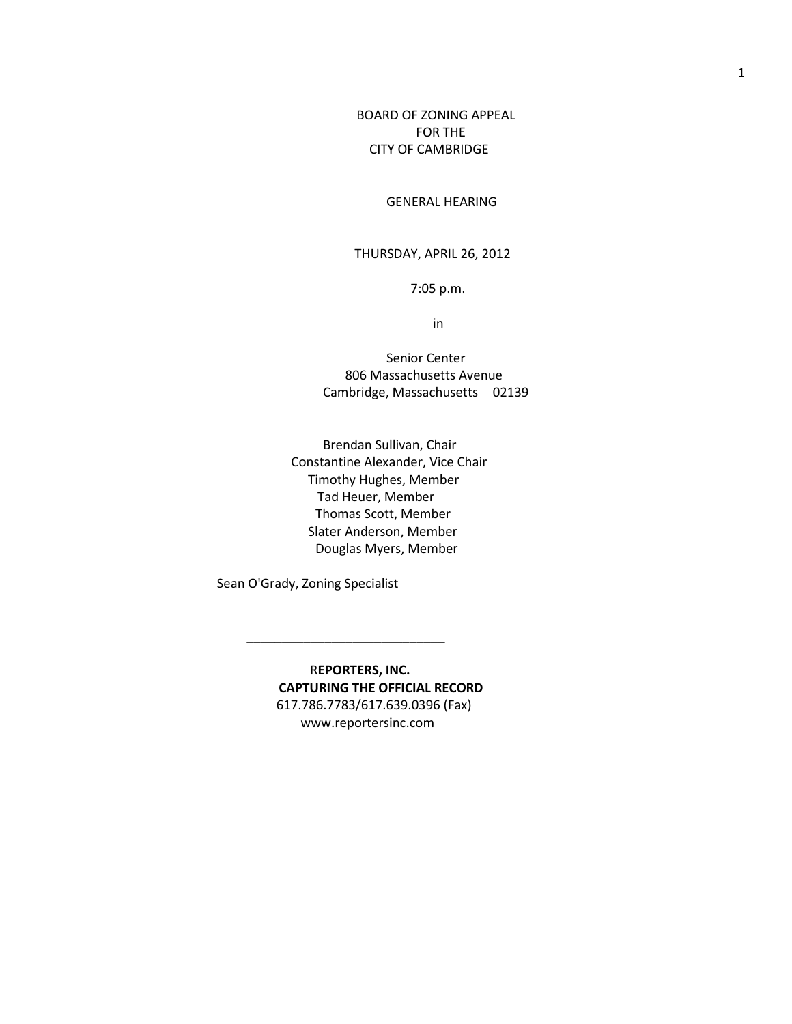BOARD OF ZONING APPEAL FOR THE CITY OF CAMBRIDGE

GENERAL HEARING

## THURSDAY, APRIL 26, 2012

7:05 p.m.

in

 Senior Center 806 Massachusetts Avenue Cambridge, Massachusetts 02139

 Brendan Sullivan, Chair Constantine Alexander, Vice Chair Timothy Hughes, Member Tad Heuer, Member Thomas Scott, Member Slater Anderson, Member Douglas Myers, Member

Sean O'Grady, Zoning Specialist

 $\frac{1}{2}$  , and the set of the set of the set of the set of the set of the set of the set of the set of the set of the set of the set of the set of the set of the set of the set of the set of the set of the set of the set

R**EPORTERS, INC. CAPTURING THE OFFICIAL RECORD** 617.786.7783/617.639.0396 (Fax) www.reportersinc.com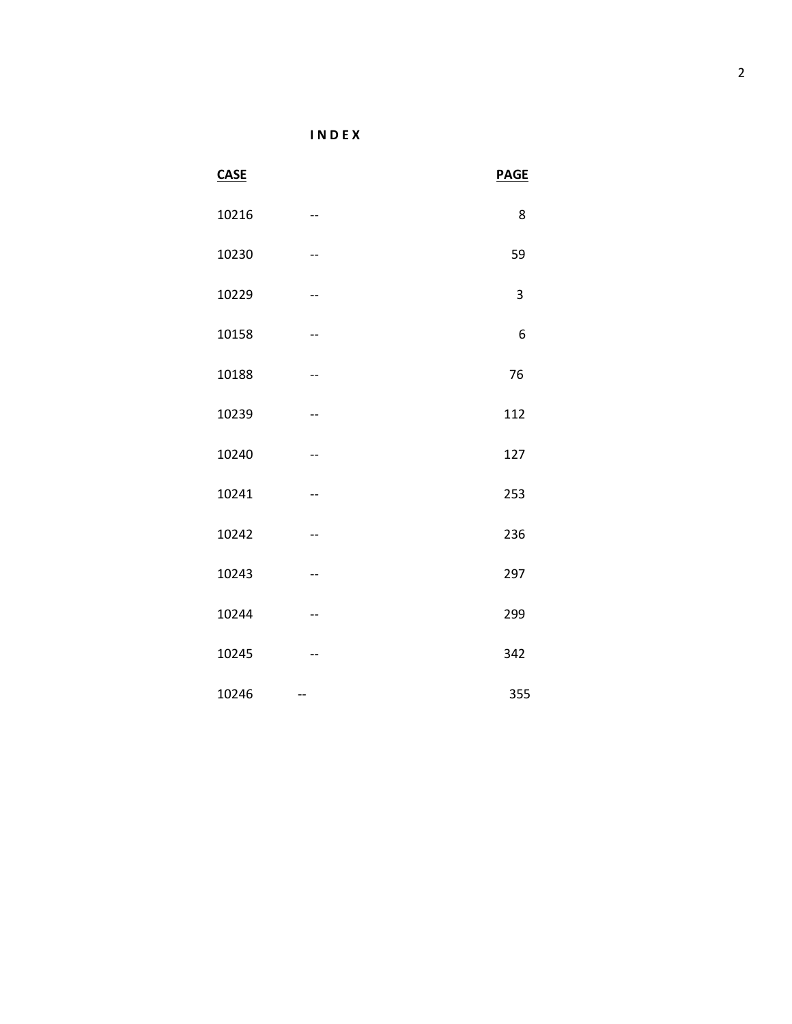**I N D E X**

| CASE  |     | <b>PAGE</b> |
|-------|-----|-------------|
| 10216 | --  | 8           |
| 10230 |     | 59          |
| 10229 | --  | 3           |
| 10158 | $-$ | 6           |
| 10188 |     | 76          |
| 10239 |     | 112         |
| 10240 | $-$ | 127         |
| 10241 | --  | 253         |
| 10242 |     | 236         |
| 10243 |     | 297         |
| 10244 | --  | 299         |
| 10245 | --  | 342         |
| 10246 | $-$ | 355         |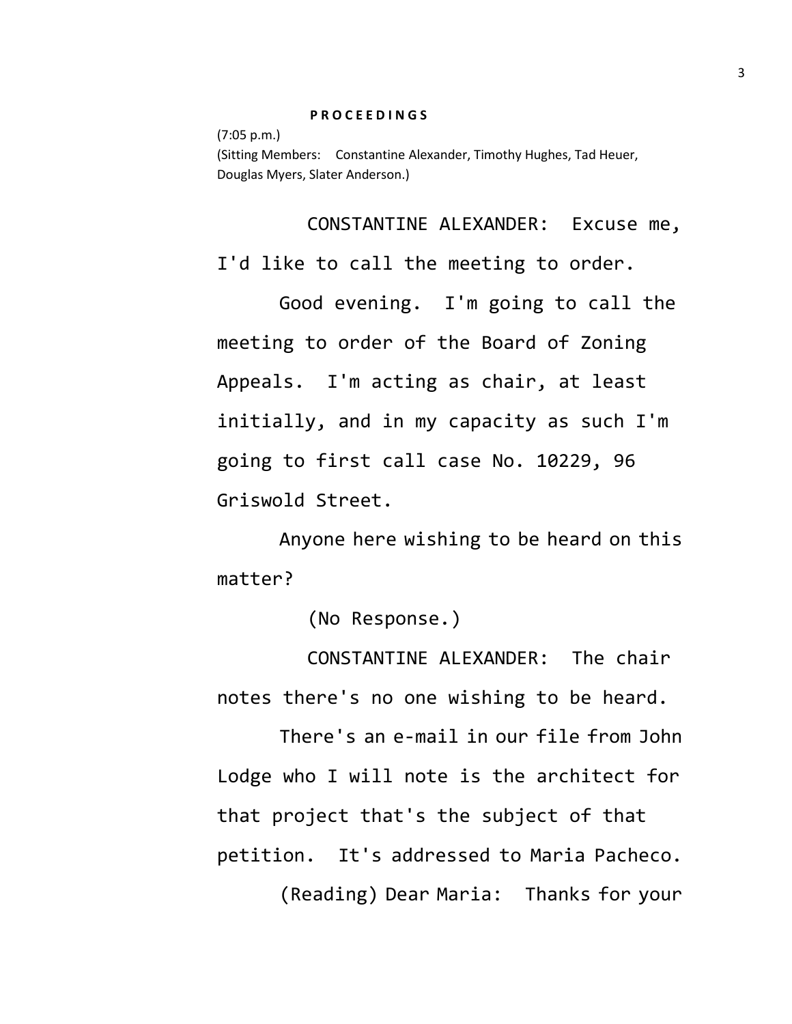## **P R O C E E D I N G S**

(7:05 p.m.) (Sitting Members: Constantine Alexander, Timothy Hughes, Tad Heuer, Douglas Myers, Slater Anderson.)

CONSTANTINE ALEXANDER: Excuse me, I'd like to call the meeting to order.

Good evening. I'm going to call the meeting to order of the Board of Zoning Appeals. I'm acting as chair, at least initially, and in my capacity as such I'm going to first call case No. 10229, 96 Griswold Street.

Anyone here wishing to be heard on this matter?

(No Response.)

CONSTANTINE ALEXANDER: The chair notes there's no one wishing to be heard.

There's an e-mail in our file from John Lodge who I will note is the architect for that project that's the subject of that petition. It's addressed to Maria Pacheco.

(Reading) Dear Maria: Thanks for your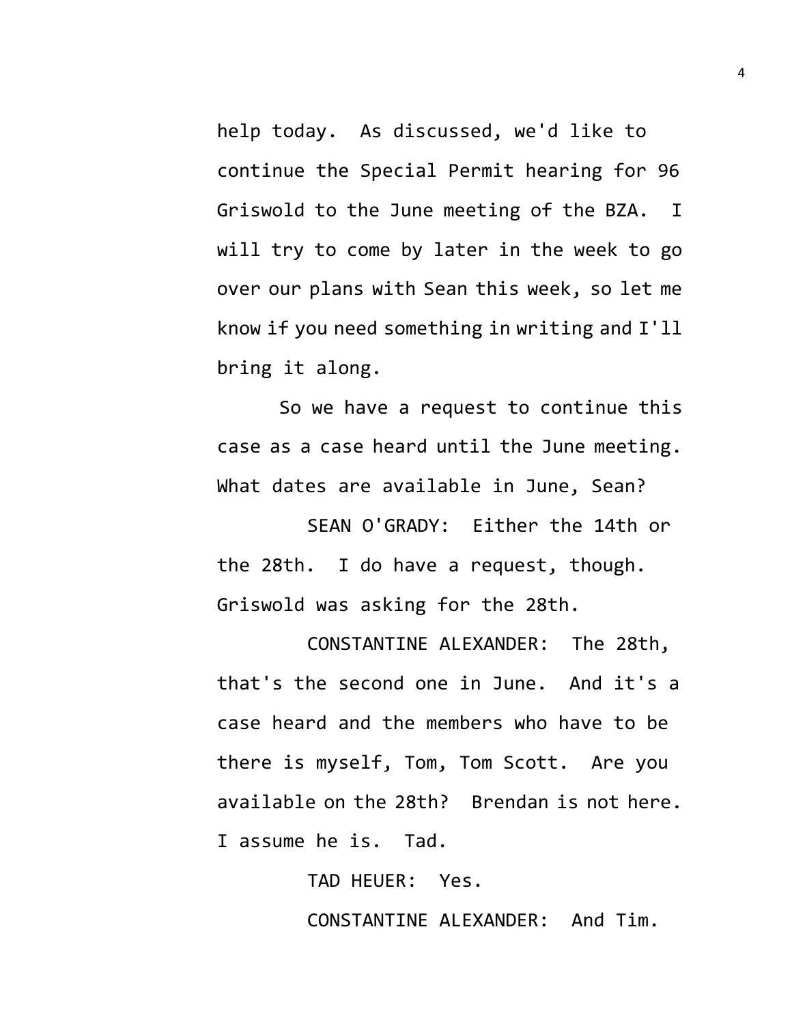help today. As discussed, we'd like to continue the Special Permit hearing for 96 Griswold to the June meeting of the BZA. I will try to come by later in the week to go over our plans with Sean this week, so let me know if you need something in writing and I'll bring it along.

So we have a request to continue this case as a case heard until the June meeting. What dates are available in June, Sean?

SEAN O'GRADY: Either the 14th or the 28th. I do have a request, though. Griswold was asking for the 28th.

CONSTANTINE ALEXANDER: The 28th, that's the second one in June. And it's a case heard and the members who have to be there is myself, Tom, Tom Scott. Are you available on the 28th? Brendan is not here. I assume he is. Tad.

> TAD HEUER: Yes. CONSTANTINE ALEXANDER: And Tim.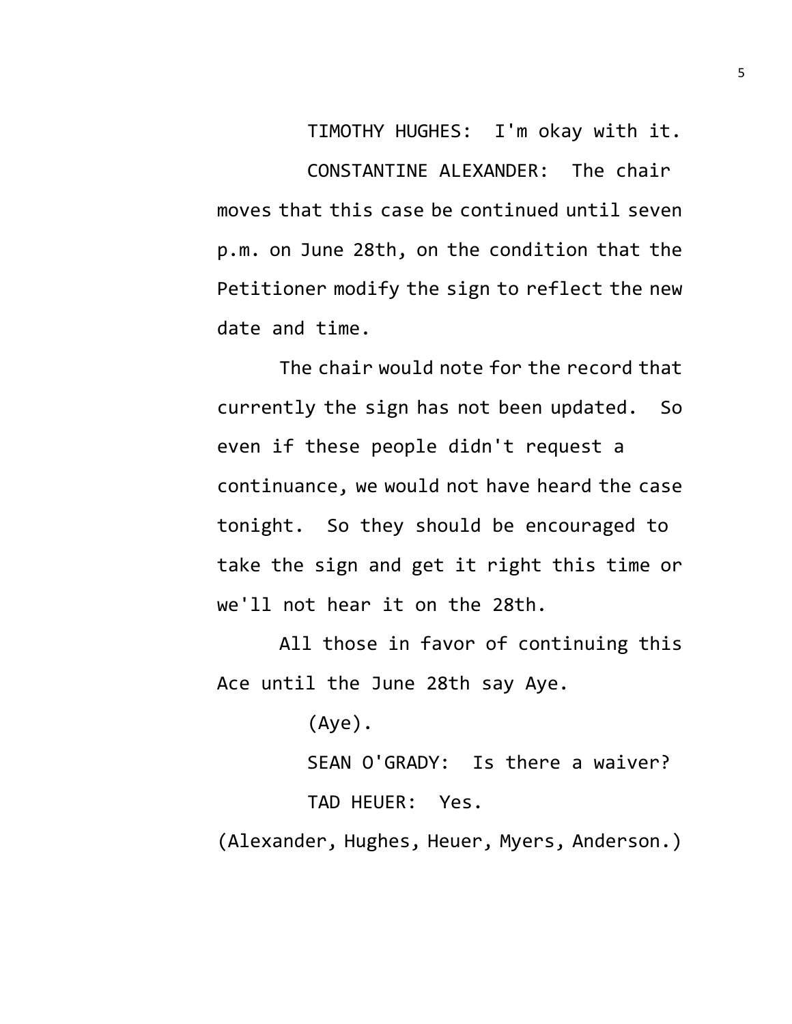TIMOTHY HUGHES: I'm okay with it. CONSTANTINE ALEXANDER: The chair moves that this case be continued until seven p.m. on June 28th, on the condition that the Petitioner modify the sign to reflect the new date and time.

The chair would note for the record that currently the sign has not been updated. So even if these people didn't request a continuance, we would not have heard the case tonight. So they should be encouraged to take the sign and get it right this time or we'll not hear it on the 28th.

All those in favor of continuing this Ace until the June 28th say Aye.

(Aye).

SEAN O'GRADY: Is there a waiver?

TAD HEUER: Yes.

(Alexander, Hughes, Heuer, Myers, Anderson.)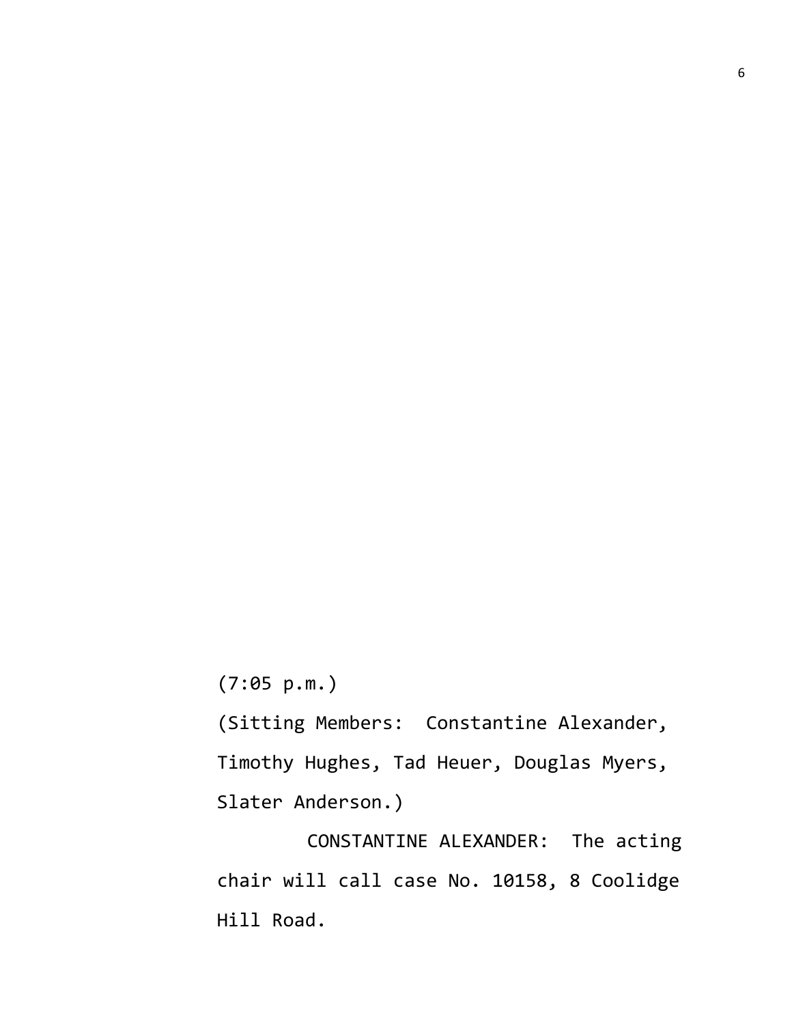(7:05 p.m.)

(Sitting Members: Constantine Alexander, Timothy Hughes, Tad Heuer, Douglas Myers, Slater Anderson.)

CONSTANTINE ALEXANDER: The acting chair will call case No. 10158, 8 Coolidge Hill Road.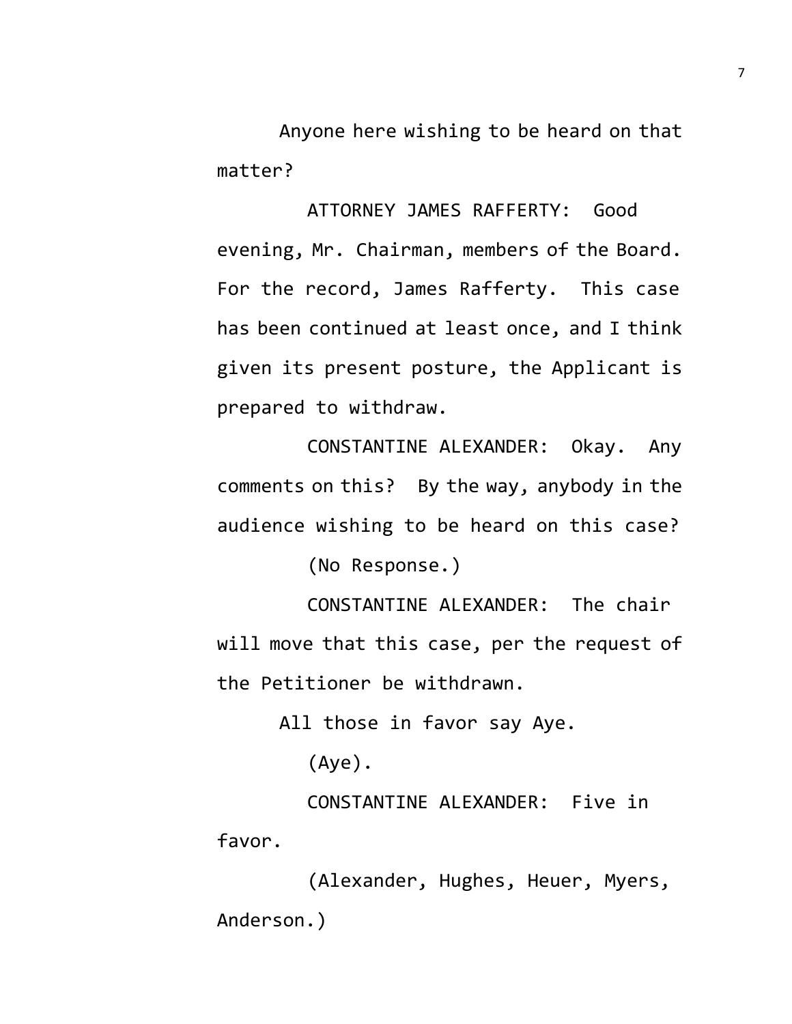Anyone here wishing to be heard on that matter?

ATTORNEY JAMES RAFFERTY: Good evening, Mr. Chairman, members of the Board. For the record, James Rafferty. This case has been continued at least once, and I think given its present posture, the Applicant is prepared to withdraw.

CONSTANTINE ALEXANDER: Okay. Any comments on this? By the way, anybody in the audience wishing to be heard on this case?

(No Response.)

CONSTANTINE ALEXANDER: The chair will move that this case, per the request of the Petitioner be withdrawn.

All those in favor say Aye.

(Aye).

CONSTANTINE ALEXANDER: Five in favor.

(Alexander, Hughes, Heuer, Myers, Anderson.)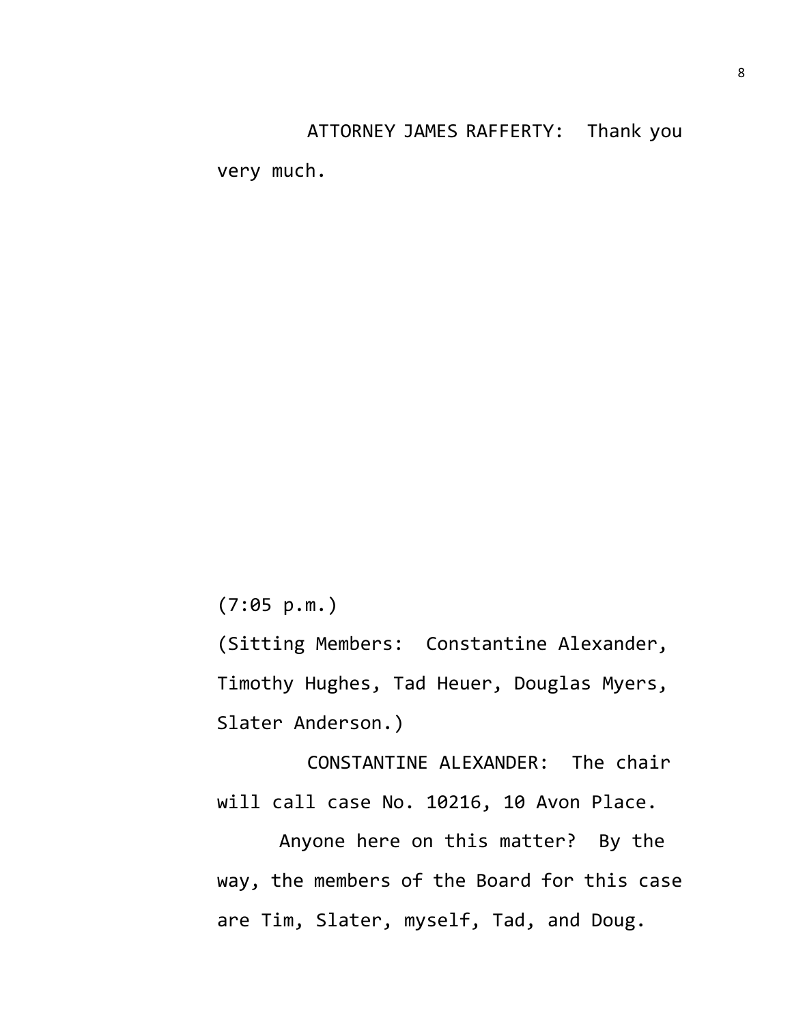ATTORNEY JAMES RAFFERTY: Thank you

very much.

(7:05 p.m.)

(Sitting Members: Constantine Alexander, Timothy Hughes, Tad Heuer, Douglas Myers, Slater Anderson.)

CONSTANTINE ALEXANDER: The chair will call case No. 10216, 10 Avon Place.

Anyone here on this matter? By the way, the members of the Board for this case are Tim, Slater, myself, Tad, and Doug.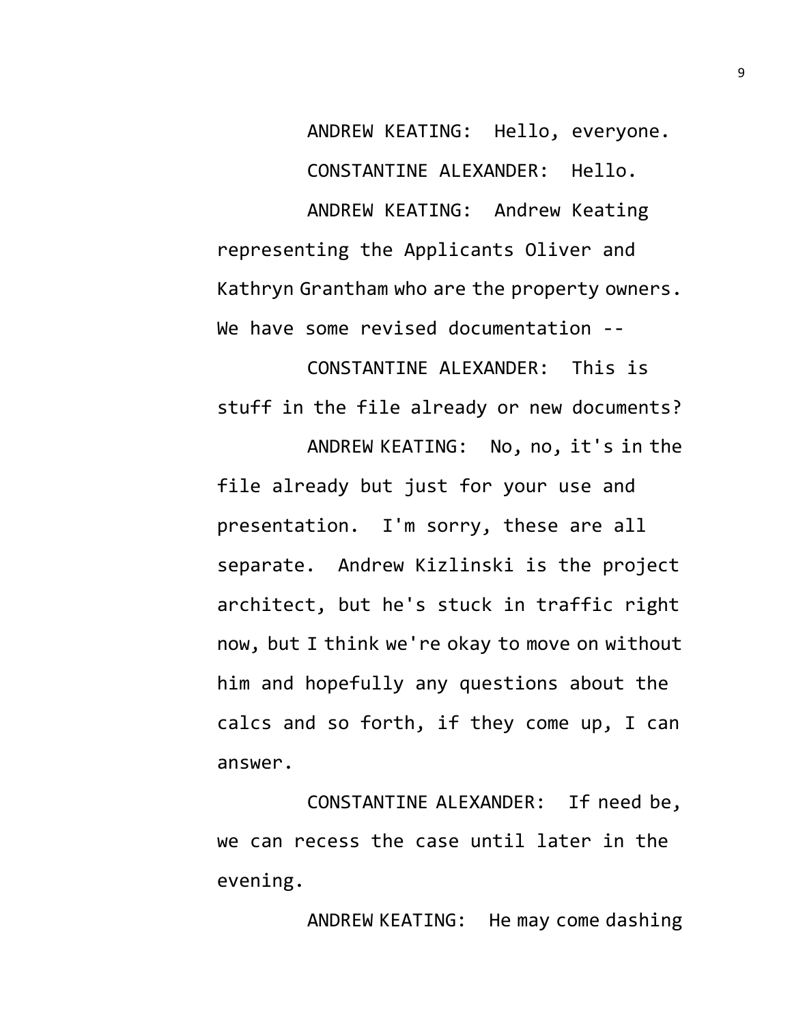ANDREW KEATING: Hello, everyone. CONSTANTINE ALEXANDER: Hello. ANDREW KEATING: Andrew Keating representing the Applicants Oliver and Kathryn Grantham who are the property owners. We have some revised documentation --

CONSTANTINE ALEXANDER: This is stuff in the file already or new documents? ANDREW KEATING: No, no, it's in the file already but just for your use and presentation. I'm sorry, these are all separate. Andrew Kizlinski is the project architect, but he's stuck in traffic right now, but I think we're okay to move on without him and hopefully any questions about the calcs and so forth, if they come up, I can answer.

CONSTANTINE ALEXANDER: If need be, we can recess the case until later in the evening.

ANDREW KEATING: He may come dashing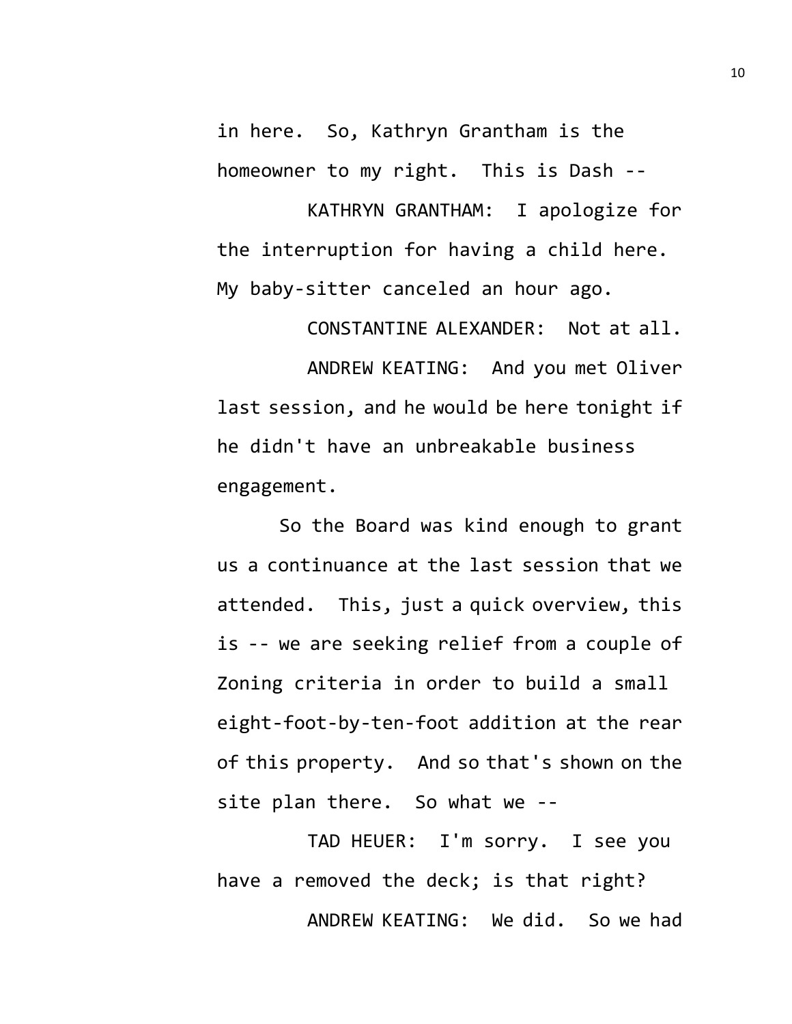in here. So, Kathryn Grantham is the homeowner to my right. This is Dash --

KATHRYN GRANTHAM: I apologize for the interruption for having a child here. My baby-sitter canceled an hour ago.

CONSTANTINE ALEXANDER: Not at all.

ANDREW KEATING: And you met Oliver last session, and he would be here tonight if he didn't have an unbreakable business engagement.

So the Board was kind enough to grant us a continuance at the last session that we attended. This, just a quick overview, this is -- we are seeking relief from a couple of Zoning criteria in order to build a small eight-foot-by-ten-foot addition at the rear of this property. And so that's shown on the site plan there. So what we --

TAD HEUER: I'm sorry. I see you have a removed the deck; is that right? ANDREW KEATING: We did. So we had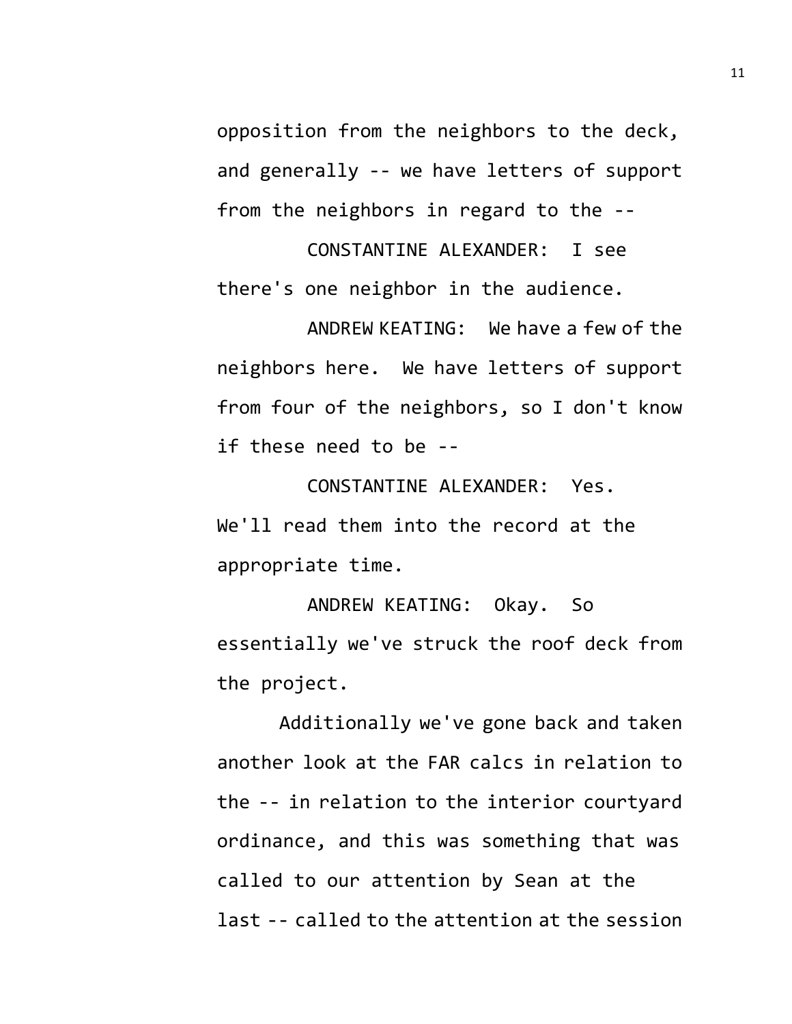opposition from the neighbors to the deck, and generally -- we have letters of support from the neighbors in regard to the --

CONSTANTINE ALEXANDER: I see there's one neighbor in the audience.

ANDREW KEATING: We have a few of the neighbors here. We have letters of support from four of the neighbors, so I don't know if these need to be --

CONSTANTINE ALEXANDER: Yes. We'll read them into the record at the appropriate time.

ANDREW KEATING: Okay. So essentially we've struck the roof deck from the project.

Additionally we've gone back and taken another look at the FAR calcs in relation to the -- in relation to the interior courtyard ordinance, and this was something that was called to our attention by Sean at the last -- called to the attention at the session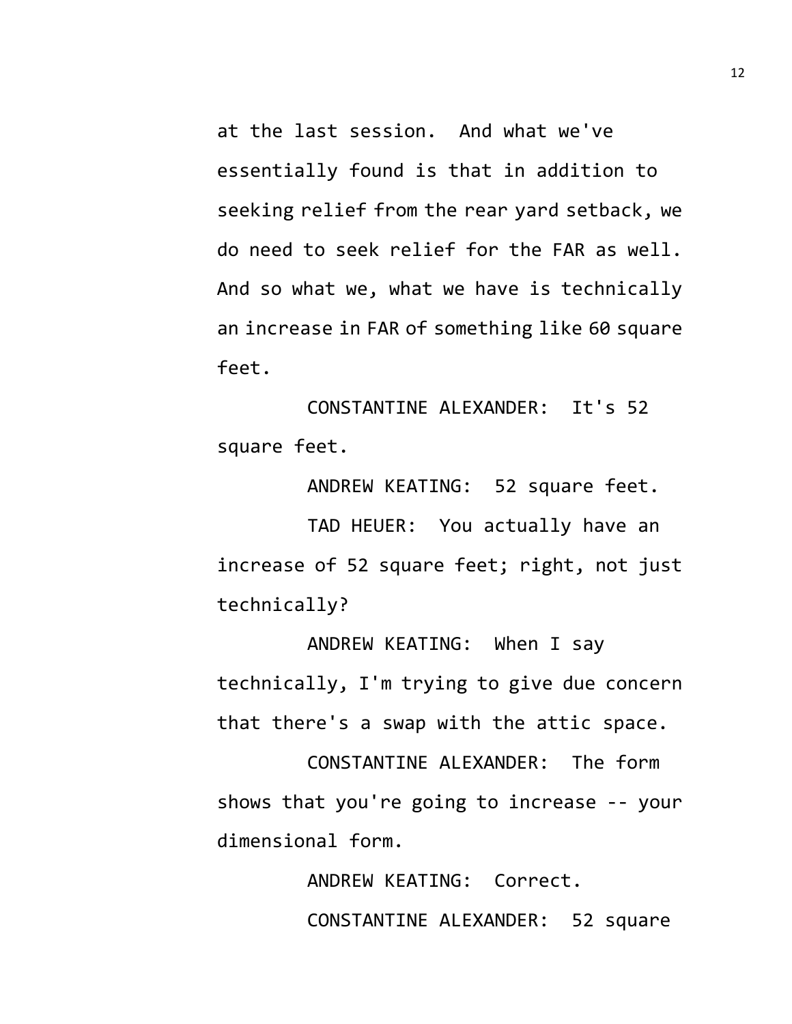at the last session. And what we've essentially found is that in addition to seeking relief from the rear yard setback, we do need to seek relief for the FAR as well. And so what we, what we have is technically an increase in FAR of something like 60 square feet.

CONSTANTINE ALEXANDER: It's 52 square feet.

ANDREW KEATING: 52 square feet. TAD HEUER: You actually have an increase of 52 square feet; right, not just technically?

ANDREW KEATING: When I say technically, I'm trying to give due concern that there's a swap with the attic space.

CONSTANTINE ALEXANDER: The form shows that you're going to increase -- your dimensional form.

> ANDREW KEATING: Correct. CONSTANTINE ALEXANDER: 52 square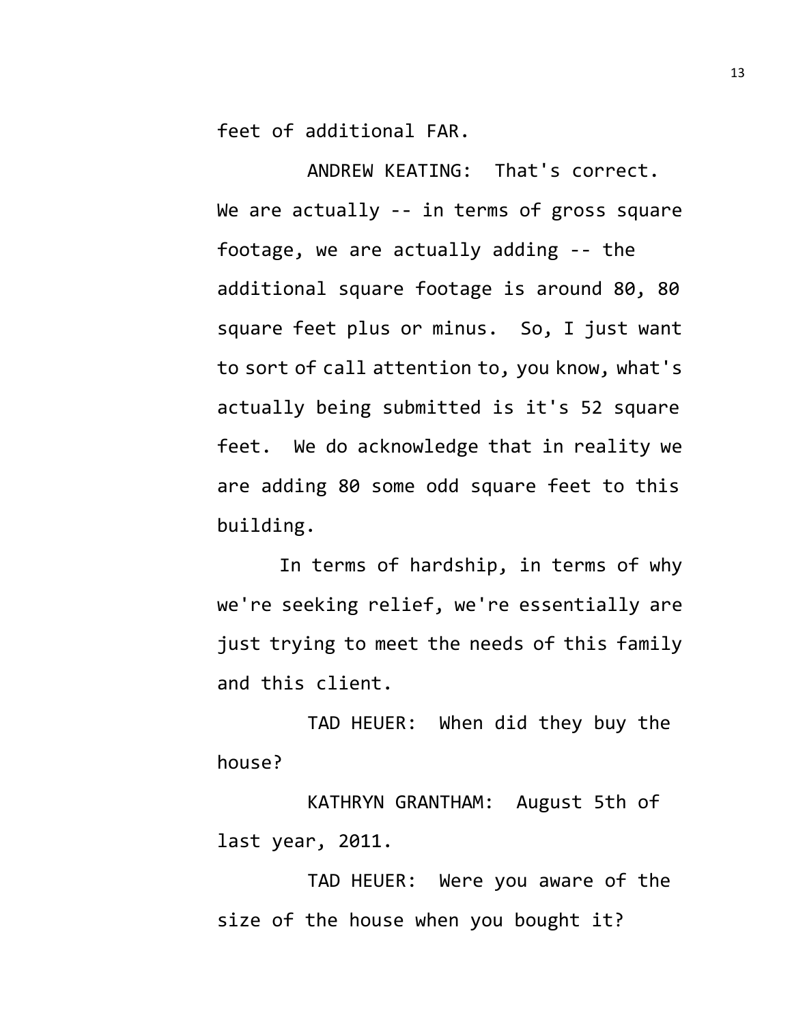feet of additional FAR.

ANDREW KEATING: That's correct. We are actually -- in terms of gross square footage, we are actually adding -- the additional square footage is around 80, 80 square feet plus or minus. So, I just want to sort of call attention to, you know, what's actually being submitted is it's 52 square feet. We do acknowledge that in reality we are adding 80 some odd square feet to this building.

In terms of hardship, in terms of why we're seeking relief, we're essentially are just trying to meet the needs of this family and this client.

TAD HEUER: When did they buy the house?

KATHRYN GRANTHAM: August 5th of last year, 2011.

TAD HEUER: Were you aware of the size of the house when you bought it?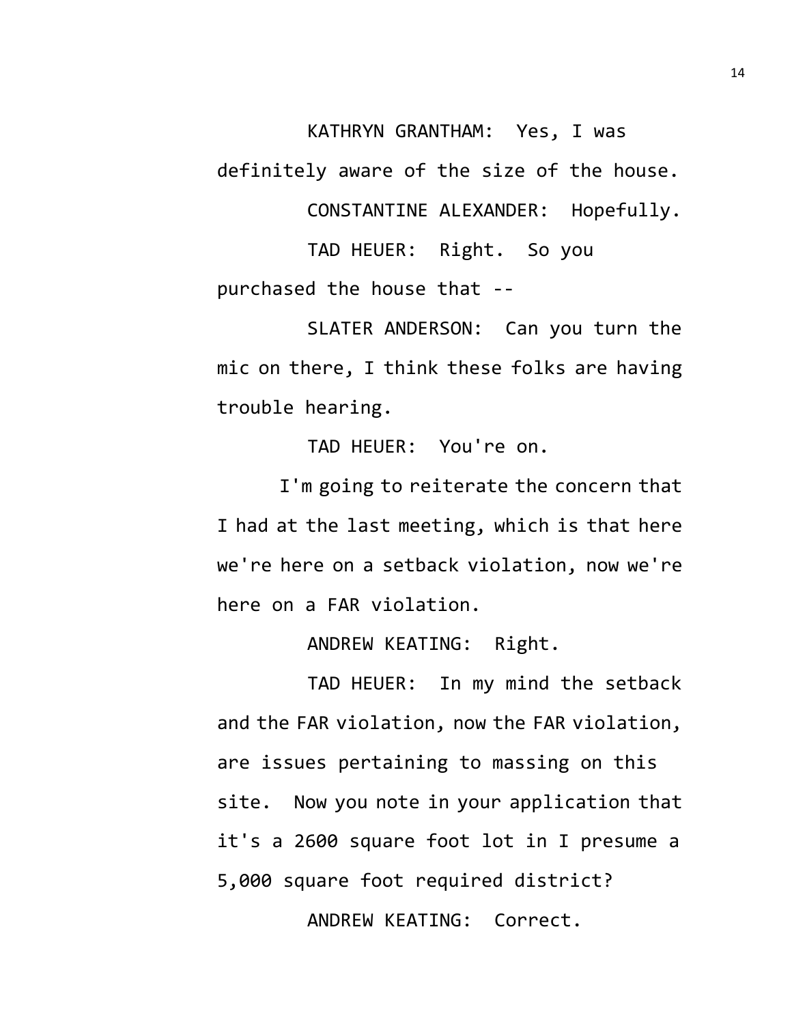KATHRYN GRANTHAM: Yes, I was

definitely aware of the size of the house.

CONSTANTINE ALEXANDER: Hopefully.

TAD HEUER: Right. So you purchased the house that --

SLATER ANDERSON: Can you turn the mic on there, I think these folks are having trouble hearing.

TAD HEUER: You're on.

I'm going to reiterate the concern that I had at the last meeting, which is that here we're here on a setback violation, now we're here on a FAR violation.

ANDREW KEATING: Right.

TAD HEUER: In my mind the setback and the FAR violation, now the FAR violation, are issues pertaining to massing on this site. Now you note in your application that it's a 2600 square foot lot in I presume a 5,000 square foot required district? ANDREW KEATING: Correct.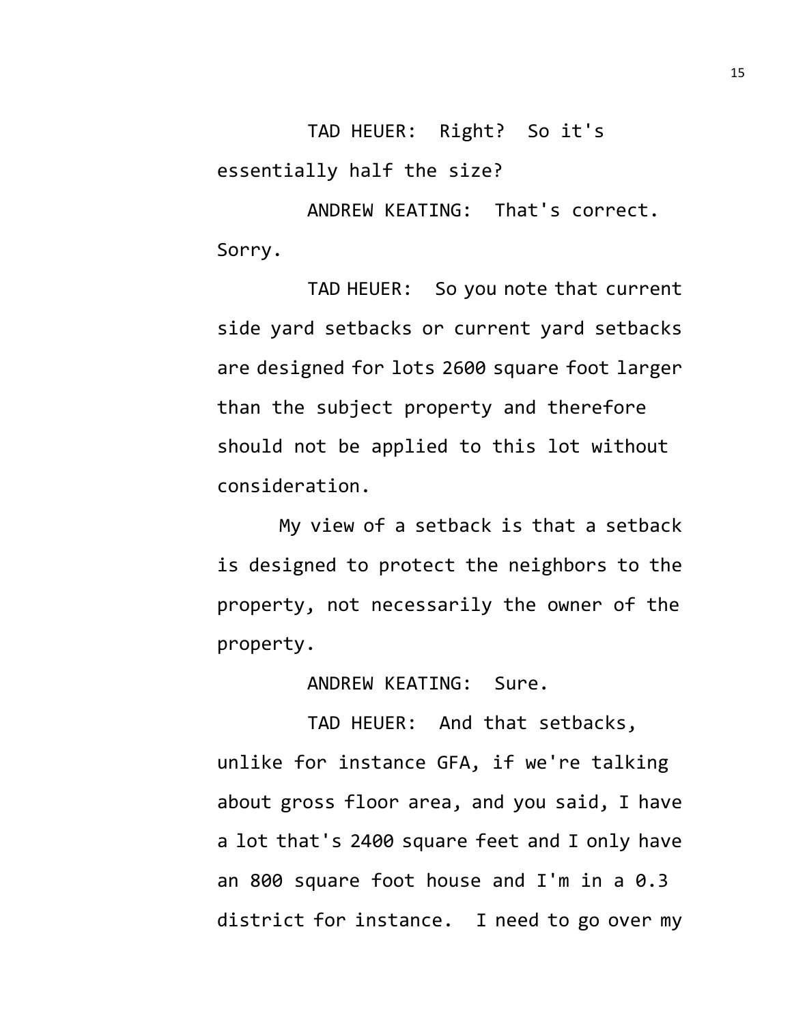TAD HEUER: Right? So it's essentially half the size?

ANDREW KEATING: That's correct. Sorry.

TAD HEUER: So you note that current side yard setbacks or current yard setbacks are designed for lots 2600 square foot larger than the subject property and therefore should not be applied to this lot without consideration.

My view of a setback is that a setback is designed to protect the neighbors to the property, not necessarily the owner of the property.

ANDREW KEATING: Sure.

TAD HEUER: And that setbacks, unlike for instance GFA, if we're talking about gross floor area, and you said, I have a lot that's 2400 square feet and I only have an 800 square foot house and I'm in a 0.3 district for instance. I need to go over my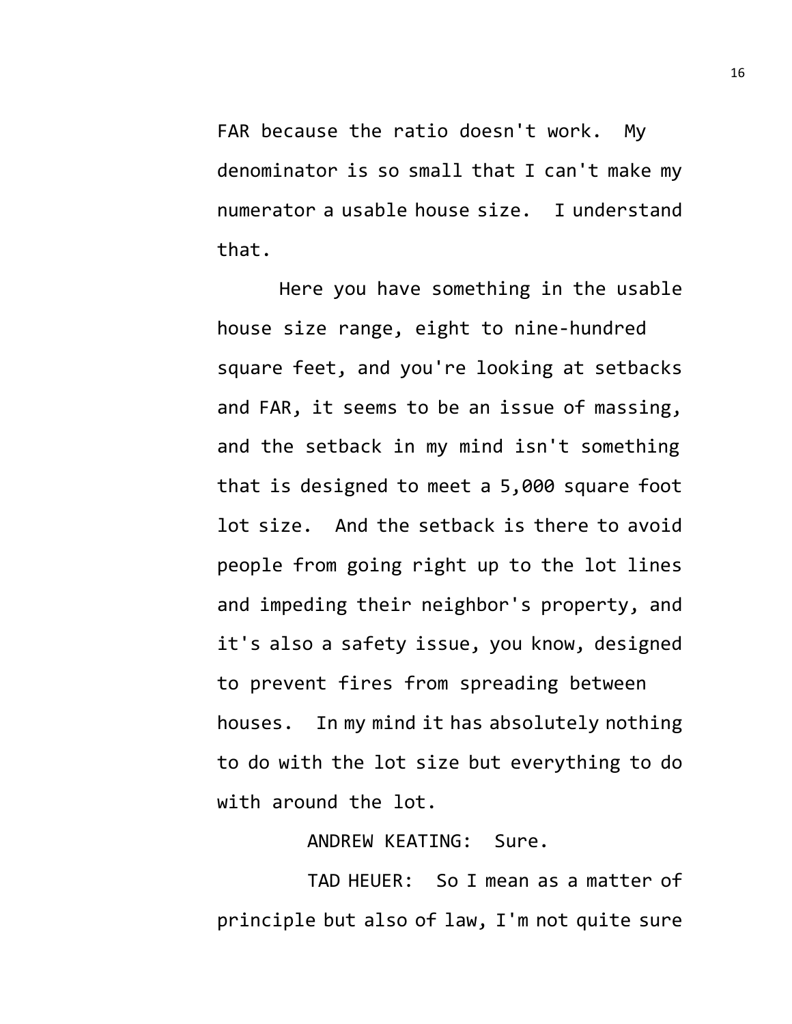FAR because the ratio doesn't work. My denominator is so small that I can't make my numerator a usable house size. I understand that.

Here you have something in the usable house size range, eight to nine-hundred square feet, and you're looking at setbacks and FAR, it seems to be an issue of massing, and the setback in my mind isn't something that is designed to meet a 5,000 square foot lot size. And the setback is there to avoid people from going right up to the lot lines and impeding their neighbor's property, and it's also a safety issue, you know, designed to prevent fires from spreading between houses. In my mind it has absolutely nothing to do with the lot size but everything to do with around the lot.

ANDREW KEATING: Sure.

TAD HEUER: So I mean as a matter of principle but also of law, I'm not quite sure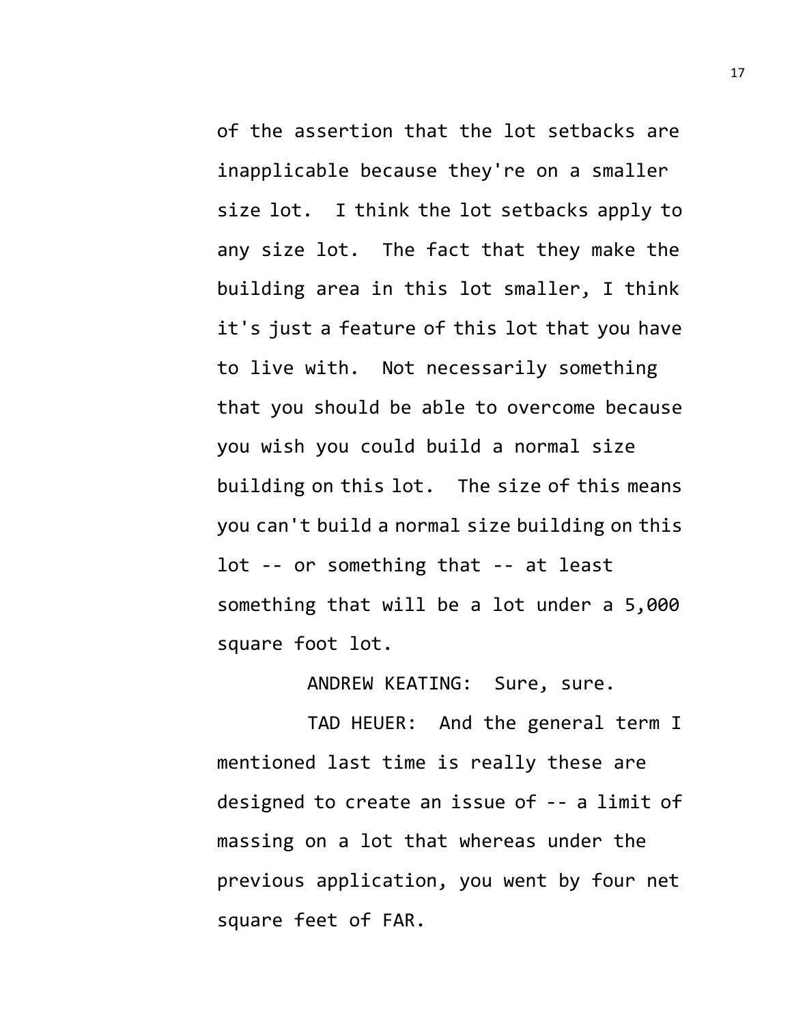of the assertion that the lot setbacks are inapplicable because they're on a smaller size lot. I think the lot setbacks apply to any size lot. The fact that they make the building area in this lot smaller, I think it's just a feature of this lot that you have to live with. Not necessarily something that you should be able to overcome because you wish you could build a normal size building on this lot. The size of this means you can't build a normal size building on this lot -- or something that -- at least something that will be a lot under a 5,000 square foot lot.

ANDREW KEATING: Sure, sure.

TAD HEUER: And the general term I mentioned last time is really these are designed to create an issue of -- a limit of massing on a lot that whereas under the previous application, you went by four net square feet of FAR.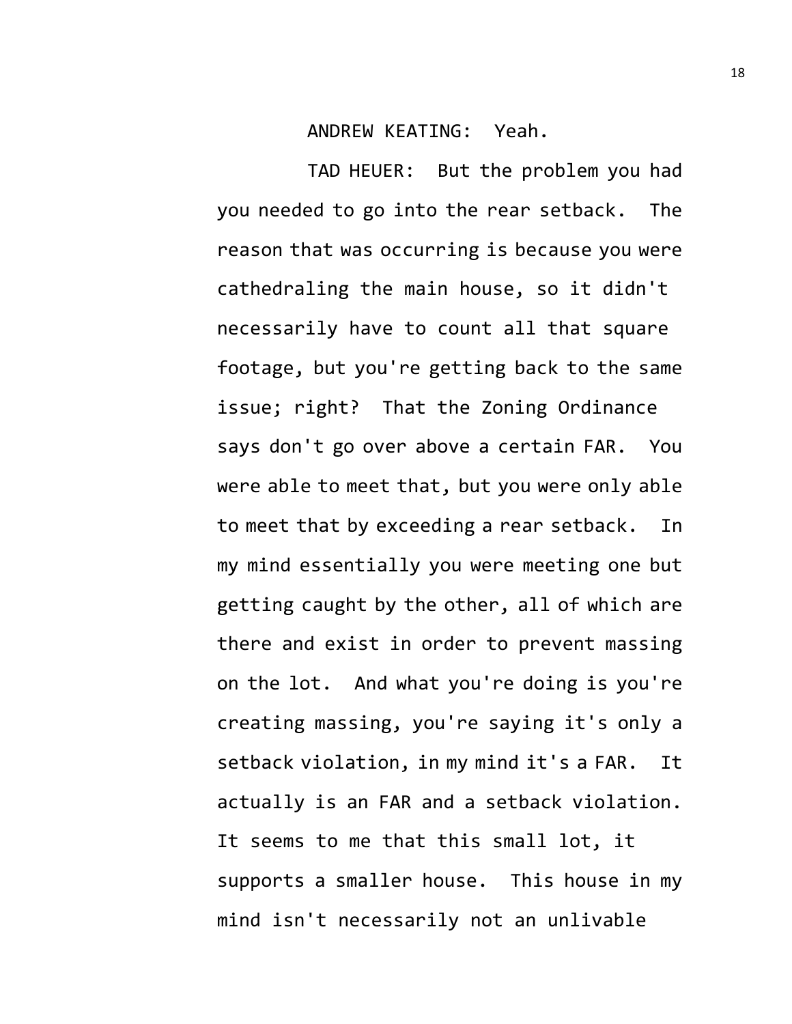ANDREW KEATING: Yeah.

TAD HEUER: But the problem you had you needed to go into the rear setback. The reason that was occurring is because you were cathedraling the main house, so it didn't necessarily have to count all that square footage, but you're getting back to the same issue; right? That the Zoning Ordinance says don't go over above a certain FAR. You were able to meet that, but you were only able to meet that by exceeding a rear setback. In my mind essentially you were meeting one but getting caught by the other, all of which are there and exist in order to prevent massing on the lot. And what you're doing is you're creating massing, you're saying it's only a setback violation, in my mind it's a FAR. It actually is an FAR and a setback violation. It seems to me that this small lot, it supports a smaller house. This house in my mind isn't necessarily not an unlivable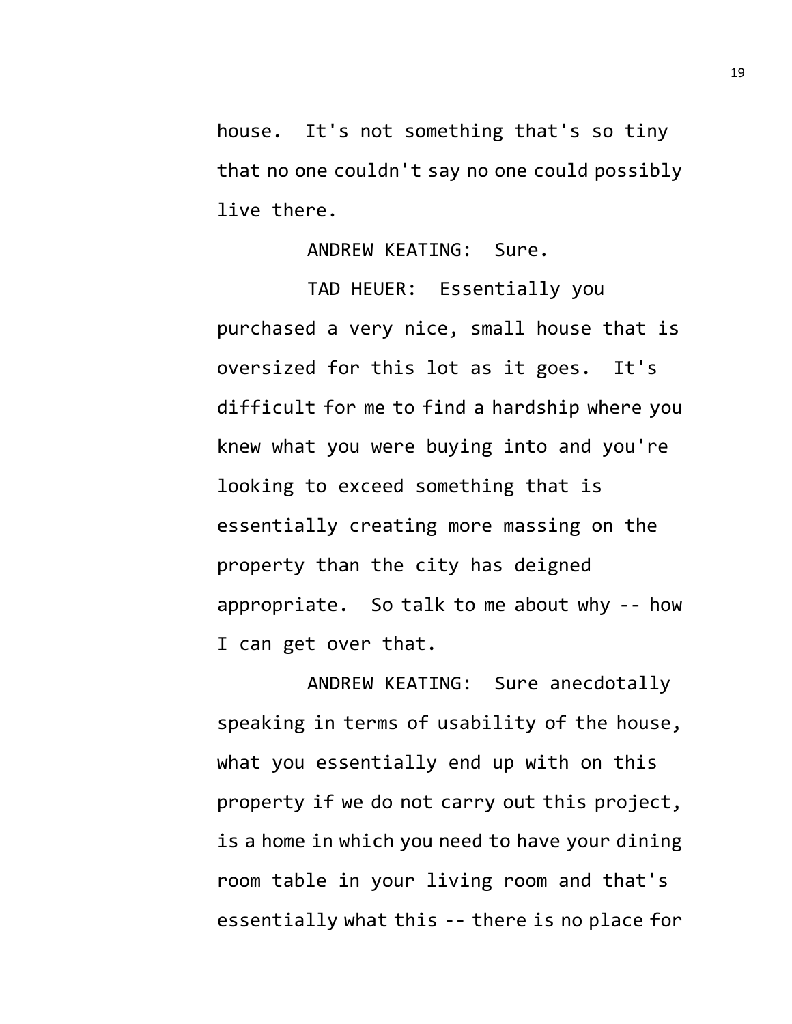house. It's not something that's so tiny that no one couldn't say no one could possibly live there.

ANDREW KEATING: Sure.

TAD HEUER: Essentially you purchased a very nice, small house that is oversized for this lot as it goes. It's difficult for me to find a hardship where you knew what you were buying into and you're looking to exceed something that is essentially creating more massing on the property than the city has deigned appropriate. So talk to me about why -- how I can get over that.

ANDREW KEATING: Sure anecdotally speaking in terms of usability of the house, what you essentially end up with on this property if we do not carry out this project, is a home in which you need to have your dining room table in your living room and that's essentially what this -- there is no place for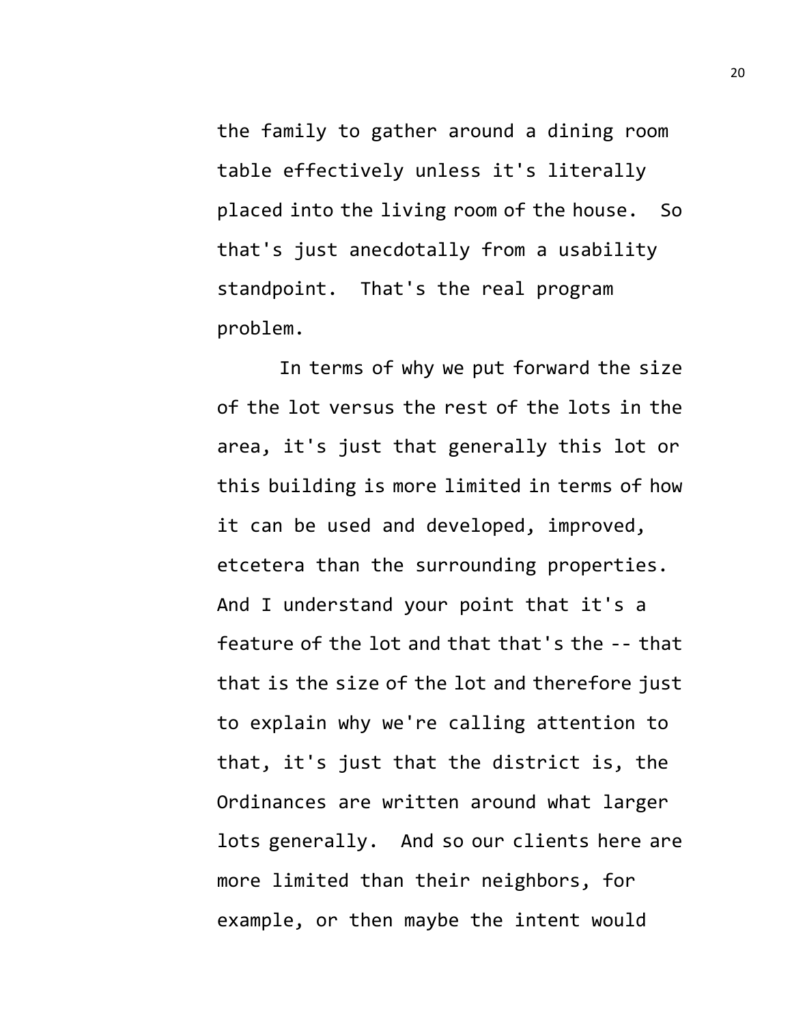the family to gather around a dining room table effectively unless it's literally placed into the living room of the house. So that's just anecdotally from a usability standpoint. That's the real program problem.

In terms of why we put forward the size of the lot versus the rest of the lots in the area, it's just that generally this lot or this building is more limited in terms of how it can be used and developed, improved, etcetera than the surrounding properties. And I understand your point that it's a feature of the lot and that that's the -- that that is the size of the lot and therefore just to explain why we're calling attention to that, it's just that the district is, the Ordinances are written around what larger lots generally. And so our clients here are more limited than their neighbors, for example, or then maybe the intent would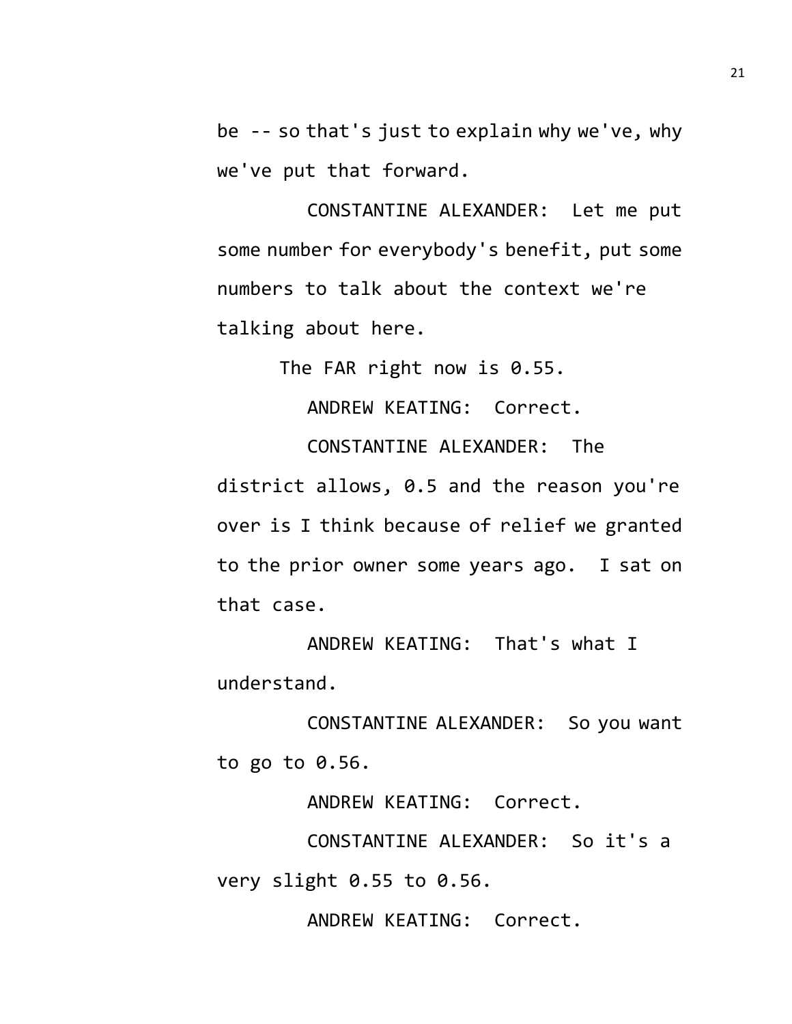be -- so that's just to explain why we've, why we've put that forward.

CONSTANTINE ALEXANDER: Let me put some number for everybody's benefit, put some numbers to talk about the context we're talking about here.

The FAR right now is 0.55.

ANDREW KEATING: Correct.

CONSTANTINE ALEXANDER: The district allows, 0.5 and the reason you're over is I think because of relief we granted to the prior owner some years ago. I sat on that case.

ANDREW KEATING: That's what I understand.

CONSTANTINE ALEXANDER: So you want to go to 0.56.

ANDREW KEATING: Correct.

CONSTANTINE ALEXANDER: So it's a very slight 0.55 to 0.56.

ANDREW KEATING: Correct.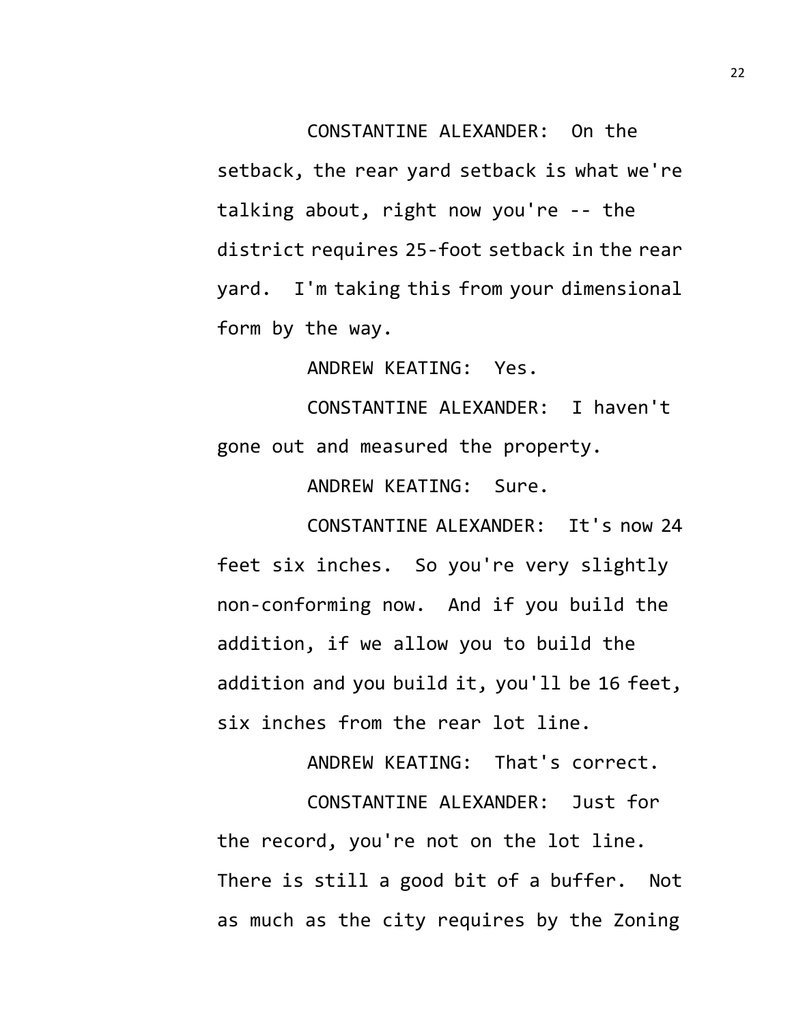CONSTANTINE ALEXANDER: On the setback, the rear yard setback is what we're talking about, right now you're -- the district requires 25-foot setback in the rear yard. I'm taking this from your dimensional form by the way.

ANDREW KEATING: Yes.

CONSTANTINE ALEXANDER: I haven't gone out and measured the property.

ANDREW KEATING: Sure.

CONSTANTINE ALEXANDER: It's now 24 feet six inches. So you're very slightly non-conforming now. And if you build the addition, if we allow you to build the addition and you build it, you'll be 16 feet, six inches from the rear lot line.

ANDREW KEATING: That's correct.

CONSTANTINE ALEXANDER: Just for the record, you're not on the lot line. There is still a good bit of a buffer. Not as much as the city requires by the Zoning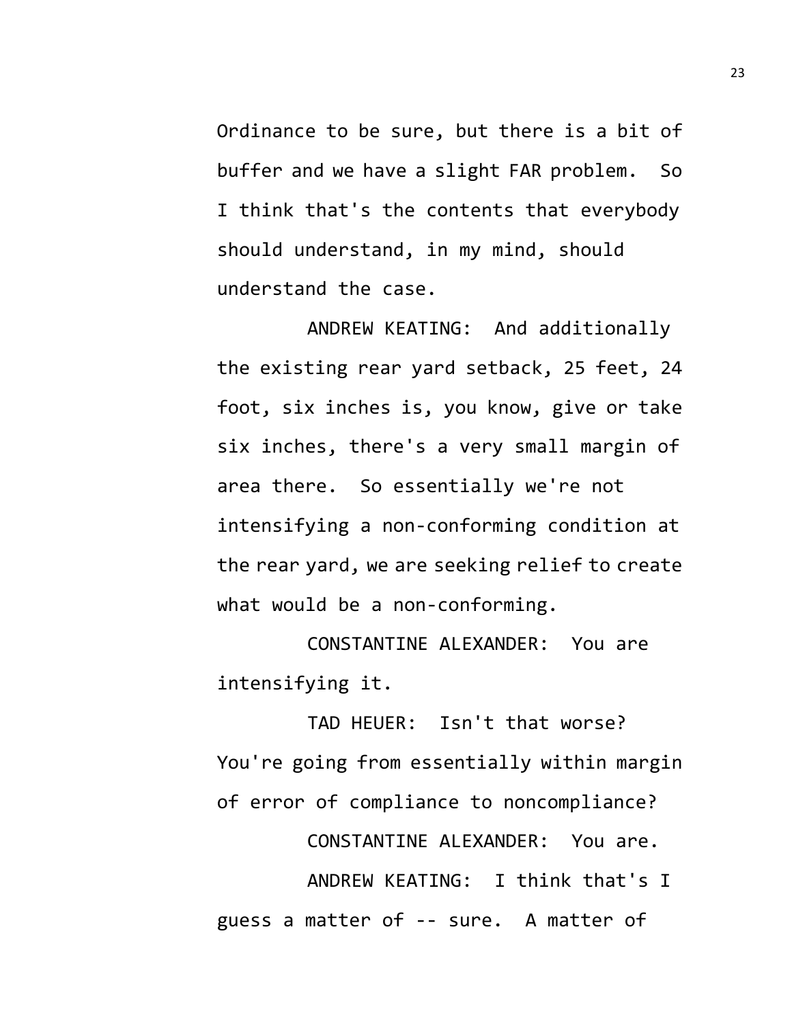Ordinance to be sure, but there is a bit of buffer and we have a slight FAR problem. So I think that's the contents that everybody should understand, in my mind, should understand the case.

ANDREW KEATING: And additionally the existing rear yard setback, 25 feet, 24 foot, six inches is, you know, give or take six inches, there's a very small margin of area there. So essentially we're not intensifying a non-conforming condition at the rear yard, we are seeking relief to create what would be a non-conforming.

CONSTANTINE ALEXANDER: You are intensifying it.

TAD HEUER: Isn't that worse? You're going from essentially within margin of error of compliance to noncompliance?

CONSTANTINE ALEXANDER: You are.

ANDREW KEATING: I think that's I guess a matter of -- sure. A matter of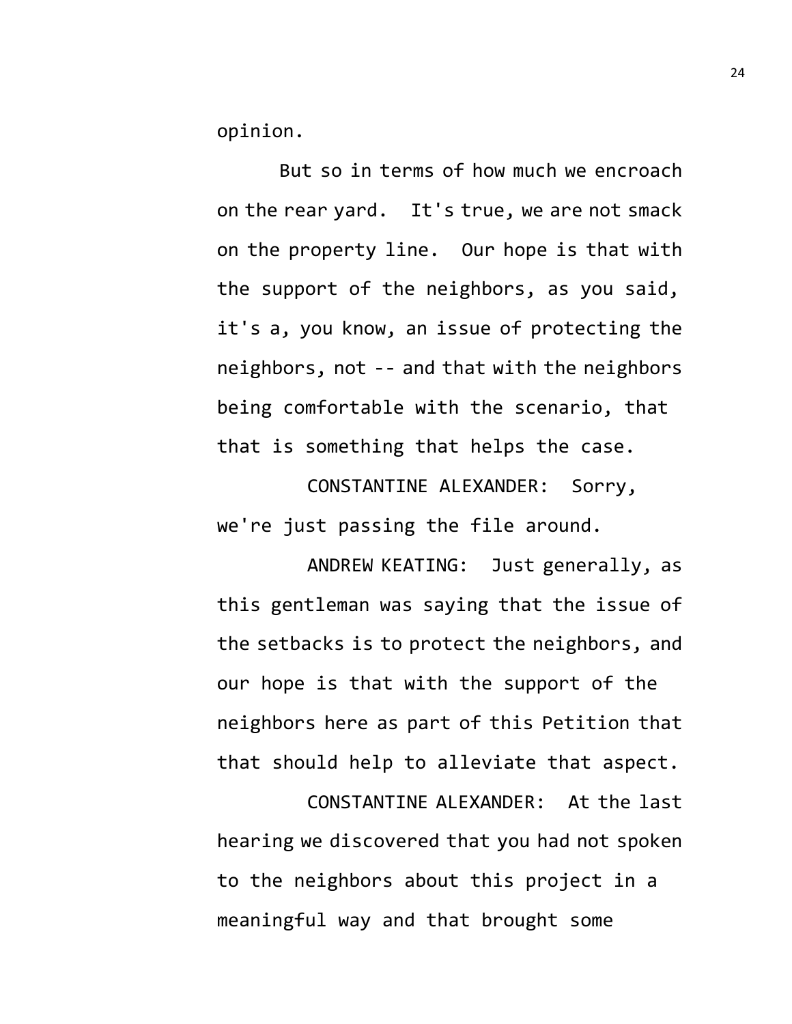opinion.

But so in terms of how much we encroach on the rear yard. It's true, we are not smack on the property line. Our hope is that with the support of the neighbors, as you said, it's a, you know, an issue of protecting the neighbors, not -- and that with the neighbors being comfortable with the scenario, that that is something that helps the case.

CONSTANTINE ALEXANDER: Sorry, we're just passing the file around.

ANDREW KEATING: Just generally, as this gentleman was saying that the issue of the setbacks is to protect the neighbors, and our hope is that with the support of the neighbors here as part of this Petition that that should help to alleviate that aspect.

CONSTANTINE ALEXANDER: At the last hearing we discovered that you had not spoken to the neighbors about this project in a meaningful way and that brought some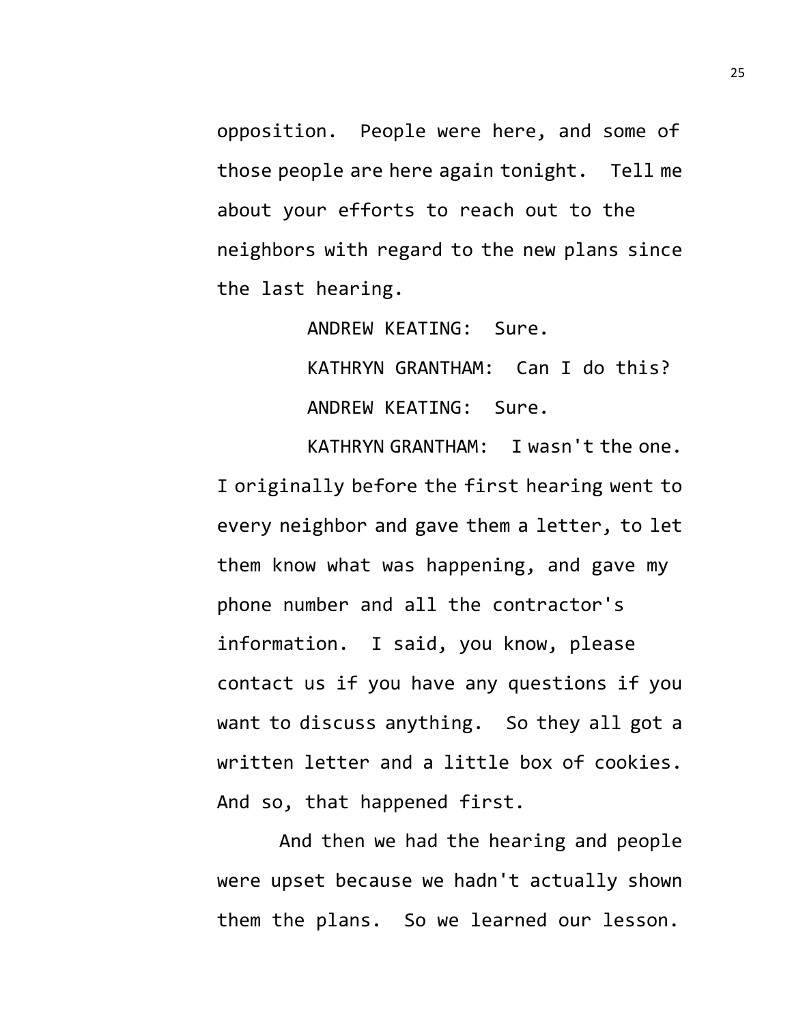opposition. People were here, and some of those people are here again tonight. Tell me about your efforts to reach out to the neighbors with regard to the new plans since the last hearing.

ANDREW KEATING: Sure.

KATHRYN GRANTHAM: Can I do this? ANDREW KEATING: Sure.

KATHRYN GRANTHAM: I wasn't the one. I originally before the first hearing went to every neighbor and gave them a letter, to let them know what was happening, and gave my phone number and all the contractor's information. I said, you know, please contact us if you have any questions if you want to discuss anything. So they all got a written letter and a little box of cookies. And so, that happened first.

And then we had the hearing and people were upset because we hadn't actually shown them the plans. So we learned our lesson.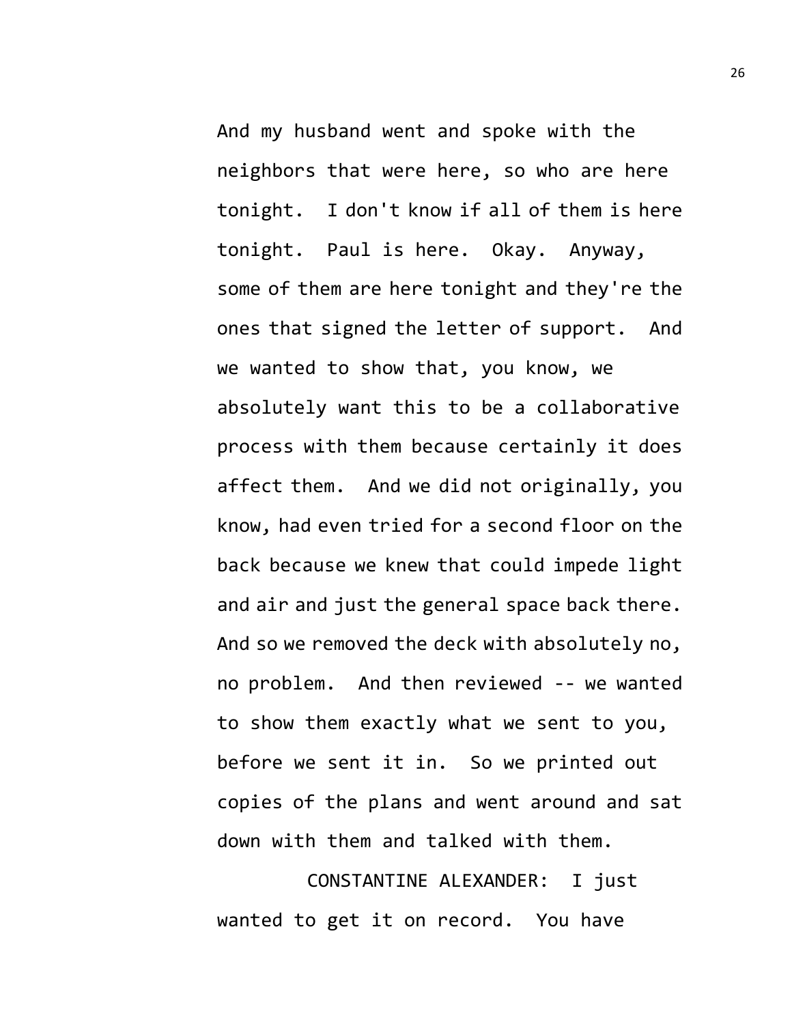And my husband went and spoke with the neighbors that were here, so who are here tonight. I don't know if all of them is here tonight. Paul is here. Okay. Anyway, some of them are here tonight and they're the ones that signed the letter of support. And we wanted to show that, you know, we absolutely want this to be a collaborative process with them because certainly it does affect them. And we did not originally, you know, had even tried for a second floor on the back because we knew that could impede light and air and just the general space back there. And so we removed the deck with absolutely no, no problem. And then reviewed -- we wanted to show them exactly what we sent to you, before we sent it in. So we printed out copies of the plans and went around and sat down with them and talked with them.

CONSTANTINE ALEXANDER: I just wanted to get it on record. You have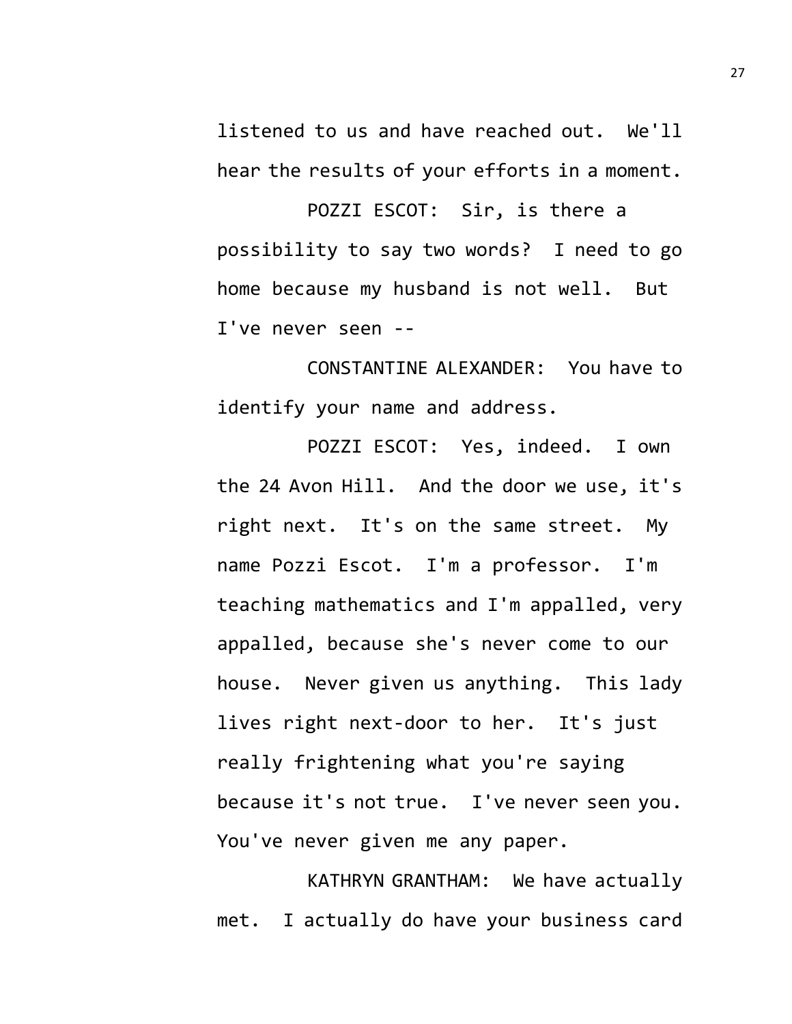listened to us and have reached out. We'll hear the results of your efforts in a moment.

POZZI ESCOT: Sir, is there a possibility to say two words? I need to go home because my husband is not well. But I've never seen --

CONSTANTINE ALEXANDER: You have to identify your name and address.

POZZI ESCOT: Yes, indeed. I own the 24 Avon Hill. And the door we use, it's right next. It's on the same street. My name Pozzi Escot. I'm a professor. I'm teaching mathematics and I'm appalled, very appalled, because she's never come to our house. Never given us anything. This lady lives right next-door to her. It's just really frightening what you're saying because it's not true. I've never seen you. You've never given me any paper.

KATHRYN GRANTHAM: We have actually met. I actually do have your business card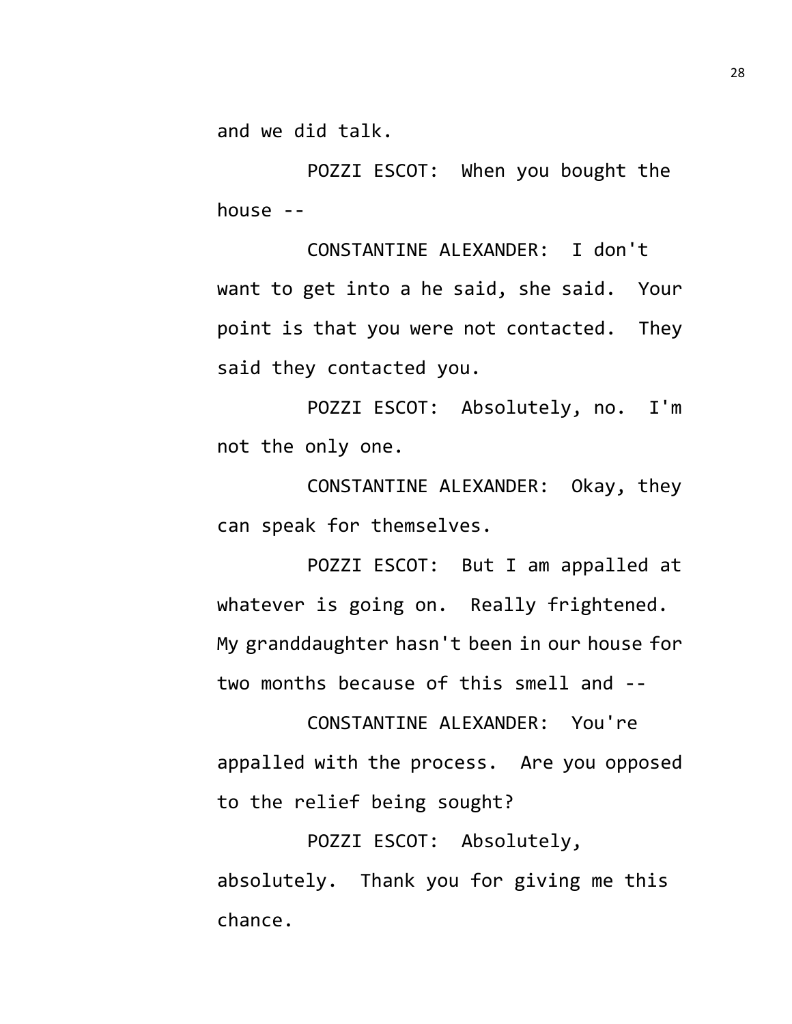and we did talk.

POZZI ESCOT: When you bought the house --

CONSTANTINE ALEXANDER: I don't want to get into a he said, she said. Your point is that you were not contacted. They said they contacted you.

POZZI ESCOT: Absolutely, no. I'm not the only one.

CONSTANTINE ALEXANDER: Okay, they can speak for themselves.

POZZI ESCOT: But I am appalled at whatever is going on. Really frightened. My granddaughter hasn't been in our house for two months because of this smell and --

CONSTANTINE ALEXANDER: You're appalled with the process. Are you opposed to the relief being sought?

POZZI ESCOT: Absolutely, absolutely. Thank you for giving me this chance.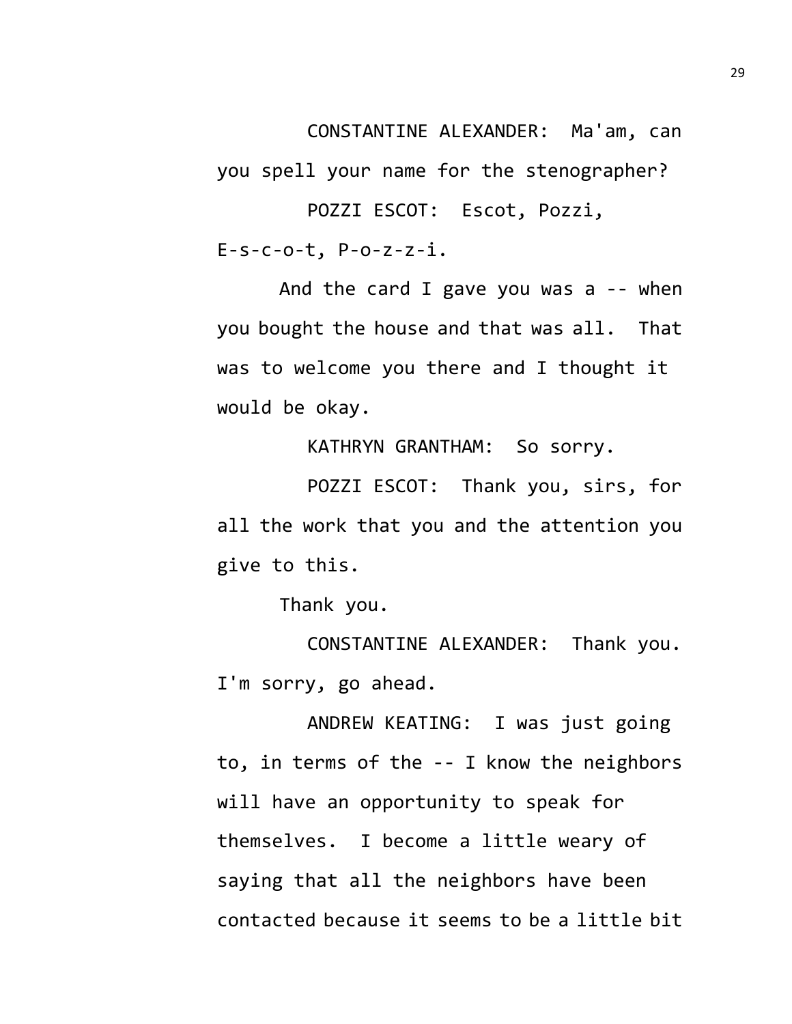CONSTANTINE ALEXANDER: Ma'am, can

you spell your name for the stenographer?

POZZI ESCOT: Escot, Pozzi, E-s-c-o-t, P-o-z-z-i.

And the card I gave you was a -- when you bought the house and that was all. That was to welcome you there and I thought it would be okay.

KATHRYN GRANTHAM: So sorry.

POZZI ESCOT: Thank you, sirs, for all the work that you and the attention you give to this.

Thank you.

CONSTANTINE ALEXANDER: Thank you. I'm sorry, go ahead.

ANDREW KEATING: I was just going to, in terms of the -- I know the neighbors will have an opportunity to speak for themselves. I become a little weary of saying that all the neighbors have been contacted because it seems to be a little bit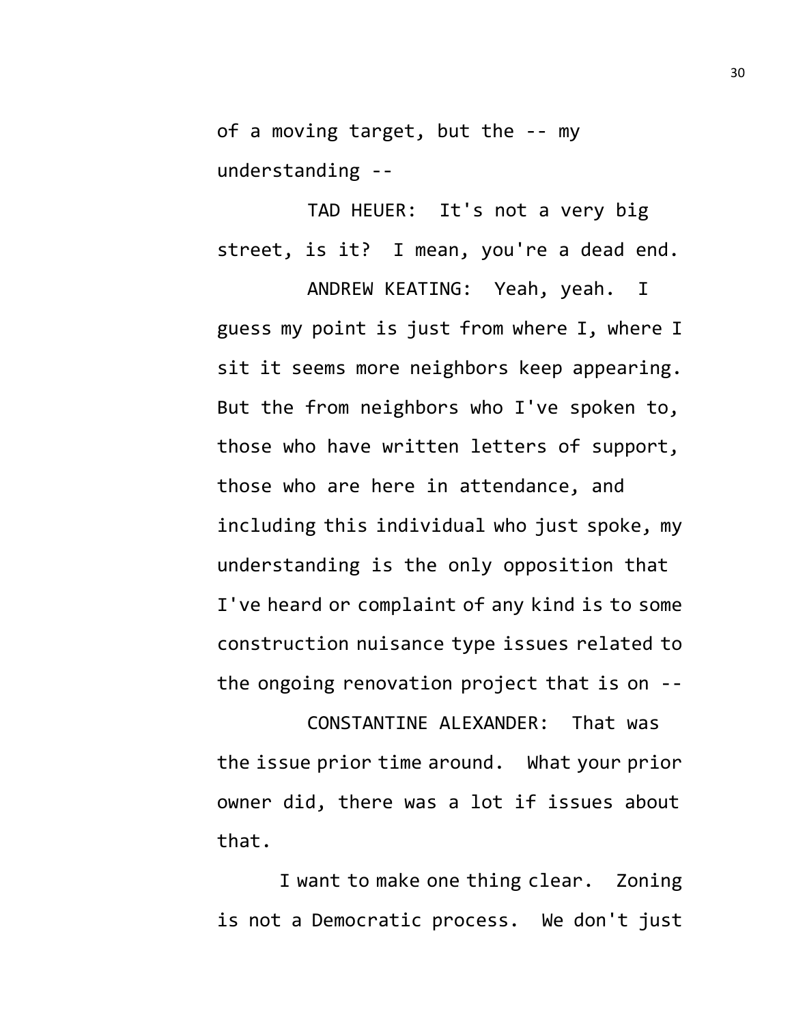of a moving target, but the -- my understanding --

TAD HEUER: It's not a very big street, is it? I mean, you're a dead end.

ANDREW KEATING: Yeah, yeah. I guess my point is just from where I, where I sit it seems more neighbors keep appearing. But the from neighbors who I've spoken to, those who have written letters of support, those who are here in attendance, and including this individual who just spoke, my understanding is the only opposition that I've heard or complaint of any kind is to some construction nuisance type issues related to the ongoing renovation project that is on --

CONSTANTINE ALEXANDER: That was the issue prior time around. What your prior owner did, there was a lot if issues about that.

I want to make one thing clear. Zoning is not a Democratic process. We don't just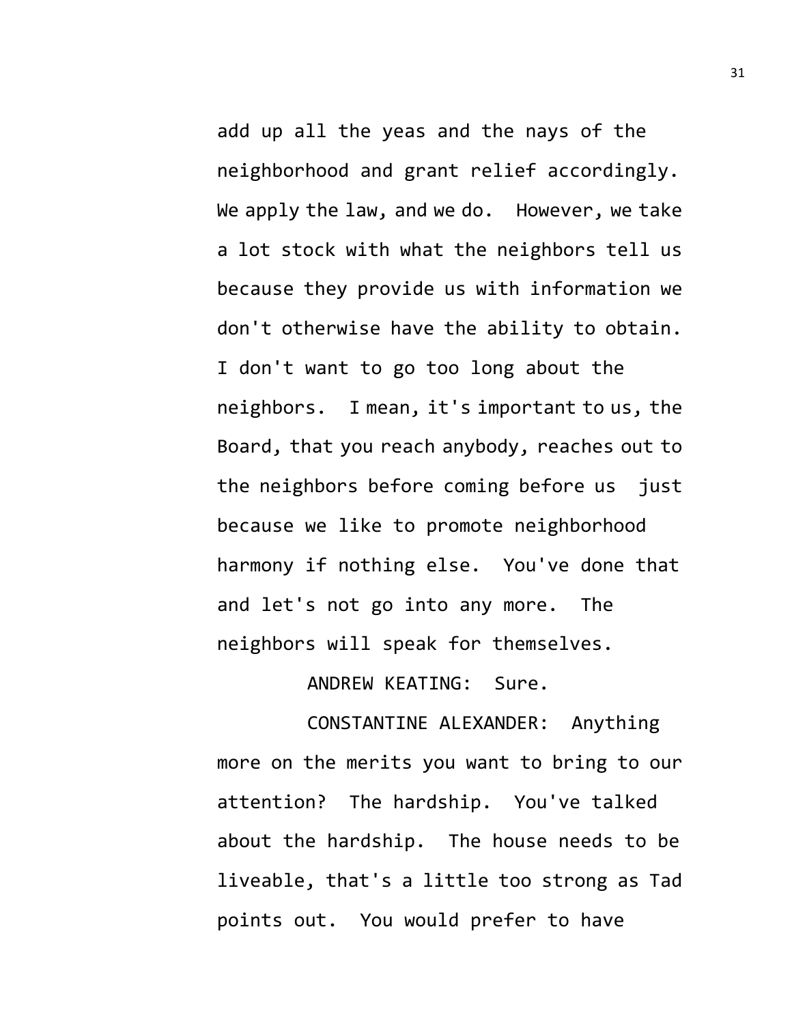add up all the yeas and the nays of the neighborhood and grant relief accordingly. We apply the law, and we do. However, we take a lot stock with what the neighbors tell us because they provide us with information we don't otherwise have the ability to obtain. I don't want to go too long about the neighbors. I mean, it's important to us, the Board, that you reach anybody, reaches out to the neighbors before coming before us just because we like to promote neighborhood harmony if nothing else. You've done that and let's not go into any more. The neighbors will speak for themselves.

ANDREW KEATING: Sure.

CONSTANTINE ALEXANDER: Anything more on the merits you want to bring to our attention? The hardship. You've talked about the hardship. The house needs to be liveable, that's a little too strong as Tad points out. You would prefer to have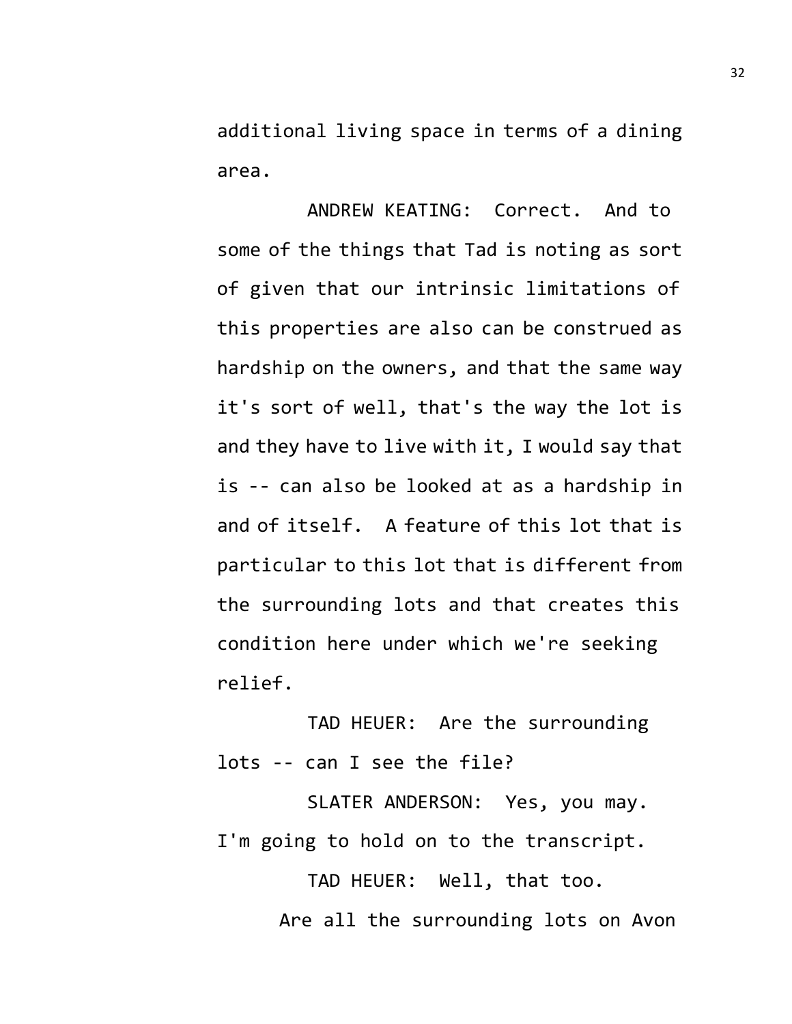additional living space in terms of a dining area.

ANDREW KEATING: Correct. And to some of the things that Tad is noting as sort of given that our intrinsic limitations of this properties are also can be construed as hardship on the owners, and that the same way it's sort of well, that's the way the lot is and they have to live with it, I would say that is -- can also be looked at as a hardship in and of itself. A feature of this lot that is particular to this lot that is different from the surrounding lots and that creates this condition here under which we're seeking relief.

TAD HEUER: Are the surrounding lots -- can I see the file?

SLATER ANDERSON: Yes, you may. I'm going to hold on to the transcript.

> TAD HEUER: Well, that too. Are all the surrounding lots on Avon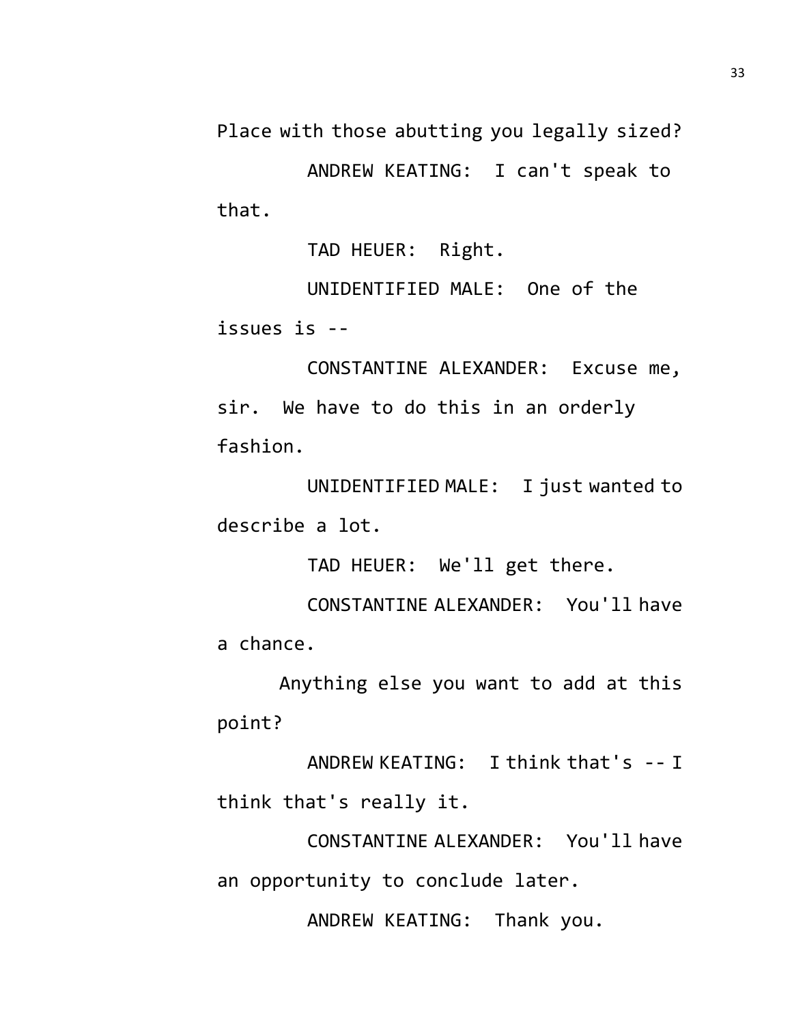Place with those abutting you legally sized?

ANDREW KEATING: I can't speak to that.

TAD HEUER: Right.

UNIDENTIFIED MALE: One of the issues is --

CONSTANTINE ALEXANDER: Excuse me, sir. We have to do this in an orderly fashion.

UNIDENTIFIED MALE: I just wanted to describe a lot.

TAD HEUER: We'll get there.

CONSTANTINE ALEXANDER: You'll have a chance.

Anything else you want to add at this point?

ANDREW KEATING: I think that's -- I think that's really it.

CONSTANTINE ALEXANDER: You'll have an opportunity to conclude later.

ANDREW KEATING: Thank you.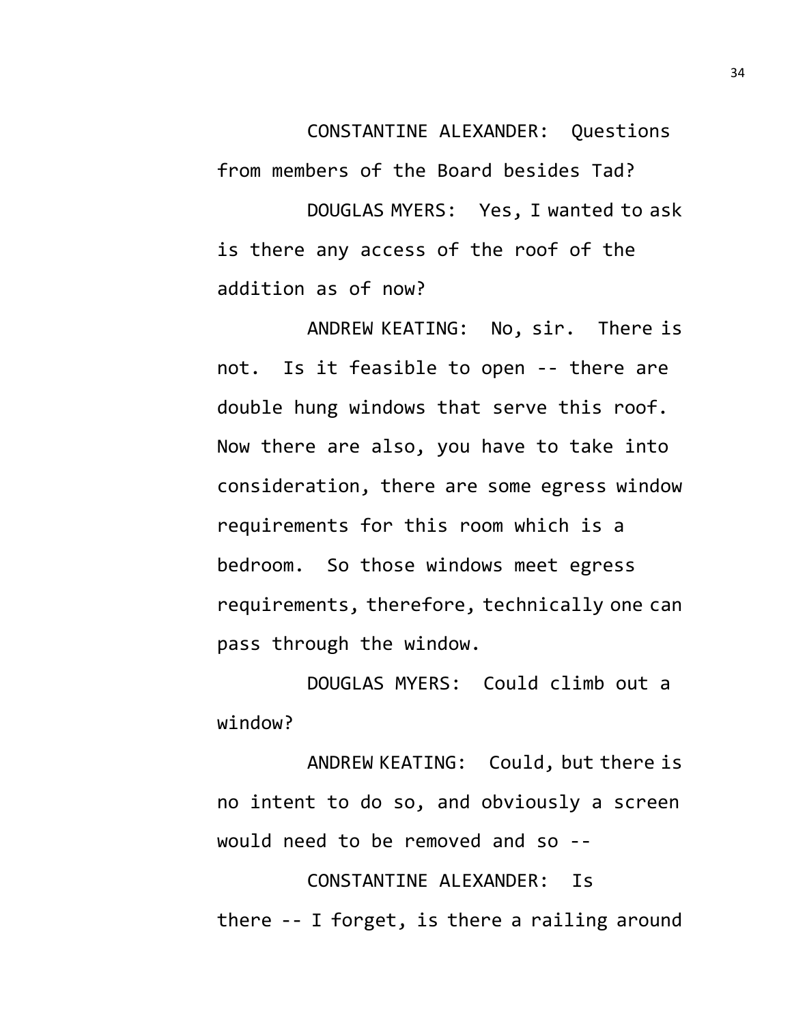CONSTANTINE ALEXANDER: Questions from members of the Board besides Tad? DOUGLAS MYERS: Yes, I wanted to ask is there any access of the roof of the addition as of now?

ANDREW KEATING: No, sir. There is not. Is it feasible to open -- there are double hung windows that serve this roof. Now there are also, you have to take into consideration, there are some egress window requirements for this room which is a bedroom. So those windows meet egress requirements, therefore, technically one can pass through the window.

DOUGLAS MYERS: Could climb out a window?

ANDREW KEATING: Could, but there is no intent to do so, and obviously a screen would need to be removed and so --

CONSTANTINE ALEXANDER: Is there -- I forget, is there a railing around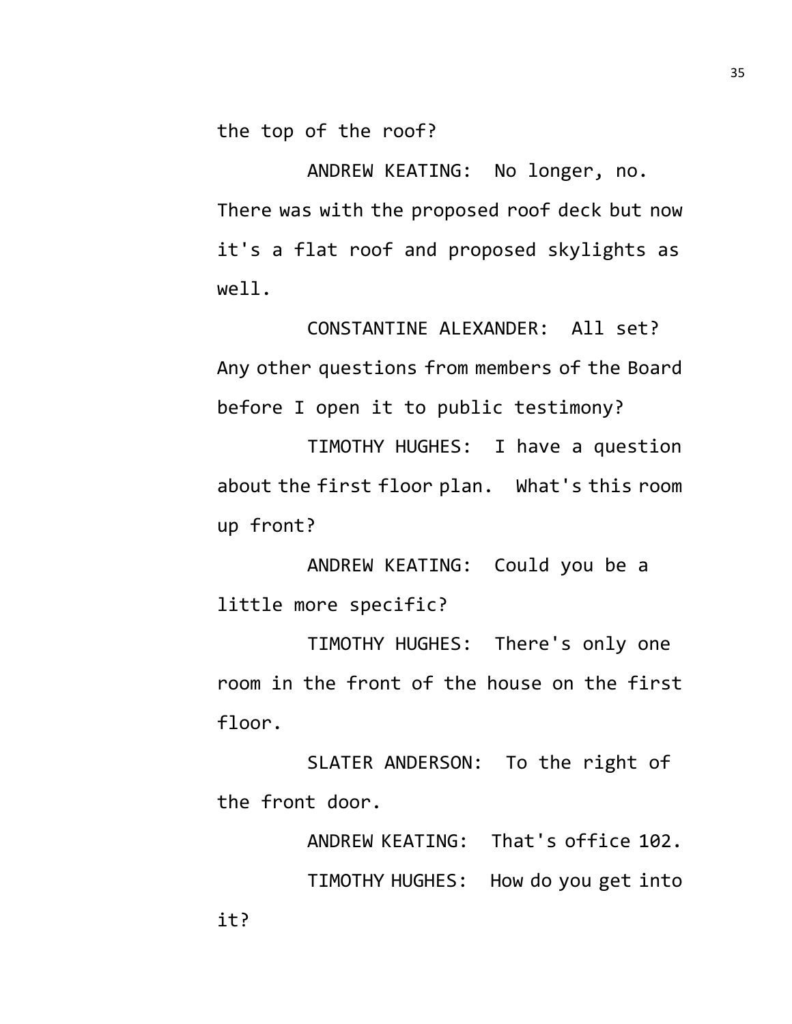the top of the roof?

ANDREW KEATING: No longer, no. There was with the proposed roof deck but now it's a flat roof and proposed skylights as well.

CONSTANTINE ALEXANDER: All set? Any other questions from members of the Board before I open it to public testimony?

TIMOTHY HUGHES: I have a question about the first floor plan. What's this room up front?

ANDREW KEATING: Could you be a little more specific?

TIMOTHY HUGHES: There's only one room in the front of the house on the first floor.

SLATER ANDERSON: To the right of the front door.

> ANDREW KEATING: That's office 102. TIMOTHY HUGHES: How do you get into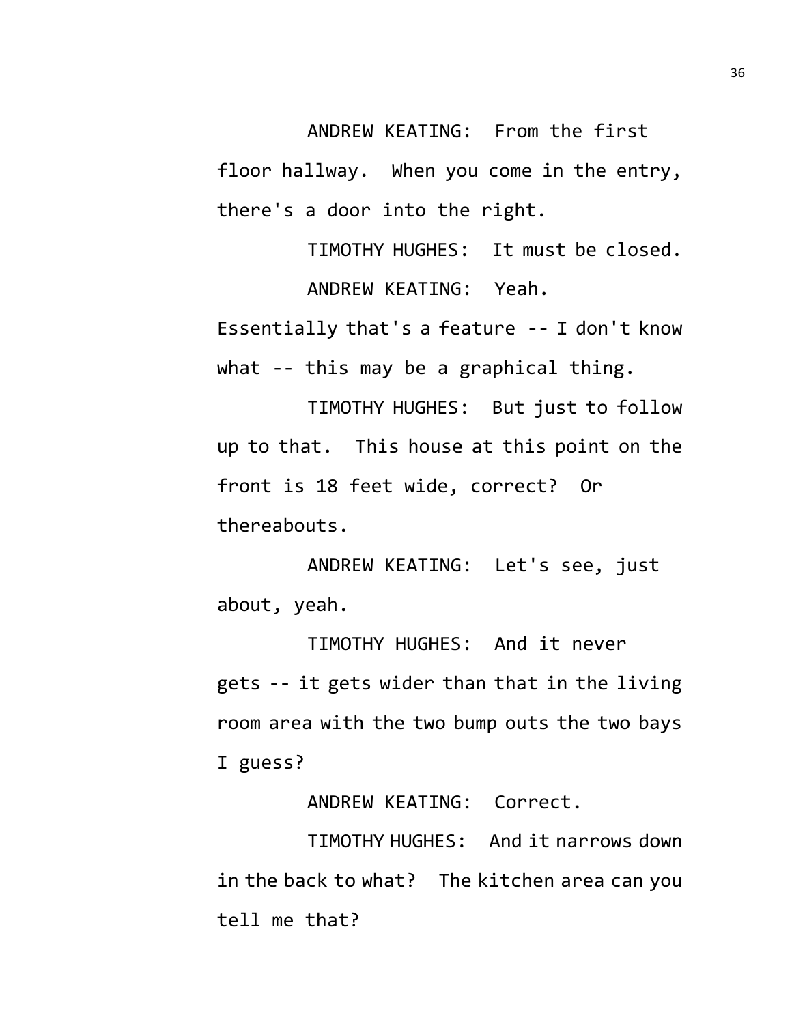ANDREW KEATING: From the first floor hallway. When you come in the entry, there's a door into the right.

TIMOTHY HUGHES: It must be closed. ANDREW KEATING: Yeah.

Essentially that's a feature -- I don't know what -- this may be a graphical thing.

TIMOTHY HUGHES: But just to follow up to that. This house at this point on the front is 18 feet wide, correct? Or thereabouts.

ANDREW KEATING: Let's see, just about, yeah.

TIMOTHY HUGHES: And it never gets -- it gets wider than that in the living room area with the two bump outs the two bays I guess?

ANDREW KEATING: Correct.

TIMOTHY HUGHES: And it narrows down in the back to what? The kitchen area can you tell me that?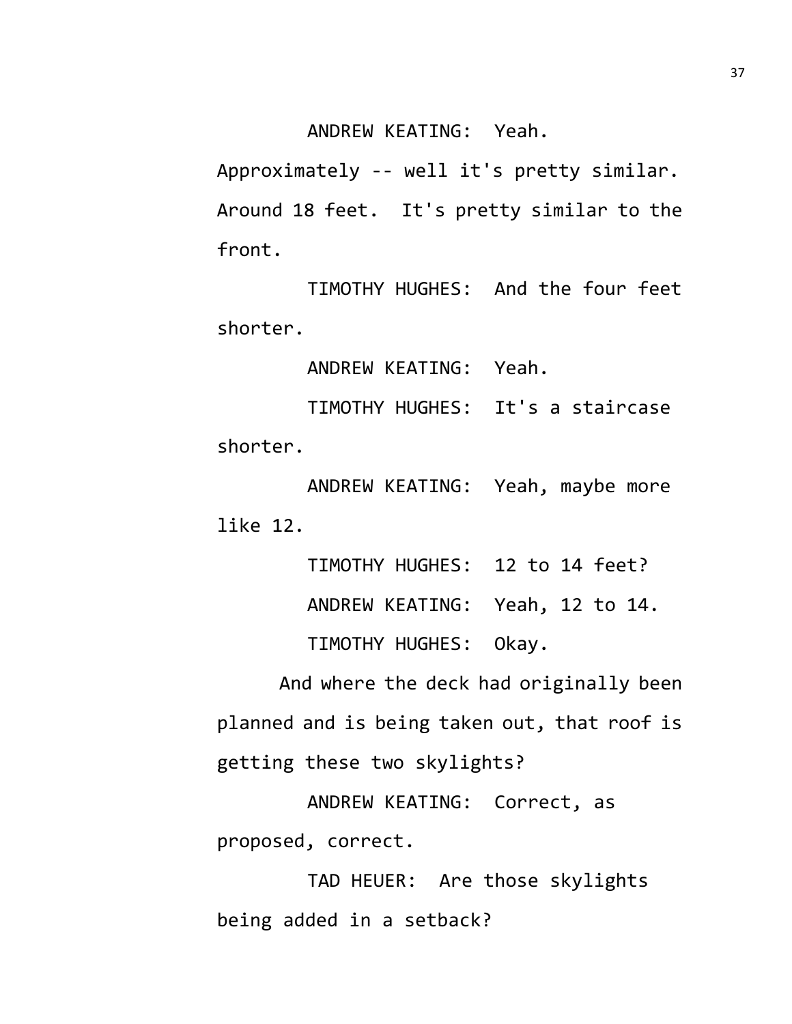ANDREW KEATING: Yeah.

Approximately -- well it's pretty similar. Around 18 feet. It's pretty similar to the front.

TIMOTHY HUGHES: And the four feet shorter.

ANDREW KEATING: Yeah.

TIMOTHY HUGHES: It's a staircase shorter.

ANDREW KEATING: Yeah, maybe more like 12.

> TIMOTHY HUGHES: 12 to 14 feet? ANDREW KEATING: Yeah, 12 to 14. TIMOTHY HUGHES: Okay.

And where the deck had originally been planned and is being taken out, that roof is getting these two skylights?

ANDREW KEATING: Correct, as proposed, correct.

TAD HEUER: Are those skylights being added in a setback?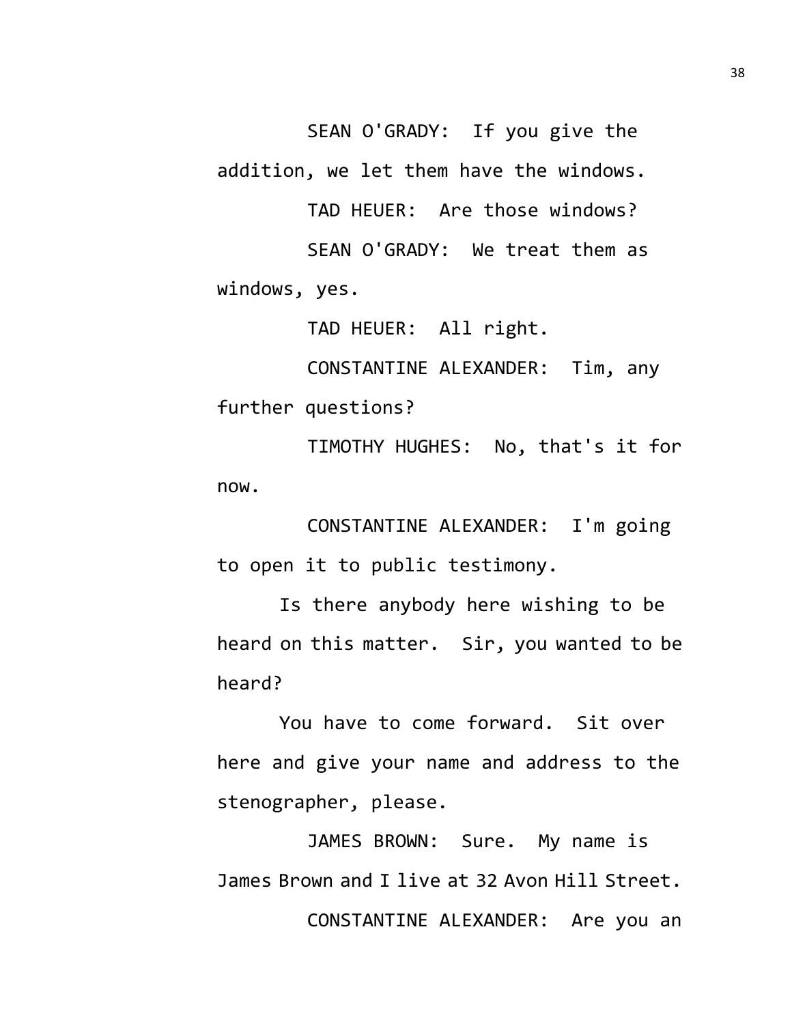SEAN O'GRADY: If you give the addition, we let them have the windows.

TAD HEUER: Are those windows? SEAN O'GRADY: We treat them as windows, yes.

TAD HEUER: All right.

CONSTANTINE ALEXANDER: Tim, any further questions?

TIMOTHY HUGHES: No, that's it for now.

CONSTANTINE ALEXANDER: I'm going to open it to public testimony.

Is there anybody here wishing to be heard on this matter. Sir, you wanted to be heard?

You have to come forward. Sit over here and give your name and address to the stenographer, please.

JAMES BROWN: Sure. My name is James Brown and I live at 32 Avon Hill Street. CONSTANTINE ALEXANDER: Are you an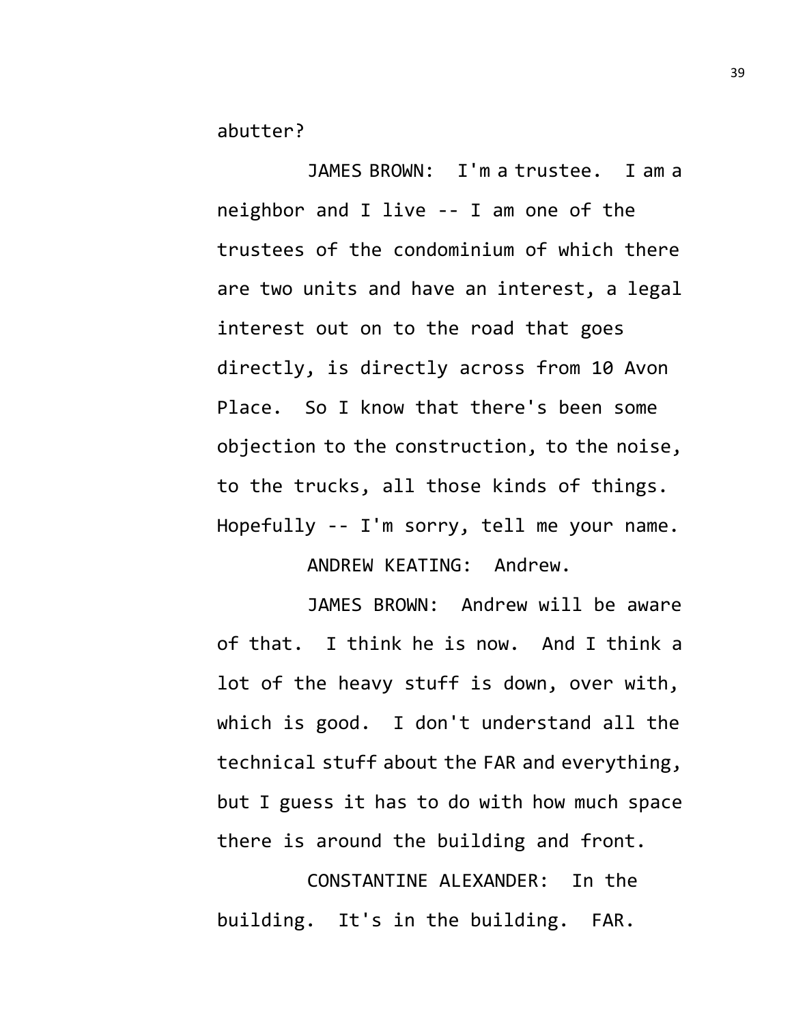abutter?

JAMES BROWN: I'm a trustee. I am a neighbor and I live -- I am one of the trustees of the condominium of which there are two units and have an interest, a legal interest out on to the road that goes directly, is directly across from 10 Avon Place. So I know that there's been some objection to the construction, to the noise, to the trucks, all those kinds of things. Hopefully -- I'm sorry, tell me your name.

ANDREW KEATING: Andrew.

JAMES BROWN: Andrew will be aware of that. I think he is now. And I think a lot of the heavy stuff is down, over with, which is good. I don't understand all the technical stuff about the FAR and everything, but I guess it has to do with how much space there is around the building and front.

CONSTANTINE ALEXANDER: In the building. It's in the building. FAR.

39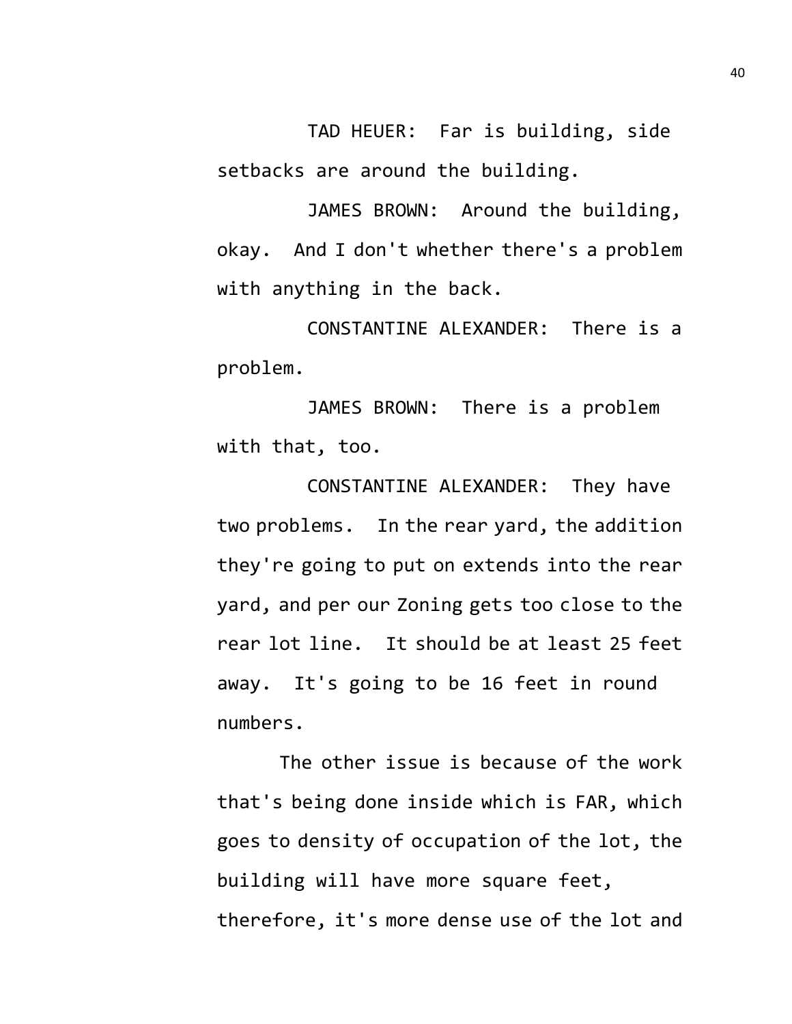TAD HEUER: Far is building, side setbacks are around the building.

JAMES BROWN: Around the building, okay. And I don't whether there's a problem with anything in the back.

CONSTANTINE ALEXANDER: There is a problem.

JAMES BROWN: There is a problem with that, too.

CONSTANTINE ALEXANDER: They have two problems. In the rear yard, the addition they're going to put on extends into the rear yard, and per our Zoning gets too close to the rear lot line. It should be at least 25 feet away. It's going to be 16 feet in round numbers.

The other issue is because of the work that's being done inside which is FAR, which goes to density of occupation of the lot, the building will have more square feet, therefore, it's more dense use of the lot and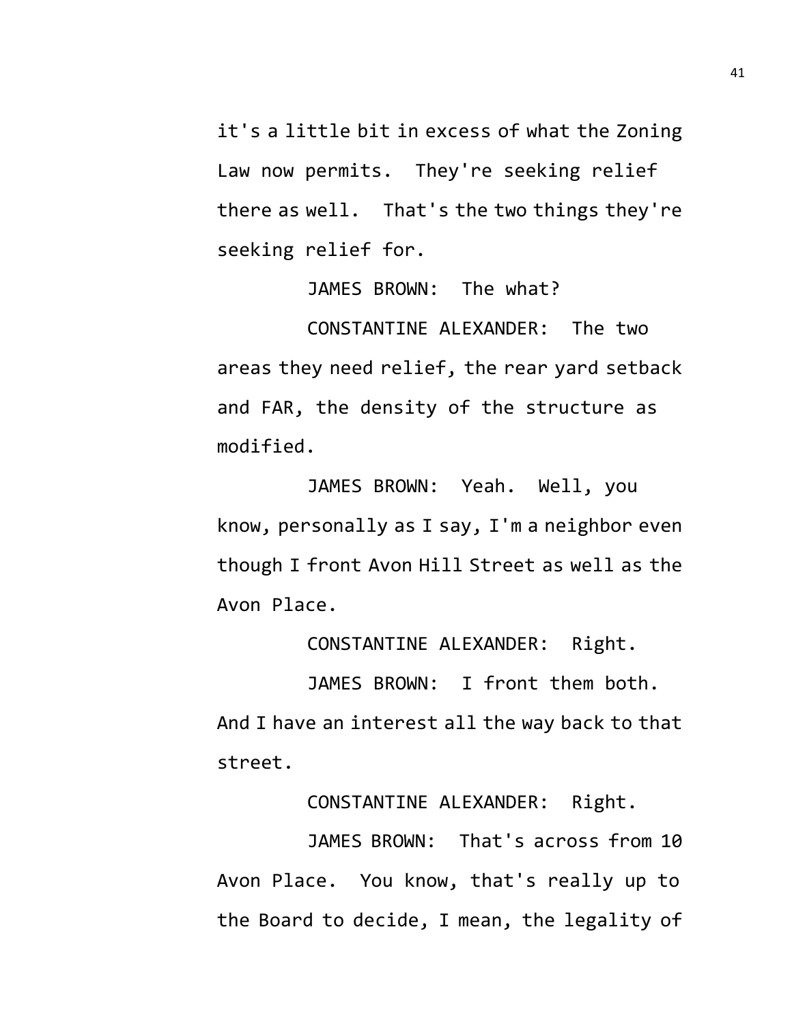it's a little bit in excess of what the Zoning Law now permits. They're seeking relief there as well. That's the two things they're seeking relief for.

JAMES BROWN: The what?

CONSTANTINE ALEXANDER: The two areas they need relief, the rear yard setback and FAR, the density of the structure as modified.

JAMES BROWN: Yeah. Well, you know, personally as I say, I'm a neighbor even though I front Avon Hill Street as well as the Avon Place.

CONSTANTINE ALEXANDER: Right.

JAMES BROWN: I front them both.

And I have an interest all the way back to that street.

CONSTANTINE ALEXANDER: Right.

JAMES BROWN: That's across from 10 Avon Place. You know, that's really up to the Board to decide, I mean, the legality of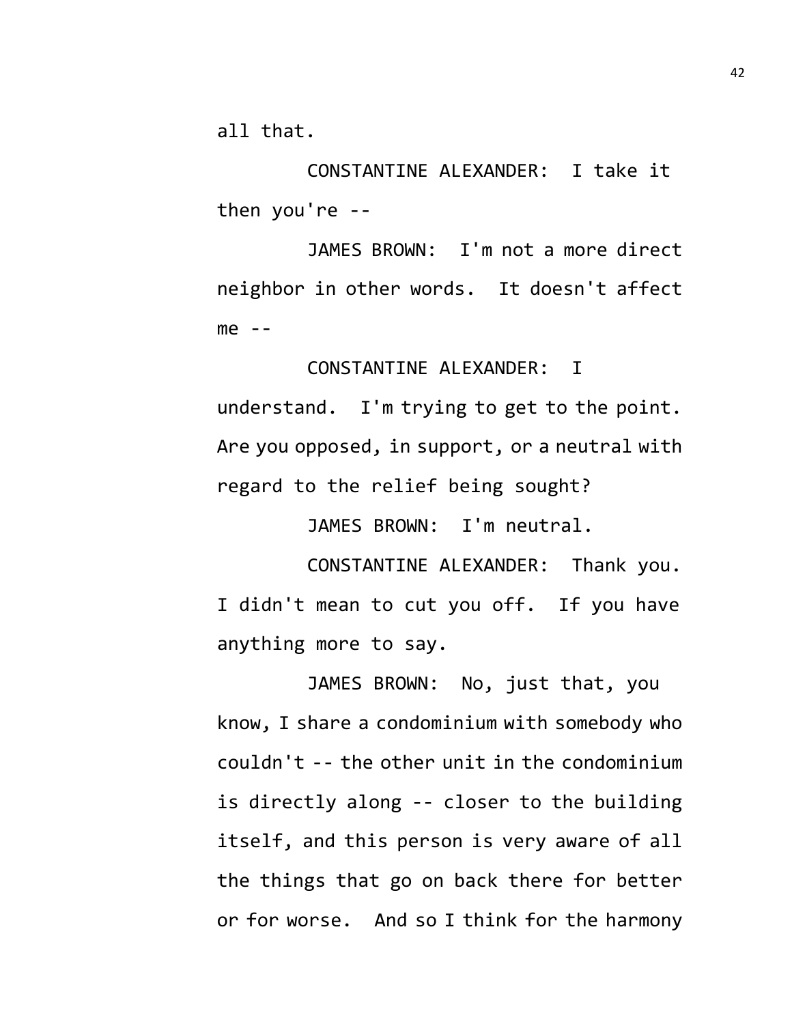all that.

CONSTANTINE ALEXANDER: I take it then you're --

JAMES BROWN: I'm not a more direct neighbor in other words. It doesn't affect  $me - -$ 

CONSTANTINE ALEXANDER: I

understand. I'm trying to get to the point. Are you opposed, in support, or a neutral with regard to the relief being sought?

JAMES BROWN: I'm neutral.

CONSTANTINE ALEXANDER: Thank you. I didn't mean to cut you off. If you have anything more to say.

JAMES BROWN: No, just that, you know, I share a condominium with somebody who couldn't -- the other unit in the condominium is directly along -- closer to the building itself, and this person is very aware of all the things that go on back there for better or for worse. And so I think for the harmony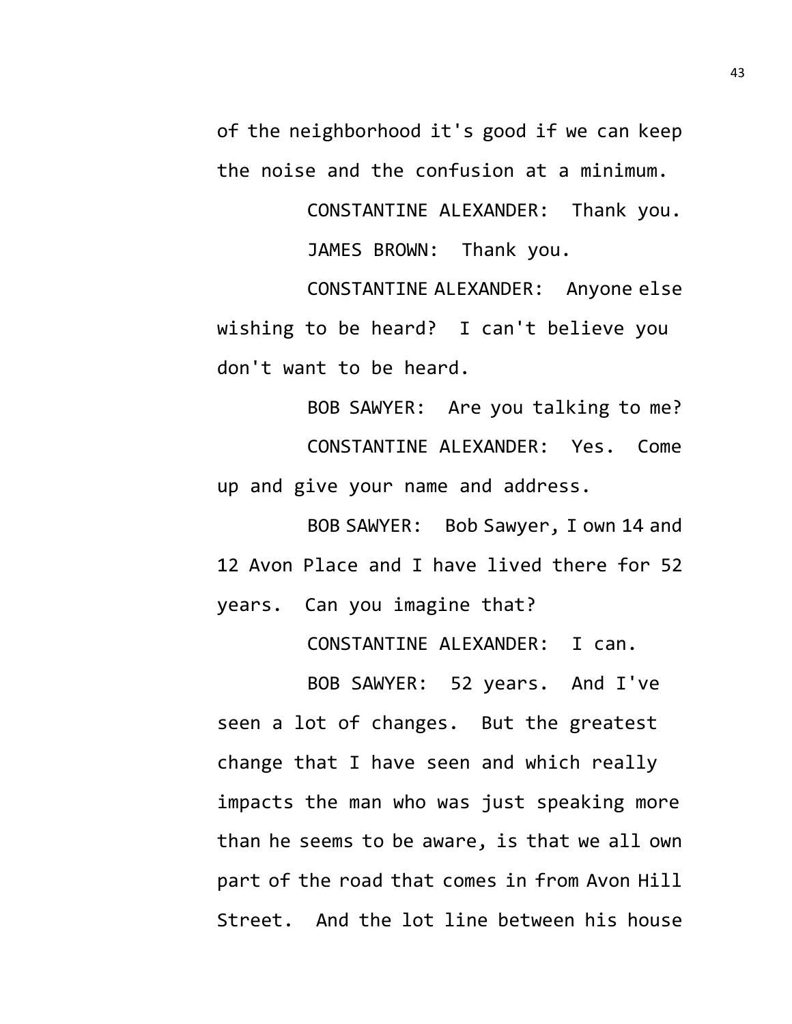of the neighborhood it's good if we can keep the noise and the confusion at a minimum.

> CONSTANTINE ALEXANDER: Thank you. JAMES BROWN: Thank you.

CONSTANTINE ALEXANDER: Anyone else wishing to be heard? I can't believe you don't want to be heard.

BOB SAWYER: Are you talking to me? CONSTANTINE ALEXANDER: Yes. Come up and give your name and address.

BOB SAWYER: Bob Sawyer, I own 14 and 12 Avon Place and I have lived there for 52 years. Can you imagine that?

CONSTANTINE ALEXANDER: I can.

BOB SAWYER: 52 years. And I've seen a lot of changes. But the greatest change that I have seen and which really impacts the man who was just speaking more than he seems to be aware, is that we all own part of the road that comes in from Avon Hill Street. And the lot line between his house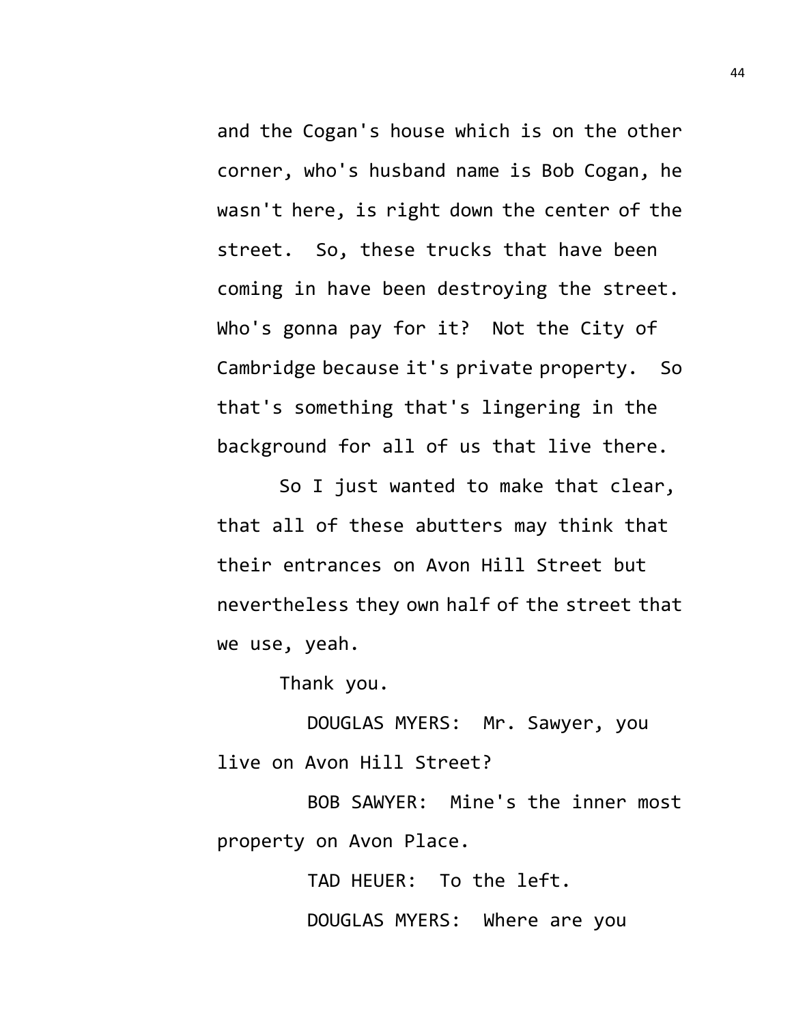and the Cogan's house which is on the other corner, who's husband name is Bob Cogan, he wasn't here, is right down the center of the street. So, these trucks that have been coming in have been destroying the street. Who's gonna pay for it? Not the City of Cambridge because it's private property. So that's something that's lingering in the background for all of us that live there.

So I just wanted to make that clear, that all of these abutters may think that their entrances on Avon Hill Street but nevertheless they own half of the street that we use, yeah.

Thank you.

DOUGLAS MYERS: Mr. Sawyer, you live on Avon Hill Street?

BOB SAWYER: Mine's the inner most property on Avon Place.

> TAD HEUER: To the left. DOUGLAS MYERS: Where are you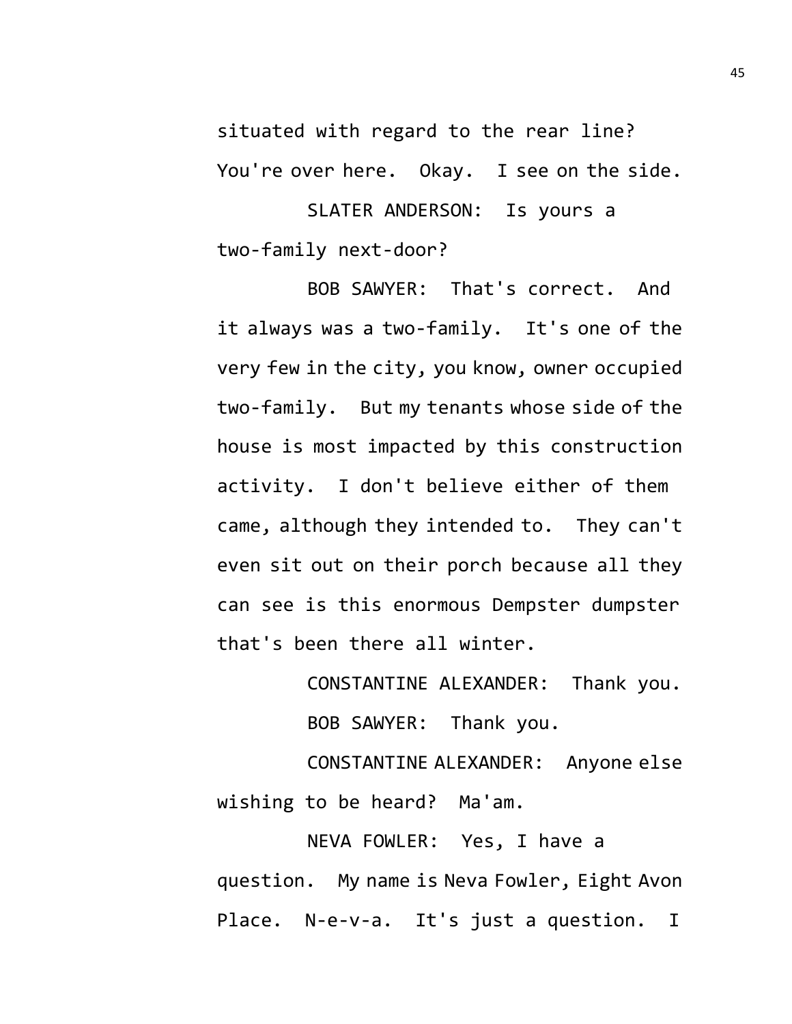situated with regard to the rear line? You're over here. Okay. I see on the side.

SLATER ANDERSON: Is yours a two-family next-door?

BOB SAWYER: That's correct. And it always was a two-family. It's one of the very few in the city, you know, owner occupied two-family. But my tenants whose side of the house is most impacted by this construction activity. I don't believe either of them came, although they intended to. They can't even sit out on their porch because all they can see is this enormous Dempster dumpster that's been there all winter.

> CONSTANTINE ALEXANDER: Thank you. BOB SAWYER: Thank you.

CONSTANTINE ALEXANDER: Anyone else wishing to be heard? Ma'am.

NEVA FOWLER: Yes, I have a question. My name is Neva Fowler, Eight Avon Place. N-e-v-a. It's just a question. I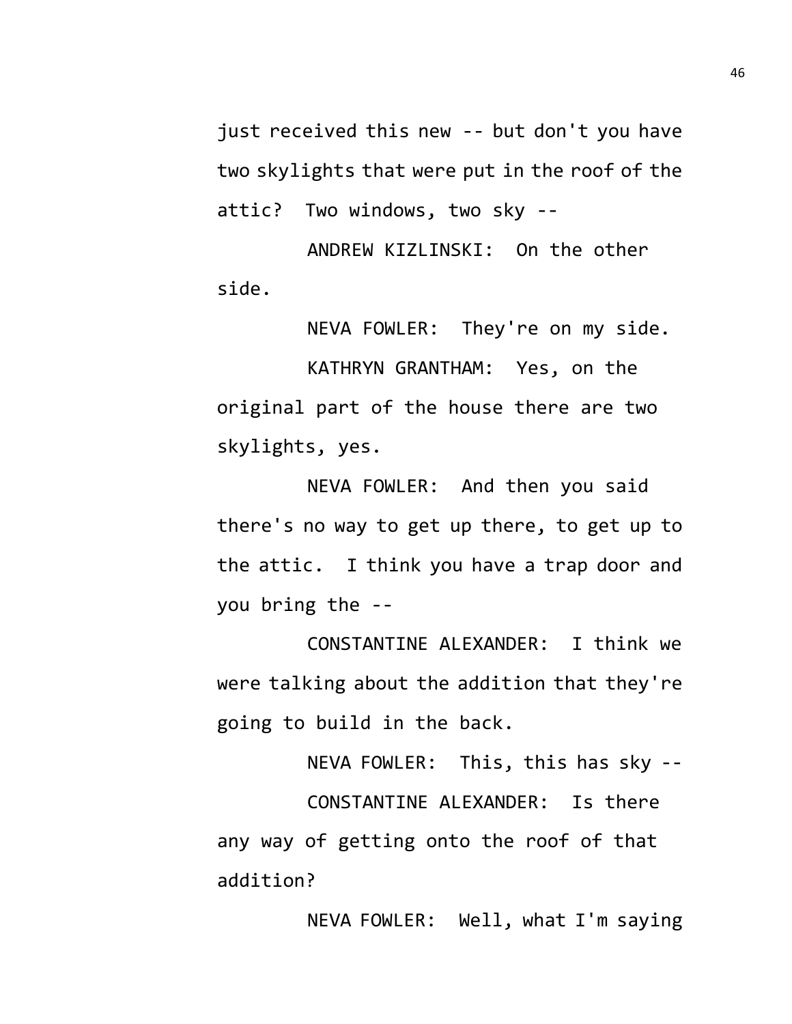just received this new -- but don't you have two skylights that were put in the roof of the attic? Two windows, two sky --

ANDREW KIZLINSKI: On the other side.

NEVA FOWLER: They're on my side.

KATHRYN GRANTHAM: Yes, on the original part of the house there are two skylights, yes.

NEVA FOWLER: And then you said there's no way to get up there, to get up to the attic. I think you have a trap door and you bring the --

CONSTANTINE ALEXANDER: I think we were talking about the addition that they're going to build in the back.

NEVA FOWLER: This, this has sky --

CONSTANTINE ALEXANDER: Is there any way of getting onto the roof of that addition?

NEVA FOWLER: Well, what I'm saying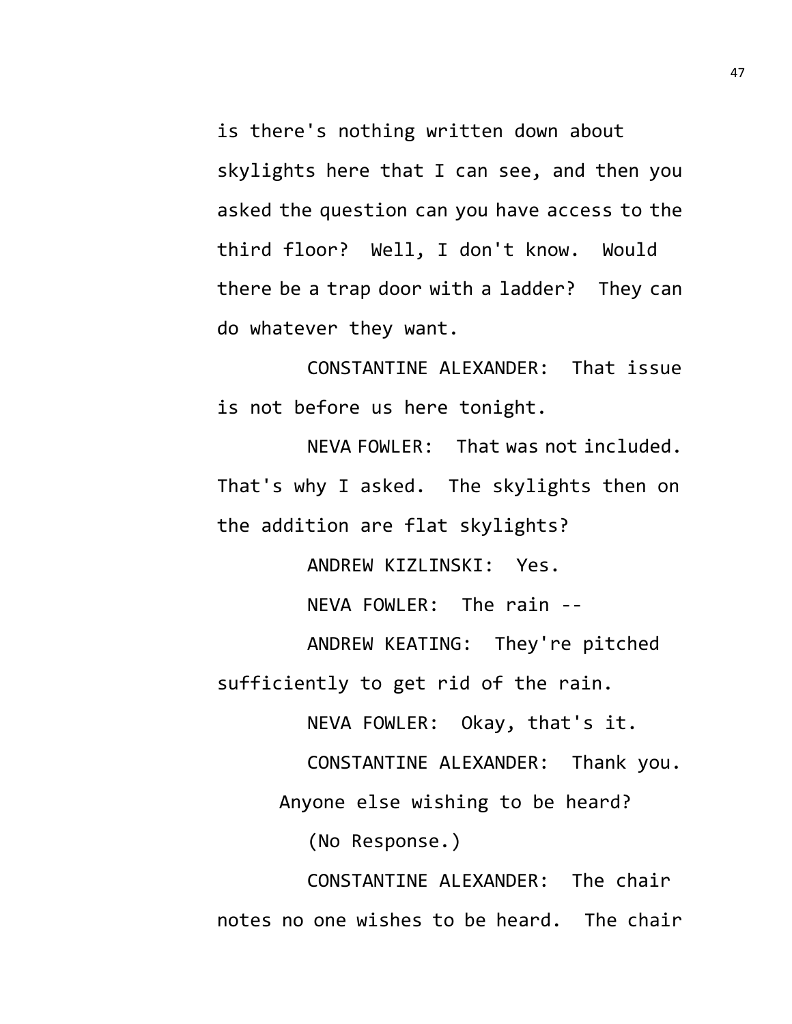is there's nothing written down about skylights here that I can see, and then you asked the question can you have access to the third floor? Well, I don't know. Would there be a trap door with a ladder? They can do whatever they want.

CONSTANTINE ALEXANDER: That issue is not before us here tonight.

NEVA FOWLER: That was not included. That's why I asked. The skylights then on the addition are flat skylights?

ANDREW KIZLINSKI: Yes. NEVA FOWLER: The rain -- ANDREW KEATING: They're pitched

sufficiently to get rid of the rain.

NEVA FOWLER: Okay, that's it.

CONSTANTINE ALEXANDER: Thank you.

Anyone else wishing to be heard?

(No Response.)

CONSTANTINE ALEXANDER: The chair notes no one wishes to be heard. The chair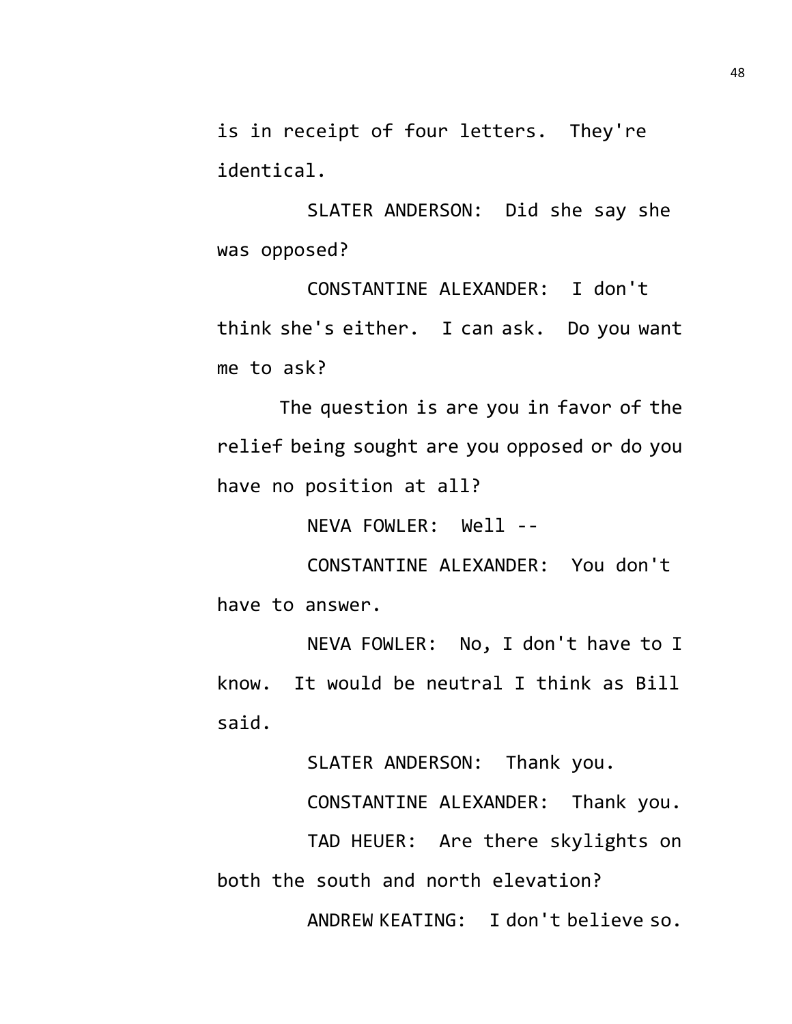is in receipt of four letters. They're identical.

SLATER ANDERSON: Did she say she was opposed?

CONSTANTINE ALEXANDER: I don't think she's either. I can ask. Do you want me to ask?

The question is are you in favor of the relief being sought are you opposed or do you have no position at all?

NEVA FOWLER: Well --

CONSTANTINE ALEXANDER: You don't have to answer.

NEVA FOWLER: No, I don't have to I know. It would be neutral I think as Bill said.

SLATER ANDERSON: Thank you.

CONSTANTINE ALEXANDER: Thank you.

TAD HEUER: Are there skylights on both the south and north elevation?

ANDREW KEATING: I don't believe so.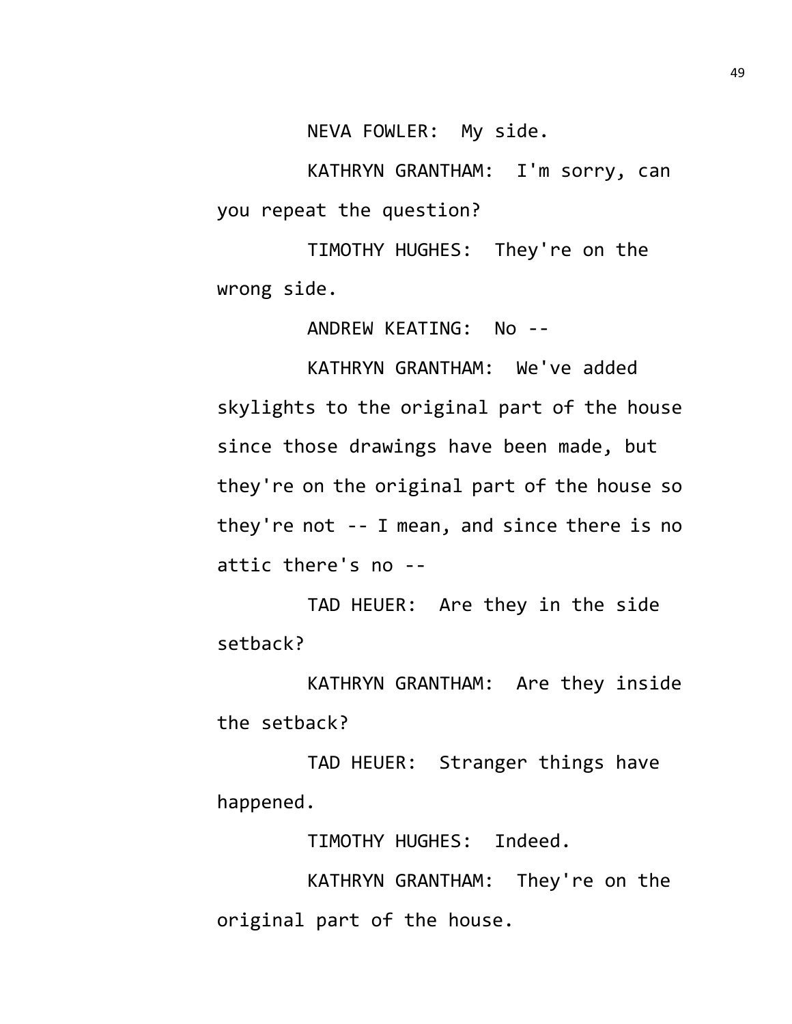NEVA FOWLER: My side.

KATHRYN GRANTHAM: I'm sorry, can you repeat the question?

TIMOTHY HUGHES: They're on the wrong side.

ANDREW KEATING: No --

KATHRYN GRANTHAM: We've added skylights to the original part of the house since those drawings have been made, but they're on the original part of the house so they're not -- I mean, and since there is no attic there's no --

TAD HEUER: Are they in the side setback?

KATHRYN GRANTHAM: Are they inside the setback?

TAD HEUER: Stranger things have happened.

TIMOTHY HUGHES: Indeed.

KATHRYN GRANTHAM: They're on the original part of the house.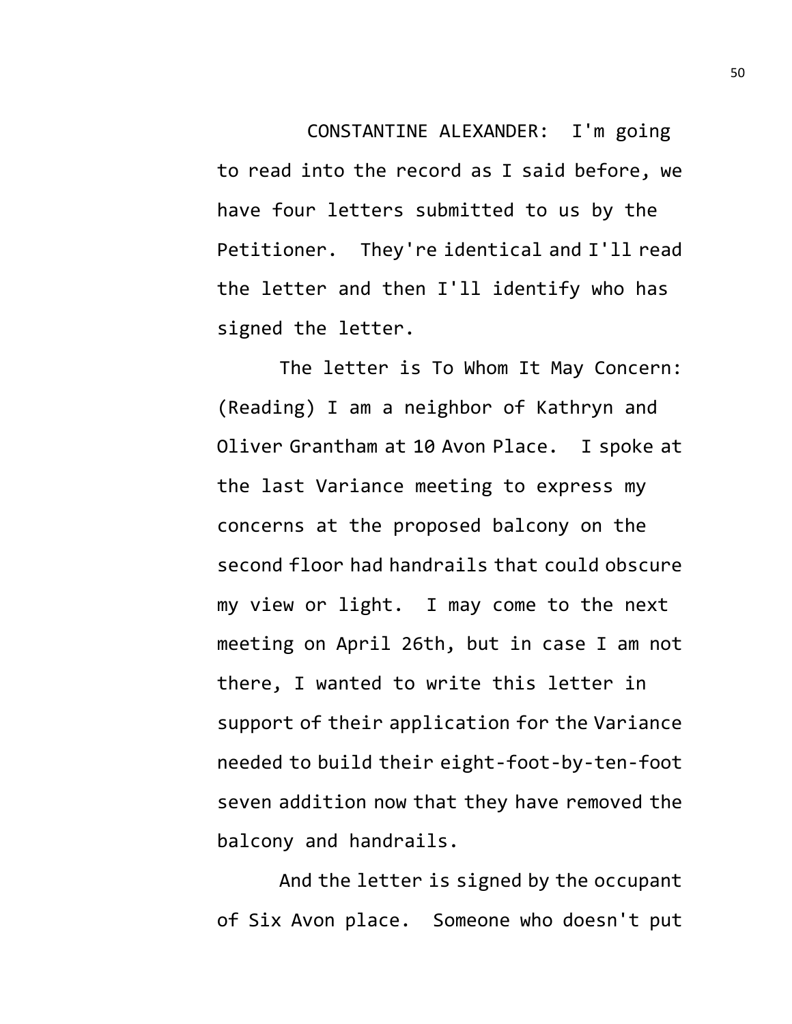CONSTANTINE ALEXANDER: I'm going to read into the record as I said before, we have four letters submitted to us by the Petitioner. They're identical and I'll read the letter and then I'll identify who has signed the letter.

The letter is To Whom It May Concern: (Reading) I am a neighbor of Kathryn and Oliver Grantham at 10 Avon Place. I spoke at the last Variance meeting to express my concerns at the proposed balcony on the second floor had handrails that could obscure my view or light. I may come to the next meeting on April 26th, but in case I am not there, I wanted to write this letter in support of their application for the Variance needed to build their eight-foot-by-ten-foot seven addition now that they have removed the balcony and handrails.

And the letter is signed by the occupant of Six Avon place. Someone who doesn't put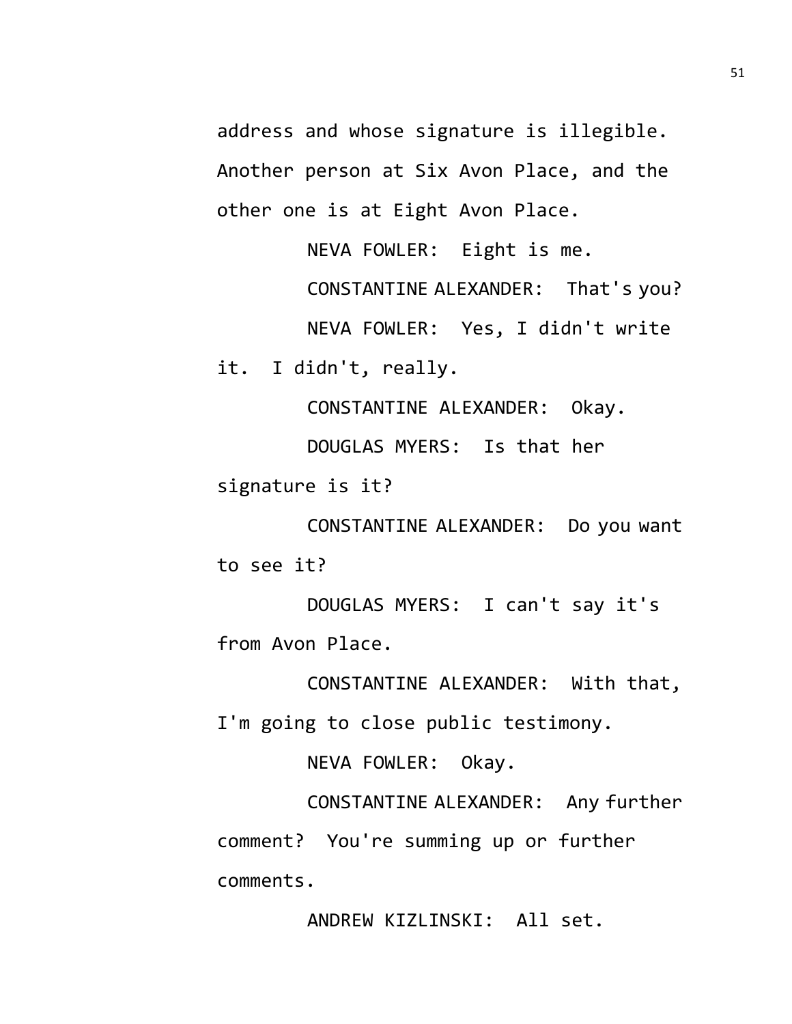address and whose signature is illegible. Another person at Six Avon Place, and the other one is at Eight Avon Place.

NEVA FOWLER: Eight is me.

CONSTANTINE ALEXANDER: That's you?

NEVA FOWLER: Yes, I didn't write

it. I didn't, really.

CONSTANTINE ALEXANDER: Okay.

DOUGLAS MYERS: Is that her signature is it?

CONSTANTINE ALEXANDER: Do you want to see it?

DOUGLAS MYERS: I can't say it's from Avon Place.

CONSTANTINE ALEXANDER: With that, I'm going to close public testimony.

NEVA FOWLER: Okay.

CONSTANTINE ALEXANDER: Any further comment? You're summing up or further comments.

ANDREW KIZLINSKI: All set.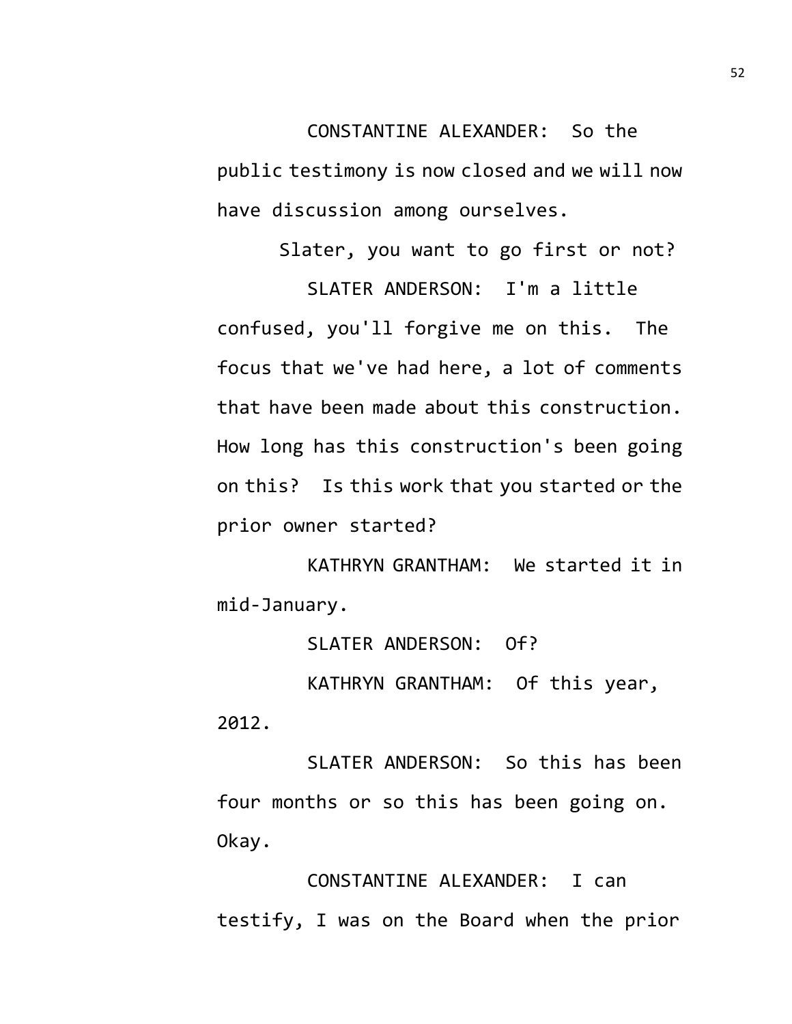CONSTANTINE ALEXANDER: So the public testimony is now closed and we will now have discussion among ourselves.

Slater, you want to go first or not?

SLATER ANDERSON: I'm a little confused, you'll forgive me on this. The focus that we've had here, a lot of comments that have been made about this construction. How long has this construction's been going on this? Is this work that you started or the prior owner started?

KATHRYN GRANTHAM: We started it in mid-January.

SLATER ANDERSON: Of?

KATHRYN GRANTHAM: Of this year, 2012.

SLATER ANDERSON: So this has been four months or so this has been going on. Okay.

CONSTANTINE ALEXANDER: I can testify, I was on the Board when the prior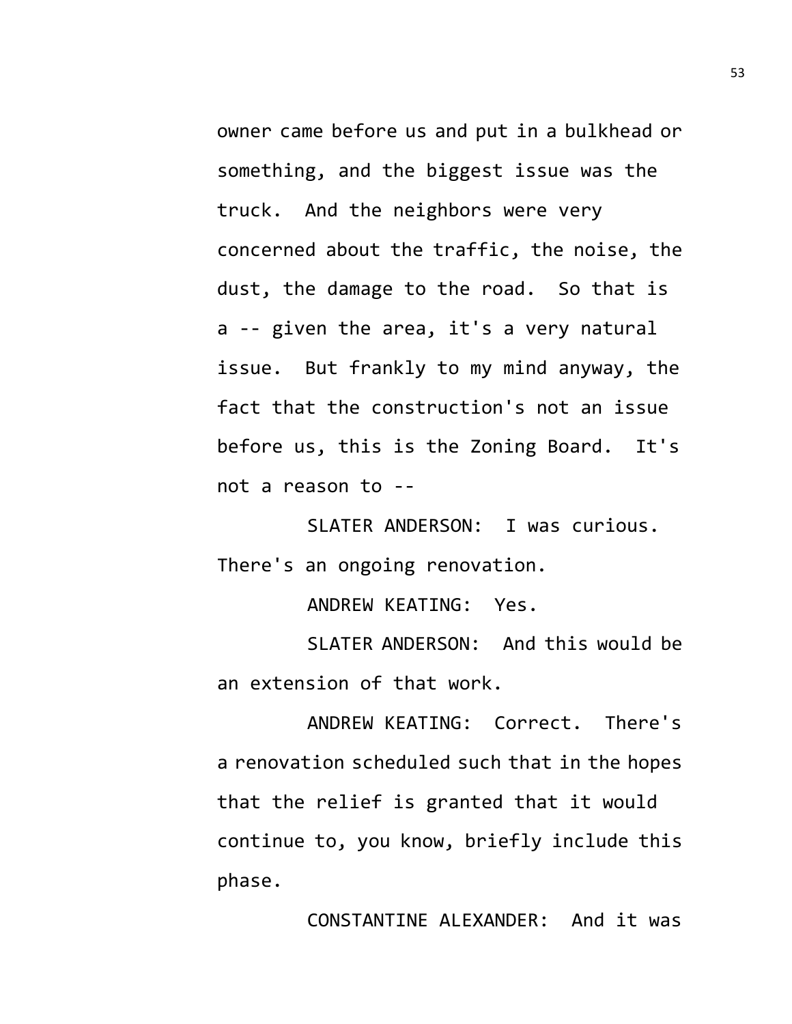owner came before us and put in a bulkhead or something, and the biggest issue was the truck. And the neighbors were very concerned about the traffic, the noise, the dust, the damage to the road. So that is a -- given the area, it's a very natural issue. But frankly to my mind anyway, the fact that the construction's not an issue before us, this is the Zoning Board. It's not a reason to --

SLATER ANDERSON: I was curious. There's an ongoing renovation.

ANDREW KEATING: Yes.

SLATER ANDERSON: And this would be an extension of that work.

ANDREW KEATING: Correct. There's a renovation scheduled such that in the hopes that the relief is granted that it would continue to, you know, briefly include this phase.

CONSTANTINE ALEXANDER: And it was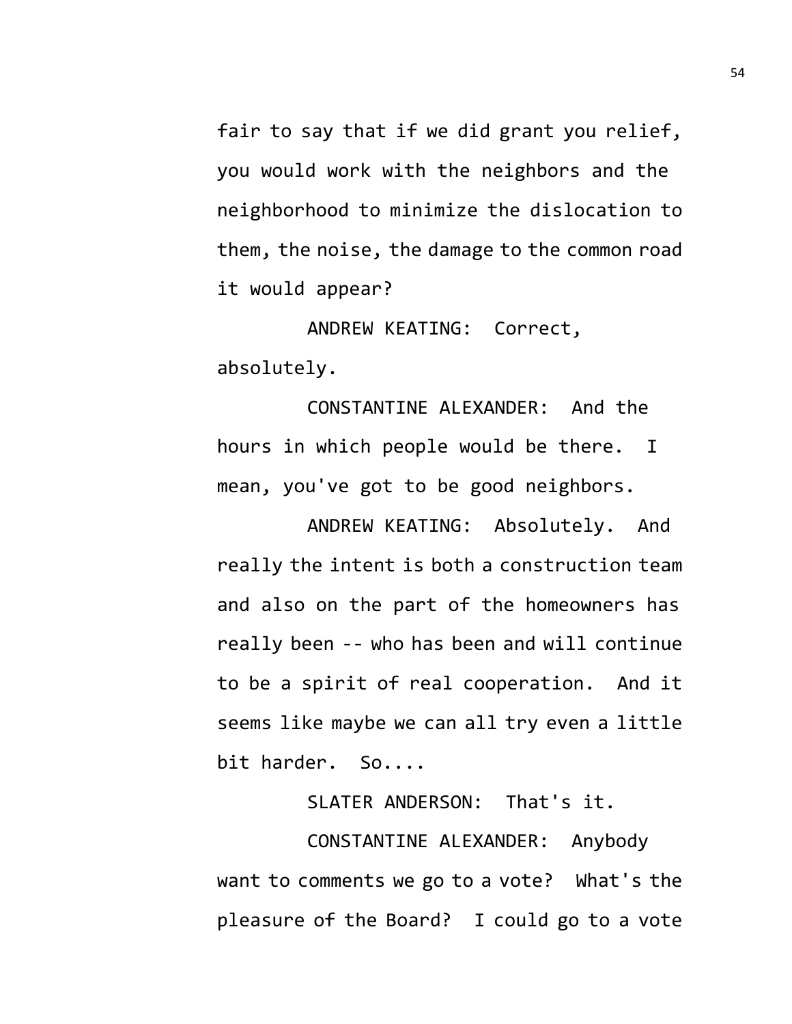fair to say that if we did grant you relief, you would work with the neighbors and the neighborhood to minimize the dislocation to them, the noise, the damage to the common road it would appear?

ANDREW KEATING: Correct, absolutely.

CONSTANTINE ALEXANDER: And the hours in which people would be there. I mean, you've got to be good neighbors.

ANDREW KEATING: Absolutely. And really the intent is both a construction team and also on the part of the homeowners has really been -- who has been and will continue to be a spirit of real cooperation. And it seems like maybe we can all try even a little bit harder. So....

SLATER ANDERSON: That's it.

CONSTANTINE ALEXANDER: Anybody want to comments we go to a vote? What's the pleasure of the Board? I could go to a vote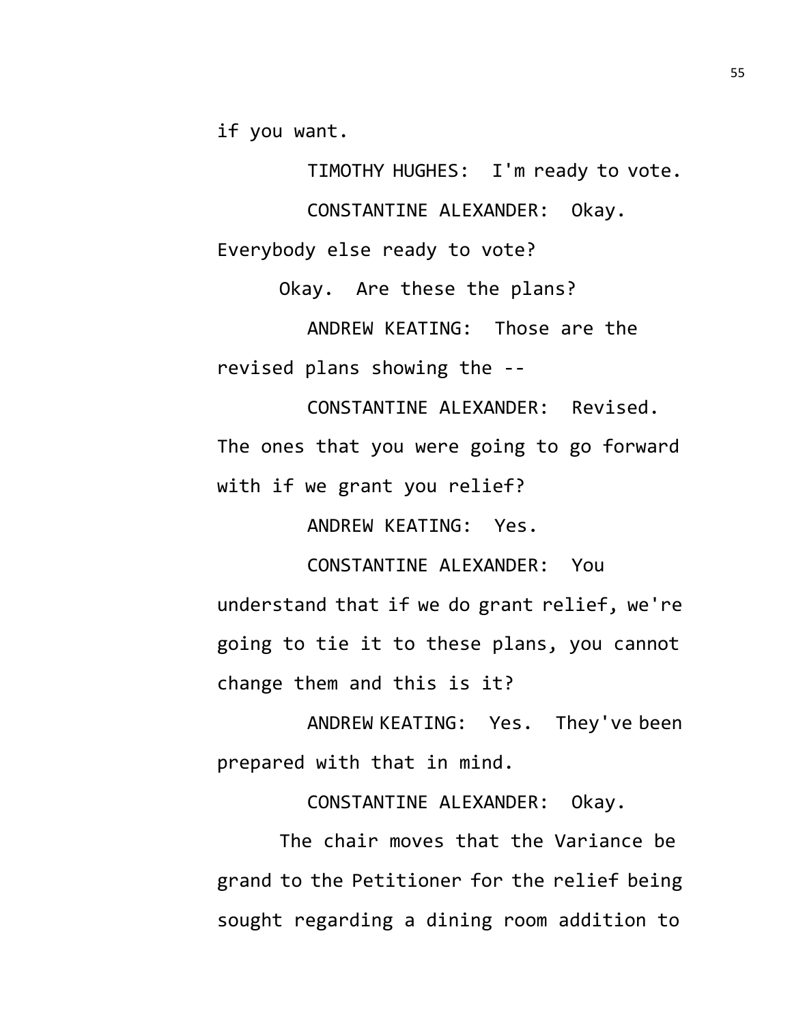if you want.

TIMOTHY HUGHES: I'm ready to vote.

CONSTANTINE ALEXANDER: Okay.

Everybody else ready to vote?

Okay. Are these the plans?

ANDREW KEATING: Those are the revised plans showing the --

CONSTANTINE ALEXANDER: Revised. The ones that you were going to go forward with if we grant you relief?

ANDREW KEATING: Yes.

CONSTANTINE ALEXANDER: You understand that if we do grant relief, we're going to tie it to these plans, you cannot change them and this is it?

ANDREW KEATING: Yes. They've been prepared with that in mind.

CONSTANTINE ALEXANDER: Okay.

The chair moves that the Variance be grand to the Petitioner for the relief being sought regarding a dining room addition to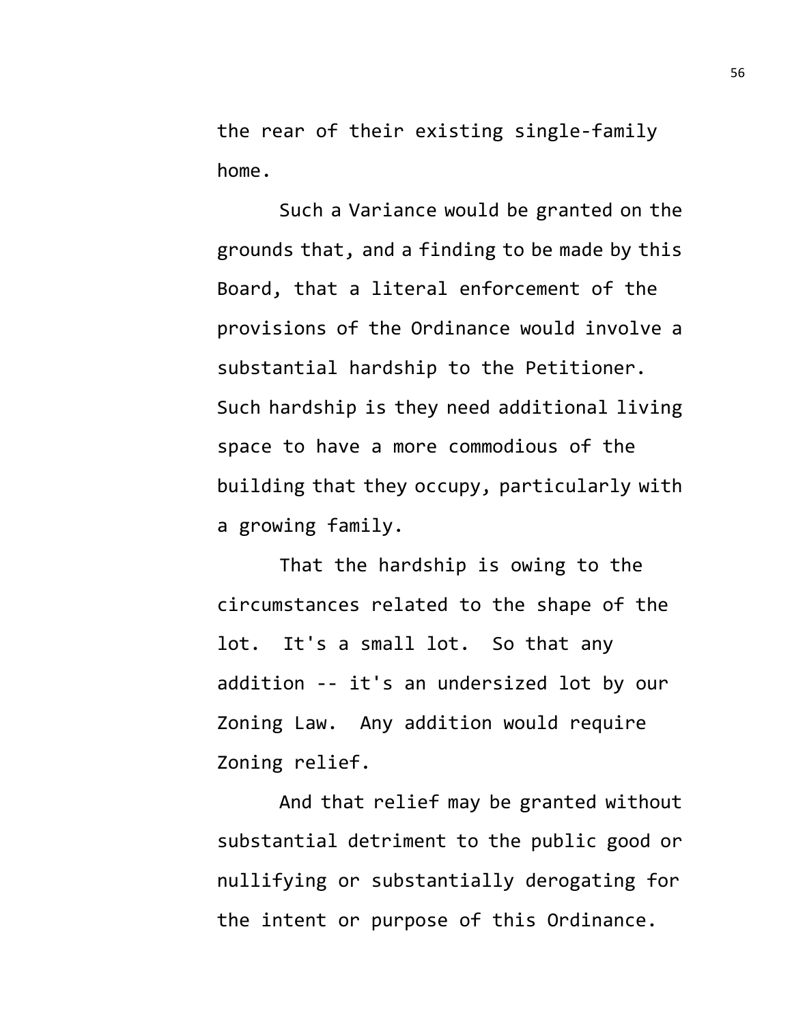the rear of their existing single-family home.

Such a Variance would be granted on the grounds that, and a finding to be made by this Board, that a literal enforcement of the provisions of the Ordinance would involve a substantial hardship to the Petitioner. Such hardship is they need additional living space to have a more commodious of the building that they occupy, particularly with a growing family.

That the hardship is owing to the circumstances related to the shape of the lot. It's a small lot. So that any addition -- it's an undersized lot by our Zoning Law. Any addition would require Zoning relief.

And that relief may be granted without substantial detriment to the public good or nullifying or substantially derogating for the intent or purpose of this Ordinance.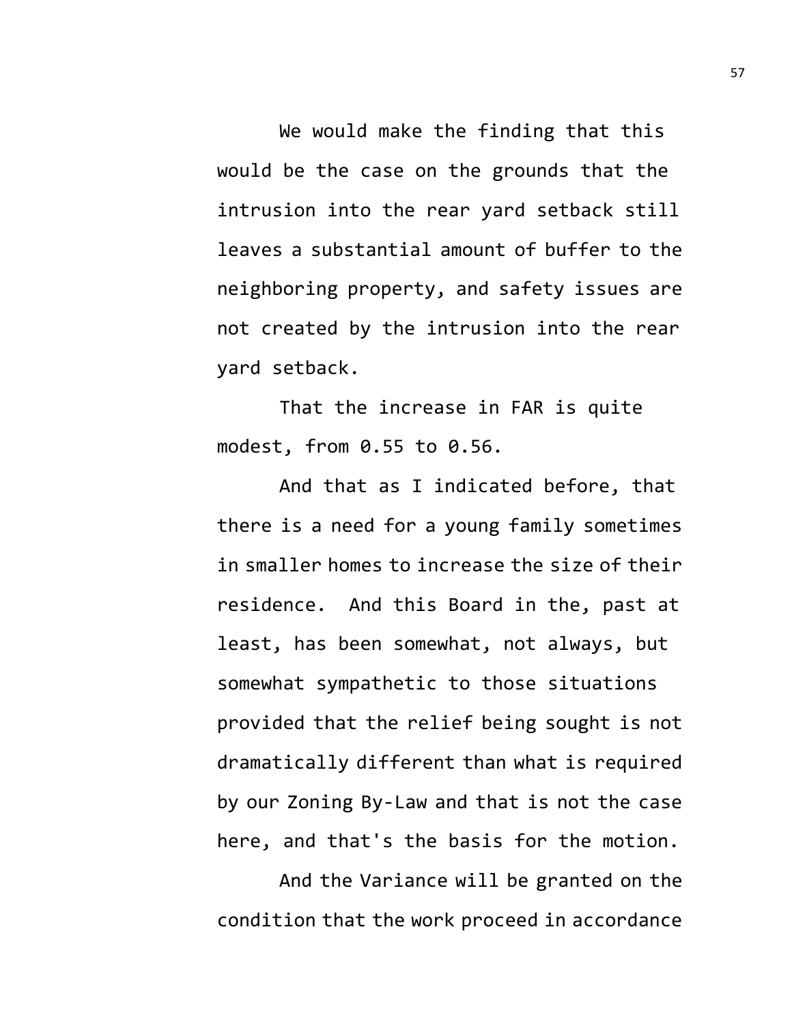We would make the finding that this would be the case on the grounds that the intrusion into the rear yard setback still leaves a substantial amount of buffer to the neighboring property, and safety issues are not created by the intrusion into the rear yard setback.

That the increase in FAR is quite modest, from 0.55 to 0.56.

And that as I indicated before, that there is a need for a young family sometimes in smaller homes to increase the size of their residence. And this Board in the, past at least, has been somewhat, not always, but somewhat sympathetic to those situations provided that the relief being sought is not dramatically different than what is required by our Zoning By-Law and that is not the case here, and that's the basis for the motion.

And the Variance will be granted on the condition that the work proceed in accordance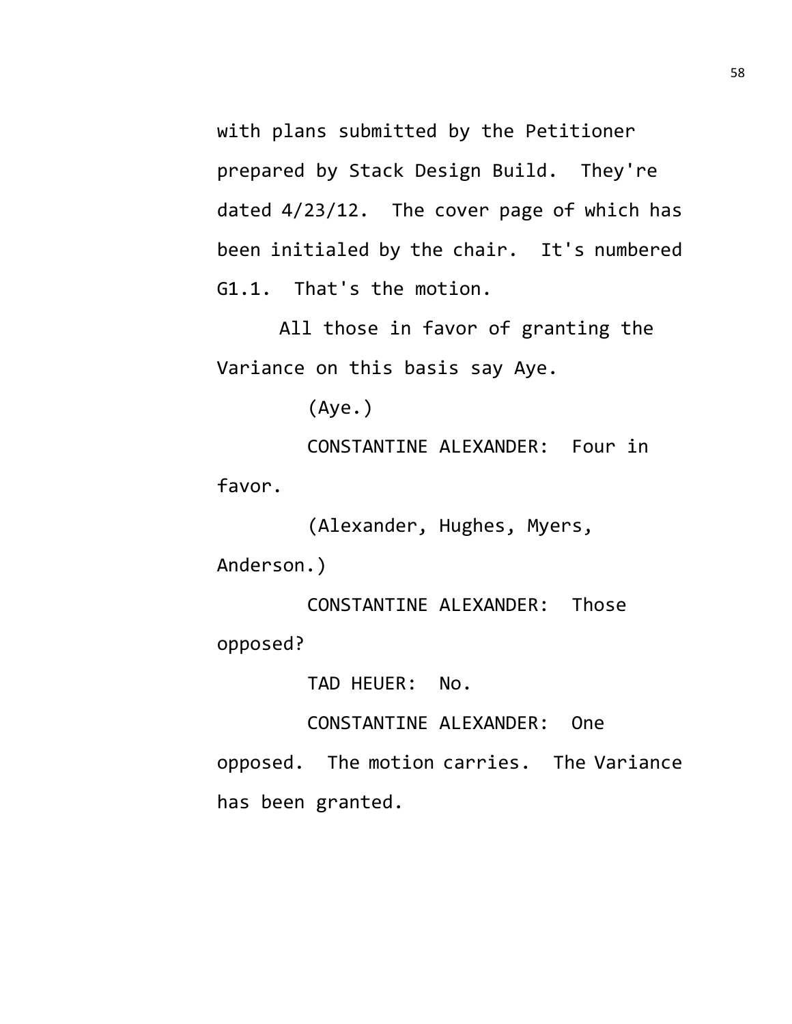with plans submitted by the Petitioner prepared by Stack Design Build. They're dated 4/23/12. The cover page of which has been initialed by the chair. It's numbered G1.1. That's the motion.

All those in favor of granting the Variance on this basis say Aye.

(Aye.)

CONSTANTINE ALEXANDER: Four in favor.

(Alexander, Hughes, Myers,

Anderson.)

CONSTANTINE ALEXANDER: Those opposed?

TAD HEUER: No.

CONSTANTINE ALEXANDER: One

opposed. The motion carries. The Variance has been granted.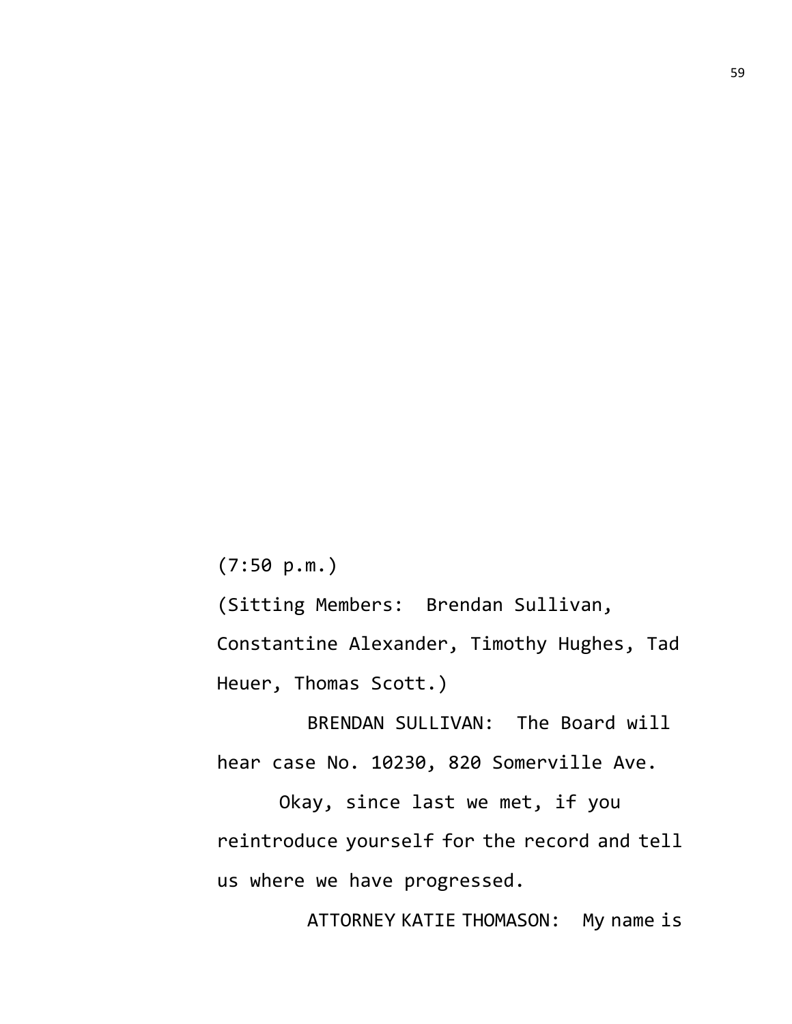(7:50 p.m.)

(Sitting Members: Brendan Sullivan,

Constantine Alexander, Timothy Hughes, Tad Heuer, Thomas Scott.)

BRENDAN SULLIVAN: The Board will hear case No. 10230, 820 Somerville Ave.

Okay, since last we met, if you reintroduce yourself for the record and tell us where we have progressed.

ATTORNEY KATIE THOMASON: My name is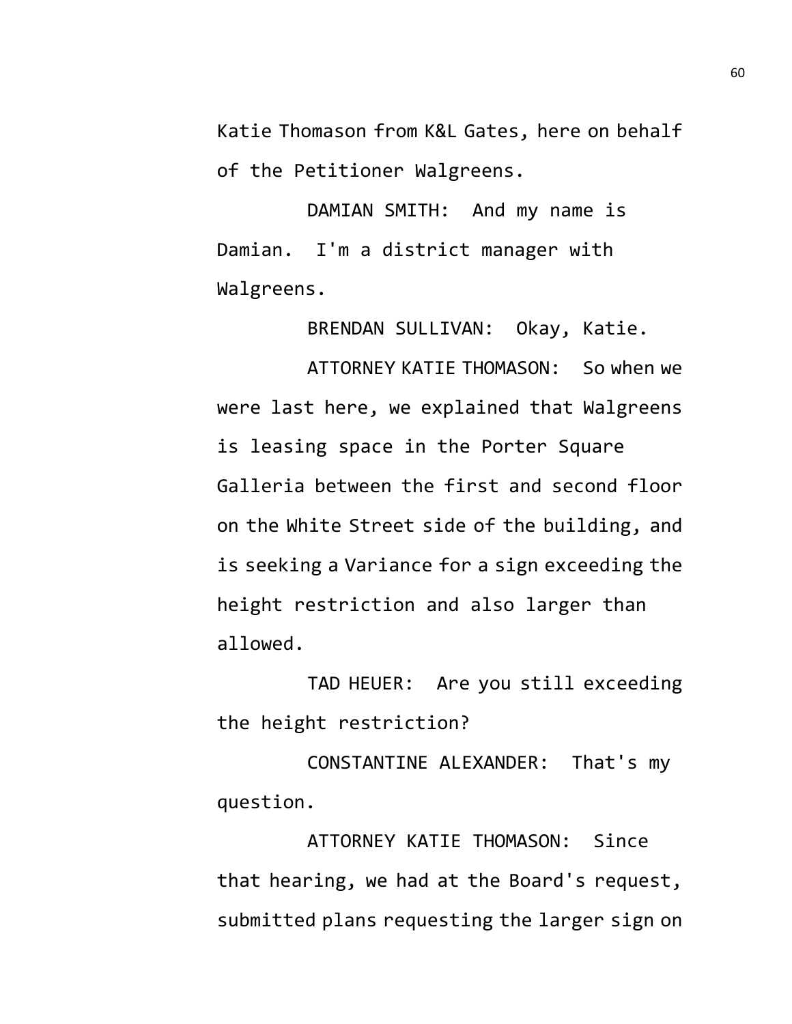Katie Thomason from K&L Gates, here on behalf of the Petitioner Walgreens.

DAMIAN SMITH: And my name is Damian. I'm a district manager with Walgreens.

BRENDAN SULLIVAN: Okay, Katie.

ATTORNEY KATIE THOMASON: So when we were last here, we explained that Walgreens is leasing space in the Porter Square Galleria between the first and second floor on the White Street side of the building, and is seeking a Variance for a sign exceeding the height restriction and also larger than allowed.

TAD HEUER: Are you still exceeding the height restriction?

CONSTANTINE ALEXANDER: That's my question.

ATTORNEY KATIE THOMASON: Since that hearing, we had at the Board's request, submitted plans requesting the larger sign on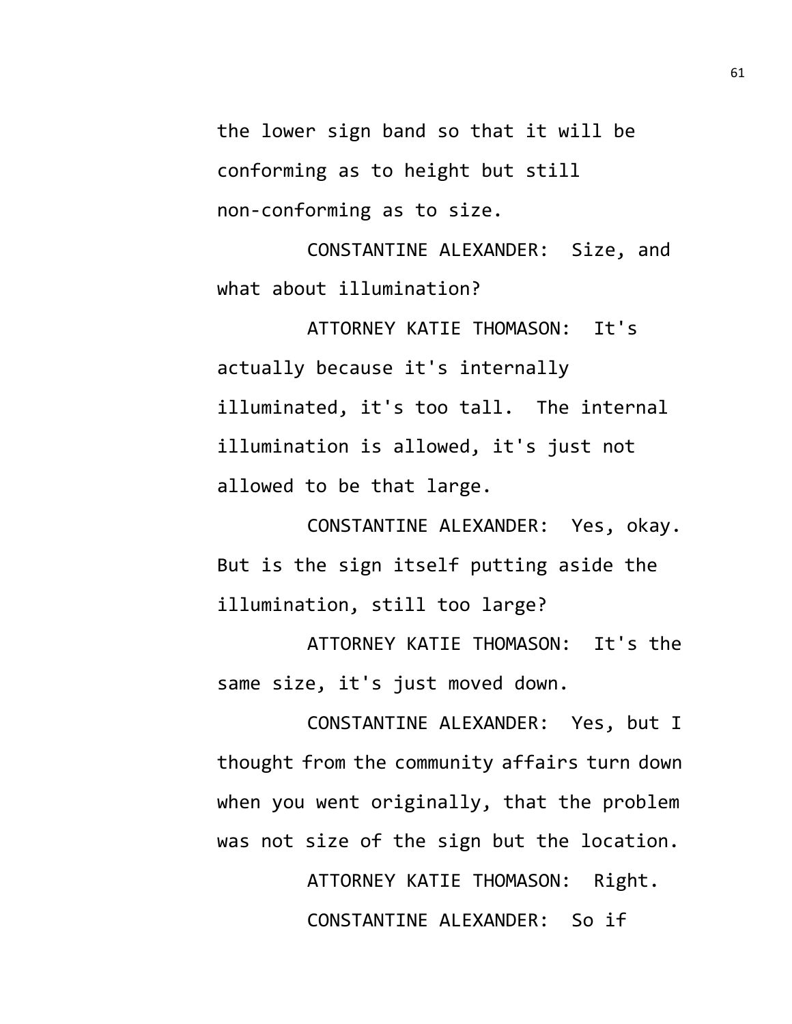the lower sign band so that it will be conforming as to height but still non-conforming as to size.

CONSTANTINE ALEXANDER: Size, and what about illumination?

ATTORNEY KATIE THOMASON: It's actually because it's internally illuminated, it's too tall. The internal illumination is allowed, it's just not allowed to be that large.

CONSTANTINE ALEXANDER: Yes, okay. But is the sign itself putting aside the illumination, still too large?

ATTORNEY KATIE THOMASON: It's the same size, it's just moved down.

CONSTANTINE ALEXANDER: Yes, but I thought from the community affairs turn down when you went originally, that the problem was not size of the sign but the location.

> ATTORNEY KATIE THOMASON: Right. CONSTANTINE ALEXANDER: So if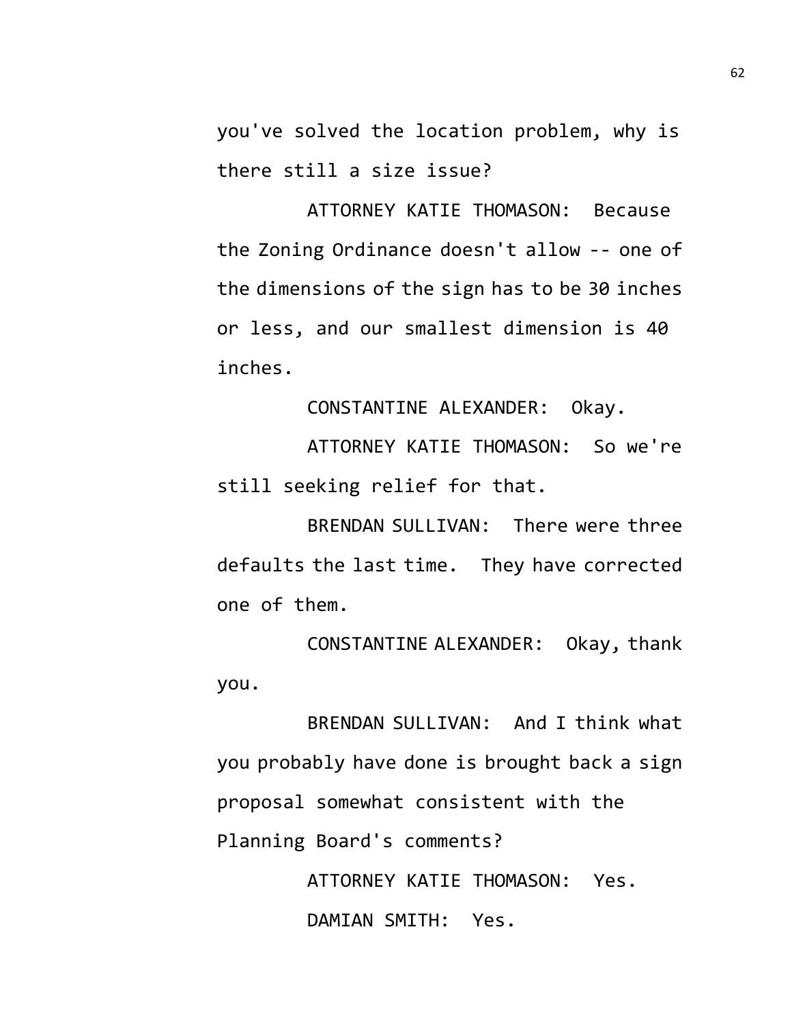you've solved the location problem, why is there still a size issue?

ATTORNEY KATIE THOMASON: Because the Zoning Ordinance doesn't allow -- one of the dimensions of the sign has to be 30 inches or less, and our smallest dimension is 40 inches.

CONSTANTINE ALEXANDER: Okay.

ATTORNEY KATIE THOMASON: So we're still seeking relief for that.

BRENDAN SULLIVAN: There were three defaults the last time. They have corrected one of them.

CONSTANTINE ALEXANDER: Okay, thank you.

BRENDAN SULLIVAN: And I think what you probably have done is brought back a sign proposal somewhat consistent with the Planning Board's comments?

> ATTORNEY KATIE THOMASON: Yes. DAMIAN SMITH: Yes.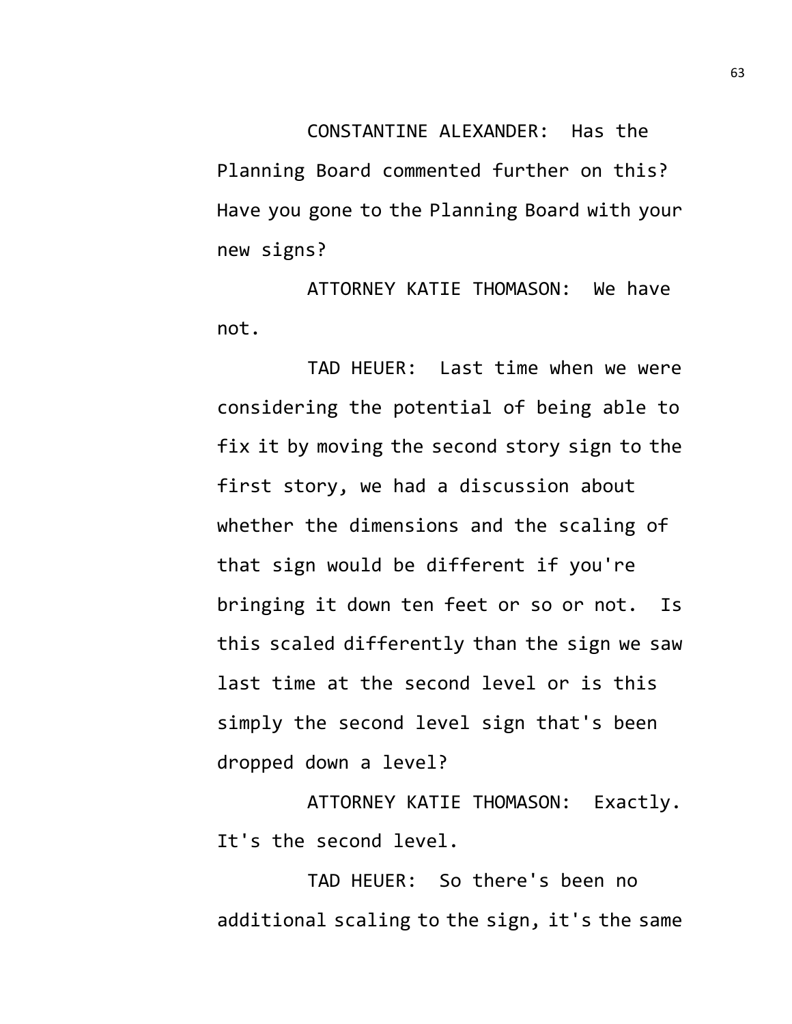CONSTANTINE ALEXANDER: Has the Planning Board commented further on this? Have you gone to the Planning Board with your new signs?

ATTORNEY KATIE THOMASON: We have not.

TAD HEUER: Last time when we were considering the potential of being able to fix it by moving the second story sign to the first story, we had a discussion about whether the dimensions and the scaling of that sign would be different if you're bringing it down ten feet or so or not. Is this scaled differently than the sign we saw last time at the second level or is this simply the second level sign that's been dropped down a level?

ATTORNEY KATIE THOMASON: Exactly. It's the second level.

TAD HEUER: So there's been no additional scaling to the sign, it's the same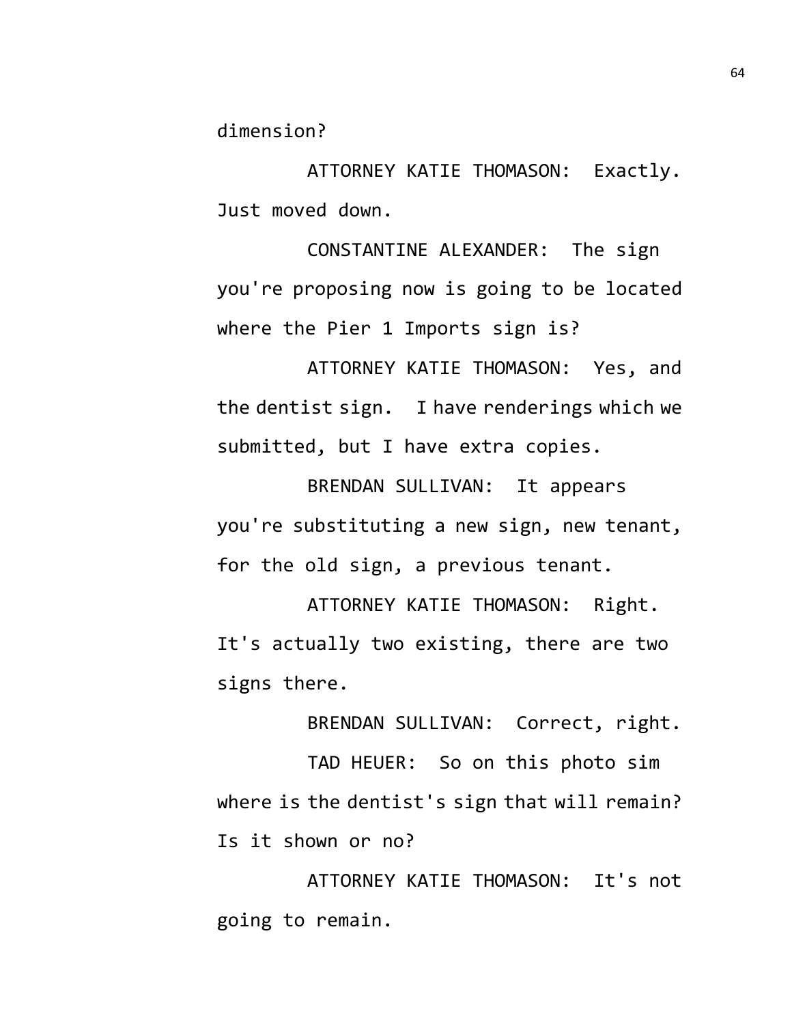dimension?

ATTORNEY KATIE THOMASON: Exactly. Just moved down.

CONSTANTINE ALEXANDER: The sign you're proposing now is going to be located where the Pier 1 Imports sign is?

ATTORNEY KATIE THOMASON: Yes, and the dentist sign. I have renderings which we submitted, but I have extra copies.

BRENDAN SULLIVAN: It appears you're substituting a new sign, new tenant, for the old sign, a previous tenant.

ATTORNEY KATIE THOMASON: Right. It's actually two existing, there are two signs there.

BRENDAN SULLIVAN: Correct, right.

TAD HEUER: So on this photo sim where is the dentist's sign that will remain? Is it shown or no?

ATTORNEY KATIE THOMASON: It's not going to remain.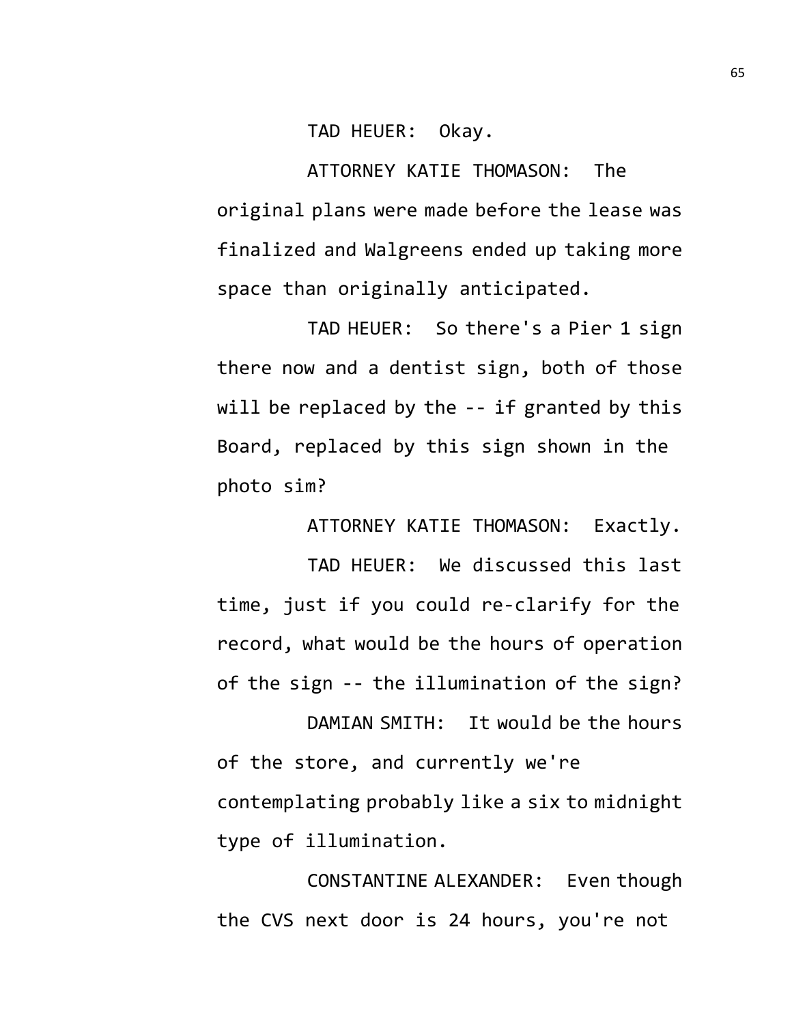TAD HEUER: Okay.

ATTORNEY KATIE THOMASON: The original plans were made before the lease was finalized and Walgreens ended up taking more space than originally anticipated.

TAD HEUER: So there's a Pier 1 sign there now and a dentist sign, both of those will be replaced by the -- if granted by this Board, replaced by this sign shown in the photo sim?

ATTORNEY KATIE THOMASON: Exactly.

TAD HEUER: We discussed this last time, just if you could re-clarify for the record, what would be the hours of operation of the sign -- the illumination of the sign?

DAMIAN SMITH: It would be the hours of the store, and currently we're contemplating probably like a six to midnight type of illumination.

CONSTANTINE ALEXANDER: Even though the CVS next door is 24 hours, you're not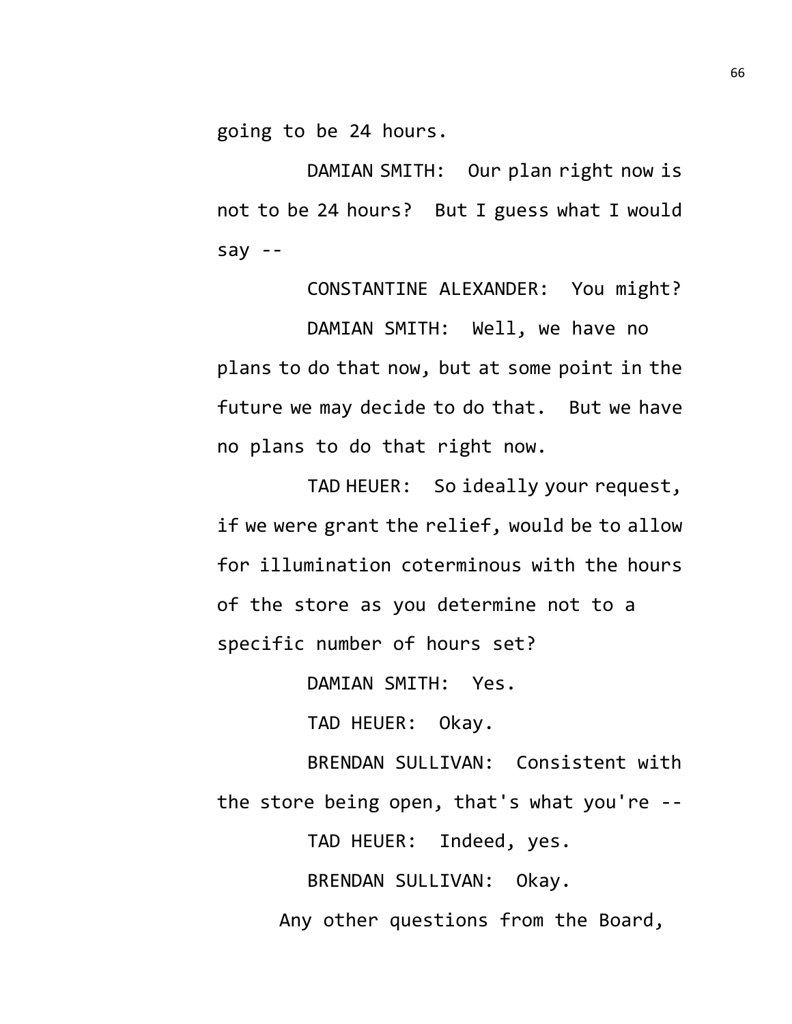going to be 24 hours.

DAMIAN SMITH: Our plan right now is not to be 24 hours? But I guess what I would say --

CONSTANTINE ALEXANDER: You might?

DAMIAN SMITH: Well, we have no plans to do that now, but at some point in the future we may decide to do that. But we have no plans to do that right now.

TAD HEUER: So ideally your request, if we were grant the relief, would be to allow for illumination coterminous with the hours of the store as you determine not to a specific number of hours set?

DAMIAN SMITH: Yes.

TAD HEUER: Okay.

BRENDAN SULLIVAN: Consistent with the store being open, that's what you're --

TAD HEUER: Indeed, yes.

BRENDAN SULLIVAN: Okay.

Any other questions from the Board,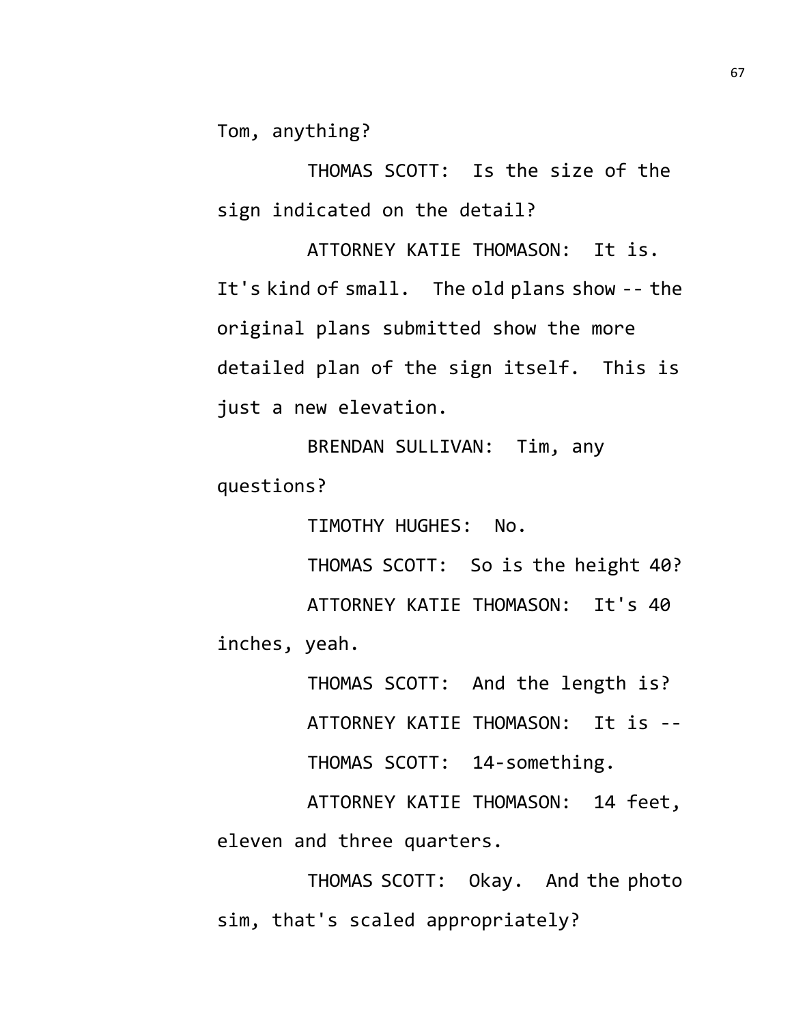Tom, anything?

THOMAS SCOTT: Is the size of the sign indicated on the detail?

ATTORNEY KATIE THOMASON: It is. It's kind of small. The old plans show -- the original plans submitted show the more detailed plan of the sign itself. This is just a new elevation.

BRENDAN SULLIVAN: Tim, any questions?

TIMOTHY HUGHES: No.

THOMAS SCOTT: So is the height 40? ATTORNEY KATIE THOMASON: It's 40 inches, yeah.

> THOMAS SCOTT: And the length is? ATTORNEY KATIE THOMASON: It is -- THOMAS SCOTT: 14-something.

ATTORNEY KATIE THOMASON: 14 feet, eleven and three quarters.

THOMAS SCOTT: Okay. And the photo sim, that's scaled appropriately?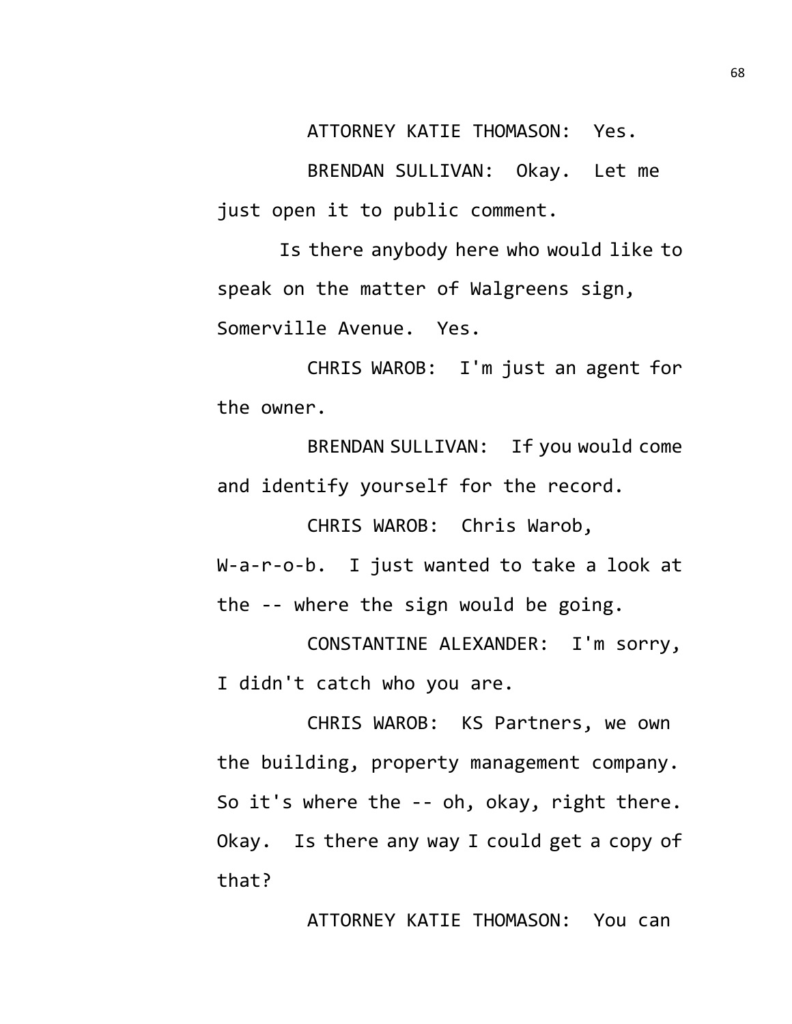ATTORNEY KATIE THOMASON: Yes.

BRENDAN SULLIVAN: Okay. Let me just open it to public comment.

Is there anybody here who would like to speak on the matter of Walgreens sign, Somerville Avenue. Yes.

CHRIS WAROB: I'm just an agent for the owner.

BRENDAN SULLIVAN: If you would come and identify yourself for the record.

CHRIS WAROB: Chris Warob,

W-a-r-o-b. I just wanted to take a look at the -- where the sign would be going.

CONSTANTINE ALEXANDER: I'm sorry, I didn't catch who you are.

CHRIS WAROB: KS Partners, we own the building, property management company. So it's where the -- oh, okay, right there. Okay. Is there any way I could get a copy of that?

ATTORNEY KATIE THOMASON: You can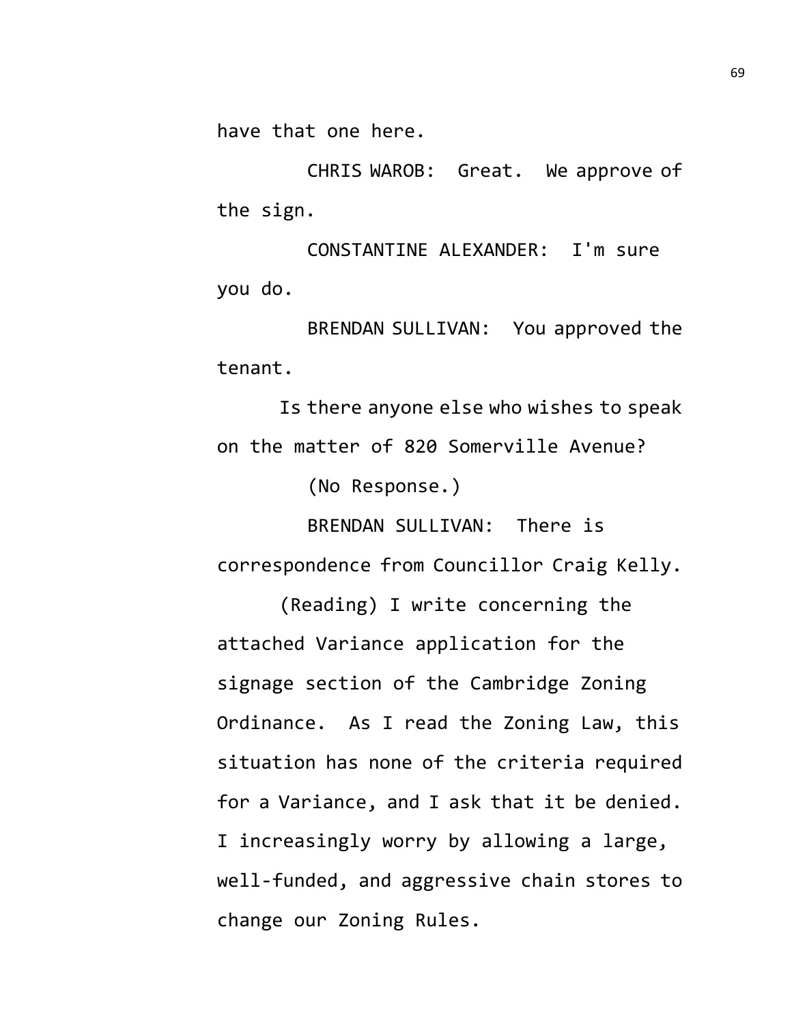have that one here.

CHRIS WAROB: Great. We approve of the sign.

CONSTANTINE ALEXANDER: I'm sure you do.

BRENDAN SULLIVAN: You approved the tenant.

Is there anyone else who wishes to speak on the matter of 820 Somerville Avenue?

(No Response.)

BRENDAN SULLIVAN: There is correspondence from Councillor Craig Kelly.

(Reading) I write concerning the attached Variance application for the signage section of the Cambridge Zoning Ordinance. As I read the Zoning Law, this situation has none of the criteria required for a Variance, and I ask that it be denied. I increasingly worry by allowing a large, well-funded, and aggressive chain stores to change our Zoning Rules.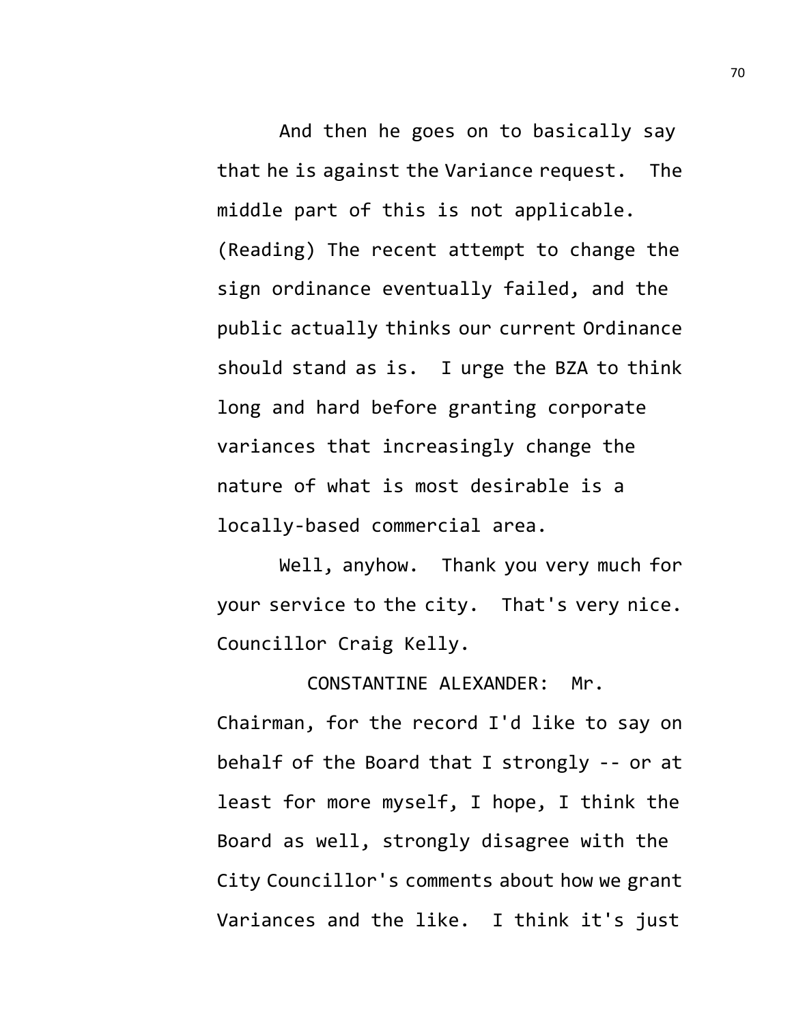And then he goes on to basically say that he is against the Variance request. The middle part of this is not applicable. (Reading) The recent attempt to change the sign ordinance eventually failed, and the public actually thinks our current Ordinance should stand as is. I urge the BZA to think long and hard before granting corporate variances that increasingly change the nature of what is most desirable is a locally-based commercial area.

Well, anyhow. Thank you very much for your service to the city. That's very nice. Councillor Craig Kelly.

CONSTANTINE ALEXANDER: Mr. Chairman, for the record I'd like to say on behalf of the Board that I strongly -- or at least for more myself, I hope, I think the Board as well, strongly disagree with the City Councillor's comments about how we grant Variances and the like. I think it's just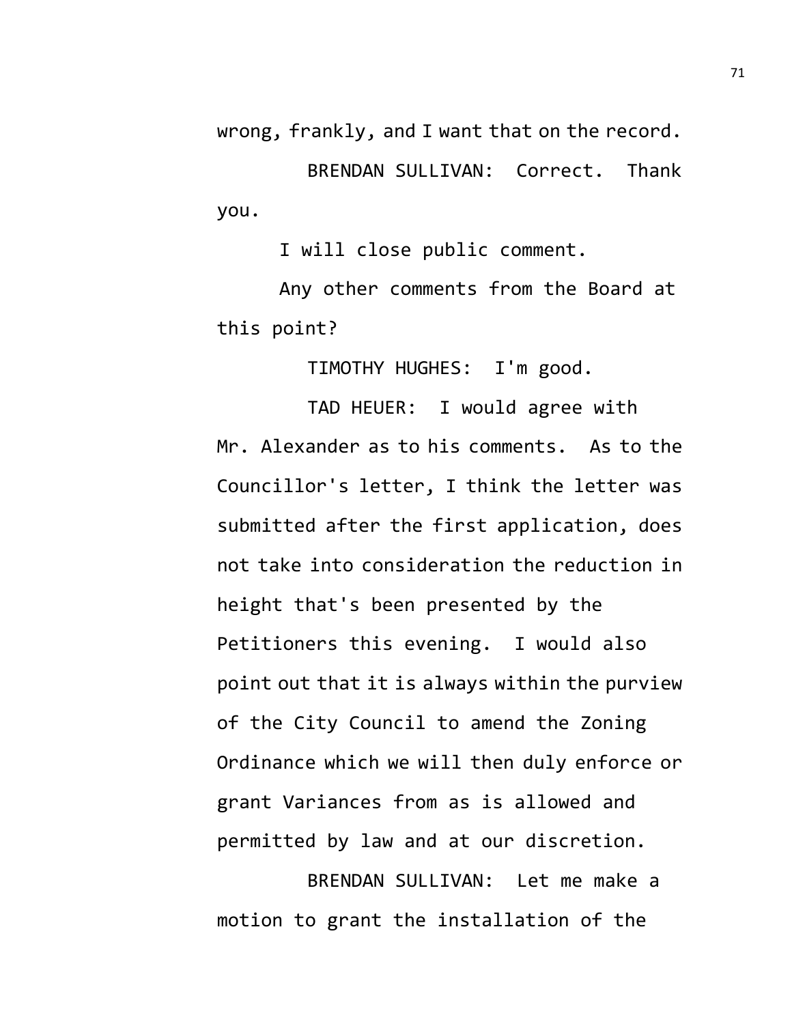wrong, frankly, and I want that on the record.

BRENDAN SULLIVAN: Correct. Thank you.

I will close public comment.

Any other comments from the Board at this point?

TIMOTHY HUGHES: I'm good.

TAD HEUER: I would agree with Mr. Alexander as to his comments. As to the Councillor's letter, I think the letter was submitted after the first application, does not take into consideration the reduction in height that's been presented by the Petitioners this evening. I would also point out that it is always within the purview of the City Council to amend the Zoning Ordinance which we will then duly enforce or grant Variances from as is allowed and permitted by law and at our discretion.

BRENDAN SULLIVAN: Let me make a motion to grant the installation of the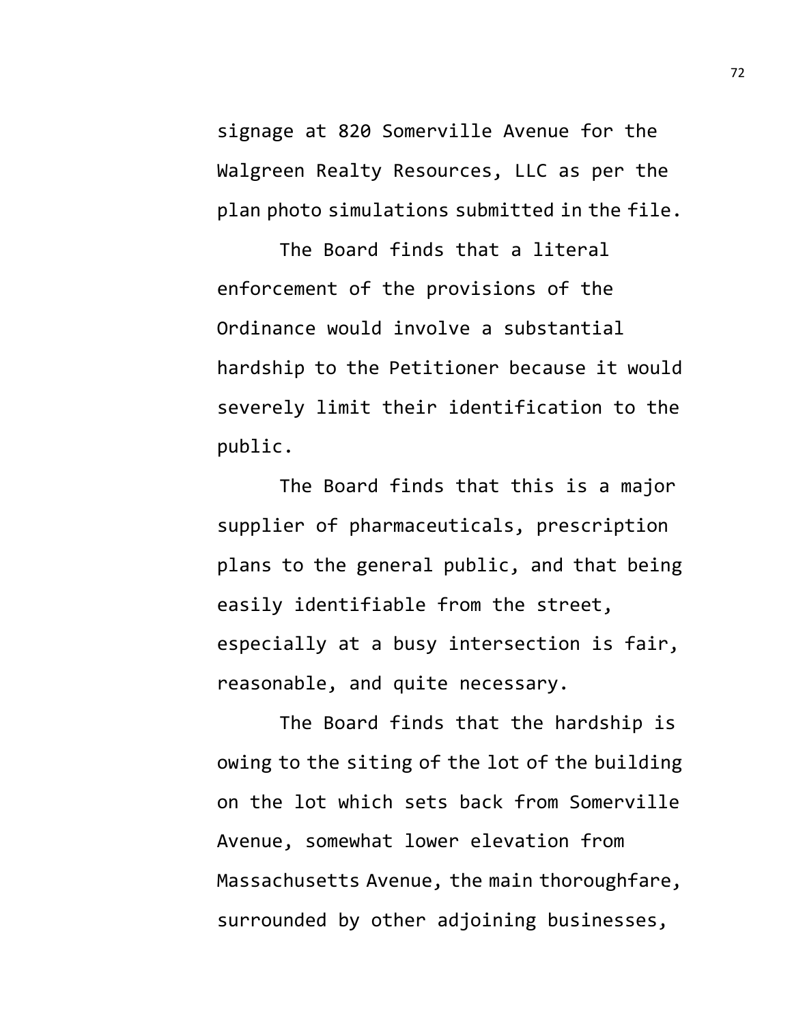signage at 820 Somerville Avenue for the Walgreen Realty Resources, LLC as per the plan photo simulations submitted in the file.

The Board finds that a literal enforcement of the provisions of the Ordinance would involve a substantial hardship to the Petitioner because it would severely limit their identification to the public.

The Board finds that this is a major supplier of pharmaceuticals, prescription plans to the general public, and that being easily identifiable from the street, especially at a busy intersection is fair, reasonable, and quite necessary.

The Board finds that the hardship is owing to the siting of the lot of the building on the lot which sets back from Somerville Avenue, somewhat lower elevation from Massachusetts Avenue, the main thoroughfare, surrounded by other adjoining businesses,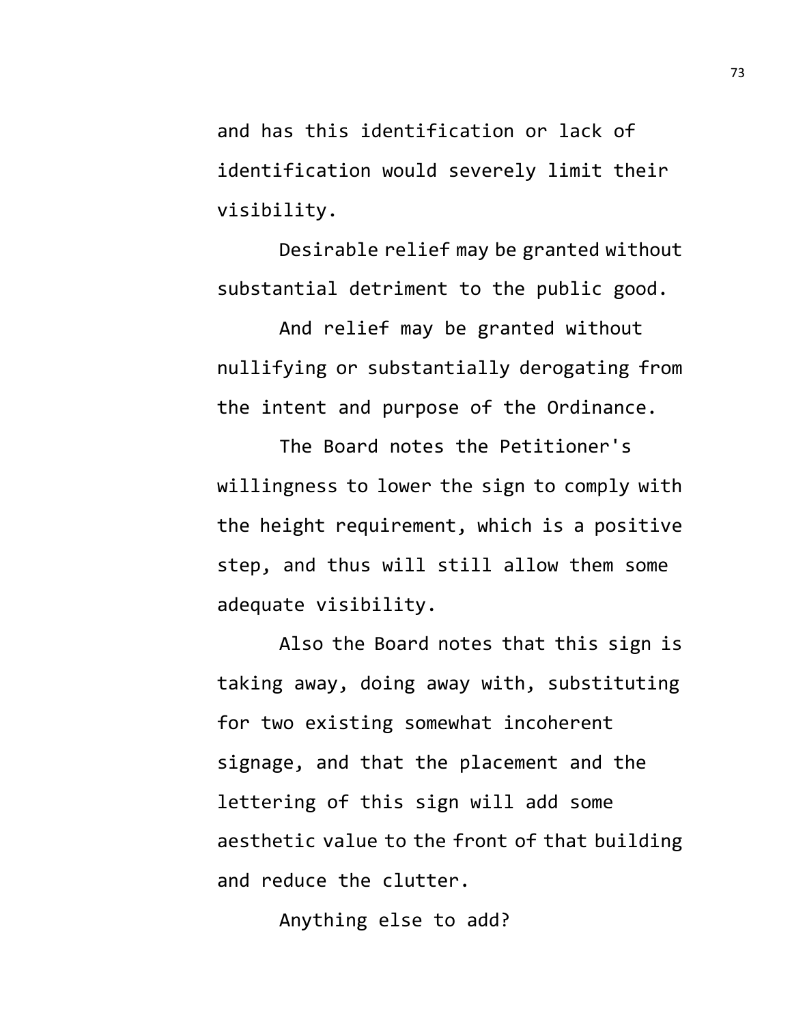and has this identification or lack of identification would severely limit their visibility.

Desirable relief may be granted without substantial detriment to the public good.

And relief may be granted without nullifying or substantially derogating from the intent and purpose of the Ordinance.

The Board notes the Petitioner's willingness to lower the sign to comply with the height requirement, which is a positive step, and thus will still allow them some adequate visibility.

Also the Board notes that this sign is taking away, doing away with, substituting for two existing somewhat incoherent signage, and that the placement and the lettering of this sign will add some aesthetic value to the front of that building and reduce the clutter.

Anything else to add?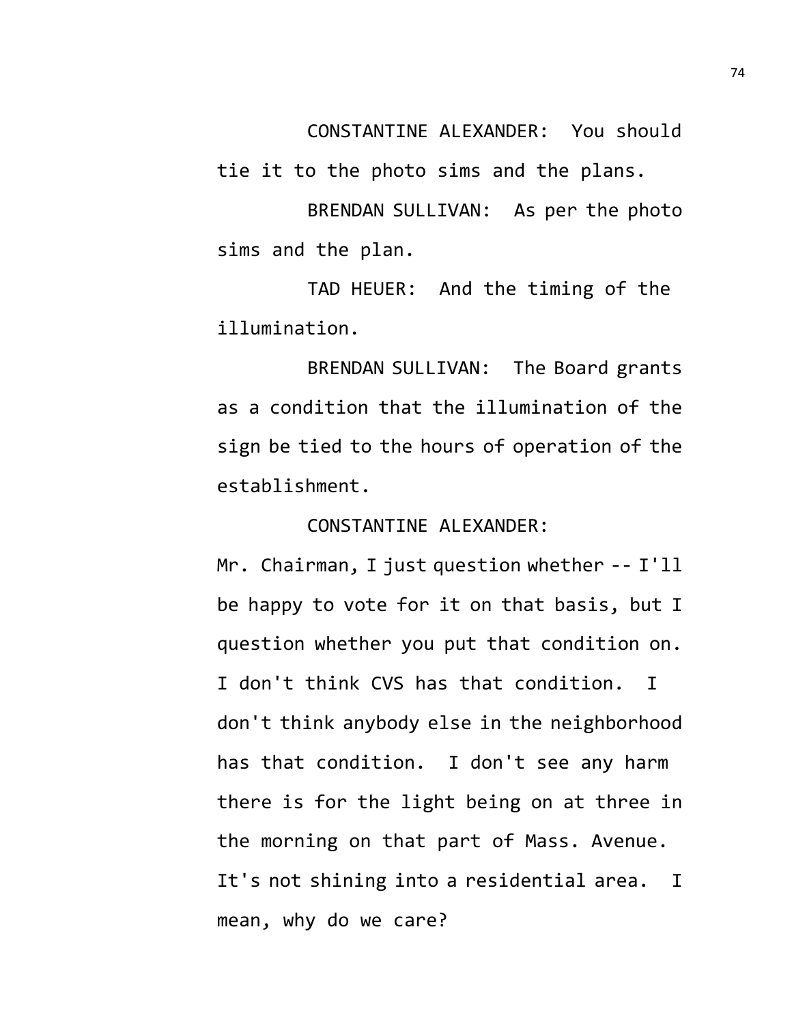CONSTANTINE ALEXANDER: You should

tie it to the photo sims and the plans.

BRENDAN SULLIVAN: As per the photo sims and the plan.

TAD HEUER: And the timing of the illumination.

BRENDAN SULLIVAN: The Board grants as a condition that the illumination of the sign be tied to the hours of operation of the establishment.

## CONSTANTINE ALEXANDER:

Mr. Chairman, I just question whether -- I'll be happy to vote for it on that basis, but I question whether you put that condition on. I don't think CVS has that condition. I don't think anybody else in the neighborhood has that condition. I don't see any harm there is for the light being on at three in the morning on that part of Mass. Avenue. It's not shining into a residential area. I mean, why do we care?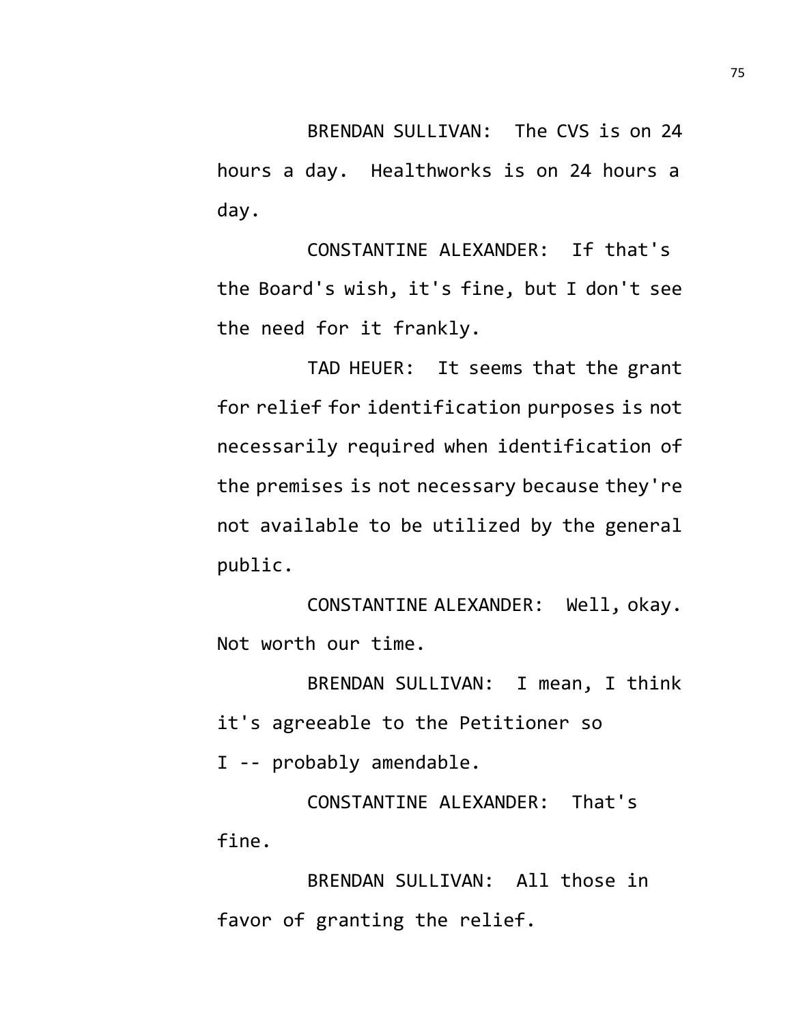BRENDAN SULLIVAN: The CVS is on 24 hours a day. Healthworks is on 24 hours a day.

CONSTANTINE ALEXANDER: If that's the Board's wish, it's fine, but I don't see the need for it frankly.

TAD HEUER: It seems that the grant for relief for identification purposes is not necessarily required when identification of the premises is not necessary because they're not available to be utilized by the general public.

CONSTANTINE ALEXANDER: Well, okay. Not worth our time.

BRENDAN SULLIVAN: I mean, I think it's agreeable to the Petitioner so I -- probably amendable.

CONSTANTINE ALEXANDER: That's fine.

BRENDAN SULLIVAN: All those in favor of granting the relief.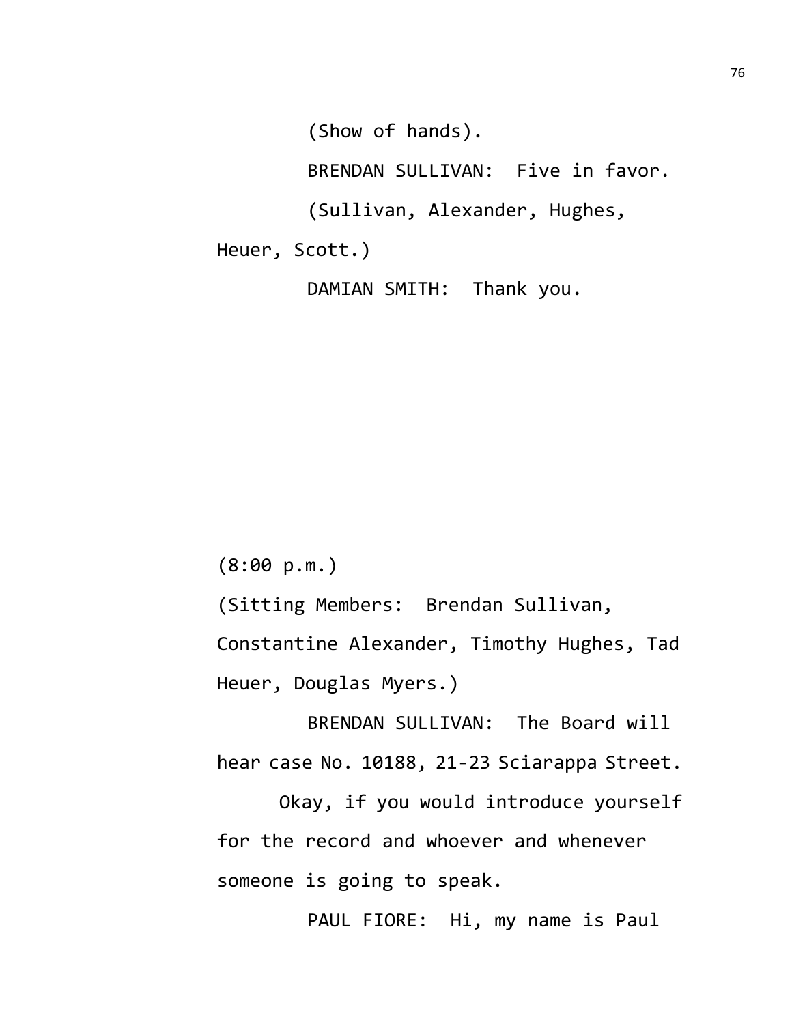(Show of hands).

BRENDAN SULLIVAN: Five in favor.

(Sullivan, Alexander, Hughes,

Heuer, Scott.)

DAMIAN SMITH: Thank you.

(8:00 p.m.)

(Sitting Members: Brendan Sullivan,

Constantine Alexander, Timothy Hughes, Tad Heuer, Douglas Myers.)

BRENDAN SULLIVAN: The Board will hear case No. 10188, 21-23 Sciarappa Street.

Okay, if you would introduce yourself for the record and whoever and whenever someone is going to speak.

PAUL FIORE: Hi, my name is Paul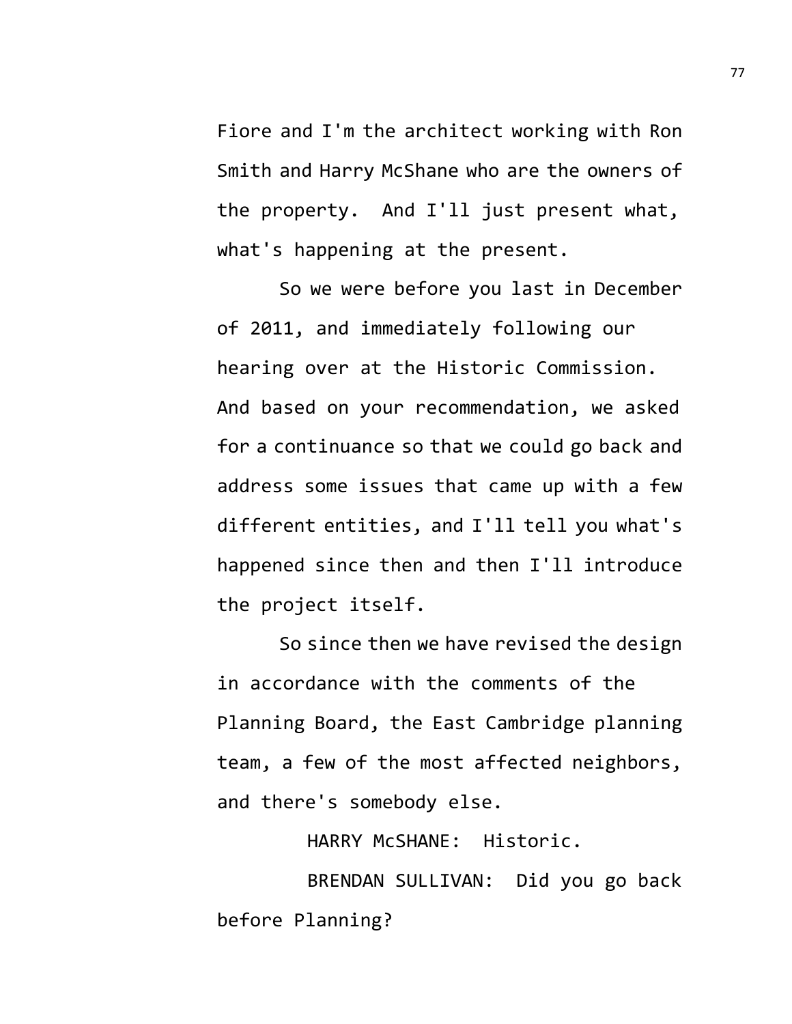Fiore and I'm the architect working with Ron Smith and Harry McShane who are the owners of the property. And I'll just present what, what's happening at the present.

So we were before you last in December of 2011, and immediately following our hearing over at the Historic Commission. And based on your recommendation, we asked for a continuance so that we could go back and address some issues that came up with a few different entities, and I'll tell you what's happened since then and then I'll introduce the project itself.

So since then we have revised the design in accordance with the comments of the Planning Board, the East Cambridge planning team, a few of the most affected neighbors, and there's somebody else.

HARRY McSHANE: Historic.

BRENDAN SULLIVAN: Did you go back before Planning?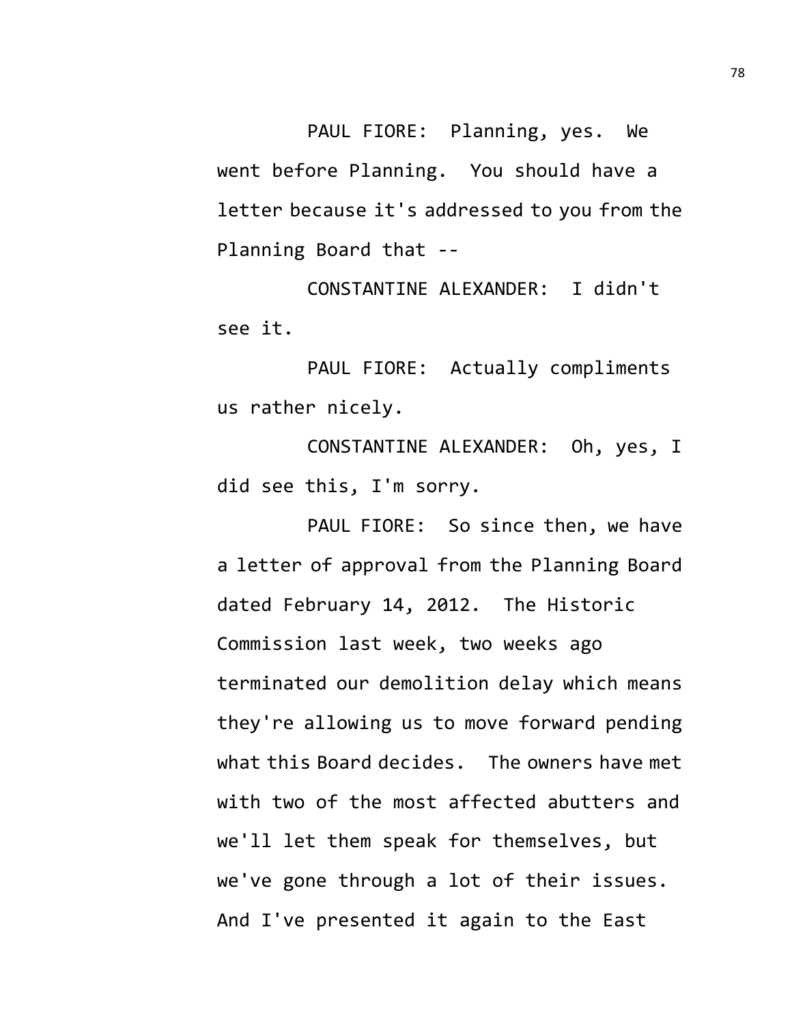PAUL FIORE: Planning, yes. We went before Planning. You should have a letter because it's addressed to you from the Planning Board that --

CONSTANTINE ALEXANDER: I didn't see it.

PAUL FIORE: Actually compliments us rather nicely.

CONSTANTINE ALEXANDER: Oh, yes, I did see this, I'm sorry.

PAUL FIORE: So since then, we have a letter of approval from the Planning Board dated February 14, 2012. The Historic Commission last week, two weeks ago terminated our demolition delay which means they're allowing us to move forward pending what this Board decides. The owners have met with two of the most affected abutters and we'll let them speak for themselves, but we've gone through a lot of their issues. And I've presented it again to the East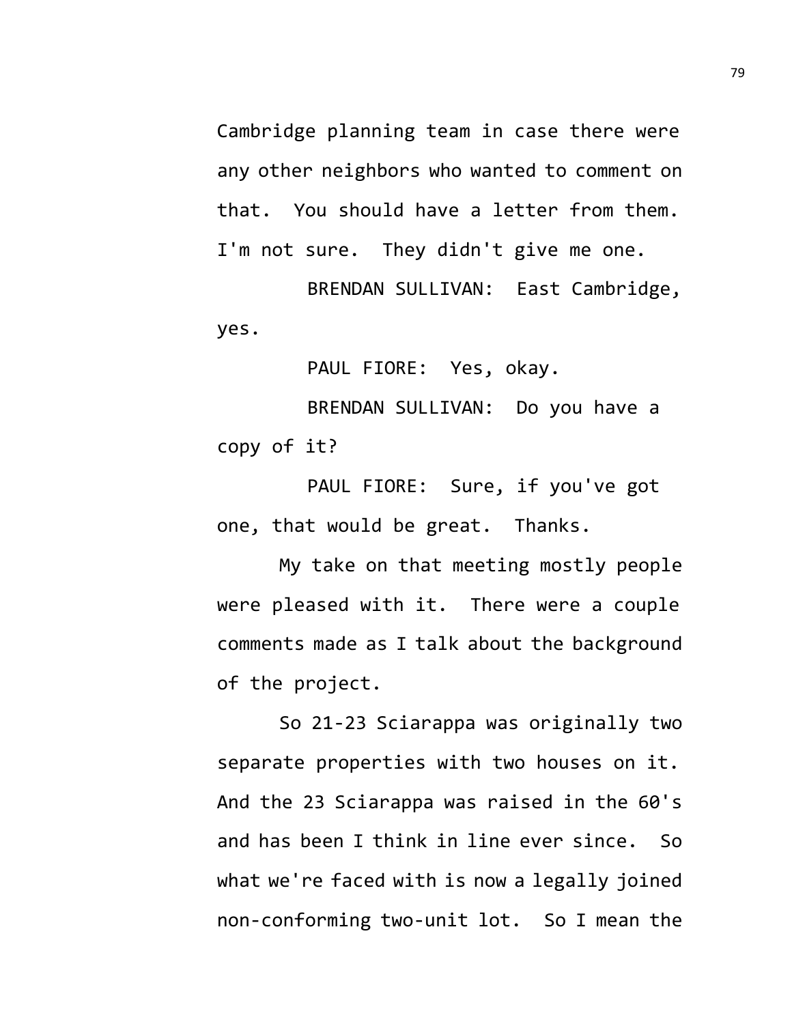Cambridge planning team in case there were any other neighbors who wanted to comment on that. You should have a letter from them. I'm not sure. They didn't give me one.

BRENDAN SULLIVAN: East Cambridge, yes.

PAUL FIORE: Yes, okay.

BRENDAN SULLIVAN: Do you have a copy of it?

PAUL FIORE: Sure, if you've got one, that would be great. Thanks.

My take on that meeting mostly people were pleased with it. There were a couple comments made as I talk about the background of the project.

So 21-23 Sciarappa was originally two separate properties with two houses on it. And the 23 Sciarappa was raised in the 60's and has been I think in line ever since. So what we're faced with is now a legally joined non-conforming two-unit lot. So I mean the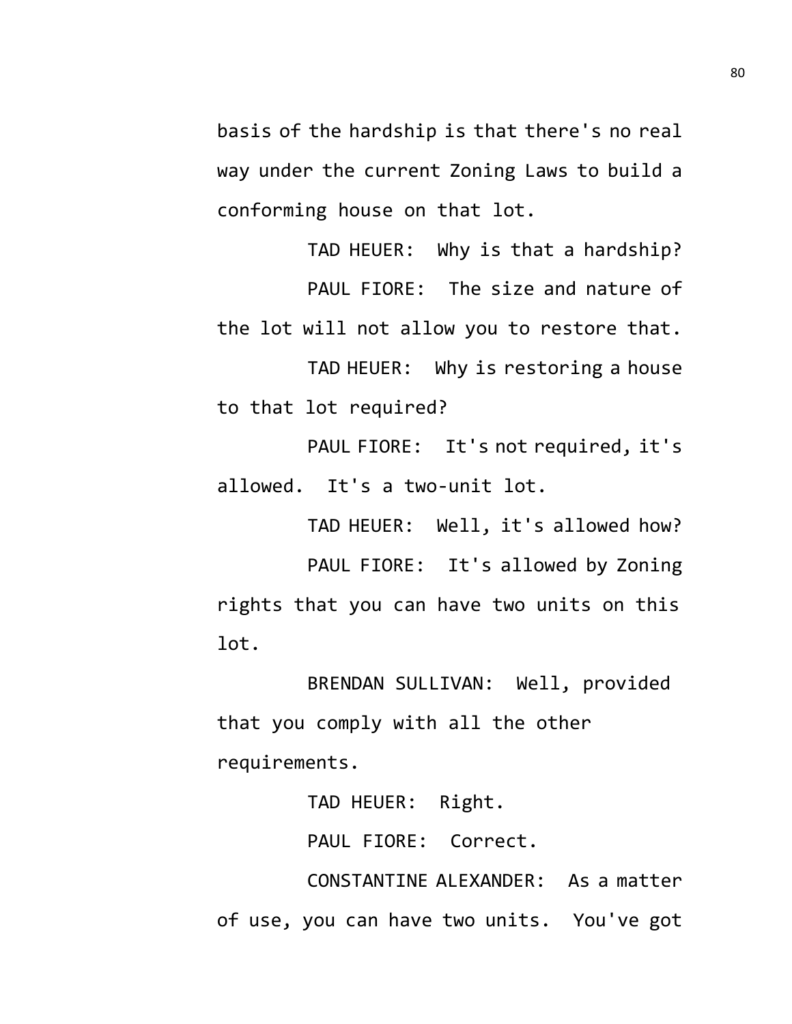basis of the hardship is that there's no real way under the current Zoning Laws to build a conforming house on that lot.

TAD HEUER: Why is that a hardship? PAUL FIORE: The size and nature of the lot will not allow you to restore that.

TAD HEUER: Why is restoring a house to that lot required?

PAUL FIORE: It's not required, it's allowed. It's a two-unit lot.

TAD HEUER: Well, it's allowed how?

PAUL FIORE: It's allowed by Zoning rights that you can have two units on this lot.

BRENDAN SULLIVAN: Well, provided that you comply with all the other requirements.

TAD HEUER: Right.

PAUL FIORE: Correct.

CONSTANTINE ALEXANDER: As a matter of use, you can have two units. You've got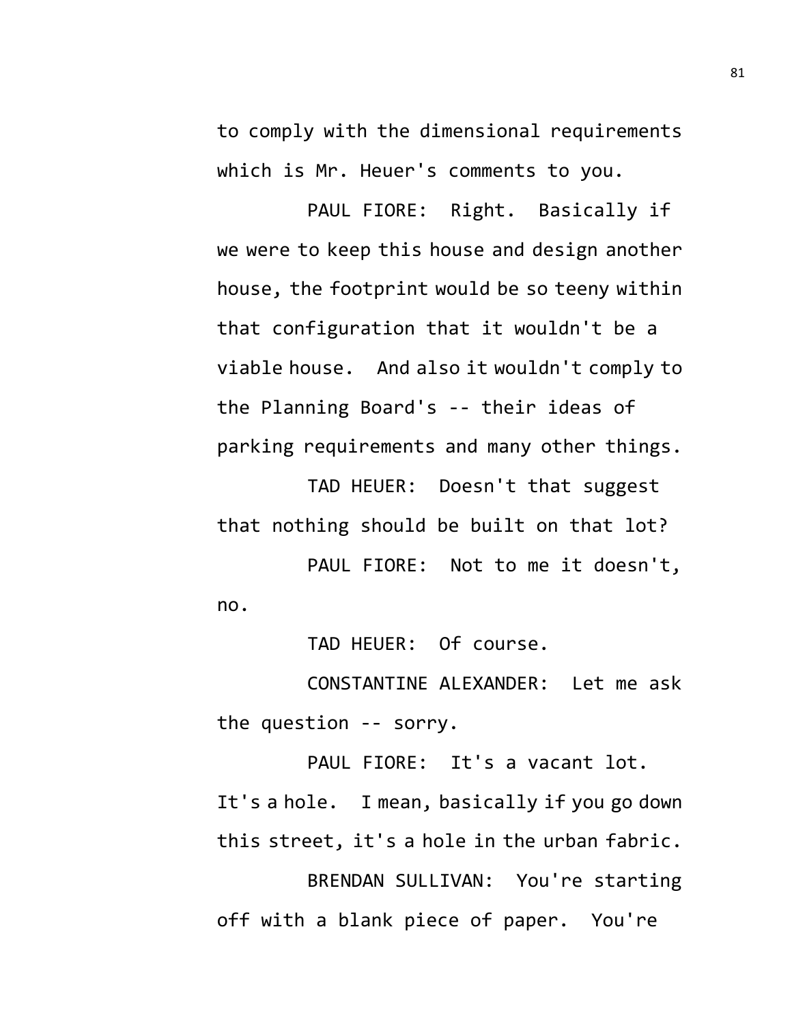to comply with the dimensional requirements which is Mr. Heuer's comments to you.

PAUL FIORE: Right. Basically if we were to keep this house and design another house, the footprint would be so teeny within that configuration that it wouldn't be a viable house. And also it wouldn't comply to the Planning Board's -- their ideas of parking requirements and many other things.

TAD HEUER: Doesn't that suggest that nothing should be built on that lot?

PAUL FIORE: Not to me it doesn't, no.

TAD HEUER: Of course.

CONSTANTINE ALEXANDER: Let me ask the question -- sorry.

PAUL FIORE: It's a vacant lot. It's a hole. I mean, basically if you go down this street, it's a hole in the urban fabric.

BRENDAN SULLIVAN: You're starting off with a blank piece of paper. You're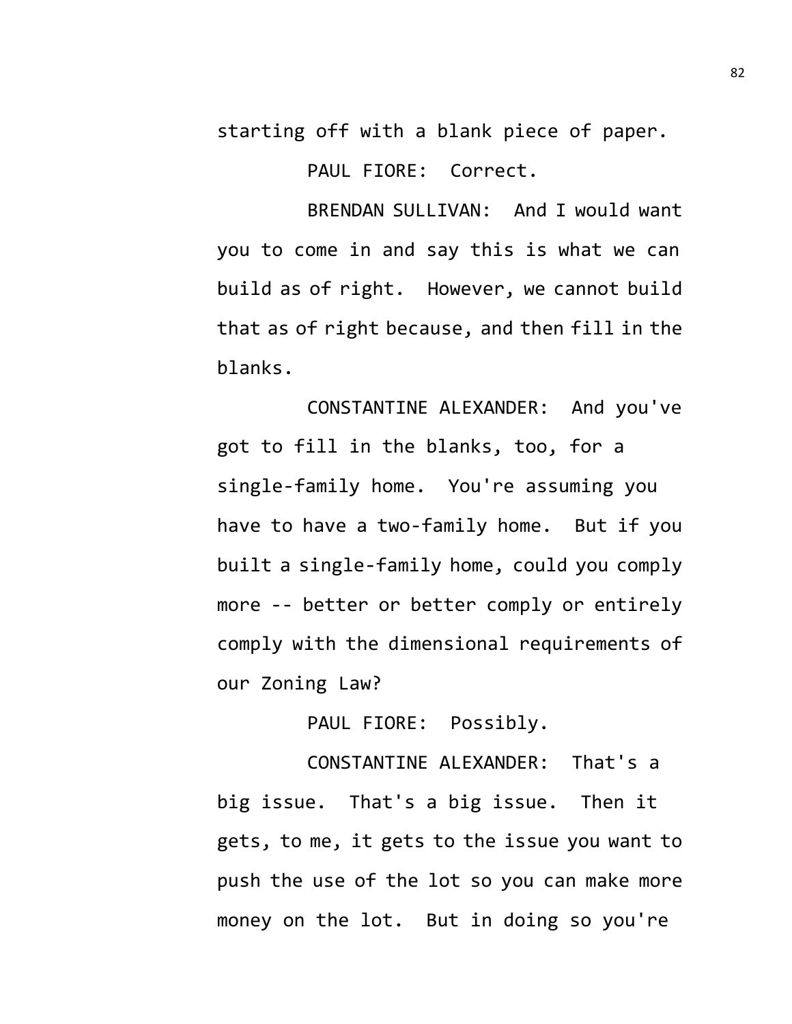starting off with a blank piece of paper.

PAUL FIORE: Correct.

BRENDAN SULLIVAN: And I would want you to come in and say this is what we can build as of right. However, we cannot build that as of right because, and then fill in the blanks.

CONSTANTINE ALEXANDER: And you've got to fill in the blanks, too, for a single-family home. You're assuming you have to have a two-family home. But if you built a single-family home, could you comply more -- better or better comply or entirely comply with the dimensional requirements of our Zoning Law?

PAUL FIORE: Possibly.

CONSTANTINE ALEXANDER: That's a big issue. That's a big issue. Then it gets, to me, it gets to the issue you want to push the use of the lot so you can make more money on the lot. But in doing so you're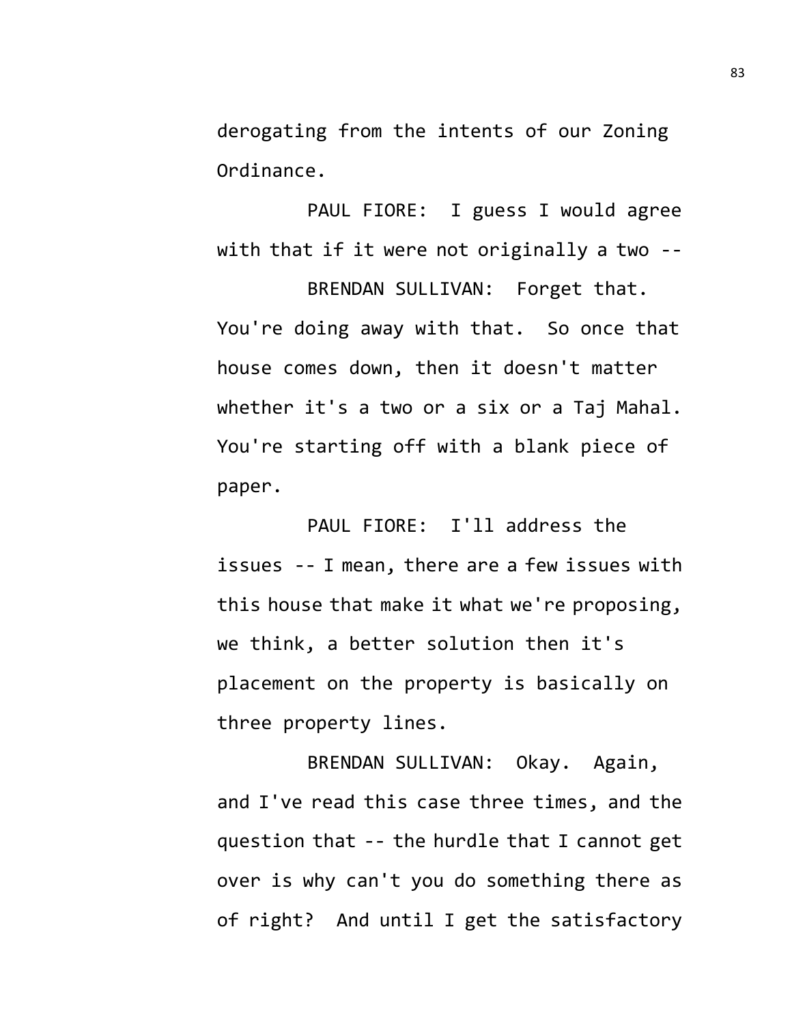derogating from the intents of our Zoning Ordinance.

PAUL FIORE: I guess I would agree with that if it were not originally a two --

BRENDAN SULLIVAN: Forget that. You're doing away with that. So once that house comes down, then it doesn't matter whether it's a two or a six or a Taj Mahal. You're starting off with a blank piece of paper.

PAUL FIORE: I'll address the issues -- I mean, there are a few issues with this house that make it what we're proposing, we think, a better solution then it's placement on the property is basically on three property lines.

BRENDAN SULLIVAN: Okay. Again, and I've read this case three times, and the question that -- the hurdle that I cannot get over is why can't you do something there as of right? And until I get the satisfactory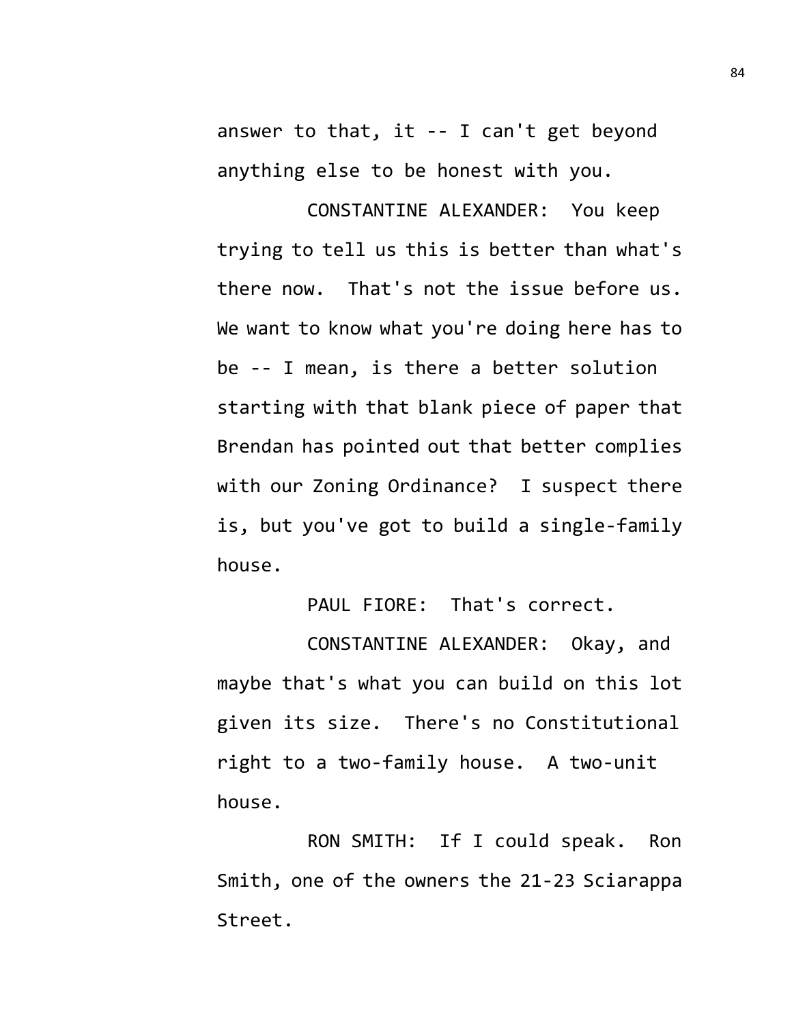answer to that, it -- I can't get beyond anything else to be honest with you.

CONSTANTINE ALEXANDER: You keep trying to tell us this is better than what's there now. That's not the issue before us. We want to know what you're doing here has to be -- I mean, is there a better solution starting with that blank piece of paper that Brendan has pointed out that better complies with our Zoning Ordinance? I suspect there is, but you've got to build a single-family house.

PAUL FIORE: That's correct.

CONSTANTINE ALEXANDER: Okay, and maybe that's what you can build on this lot given its size. There's no Constitutional right to a two-family house. A two-unit house.

RON SMITH: If I could speak. Ron Smith, one of the owners the 21-23 Sciarappa Street.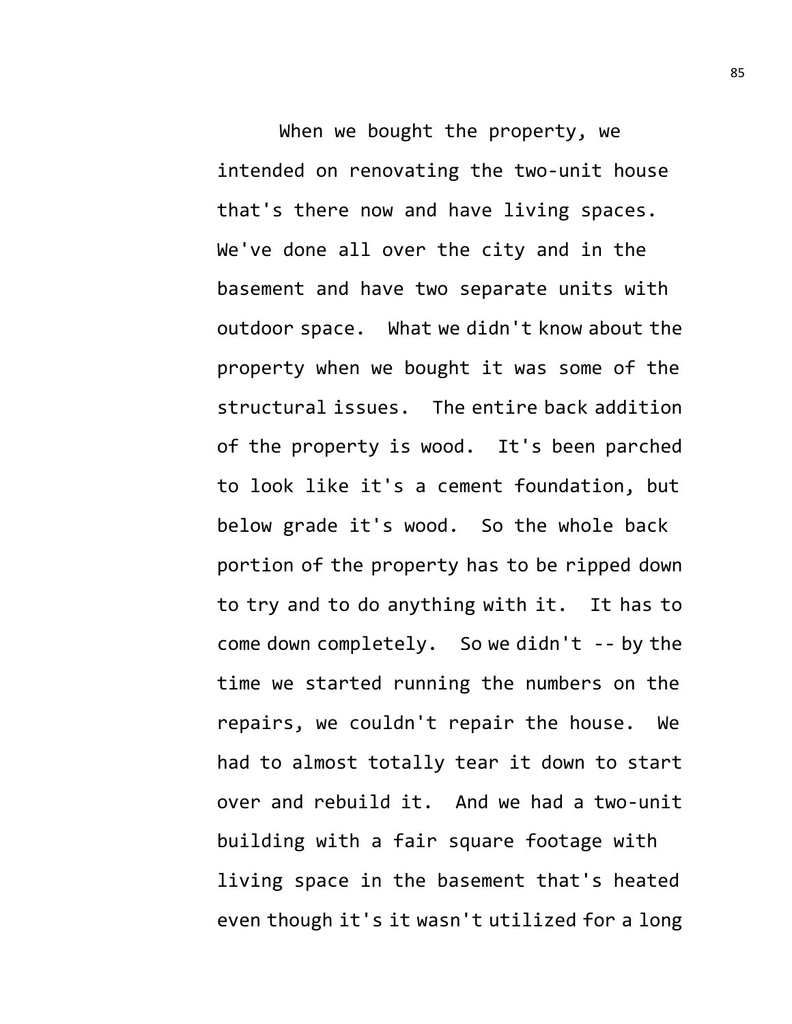When we bought the property, we intended on renovating the two-unit house that's there now and have living spaces. We've done all over the city and in the basement and have two separate units with outdoor space. What we didn't know about the property when we bought it was some of the structural issues. The entire back addition of the property is wood. It's been parched to look like it's a cement foundation, but below grade it's wood. So the whole back portion of the property has to be ripped down to try and to do anything with it. It has to come down completely. So we didn't -- by the time we started running the numbers on the repairs, we couldn't repair the house. We had to almost totally tear it down to start over and rebuild it. And we had a two-unit building with a fair square footage with living space in the basement that's heated even though it's it wasn't utilized for a long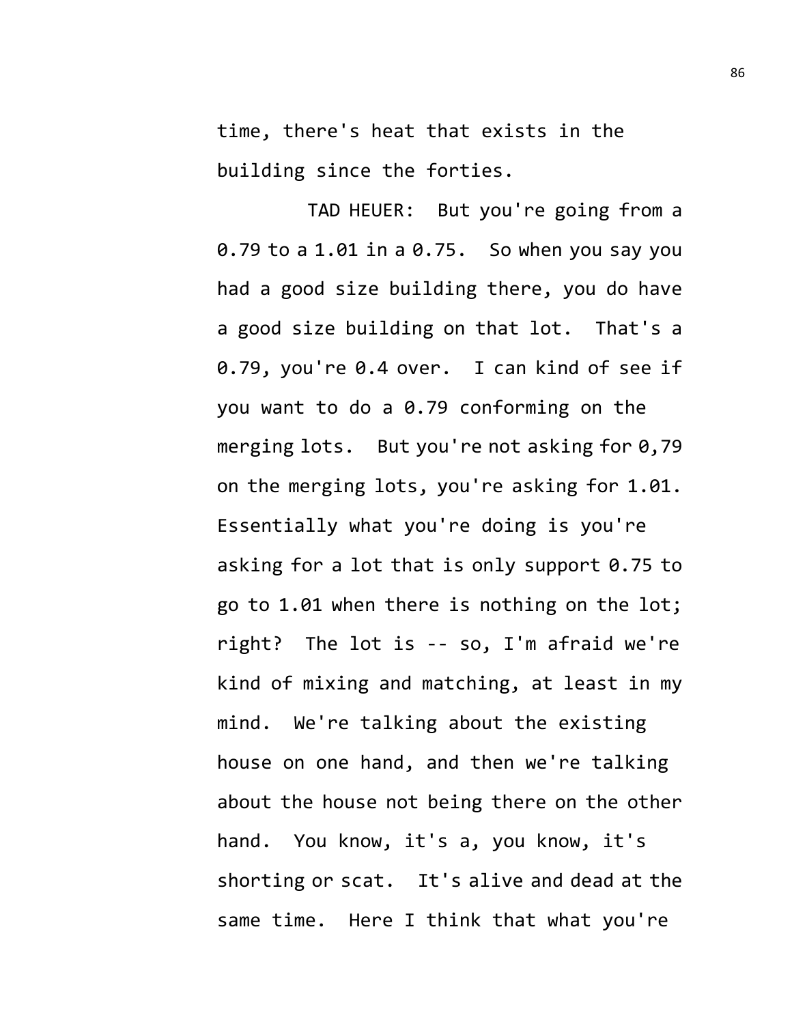time, there's heat that exists in the building since the forties.

TAD HEUER: But you're going from a 0.79 to a 1.01 in a 0.75. So when you say you had a good size building there, you do have a good size building on that lot. That's a 0.79, you're 0.4 over. I can kind of see if you want to do a 0.79 conforming on the merging lots. But you're not asking for 0,79 on the merging lots, you're asking for 1.01. Essentially what you're doing is you're asking for a lot that is only support 0.75 to go to 1.01 when there is nothing on the lot; right? The lot is -- so, I'm afraid we're kind of mixing and matching, at least in my mind. We're talking about the existing house on one hand, and then we're talking about the house not being there on the other hand. You know, it's a, you know, it's shorting or scat. It's alive and dead at the same time. Here I think that what you're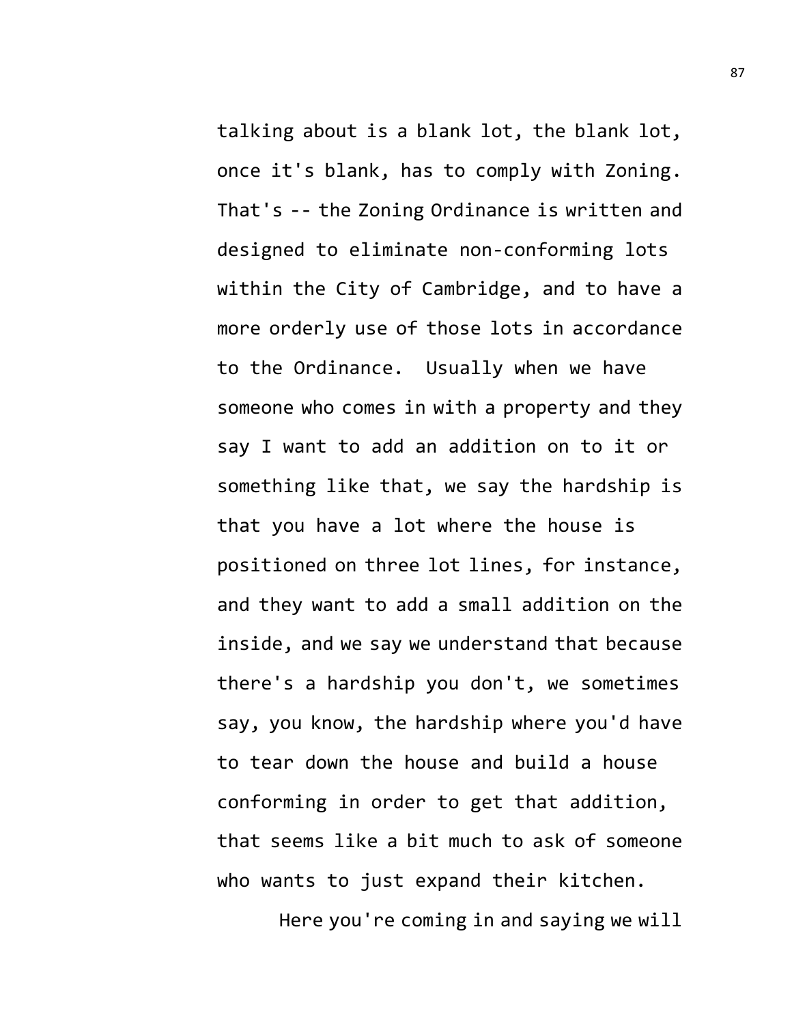talking about is a blank lot, the blank lot, once it's blank, has to comply with Zoning. That's -- the Zoning Ordinance is written and designed to eliminate non-conforming lots within the City of Cambridge, and to have a more orderly use of those lots in accordance to the Ordinance. Usually when we have someone who comes in with a property and they say I want to add an addition on to it or something like that, we say the hardship is that you have a lot where the house is positioned on three lot lines, for instance, and they want to add a small addition on the inside, and we say we understand that because there's a hardship you don't, we sometimes say, you know, the hardship where you'd have to tear down the house and build a house conforming in order to get that addition, that seems like a bit much to ask of someone who wants to just expand their kitchen.

Here you're coming in and saying we will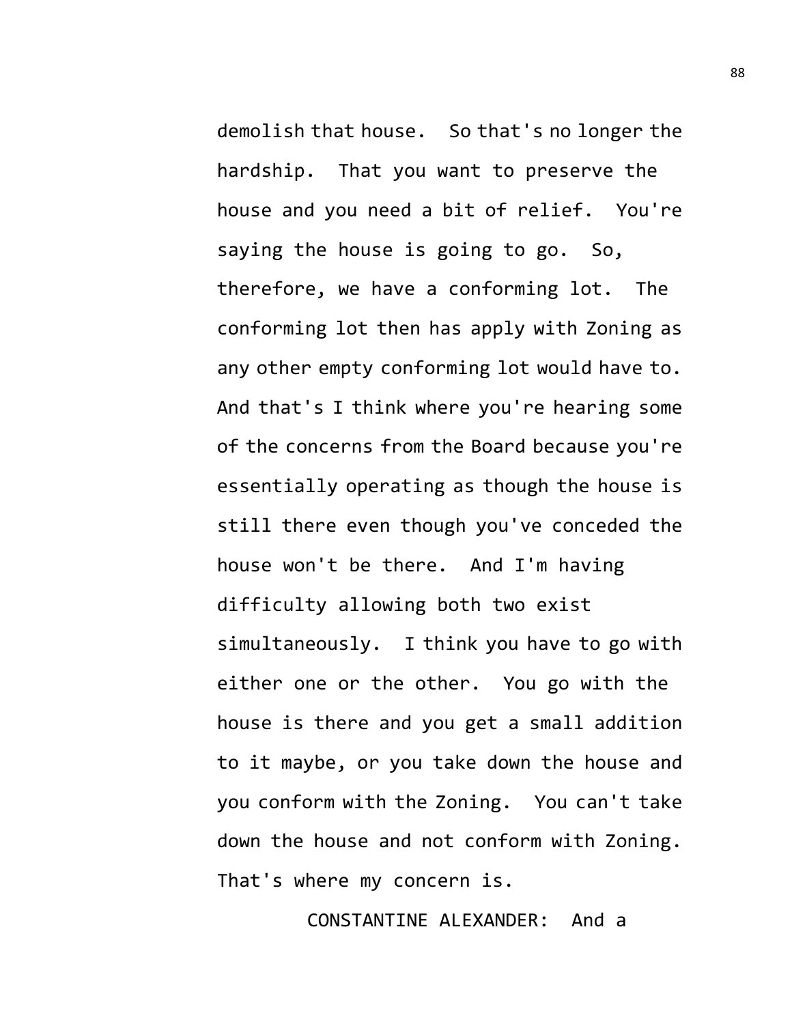demolish that house. So that's no longer the hardship. That you want to preserve the house and you need a bit of relief. You're saying the house is going to go. So, therefore, we have a conforming lot. The conforming lot then has apply with Zoning as any other empty conforming lot would have to. And that's I think where you're hearing some of the concerns from the Board because you're essentially operating as though the house is still there even though you've conceded the house won't be there. And I'm having difficulty allowing both two exist simultaneously. I think you have to go with either one or the other. You go with the house is there and you get a small addition to it maybe, or you take down the house and you conform with the Zoning. You can't take down the house and not conform with Zoning. That's where my concern is.

CONSTANTINE ALEXANDER: And a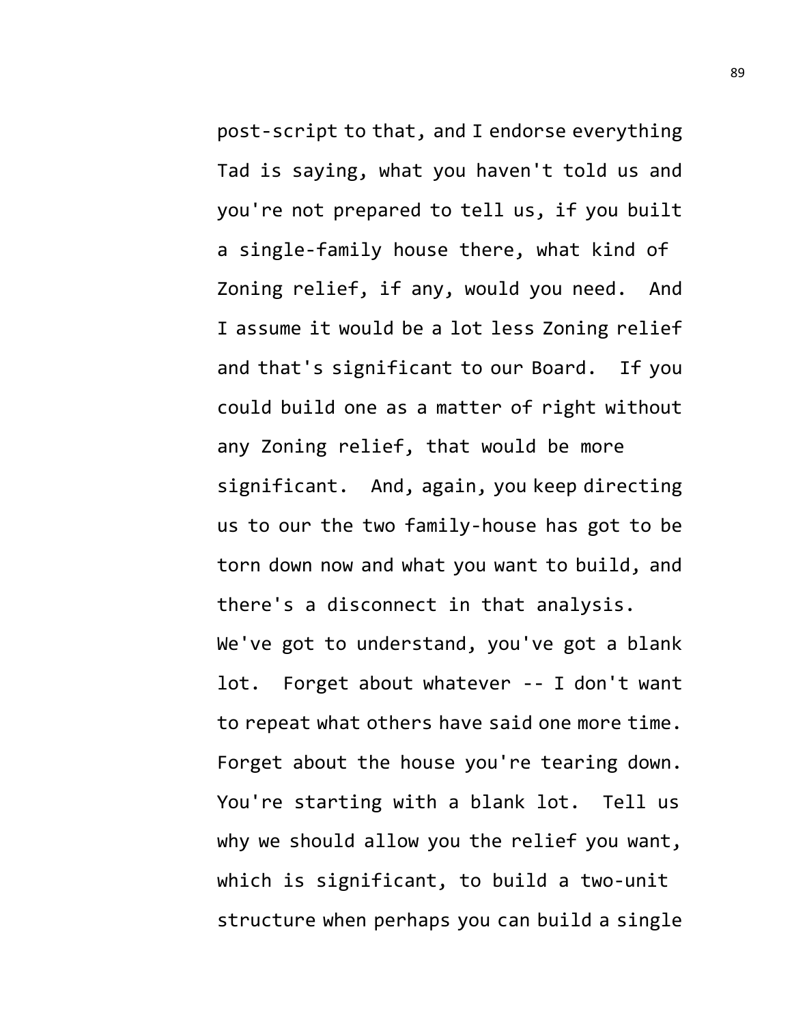post-script to that, and I endorse everything Tad is saying, what you haven't told us and you're not prepared to tell us, if you built a single-family house there, what kind of Zoning relief, if any, would you need. And I assume it would be a lot less Zoning relief and that's significant to our Board. If you could build one as a matter of right without any Zoning relief, that would be more significant. And, again, you keep directing us to our the two family-house has got to be torn down now and what you want to build, and there's a disconnect in that analysis.

We've got to understand, you've got a blank lot. Forget about whatever -- I don't want to repeat what others have said one more time. Forget about the house you're tearing down. You're starting with a blank lot. Tell us why we should allow you the relief you want, which is significant, to build a two-unit structure when perhaps you can build a single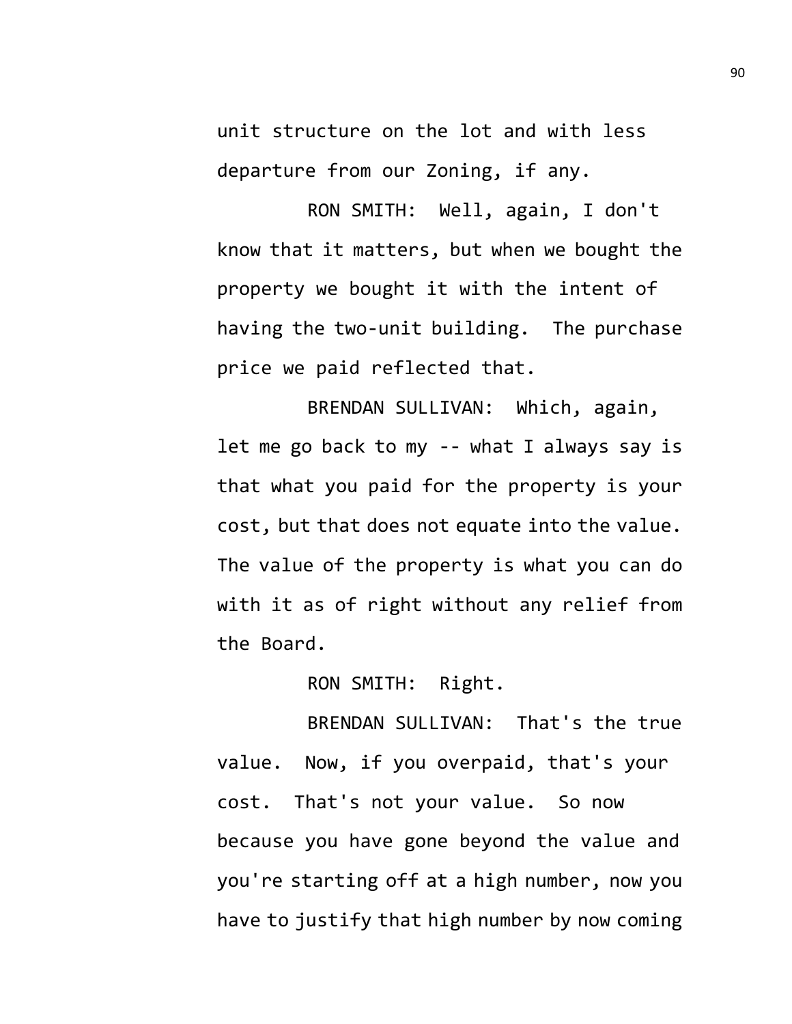unit structure on the lot and with less departure from our Zoning, if any.

RON SMITH: Well, again, I don't know that it matters, but when we bought the property we bought it with the intent of having the two-unit building. The purchase price we paid reflected that.

BRENDAN SULLIVAN: Which, again, let me go back to my -- what I always say is that what you paid for the property is your cost, but that does not equate into the value. The value of the property is what you can do with it as of right without any relief from the Board.

RON SMITH: Right.

BRENDAN SULLIVAN: That's the true value. Now, if you overpaid, that's your cost. That's not your value. So now because you have gone beyond the value and you're starting off at a high number, now you have to justify that high number by now coming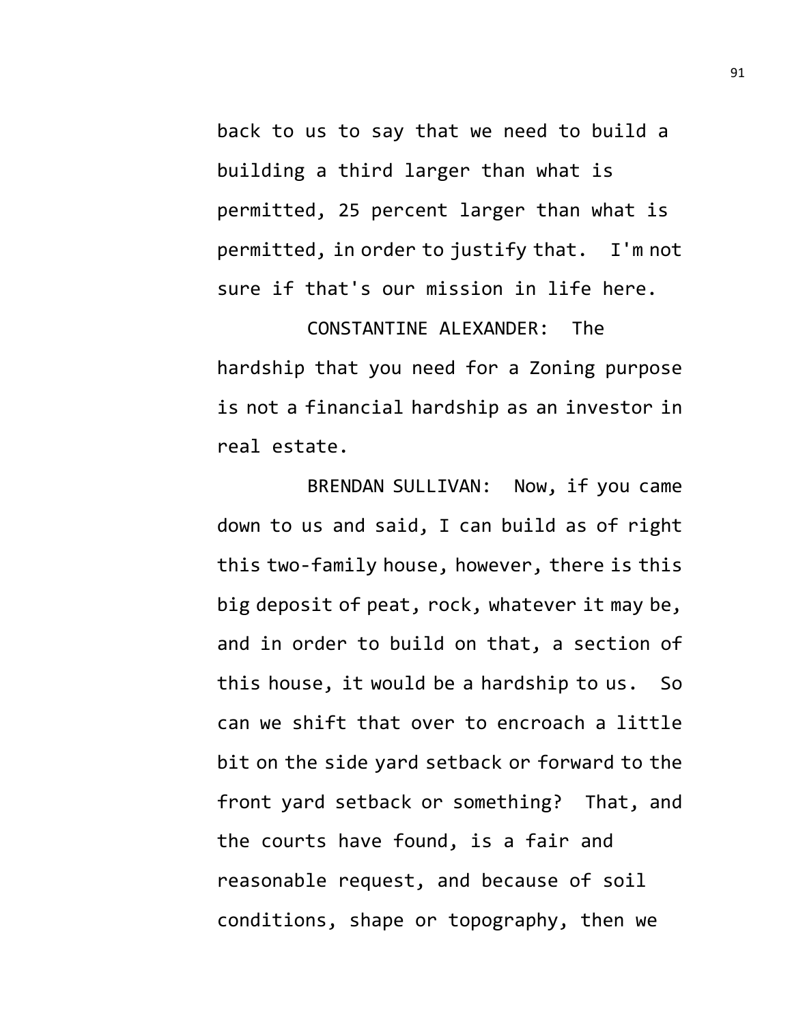back to us to say that we need to build a building a third larger than what is permitted, 25 percent larger than what is permitted, in order to justify that. I'm not sure if that's our mission in life here.

CONSTANTINE ALEXANDER: The hardship that you need for a Zoning purpose is not a financial hardship as an investor in real estate.

BRENDAN SULLIVAN: Now, if you came down to us and said, I can build as of right this two-family house, however, there is this big deposit of peat, rock, whatever it may be, and in order to build on that, a section of this house, it would be a hardship to us. So can we shift that over to encroach a little bit on the side yard setback or forward to the front yard setback or something? That, and the courts have found, is a fair and reasonable request, and because of soil conditions, shape or topography, then we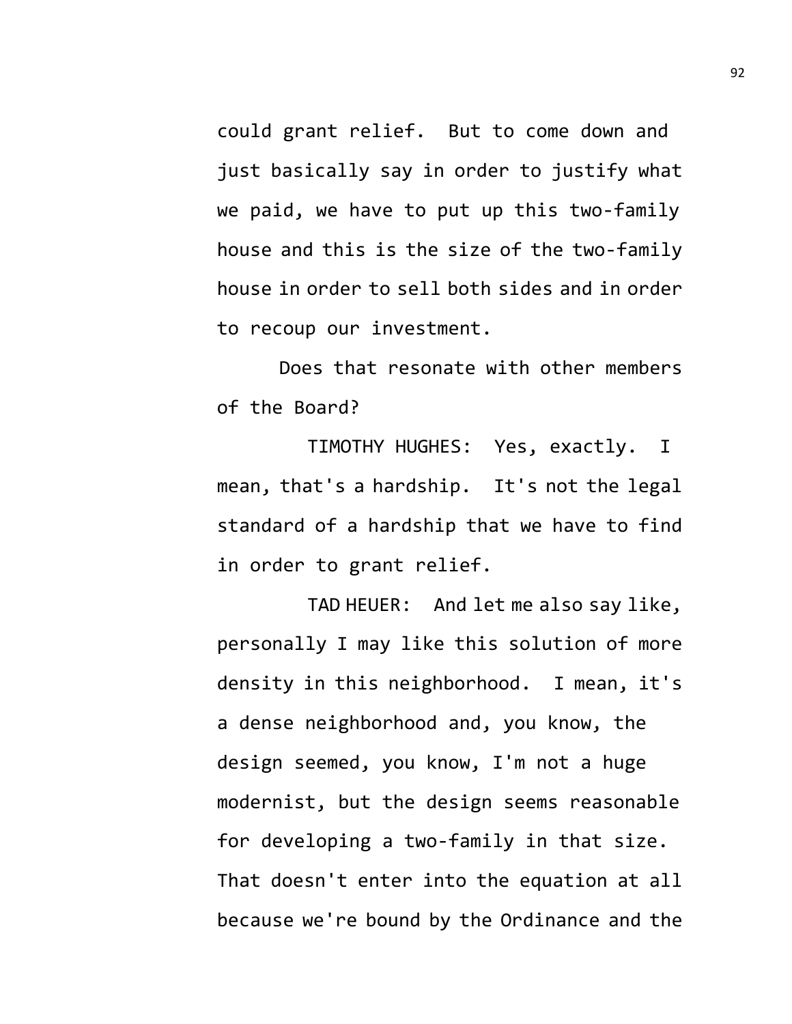could grant relief. But to come down and just basically say in order to justify what we paid, we have to put up this two-family house and this is the size of the two-family house in order to sell both sides and in order to recoup our investment.

Does that resonate with other members of the Board?

TIMOTHY HUGHES: Yes, exactly. I mean, that's a hardship. It's not the legal standard of a hardship that we have to find in order to grant relief.

TAD HEUER: And let me also say like, personally I may like this solution of more density in this neighborhood. I mean, it's a dense neighborhood and, you know, the design seemed, you know, I'm not a huge modernist, but the design seems reasonable for developing a two-family in that size. That doesn't enter into the equation at all because we're bound by the Ordinance and the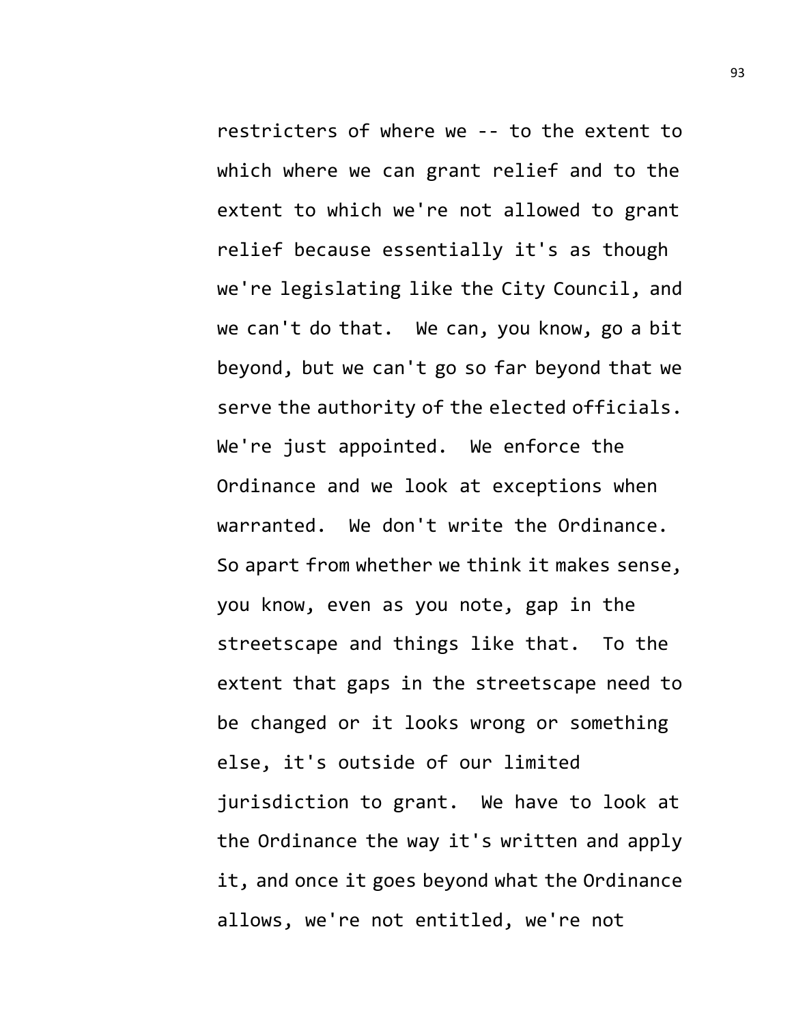restricters of where we -- to the extent to which where we can grant relief and to the extent to which we're not allowed to grant relief because essentially it's as though we're legislating like the City Council, and we can't do that. We can, you know, go a bit beyond, but we can't go so far beyond that we serve the authority of the elected officials. We're just appointed. We enforce the Ordinance and we look at exceptions when warranted. We don't write the Ordinance. So apart from whether we think it makes sense, you know, even as you note, gap in the streetscape and things like that. To the extent that gaps in the streetscape need to be changed or it looks wrong or something else, it's outside of our limited jurisdiction to grant. We have to look at the Ordinance the way it's written and apply it, and once it goes beyond what the Ordinance allows, we're not entitled, we're not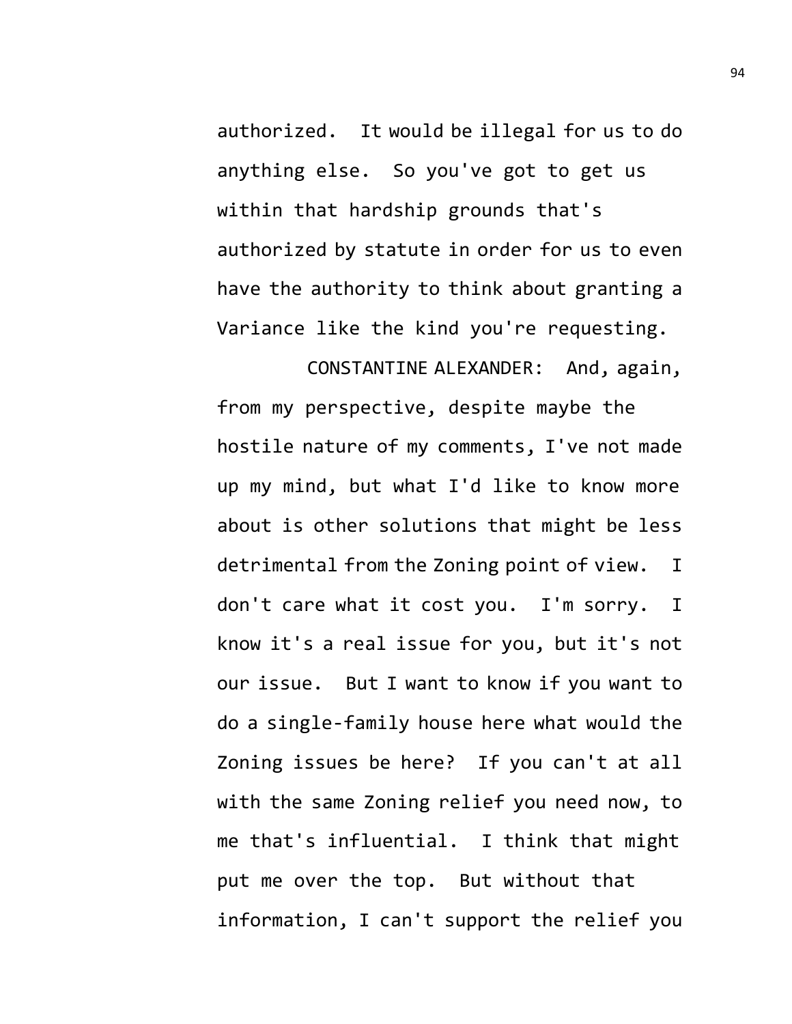authorized. It would be illegal for us to do anything else. So you've got to get us within that hardship grounds that's authorized by statute in order for us to even have the authority to think about granting a Variance like the kind you're requesting.

CONSTANTINE ALEXANDER: And, again, from my perspective, despite maybe the hostile nature of my comments, I've not made up my mind, but what I'd like to know more about is other solutions that might be less detrimental from the Zoning point of view. I don't care what it cost you. I'm sorry. I know it's a real issue for you, but it's not our issue. But I want to know if you want to do a single-family house here what would the Zoning issues be here? If you can't at all with the same Zoning relief you need now, to me that's influential. I think that might put me over the top. But without that information, I can't support the relief you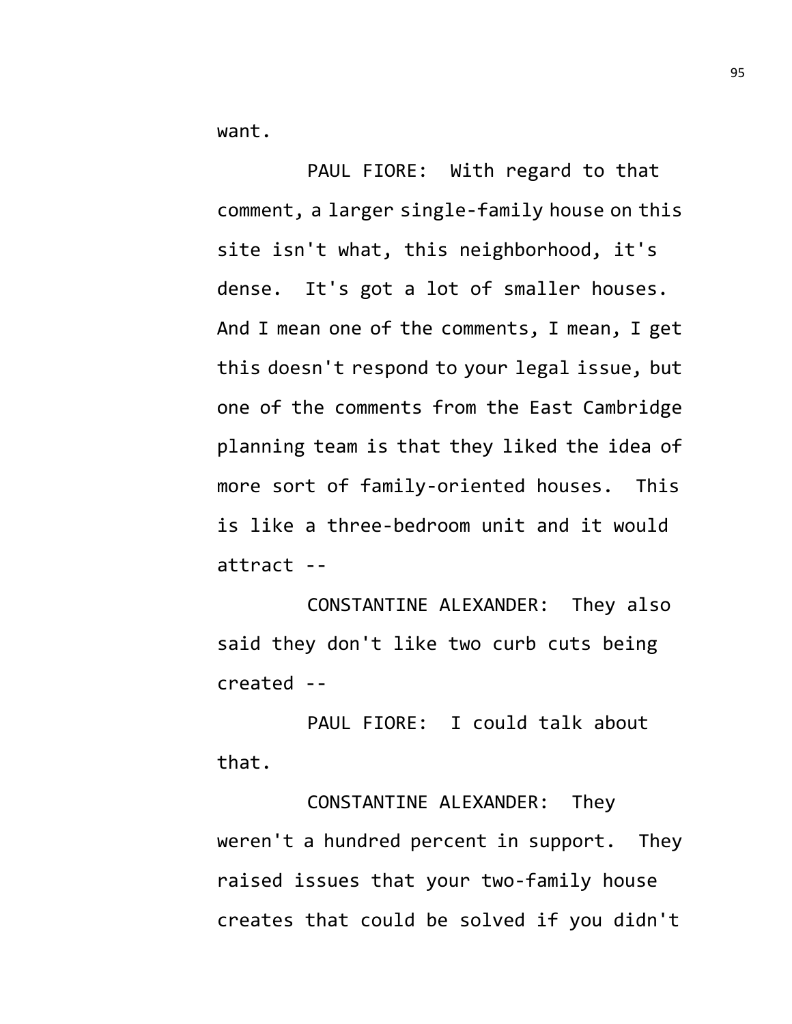want.

PAUL FIORE: With regard to that comment, a larger single-family house on this site isn't what, this neighborhood, it's dense. It's got a lot of smaller houses. And I mean one of the comments, I mean, I get this doesn't respond to your legal issue, but one of the comments from the East Cambridge planning team is that they liked the idea of more sort of family-oriented houses. This is like a three-bedroom unit and it would attract --

CONSTANTINE ALEXANDER: They also said they don't like two curb cuts being created --

PAUL FIORE: I could talk about that.

CONSTANTINE ALEXANDER: They weren't a hundred percent in support. They raised issues that your two-family house creates that could be solved if you didn't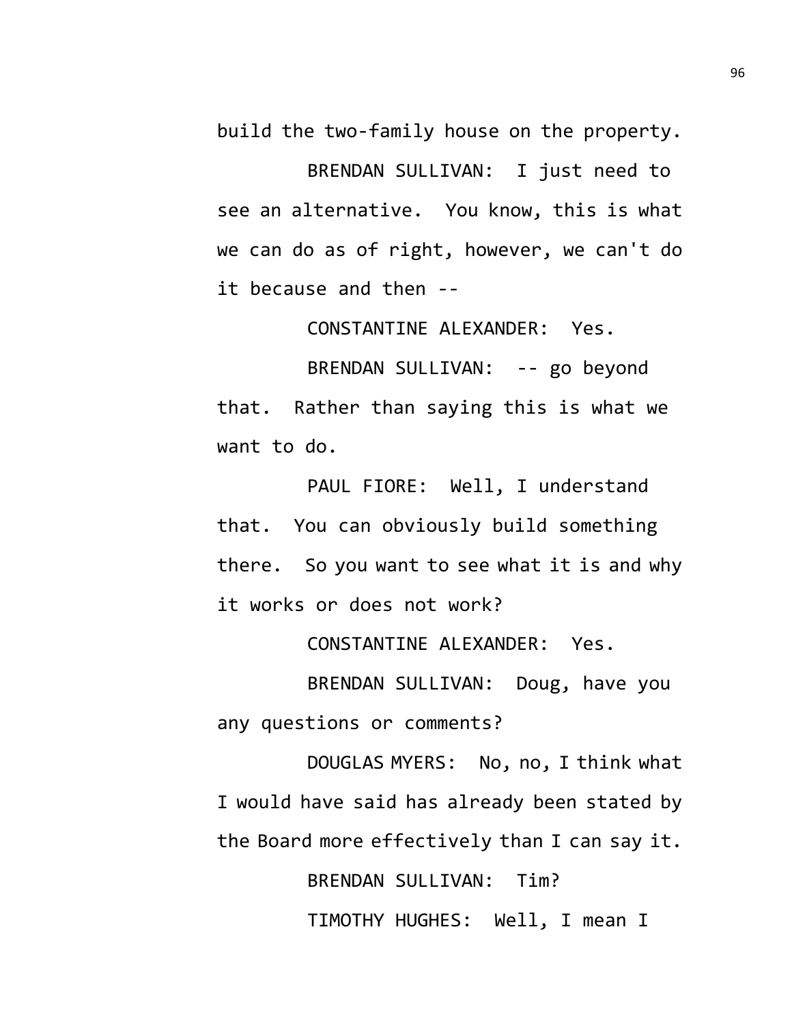build the two-family house on the property.

BRENDAN SULLIVAN: I just need to see an alternative. You know, this is what we can do as of right, however, we can't do it because and then --

CONSTANTINE ALEXANDER: Yes.

BRENDAN SULLIVAN: -- go beyond that. Rather than saying this is what we want to do.

PAUL FIORE: Well, I understand that. You can obviously build something there. So you want to see what it is and why it works or does not work?

CONSTANTINE ALEXANDER: Yes.

BRENDAN SULLIVAN: Doug, have you any questions or comments?

DOUGLAS MYERS: No, no, I think what I would have said has already been stated by the Board more effectively than I can say it.

> BRENDAN SULLIVAN: Tim? TIMOTHY HUGHES: Well, I mean I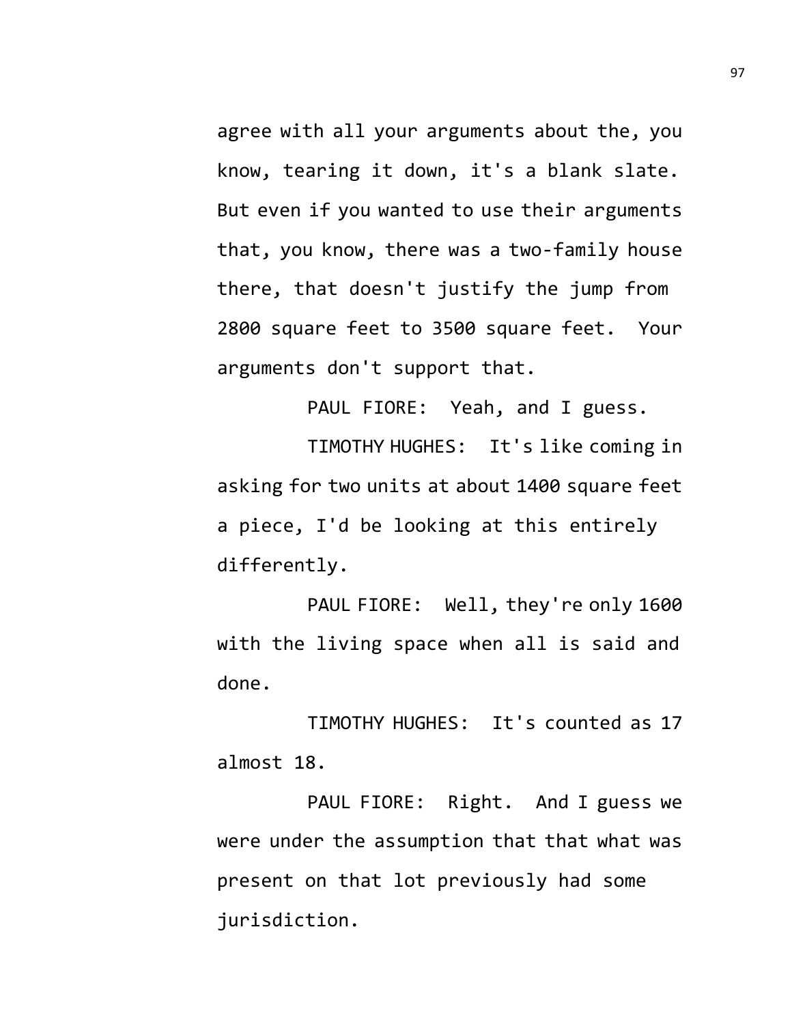agree with all your arguments about the, you know, tearing it down, it's a blank slate. But even if you wanted to use their arguments that, you know, there was a two-family house there, that doesn't justify the jump from 2800 square feet to 3500 square feet. Your arguments don't support that.

PAUL FIORE: Yeah, and I guess.

TIMOTHY HUGHES: It's like coming in asking for two units at about 1400 square feet a piece, I'd be looking at this entirely differently.

PAUL FIORE: Well, they're only 1600 with the living space when all is said and done.

TIMOTHY HUGHES: It's counted as 17 almost 18.

PAUL FIORE: Right. And I guess we were under the assumption that that what was present on that lot previously had some jurisdiction.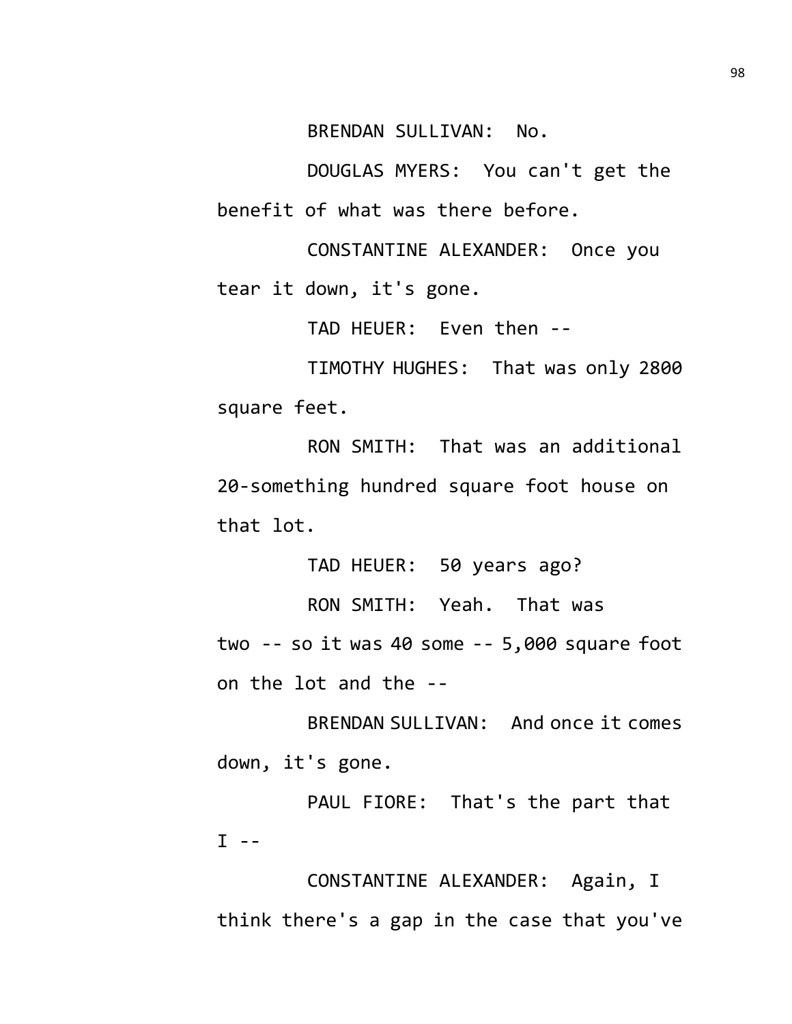BRENDAN SULLIVAN: No.

DOUGLAS MYERS: You can't get the benefit of what was there before.

CONSTANTINE ALEXANDER: Once you tear it down, it's gone.

TAD HEUER: Even then --

TIMOTHY HUGHES: That was only 2800 square feet.

RON SMITH: That was an additional 20-something hundred square foot house on that lot.

TAD HEUER: 50 years ago?

RON SMITH: Yeah. That was two -- so it was 40 some -- 5,000 square foot on the lot and the --

BRENDAN SULLIVAN: And once it comes down, it's gone.

PAUL FIORE: That's the part that  $I - -$ 

CONSTANTINE ALEXANDER: Again, I think there's a gap in the case that you've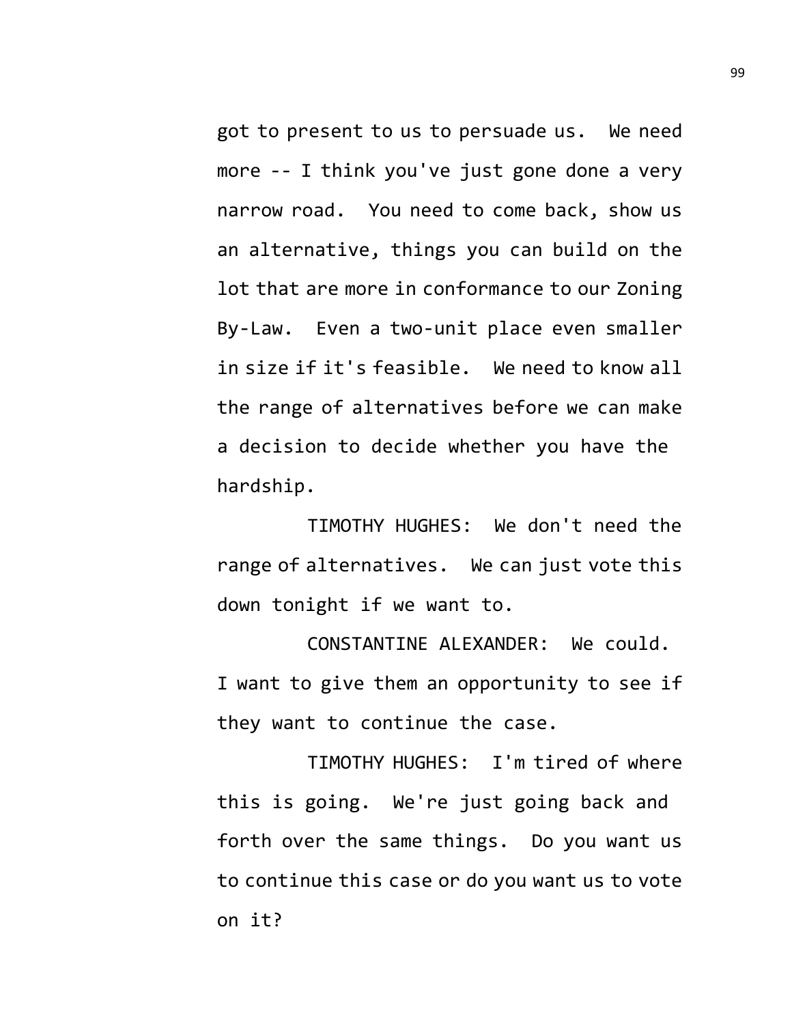got to present to us to persuade us. We need more -- I think you've just gone done a very narrow road. You need to come back, show us an alternative, things you can build on the lot that are more in conformance to our Zoning By-Law. Even a two-unit place even smaller in size if it's feasible. We need to know all the range of alternatives before we can make a decision to decide whether you have the hardship.

TIMOTHY HUGHES: We don't need the range of alternatives. We can just vote this down tonight if we want to.

CONSTANTINE ALEXANDER: We could. I want to give them an opportunity to see if they want to continue the case.

TIMOTHY HUGHES: I'm tired of where this is going. We're just going back and forth over the same things. Do you want us to continue this case or do you want us to vote on it?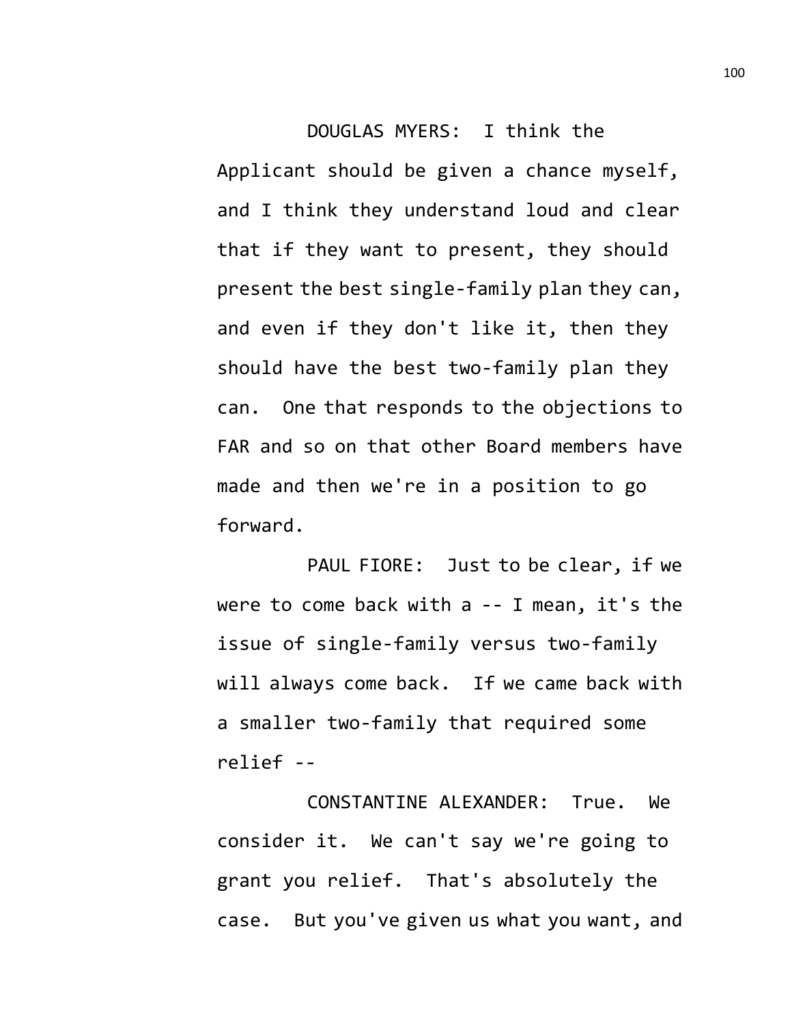## DOUGLAS MYERS: I think the Applicant should be given a chance myself, and I think they understand loud and clear that if they want to present, they should present the best single-family plan they can, and even if they don't like it, then they should have the best two-family plan they can. One that responds to the objections to FAR and so on that other Board members have made and then we're in a position to go forward.

PAUL FIORE: Just to be clear, if we were to come back with a -- I mean, it's the issue of single-family versus two-family will always come back. If we came back with a smaller two-family that required some relief --

CONSTANTINE ALEXANDER: True. We consider it. We can't say we're going to grant you relief. That's absolutely the case. But you've given us what you want, and 100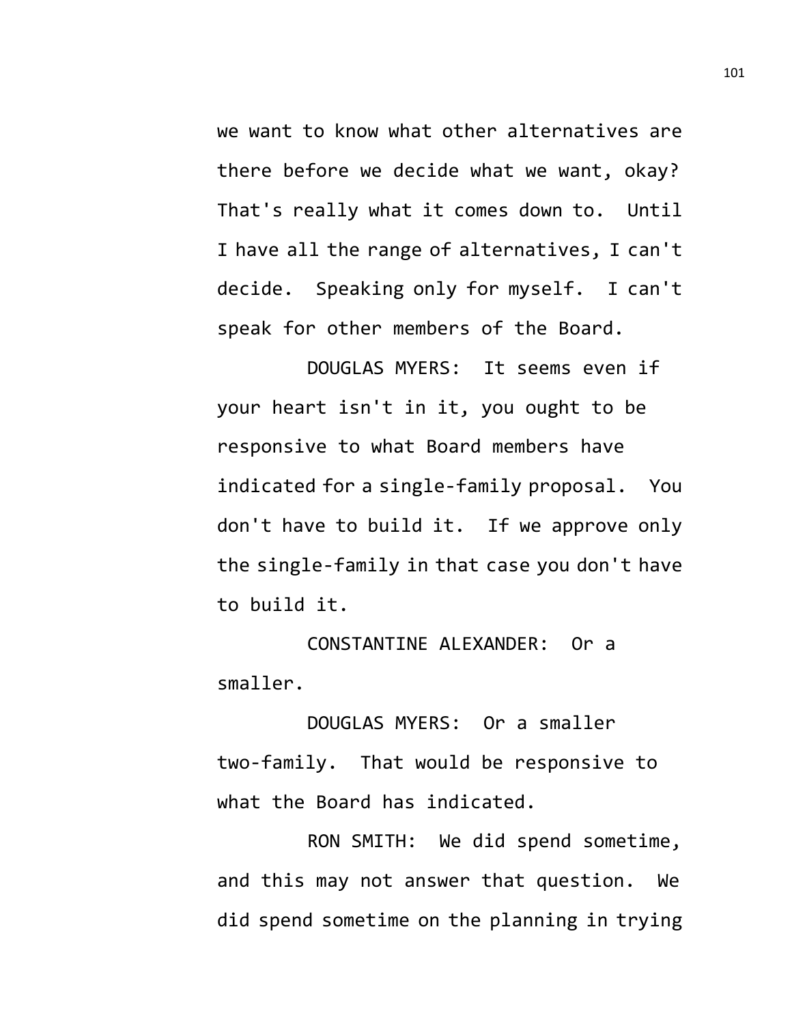we want to know what other alternatives are there before we decide what we want, okay? That's really what it comes down to. Until I have all the range of alternatives, I can't decide. Speaking only for myself. I can't speak for other members of the Board.

DOUGLAS MYERS: It seems even if your heart isn't in it, you ought to be responsive to what Board members have indicated for a single-family proposal. You don't have to build it. If we approve only the single-family in that case you don't have to build it.

CONSTANTINE ALEXANDER: Or a smaller.

DOUGLAS MYERS: Or a smaller two-family. That would be responsive to what the Board has indicated.

RON SMITH: We did spend sometime, and this may not answer that question. We did spend sometime on the planning in trying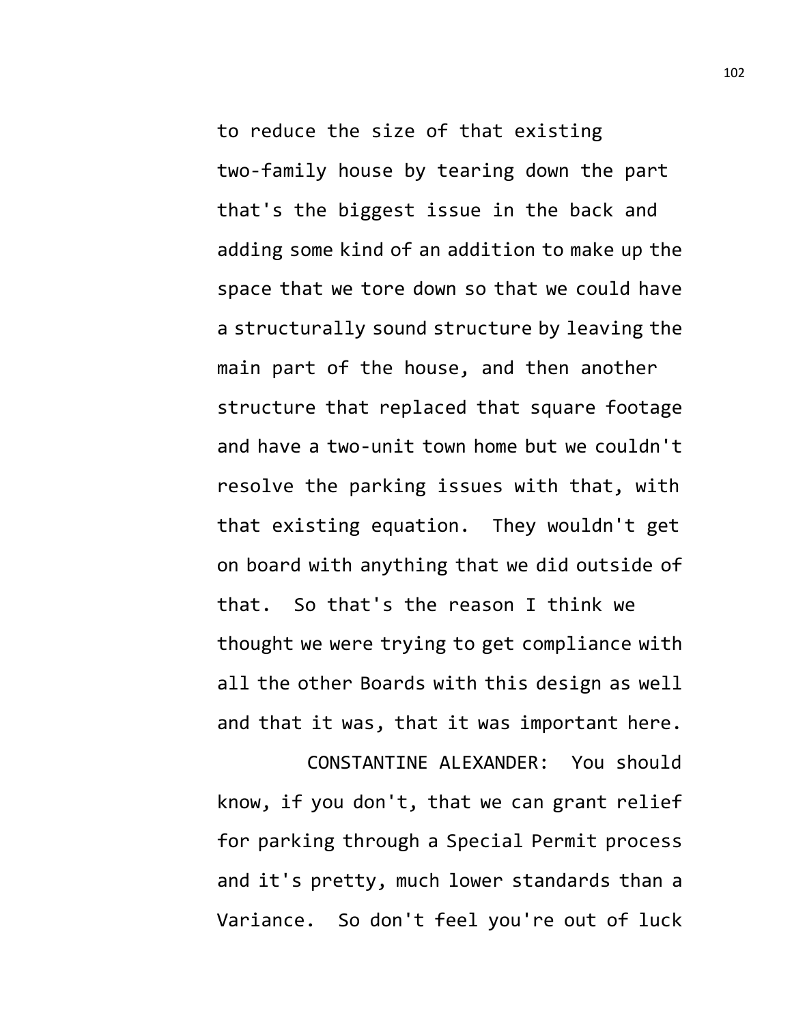to reduce the size of that existing two-family house by tearing down the part that's the biggest issue in the back and adding some kind of an addition to make up the space that we tore down so that we could have a structurally sound structure by leaving the main part of the house, and then another structure that replaced that square footage and have a two-unit town home but we couldn't resolve the parking issues with that, with that existing equation. They wouldn't get on board with anything that we did outside of that. So that's the reason I think we thought we were trying to get compliance with all the other Boards with this design as well and that it was, that it was important here.

CONSTANTINE ALEXANDER: You should know, if you don't, that we can grant relief for parking through a Special Permit process and it's pretty, much lower standards than a Variance. So don't feel you're out of luck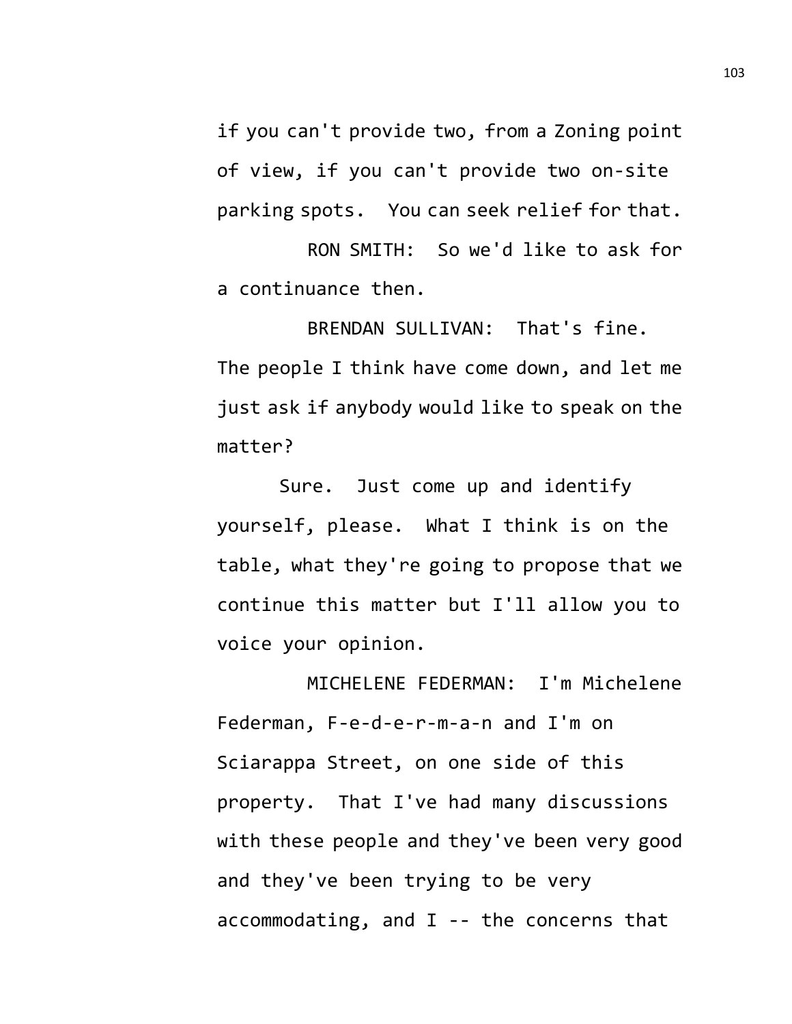if you can't provide two, from a Zoning point of view, if you can't provide two on-site parking spots. You can seek relief for that.

RON SMITH: So we'd like to ask for a continuance then.

BRENDAN SULLIVAN: That's fine. The people I think have come down, and let me just ask if anybody would like to speak on the matter?

Sure. Just come up and identify yourself, please. What I think is on the table, what they're going to propose that we continue this matter but I'll allow you to voice your opinion.

MICHELENE FEDERMAN: I'm Michelene Federman, F-e-d-e-r-m-a-n and I'm on Sciarappa Street, on one side of this property. That I've had many discussions with these people and they've been very good and they've been trying to be very accommodating, and I -- the concerns that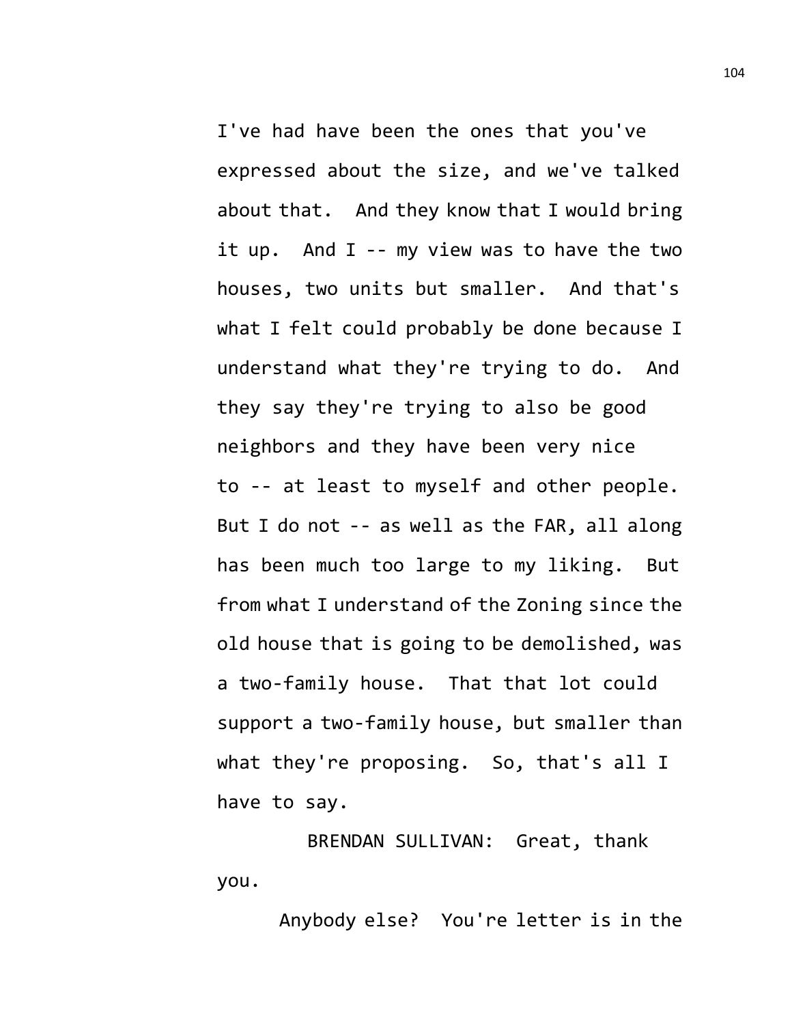I've had have been the ones that you've expressed about the size, and we've talked about that. And they know that I would bring it up. And I -- my view was to have the two houses, two units but smaller. And that's what I felt could probably be done because I understand what they're trying to do. And they say they're trying to also be good neighbors and they have been very nice to -- at least to myself and other people. But I do not -- as well as the FAR, all along has been much too large to my liking. But from what I understand of the Zoning since the old house that is going to be demolished, was a two-family house. That that lot could support a two-family house, but smaller than what they're proposing. So, that's all I have to say.

BRENDAN SULLIVAN: Great, thank you.

Anybody else? You're letter is in the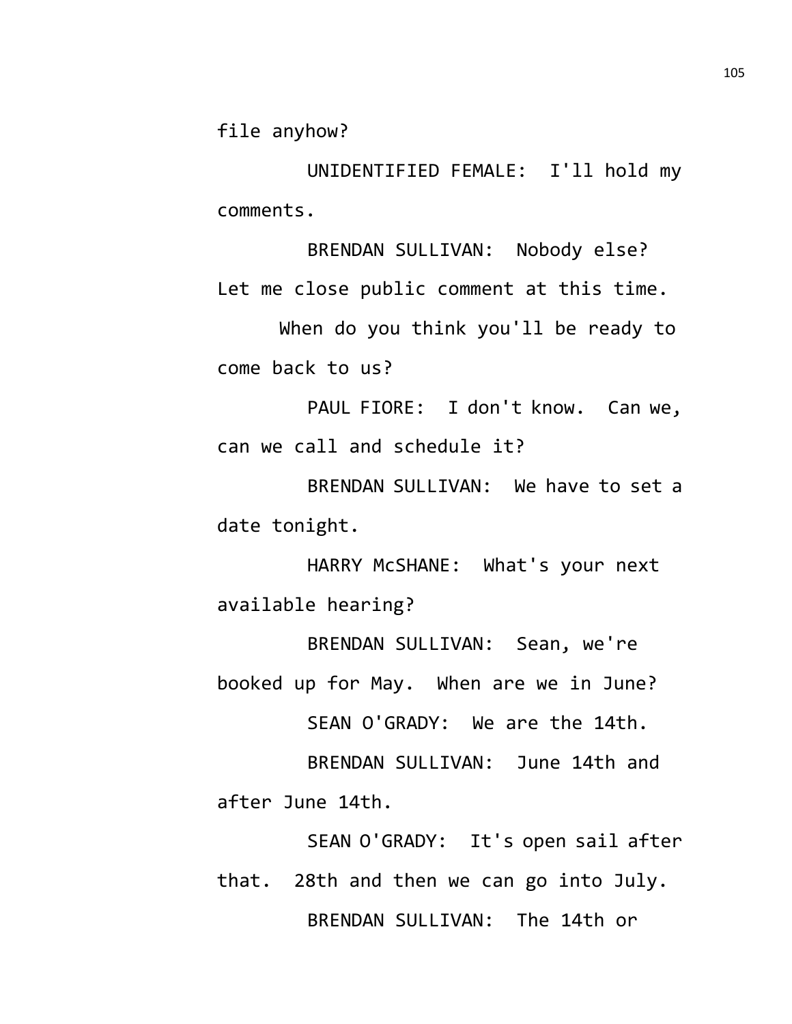file anyhow?

UNIDENTIFIED FEMALE: I'll hold my comments.

BRENDAN SULLIVAN: Nobody else? Let me close public comment at this time. When do you think you'll be ready to

come back to us?

PAUL FIORE: I don't know. Can we, can we call and schedule it?

BRENDAN SULLIVAN: We have to set a date tonight.

HARRY McSHANE: What's your next available hearing?

BRENDAN SULLIVAN: Sean, we're booked up for May. When are we in June?

SEAN O'GRADY: We are the 14th.

BRENDAN SULLIVAN: June 14th and after June 14th.

SEAN O'GRADY: It's open sail after that. 28th and then we can go into July. BRENDAN SULLIVAN: The 14th or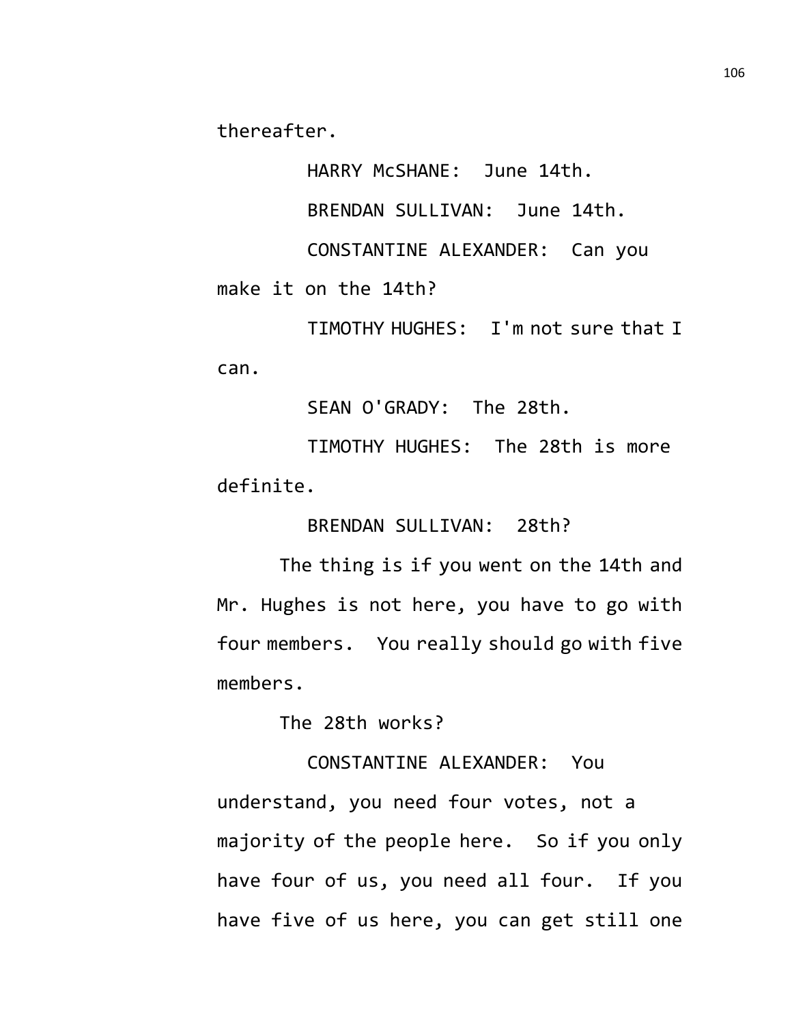thereafter.

HARRY McSHANE: June 14th.

BRENDAN SULLIVAN: June 14th.

CONSTANTINE ALEXANDER: Can you

make it on the 14th?

TIMOTHY HUGHES: I'm not sure that I can.

SEAN O'GRADY: The 28th.

TIMOTHY HUGHES: The 28th is more definite.

BRENDAN SULLIVAN: 28th?

The thing is if you went on the 14th and Mr. Hughes is not here, you have to go with four members. You really should go with five members.

The 28th works?

CONSTANTINE ALEXANDER: You understand, you need four votes, not a majority of the people here. So if you only have four of us, you need all four. If you have five of us here, you can get still one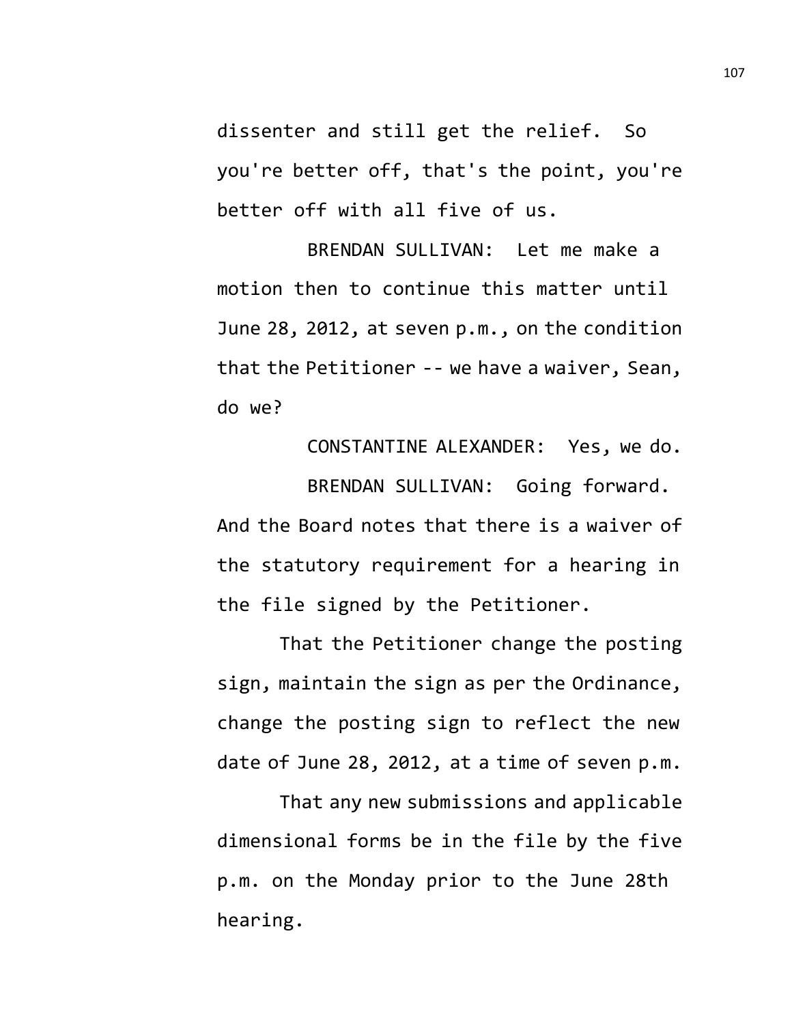dissenter and still get the relief. So you're better off, that's the point, you're better off with all five of us.

BRENDAN SULLIVAN: Let me make a motion then to continue this matter until June 28, 2012, at seven p.m., on the condition that the Petitioner -- we have a waiver, Sean, do we?

CONSTANTINE ALEXANDER: Yes, we do.

BRENDAN SULLIVAN: Going forward. And the Board notes that there is a waiver of the statutory requirement for a hearing in the file signed by the Petitioner.

That the Petitioner change the posting sign, maintain the sign as per the Ordinance, change the posting sign to reflect the new date of June 28, 2012, at a time of seven p.m.

That any new submissions and applicable dimensional forms be in the file by the five p.m. on the Monday prior to the June 28th hearing.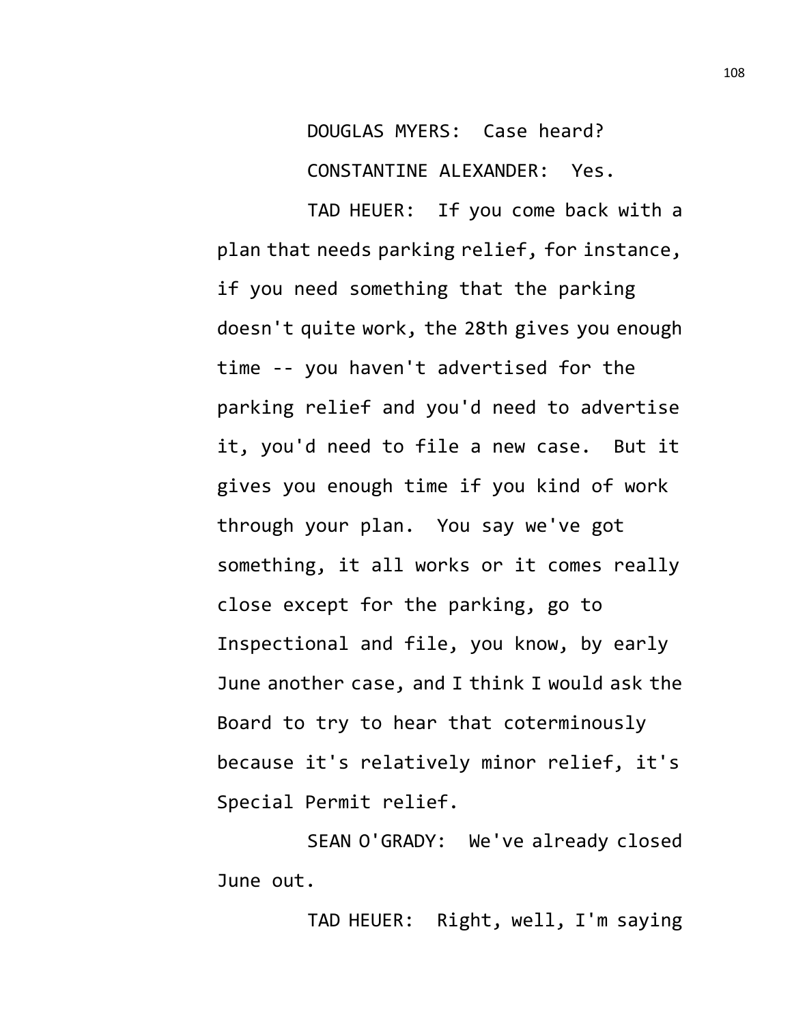DOUGLAS MYERS: Case heard?

CONSTANTINE ALEXANDER: Yes.

TAD HEUER: If you come back with a plan that needs parking relief, for instance, if you need something that the parking doesn't quite work, the 28th gives you enough time -- you haven't advertised for the parking relief and you'd need to advertise it, you'd need to file a new case. But it gives you enough time if you kind of work through your plan. You say we've got something, it all works or it comes really close except for the parking, go to Inspectional and file, you know, by early June another case, and I think I would ask the Board to try to hear that coterminously because it's relatively minor relief, it's Special Permit relief.

SEAN O'GRADY: We've already closed June out.

TAD HEUER: Right, well, I'm saying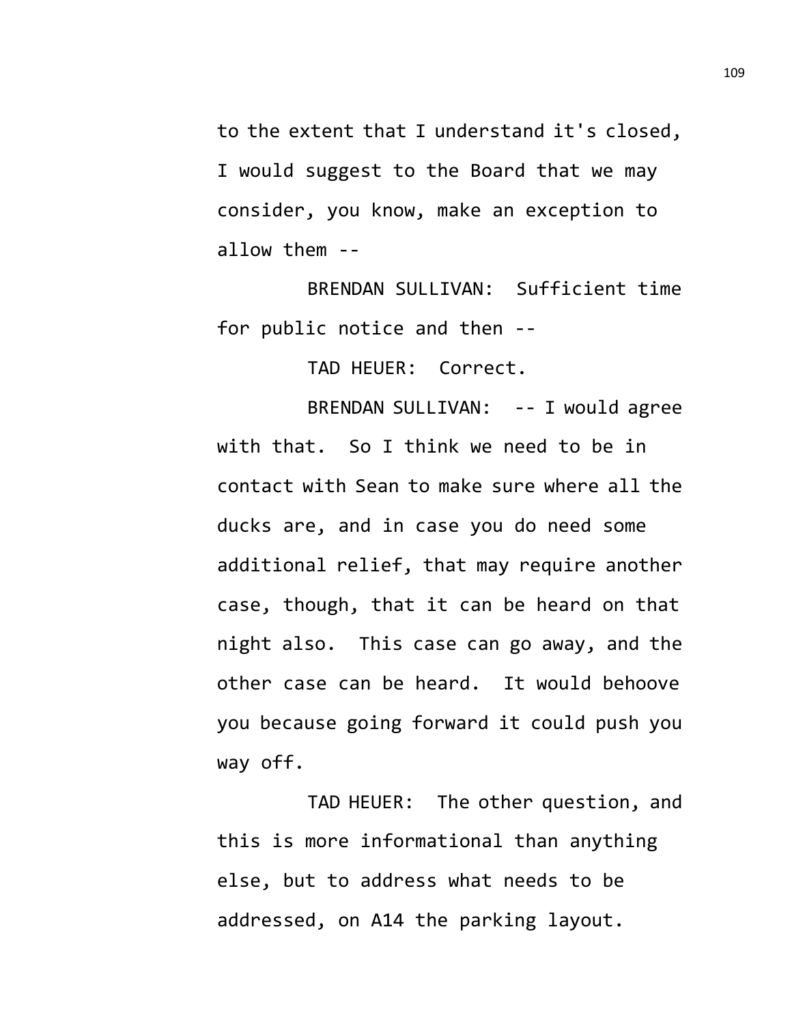to the extent that I understand it's closed, I would suggest to the Board that we may consider, you know, make an exception to allow them --

BRENDAN SULLIVAN: Sufficient time for public notice and then --

TAD HEUER: Correct.

BRENDAN SULLIVAN: -- I would agree with that. So I think we need to be in contact with Sean to make sure where all the ducks are, and in case you do need some additional relief, that may require another case, though, that it can be heard on that night also. This case can go away, and the other case can be heard. It would behoove you because going forward it could push you way off.

TAD HEUER: The other question, and this is more informational than anything else, but to address what needs to be addressed, on A14 the parking layout.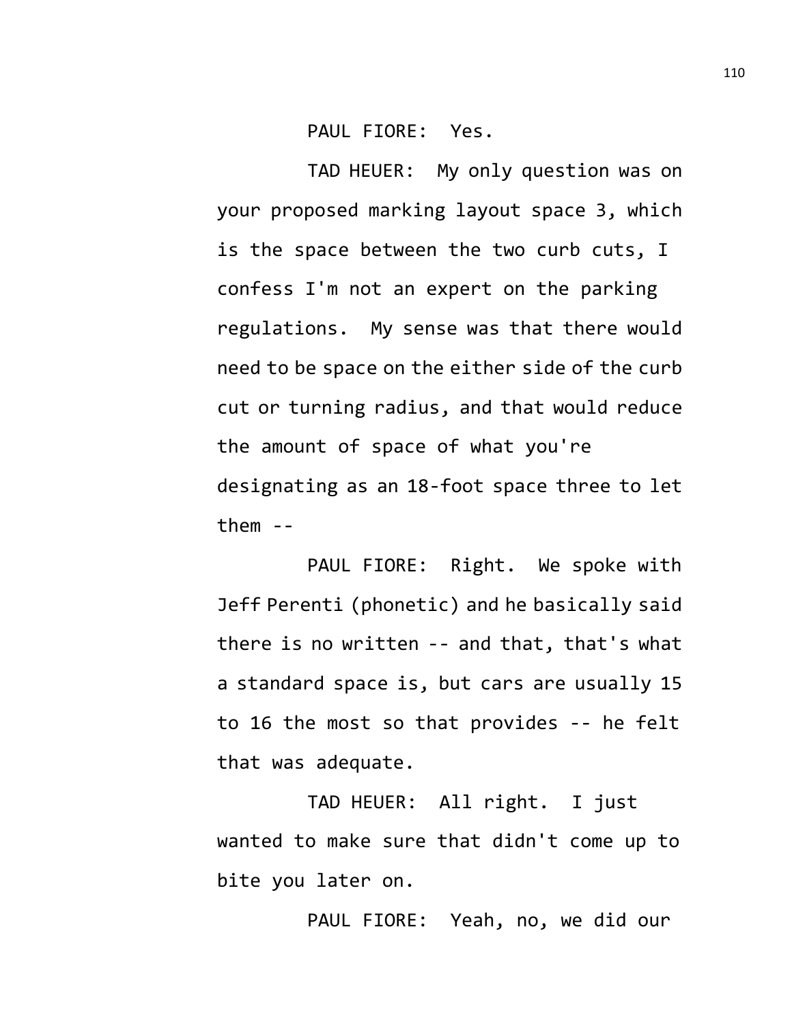PAUL FIORE: Yes.

TAD HEUER: My only question was on your proposed marking layout space 3, which is the space between the two curb cuts, I confess I'm not an expert on the parking regulations. My sense was that there would need to be space on the either side of the curb cut or turning radius, and that would reduce the amount of space of what you're designating as an 18-foot space three to let them --

PAUL FIORE: Right. We spoke with Jeff Perenti (phonetic) and he basically said there is no written -- and that, that's what a standard space is, but cars are usually 15 to 16 the most so that provides -- he felt that was adequate.

TAD HEUER: All right. I just wanted to make sure that didn't come up to bite you later on.

PAUL FIORE: Yeah, no, we did our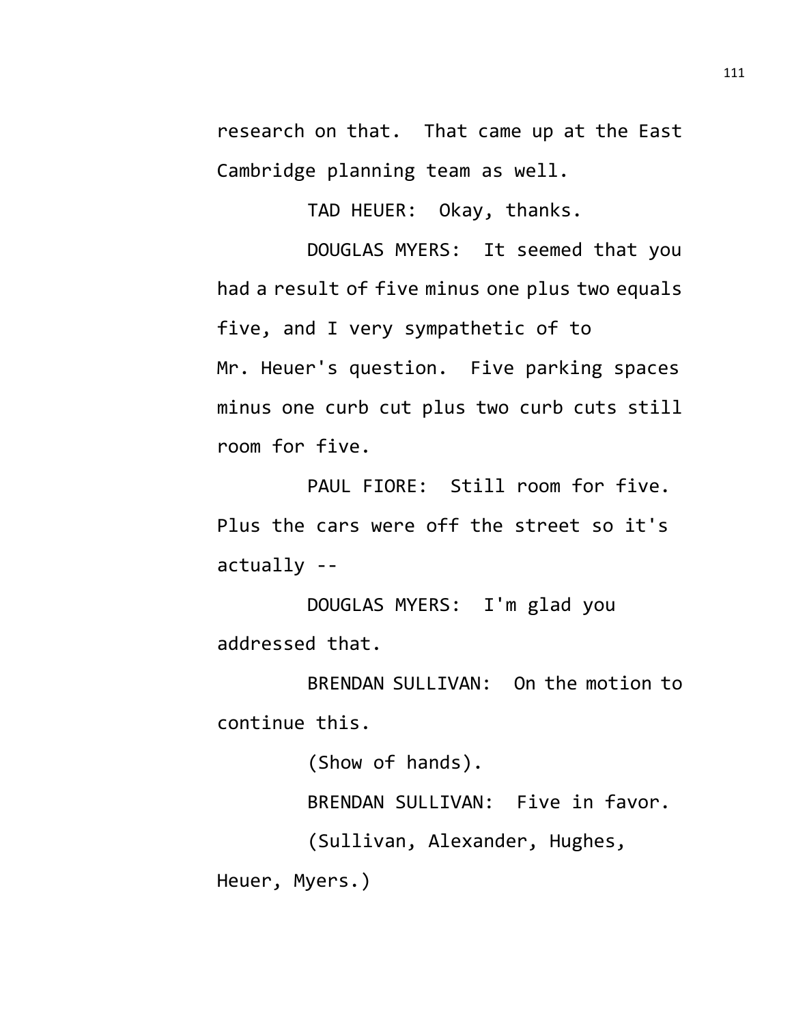research on that. That came up at the East Cambridge planning team as well.

TAD HEUER: Okay, thanks.

DOUGLAS MYERS: It seemed that you had a result of five minus one plus two equals five, and I very sympathetic of to Mr. Heuer's question. Five parking spaces minus one curb cut plus two curb cuts still room for five.

PAUL FIORE: Still room for five. Plus the cars were off the street so it's actually --

DOUGLAS MYERS: I'm glad you addressed that.

BRENDAN SULLIVAN: On the motion to continue this.

(Show of hands).

BRENDAN SULLIVAN: Five in favor.

(Sullivan, Alexander, Hughes,

Heuer, Myers.)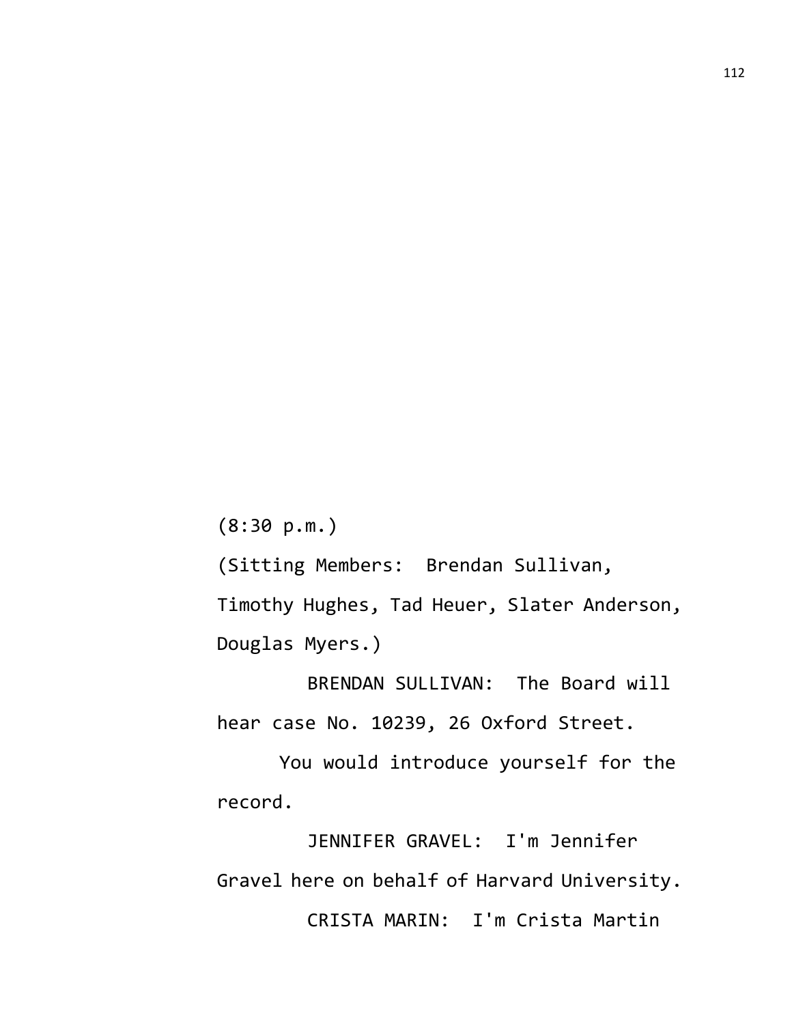(8:30 p.m.)

(Sitting Members: Brendan Sullivan, Timothy Hughes, Tad Heuer, Slater Anderson,

Douglas Myers.)

BRENDAN SULLIVAN: The Board will hear case No. 10239, 26 Oxford Street.

You would introduce yourself for the record.

JENNIFER GRAVEL: I'm Jennifer Gravel here on behalf of Harvard University. CRISTA MARIN: I'm Crista Martin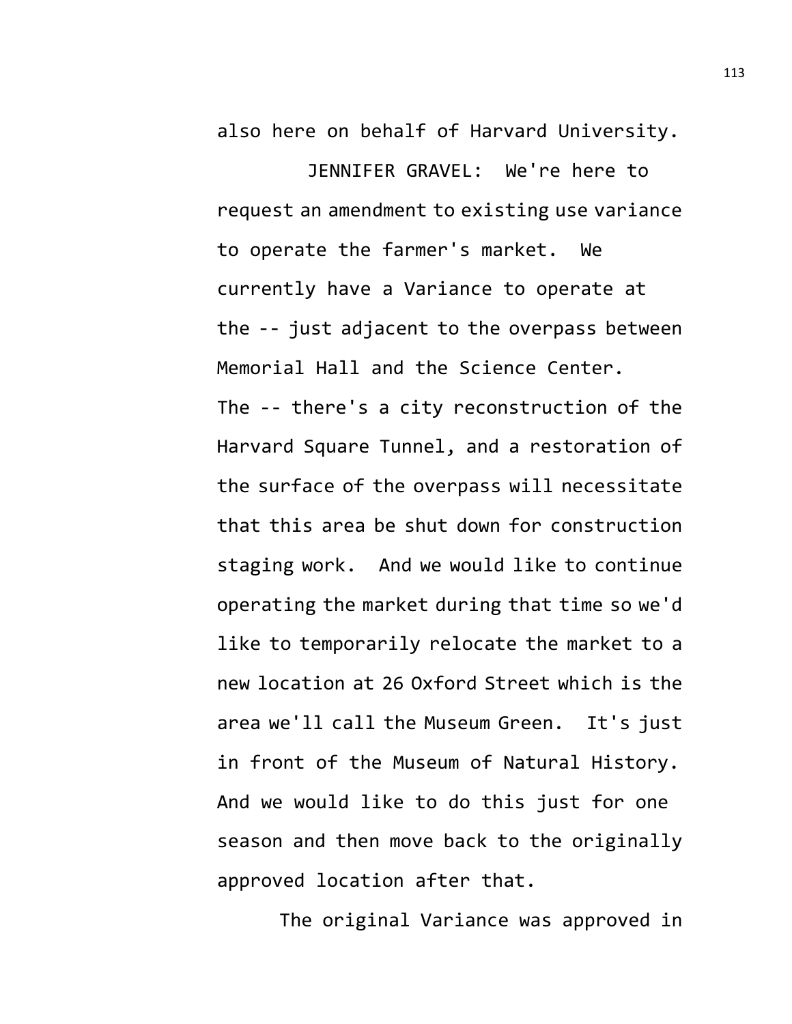also here on behalf of Harvard University.

JENNIFER GRAVEL: We're here to request an amendment to existing use variance to operate the farmer's market. We currently have a Variance to operate at the -- just adjacent to the overpass between Memorial Hall and the Science Center. The -- there's a city reconstruction of the Harvard Square Tunnel, and a restoration of the surface of the overpass will necessitate that this area be shut down for construction staging work. And we would like to continue operating the market during that time so we'd like to temporarily relocate the market to a new location at 26 Oxford Street which is the area we'll call the Museum Green. It's just in front of the Museum of Natural History. And we would like to do this just for one season and then move back to the originally approved location after that.

The original Variance was approved in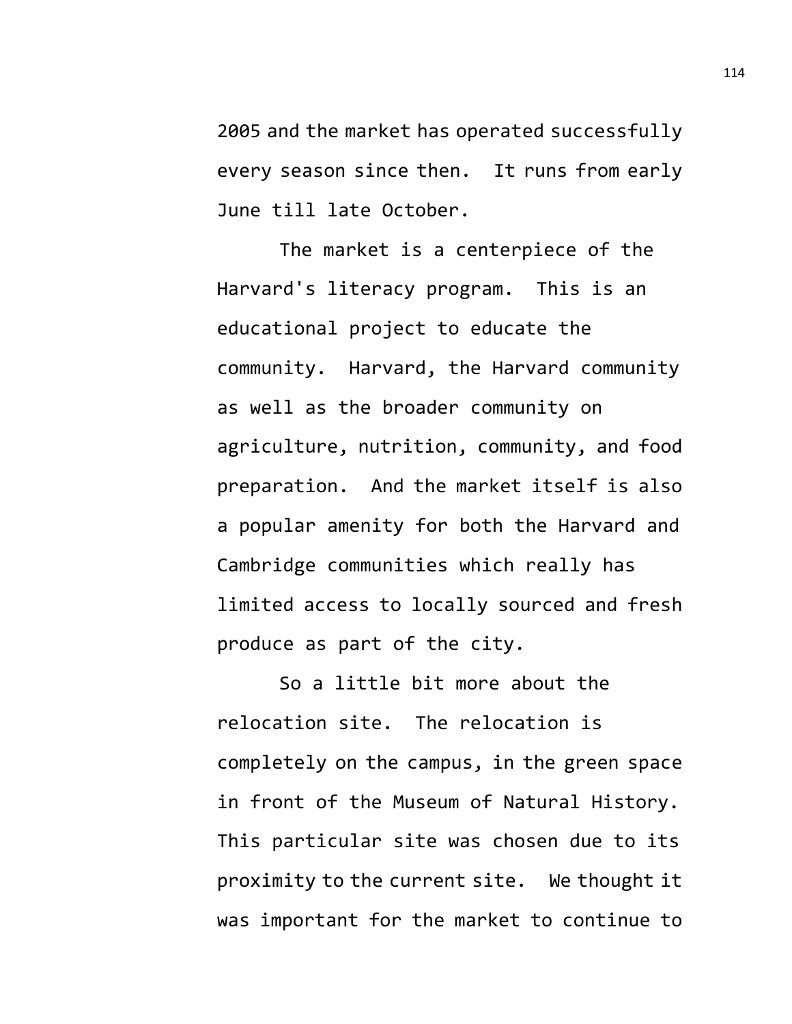2005 and the market has operated successfully every season since then. It runs from early June till late October.

The market is a centerpiece of the Harvard's literacy program. This is an educational project to educate the community. Harvard, the Harvard community as well as the broader community on agriculture, nutrition, community, and food preparation. And the market itself is also a popular amenity for both the Harvard and Cambridge communities which really has limited access to locally sourced and fresh produce as part of the city.

So a little bit more about the relocation site. The relocation is completely on the campus, in the green space in front of the Museum of Natural History. This particular site was chosen due to its proximity to the current site. We thought it was important for the market to continue to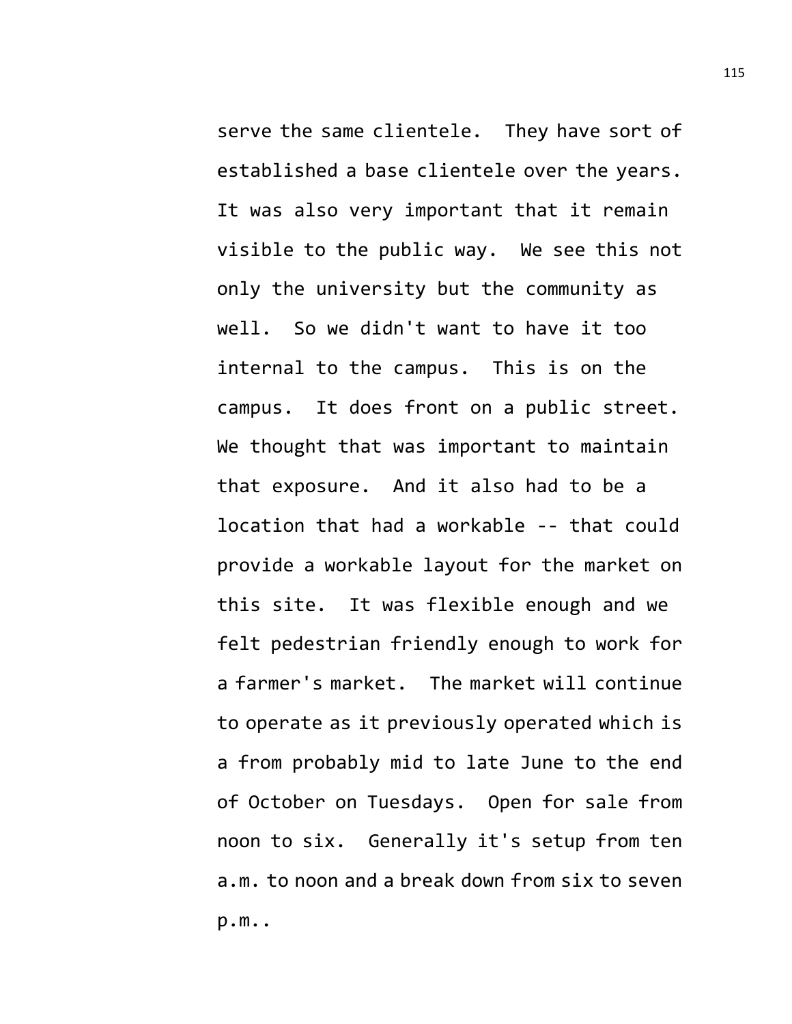serve the same clientele. They have sort of established a base clientele over the years. It was also very important that it remain visible to the public way. We see this not only the university but the community as well. So we didn't want to have it too internal to the campus. This is on the campus. It does front on a public street. We thought that was important to maintain that exposure. And it also had to be a location that had a workable -- that could provide a workable layout for the market on this site. It was flexible enough and we felt pedestrian friendly enough to work for a farmer's market. The market will continue to operate as it previously operated which is a from probably mid to late June to the end of October on Tuesdays. Open for sale from noon to six. Generally it's setup from ten a.m. to noon and a break down from six to seven p.m..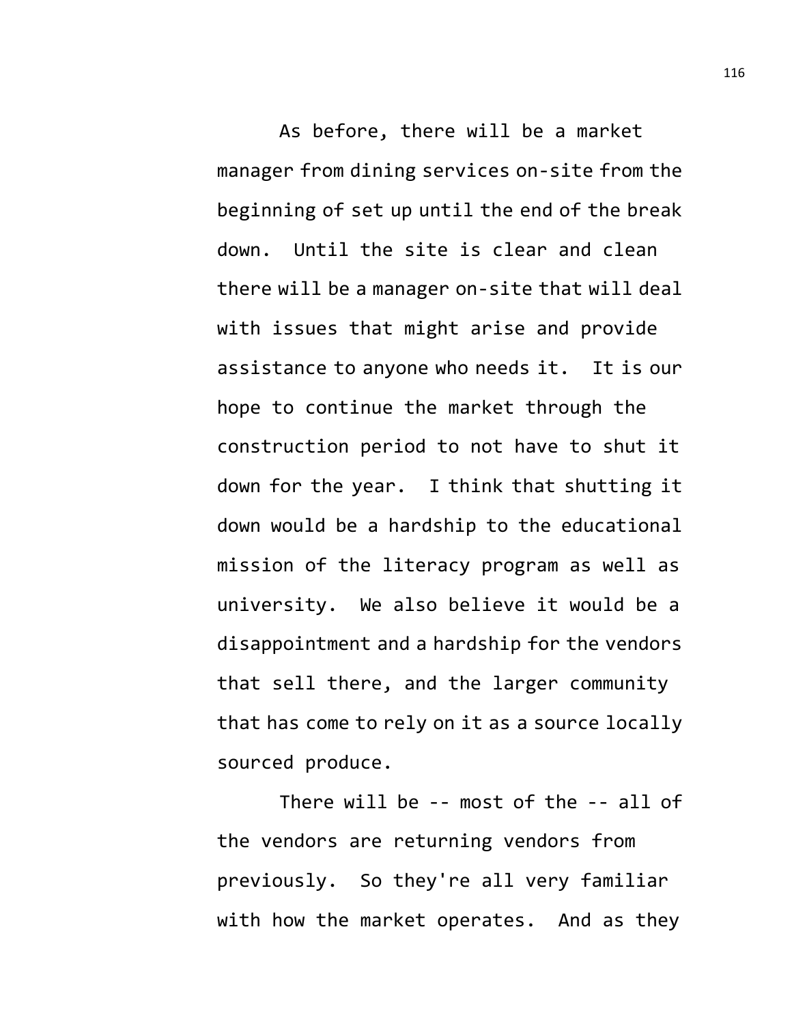As before, there will be a market manager from dining services on-site from the beginning of set up until the end of the break down. Until the site is clear and clean there will be a manager on-site that will deal with issues that might arise and provide assistance to anyone who needs it. It is our hope to continue the market through the construction period to not have to shut it down for the year. I think that shutting it down would be a hardship to the educational mission of the literacy program as well as university. We also believe it would be a disappointment and a hardship for the vendors that sell there, and the larger community that has come to rely on it as a source locally sourced produce.

There will be -- most of the -- all of the vendors are returning vendors from previously. So they're all very familiar with how the market operates. And as they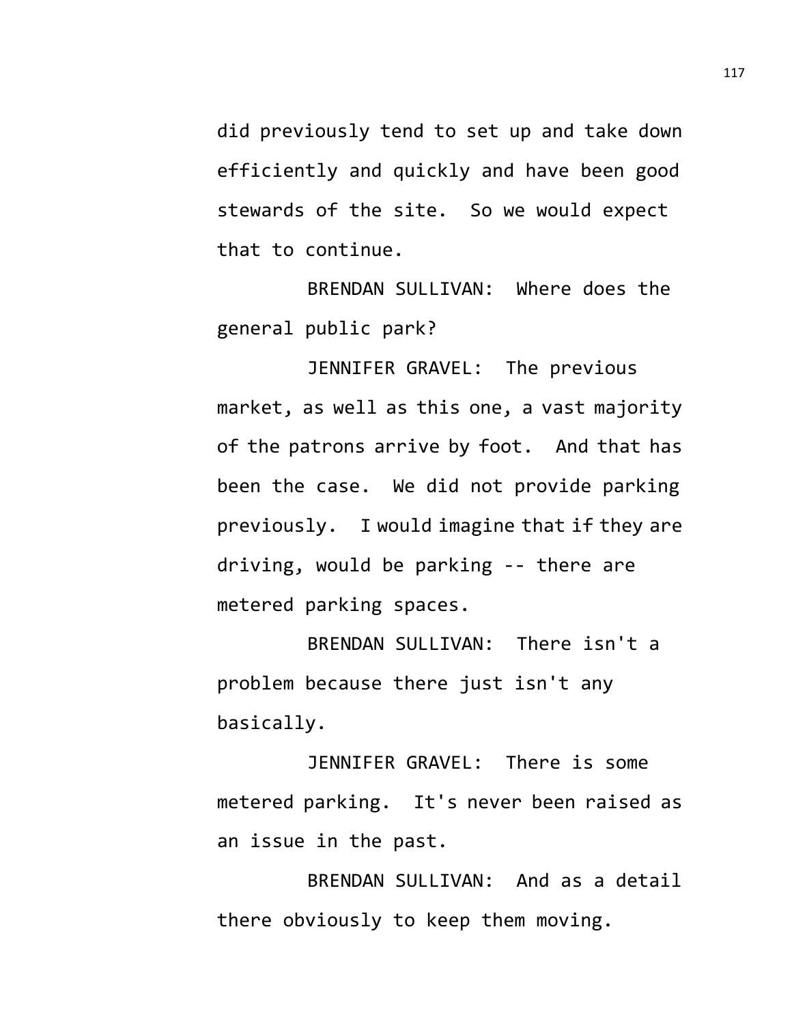did previously tend to set up and take down efficiently and quickly and have been good stewards of the site. So we would expect that to continue.

BRENDAN SULLIVAN: Where does the general public park?

JENNIFER GRAVEL: The previous market, as well as this one, a vast majority of the patrons arrive by foot. And that has been the case. We did not provide parking previously. I would imagine that if they are driving, would be parking -- there are metered parking spaces.

BRENDAN SULLIVAN: There isn't a problem because there just isn't any basically.

JENNIFER GRAVEL: There is some metered parking. It's never been raised as an issue in the past.

BRENDAN SULLIVAN: And as a detail there obviously to keep them moving.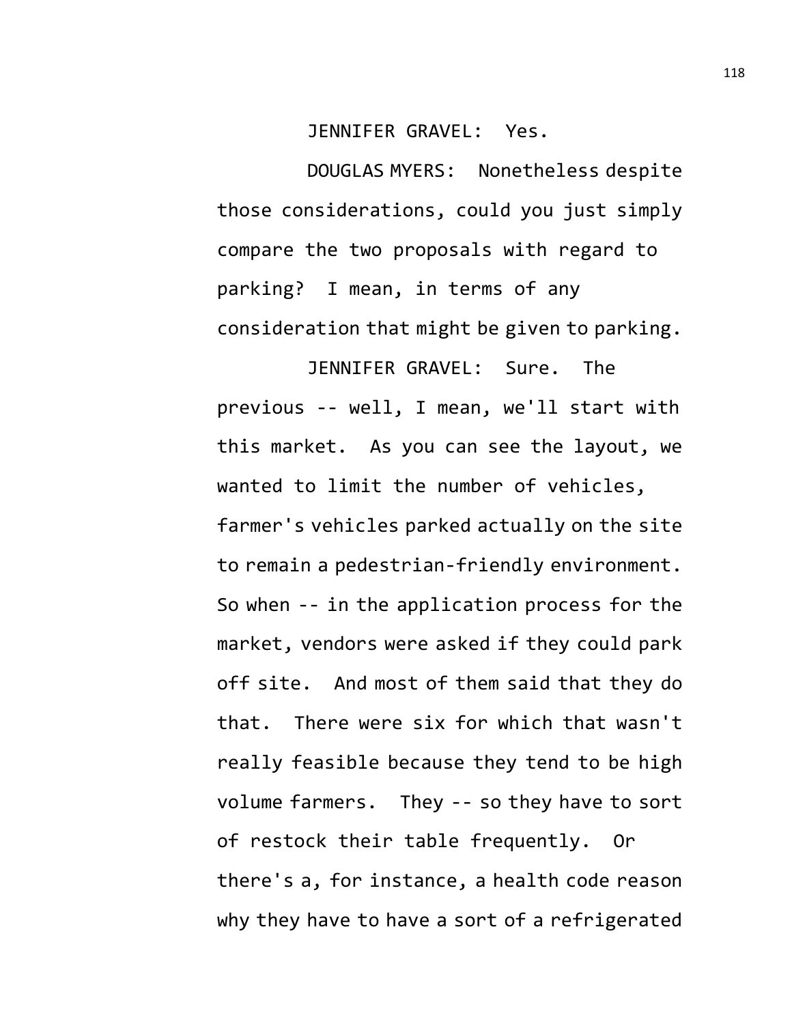JENNIFER GRAVEL: Yes.

DOUGLAS MYERS: Nonetheless despite those considerations, could you just simply compare the two proposals with regard to parking? I mean, in terms of any consideration that might be given to parking.

JENNIFER GRAVEL: Sure. The previous -- well, I mean, we'll start with this market. As you can see the layout, we wanted to limit the number of vehicles, farmer's vehicles parked actually on the site to remain a pedestrian-friendly environment. So when -- in the application process for the market, vendors were asked if they could park off site. And most of them said that they do that. There were six for which that wasn't really feasible because they tend to be high volume farmers. They -- so they have to sort of restock their table frequently. Or there's a, for instance, a health code reason why they have to have a sort of a refrigerated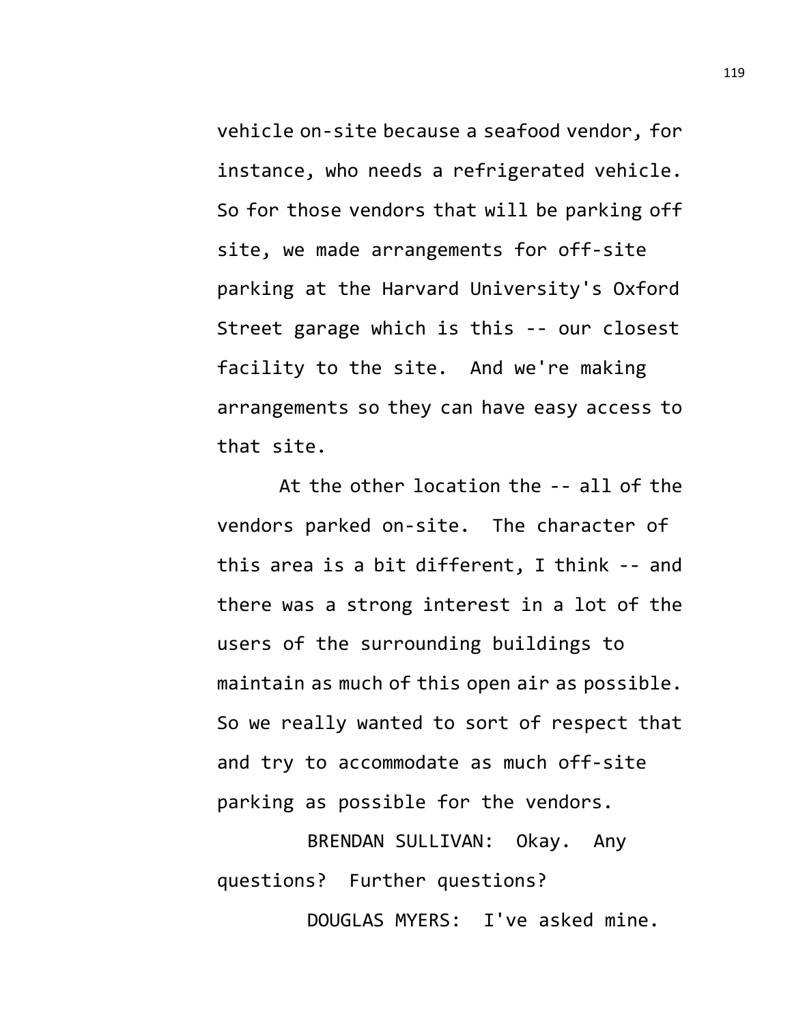vehicle on-site because a seafood vendor, for instance, who needs a refrigerated vehicle. So for those vendors that will be parking off site, we made arrangements for off-site parking at the Harvard University's Oxford Street garage which is this -- our closest facility to the site. And we're making arrangements so they can have easy access to that site.

At the other location the -- all of the vendors parked on-site. The character of this area is a bit different, I think -- and there was a strong interest in a lot of the users of the surrounding buildings to maintain as much of this open air as possible. So we really wanted to sort of respect that and try to accommodate as much off-site parking as possible for the vendors.

BRENDAN SULLIVAN: Okay. Any questions? Further questions? DOUGLAS MYERS: I've asked mine.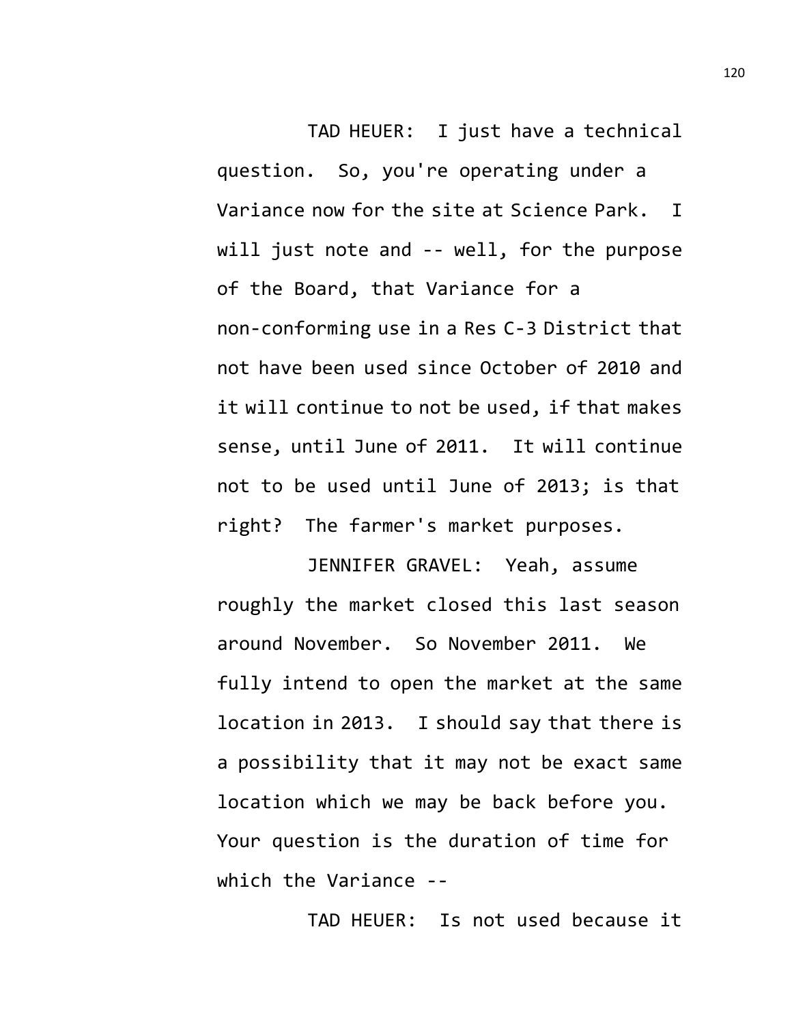TAD HEUER: I just have a technical question. So, you're operating under a Variance now for the site at Science Park. I will just note and -- well, for the purpose of the Board, that Variance for a non-conforming use in a Res C-3 District that not have been used since October of 2010 and it will continue to not be used, if that makes sense, until June of 2011. It will continue not to be used until June of 2013; is that right? The farmer's market purposes.

JENNIFER GRAVEL: Yeah, assume roughly the market closed this last season around November. So November 2011. We fully intend to open the market at the same location in 2013. I should say that there is a possibility that it may not be exact same location which we may be back before you. Your question is the duration of time for which the Variance --

TAD HEUER: Is not used because it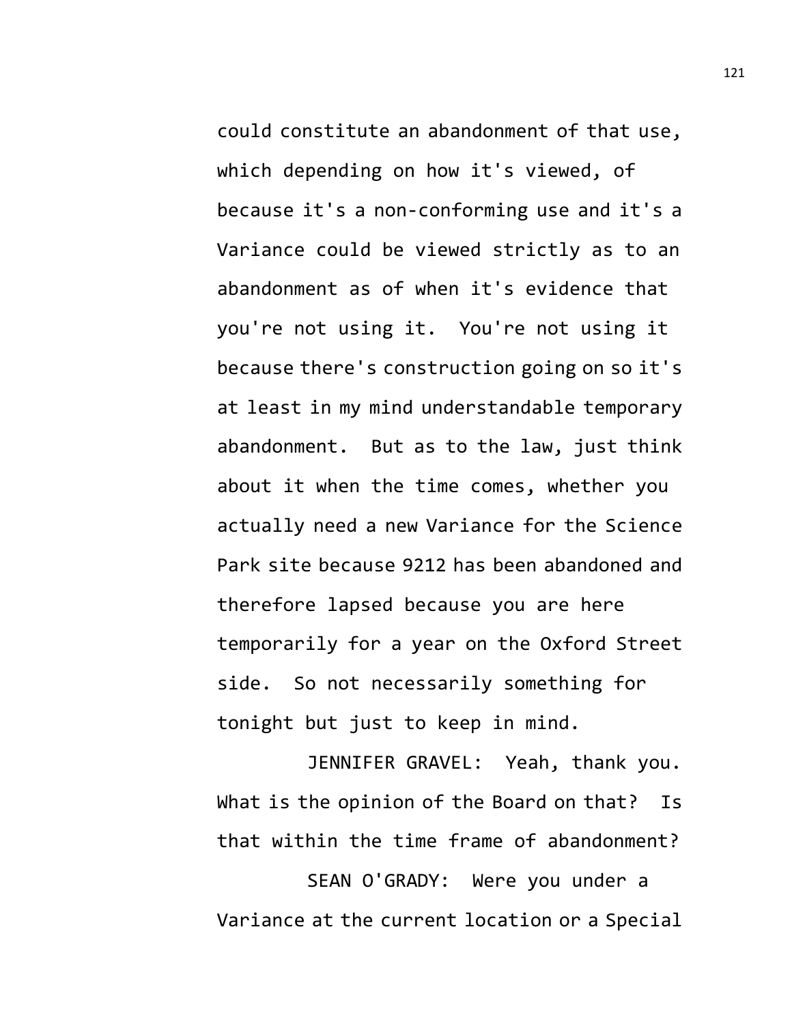could constitute an abandonment of that use, which depending on how it's viewed, of because it's a non-conforming use and it's a Variance could be viewed strictly as to an abandonment as of when it's evidence that you're not using it. You're not using it because there's construction going on so it's at least in my mind understandable temporary abandonment. But as to the law, just think about it when the time comes, whether you actually need a new Variance for the Science Park site because 9212 has been abandoned and therefore lapsed because you are here temporarily for a year on the Oxford Street side. So not necessarily something for tonight but just to keep in mind.

JENNIFER GRAVEL: Yeah, thank you. What is the opinion of the Board on that? Is that within the time frame of abandonment?

SEAN O'GRADY: Were you under a Variance at the current location or a Special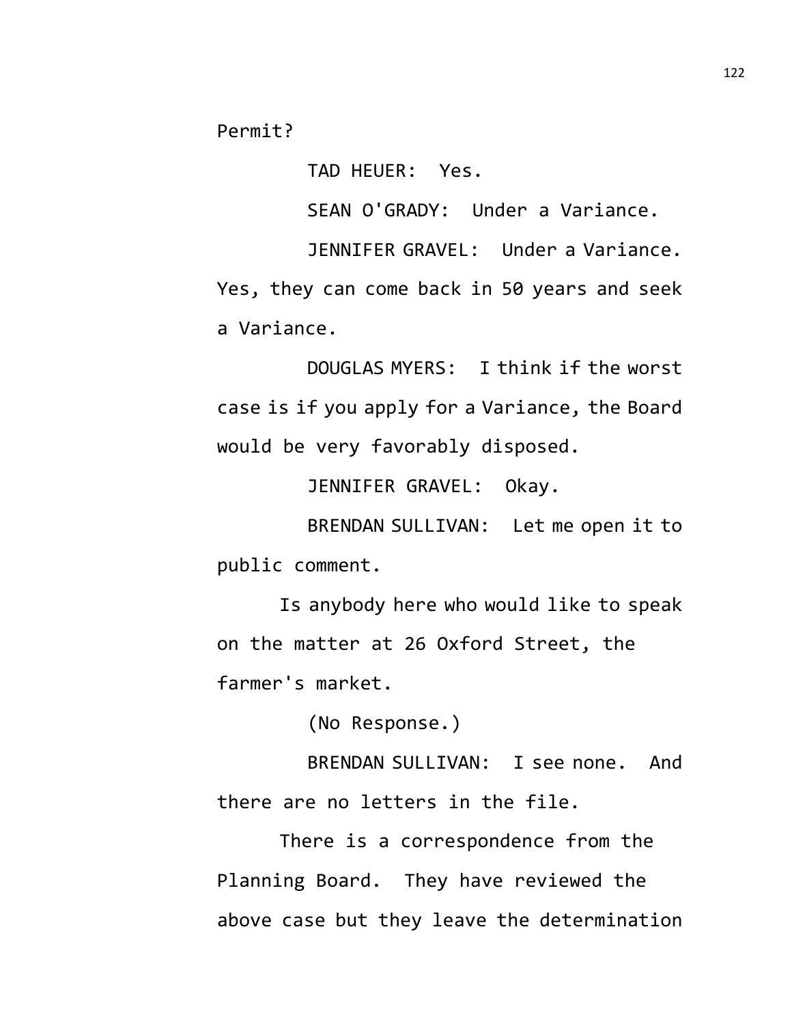Permit?

TAD HEUER: Yes.

SEAN O'GRADY: Under a Variance.

JENNIFER GRAVEL: Under a Variance.

Yes, they can come back in 50 years and seek a Variance.

DOUGLAS MYERS: I think if the worst case is if you apply for a Variance, the Board would be very favorably disposed.

JENNIFER GRAVEL: Okay.

BRENDAN SULLIVAN: Let me open it to public comment.

Is anybody here who would like to speak on the matter at 26 Oxford Street, the farmer's market.

(No Response.)

BRENDAN SULLIVAN: I see none. And there are no letters in the file.

There is a correspondence from the Planning Board. They have reviewed the above case but they leave the determination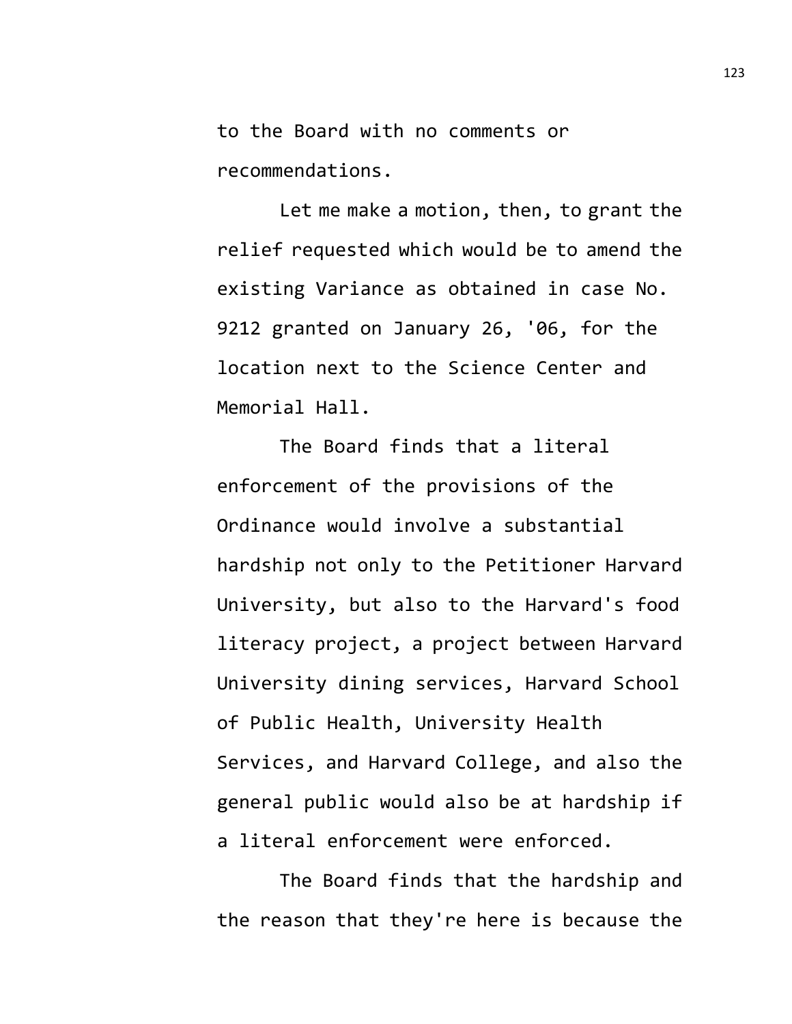to the Board with no comments or recommendations.

Let me make a motion, then, to grant the relief requested which would be to amend the existing Variance as obtained in case No. 9212 granted on January 26, '06, for the location next to the Science Center and Memorial Hall.

The Board finds that a literal enforcement of the provisions of the Ordinance would involve a substantial hardship not only to the Petitioner Harvard University, but also to the Harvard's food literacy project, a project between Harvard University dining services, Harvard School of Public Health, University Health Services, and Harvard College, and also the general public would also be at hardship if a literal enforcement were enforced.

The Board finds that the hardship and the reason that they're here is because the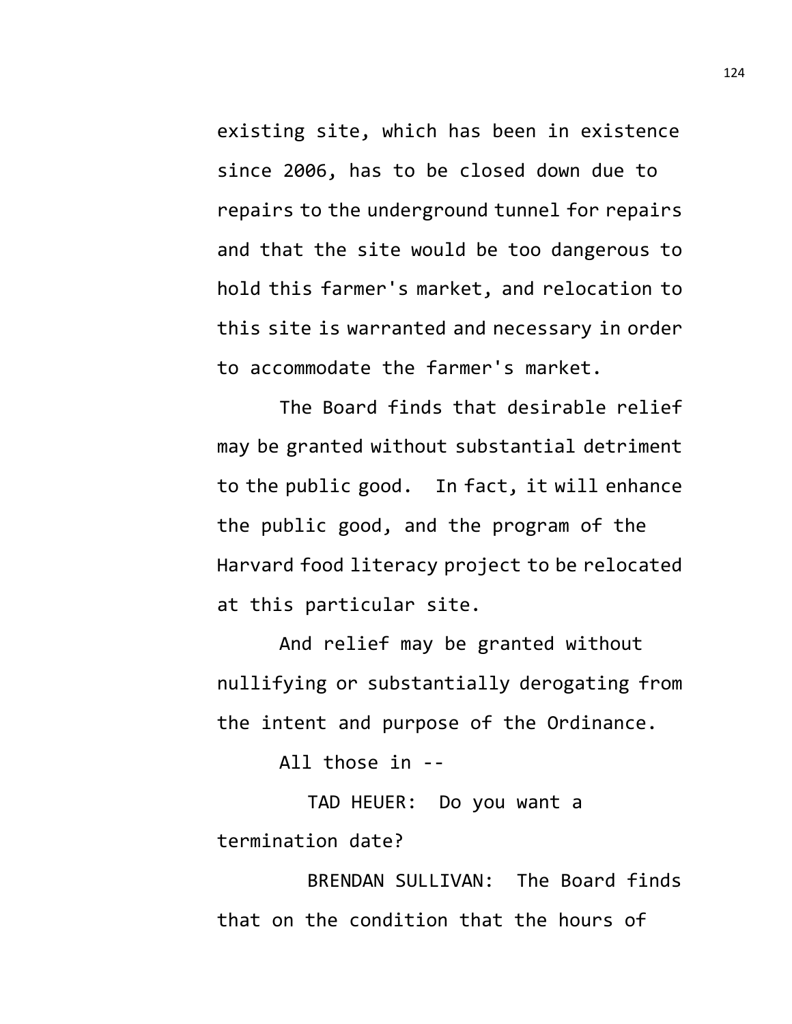existing site, which has been in existence since 2006, has to be closed down due to repairs to the underground tunnel for repairs and that the site would be too dangerous to hold this farmer's market, and relocation to this site is warranted and necessary in order to accommodate the farmer's market.

The Board finds that desirable relief may be granted without substantial detriment to the public good. In fact, it will enhance the public good, and the program of the Harvard food literacy project to be relocated at this particular site.

And relief may be granted without nullifying or substantially derogating from the intent and purpose of the Ordinance.

All those in --

TAD HEUER: Do you want a termination date?

BRENDAN SULLIVAN: The Board finds that on the condition that the hours of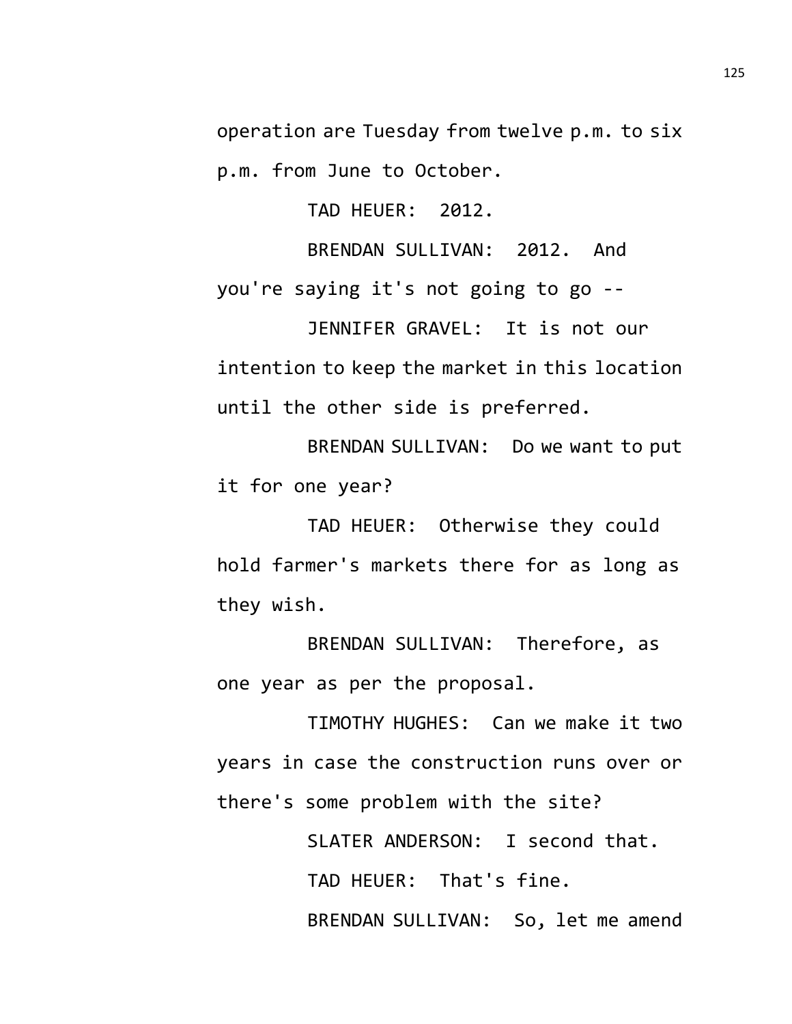operation are Tuesday from twelve p.m. to six p.m. from June to October.

TAD HEUER: 2012.

BRENDAN SULLIVAN: 2012. And you're saying it's not going to go --

JENNIFER GRAVEL: It is not our intention to keep the market in this location until the other side is preferred.

BRENDAN SULLIVAN: Do we want to put it for one year?

TAD HEUER: Otherwise they could hold farmer's markets there for as long as they wish.

BRENDAN SULLIVAN: Therefore, as one year as per the proposal.

TIMOTHY HUGHES: Can we make it two years in case the construction runs over or there's some problem with the site?

> SLATER ANDERSON: I second that. TAD HEUER: That's fine. BRENDAN SULLIVAN: So, let me amend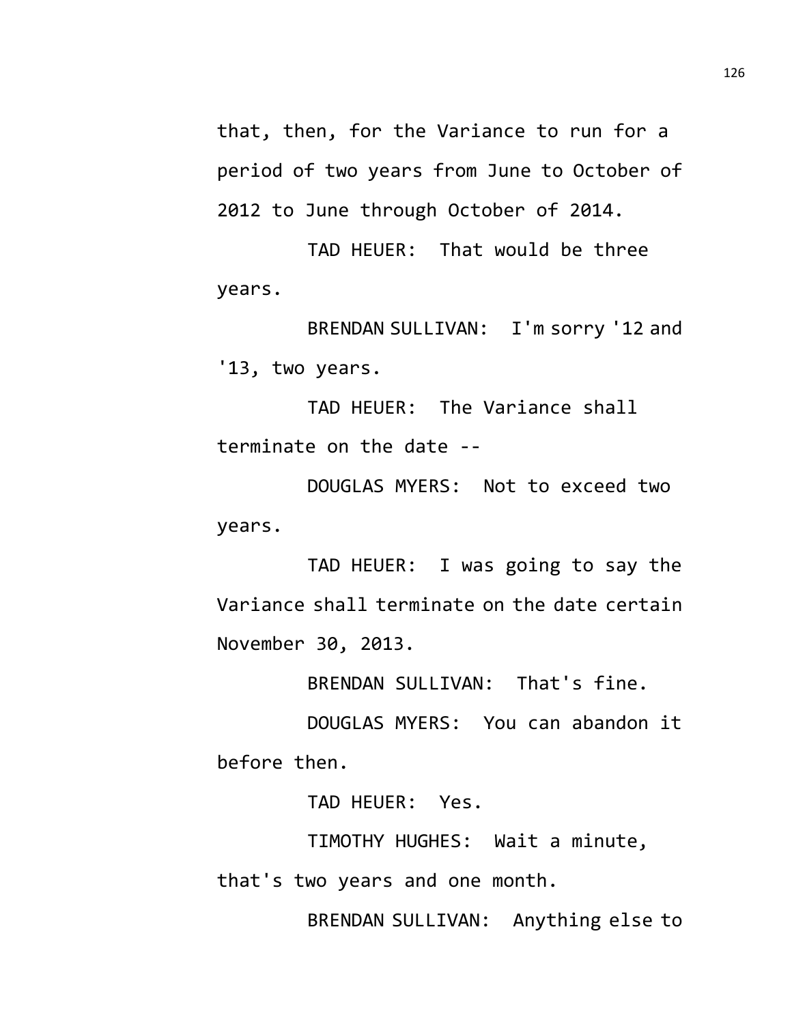that, then, for the Variance to run for a period of two years from June to October of 2012 to June through October of 2014.

TAD HEUER: That would be three years.

BRENDAN SULLIVAN: I'm sorry '12 and '13, two years.

TAD HEUER: The Variance shall terminate on the date --

DOUGLAS MYERS: Not to exceed two years.

TAD HEUER: I was going to say the Variance shall terminate on the date certain November 30, 2013.

BRENDAN SULLIVAN: That's fine.

DOUGLAS MYERS: You can abandon it before then.

TAD HEUER: Yes.

TIMOTHY HUGHES: Wait a minute,

that's two years and one month.

BRENDAN SULLIVAN: Anything else to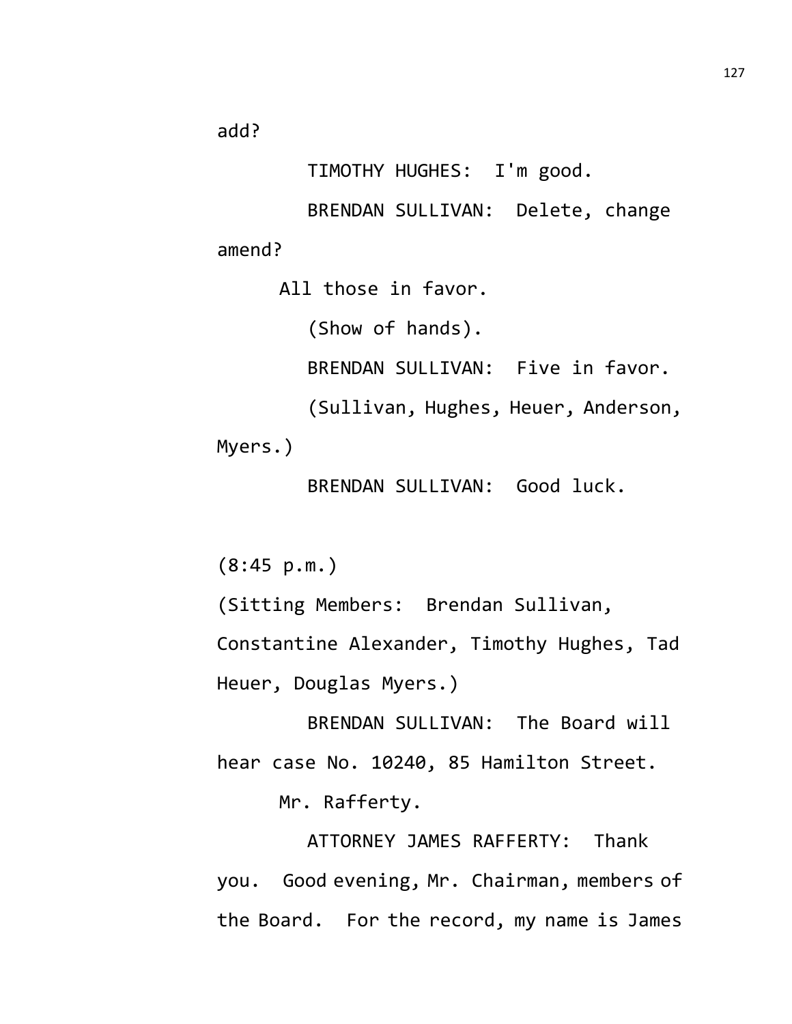add?

TIMOTHY HUGHES: I'm good.

BRENDAN SULLIVAN: Delete, change amend?

All those in favor.

(Show of hands).

BRENDAN SULLIVAN: Five in favor.

(Sullivan, Hughes, Heuer, Anderson,

Myers.)

BRENDAN SULLIVAN: Good luck.

(8:45 p.m.)

(Sitting Members: Brendan Sullivan,

Constantine Alexander, Timothy Hughes, Tad Heuer, Douglas Myers.)

BRENDAN SULLIVAN: The Board will hear case No. 10240, 85 Hamilton Street.

Mr. Rafferty.

ATTORNEY JAMES RAFFERTY: Thank you. Good evening, Mr. Chairman, members of the Board. For the record, my name is James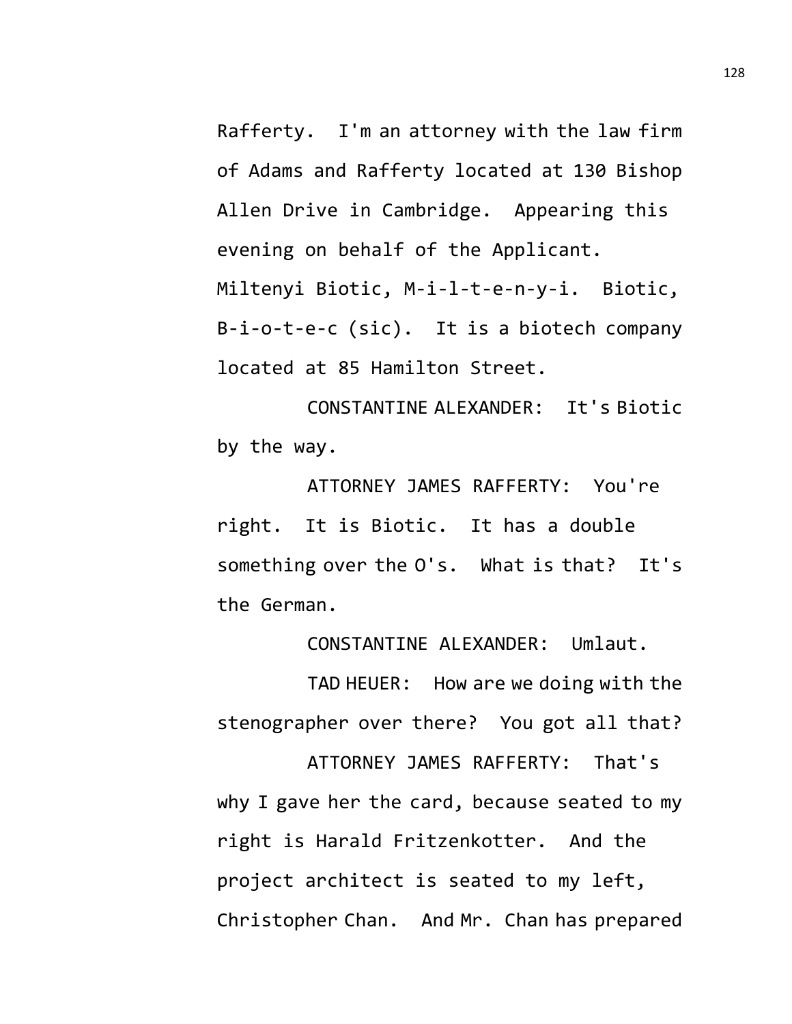Rafferty. I'm an attorney with the law firm of Adams and Rafferty located at 130 Bishop Allen Drive in Cambridge. Appearing this evening on behalf of the Applicant. Miltenyi Biotic, M-i-l-t-e-n-y-i. Biotic, B-i-o-t-e-c (sic). It is a biotech company located at 85 Hamilton Street.

CONSTANTINE ALEXANDER: It's Biotic by the way.

ATTORNEY JAMES RAFFERTY: You're right. It is Biotic. It has a double something over the O's. What is that? It's the German.

CONSTANTINE ALEXANDER: Umlaut.

TAD HEUER: How are we doing with the stenographer over there? You got all that?

ATTORNEY JAMES RAFFERTY: That's why I gave her the card, because seated to my right is Harald Fritzenkotter. And the project architect is seated to my left, Christopher Chan. And Mr. Chan has prepared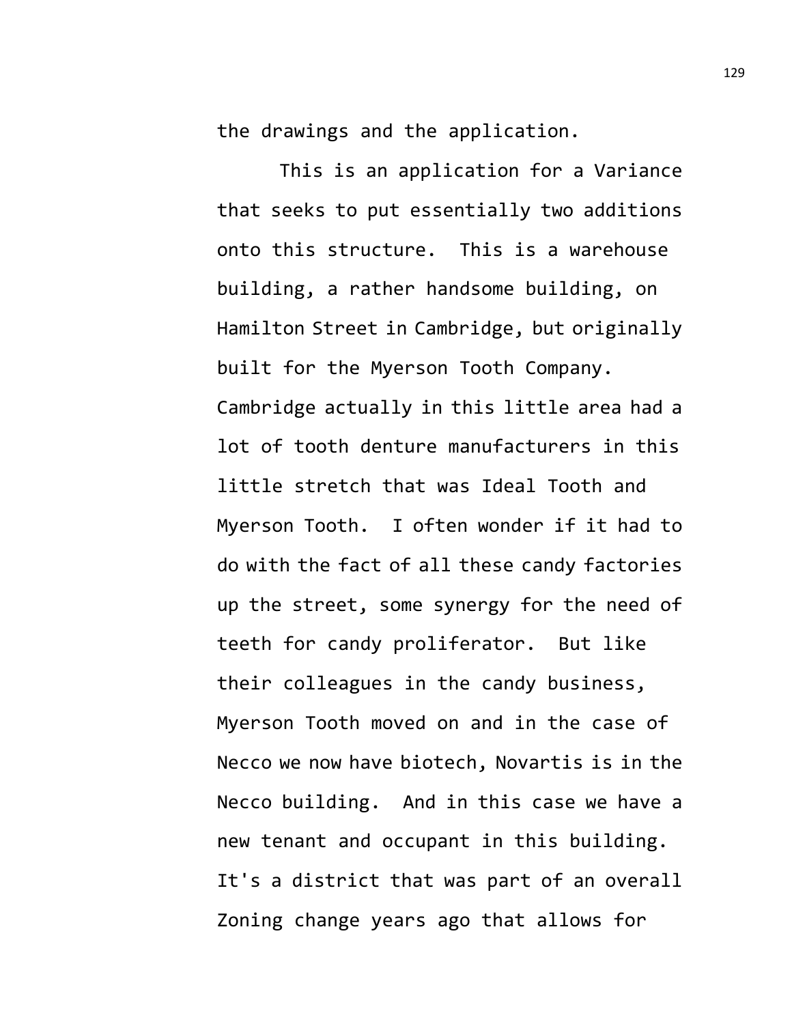the drawings and the application.

This is an application for a Variance that seeks to put essentially two additions onto this structure. This is a warehouse building, a rather handsome building, on Hamilton Street in Cambridge, but originally built for the Myerson Tooth Company. Cambridge actually in this little area had a lot of tooth denture manufacturers in this little stretch that was Ideal Tooth and Myerson Tooth. I often wonder if it had to do with the fact of all these candy factories up the street, some synergy for the need of teeth for candy proliferator. But like their colleagues in the candy business, Myerson Tooth moved on and in the case of Necco we now have biotech, Novartis is in the Necco building. And in this case we have a new tenant and occupant in this building. It's a district that was part of an overall Zoning change years ago that allows for

129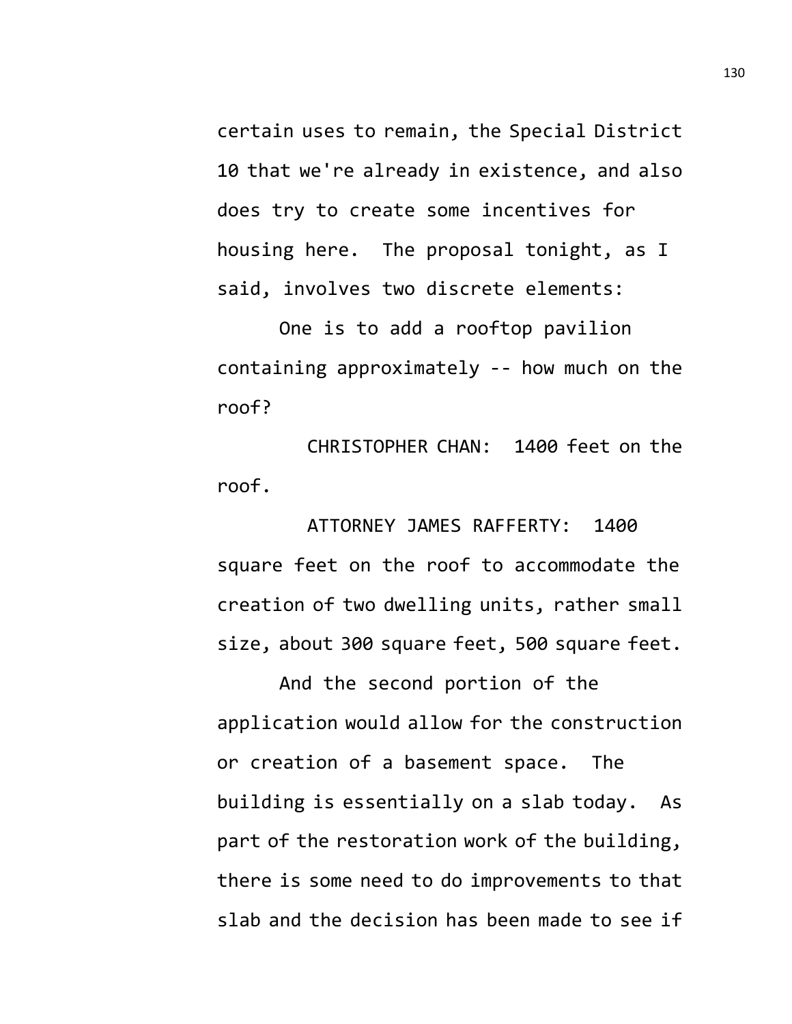certain uses to remain, the Special District 10 that we're already in existence, and also does try to create some incentives for housing here. The proposal tonight, as I said, involves two discrete elements:

One is to add a rooftop pavilion containing approximately -- how much on the roof?

CHRISTOPHER CHAN: 1400 feet on the roof.

ATTORNEY JAMES RAFFERTY: 1400 square feet on the roof to accommodate the creation of two dwelling units, rather small size, about 300 square feet, 500 square feet.

And the second portion of the application would allow for the construction or creation of a basement space. The building is essentially on a slab today. As part of the restoration work of the building, there is some need to do improvements to that slab and the decision has been made to see if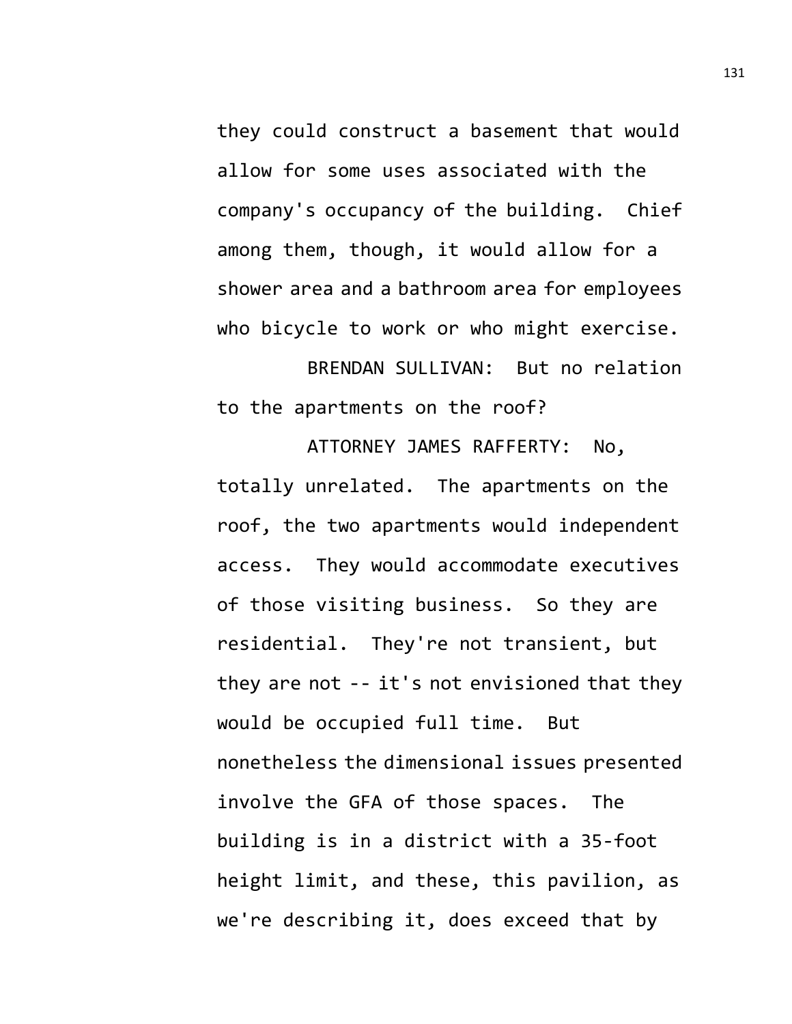they could construct a basement that would allow for some uses associated with the company's occupancy of the building. Chief among them, though, it would allow for a shower area and a bathroom area for employees who bicycle to work or who might exercise.

BRENDAN SULLIVAN: But no relation to the apartments on the roof?

ATTORNEY JAMES RAFFERTY: No, totally unrelated. The apartments on the roof, the two apartments would independent access. They would accommodate executives of those visiting business. So they are residential. They're not transient, but they are not -- it's not envisioned that they would be occupied full time. But nonetheless the dimensional issues presented involve the GFA of those spaces. The building is in a district with a 35-foot height limit, and these, this pavilion, as we're describing it, does exceed that by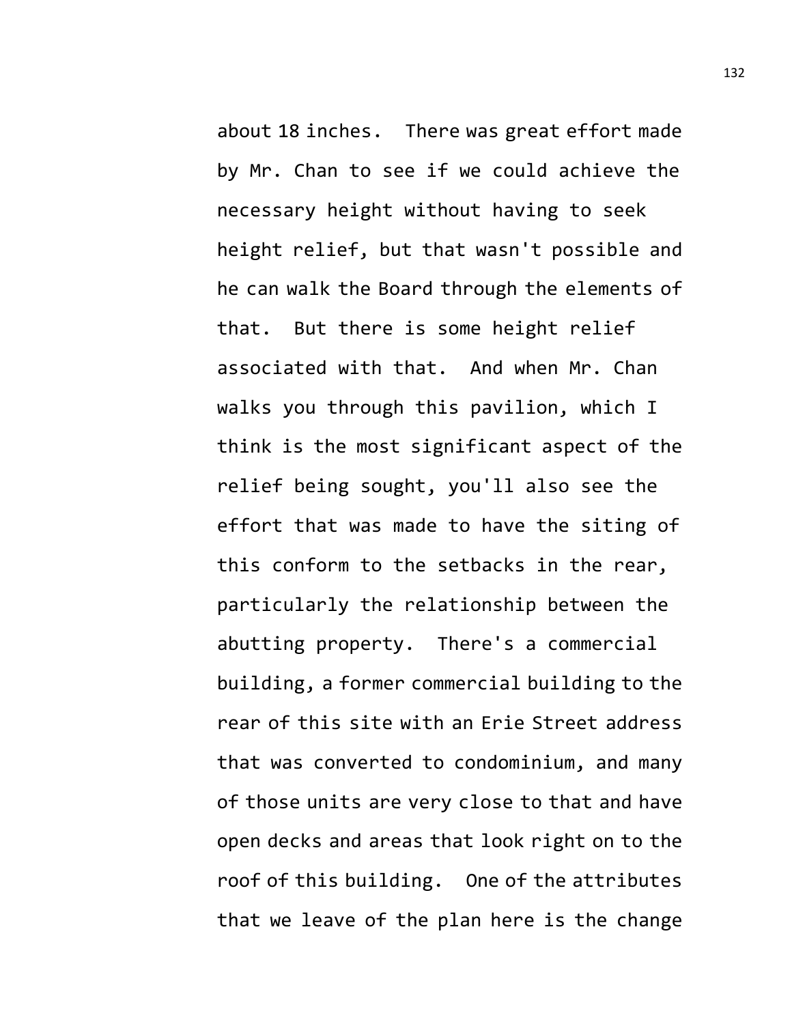about 18 inches. There was great effort made by Mr. Chan to see if we could achieve the necessary height without having to seek height relief, but that wasn't possible and he can walk the Board through the elements of that. But there is some height relief associated with that. And when Mr. Chan walks you through this pavilion, which I think is the most significant aspect of the relief being sought, you'll also see the effort that was made to have the siting of this conform to the setbacks in the rear, particularly the relationship between the abutting property. There's a commercial building, a former commercial building to the rear of this site with an Erie Street address that was converted to condominium, and many of those units are very close to that and have open decks and areas that look right on to the roof of this building. One of the attributes that we leave of the plan here is the change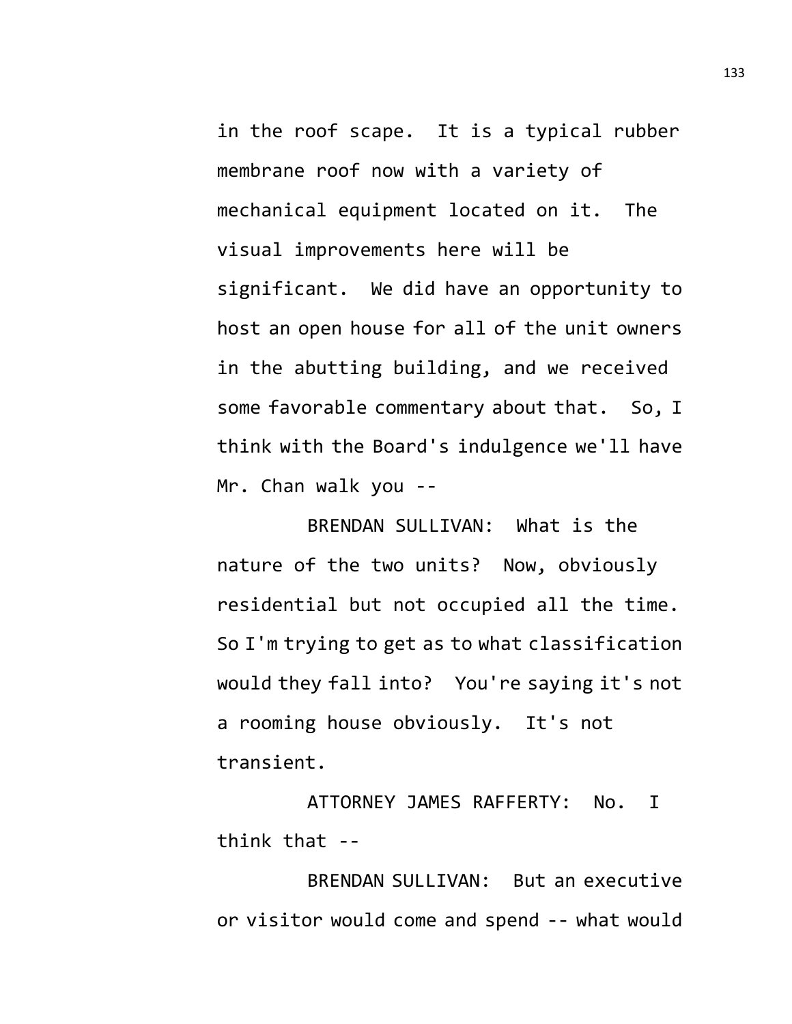in the roof scape. It is a typical rubber membrane roof now with a variety of mechanical equipment located on it. The visual improvements here will be significant. We did have an opportunity to host an open house for all of the unit owners in the abutting building, and we received some favorable commentary about that. So, I think with the Board's indulgence we'll have Mr. Chan walk you --

BRENDAN SULLIVAN: What is the nature of the two units? Now, obviously residential but not occupied all the time. So I'm trying to get as to what classification would they fall into? You're saying it's not a rooming house obviously. It's not transient.

ATTORNEY JAMES RAFFERTY: No. I think that --

BRENDAN SULLIVAN: But an executive or visitor would come and spend -- what would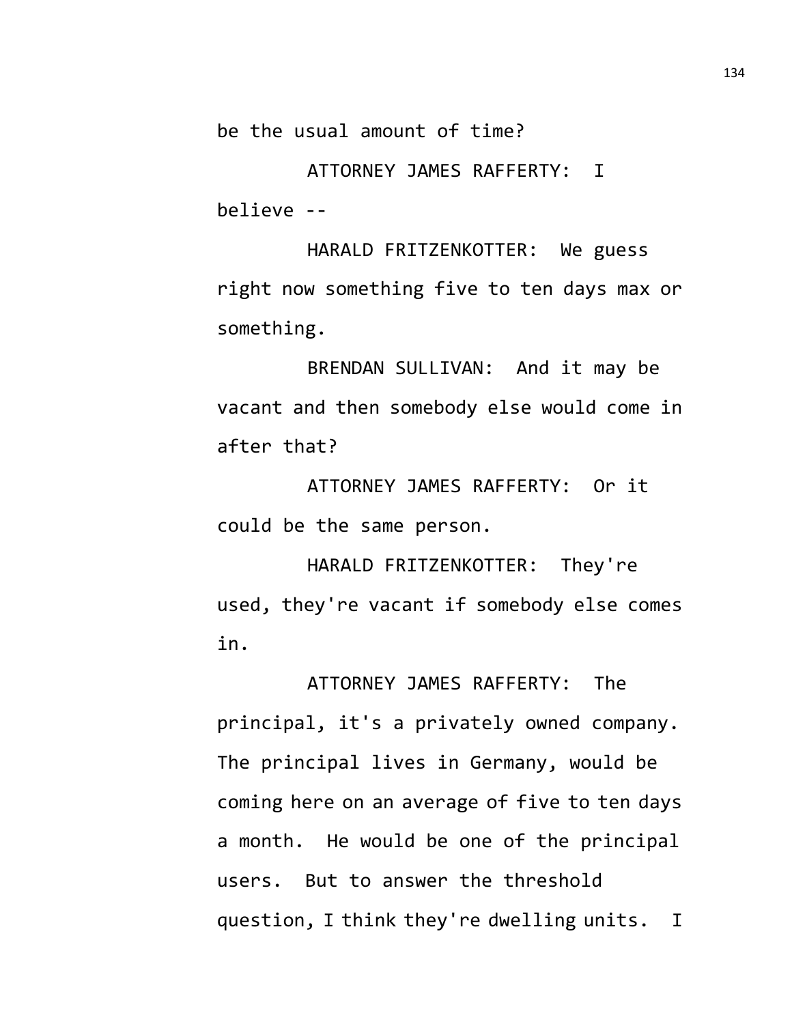be the usual amount of time?

ATTORNEY JAMES RAFFERTY: I believe --

HARALD FRITZENKOTTER: We guess right now something five to ten days max or something.

BRENDAN SULLIVAN: And it may be vacant and then somebody else would come in after that?

ATTORNEY JAMES RAFFERTY: Or it could be the same person.

HARALD FRITZENKOTTER: They're used, they're vacant if somebody else comes in.

ATTORNEY JAMES RAFFERTY: The principal, it's a privately owned company. The principal lives in Germany, would be coming here on an average of five to ten days a month. He would be one of the principal users. But to answer the threshold question, I think they're dwelling units. I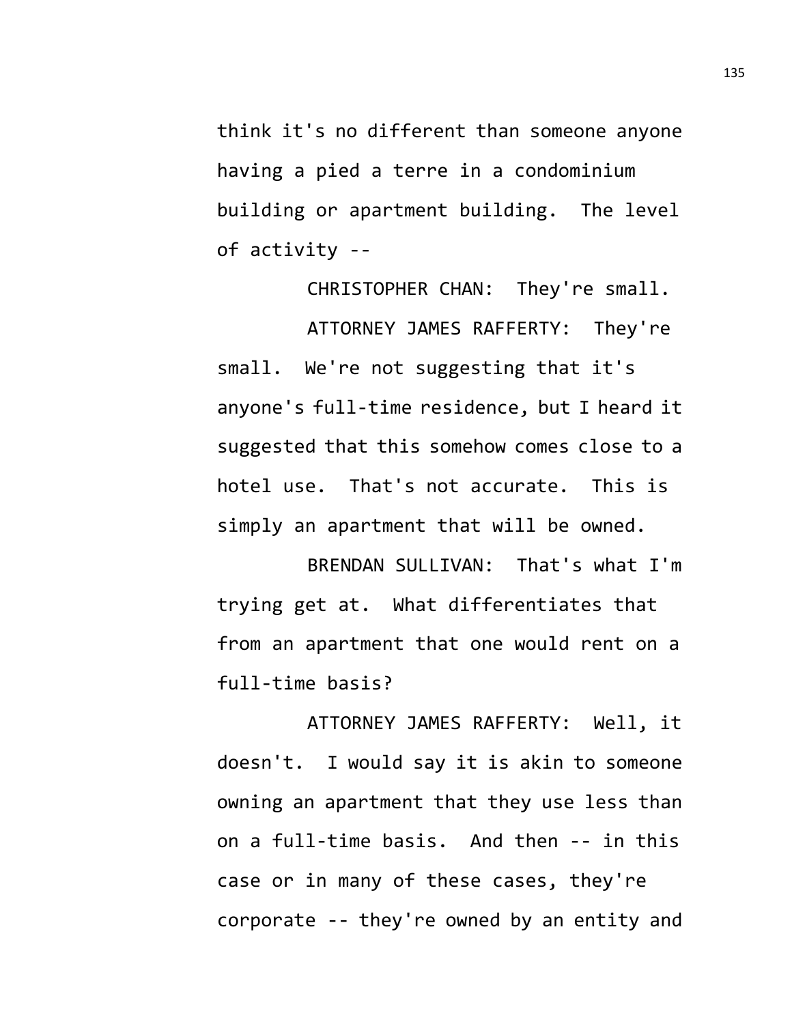think it's no different than someone anyone having a pied a terre in a condominium building or apartment building. The level of activity --

CHRISTOPHER CHAN: They're small. ATTORNEY JAMES RAFFERTY: They're small. We're not suggesting that it's anyone's full-time residence, but I heard it suggested that this somehow comes close to a hotel use. That's not accurate. This is simply an apartment that will be owned.

BRENDAN SULLIVAN: That's what I'm trying get at. What differentiates that from an apartment that one would rent on a full-time basis?

ATTORNEY JAMES RAFFERTY: Well, it doesn't. I would say it is akin to someone owning an apartment that they use less than on a full-time basis. And then -- in this case or in many of these cases, they're corporate -- they're owned by an entity and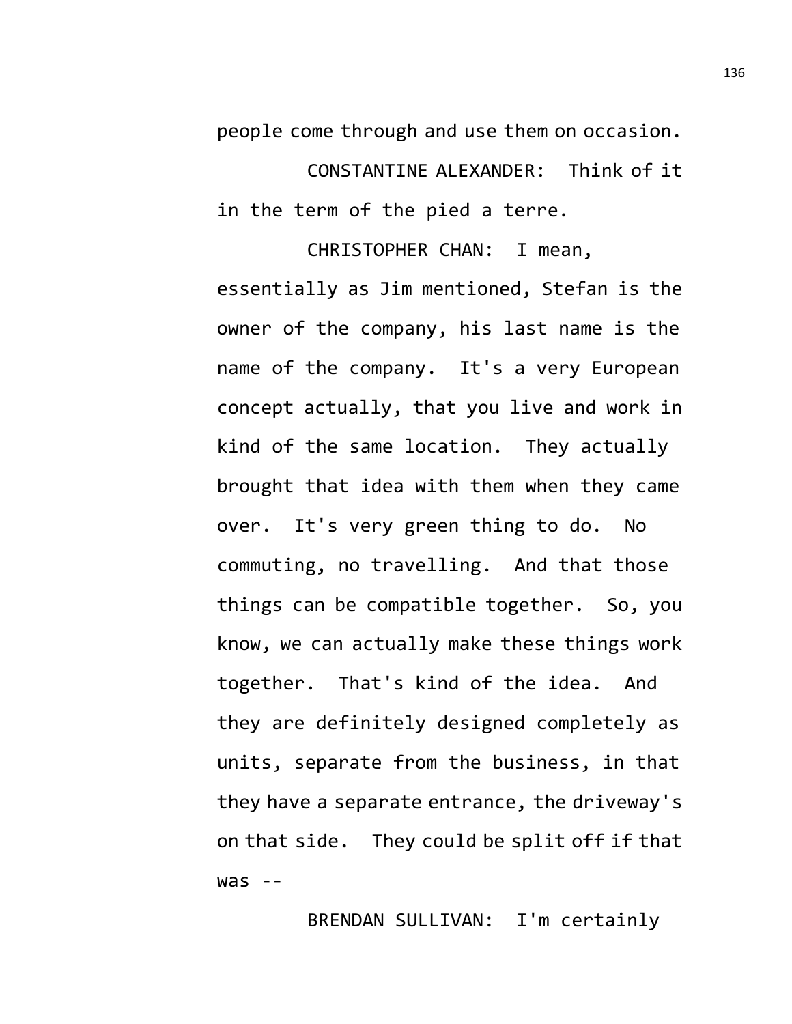people come through and use them on occasion.

CONSTANTINE ALEXANDER: Think of it in the term of the pied a terre.

CHRISTOPHER CHAN: I mean, essentially as Jim mentioned, Stefan is the owner of the company, his last name is the name of the company. It's a very European concept actually, that you live and work in kind of the same location. They actually brought that idea with them when they came over. It's very green thing to do. No commuting, no travelling. And that those things can be compatible together. So, you know, we can actually make these things work together. That's kind of the idea. And they are definitely designed completely as units, separate from the business, in that they have a separate entrance, the driveway's on that side. They could be split off if that  $was - -$ 

BRENDAN SULLIVAN: I'm certainly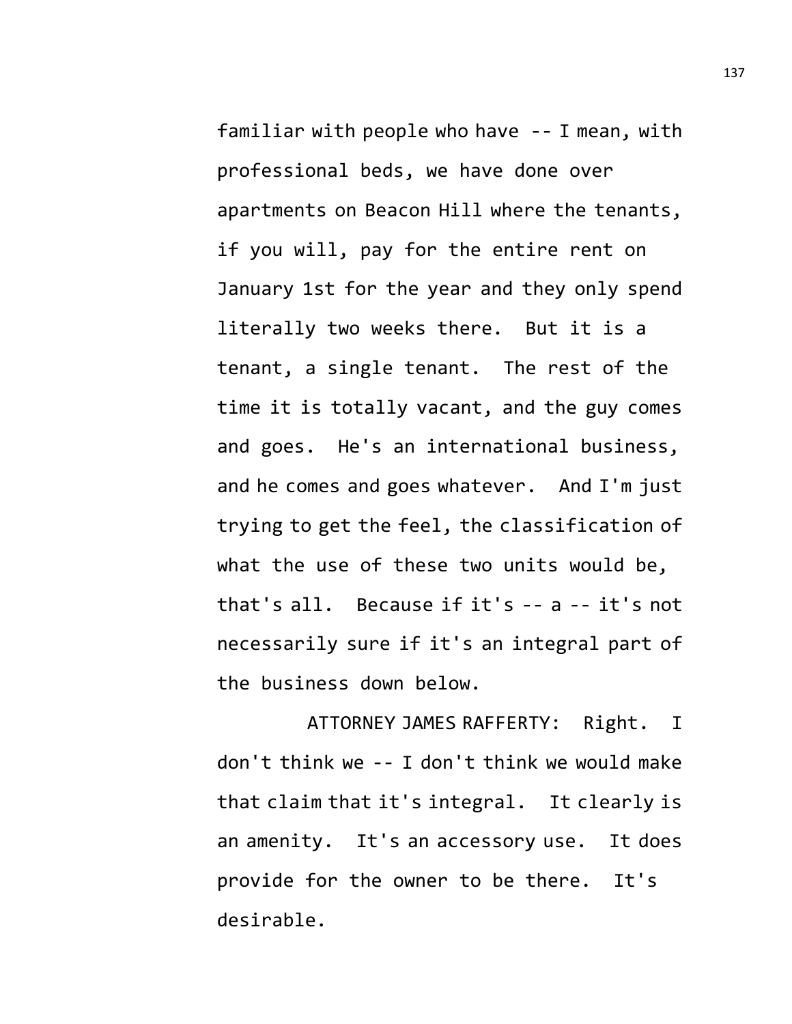familiar with people who have -- I mean, with professional beds, we have done over apartments on Beacon Hill where the tenants, if you will, pay for the entire rent on January 1st for the year and they only spend literally two weeks there. But it is a tenant, a single tenant. The rest of the time it is totally vacant, and the guy comes and goes. He's an international business, and he comes and goes whatever. And I'm just trying to get the feel, the classification of what the use of these two units would be, that's all. Because if it's -- a -- it's not necessarily sure if it's an integral part of the business down below.

ATTORNEY JAMES RAFFERTY: Right. I don't think we -- I don't think we would make that claim that it's integral. It clearly is an amenity. It's an accessory use. It does provide for the owner to be there. It's desirable.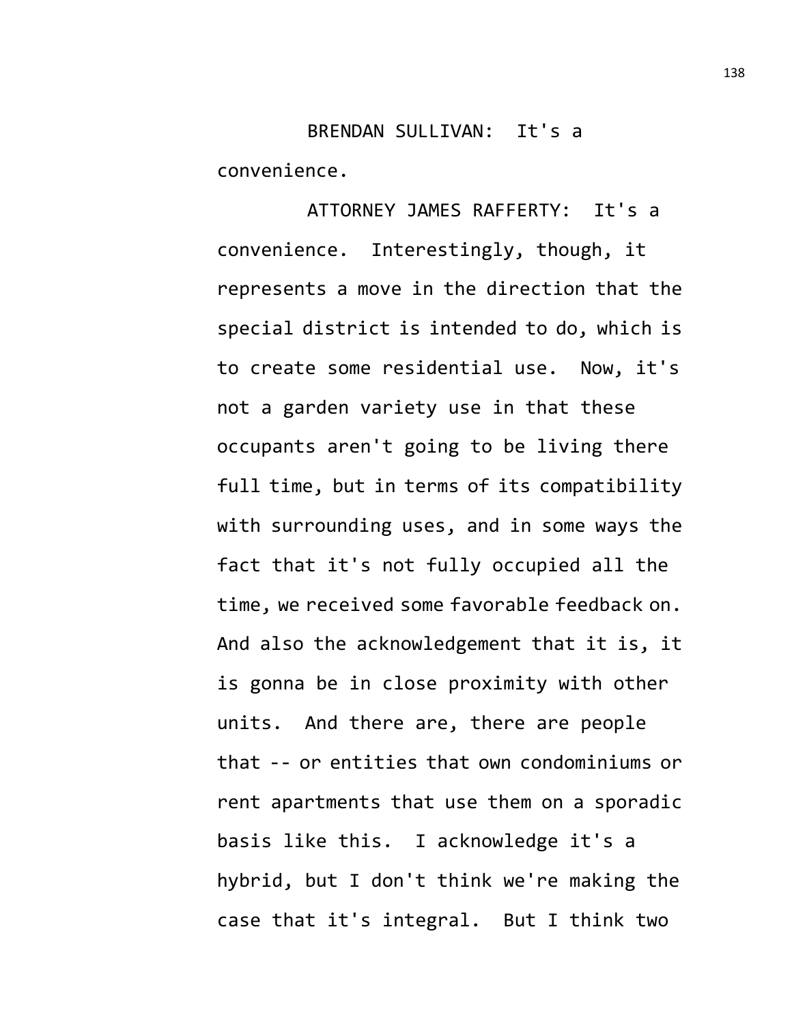BRENDAN SULLIVAN: It's a convenience.

ATTORNEY JAMES RAFFERTY: It's a convenience. Interestingly, though, it represents a move in the direction that the special district is intended to do, which is to create some residential use. Now, it's not a garden variety use in that these occupants aren't going to be living there full time, but in terms of its compatibility with surrounding uses, and in some ways the fact that it's not fully occupied all the time, we received some favorable feedback on. And also the acknowledgement that it is, it is gonna be in close proximity with other units. And there are, there are people that -- or entities that own condominiums or rent apartments that use them on a sporadic basis like this. I acknowledge it's a hybrid, but I don't think we're making the case that it's integral. But I think two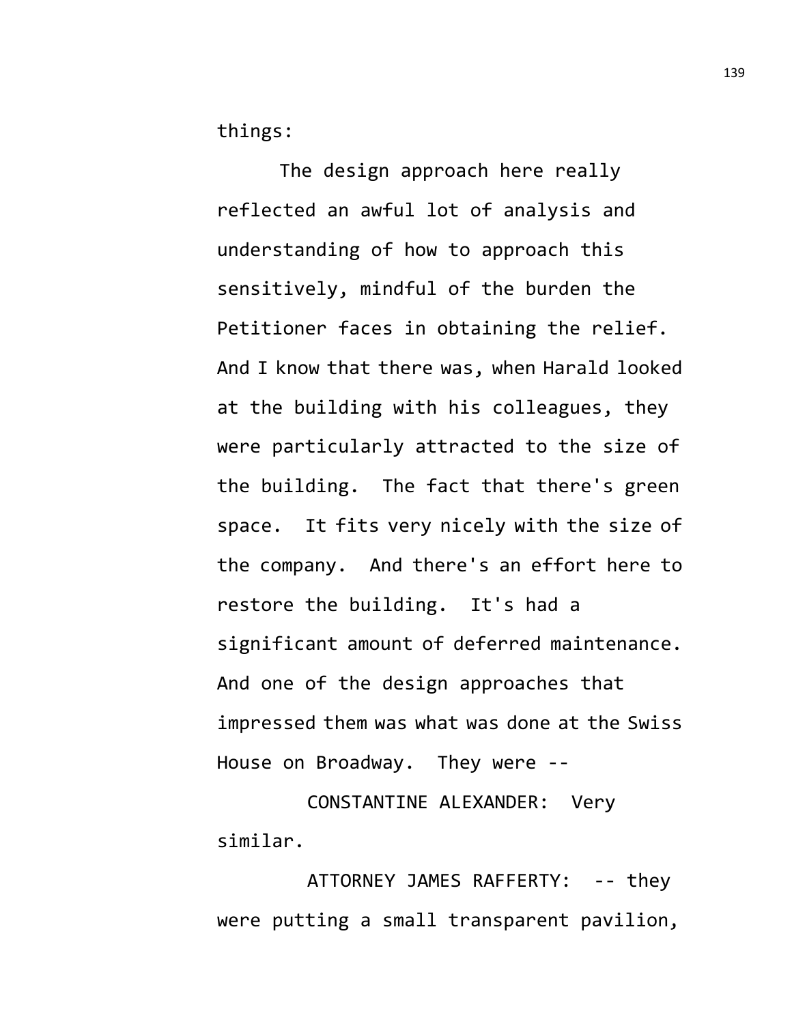things:

The design approach here really reflected an awful lot of analysis and understanding of how to approach this sensitively, mindful of the burden the Petitioner faces in obtaining the relief. And I know that there was, when Harald looked at the building with his colleagues, they were particularly attracted to the size of the building. The fact that there's green space. It fits very nicely with the size of the company. And there's an effort here to restore the building. It's had a significant amount of deferred maintenance. And one of the design approaches that impressed them was what was done at the Swiss House on Broadway. They were --

CONSTANTINE ALEXANDER: Very similar.

ATTORNEY JAMES RAFFERTY: -- they were putting a small transparent pavilion,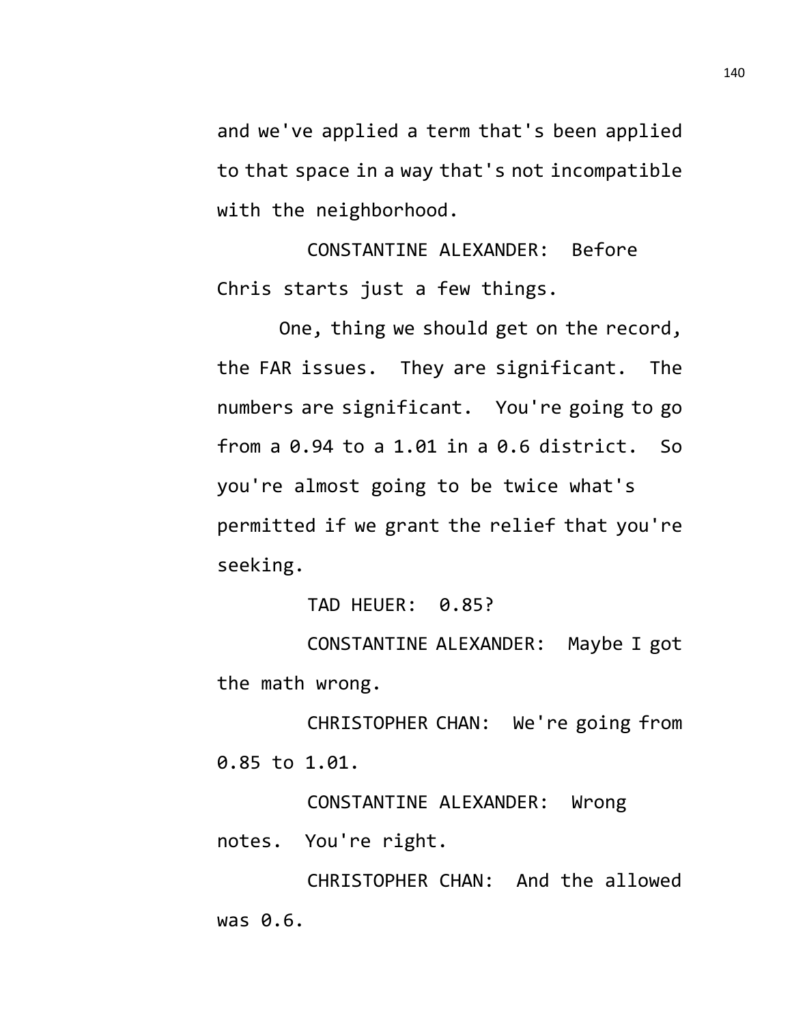and we've applied a term that's been applied to that space in a way that's not incompatible with the neighborhood.

CONSTANTINE ALEXANDER: Before Chris starts just a few things.

One, thing we should get on the record, the FAR issues. They are significant. The numbers are significant. You're going to go from a  $0.94$  to a 1.01 in a  $0.6$  district. So you're almost going to be twice what's permitted if we grant the relief that you're seeking.

TAD HEUER: 0.85?

CONSTANTINE ALEXANDER: Maybe I got the math wrong.

CHRISTOPHER CHAN: We're going from 0.85 to 1.01.

CONSTANTINE ALEXANDER: Wrong notes. You're right.

CHRISTOPHER CHAN: And the allowed was 0.6.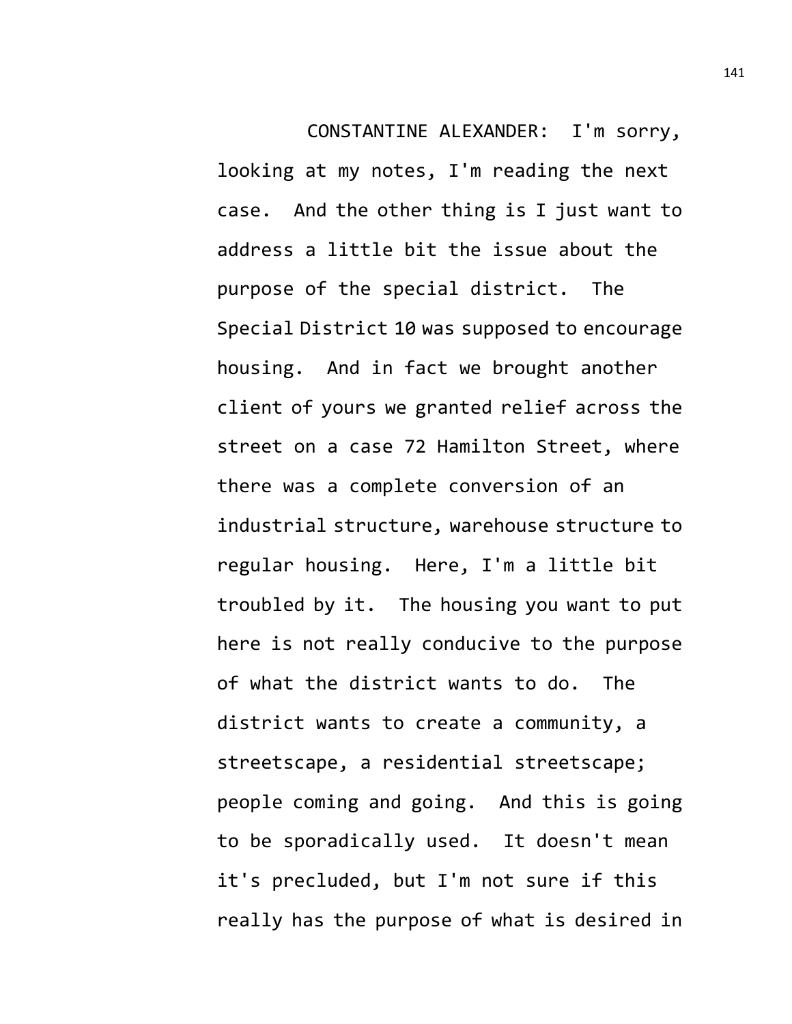CONSTANTINE ALEXANDER: I'm sorry, looking at my notes, I'm reading the next case. And the other thing is I just want to address a little bit the issue about the purpose of the special district. The Special District 10 was supposed to encourage housing. And in fact we brought another client of yours we granted relief across the street on a case 72 Hamilton Street, where there was a complete conversion of an industrial structure, warehouse structure to regular housing. Here, I'm a little bit troubled by it. The housing you want to put here is not really conducive to the purpose of what the district wants to do. The district wants to create a community, a streetscape, a residential streetscape; people coming and going. And this is going to be sporadically used. It doesn't mean it's precluded, but I'm not sure if this really has the purpose of what is desired in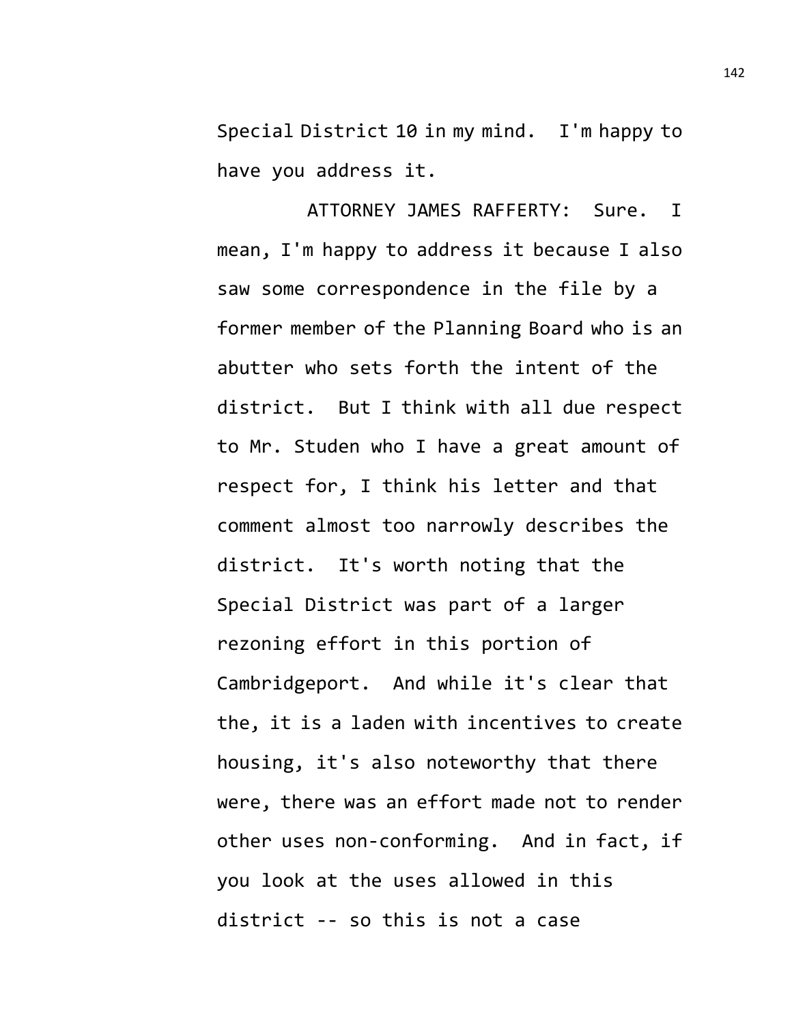Special District 10 in my mind. I'm happy to have you address it.

ATTORNEY JAMES RAFFERTY: Sure. I mean, I'm happy to address it because I also saw some correspondence in the file by a former member of the Planning Board who is an abutter who sets forth the intent of the district. But I think with all due respect to Mr. Studen who I have a great amount of respect for, I think his letter and that comment almost too narrowly describes the district. It's worth noting that the Special District was part of a larger rezoning effort in this portion of Cambridgeport. And while it's clear that the, it is a laden with incentives to create housing, it's also noteworthy that there were, there was an effort made not to render other uses non-conforming. And in fact, if you look at the uses allowed in this district -- so this is not a case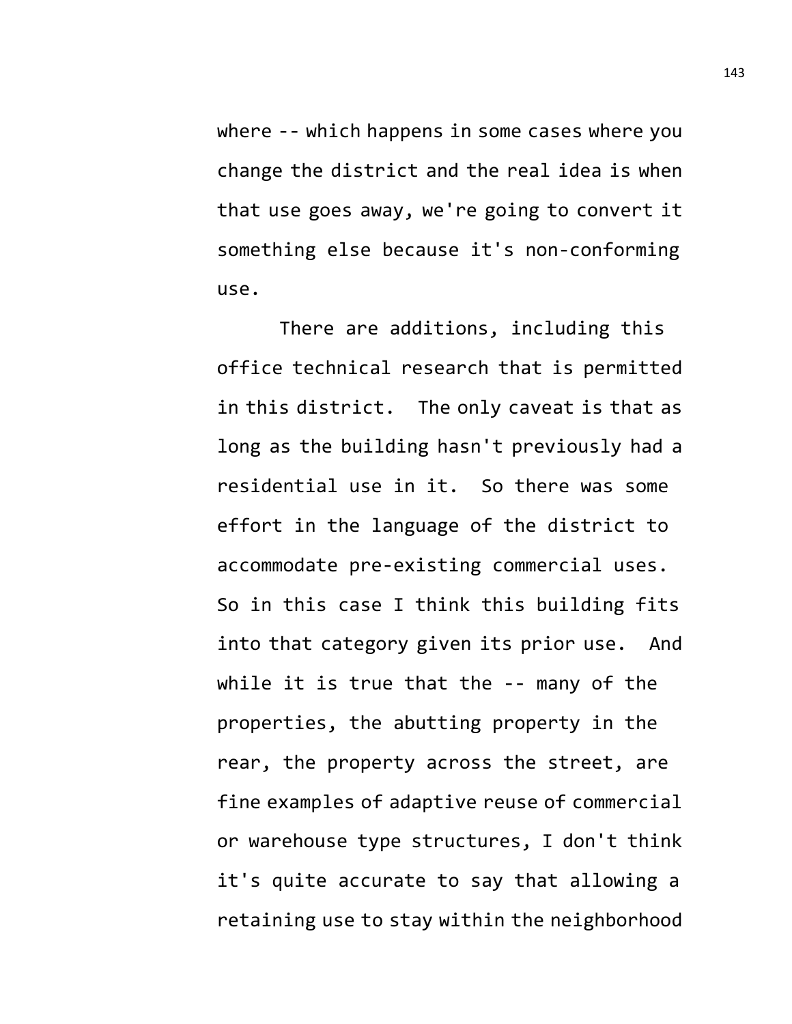where -- which happens in some cases where you change the district and the real idea is when that use goes away, we're going to convert it something else because it's non-conforming use.

There are additions, including this office technical research that is permitted in this district. The only caveat is that as long as the building hasn't previously had a residential use in it. So there was some effort in the language of the district to accommodate pre-existing commercial uses. So in this case I think this building fits into that category given its prior use. And while it is true that the -- many of the properties, the abutting property in the rear, the property across the street, are fine examples of adaptive reuse of commercial or warehouse type structures, I don't think it's quite accurate to say that allowing a retaining use to stay within the neighborhood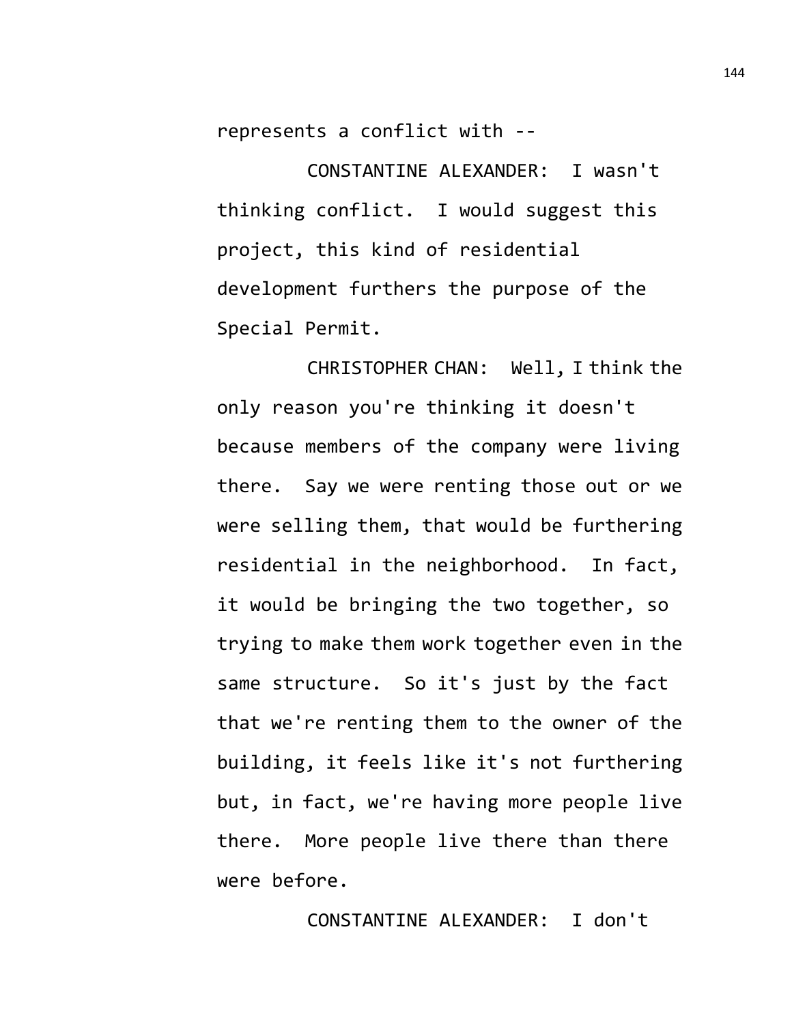represents a conflict with --

CONSTANTINE ALEXANDER: I wasn't thinking conflict. I would suggest this project, this kind of residential development furthers the purpose of the Special Permit.

CHRISTOPHER CHAN: Well, I think the only reason you're thinking it doesn't because members of the company were living there. Say we were renting those out or we were selling them, that would be furthering residential in the neighborhood. In fact, it would be bringing the two together, so trying to make them work together even in the same structure. So it's just by the fact that we're renting them to the owner of the building, it feels like it's not furthering but, in fact, we're having more people live there. More people live there than there were before.

CONSTANTINE ALEXANDER: I don't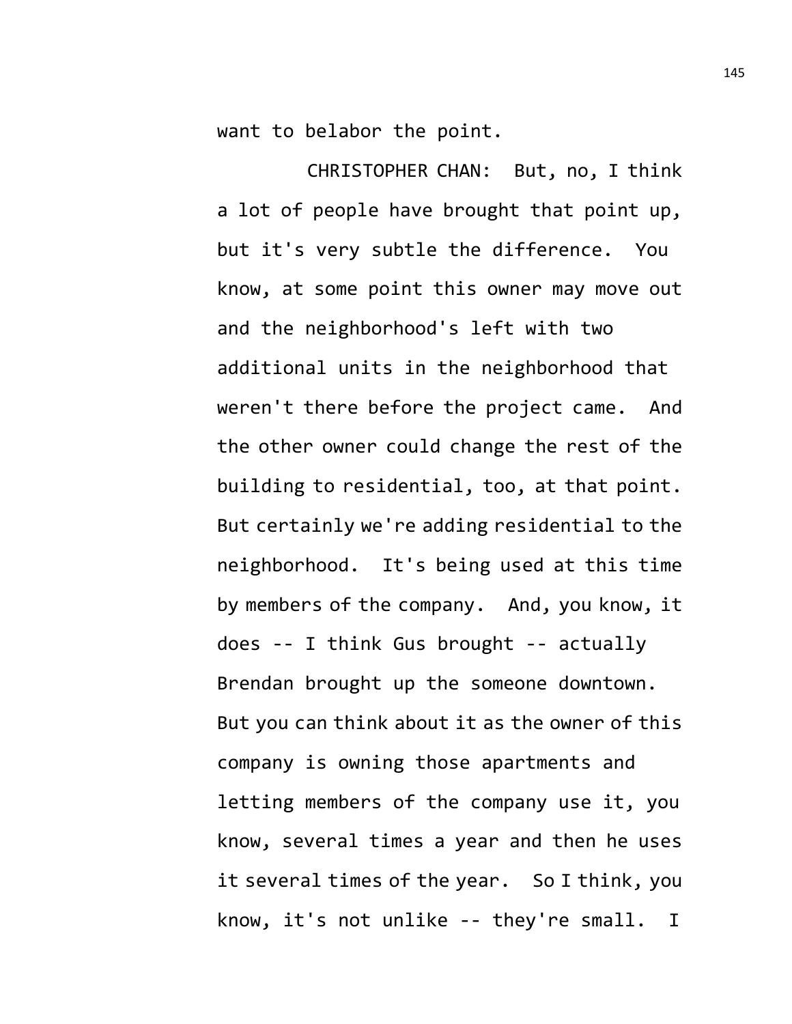want to belabor the point.

CHRISTOPHER CHAN: But, no, I think a lot of people have brought that point up, but it's very subtle the difference. You know, at some point this owner may move out and the neighborhood's left with two additional units in the neighborhood that weren't there before the project came. And the other owner could change the rest of the building to residential, too, at that point. But certainly we're adding residential to the neighborhood. It's being used at this time by members of the company. And, you know, it does -- I think Gus brought -- actually Brendan brought up the someone downtown. But you can think about it as the owner of this company is owning those apartments and letting members of the company use it, you know, several times a year and then he uses it several times of the year. So I think, you know, it's not unlike -- they're small. I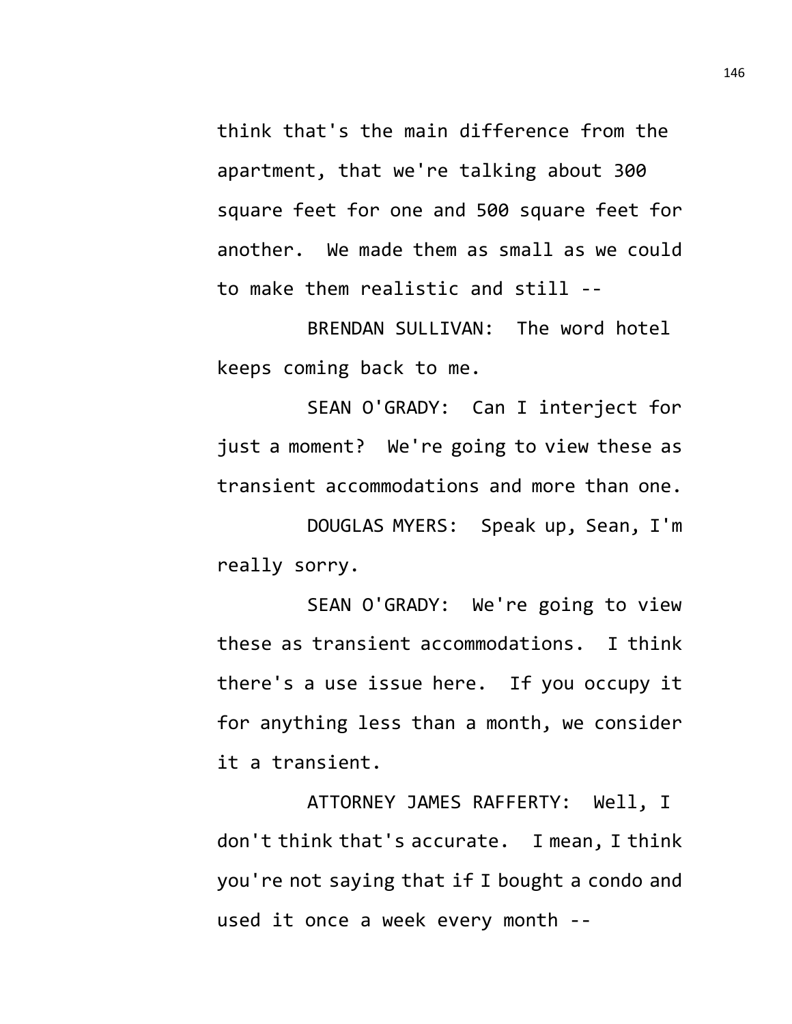think that's the main difference from the apartment, that we're talking about 300 square feet for one and 500 square feet for another. We made them as small as we could to make them realistic and still --

BRENDAN SULLIVAN: The word hotel keeps coming back to me.

SEAN O'GRADY: Can I interject for just a moment? We're going to view these as transient accommodations and more than one.

DOUGLAS MYERS: Speak up, Sean, I'm really sorry.

SEAN O'GRADY: We're going to view these as transient accommodations. I think there's a use issue here. If you occupy it for anything less than a month, we consider it a transient.

ATTORNEY JAMES RAFFERTY: Well, I don't think that's accurate. I mean, I think you're not saying that if I bought a condo and used it once a week every month --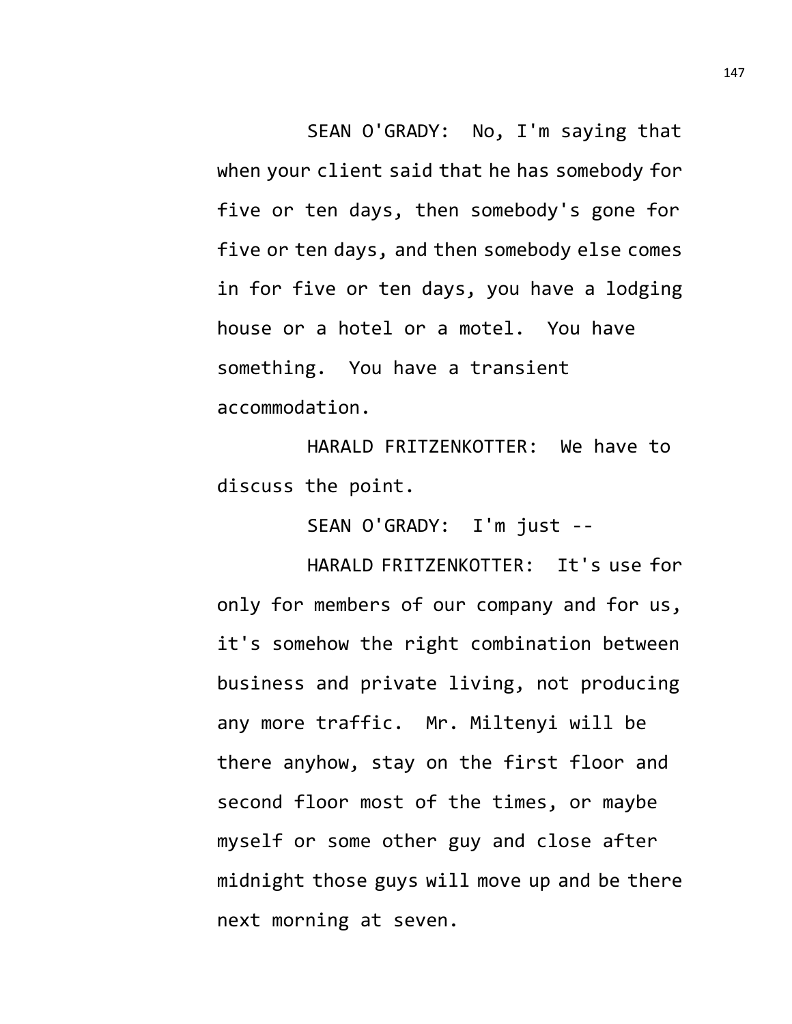SEAN O'GRADY: No, I'm saying that when your client said that he has somebody for five or ten days, then somebody's gone for five or ten days, and then somebody else comes in for five or ten days, you have a lodging house or a hotel or a motel. You have something. You have a transient accommodation.

HARALD FRITZENKOTTER: We have to discuss the point.

SEAN O'GRADY: I'm just --

HARALD FRITZENKOTTER: It's use for only for members of our company and for us, it's somehow the right combination between business and private living, not producing any more traffic. Mr. Miltenyi will be there anyhow, stay on the first floor and second floor most of the times, or maybe myself or some other guy and close after midnight those guys will move up and be there next morning at seven.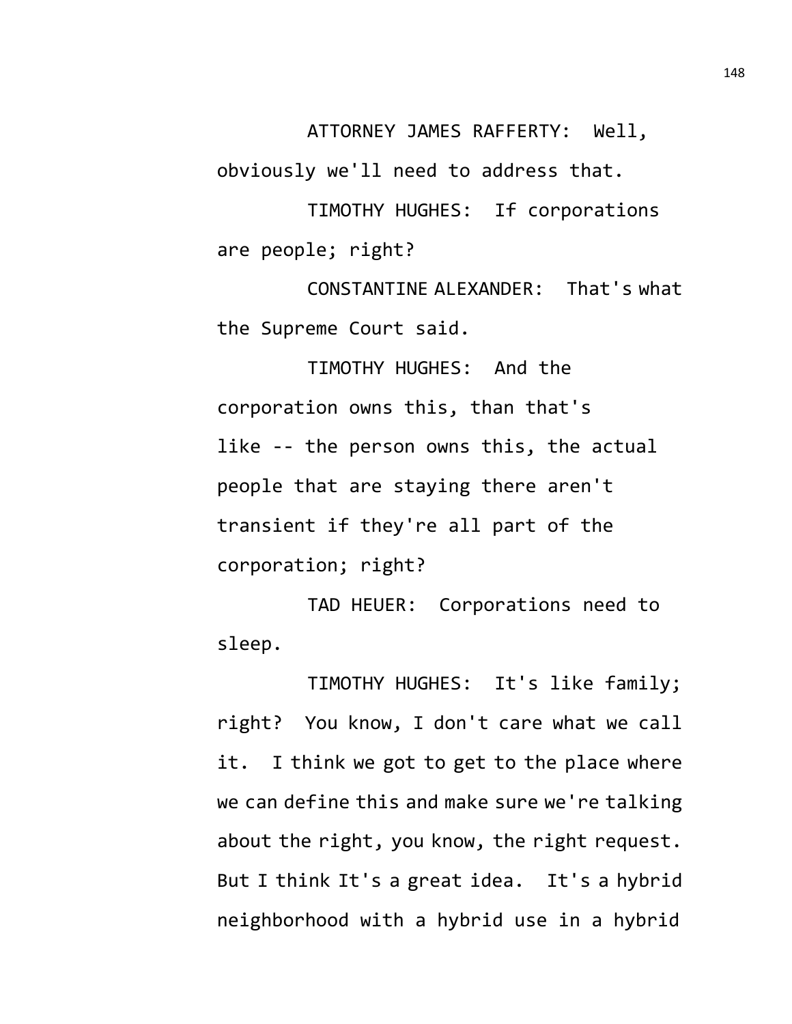ATTORNEY JAMES RAFFERTY: Well,

obviously we'll need to address that.

TIMOTHY HUGHES: If corporations are people; right?

CONSTANTINE ALEXANDER: That's what the Supreme Court said.

TIMOTHY HUGHES: And the corporation owns this, than that's like -- the person owns this, the actual people that are staying there aren't transient if they're all part of the corporation; right?

TAD HEUER: Corporations need to sleep.

TIMOTHY HUGHES: It's like family; right? You know, I don't care what we call it. I think we got to get to the place where we can define this and make sure we're talking about the right, you know, the right request. But I think It's a great idea. It's a hybrid neighborhood with a hybrid use in a hybrid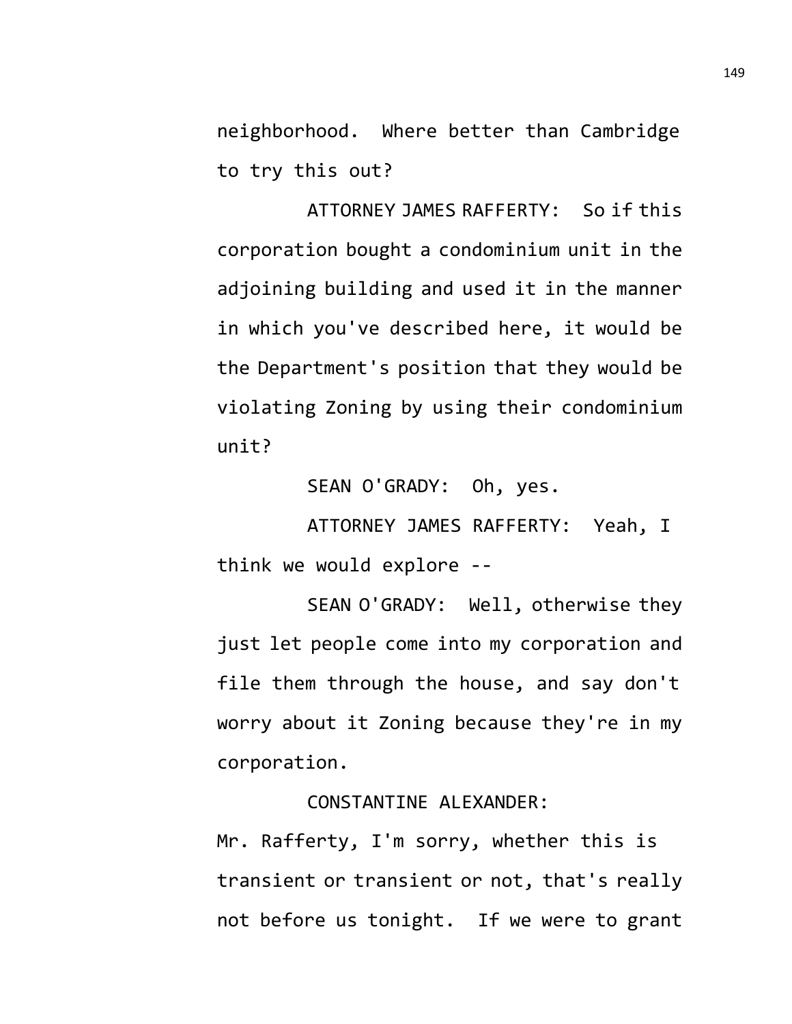neighborhood. Where better than Cambridge to try this out?

ATTORNEY JAMES RAFFERTY: So if this corporation bought a condominium unit in the adjoining building and used it in the manner in which you've described here, it would be the Department's position that they would be violating Zoning by using their condominium unit?

SEAN O'GRADY: Oh, yes.

ATTORNEY JAMES RAFFERTY: Yeah, I think we would explore --

SEAN O'GRADY: Well, otherwise they just let people come into my corporation and file them through the house, and say don't worry about it Zoning because they're in my corporation.

CONSTANTINE ALEXANDER:

Mr. Rafferty, I'm sorry, whether this is transient or transient or not, that's really not before us tonight. If we were to grant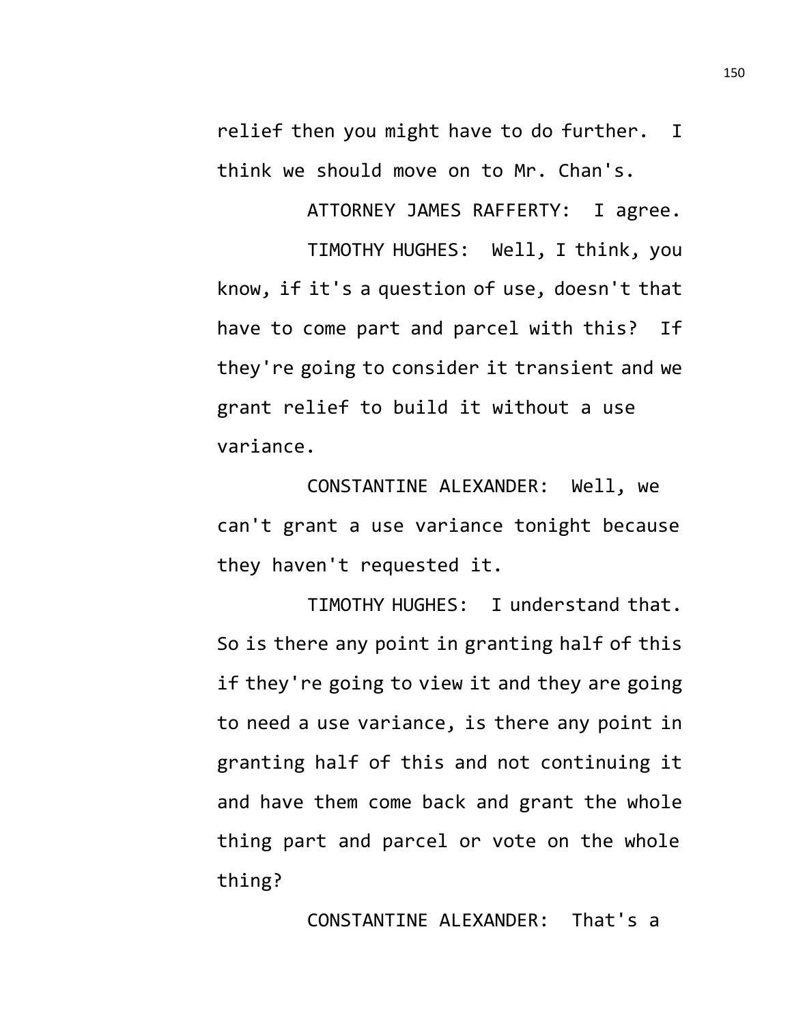relief then you might have to do further. I think we should move on to Mr. Chan's.

ATTORNEY JAMES RAFFERTY: I agree. TIMOTHY HUGHES: Well, I think, you know, if it's a question of use, doesn't that have to come part and parcel with this? If they're going to consider it transient and we grant relief to build it without a use variance.

CONSTANTINE ALEXANDER: Well, we can't grant a use variance tonight because they haven't requested it.

TIMOTHY HUGHES: I understand that. So is there any point in granting half of this if they're going to view it and they are going to need a use variance, is there any point in granting half of this and not continuing it and have them come back and grant the whole thing part and parcel or vote on the whole thing?

CONSTANTINE ALEXANDER: That's a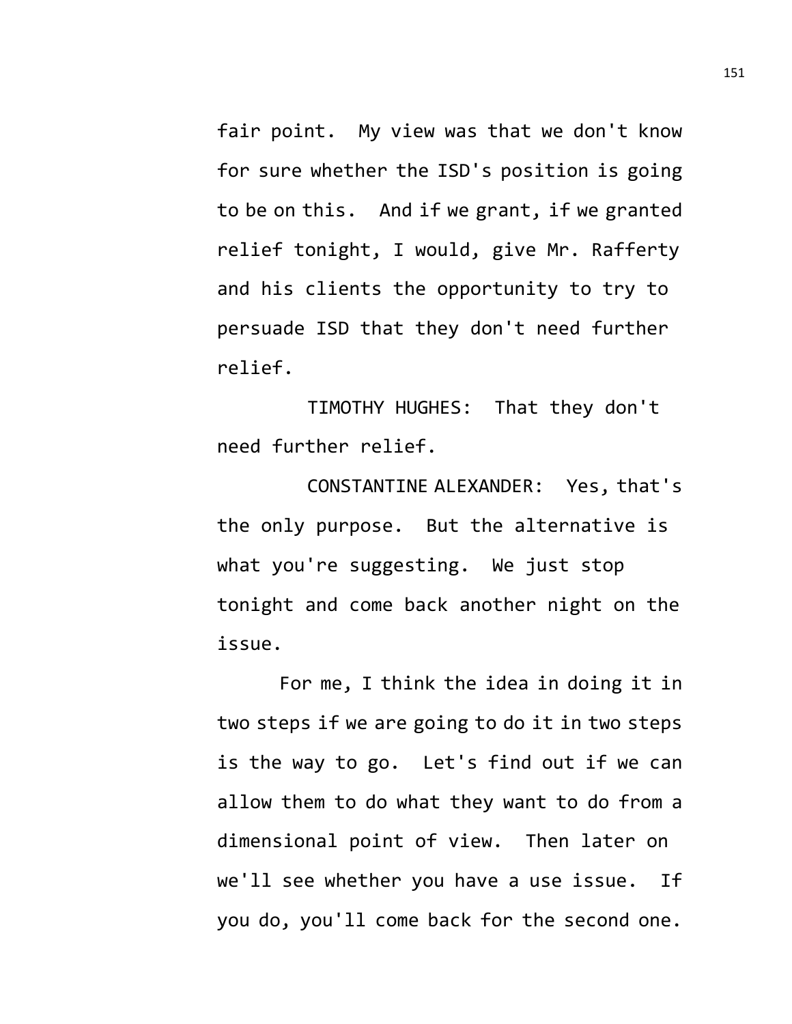fair point. My view was that we don't know for sure whether the ISD's position is going to be on this. And if we grant, if we granted relief tonight, I would, give Mr. Rafferty and his clients the opportunity to try to persuade ISD that they don't need further relief.

TIMOTHY HUGHES: That they don't need further relief.

CONSTANTINE ALEXANDER: Yes, that's the only purpose. But the alternative is what you're suggesting. We just stop tonight and come back another night on the issue.

For me, I think the idea in doing it in two steps if we are going to do it in two steps is the way to go. Let's find out if we can allow them to do what they want to do from a dimensional point of view. Then later on we'll see whether you have a use issue. If you do, you'll come back for the second one.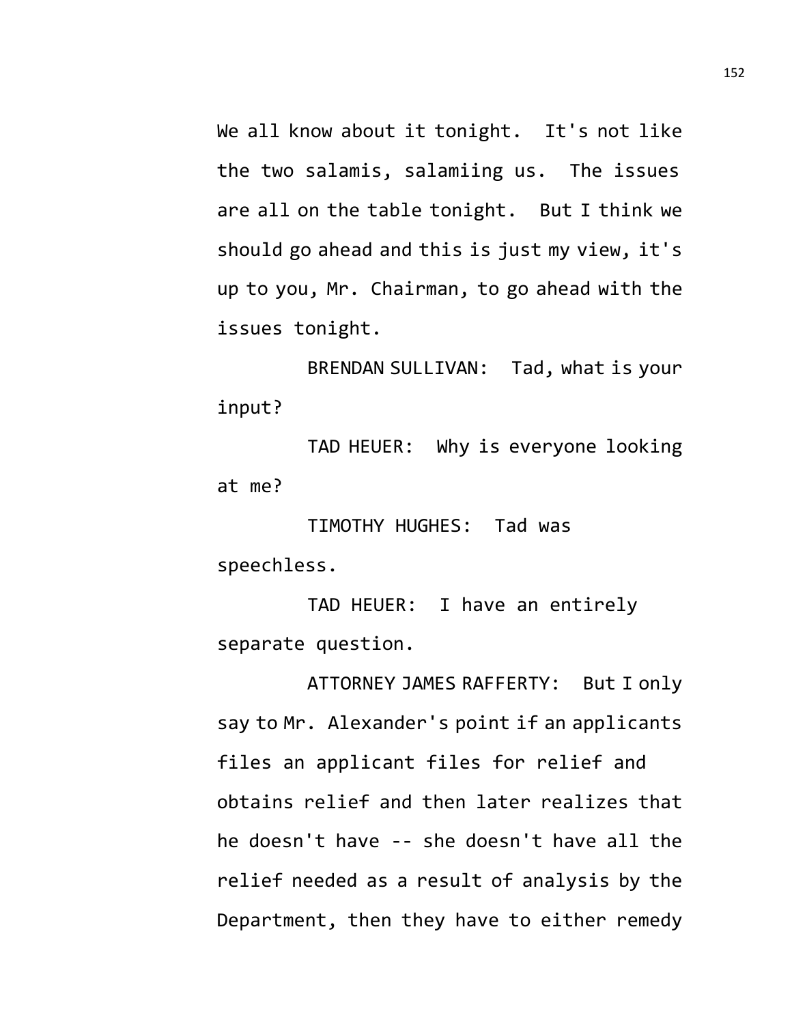We all know about it tonight. It's not like the two salamis, salamiing us. The issues are all on the table tonight. But I think we should go ahead and this is just my view, it's up to you, Mr. Chairman, to go ahead with the issues tonight.

BRENDAN SULLIVAN: Tad, what is your input?

TAD HEUER: Why is everyone looking at me?

TIMOTHY HUGHES: Tad was speechless.

TAD HEUER: I have an entirely separate question.

ATTORNEY JAMES RAFFERTY: But I only say to Mr. Alexander's point if an applicants files an applicant files for relief and obtains relief and then later realizes that he doesn't have -- she doesn't have all the relief needed as a result of analysis by the Department, then they have to either remedy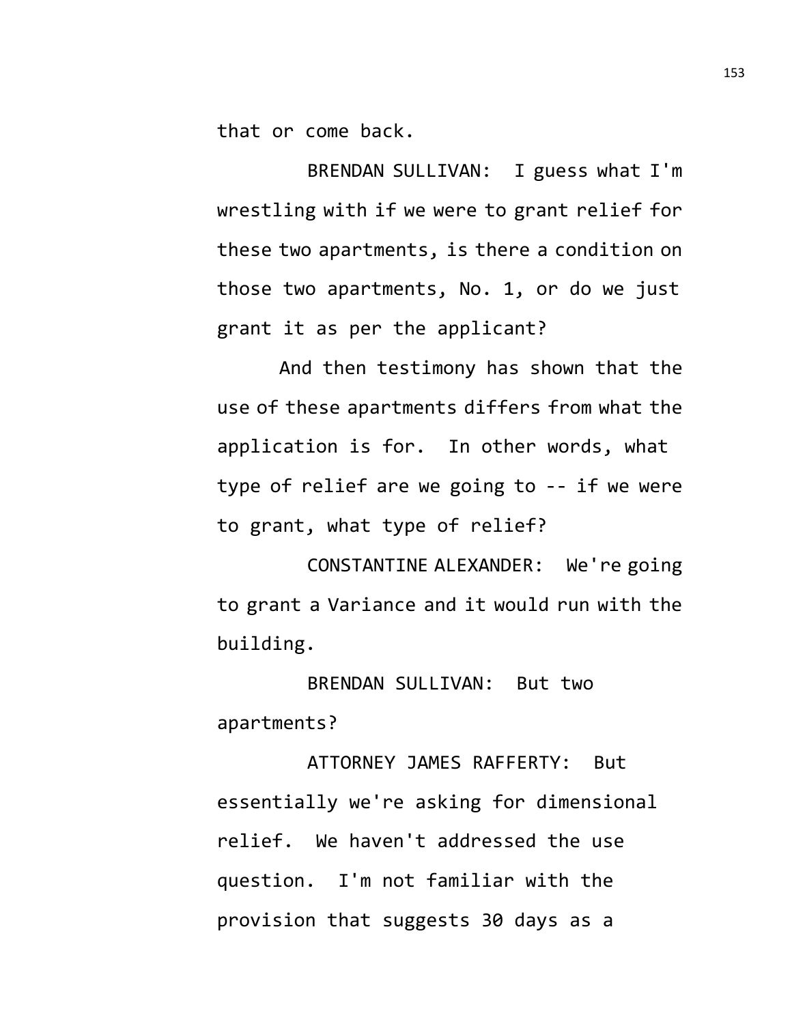that or come back.

BRENDAN SULLIVAN: I guess what I'm wrestling with if we were to grant relief for these two apartments, is there a condition on those two apartments, No. 1, or do we just grant it as per the applicant?

And then testimony has shown that the use of these apartments differs from what the application is for. In other words, what type of relief are we going to -- if we were to grant, what type of relief?

CONSTANTINE ALEXANDER: We're going to grant a Variance and it would run with the building.

BRENDAN SULLIVAN: But two apartments?

ATTORNEY JAMES RAFFERTY: But essentially we're asking for dimensional relief. We haven't addressed the use question. I'm not familiar with the provision that suggests 30 days as a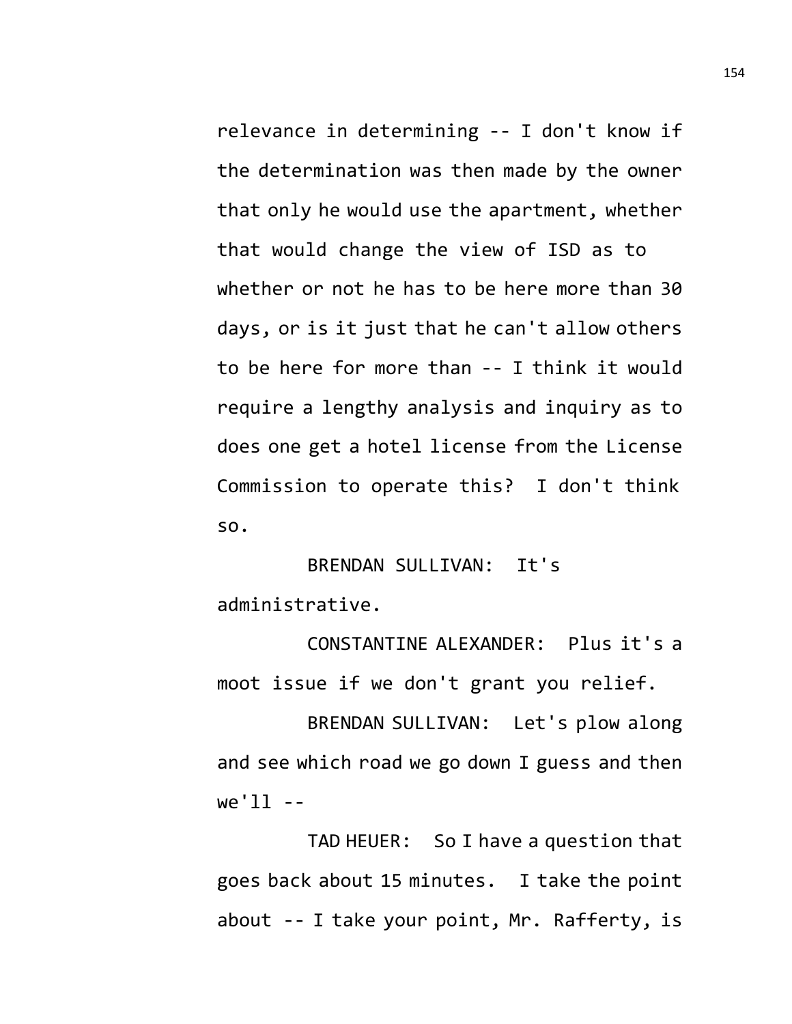relevance in determining -- I don't know if the determination was then made by the owner that only he would use the apartment, whether

that would change the view of ISD as to whether or not he has to be here more than 30 days, or is it just that he can't allow others to be here for more than -- I think it would require a lengthy analysis and inquiry as to does one get a hotel license from the License Commission to operate this? I don't think so.

## BRENDAN SULLIVAN: It's administrative.

CONSTANTINE ALEXANDER: Plus it's a moot issue if we don't grant you relief.

BRENDAN SULLIVAN: Let's plow along and see which road we go down I guess and then  $we'll --$ 

TAD HEUER: So I have a question that goes back about 15 minutes. I take the point about -- I take your point, Mr. Rafferty, is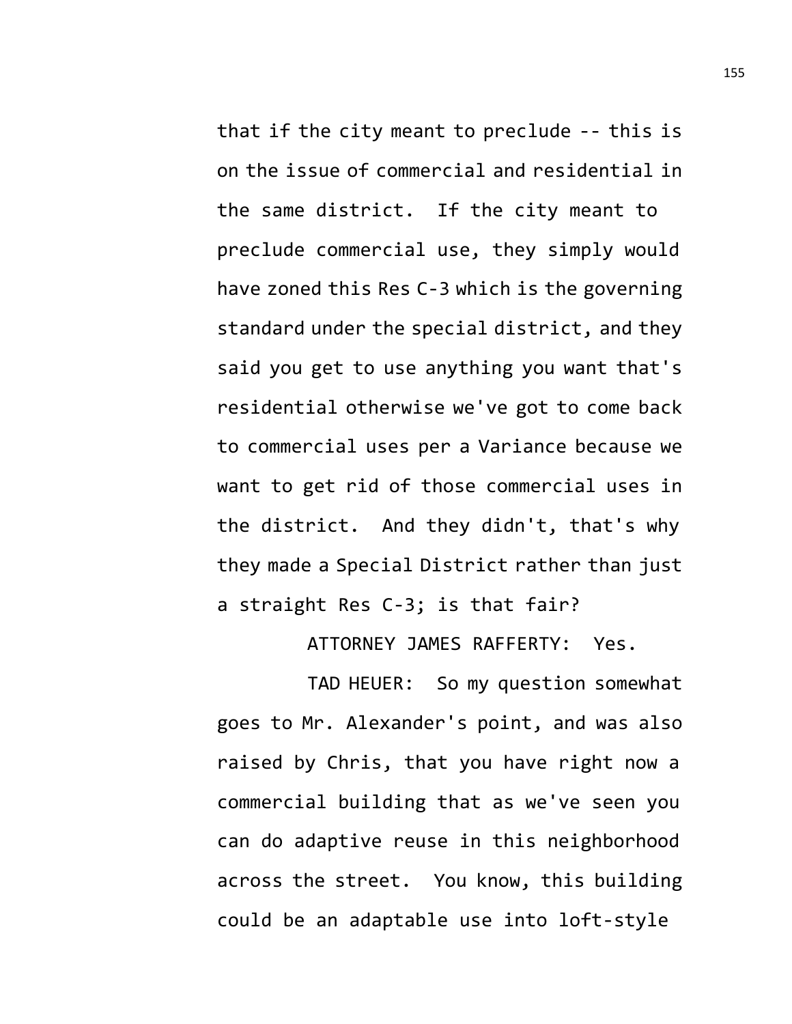that if the city meant to preclude -- this is on the issue of commercial and residential in the same district. If the city meant to preclude commercial use, they simply would have zoned this Res C-3 which is the governing standard under the special district, and they said you get to use anything you want that's residential otherwise we've got to come back to commercial uses per a Variance because we want to get rid of those commercial uses in the district. And they didn't, that's why they made a Special District rather than just a straight Res C-3; is that fair?

ATTORNEY JAMES RAFFERTY: Yes.

TAD HEUER: So my question somewhat goes to Mr. Alexander's point, and was also raised by Chris, that you have right now a commercial building that as we've seen you can do adaptive reuse in this neighborhood across the street. You know, this building could be an adaptable use into loft-style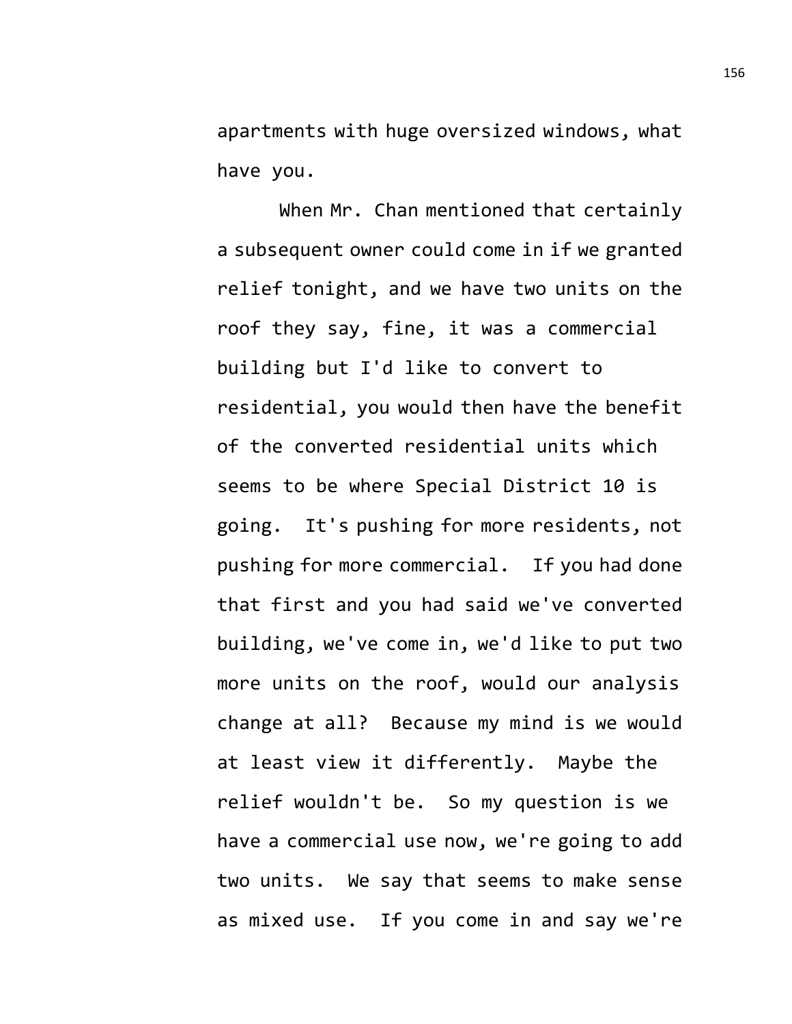apartments with huge oversized windows, what have you.

When Mr. Chan mentioned that certainly a subsequent owner could come in if we granted relief tonight, and we have two units on the roof they say, fine, it was a commercial building but I'd like to convert to residential, you would then have the benefit of the converted residential units which seems to be where Special District 10 is going. It's pushing for more residents, not pushing for more commercial. If you had done that first and you had said we've converted building, we've come in, we'd like to put two more units on the roof, would our analysis change at all? Because my mind is we would at least view it differently. Maybe the relief wouldn't be. So my question is we have a commercial use now, we're going to add two units. We say that seems to make sense as mixed use. If you come in and say we're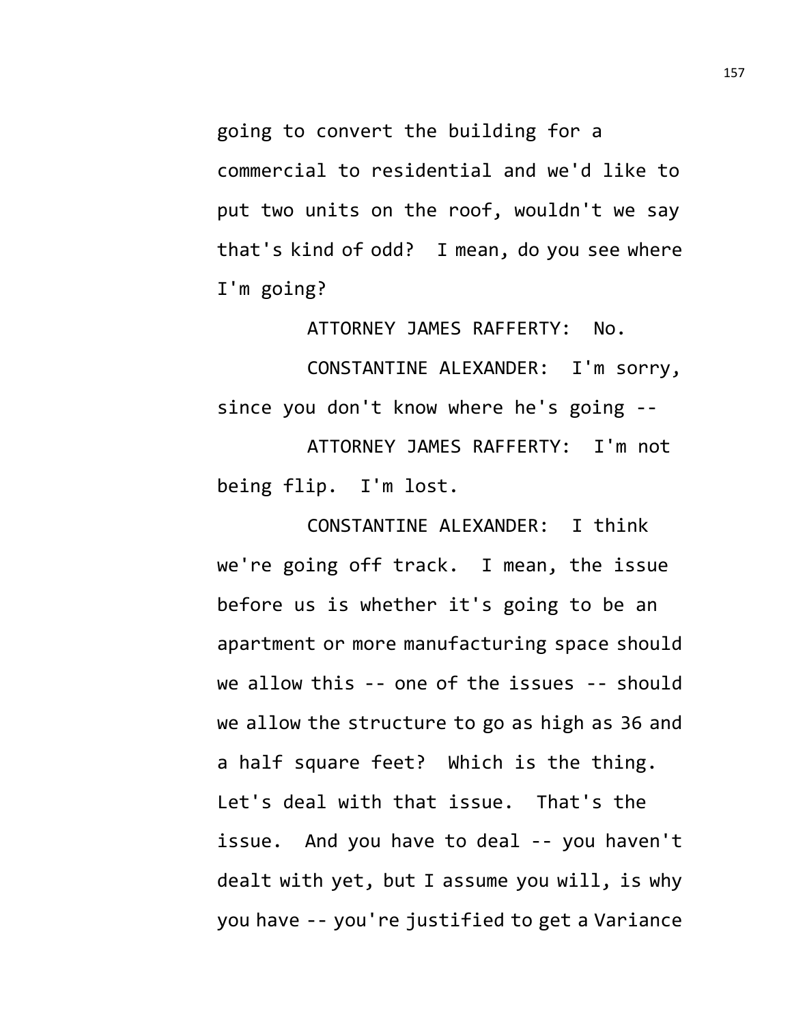going to convert the building for a commercial to residential and we'd like to put two units on the roof, wouldn't we say that's kind of odd? I mean, do you see where I'm going?

ATTORNEY JAMES RAFFERTY: No.

CONSTANTINE ALEXANDER: I'm sorry, since you don't know where he's going --

ATTORNEY JAMES RAFFERTY: I'm not being flip. I'm lost.

CONSTANTINE ALEXANDER: I think we're going off track. I mean, the issue before us is whether it's going to be an apartment or more manufacturing space should we allow this -- one of the issues -- should we allow the structure to go as high as 36 and a half square feet? Which is the thing. Let's deal with that issue. That's the issue. And you have to deal -- you haven't dealt with yet, but I assume you will, is why you have -- you're justified to get a Variance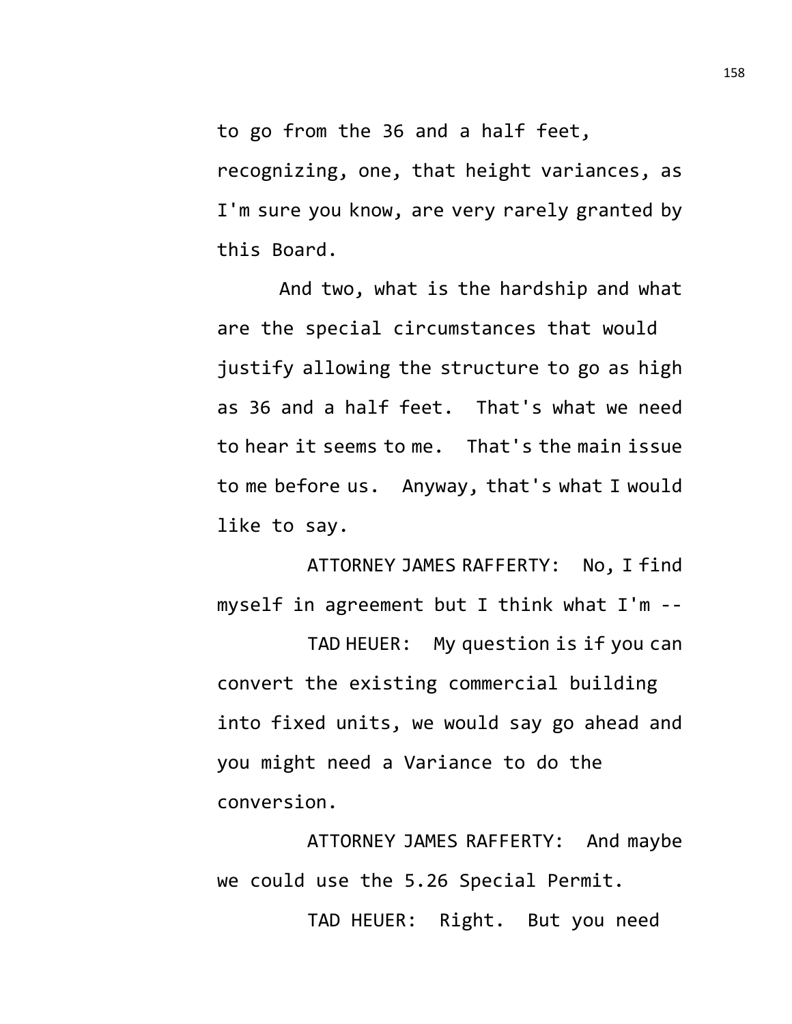to go from the 36 and a half feet,

recognizing, one, that height variances, as I'm sure you know, are very rarely granted by this Board.

And two, what is the hardship and what are the special circumstances that would justify allowing the structure to go as high as 36 and a half feet. That's what we need to hear it seems to me. That's the main issue to me before us. Anyway, that's what I would like to say.

ATTORNEY JAMES RAFFERTY: No, I find myself in agreement but I think what I'm --

TAD HEUER: My question is if you can convert the existing commercial building into fixed units, we would say go ahead and you might need a Variance to do the conversion.

ATTORNEY JAMES RAFFERTY: And maybe we could use the 5.26 Special Permit.

TAD HEUER: Right. But you need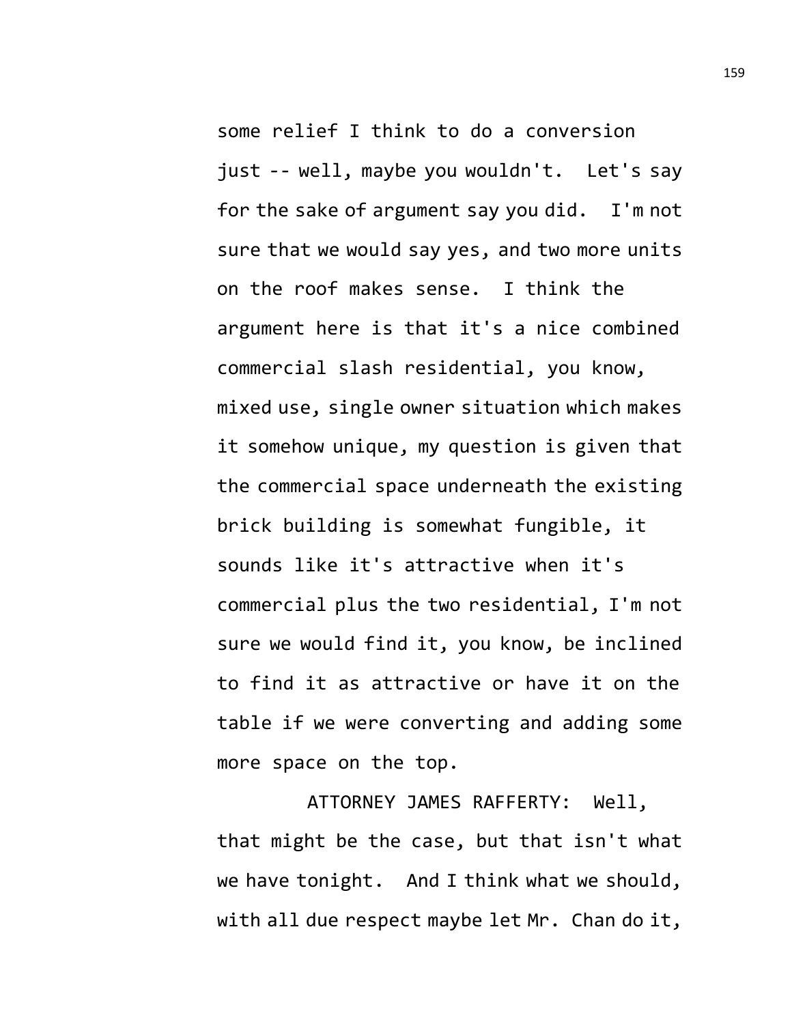some relief I think to do a conversion just -- well, maybe you wouldn't. Let's say for the sake of argument say you did. I'm not sure that we would say yes, and two more units on the roof makes sense. I think the argument here is that it's a nice combined commercial slash residential, you know, mixed use, single owner situation which makes it somehow unique, my question is given that the commercial space underneath the existing brick building is somewhat fungible, it sounds like it's attractive when it's commercial plus the two residential, I'm not sure we would find it, you know, be inclined to find it as attractive or have it on the table if we were converting and adding some more space on the top.

ATTORNEY JAMES RAFFERTY: Well, that might be the case, but that isn't what we have tonight. And I think what we should, with all due respect maybe let Mr. Chan do it,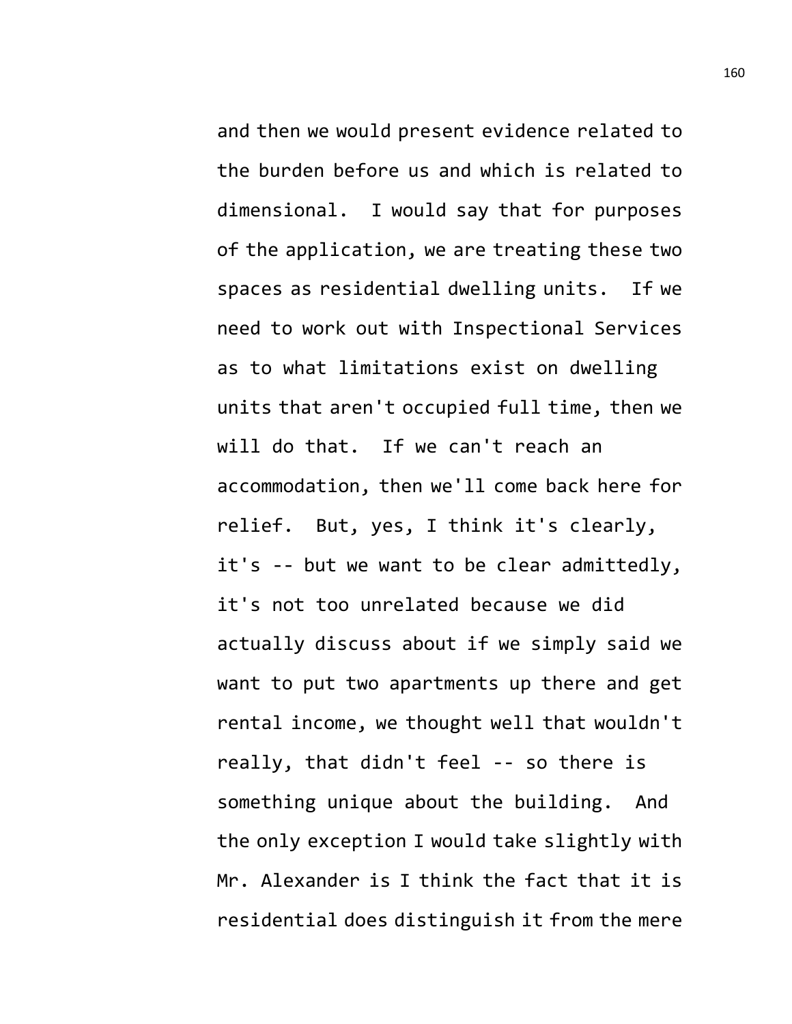and then we would present evidence related to the burden before us and which is related to dimensional. I would say that for purposes of the application, we are treating these two spaces as residential dwelling units. If we need to work out with Inspectional Services as to what limitations exist on dwelling units that aren't occupied full time, then we will do that. If we can't reach an accommodation, then we'll come back here for relief. But, yes, I think it's clearly, it's -- but we want to be clear admittedly, it's not too unrelated because we did actually discuss about if we simply said we want to put two apartments up there and get rental income, we thought well that wouldn't really, that didn't feel -- so there is something unique about the building. And the only exception I would take slightly with Mr. Alexander is I think the fact that it is residential does distinguish it from the mere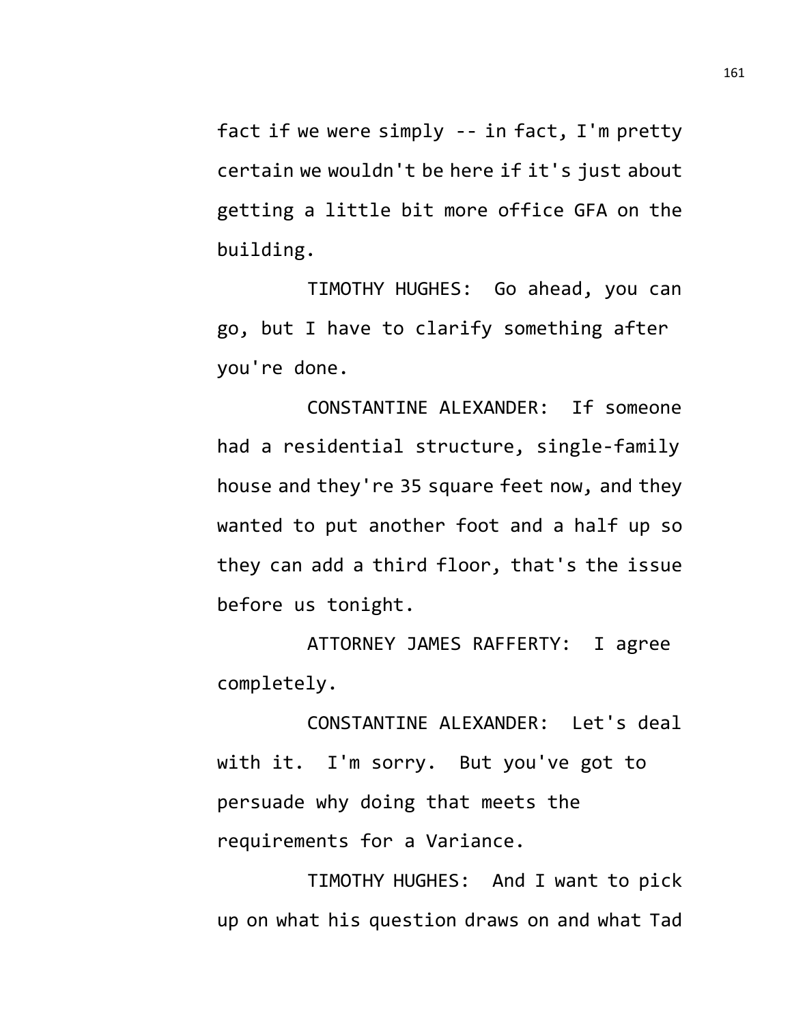fact if we were simply -- in fact, I'm pretty certain we wouldn't be here if it's just about getting a little bit more office GFA on the building.

TIMOTHY HUGHES: Go ahead, you can go, but I have to clarify something after you're done.

CONSTANTINE ALEXANDER: If someone had a residential structure, single-family house and they're 35 square feet now, and they wanted to put another foot and a half up so they can add a third floor, that's the issue before us tonight.

ATTORNEY JAMES RAFFERTY: I agree completely.

CONSTANTINE ALEXANDER: Let's deal with it. I'm sorry. But you've got to persuade why doing that meets the requirements for a Variance.

TIMOTHY HUGHES: And I want to pick up on what his question draws on and what Tad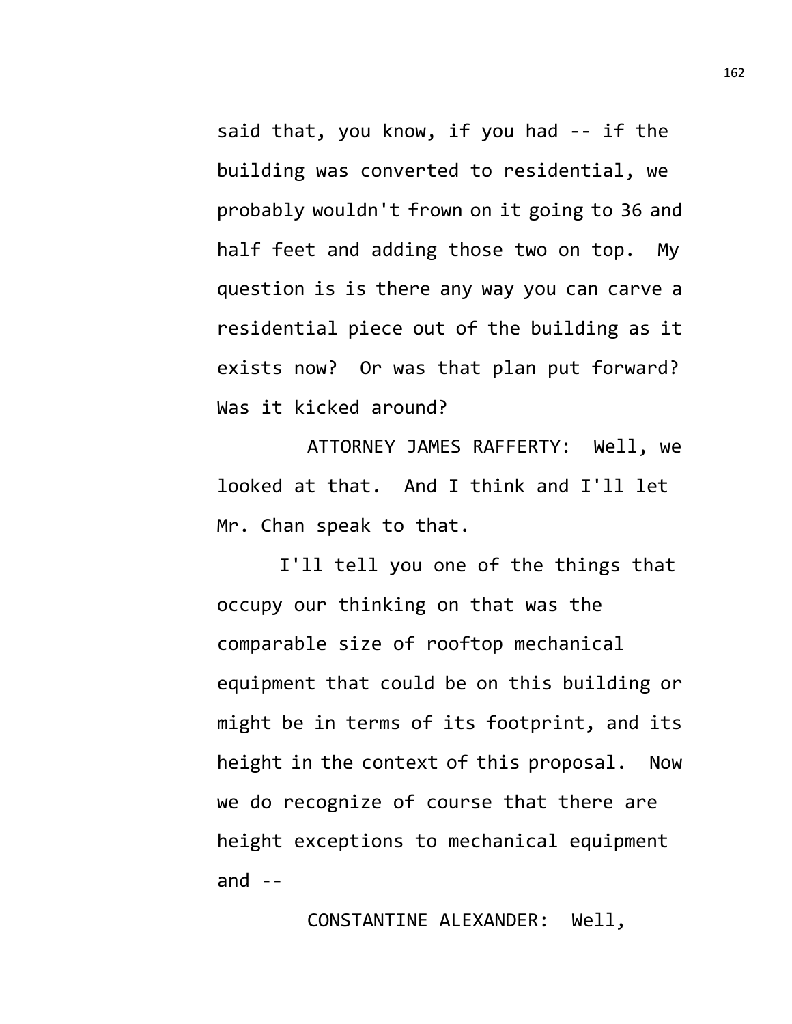said that, you know, if you had -- if the building was converted to residential, we probably wouldn't frown on it going to 36 and half feet and adding those two on top. My question is is there any way you can carve a residential piece out of the building as it exists now? Or was that plan put forward? Was it kicked around?

ATTORNEY JAMES RAFFERTY: Well, we looked at that. And I think and I'll let Mr. Chan speak to that.

I'll tell you one of the things that occupy our thinking on that was the comparable size of rooftop mechanical equipment that could be on this building or might be in terms of its footprint, and its height in the context of this proposal. Now we do recognize of course that there are height exceptions to mechanical equipment and  $-$ 

CONSTANTINE ALEXANDER: Well,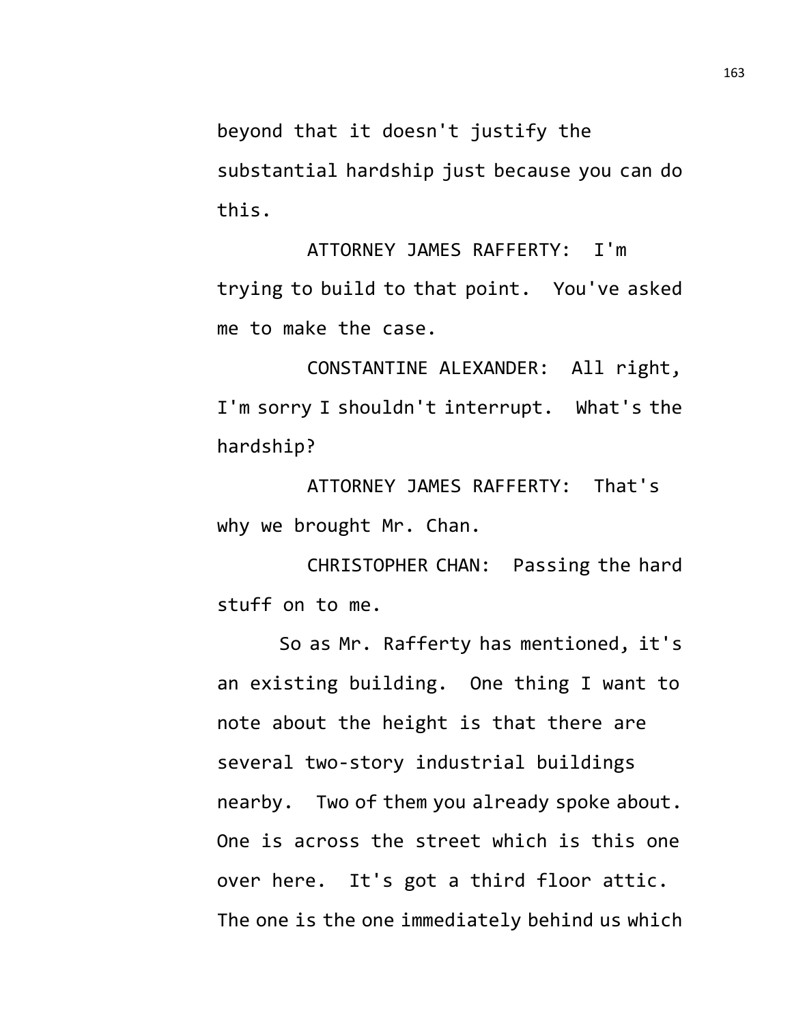beyond that it doesn't justify the substantial hardship just because you can do this.

ATTORNEY JAMES RAFFERTY: I'm trying to build to that point. You've asked me to make the case.

CONSTANTINE ALEXANDER: All right, I'm sorry I shouldn't interrupt. What's the hardship?

ATTORNEY JAMES RAFFERTY: That's why we brought Mr. Chan.

CHRISTOPHER CHAN: Passing the hard stuff on to me.

So as Mr. Rafferty has mentioned, it's an existing building. One thing I want to note about the height is that there are several two-story industrial buildings nearby. Two of them you already spoke about. One is across the street which is this one over here. It's got a third floor attic. The one is the one immediately behind us which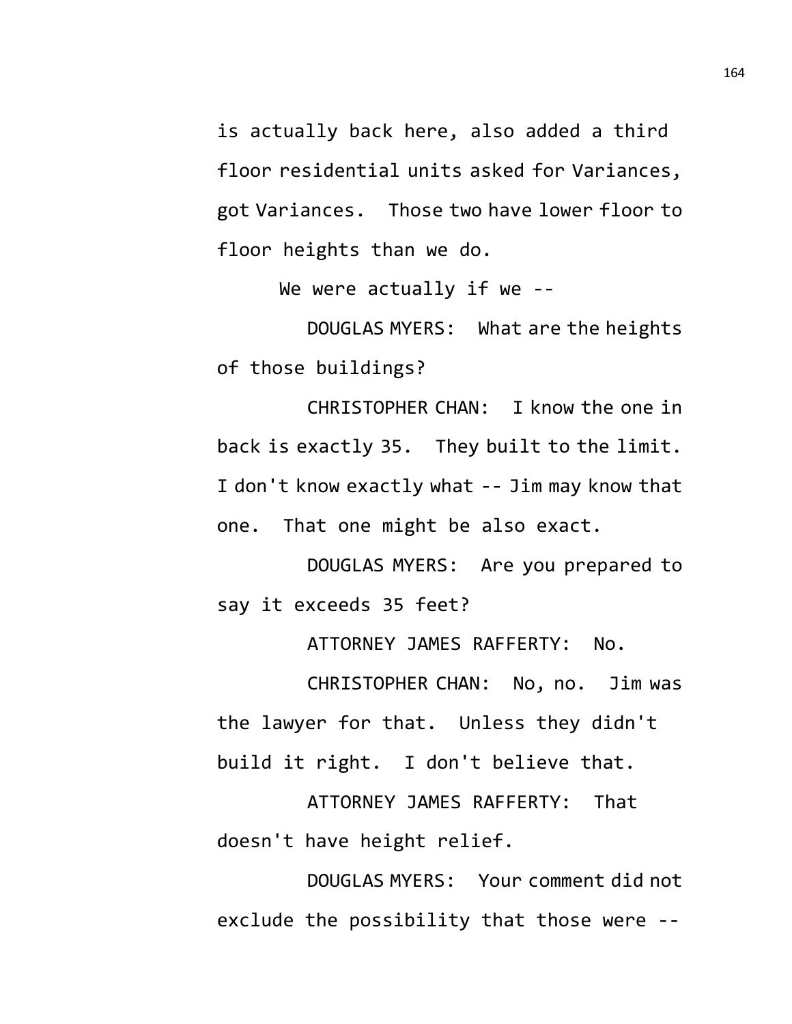is actually back here, also added a third floor residential units asked for Variances, got Variances. Those two have lower floor to floor heights than we do.

We were actually if we --

DOUGLAS MYERS: What are the heights of those buildings?

CHRISTOPHER CHAN: I know the one in back is exactly 35. They built to the limit. I don't know exactly what -- Jim may know that one. That one might be also exact.

DOUGLAS MYERS: Are you prepared to say it exceeds 35 feet?

ATTORNEY JAMES RAFFERTY: No.

CHRISTOPHER CHAN: No, no. Jim was the lawyer for that. Unless they didn't build it right. I don't believe that.

ATTORNEY JAMES RAFFERTY: That doesn't have height relief.

DOUGLAS MYERS: Your comment did not exclude the possibility that those were --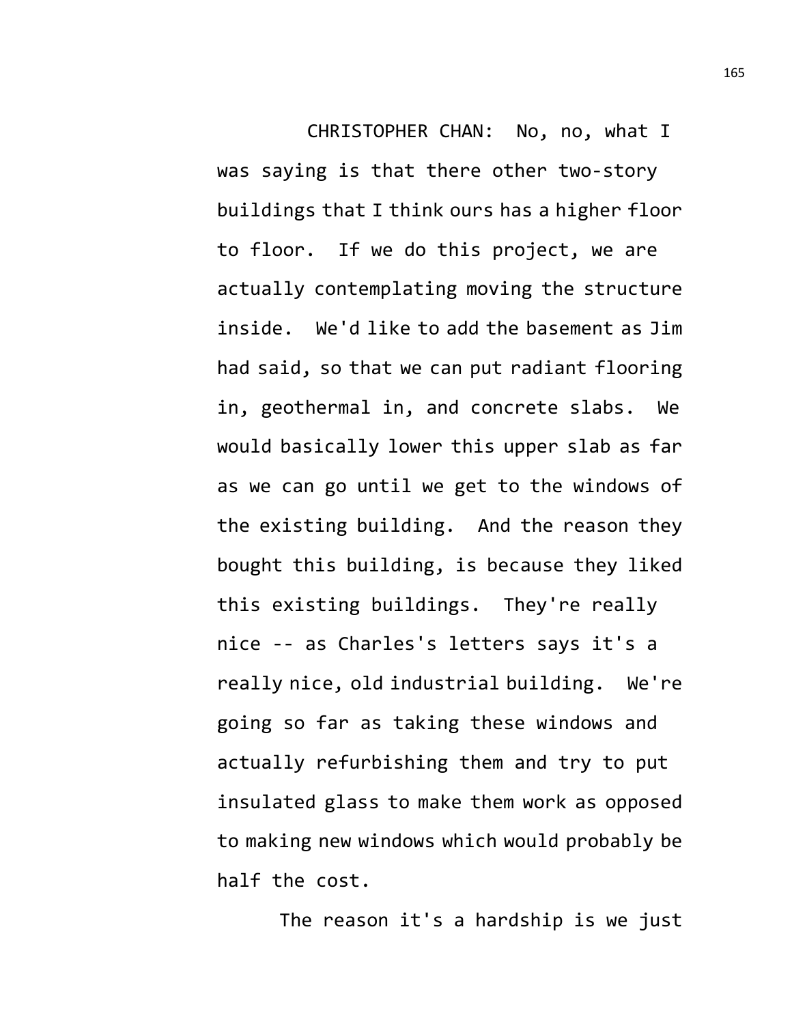CHRISTOPHER CHAN: No, no, what I was saying is that there other two-story buildings that I think ours has a higher floor to floor. If we do this project, we are actually contemplating moving the structure inside. We'd like to add the basement as Jim had said, so that we can put radiant flooring in, geothermal in, and concrete slabs. We would basically lower this upper slab as far as we can go until we get to the windows of the existing building. And the reason they bought this building, is because they liked this existing buildings. They're really nice -- as Charles's letters says it's a really nice, old industrial building. We're going so far as taking these windows and actually refurbishing them and try to put insulated glass to make them work as opposed to making new windows which would probably be half the cost.

The reason it's a hardship is we just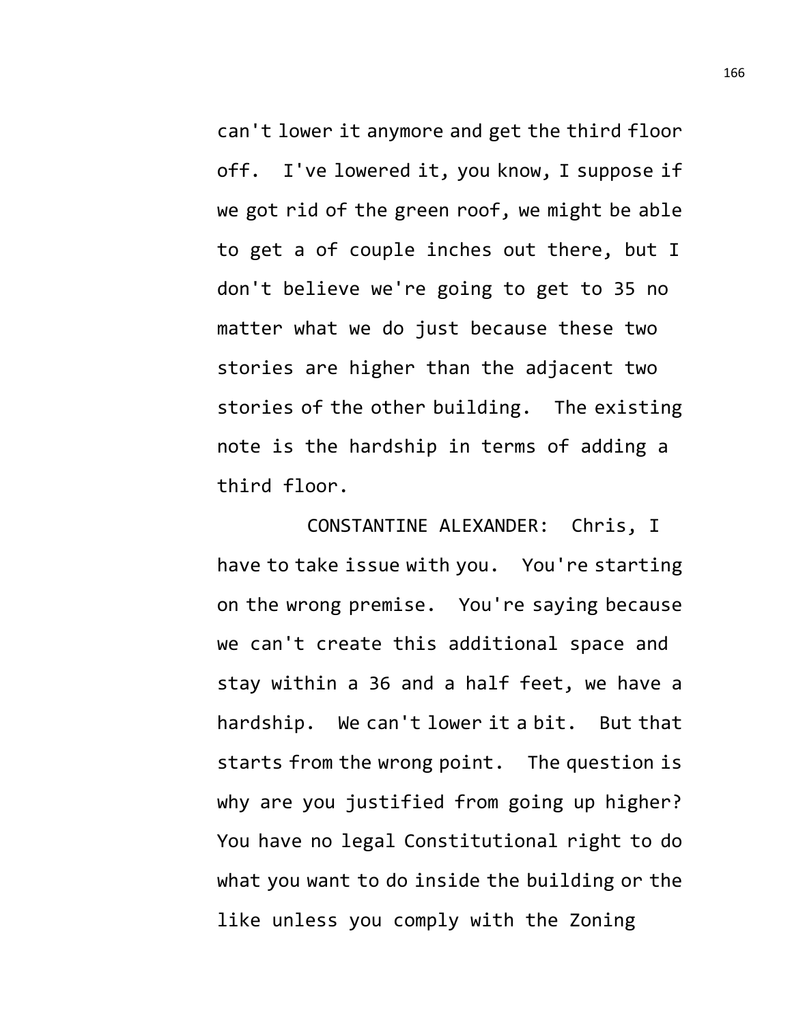can't lower it anymore and get the third floor off. I've lowered it, you know, I suppose if we got rid of the green roof, we might be able to get a of couple inches out there, but I don't believe we're going to get to 35 no matter what we do just because these two stories are higher than the adjacent two stories of the other building. The existing note is the hardship in terms of adding a third floor.

CONSTANTINE ALEXANDER: Chris, I have to take issue with you. You're starting on the wrong premise. You're saying because we can't create this additional space and stay within a 36 and a half feet, we have a hardship. We can't lower it a bit. But that starts from the wrong point. The question is why are you justified from going up higher? You have no legal Constitutional right to do what you want to do inside the building or the like unless you comply with the Zoning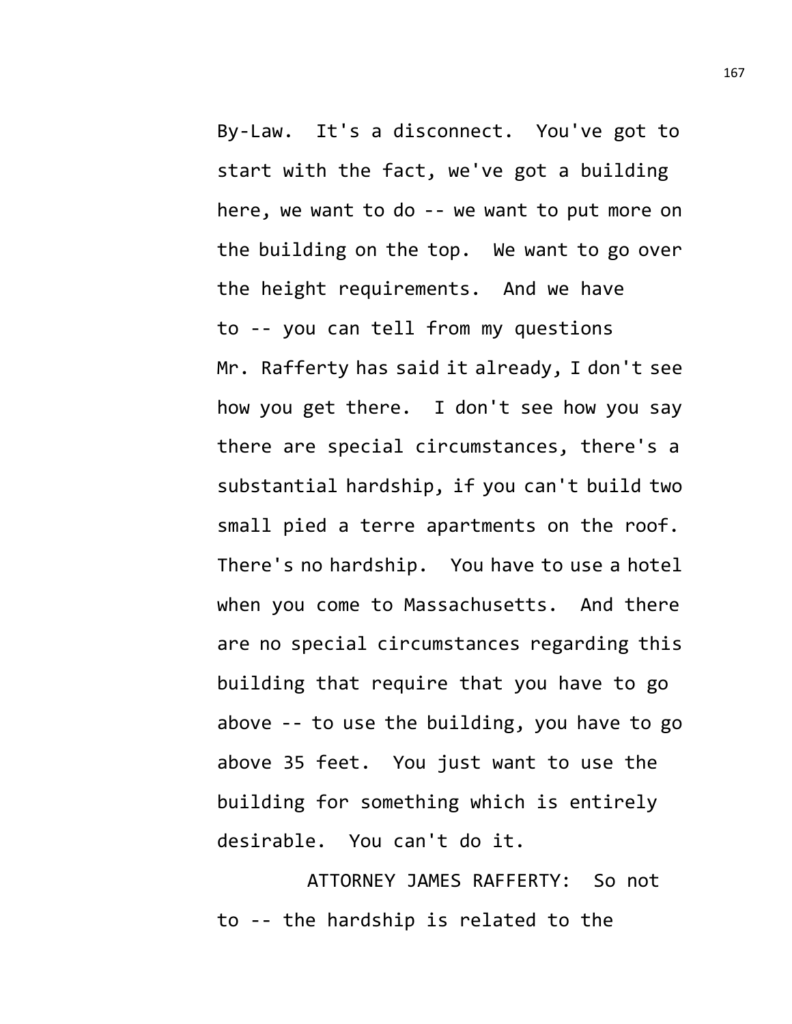By-Law. It's a disconnect. You've got to start with the fact, we've got a building here, we want to do -- we want to put more on the building on the top. We want to go over the height requirements. And we have to -- you can tell from my questions Mr. Rafferty has said it already, I don't see how you get there. I don't see how you say there are special circumstances, there's a substantial hardship, if you can't build two small pied a terre apartments on the roof. There's no hardship. You have to use a hotel when you come to Massachusetts. And there are no special circumstances regarding this building that require that you have to go above -- to use the building, you have to go above 35 feet. You just want to use the building for something which is entirely desirable. You can't do it.

ATTORNEY JAMES RAFFERTY: So not to -- the hardship is related to the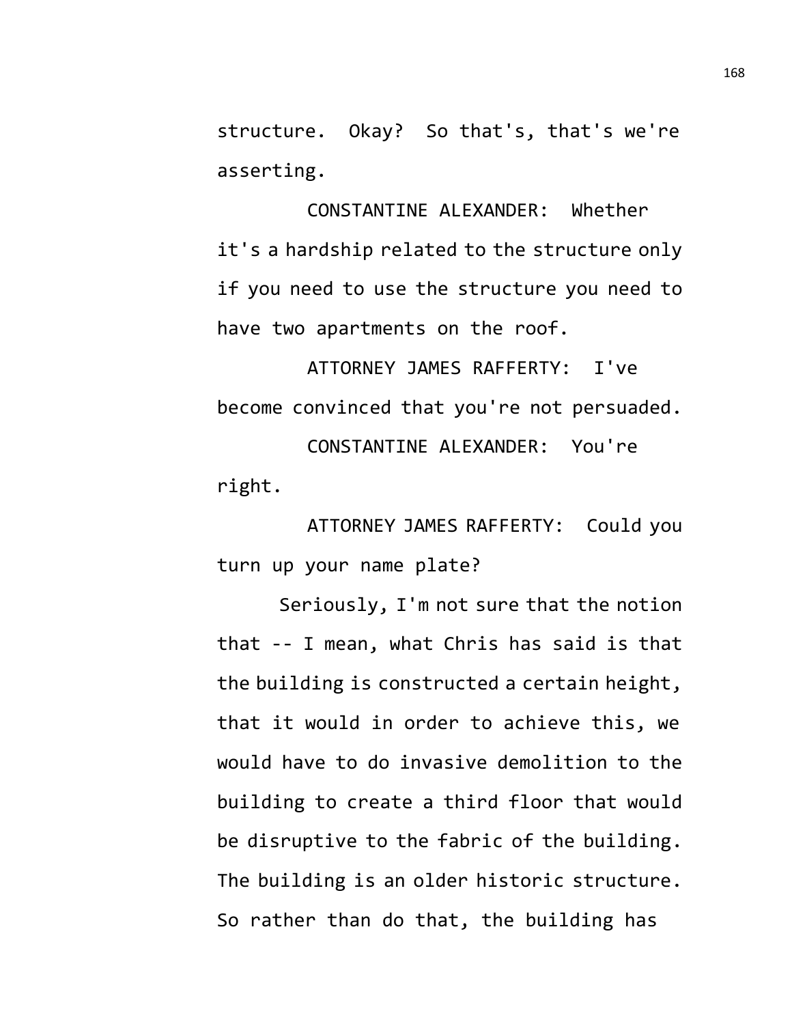structure. Okay? So that's, that's we're asserting.

CONSTANTINE ALEXANDER: Whether it's a hardship related to the structure only if you need to use the structure you need to have two apartments on the roof.

ATTORNEY JAMES RAFFERTY: I've become convinced that you're not persuaded. CONSTANTINE ALEXANDER: You're right.

ATTORNEY JAMES RAFFERTY: Could you turn up your name plate?

Seriously, I'm not sure that the notion that -- I mean, what Chris has said is that the building is constructed a certain height, that it would in order to achieve this, we would have to do invasive demolition to the building to create a third floor that would be disruptive to the fabric of the building. The building is an older historic structure. So rather than do that, the building has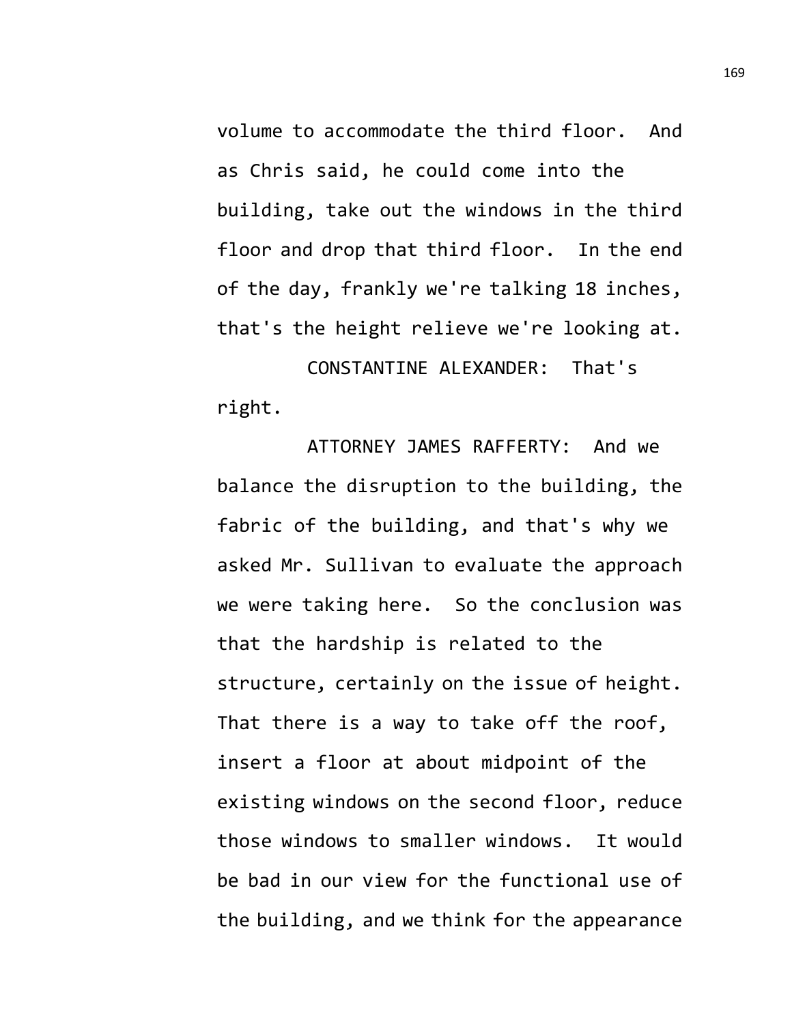volume to accommodate the third floor. And as Chris said, he could come into the building, take out the windows in the third floor and drop that third floor. In the end of the day, frankly we're talking 18 inches, that's the height relieve we're looking at.

CONSTANTINE ALEXANDER: That's right.

ATTORNEY JAMES RAFFERTY: And we balance the disruption to the building, the fabric of the building, and that's why we asked Mr. Sullivan to evaluate the approach we were taking here. So the conclusion was that the hardship is related to the structure, certainly on the issue of height. That there is a way to take off the roof, insert a floor at about midpoint of the existing windows on the second floor, reduce those windows to smaller windows. It would be bad in our view for the functional use of the building, and we think for the appearance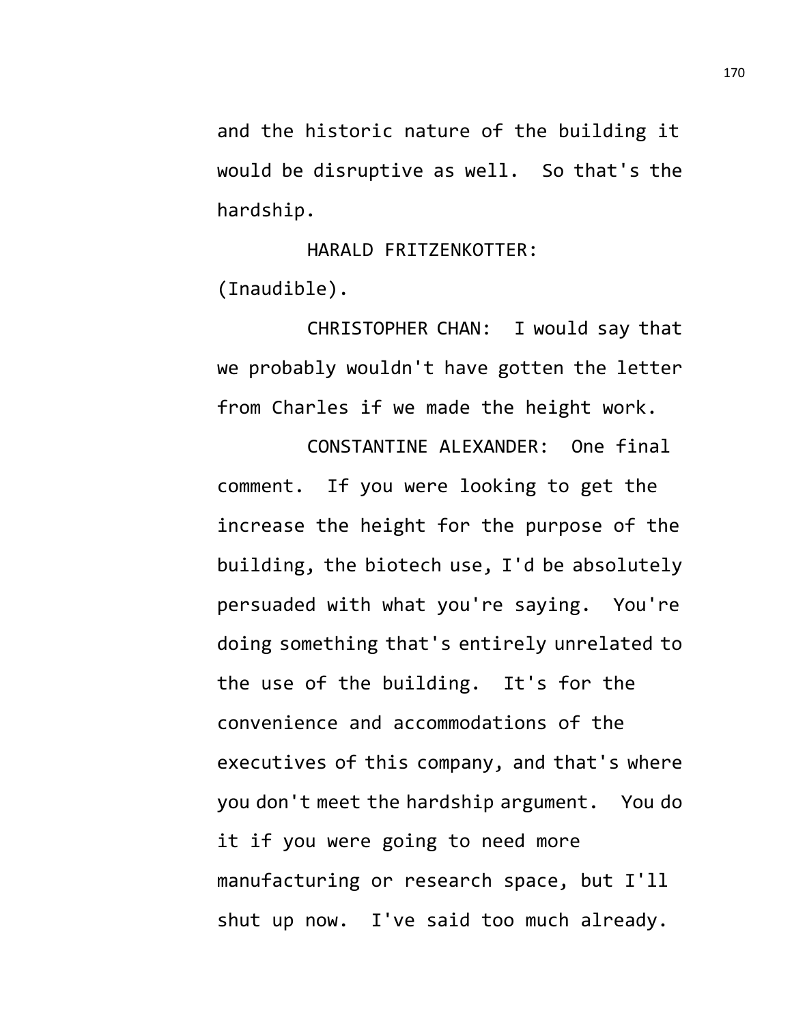and the historic nature of the building it would be disruptive as well. So that's the hardship.

HARALD FRITZENKOTTER: (Inaudible).

CHRISTOPHER CHAN: I would say that we probably wouldn't have gotten the letter from Charles if we made the height work.

CONSTANTINE ALEXANDER: One final comment. If you were looking to get the increase the height for the purpose of the building, the biotech use, I'd be absolutely persuaded with what you're saying. You're doing something that's entirely unrelated to the use of the building. It's for the convenience and accommodations of the executives of this company, and that's where you don't meet the hardship argument. You do it if you were going to need more manufacturing or research space, but I'll shut up now. I've said too much already.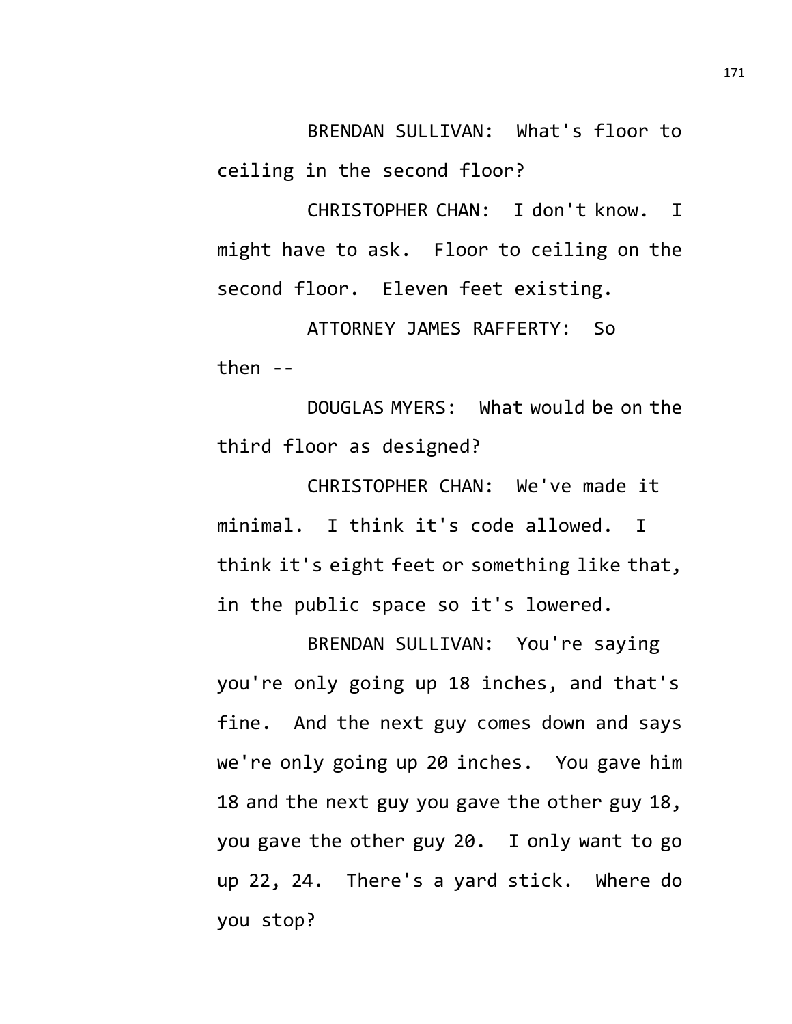BRENDAN SULLIVAN: What's floor to ceiling in the second floor?

CHRISTOPHER CHAN: I don't know. I might have to ask. Floor to ceiling on the second floor. Eleven feet existing.

ATTORNEY JAMES RAFFERTY: So then  $-$ 

DOUGLAS MYERS: What would be on the third floor as designed?

CHRISTOPHER CHAN: We've made it minimal. I think it's code allowed. I think it's eight feet or something like that, in the public space so it's lowered.

BRENDAN SULLIVAN: You're saying you're only going up 18 inches, and that's fine. And the next guy comes down and says we're only going up 20 inches. You gave him 18 and the next guy you gave the other guy 18, you gave the other guy 20. I only want to go up 22, 24. There's a yard stick. Where do you stop?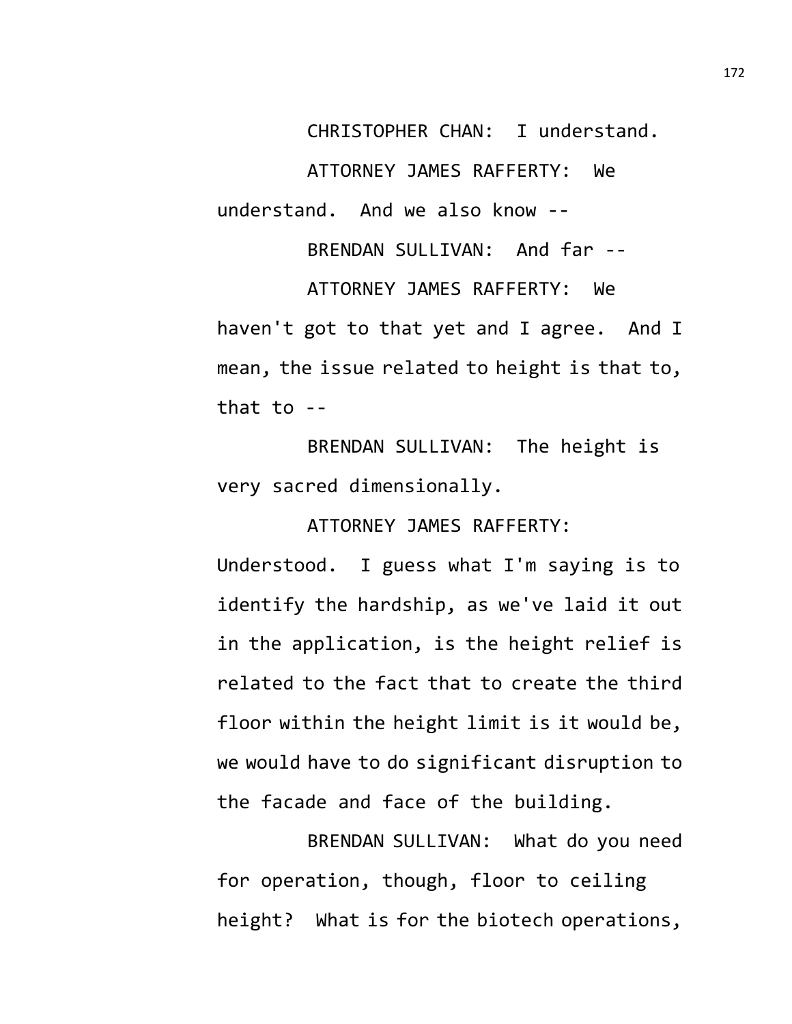CHRISTOPHER CHAN: I understand. ATTORNEY JAMES RAFFERTY: We understand. And we also know --

BRENDAN SULLIVAN: And far -- ATTORNEY JAMES RAFFERTY: We haven't got to that yet and I agree. And I mean, the issue related to height is that to, that to --

BRENDAN SULLIVAN: The height is very sacred dimensionally.

ATTORNEY JAMES RAFFERTY:

Understood. I guess what I'm saying is to identify the hardship, as we've laid it out in the application, is the height relief is related to the fact that to create the third floor within the height limit is it would be, we would have to do significant disruption to the facade and face of the building.

BRENDAN SULLIVAN: What do you need for operation, though, floor to ceiling height? What is for the biotech operations,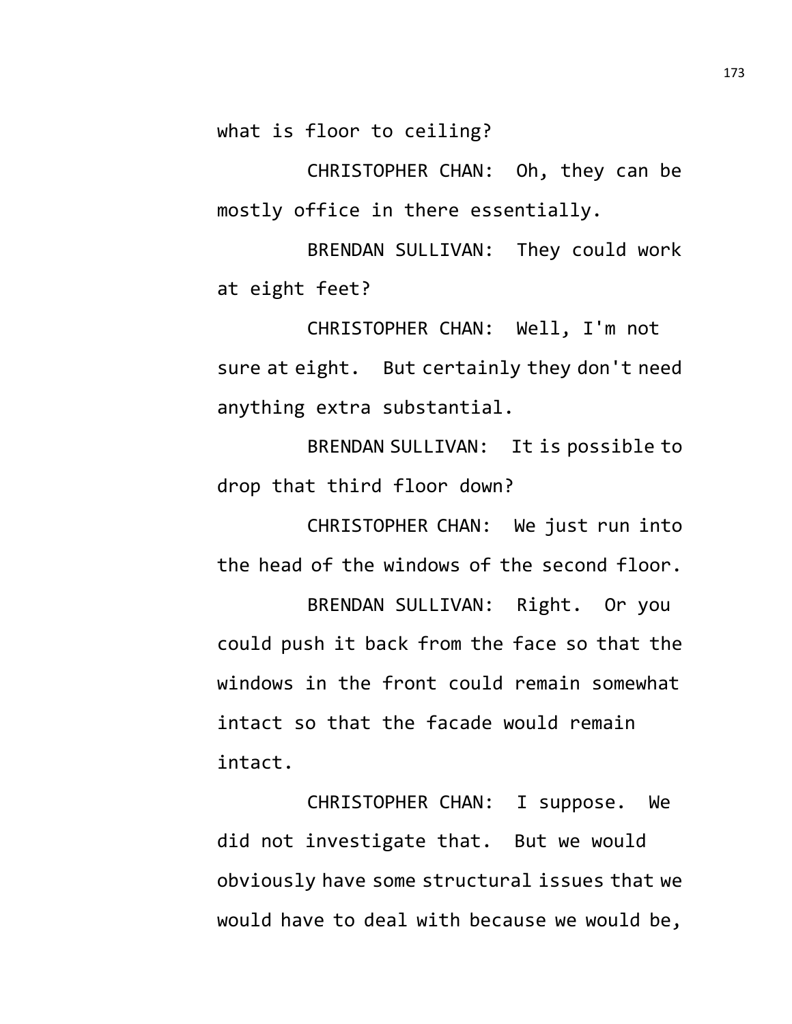what is floor to ceiling?

CHRISTOPHER CHAN: Oh, they can be mostly office in there essentially.

BRENDAN SULLIVAN: They could work at eight feet?

CHRISTOPHER CHAN: Well, I'm not sure at eight. But certainly they don't need anything extra substantial.

BRENDAN SULLIVAN: It is possible to drop that third floor down?

CHRISTOPHER CHAN: We just run into the head of the windows of the second floor.

BRENDAN SULLIVAN: Right. Or you could push it back from the face so that the windows in the front could remain somewhat intact so that the facade would remain intact.

CHRISTOPHER CHAN: I suppose. We did not investigate that. But we would obviously have some structural issues that we would have to deal with because we would be,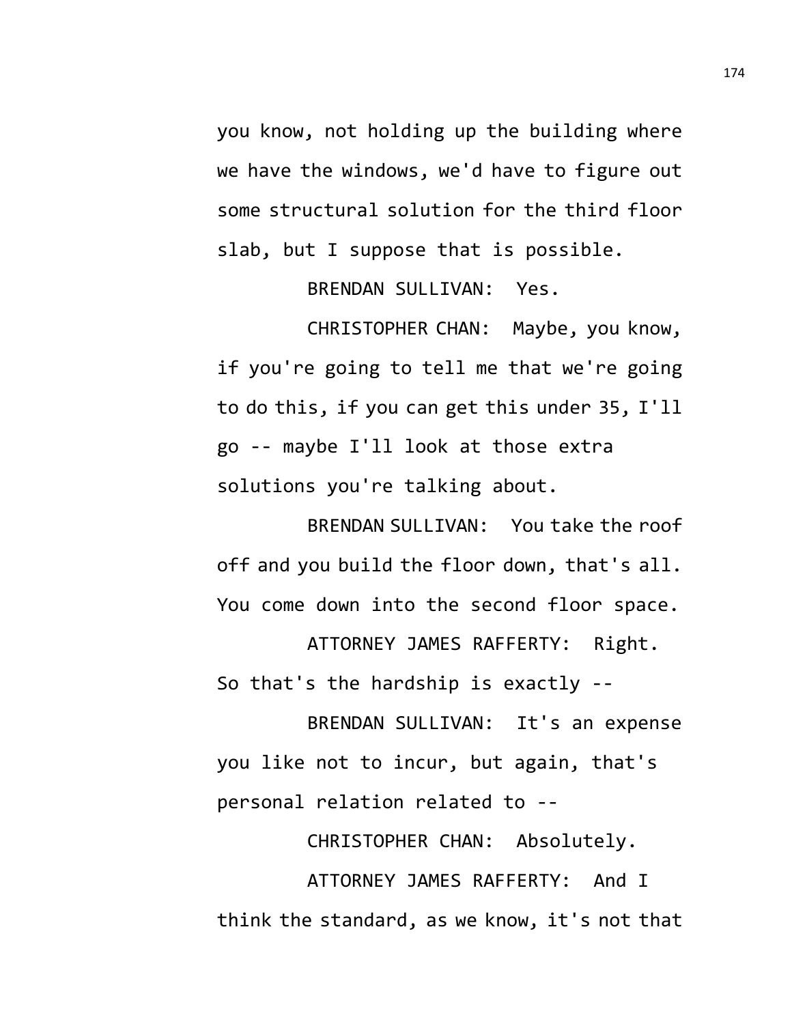you know, not holding up the building where we have the windows, we'd have to figure out some structural solution for the third floor slab, but I suppose that is possible.

BRENDAN SULLIVAN: Yes.

CHRISTOPHER CHAN: Maybe, you know, if you're going to tell me that we're going to do this, if you can get this under 35, I'll go -- maybe I'll look at those extra solutions you're talking about.

BRENDAN SULLIVAN: You take the roof off and you build the floor down, that's all. You come down into the second floor space.

ATTORNEY JAMES RAFFERTY: Right. So that's the hardship is exactly --

BRENDAN SULLIVAN: It's an expense you like not to incur, but again, that's personal relation related to --

CHRISTOPHER CHAN: Absolutely.

ATTORNEY JAMES RAFFERTY: And I think the standard, as we know, it's not that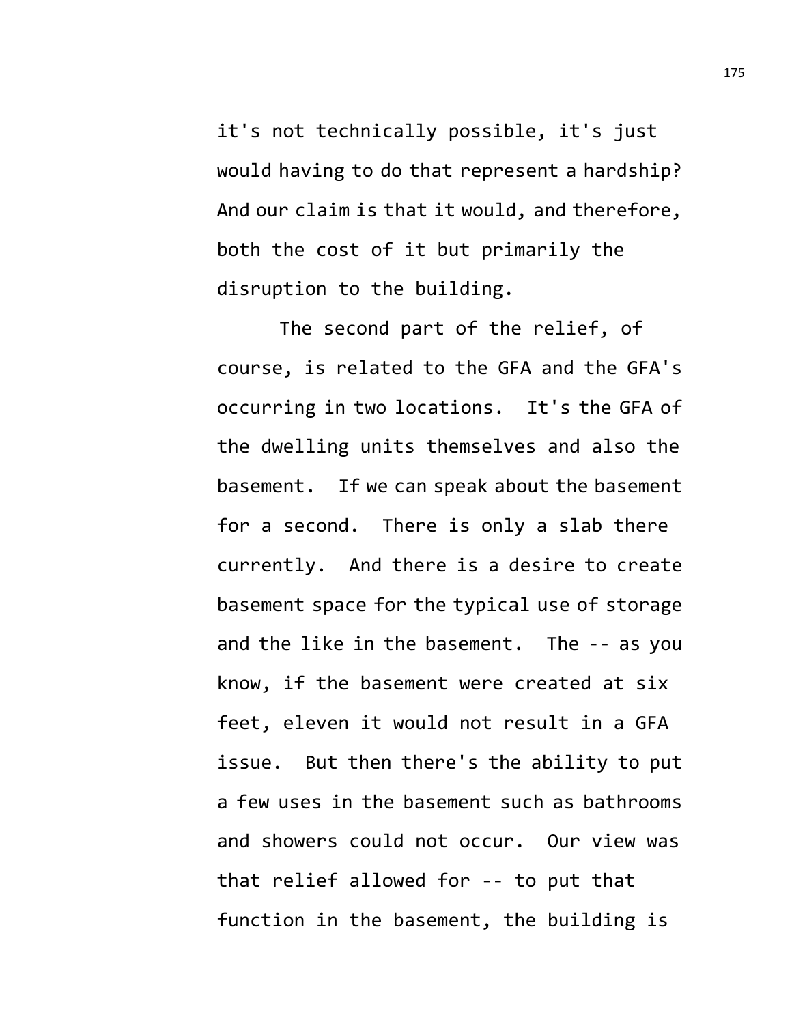it's not technically possible, it's just would having to do that represent a hardship? And our claim is that it would, and therefore, both the cost of it but primarily the disruption to the building.

The second part of the relief, of course, is related to the GFA and the GFA's occurring in two locations. It's the GFA of the dwelling units themselves and also the basement. If we can speak about the basement for a second. There is only a slab there currently. And there is a desire to create basement space for the typical use of storage and the like in the basement. The -- as you know, if the basement were created at six feet, eleven it would not result in a GFA issue. But then there's the ability to put a few uses in the basement such as bathrooms and showers could not occur. Our view was that relief allowed for -- to put that function in the basement, the building is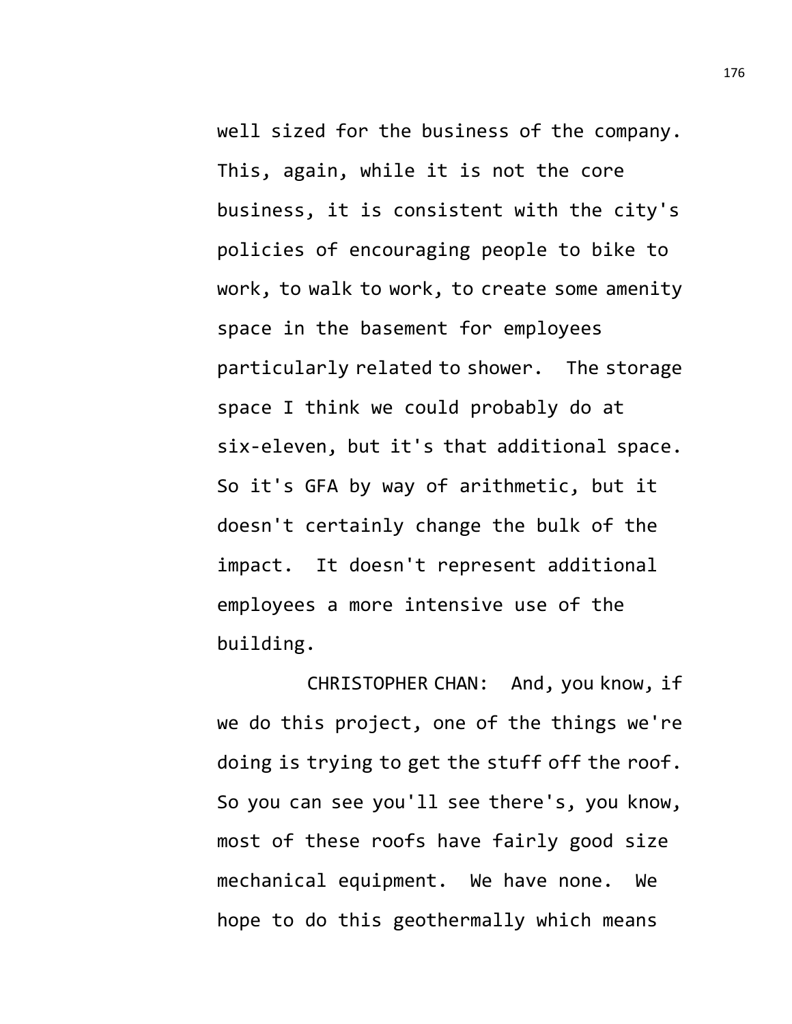well sized for the business of the company. This, again, while it is not the core business, it is consistent with the city's policies of encouraging people to bike to work, to walk to work, to create some amenity space in the basement for employees particularly related to shower. The storage space I think we could probably do at six-eleven, but it's that additional space. So it's GFA by way of arithmetic, but it doesn't certainly change the bulk of the impact. It doesn't represent additional employees a more intensive use of the building.

CHRISTOPHER CHAN: And, you know, if we do this project, one of the things we're doing is trying to get the stuff off the roof. So you can see you'll see there's, you know, most of these roofs have fairly good size mechanical equipment. We have none. We hope to do this geothermally which means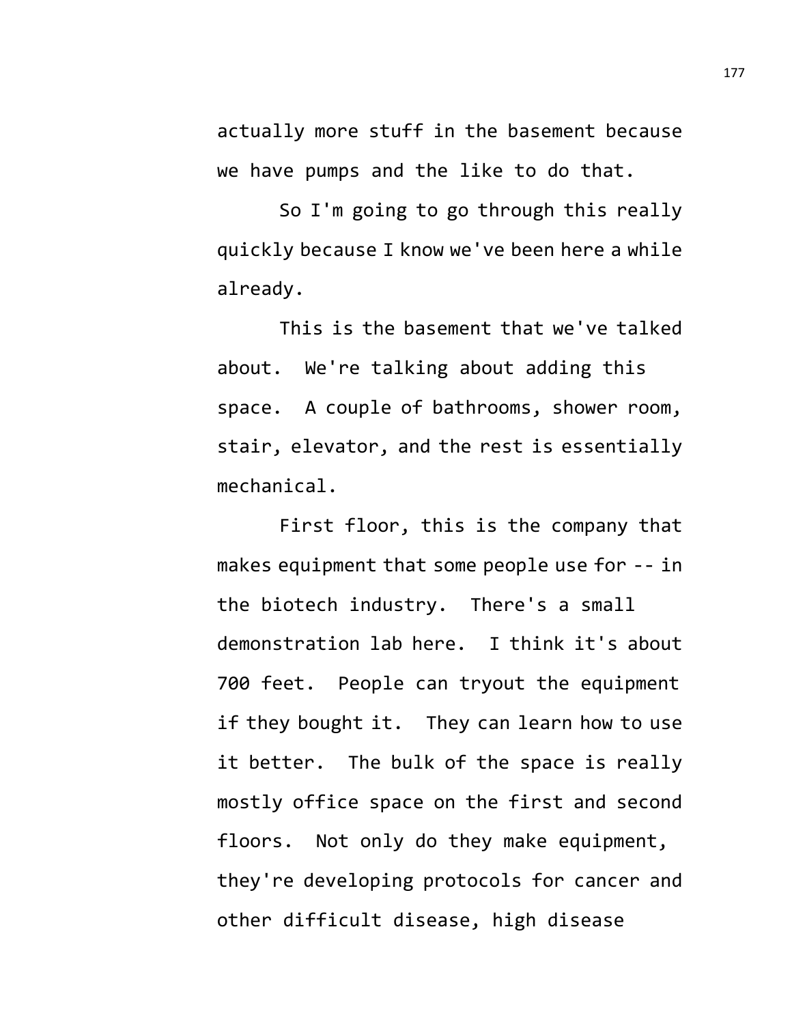actually more stuff in the basement because we have pumps and the like to do that.

So I'm going to go through this really quickly because I know we've been here a while already.

This is the basement that we've talked about. We're talking about adding this space. A couple of bathrooms, shower room, stair, elevator, and the rest is essentially mechanical.

First floor, this is the company that makes equipment that some people use for -- in the biotech industry. There's a small demonstration lab here. I think it's about 700 feet. People can tryout the equipment if they bought it. They can learn how to use it better. The bulk of the space is really mostly office space on the first and second floors. Not only do they make equipment, they're developing protocols for cancer and other difficult disease, high disease

177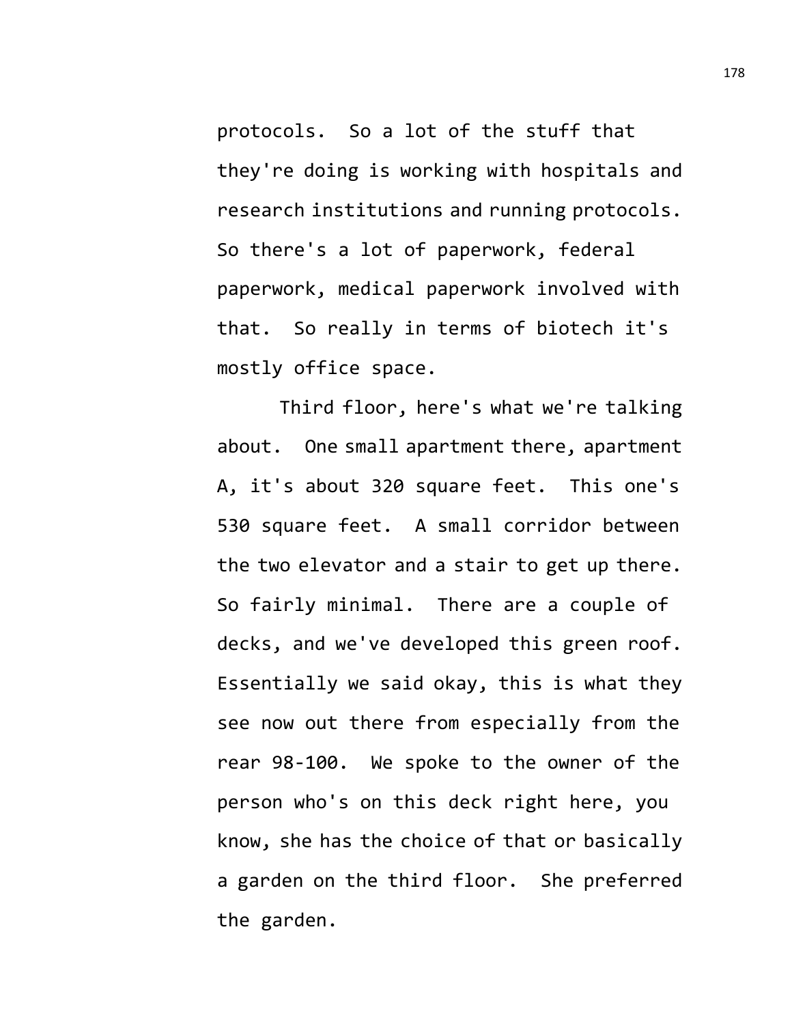protocols. So a lot of the stuff that they're doing is working with hospitals and research institutions and running protocols. So there's a lot of paperwork, federal paperwork, medical paperwork involved with that. So really in terms of biotech it's mostly office space.

Third floor, here's what we're talking about. One small apartment there, apartment A, it's about 320 square feet. This one's 530 square feet. A small corridor between the two elevator and a stair to get up there. So fairly minimal. There are a couple of decks, and we've developed this green roof. Essentially we said okay, this is what they see now out there from especially from the rear 98-100. We spoke to the owner of the person who's on this deck right here, you know, she has the choice of that or basically a garden on the third floor. She preferred the garden.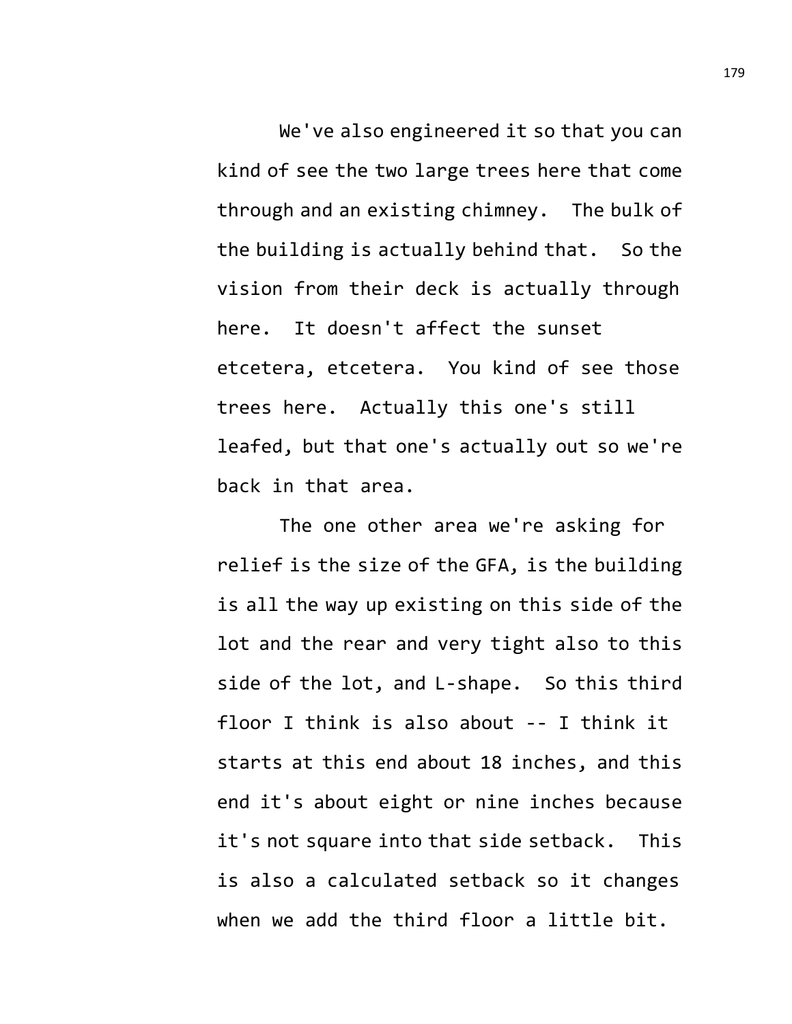We've also engineered it so that you can kind of see the two large trees here that come through and an existing chimney. The bulk of the building is actually behind that. So the vision from their deck is actually through here. It doesn't affect the sunset etcetera, etcetera. You kind of see those trees here. Actually this one's still leafed, but that one's actually out so we're back in that area.

The one other area we're asking for relief is the size of the GFA, is the building is all the way up existing on this side of the lot and the rear and very tight also to this side of the lot, and L-shape. So this third floor I think is also about -- I think it starts at this end about 18 inches, and this end it's about eight or nine inches because it's not square into that side setback. This is also a calculated setback so it changes when we add the third floor a little bit.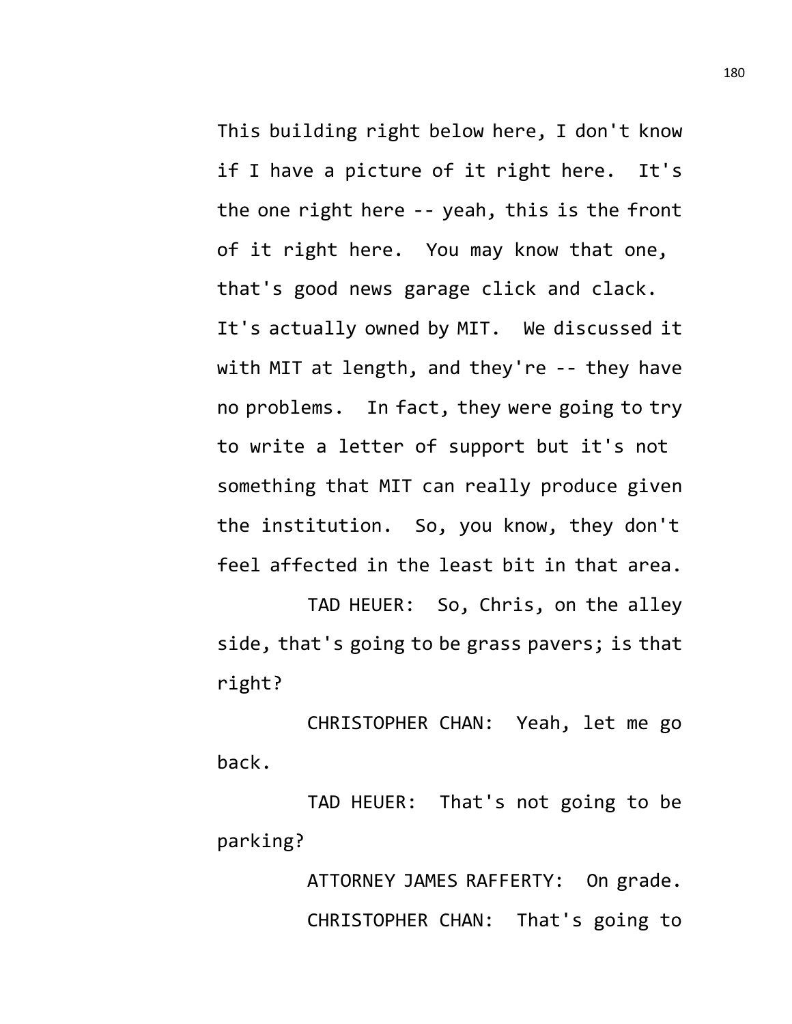This building right below here, I don't know if I have a picture of it right here. It's the one right here -- yeah, this is the front of it right here. You may know that one, that's good news garage click and clack. It's actually owned by MIT. We discussed it with MIT at length, and they're -- they have no problems. In fact, they were going to try to write a letter of support but it's not something that MIT can really produce given the institution. So, you know, they don't feel affected in the least bit in that area.

TAD HEUER: So, Chris, on the alley side, that's going to be grass pavers; is that right?

CHRISTOPHER CHAN: Yeah, let me go back.

TAD HEUER: That's not going to be parking?

> ATTORNEY JAMES RAFFERTY: On grade. CHRISTOPHER CHAN: That's going to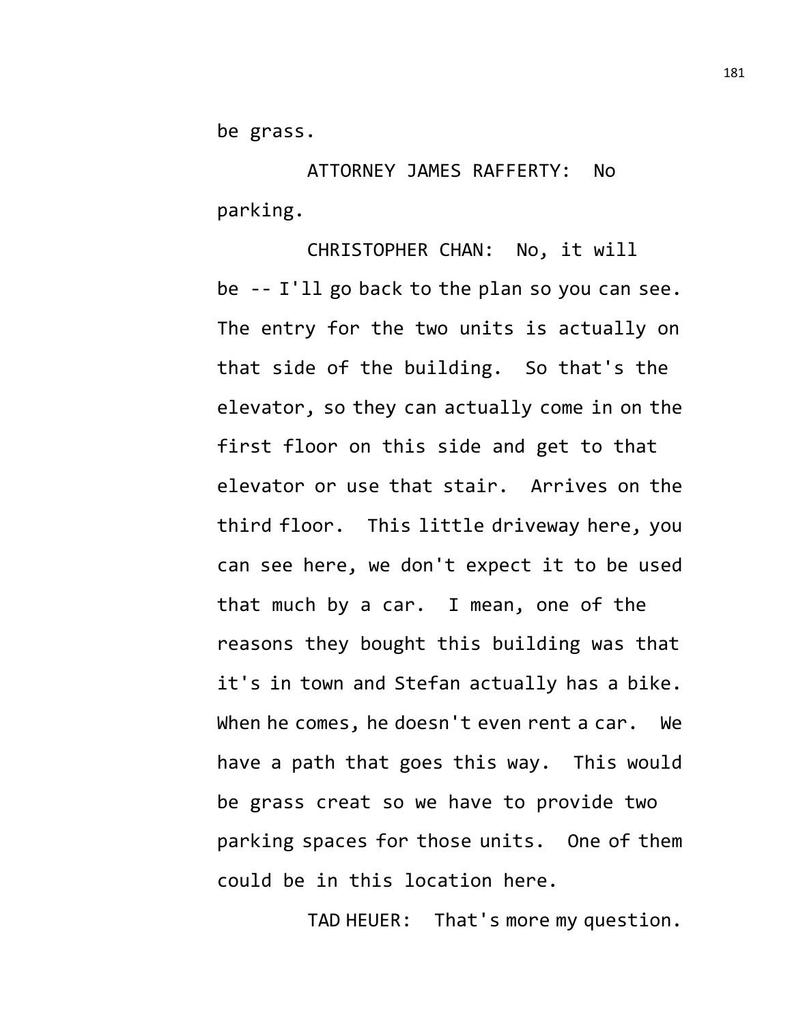be grass.

ATTORNEY JAMES RAFFERTY: No parking.

CHRISTOPHER CHAN: No, it will be -- I'll go back to the plan so you can see. The entry for the two units is actually on that side of the building. So that's the elevator, so they can actually come in on the first floor on this side and get to that elevator or use that stair. Arrives on the third floor. This little driveway here, you can see here, we don't expect it to be used that much by a car. I mean, one of the reasons they bought this building was that it's in town and Stefan actually has a bike. When he comes, he doesn't even rent a car. We have a path that goes this way. This would be grass creat so we have to provide two parking spaces for those units. One of them could be in this location here.

TAD HEUER: That's more my question.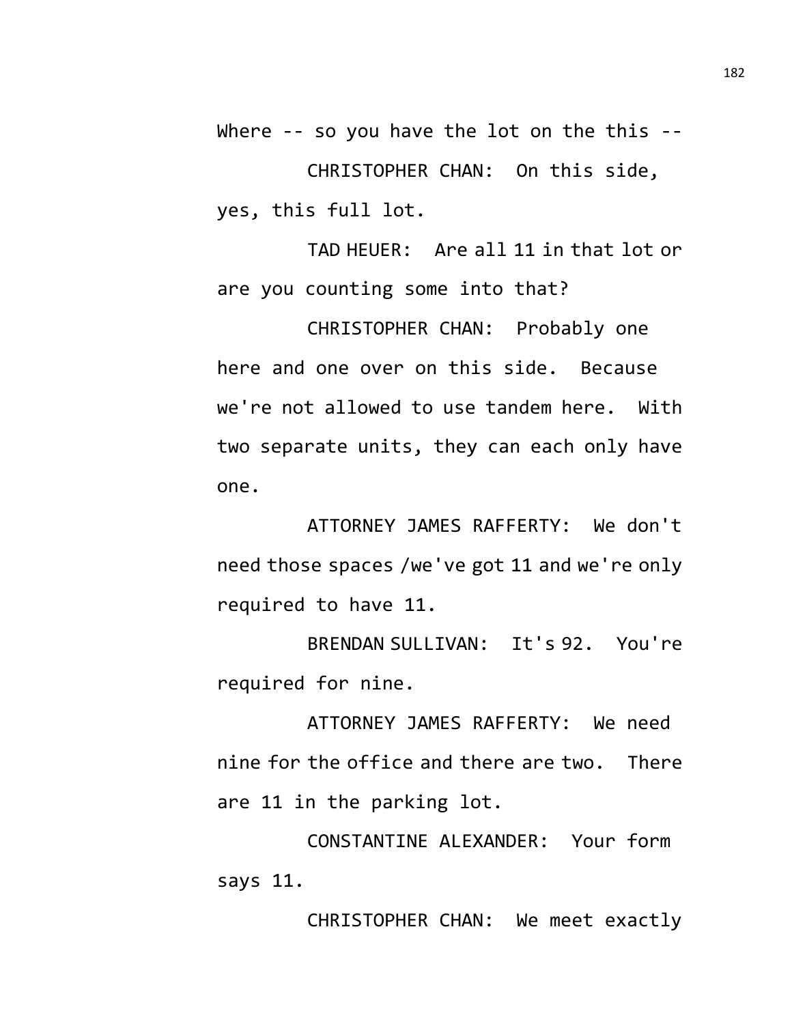Where -- so you have the lot on the this --CHRISTOPHER CHAN: On this side, yes, this full lot.

TAD HEUER: Are all 11 in that lot or are you counting some into that?

CHRISTOPHER CHAN: Probably one here and one over on this side. Because we're not allowed to use tandem here. With two separate units, they can each only have one.

ATTORNEY JAMES RAFFERTY: We don't need those spaces /we've got 11 and we're only required to have 11.

BRENDAN SULLIVAN: It's 92. You're required for nine.

ATTORNEY JAMES RAFFERTY: We need nine for the office and there are two. There are 11 in the parking lot.

CONSTANTINE ALEXANDER: Your form says 11.

CHRISTOPHER CHAN: We meet exactly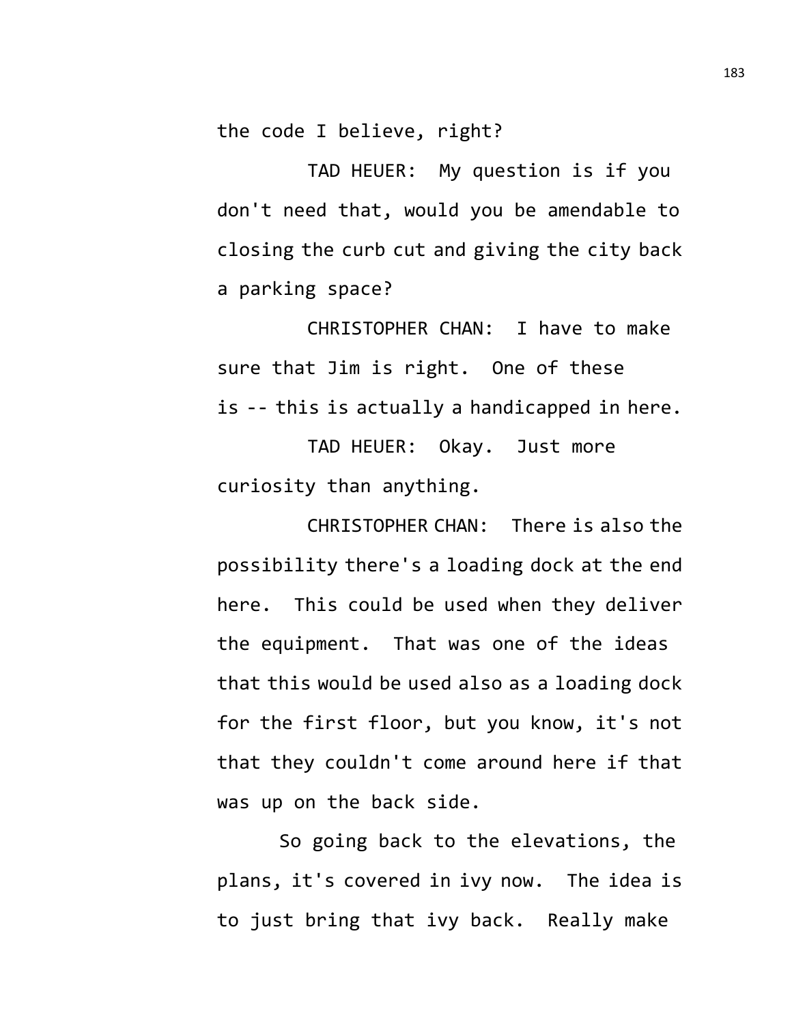the code I believe, right?

TAD HEUER: My question is if you don't need that, would you be amendable to closing the curb cut and giving the city back a parking space?

CHRISTOPHER CHAN: I have to make sure that Jim is right. One of these is -- this is actually a handicapped in here.

TAD HEUER: Okay. Just more curiosity than anything.

CHRISTOPHER CHAN: There is also the possibility there's a loading dock at the end here. This could be used when they deliver the equipment. That was one of the ideas that this would be used also as a loading dock for the first floor, but you know, it's not that they couldn't come around here if that was up on the back side.

So going back to the elevations, the plans, it's covered in ivy now. The idea is to just bring that ivy back. Really make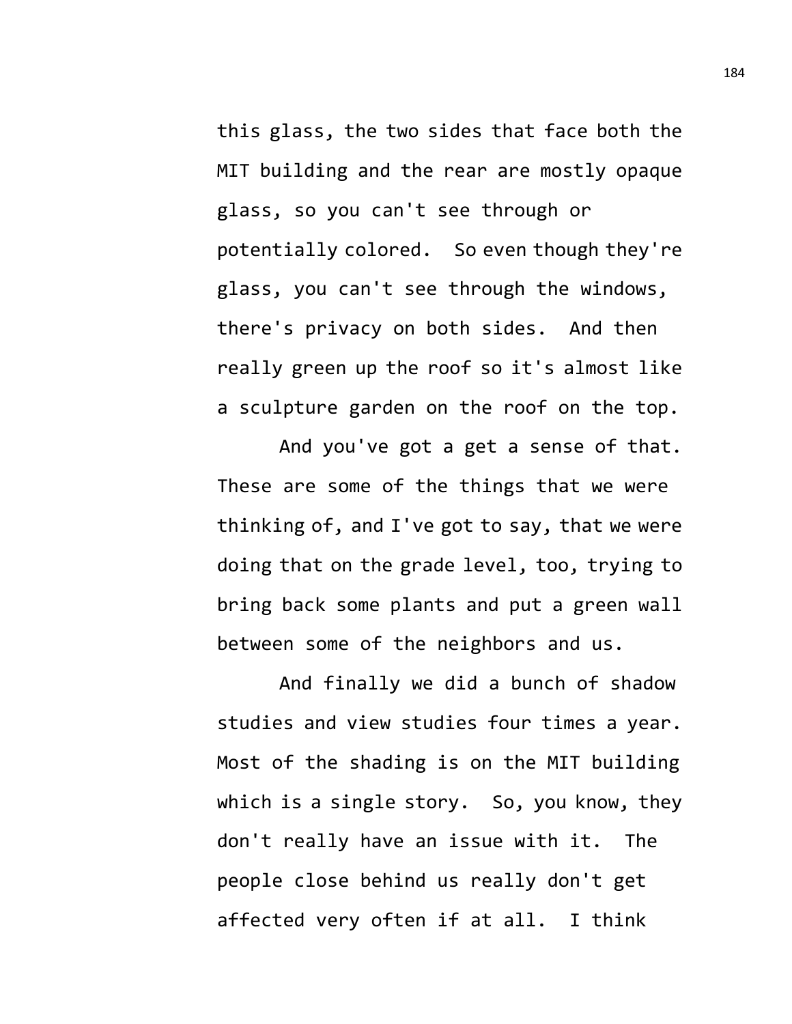this glass, the two sides that face both the MIT building and the rear are mostly opaque glass, so you can't see through or potentially colored. So even though they're glass, you can't see through the windows, there's privacy on both sides. And then really green up the roof so it's almost like a sculpture garden on the roof on the top.

And you've got a get a sense of that. These are some of the things that we were thinking of, and I've got to say, that we were doing that on the grade level, too, trying to bring back some plants and put a green wall between some of the neighbors and us.

And finally we did a bunch of shadow studies and view studies four times a year. Most of the shading is on the MIT building which is a single story. So, you know, they don't really have an issue with it. The people close behind us really don't get affected very often if at all. I think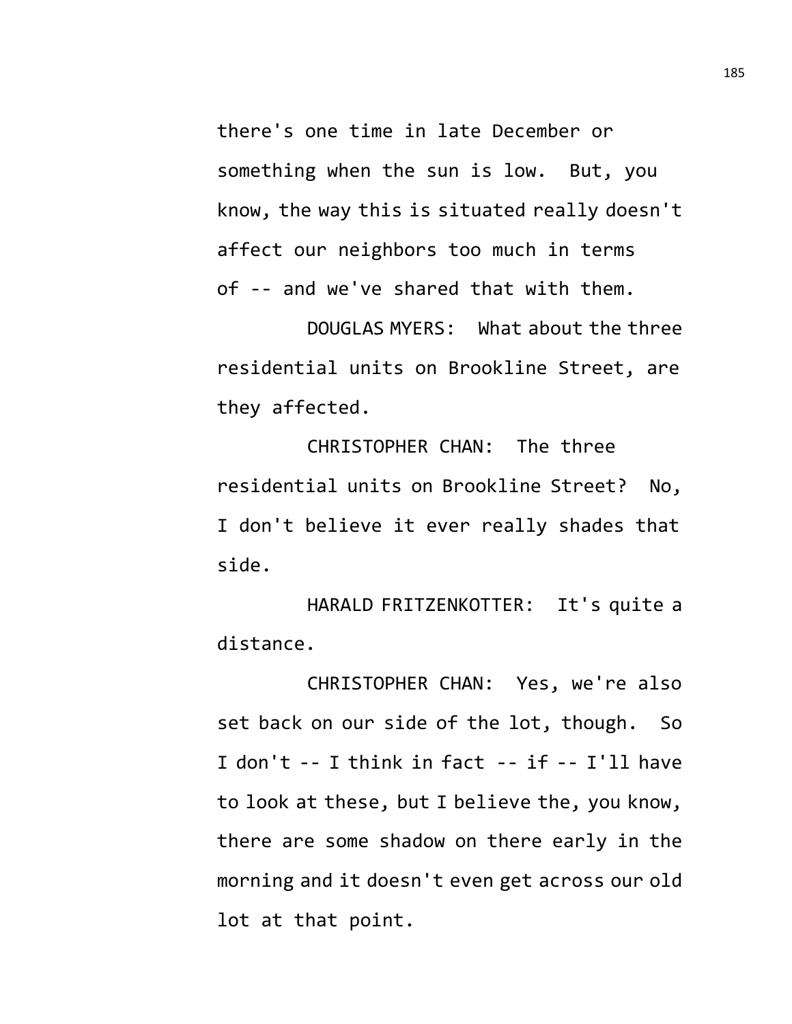there's one time in late December or something when the sun is low. But, you know, the way this is situated really doesn't affect our neighbors too much in terms of -- and we've shared that with them.

DOUGLAS MYERS: What about the three residential units on Brookline Street, are they affected.

CHRISTOPHER CHAN: The three residential units on Brookline Street? No, I don't believe it ever really shades that side.

HARALD FRITZENKOTTER: It's quite a distance.

CHRISTOPHER CHAN: Yes, we're also set back on our side of the lot, though. So I don't -- I think in fact -- if -- I'll have to look at these, but I believe the, you know, there are some shadow on there early in the morning and it doesn't even get across our old lot at that point.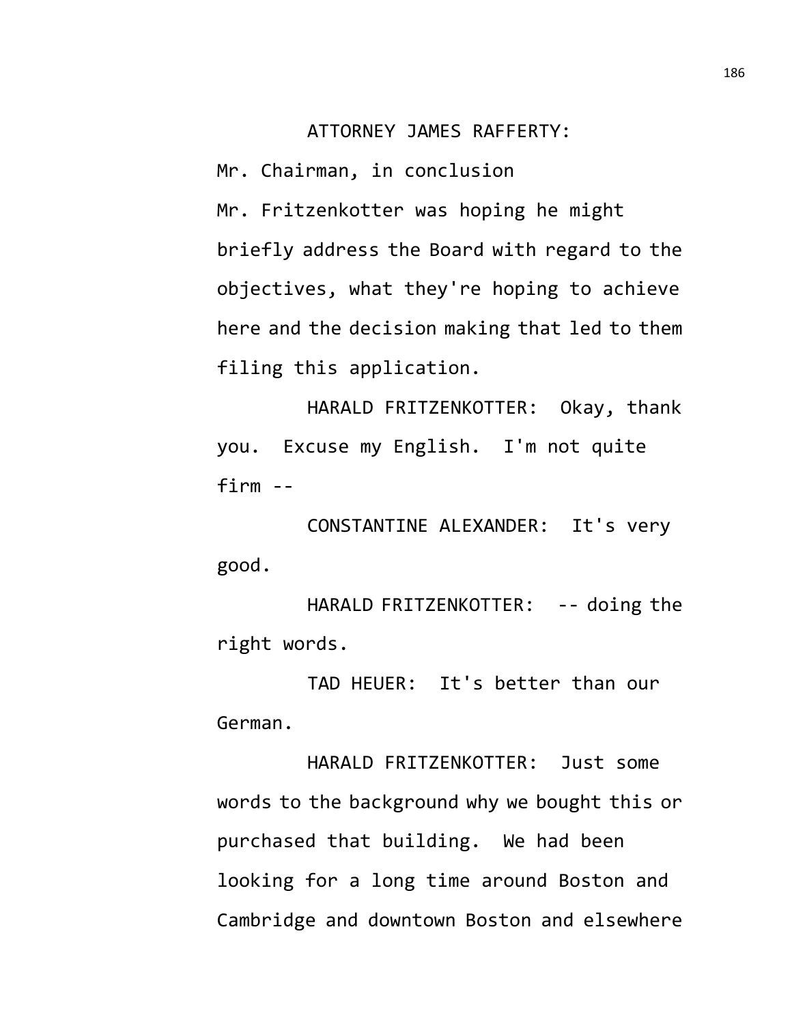## ATTORNEY JAMES RAFFERTY:

Mr. Chairman, in conclusion Mr. Fritzenkotter was hoping he might briefly address the Board with regard to the objectives, what they're hoping to achieve here and the decision making that led to them filing this application.

HARALD FRITZENKOTTER: Okay, thank you. Excuse my English. I'm not quite firm --

CONSTANTINE ALEXANDER: It's very good.

HARALD FRITZENKOTTER: -- doing the right words.

TAD HEUER: It's better than our German.

HARALD FRITZENKOTTER: Just some words to the background why we bought this or purchased that building. We had been looking for a long time around Boston and Cambridge and downtown Boston and elsewhere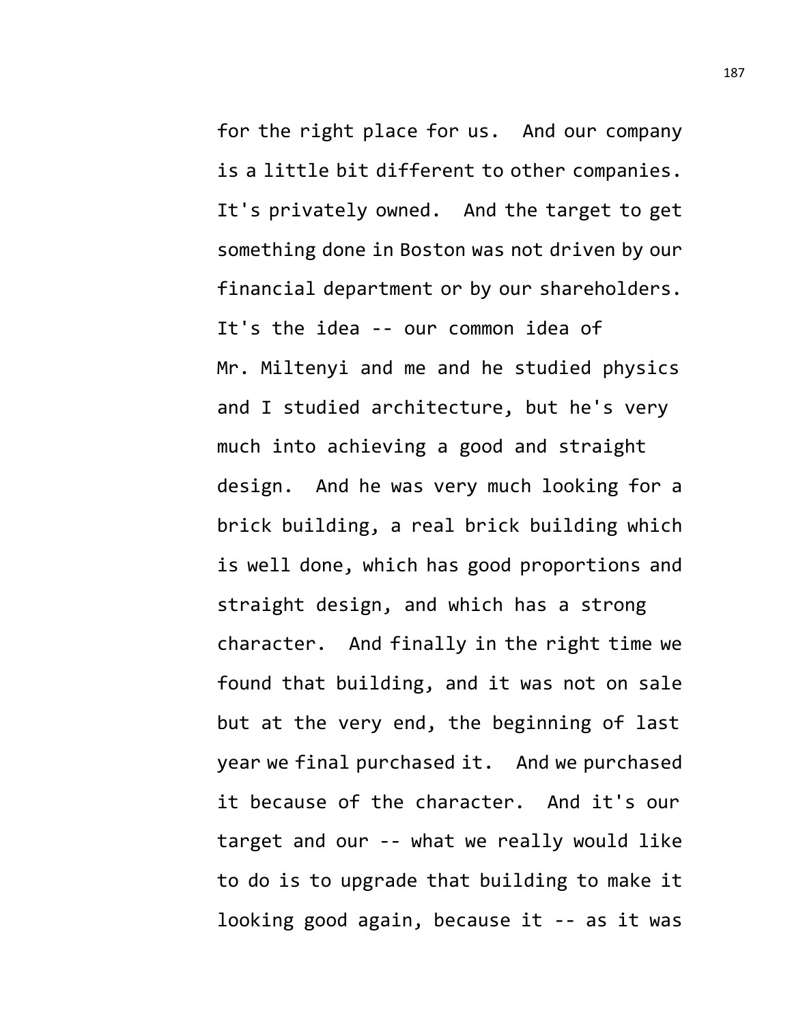for the right place for us. And our company is a little bit different to other companies. It's privately owned. And the target to get something done in Boston was not driven by our financial department or by our shareholders. It's the idea -- our common idea of Mr. Miltenyi and me and he studied physics and I studied architecture, but he's very much into achieving a good and straight design. And he was very much looking for a brick building, a real brick building which is well done, which has good proportions and straight design, and which has a strong character. And finally in the right time we found that building, and it was not on sale but at the very end, the beginning of last year we final purchased it. And we purchased it because of the character. And it's our target and our -- what we really would like to do is to upgrade that building to make it looking good again, because it -- as it was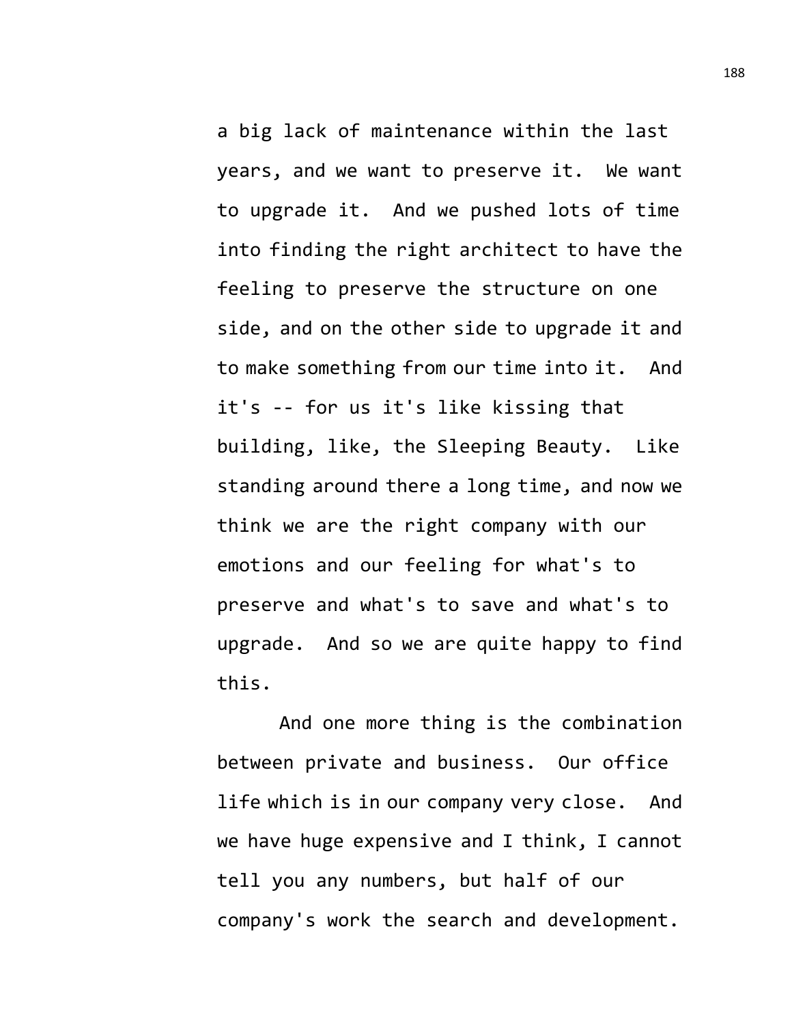a big lack of maintenance within the last years, and we want to preserve it. We want to upgrade it. And we pushed lots of time into finding the right architect to have the feeling to preserve the structure on one side, and on the other side to upgrade it and to make something from our time into it. And it's -- for us it's like kissing that building, like, the Sleeping Beauty. Like standing around there a long time, and now we think we are the right company with our emotions and our feeling for what's to preserve and what's to save and what's to upgrade. And so we are quite happy to find this.

And one more thing is the combination between private and business. Our office life which is in our company very close. And we have huge expensive and I think, I cannot tell you any numbers, but half of our company's work the search and development.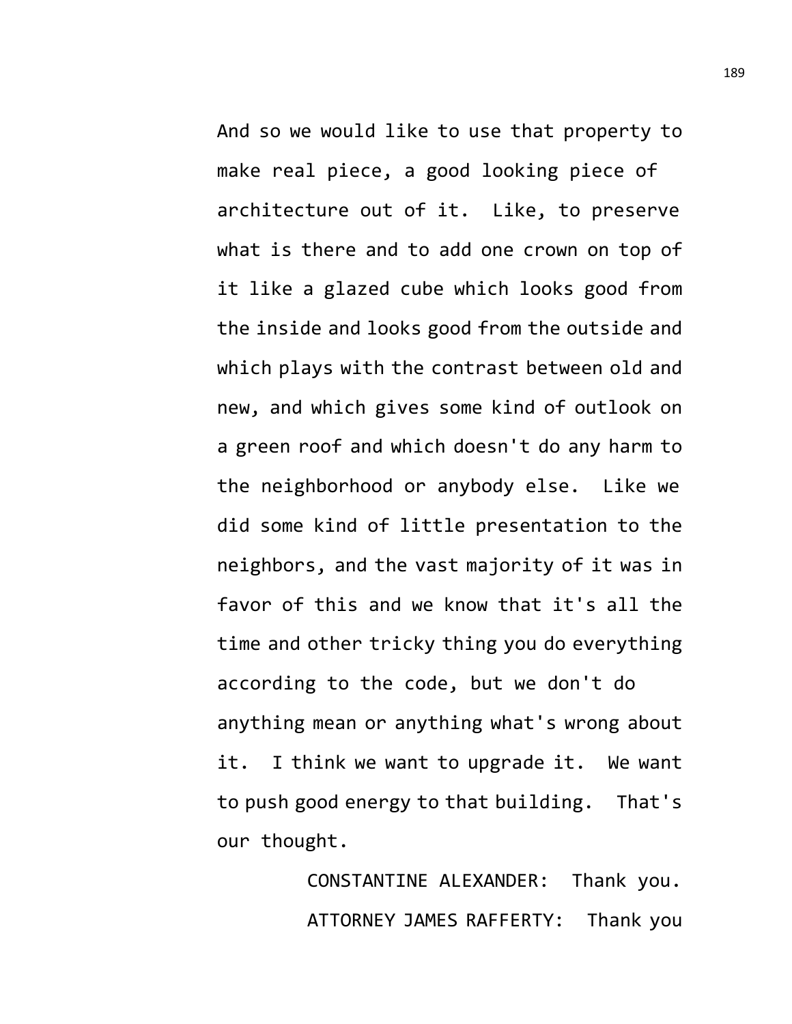And so we would like to use that property to make real piece, a good looking piece of architecture out of it. Like, to preserve what is there and to add one crown on top of it like a glazed cube which looks good from the inside and looks good from the outside and which plays with the contrast between old and new, and which gives some kind of outlook on a green roof and which doesn't do any harm to the neighborhood or anybody else. Like we did some kind of little presentation to the neighbors, and the vast majority of it was in favor of this and we know that it's all the time and other tricky thing you do everything according to the code, but we don't do anything mean or anything what's wrong about it. I think we want to upgrade it. We want to push good energy to that building. That's

our thought.

CONSTANTINE ALEXANDER: Thank you. ATTORNEY JAMES RAFFERTY: Thank you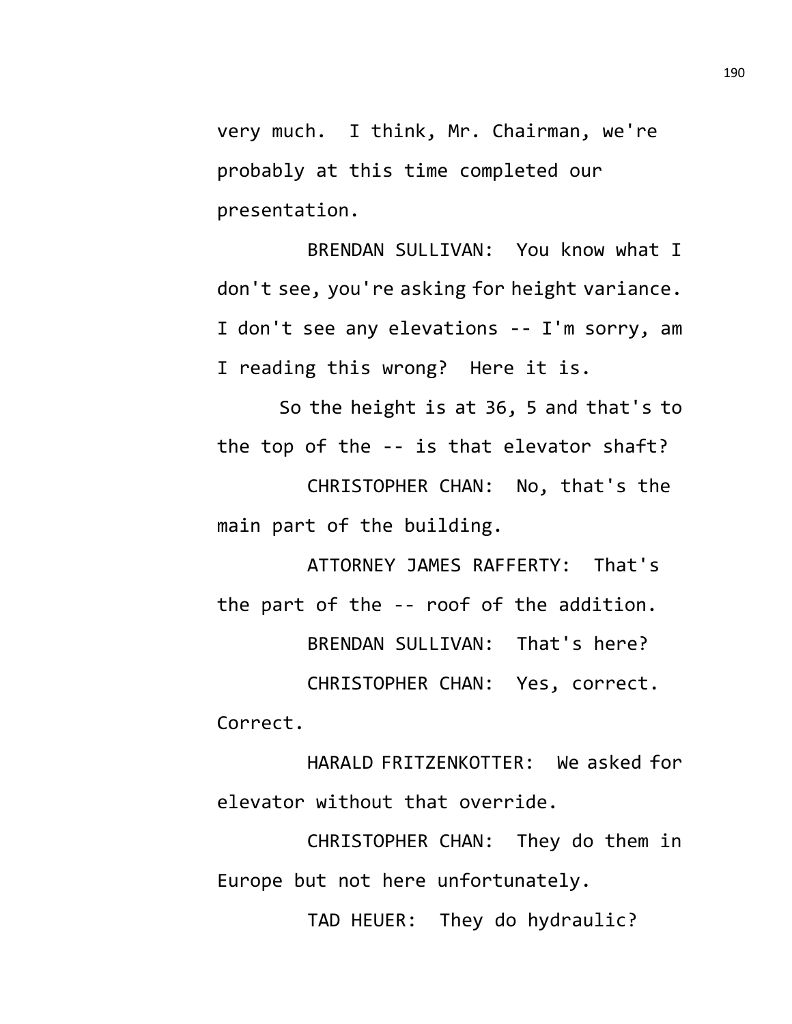very much. I think, Mr. Chairman, we're probably at this time completed our presentation.

BRENDAN SULLIVAN: You know what I don't see, you're asking for height variance. I don't see any elevations -- I'm sorry, am I reading this wrong? Here it is.

So the height is at 36, 5 and that's to the top of the -- is that elevator shaft?

CHRISTOPHER CHAN: No, that's the main part of the building.

ATTORNEY JAMES RAFFERTY: That's the part of the -- roof of the addition. BRENDAN SULLIVAN: That's here? CHRISTOPHER CHAN: Yes, correct.

Correct.

HARALD FRITZENKOTTER: We asked for elevator without that override.

CHRISTOPHER CHAN: They do them in Europe but not here unfortunately.

TAD HEUER: They do hydraulic?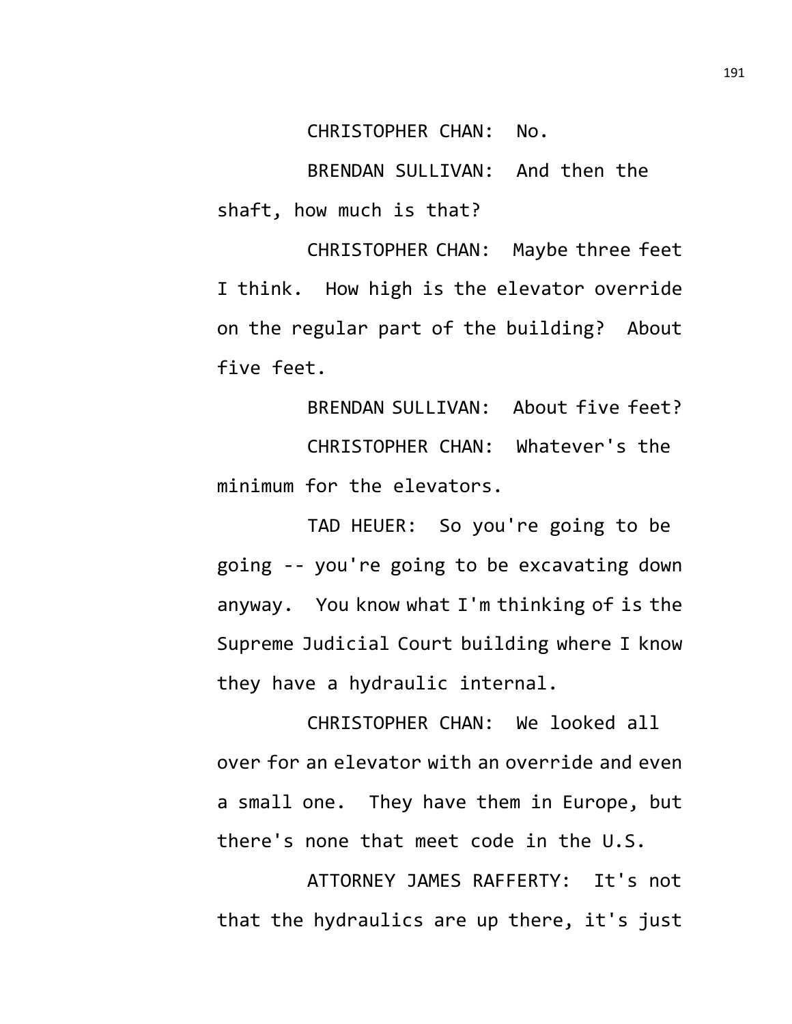CHRISTOPHER CHAN: No.

BRENDAN SULLIVAN: And then the shaft, how much is that?

CHRISTOPHER CHAN: Maybe three feet I think. How high is the elevator override on the regular part of the building? About five feet.

BRENDAN SULLIVAN: About five feet? CHRISTOPHER CHAN: Whatever's the minimum for the elevators.

TAD HEUER: So you're going to be going -- you're going to be excavating down anyway. You know what I'm thinking of is the Supreme Judicial Court building where I know they have a hydraulic internal.

CHRISTOPHER CHAN: We looked all over for an elevator with an override and even a small one. They have them in Europe, but there's none that meet code in the U.S.

ATTORNEY JAMES RAFFERTY: It's not that the hydraulics are up there, it's just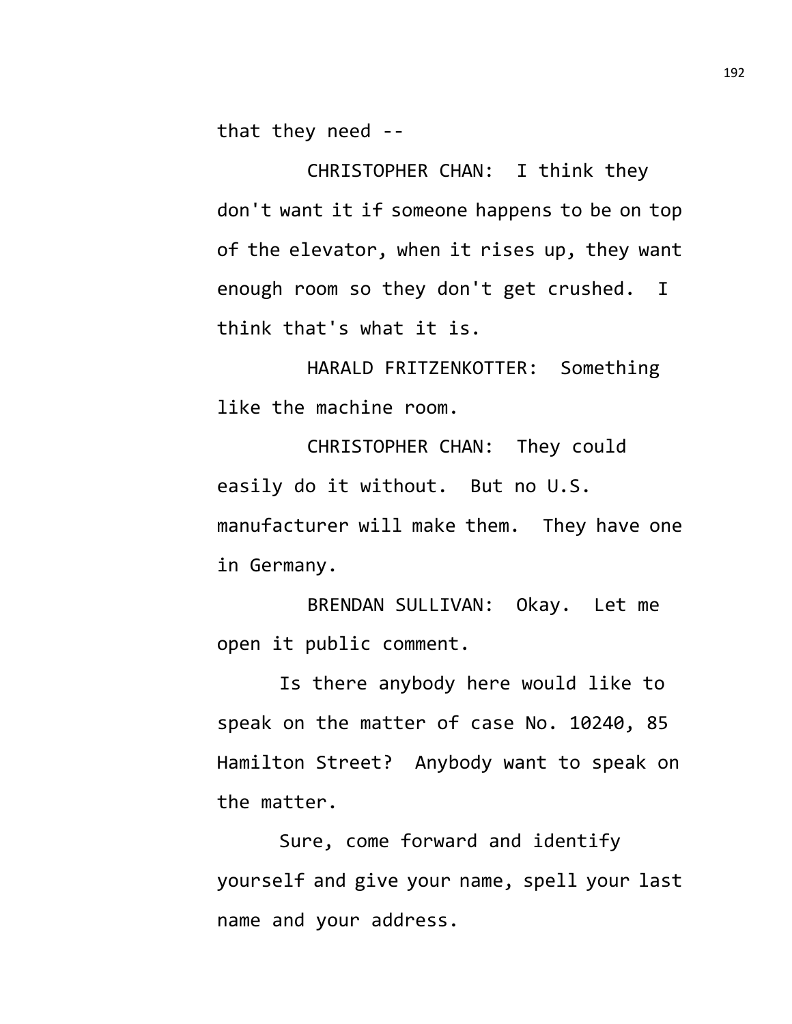that they need --

CHRISTOPHER CHAN: I think they don't want it if someone happens to be on top of the elevator, when it rises up, they want enough room so they don't get crushed. I think that's what it is.

HARALD FRITZENKOTTER: Something like the machine room.

CHRISTOPHER CHAN: They could easily do it without. But no U.S. manufacturer will make them. They have one in Germany.

BRENDAN SULLIVAN: Okay. Let me open it public comment.

Is there anybody here would like to speak on the matter of case No. 10240, 85 Hamilton Street? Anybody want to speak on the matter.

Sure, come forward and identify yourself and give your name, spell your last name and your address.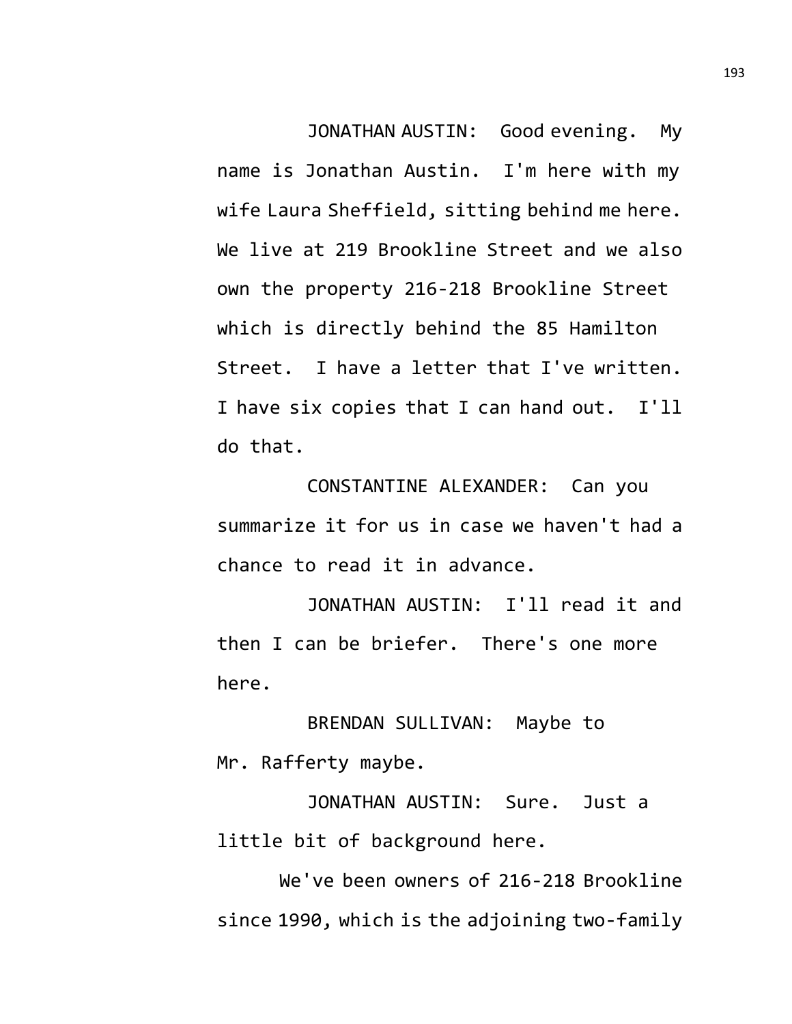JONATHAN AUSTIN: Good evening. My name is Jonathan Austin. I'm here with my wife Laura Sheffield, sitting behind me here. We live at 219 Brookline Street and we also own the property 216-218 Brookline Street which is directly behind the 85 Hamilton Street. I have a letter that I've written. I have six copies that I can hand out. I'll do that.

CONSTANTINE ALEXANDER: Can you summarize it for us in case we haven't had a chance to read it in advance.

JONATHAN AUSTIN: I'll read it and then I can be briefer. There's one more here.

BRENDAN SULLIVAN: Maybe to Mr. Rafferty maybe.

JONATHAN AUSTIN: Sure. Just a little bit of background here.

We've been owners of 216-218 Brookline since 1990, which is the adjoining two-family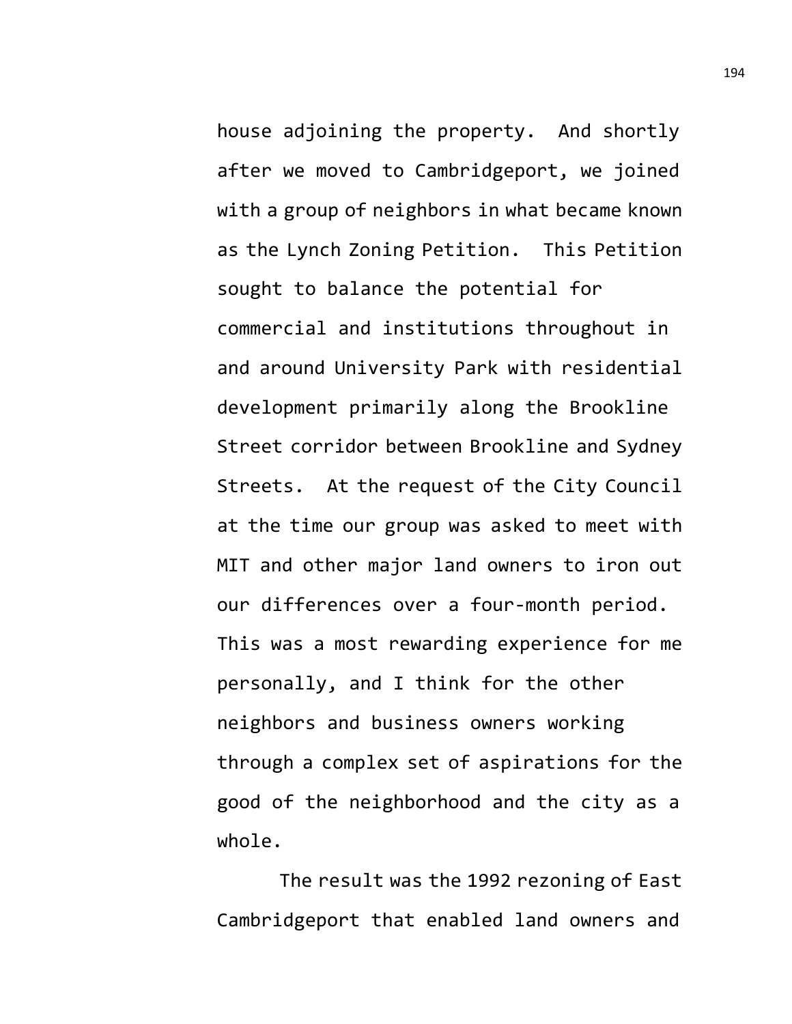house adjoining the property. And shortly after we moved to Cambridgeport, we joined with a group of neighbors in what became known as the Lynch Zoning Petition. This Petition sought to balance the potential for commercial and institutions throughout in and around University Park with residential development primarily along the Brookline Street corridor between Brookline and Sydney Streets. At the request of the City Council at the time our group was asked to meet with MIT and other major land owners to iron out our differences over a four-month period. This was a most rewarding experience for me personally, and I think for the other neighbors and business owners working through a complex set of aspirations for the good of the neighborhood and the city as a whole.

The result was the 1992 rezoning of East Cambridgeport that enabled land owners and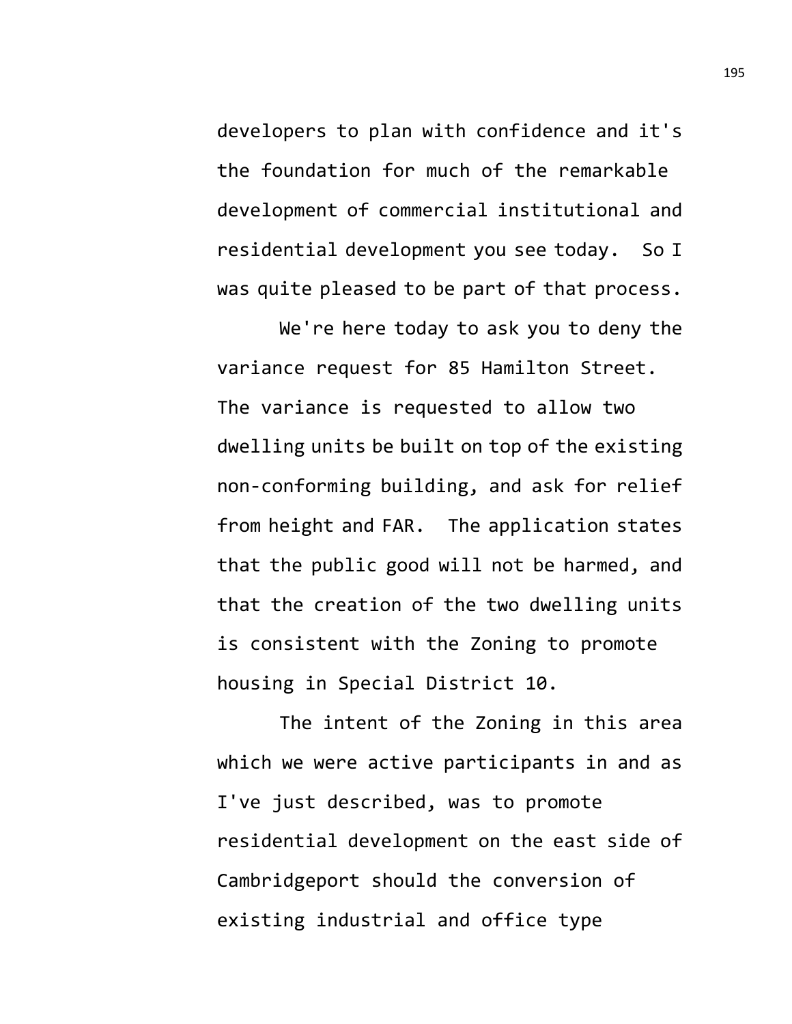developers to plan with confidence and it's the foundation for much of the remarkable development of commercial institutional and residential development you see today. So I was quite pleased to be part of that process.

We're here today to ask you to deny the variance request for 85 Hamilton Street. The variance is requested to allow two dwelling units be built on top of the existing non-conforming building, and ask for relief from height and FAR. The application states that the public good will not be harmed, and that the creation of the two dwelling units is consistent with the Zoning to promote housing in Special District 10.

The intent of the Zoning in this area which we were active participants in and as I've just described, was to promote residential development on the east side of Cambridgeport should the conversion of existing industrial and office type

195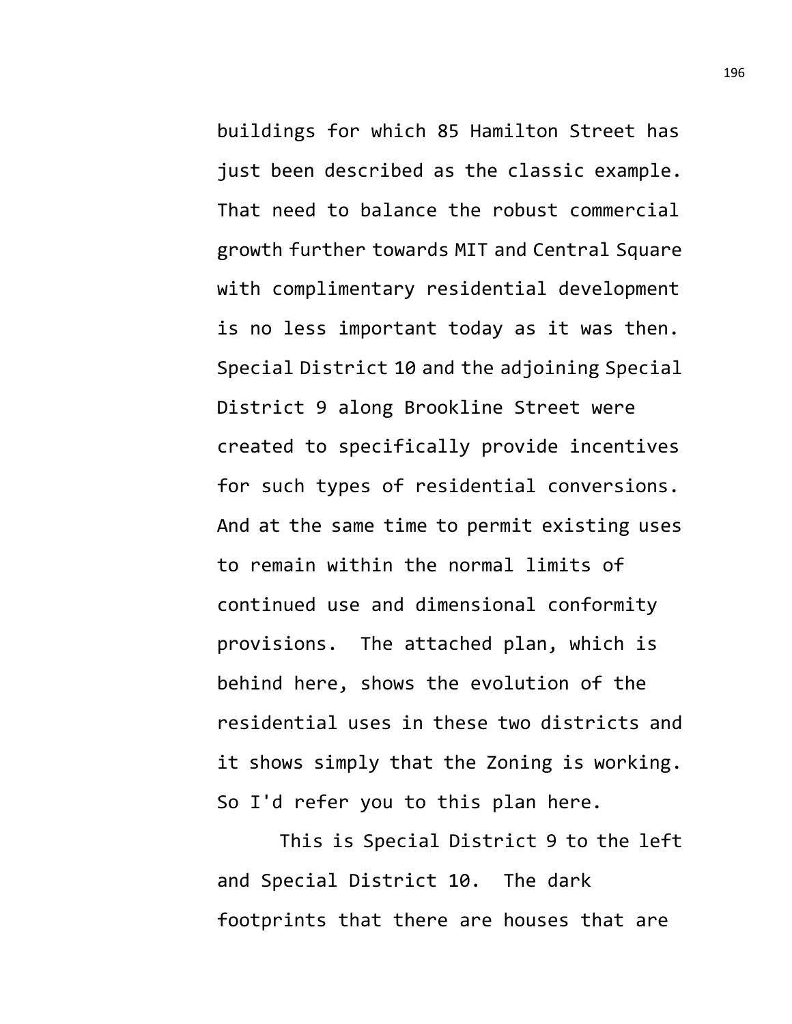buildings for which 85 Hamilton Street has just been described as the classic example. That need to balance the robust commercial growth further towards MIT and Central Square with complimentary residential development is no less important today as it was then. Special District 10 and the adjoining Special District 9 along Brookline Street were created to specifically provide incentives for such types of residential conversions. And at the same time to permit existing uses to remain within the normal limits of continued use and dimensional conformity provisions. The attached plan, which is behind here, shows the evolution of the residential uses in these two districts and it shows simply that the Zoning is working. So I'd refer you to this plan here.

This is Special District 9 to the left and Special District 10. The dark footprints that there are houses that are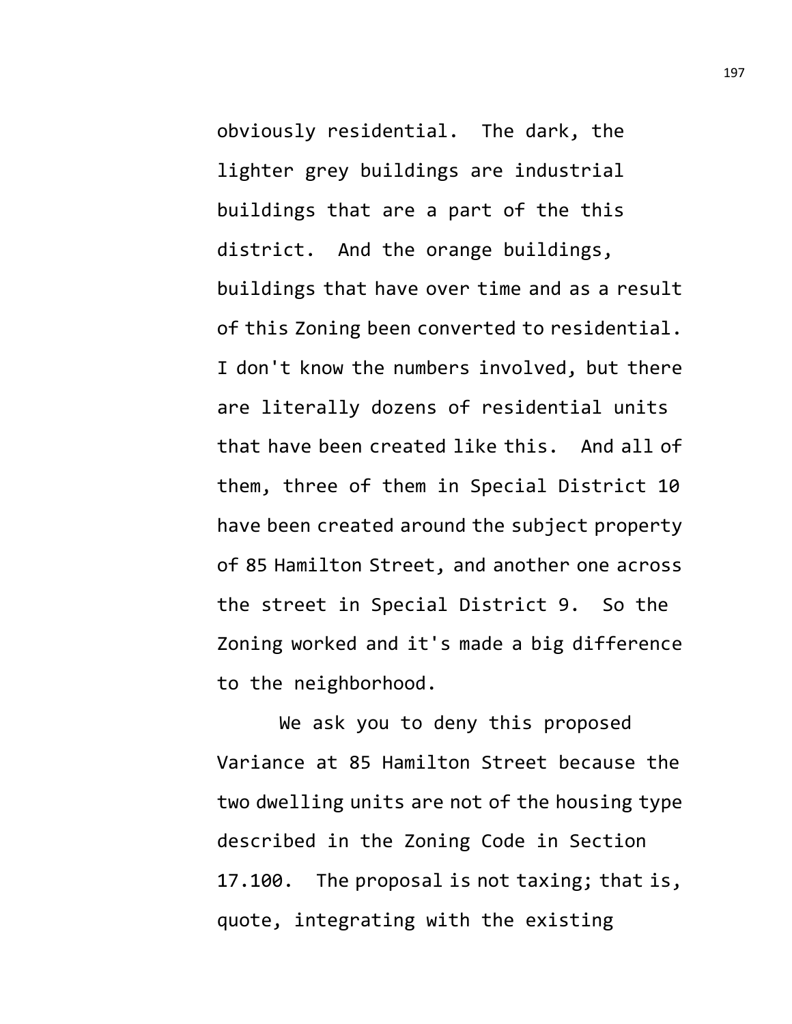obviously residential. The dark, the lighter grey buildings are industrial buildings that are a part of the this district. And the orange buildings, buildings that have over time and as a result of this Zoning been converted to residential. I don't know the numbers involved, but there are literally dozens of residential units that have been created like this. And all of them, three of them in Special District 10 have been created around the subject property of 85 Hamilton Street, and another one across the street in Special District 9. So the Zoning worked and it's made a big difference to the neighborhood.

We ask you to deny this proposed Variance at 85 Hamilton Street because the two dwelling units are not of the housing type described in the Zoning Code in Section 17.100. The proposal is not taxing; that is, quote, integrating with the existing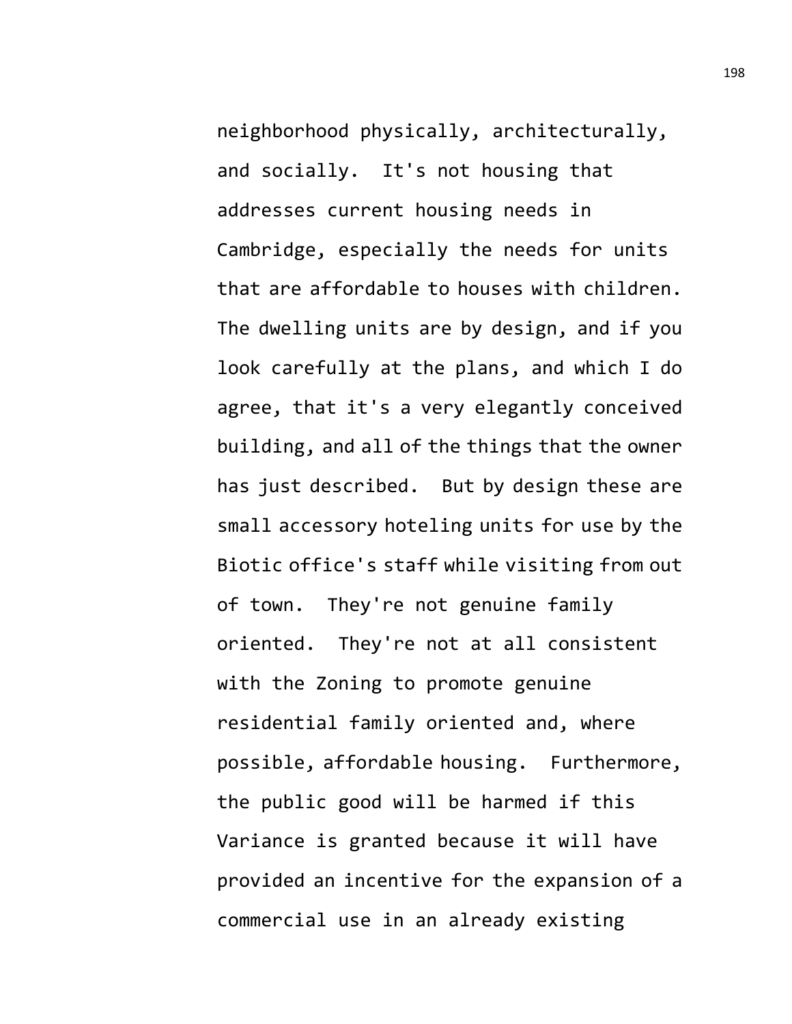neighborhood physically, architecturally, and socially. It's not housing that addresses current housing needs in Cambridge, especially the needs for units that are affordable to houses with children. The dwelling units are by design, and if you look carefully at the plans, and which I do agree, that it's a very elegantly conceived building, and all of the things that the owner has just described. But by design these are small accessory hoteling units for use by the Biotic office's staff while visiting from out of town. They're not genuine family oriented. They're not at all consistent with the Zoning to promote genuine residential family oriented and, where possible, affordable housing. Furthermore, the public good will be harmed if this Variance is granted because it will have provided an incentive for the expansion of a commercial use in an already existing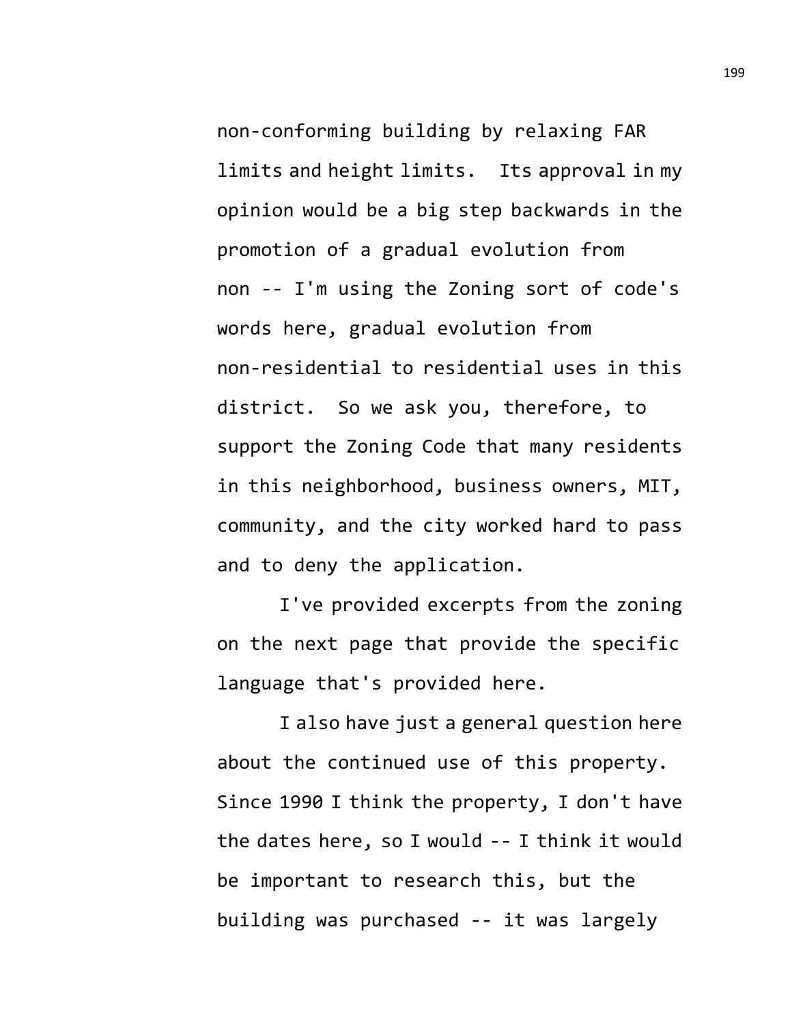non-conforming building by relaxing FAR limits and height limits. Its approval in my opinion would be a big step backwards in the promotion of a gradual evolution from non -- I'm using the Zoning sort of code's words here, gradual evolution from non-residential to residential uses in this district. So we ask you, therefore, to support the Zoning Code that many residents in this neighborhood, business owners, MIT, community, and the city worked hard to pass and to deny the application.

I've provided excerpts from the zoning on the next page that provide the specific language that's provided here.

I also have just a general question here about the continued use of this property. Since 1990 I think the property, I don't have the dates here, so I would -- I think it would be important to research this, but the building was purchased -- it was largely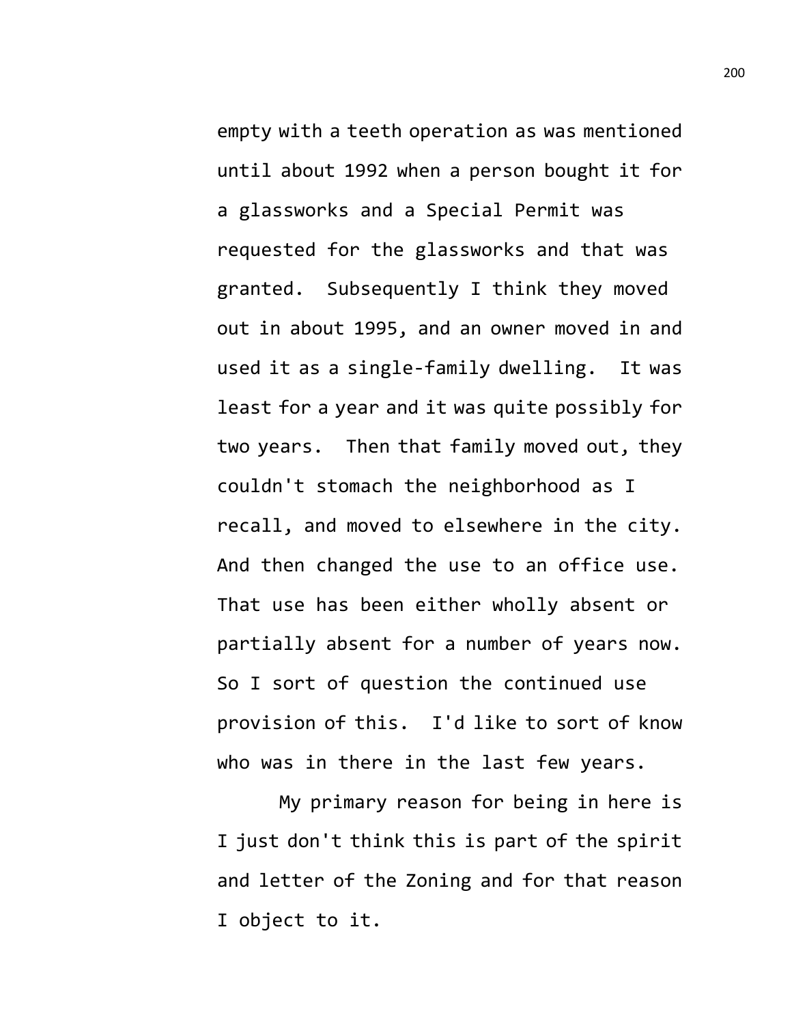empty with a teeth operation as was mentioned until about 1992 when a person bought it for a glassworks and a Special Permit was requested for the glassworks and that was granted. Subsequently I think they moved out in about 1995, and an owner moved in and used it as a single-family dwelling. It was least for a year and it was quite possibly for two years. Then that family moved out, they couldn't stomach the neighborhood as I recall, and moved to elsewhere in the city. And then changed the use to an office use. That use has been either wholly absent or partially absent for a number of years now. So I sort of question the continued use provision of this. I'd like to sort of know who was in there in the last few years.

My primary reason for being in here is I just don't think this is part of the spirit and letter of the Zoning and for that reason I object to it.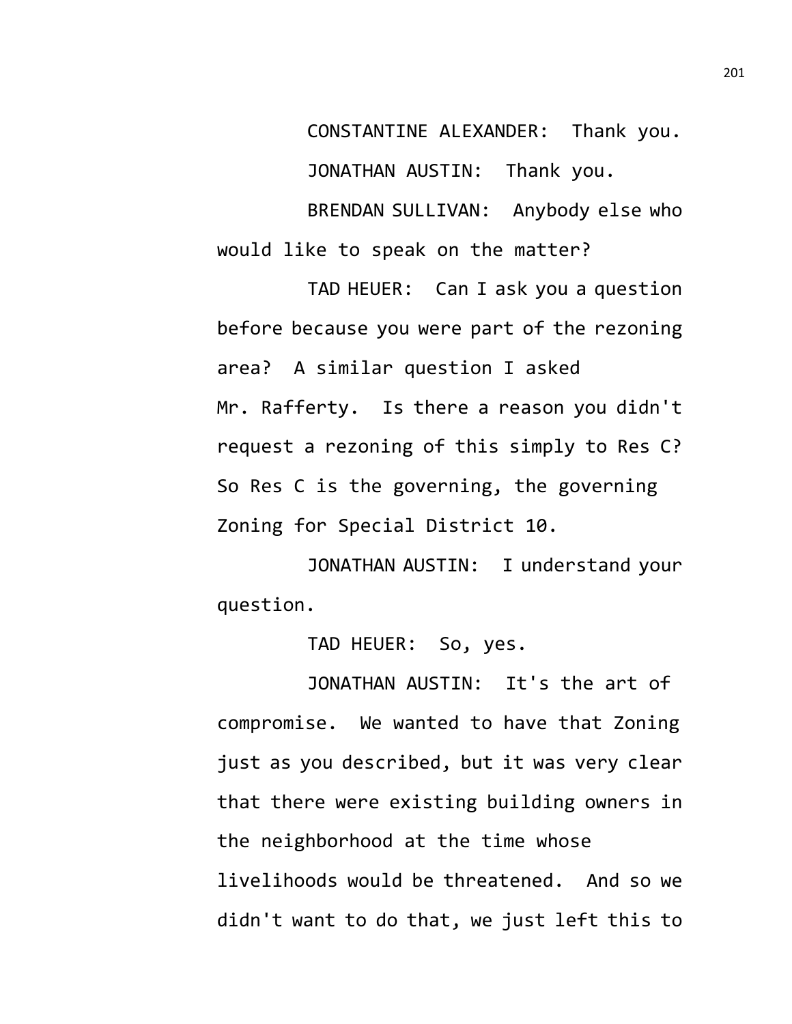CONSTANTINE ALEXANDER: Thank you.

JONATHAN AUSTIN: Thank you.

BRENDAN SULLIVAN: Anybody else who would like to speak on the matter?

TAD HEUER: Can I ask you a question before because you were part of the rezoning area? A similar question I asked Mr. Rafferty. Is there a reason you didn't request a rezoning of this simply to Res C? So Res C is the governing, the governing Zoning for Special District 10.

JONATHAN AUSTIN: I understand your question.

TAD HEUER: So, yes.

JONATHAN AUSTIN: It's the art of compromise. We wanted to have that Zoning just as you described, but it was very clear that there were existing building owners in the neighborhood at the time whose livelihoods would be threatened. And so we didn't want to do that, we just left this to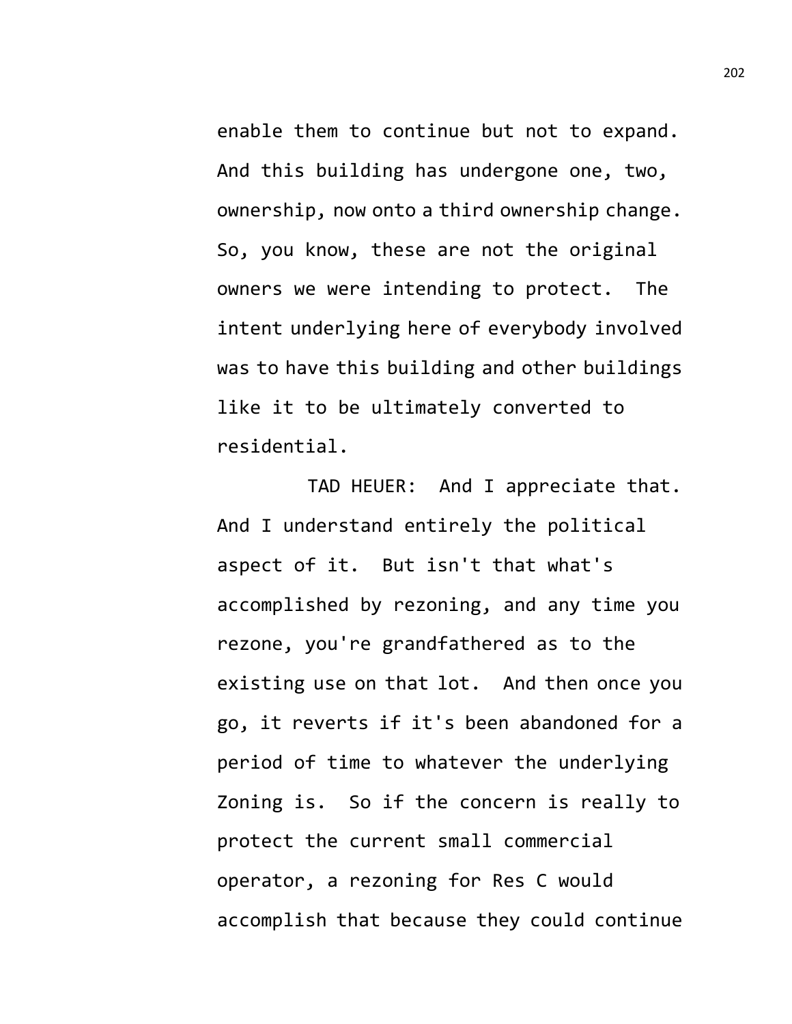enable them to continue but not to expand. And this building has undergone one, two, ownership, now onto a third ownership change. So, you know, these are not the original owners we were intending to protect. The intent underlying here of everybody involved was to have this building and other buildings like it to be ultimately converted to residential.

TAD HEUER: And I appreciate that. And I understand entirely the political aspect of it. But isn't that what's accomplished by rezoning, and any time you rezone, you're grandfathered as to the existing use on that lot. And then once you go, it reverts if it's been abandoned for a period of time to whatever the underlying Zoning is. So if the concern is really to protect the current small commercial operator, a rezoning for Res C would accomplish that because they could continue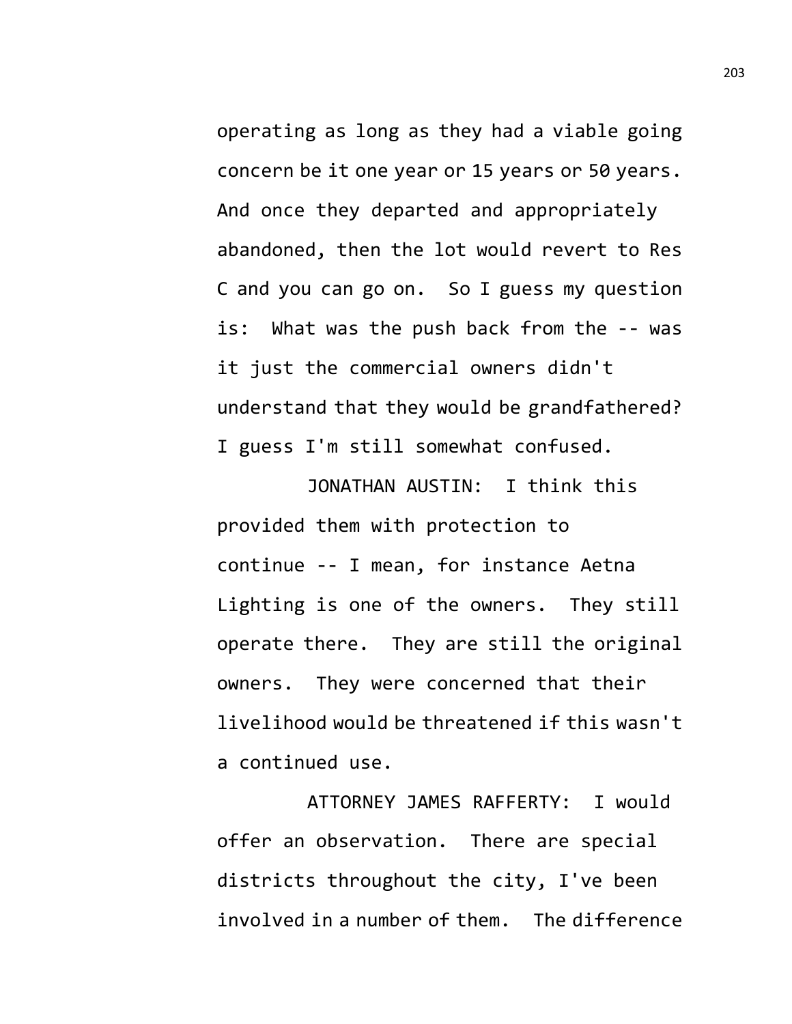operating as long as they had a viable going concern be it one year or 15 years or 50 years. And once they departed and appropriately abandoned, then the lot would revert to Res C and you can go on. So I guess my question is: What was the push back from the -- was it just the commercial owners didn't understand that they would be grandfathered? I guess I'm still somewhat confused.

JONATHAN AUSTIN: I think this provided them with protection to continue -- I mean, for instance Aetna Lighting is one of the owners. They still operate there. They are still the original owners. They were concerned that their livelihood would be threatened if this wasn't a continued use.

ATTORNEY JAMES RAFFERTY: I would offer an observation. There are special districts throughout the city, I've been involved in a number of them. The difference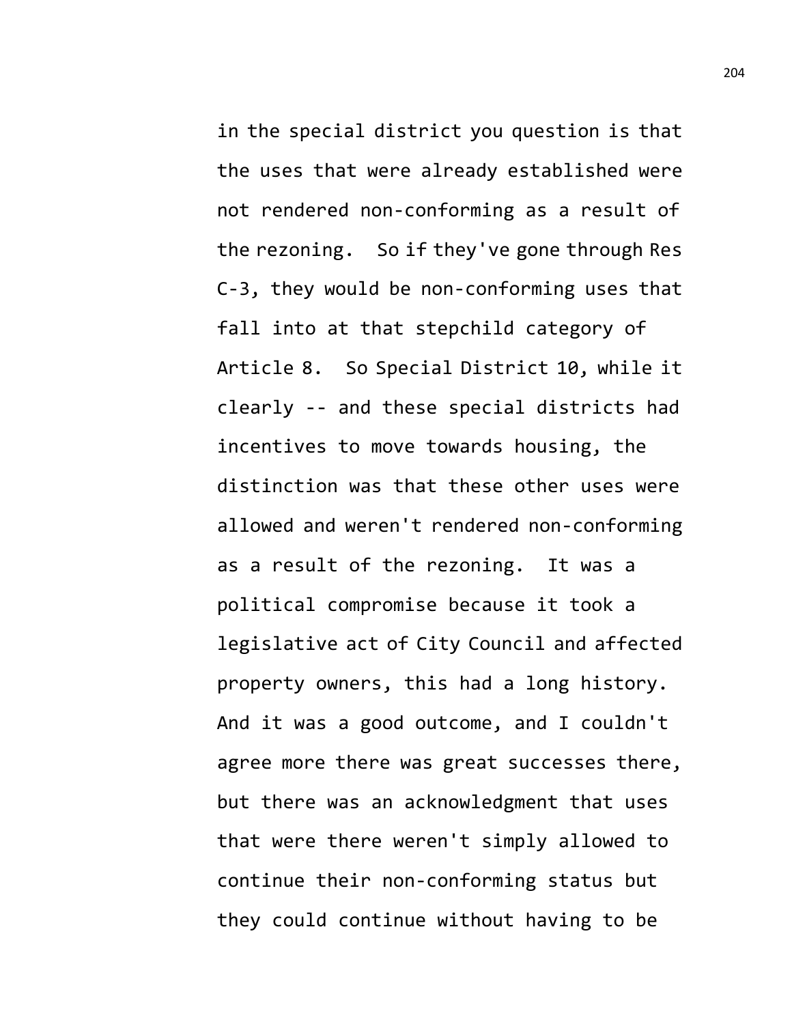in the special district you question is that the uses that were already established were not rendered non-conforming as a result of the rezoning. So if they've gone through Res C-3, they would be non-conforming uses that fall into at that stepchild category of Article 8. So Special District 10, while it clearly -- and these special districts had incentives to move towards housing, the distinction was that these other uses were allowed and weren't rendered non-conforming as a result of the rezoning. It was a political compromise because it took a legislative act of City Council and affected property owners, this had a long history. And it was a good outcome, and I couldn't agree more there was great successes there, but there was an acknowledgment that uses that were there weren't simply allowed to continue their non-conforming status but they could continue without having to be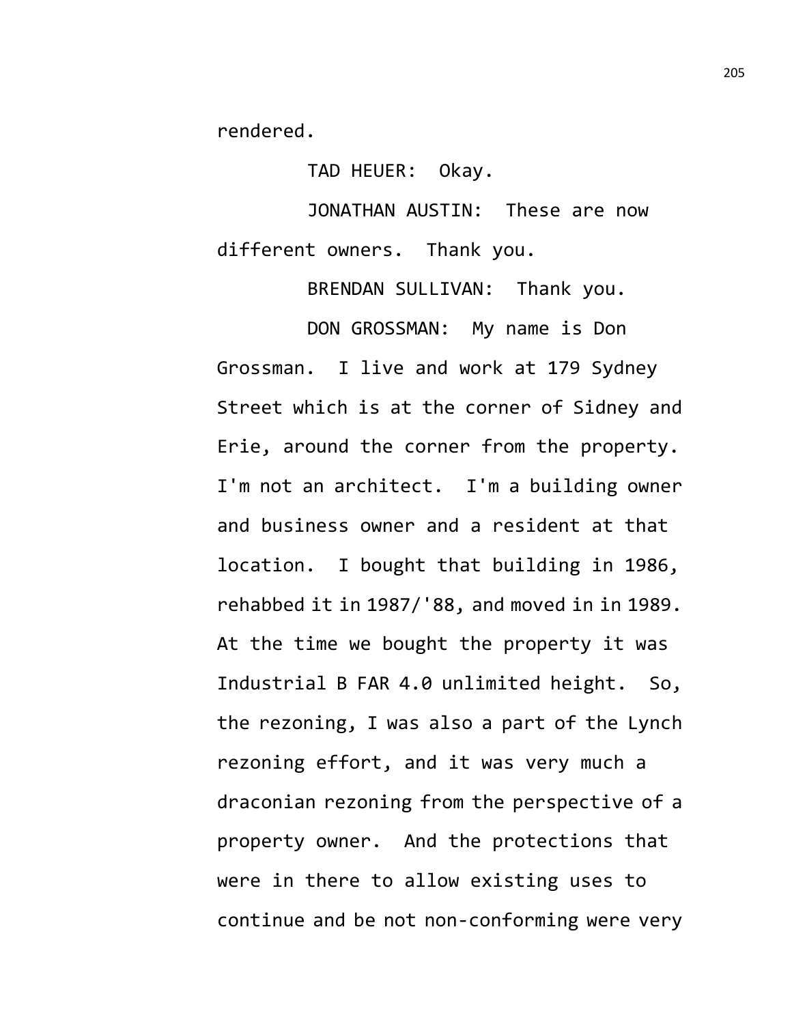rendered.

TAD HEUER: Okay.

JONATHAN AUSTIN: These are now different owners. Thank you.

BRENDAN SULLIVAN: Thank you.

DON GROSSMAN: My name is Don

Grossman. I live and work at 179 Sydney Street which is at the corner of Sidney and Erie, around the corner from the property. I'm not an architect. I'm a building owner and business owner and a resident at that location. I bought that building in 1986, rehabbed it in 1987/'88, and moved in in 1989. At the time we bought the property it was Industrial B FAR 4.0 unlimited height. So, the rezoning, I was also a part of the Lynch rezoning effort, and it was very much a draconian rezoning from the perspective of a property owner. And the protections that were in there to allow existing uses to continue and be not non-conforming were very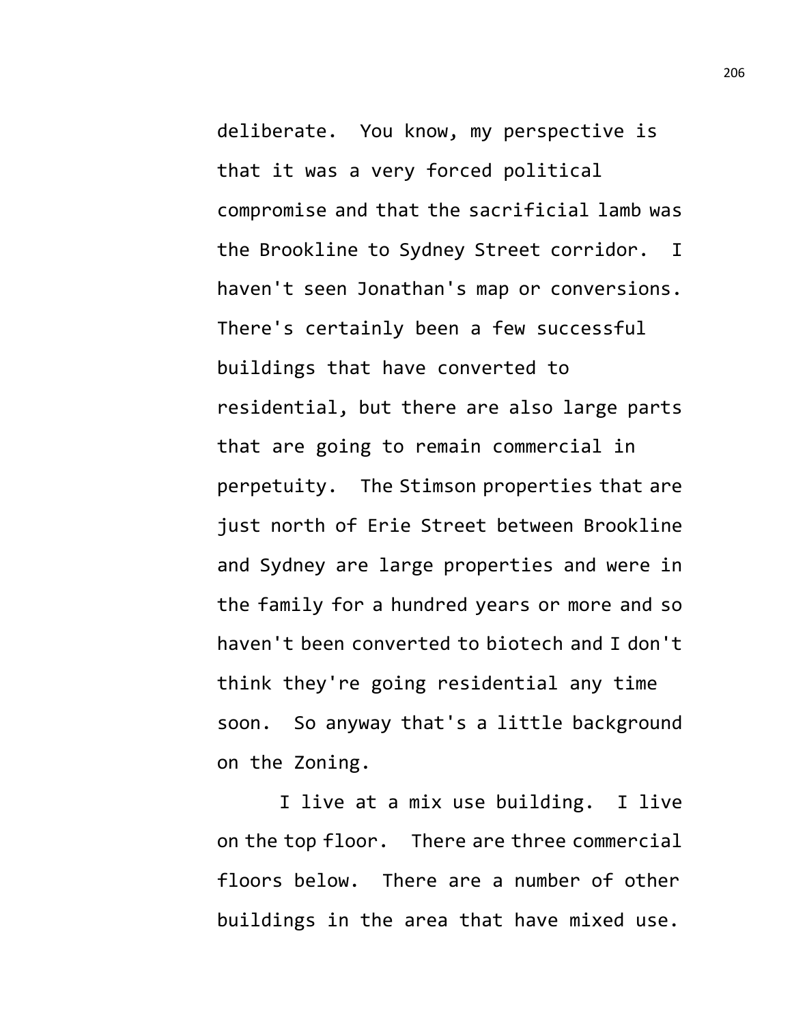deliberate. You know, my perspective is that it was a very forced political compromise and that the sacrificial lamb was the Brookline to Sydney Street corridor. I haven't seen Jonathan's map or conversions. There's certainly been a few successful buildings that have converted to residential, but there are also large parts that are going to remain commercial in perpetuity. The Stimson properties that are just north of Erie Street between Brookline and Sydney are large properties and were in the family for a hundred years or more and so haven't been converted to biotech and I don't think they're going residential any time soon. So anyway that's a little background on the Zoning.

I live at a mix use building. I live on the top floor. There are three commercial floors below. There are a number of other buildings in the area that have mixed use.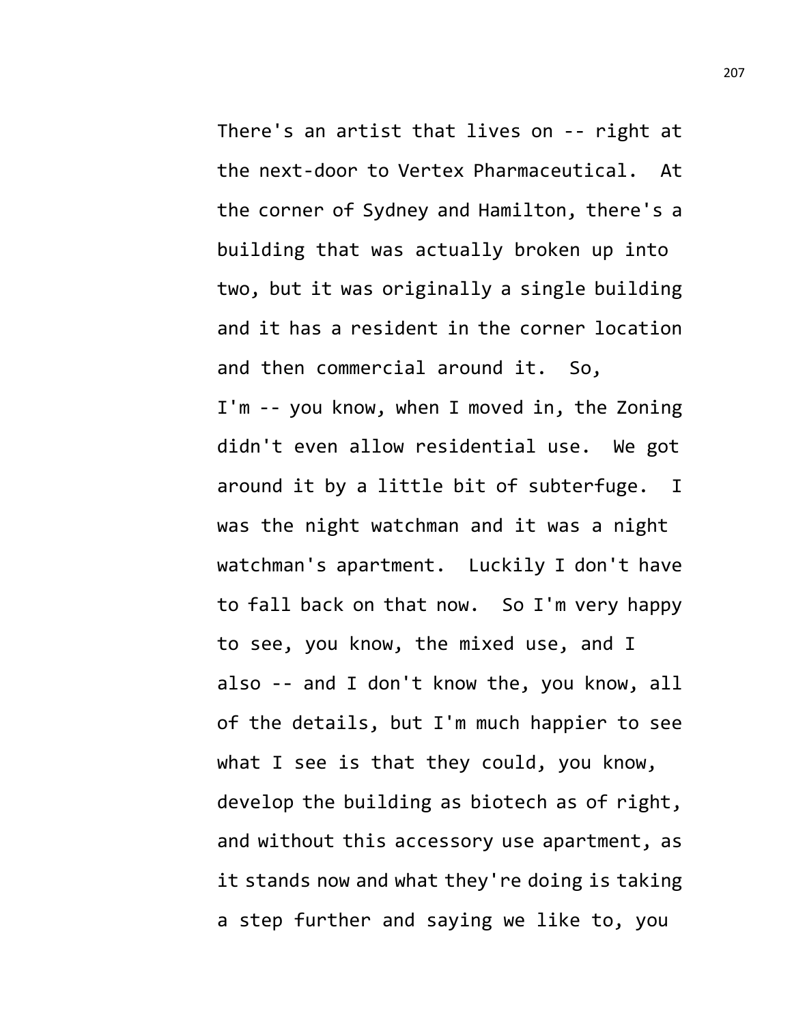There's an artist that lives on -- right at the next-door to Vertex Pharmaceutical. At the corner of Sydney and Hamilton, there's a building that was actually broken up into two, but it was originally a single building and it has a resident in the corner location and then commercial around it. So, I'm -- you know, when I moved in, the Zoning didn't even allow residential use. We got around it by a little bit of subterfuge. I was the night watchman and it was a night watchman's apartment. Luckily I don't have to fall back on that now. So I'm very happy to see, you know, the mixed use, and I also -- and I don't know the, you know, all of the details, but I'm much happier to see what I see is that they could, you know, develop the building as biotech as of right, and without this accessory use apartment, as it stands now and what they're doing is taking a step further and saying we like to, you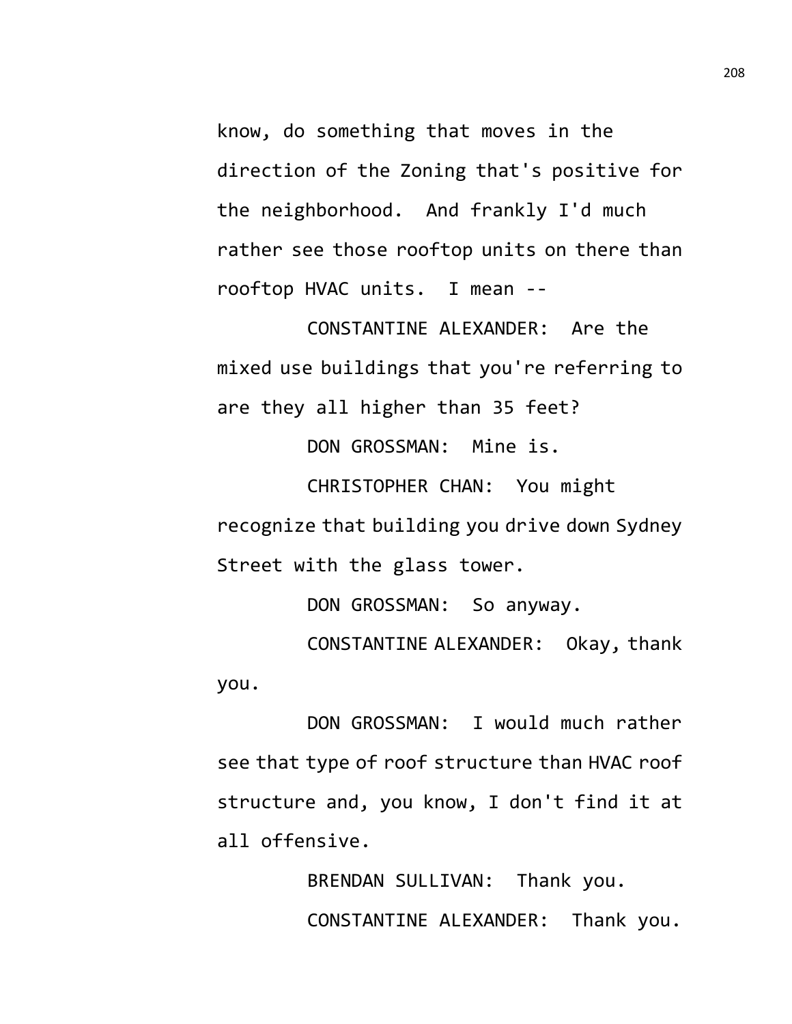know, do something that moves in the direction of the Zoning that's positive for the neighborhood. And frankly I'd much rather see those rooftop units on there than rooftop HVAC units. I mean --

CONSTANTINE ALEXANDER: Are the mixed use buildings that you're referring to are they all higher than 35 feet?

DON GROSSMAN: Mine is.

CHRISTOPHER CHAN: You might recognize that building you drive down Sydney Street with the glass tower.

DON GROSSMAN: So anyway.

CONSTANTINE ALEXANDER: Okay, thank you.

DON GROSSMAN: I would much rather see that type of roof structure than HVAC roof structure and, you know, I don't find it at all offensive.

> BRENDAN SULLIVAN: Thank you. CONSTANTINE ALEXANDER: Thank you.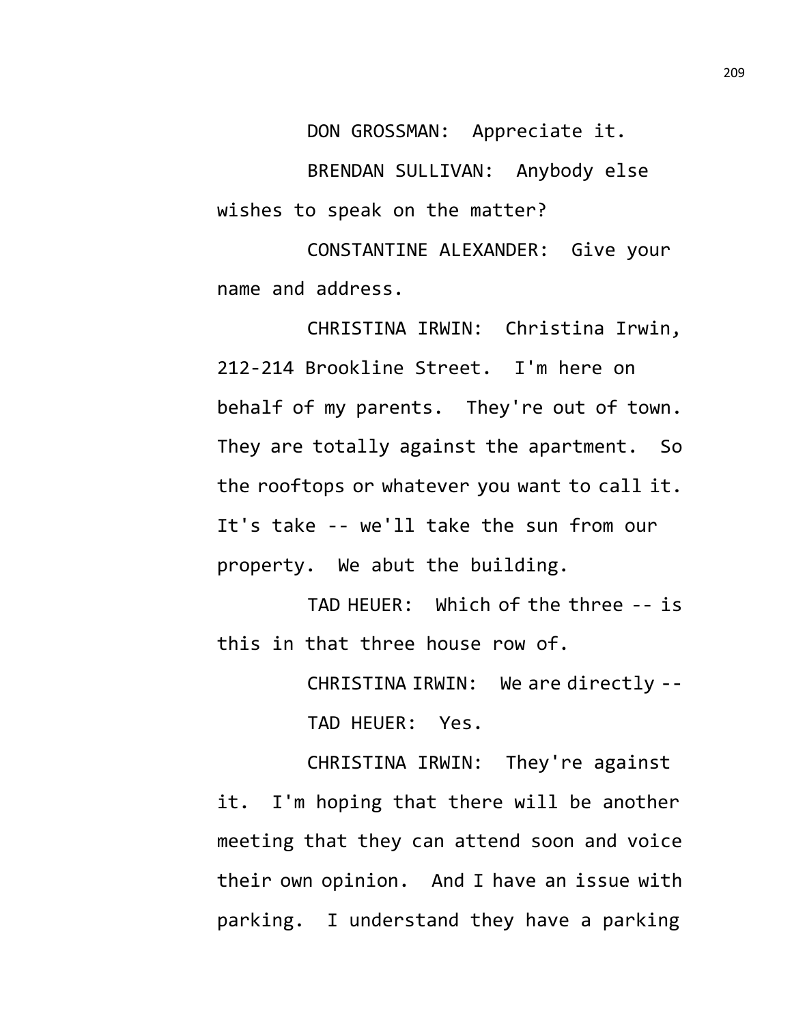DON GROSSMAN: Appreciate it. BRENDAN SULLIVAN: Anybody else wishes to speak on the matter?

CONSTANTINE ALEXANDER: Give your name and address.

CHRISTINA IRWIN: Christina Irwin, 212-214 Brookline Street. I'm here on behalf of my parents. They're out of town. They are totally against the apartment. So the rooftops or whatever you want to call it. It's take -- we'll take the sun from our property. We abut the building.

TAD HEUER: Which of the three -- is this in that three house row of.

> CHRISTINA IRWIN: We are directly -- TAD HEUER: Yes.

CHRISTINA IRWIN: They're against it. I'm hoping that there will be another meeting that they can attend soon and voice their own opinion. And I have an issue with parking. I understand they have a parking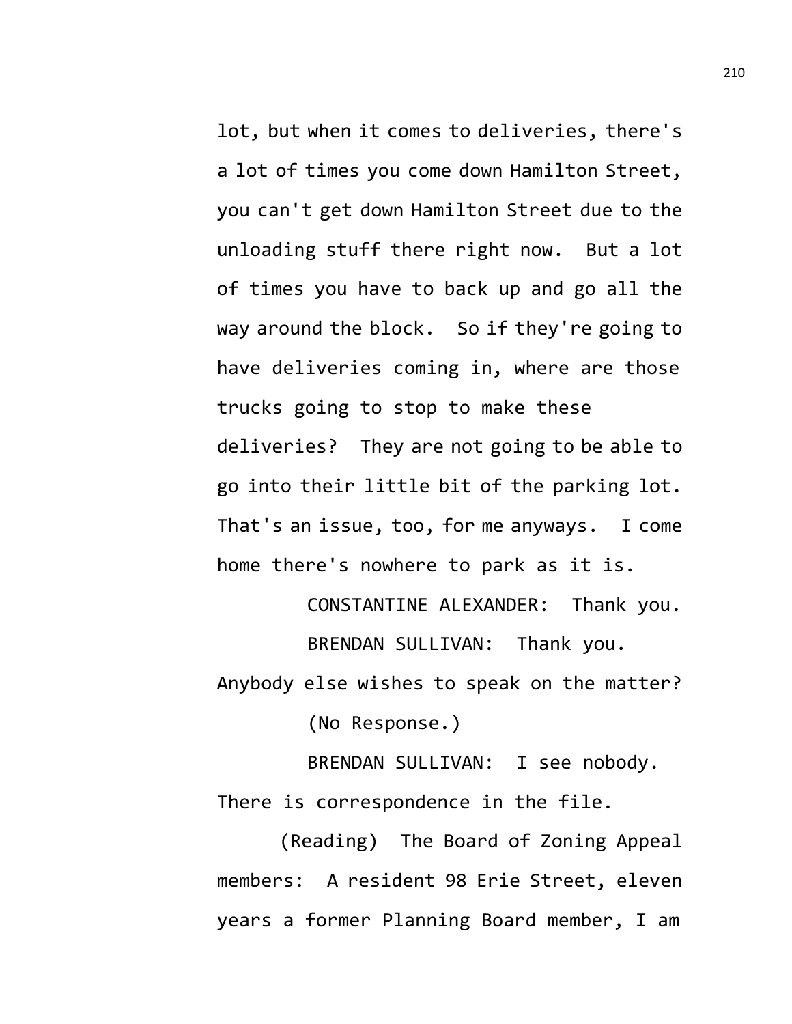lot, but when it comes to deliveries, there's a lot of times you come down Hamilton Street, you can't get down Hamilton Street due to the unloading stuff there right now. But a lot of times you have to back up and go all the way around the block. So if they're going to have deliveries coming in, where are those trucks going to stop to make these deliveries? They are not going to be able to go into their little bit of the parking lot. That's an issue, too, for me anyways. I come home there's nowhere to park as it is.

> CONSTANTINE ALEXANDER: Thank you. BRENDAN SULLIVAN: Thank you.

Anybody else wishes to speak on the matter? (No Response.)

BRENDAN SULLIVAN: I see nobody. There is correspondence in the file.

(Reading) The Board of Zoning Appeal members: A resident 98 Erie Street, eleven years a former Planning Board member, I am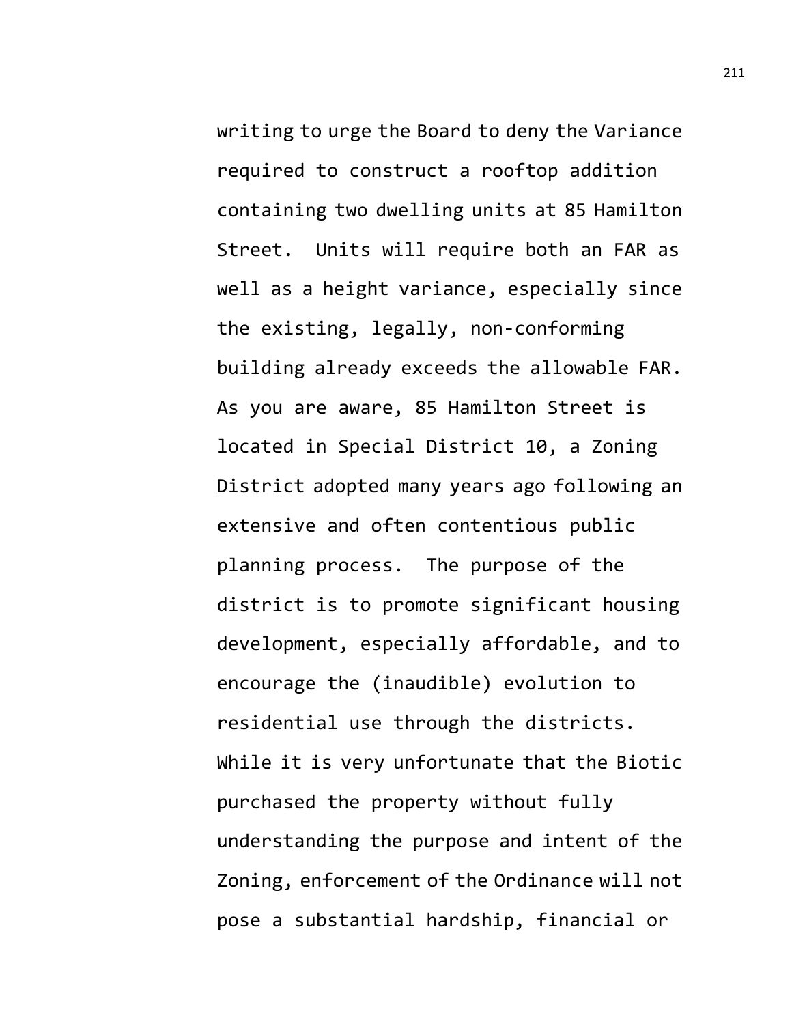writing to urge the Board to deny the Variance required to construct a rooftop addition containing two dwelling units at 85 Hamilton Street. Units will require both an FAR as well as a height variance, especially since the existing, legally, non-conforming building already exceeds the allowable FAR. As you are aware, 85 Hamilton Street is located in Special District 10, a Zoning District adopted many years ago following an extensive and often contentious public planning process. The purpose of the district is to promote significant housing development, especially affordable, and to encourage the (inaudible) evolution to residential use through the districts. While it is very unfortunate that the Biotic purchased the property without fully understanding the purpose and intent of the Zoning, enforcement of the Ordinance will not pose a substantial hardship, financial or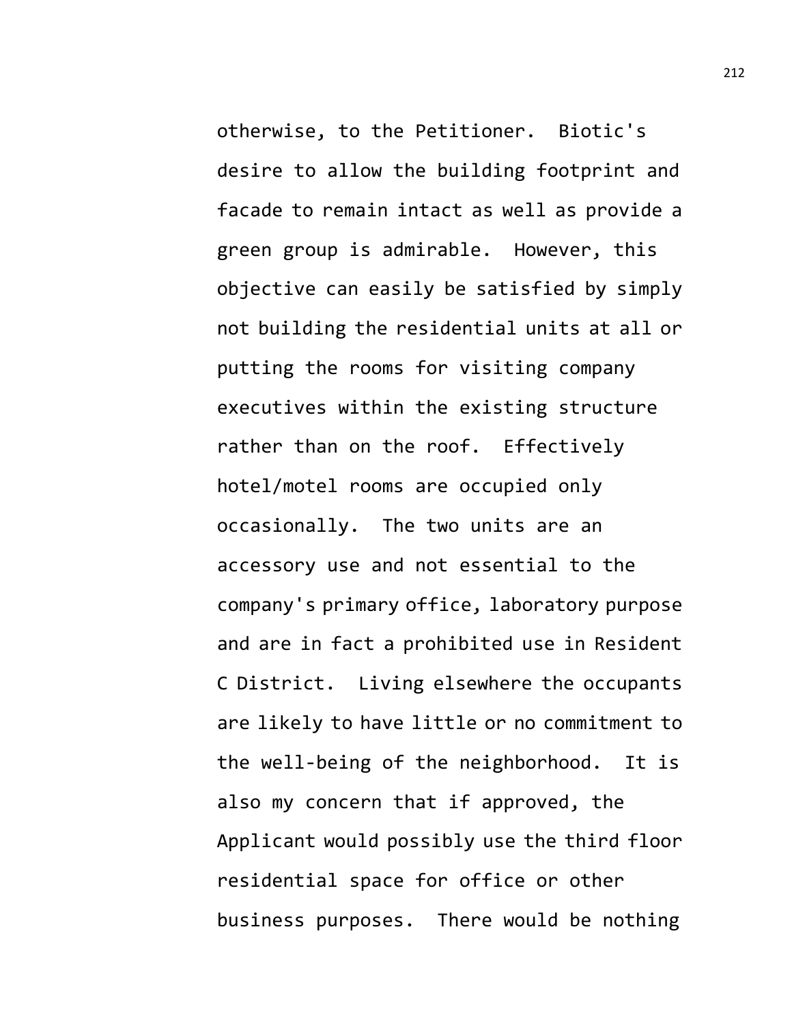otherwise, to the Petitioner. Biotic's desire to allow the building footprint and facade to remain intact as well as provide a green group is admirable. However, this objective can easily be satisfied by simply not building the residential units at all or putting the rooms for visiting company executives within the existing structure rather than on the roof. Effectively hotel/motel rooms are occupied only occasionally. The two units are an accessory use and not essential to the company's primary office, laboratory purpose and are in fact a prohibited use in Resident C District. Living elsewhere the occupants are likely to have little or no commitment to the well-being of the neighborhood. It is also my concern that if approved, the Applicant would possibly use the third floor residential space for office or other business purposes. There would be nothing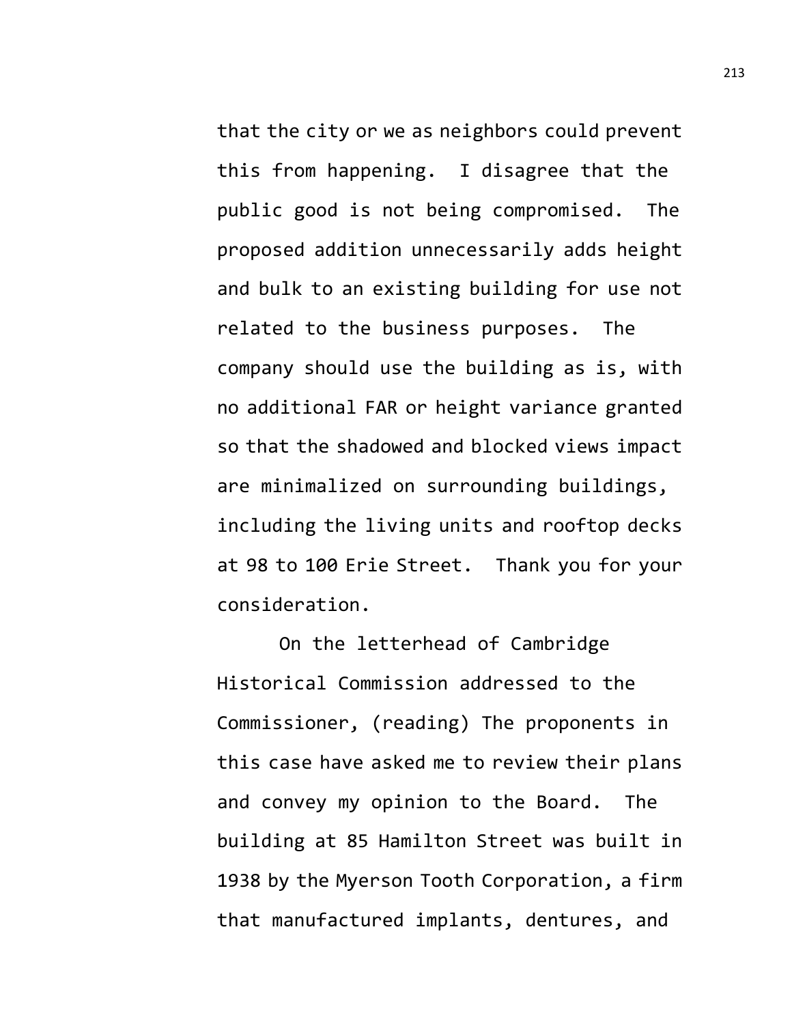that the city or we as neighbors could prevent this from happening. I disagree that the public good is not being compromised. The proposed addition unnecessarily adds height and bulk to an existing building for use not related to the business purposes. The company should use the building as is, with no additional FAR or height variance granted so that the shadowed and blocked views impact are minimalized on surrounding buildings, including the living units and rooftop decks at 98 to 100 Erie Street. Thank you for your consideration.

On the letterhead of Cambridge Historical Commission addressed to the Commissioner, (reading) The proponents in this case have asked me to review their plans and convey my opinion to the Board. The building at 85 Hamilton Street was built in 1938 by the Myerson Tooth Corporation, a firm that manufactured implants, dentures, and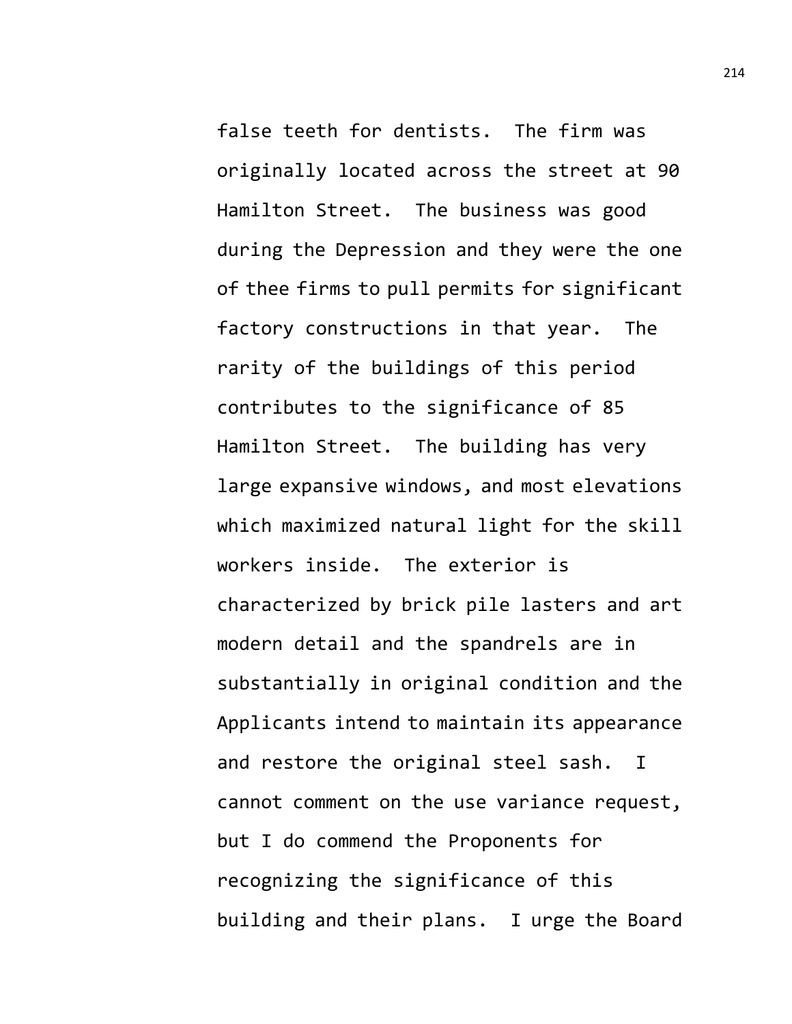false teeth for dentists. The firm was originally located across the street at 90 Hamilton Street. The business was good during the Depression and they were the one of thee firms to pull permits for significant factory constructions in that year. The rarity of the buildings of this period contributes to the significance of 85 Hamilton Street. The building has very large expansive windows, and most elevations which maximized natural light for the skill workers inside. The exterior is characterized by brick pile lasters and art modern detail and the spandrels are in substantially in original condition and the Applicants intend to maintain its appearance and restore the original steel sash. I cannot comment on the use variance request, but I do commend the Proponents for recognizing the significance of this building and their plans. I urge the Board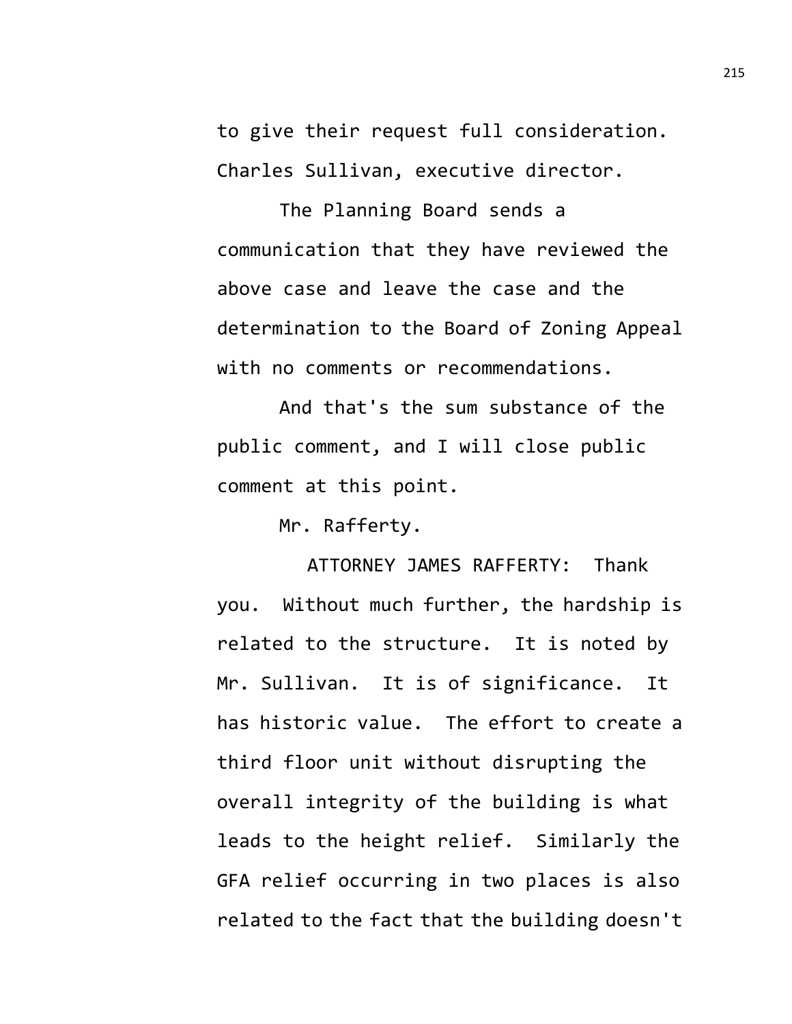to give their request full consideration. Charles Sullivan, executive director.

The Planning Board sends a communication that they have reviewed the above case and leave the case and the determination to the Board of Zoning Appeal with no comments or recommendations.

And that's the sum substance of the public comment, and I will close public comment at this point.

Mr. Rafferty.

ATTORNEY JAMES RAFFERTY: Thank you. Without much further, the hardship is related to the structure. It is noted by Mr. Sullivan. It is of significance. It has historic value. The effort to create a third floor unit without disrupting the overall integrity of the building is what leads to the height relief. Similarly the GFA relief occurring in two places is also related to the fact that the building doesn't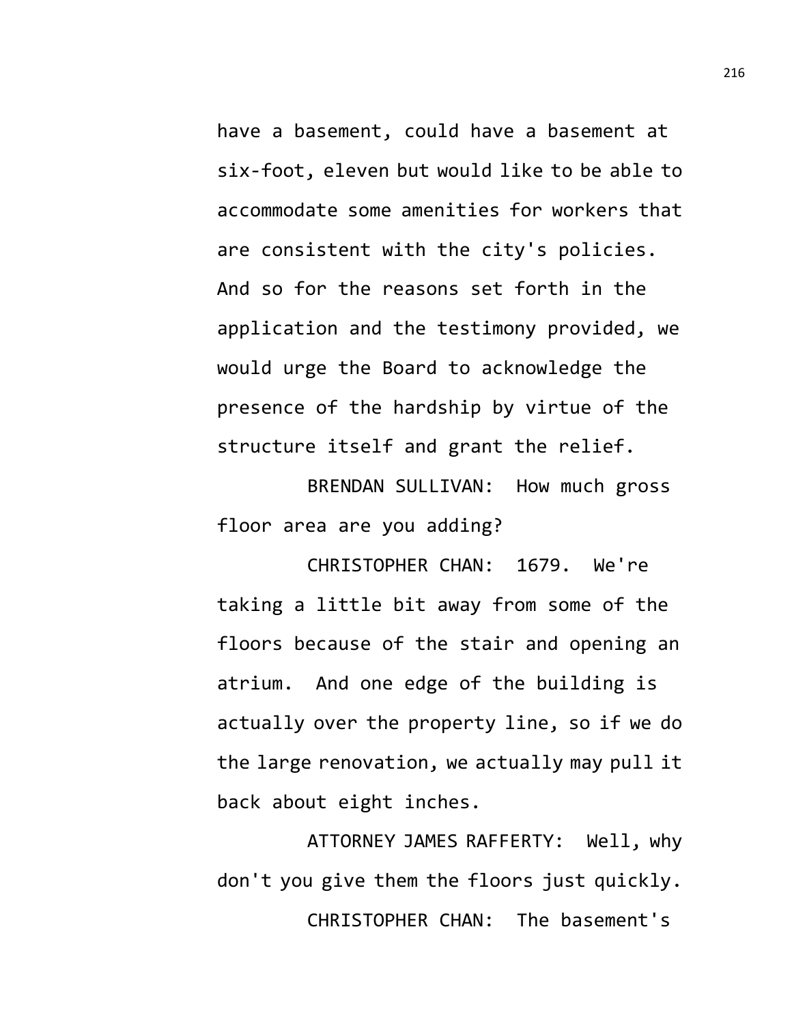have a basement, could have a basement at six-foot, eleven but would like to be able to accommodate some amenities for workers that are consistent with the city's policies. And so for the reasons set forth in the application and the testimony provided, we would urge the Board to acknowledge the presence of the hardship by virtue of the structure itself and grant the relief.

BRENDAN SULLIVAN: How much gross floor area are you adding?

CHRISTOPHER CHAN: 1679. We're taking a little bit away from some of the floors because of the stair and opening an atrium. And one edge of the building is actually over the property line, so if we do the large renovation, we actually may pull it back about eight inches.

ATTORNEY JAMES RAFFERTY: Well, why don't you give them the floors just quickly. CHRISTOPHER CHAN: The basement's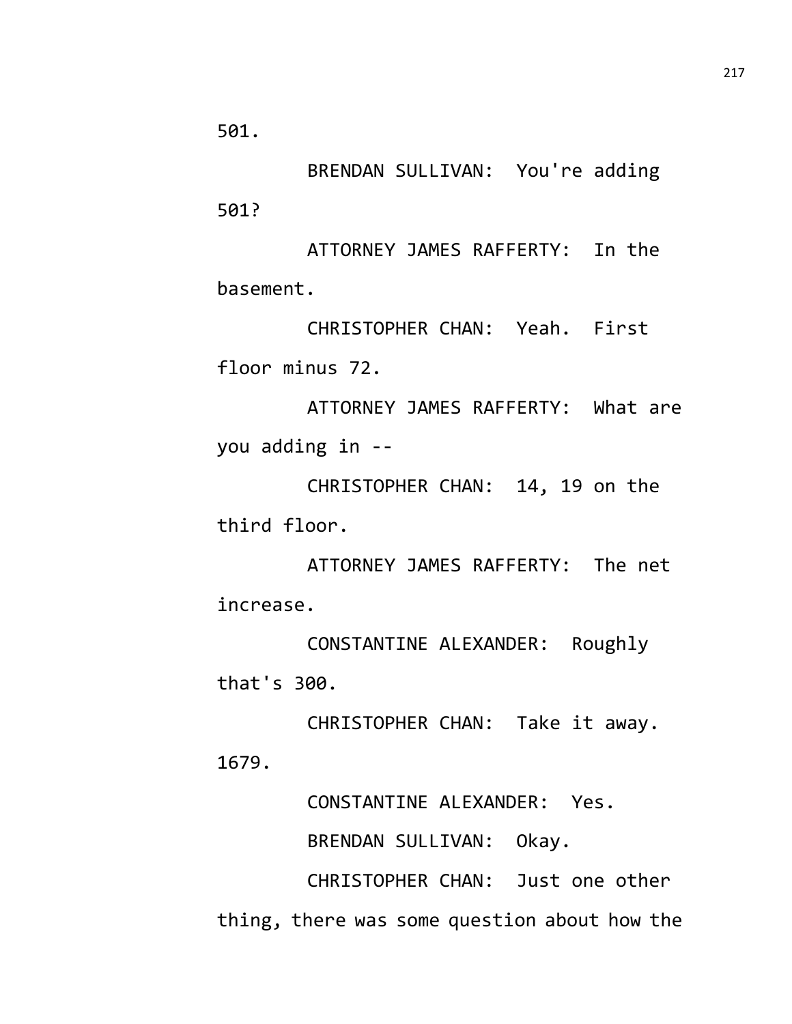501.

BRENDAN SULLIVAN: You're adding 501?

ATTORNEY JAMES RAFFERTY: In the basement.

CHRISTOPHER CHAN: Yeah. First floor minus 72.

ATTORNEY JAMES RAFFERTY: What are you adding in --

CHRISTOPHER CHAN: 14, 19 on the third floor.

ATTORNEY JAMES RAFFERTY: The net increase.

CONSTANTINE ALEXANDER: Roughly that's 300.

CHRISTOPHER CHAN: Take it away. 1679.

CONSTANTINE ALEXANDER: Yes.

BRENDAN SULLIVAN: Okay.

CHRISTOPHER CHAN: Just one other thing, there was some question about how the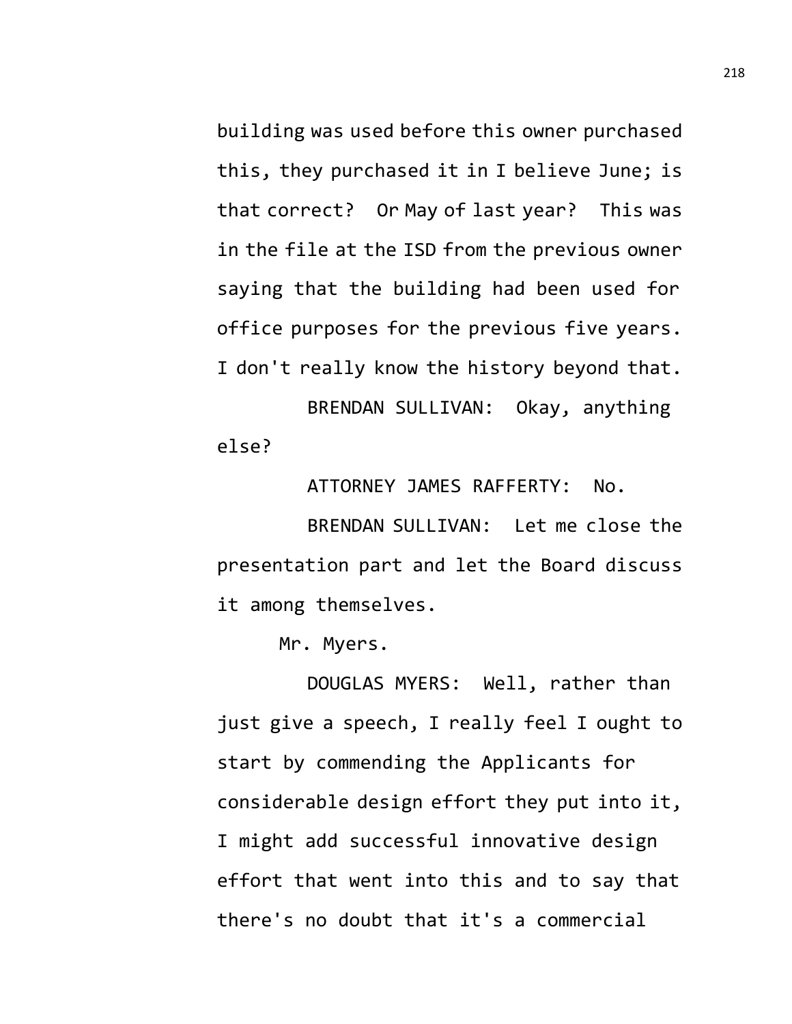building was used before this owner purchased this, they purchased it in I believe June; is that correct? Or May of last year? This was in the file at the ISD from the previous owner saying that the building had been used for office purposes for the previous five years. I don't really know the history beyond that. BRENDAN SULLIVAN: Okay, anything

else?

ATTORNEY JAMES RAFFERTY: No.

BRENDAN SULLIVAN: Let me close the presentation part and let the Board discuss it among themselves.

Mr. Myers.

DOUGLAS MYERS: Well, rather than just give a speech, I really feel I ought to start by commending the Applicants for considerable design effort they put into it, I might add successful innovative design effort that went into this and to say that there's no doubt that it's a commercial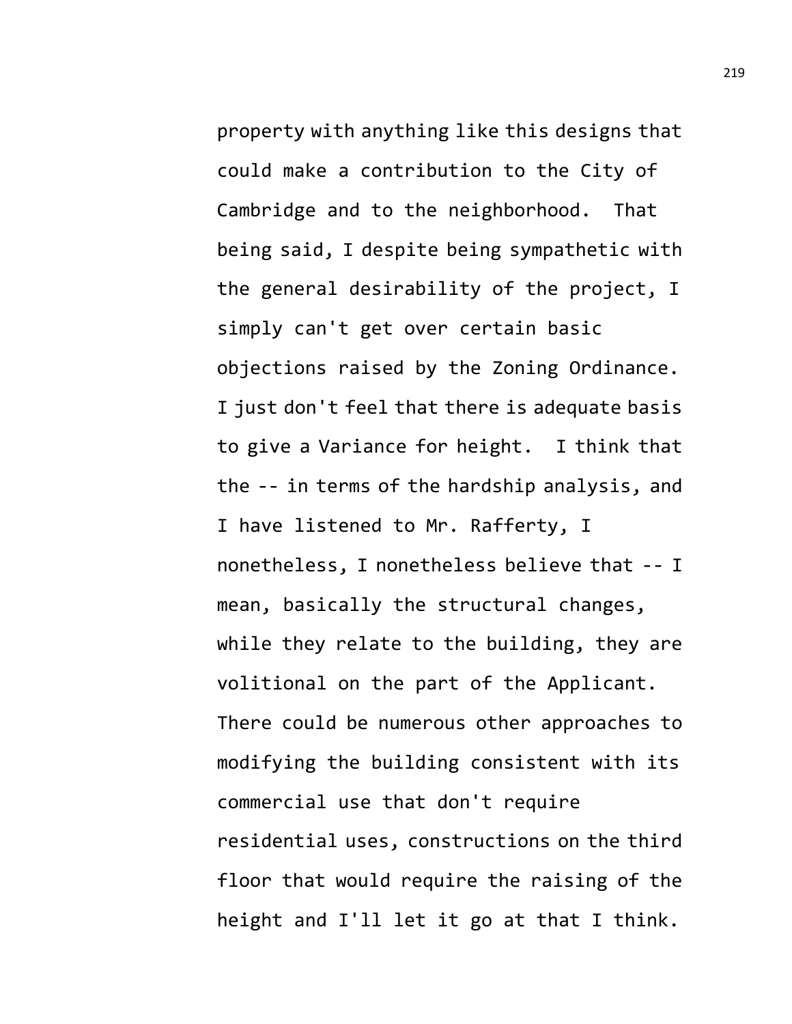property with anything like this designs that could make a contribution to the City of Cambridge and to the neighborhood. That being said, I despite being sympathetic with the general desirability of the project, I simply can't get over certain basic objections raised by the Zoning Ordinance. I just don't feel that there is adequate basis to give a Variance for height. I think that the -- in terms of the hardship analysis, and I have listened to Mr. Rafferty, I nonetheless, I nonetheless believe that -- I mean, basically the structural changes, while they relate to the building, they are volitional on the part of the Applicant. There could be numerous other approaches to modifying the building consistent with its commercial use that don't require residential uses, constructions on the third floor that would require the raising of the height and I'll let it go at that I think.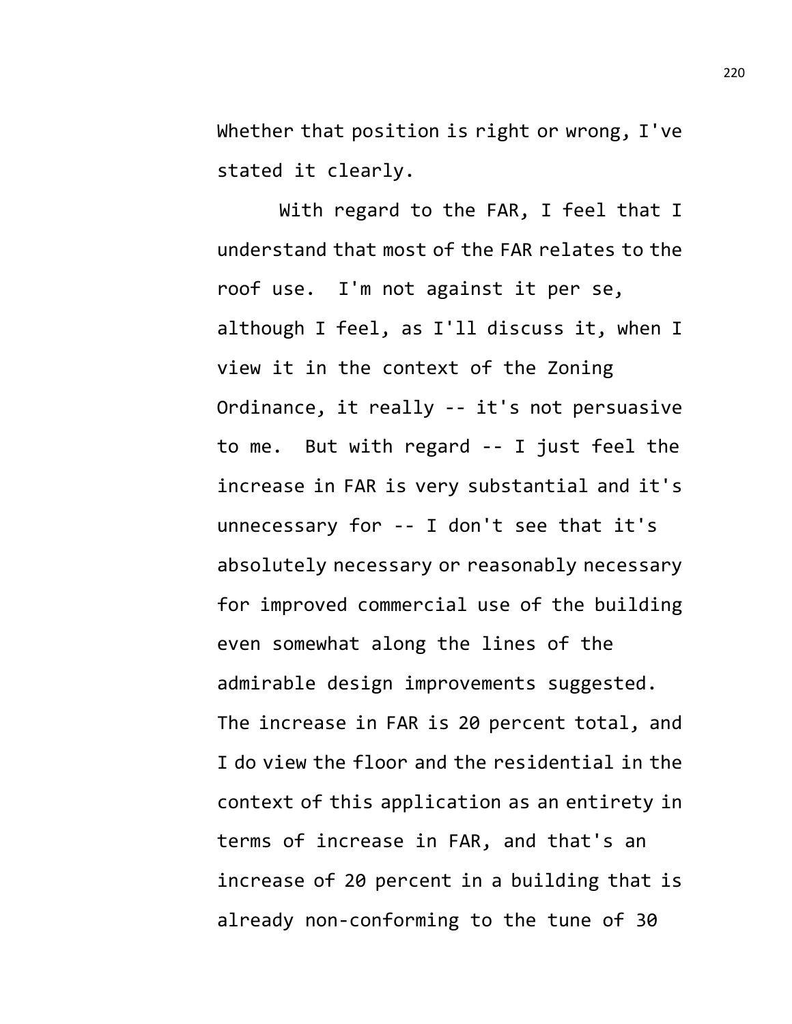Whether that position is right or wrong, I've stated it clearly.

With regard to the FAR, I feel that I understand that most of the FAR relates to the roof use. I'm not against it per se, although I feel, as I'll discuss it, when I view it in the context of the Zoning Ordinance, it really -- it's not persuasive to me. But with regard -- I just feel the increase in FAR is very substantial and it's unnecessary for -- I don't see that it's absolutely necessary or reasonably necessary for improved commercial use of the building even somewhat along the lines of the admirable design improvements suggested. The increase in FAR is 20 percent total, and I do view the floor and the residential in the context of this application as an entirety in terms of increase in FAR, and that's an increase of 20 percent in a building that is already non-conforming to the tune of 30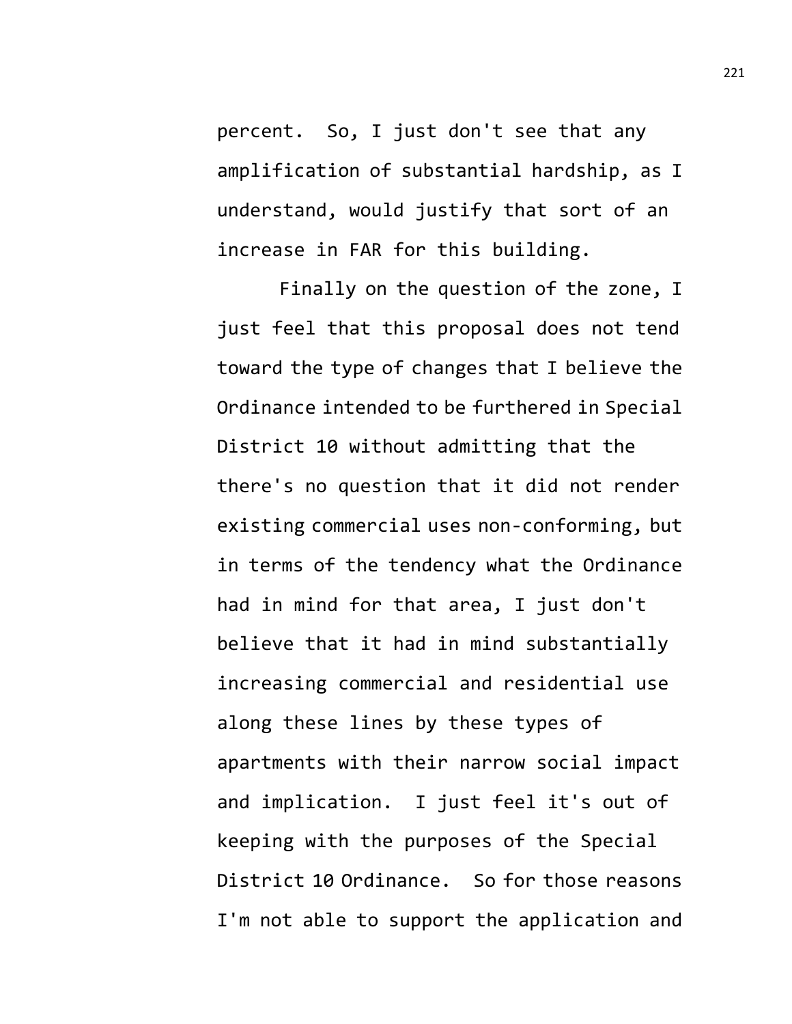percent. So, I just don't see that any amplification of substantial hardship, as I understand, would justify that sort of an increase in FAR for this building.

Finally on the question of the zone, I just feel that this proposal does not tend toward the type of changes that I believe the Ordinance intended to be furthered in Special District 10 without admitting that the there's no question that it did not render existing commercial uses non-conforming, but in terms of the tendency what the Ordinance had in mind for that area, I just don't believe that it had in mind substantially increasing commercial and residential use along these lines by these types of apartments with their narrow social impact and implication. I just feel it's out of keeping with the purposes of the Special District 10 Ordinance. So for those reasons I'm not able to support the application and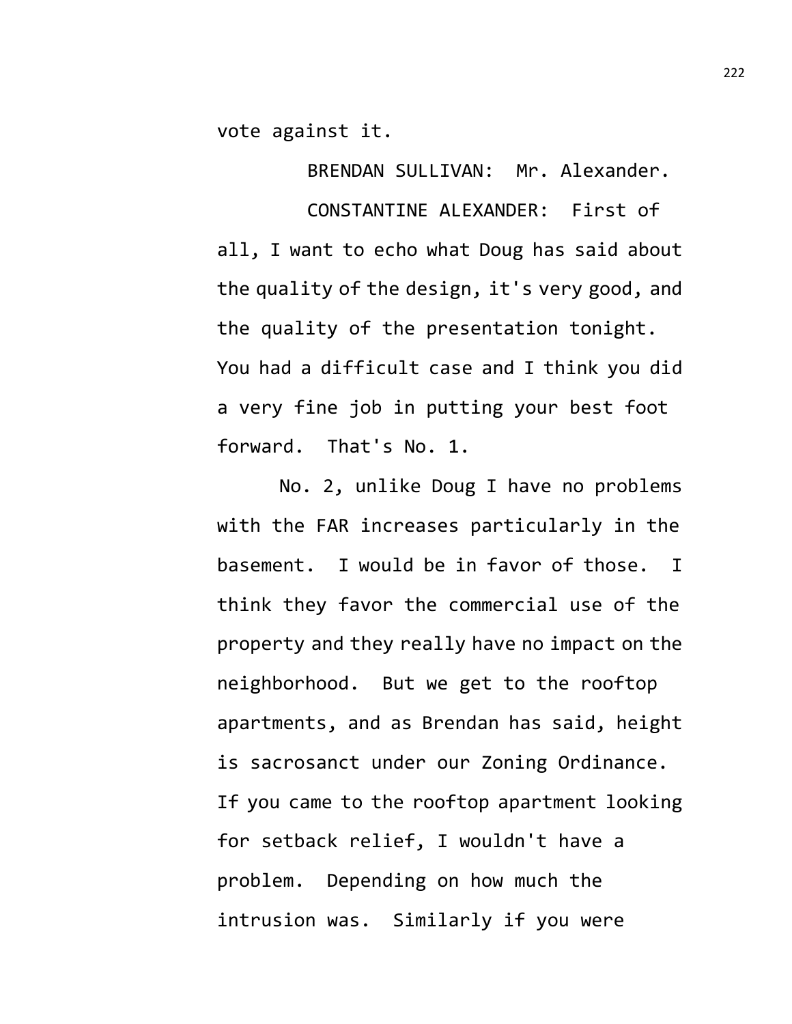vote against it.

BRENDAN SULLIVAN: Mr. Alexander.

CONSTANTINE ALEXANDER: First of all, I want to echo what Doug has said about the quality of the design, it's very good, and the quality of the presentation tonight. You had a difficult case and I think you did a very fine job in putting your best foot forward. That's No. 1.

No. 2, unlike Doug I have no problems with the FAR increases particularly in the basement. I would be in favor of those. I think they favor the commercial use of the property and they really have no impact on the neighborhood. But we get to the rooftop apartments, and as Brendan has said, height is sacrosanct under our Zoning Ordinance. If you came to the rooftop apartment looking for setback relief, I wouldn't have a problem. Depending on how much the intrusion was. Similarly if you were

222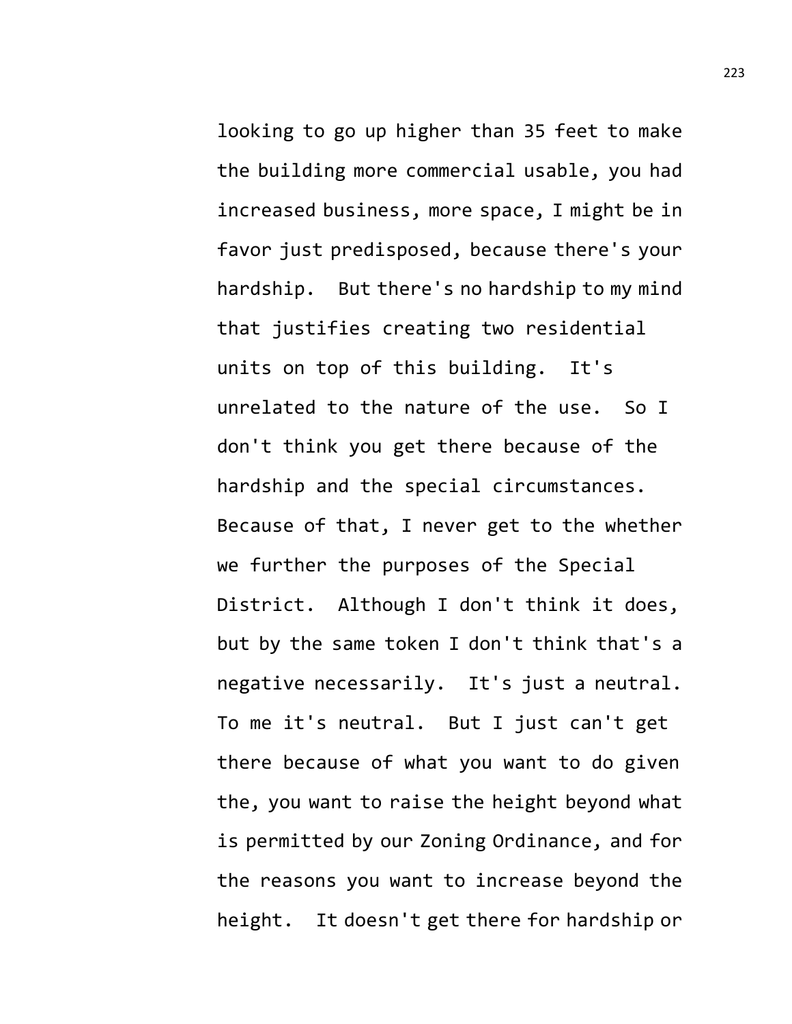looking to go up higher than 35 feet to make the building more commercial usable, you had increased business, more space, I might be in favor just predisposed, because there's your hardship. But there's no hardship to my mind that justifies creating two residential units on top of this building. It's unrelated to the nature of the use. So I don't think you get there because of the hardship and the special circumstances. Because of that, I never get to the whether we further the purposes of the Special District. Although I don't think it does, but by the same token I don't think that's a negative necessarily. It's just a neutral. To me it's neutral. But I just can't get there because of what you want to do given the, you want to raise the height beyond what is permitted by our Zoning Ordinance, and for the reasons you want to increase beyond the height. It doesn't get there for hardship or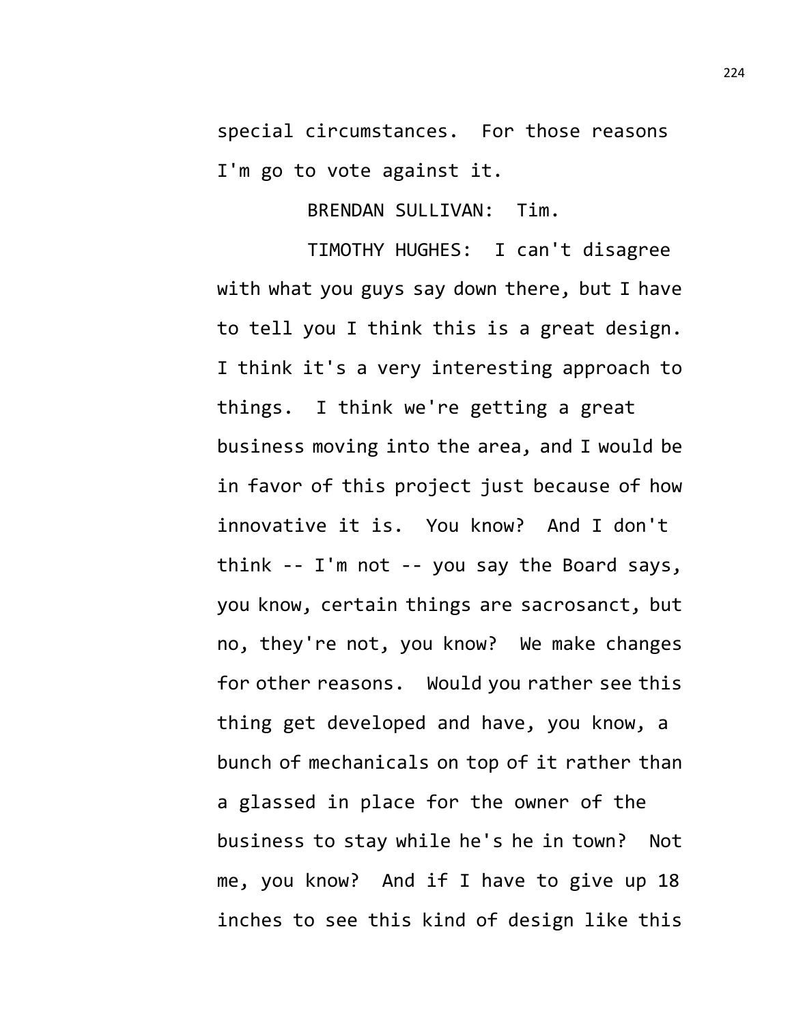special circumstances. For those reasons I'm go to vote against it.

BRENDAN SULLIVAN: Tim.

TIMOTHY HUGHES: I can't disagree with what you guys say down there, but I have to tell you I think this is a great design. I think it's a very interesting approach to things. I think we're getting a great business moving into the area, and I would be in favor of this project just because of how innovative it is. You know? And I don't think -- I'm not -- you say the Board says, you know, certain things are sacrosanct, but no, they're not, you know? We make changes for other reasons. Would you rather see this thing get developed and have, you know, a bunch of mechanicals on top of it rather than a glassed in place for the owner of the business to stay while he's he in town? Not me, you know? And if I have to give up 18 inches to see this kind of design like this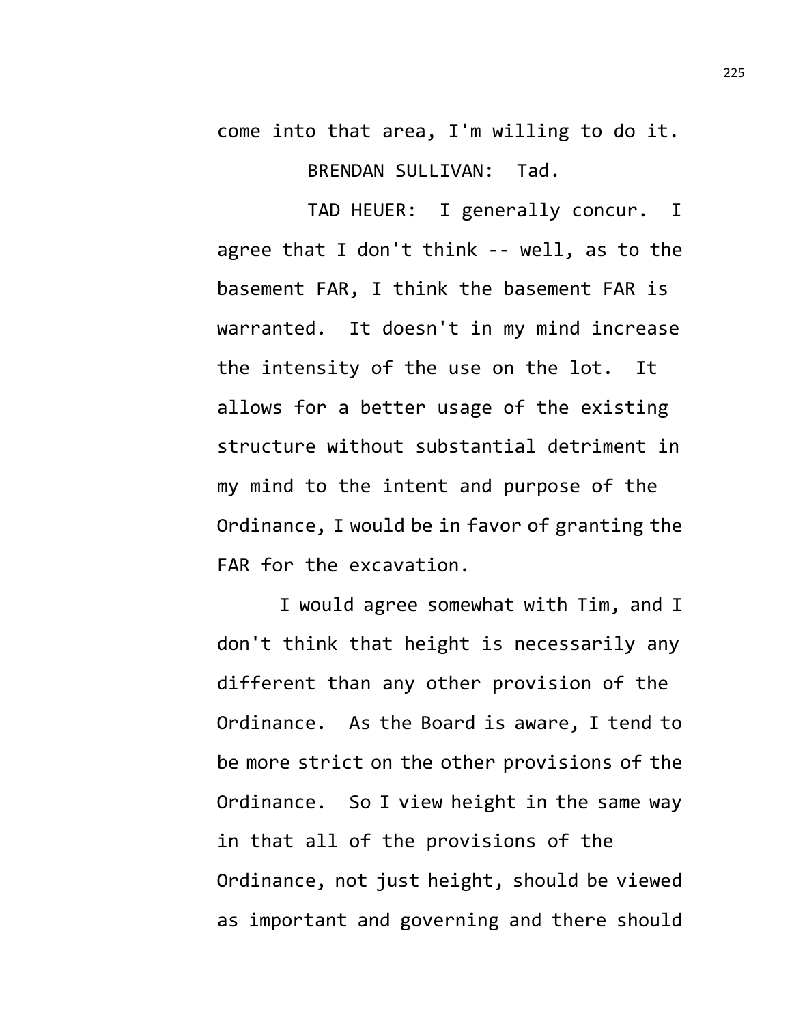come into that area, I'm willing to do it. BRENDAN SULLIVAN: Tad.

TAD HEUER: I generally concur. I agree that I don't think -- well, as to the basement FAR, I think the basement FAR is warranted. It doesn't in my mind increase the intensity of the use on the lot. It allows for a better usage of the existing structure without substantial detriment in my mind to the intent and purpose of the Ordinance, I would be in favor of granting the FAR for the excavation.

I would agree somewhat with Tim, and I don't think that height is necessarily any different than any other provision of the Ordinance. As the Board is aware, I tend to be more strict on the other provisions of the Ordinance. So I view height in the same way in that all of the provisions of the Ordinance, not just height, should be viewed as important and governing and there should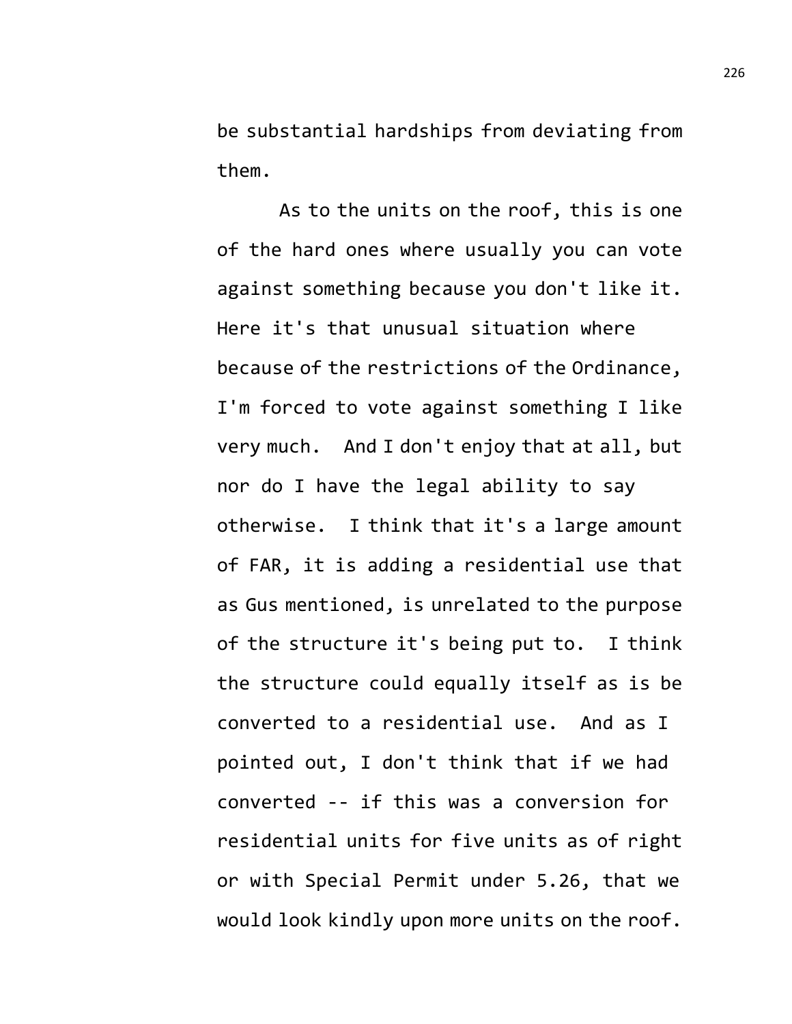be substantial hardships from deviating from them.

As to the units on the roof, this is one of the hard ones where usually you can vote against something because you don't like it. Here it's that unusual situation where because of the restrictions of the Ordinance, I'm forced to vote against something I like very much. And I don't enjoy that at all, but nor do I have the legal ability to say otherwise. I think that it's a large amount of FAR, it is adding a residential use that as Gus mentioned, is unrelated to the purpose of the structure it's being put to. I think the structure could equally itself as is be converted to a residential use. And as I pointed out, I don't think that if we had converted -- if this was a conversion for residential units for five units as of right or with Special Permit under 5.26, that we would look kindly upon more units on the roof.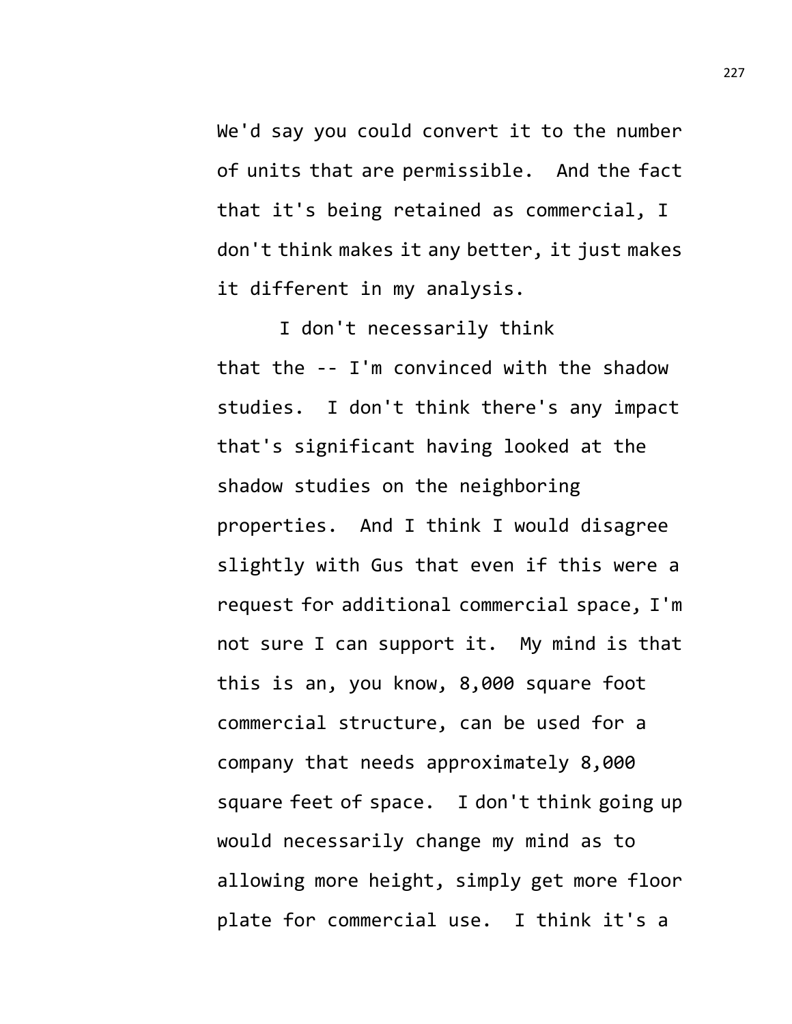We'd say you could convert it to the number of units that are permissible. And the fact that it's being retained as commercial, I don't think makes it any better, it just makes it different in my analysis.

I don't necessarily think that the -- I'm convinced with the shadow studies. I don't think there's any impact that's significant having looked at the shadow studies on the neighboring properties. And I think I would disagree slightly with Gus that even if this were a request for additional commercial space, I'm not sure I can support it. My mind is that this is an, you know, 8,000 square foot commercial structure, can be used for a company that needs approximately 8,000 square feet of space. I don't think going up would necessarily change my mind as to allowing more height, simply get more floor plate for commercial use. I think it's a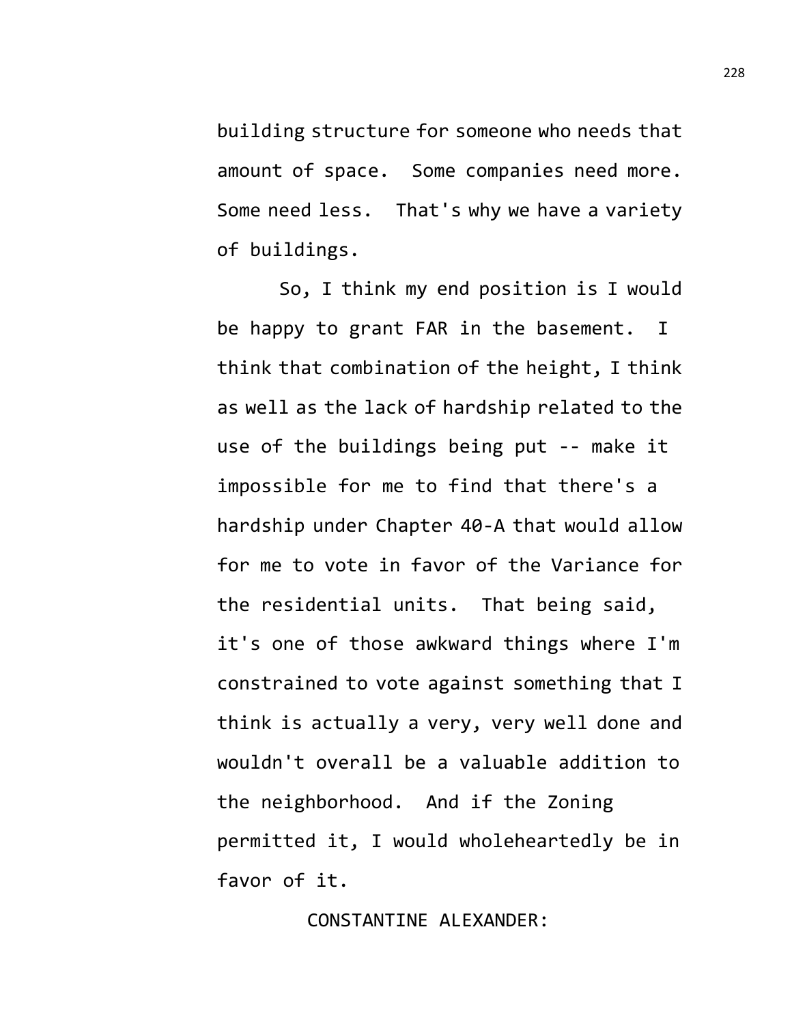building structure for someone who needs that amount of space. Some companies need more. Some need less. That's why we have a variety of buildings.

So, I think my end position is I would be happy to grant FAR in the basement. I think that combination of the height, I think as well as the lack of hardship related to the use of the buildings being put -- make it impossible for me to find that there's a hardship under Chapter 40-A that would allow for me to vote in favor of the Variance for the residential units. That being said, it's one of those awkward things where I'm constrained to vote against something that I think is actually a very, very well done and wouldn't overall be a valuable addition to the neighborhood. And if the Zoning permitted it, I would wholeheartedly be in favor of it.

## CONSTANTINE ALEXANDER: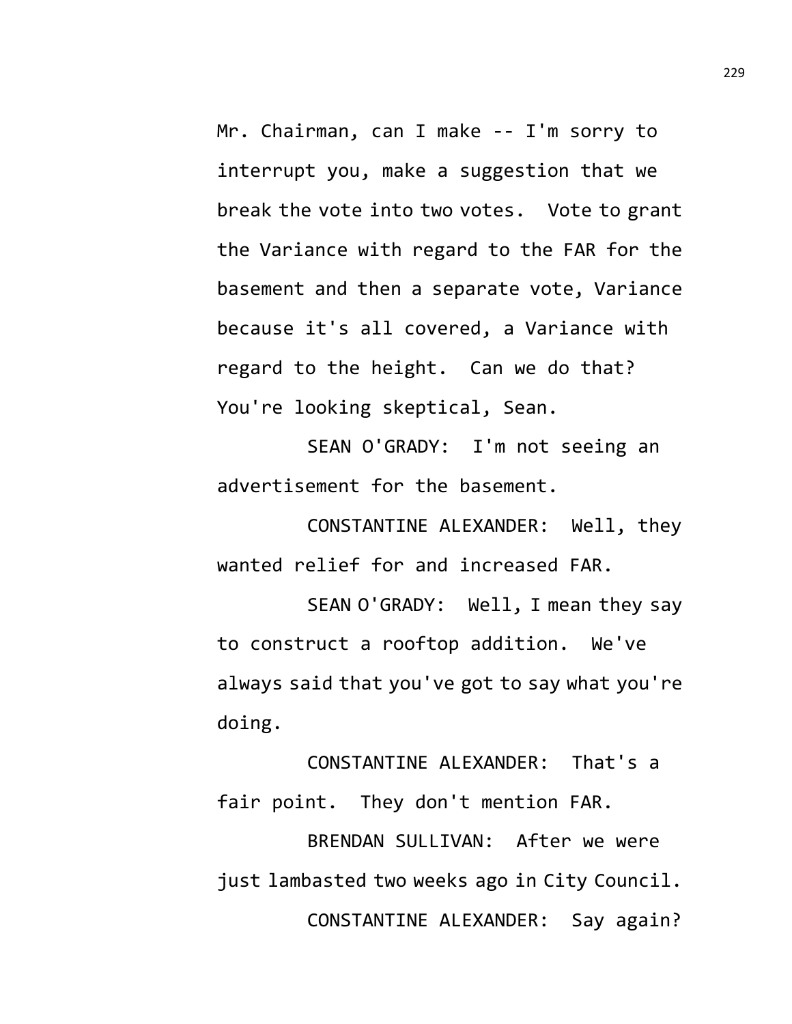Mr. Chairman, can I make -- I'm sorry to interrupt you, make a suggestion that we break the vote into two votes. Vote to grant the Variance with regard to the FAR for the basement and then a separate vote, Variance because it's all covered, a Variance with regard to the height. Can we do that? You're looking skeptical, Sean.

SEAN O'GRADY: I'm not seeing an advertisement for the basement.

CONSTANTINE ALEXANDER: Well, they wanted relief for and increased FAR.

SEAN O'GRADY: Well, I mean they say to construct a rooftop addition. We've always said that you've got to say what you're doing.

CONSTANTINE ALEXANDER: That's a fair point. They don't mention FAR.

BRENDAN SULLIVAN: After we were just lambasted two weeks ago in City Council. CONSTANTINE ALEXANDER: Say again?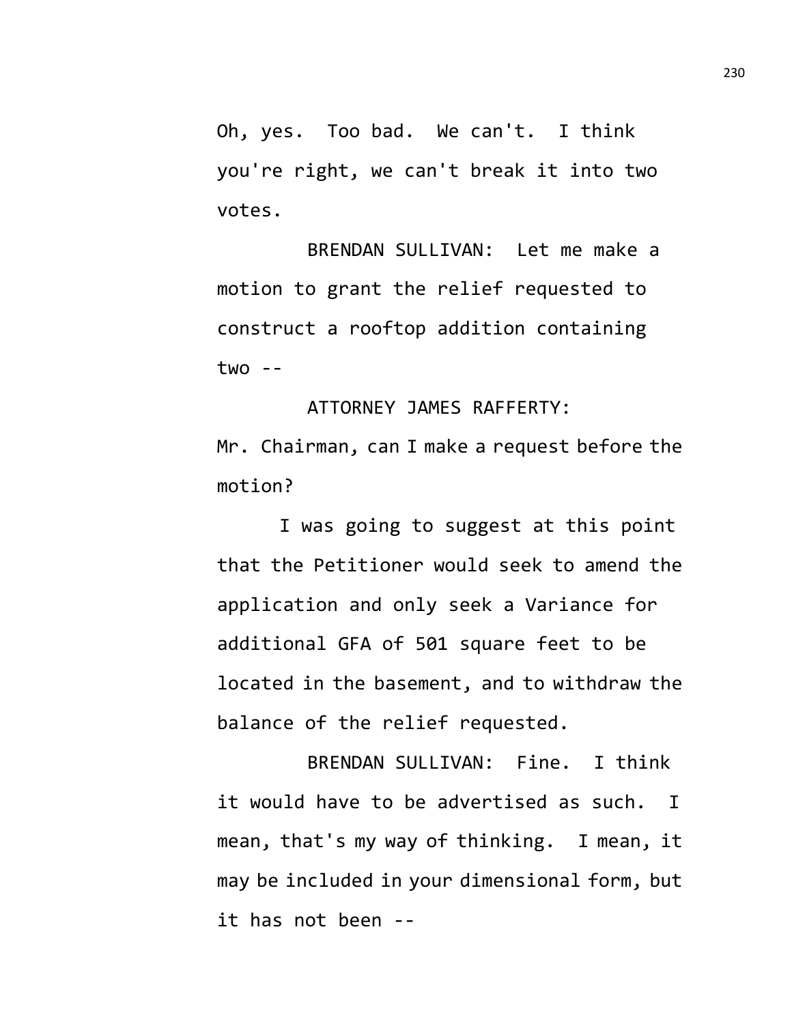Oh, yes. Too bad. We can't. I think you're right, we can't break it into two votes.

BRENDAN SULLIVAN: Let me make a motion to grant the relief requested to construct a rooftop addition containing  $two - -$ 

ATTORNEY JAMES RAFFERTY: Mr. Chairman, can I make a request before the motion?

I was going to suggest at this point that the Petitioner would seek to amend the application and only seek a Variance for additional GFA of 501 square feet to be located in the basement, and to withdraw the balance of the relief requested.

BRENDAN SULLIVAN: Fine. I think it would have to be advertised as such. I mean, that's my way of thinking. I mean, it may be included in your dimensional form, but it has not been --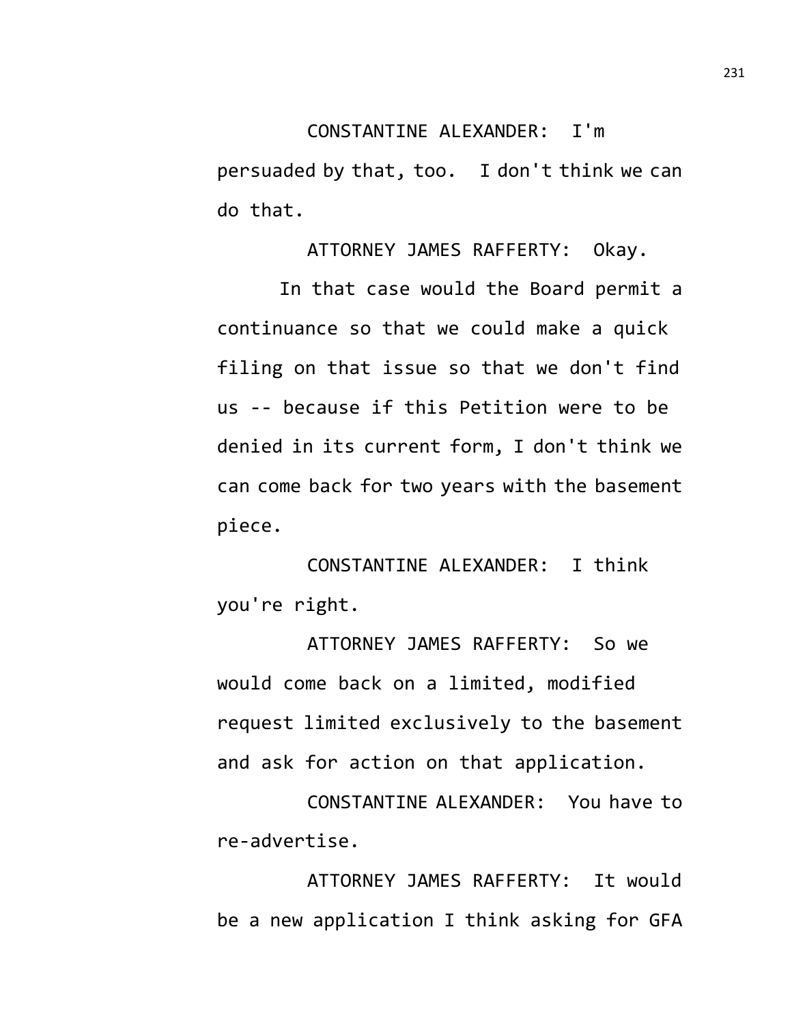## CONSTANTINE ALEXANDER: I'm

persuaded by that, too. I don't think we can do that.

ATTORNEY JAMES RAFFERTY: Okay.

In that case would the Board permit a continuance so that we could make a quick filing on that issue so that we don't find us -- because if this Petition were to be denied in its current form, I don't think we can come back for two years with the basement piece.

CONSTANTINE ALEXANDER: I think you're right.

ATTORNEY JAMES RAFFERTY: So we would come back on a limited, modified request limited exclusively to the basement and ask for action on that application.

CONSTANTINE ALEXANDER: You have to re-advertise.

ATTORNEY JAMES RAFFERTY: It would be a new application I think asking for GFA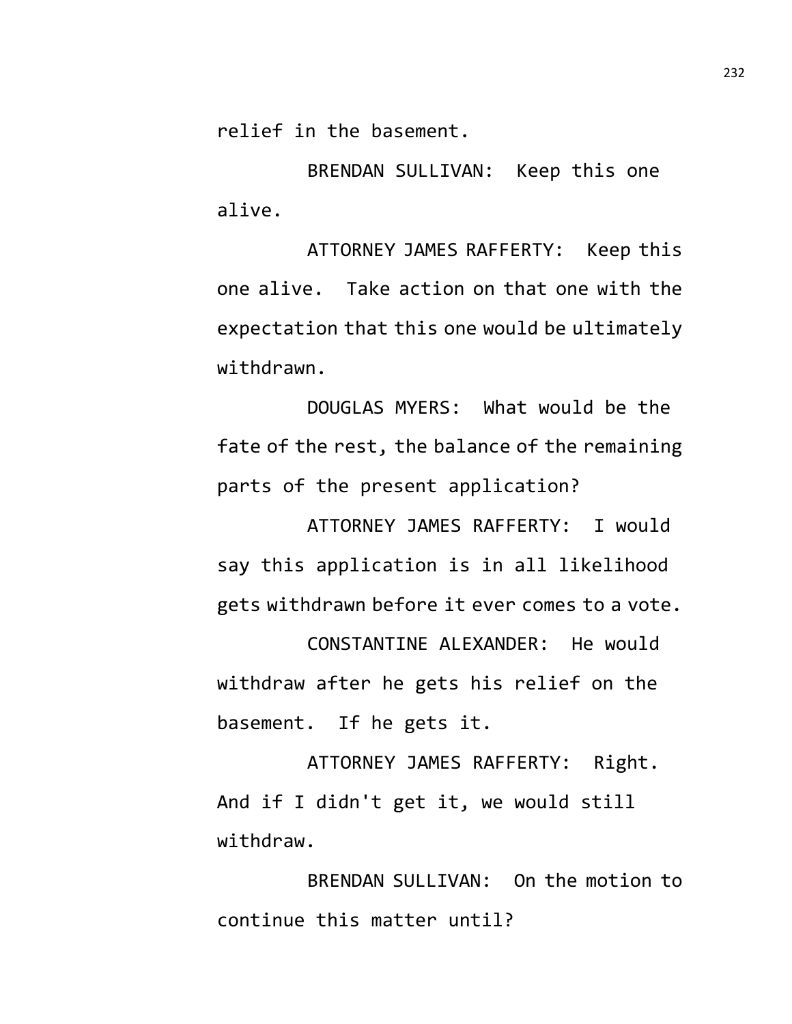relief in the basement.

BRENDAN SULLIVAN: Keep this one alive.

ATTORNEY JAMES RAFFERTY: Keep this one alive. Take action on that one with the expectation that this one would be ultimately withdrawn.

DOUGLAS MYERS: What would be the fate of the rest, the balance of the remaining parts of the present application?

ATTORNEY JAMES RAFFERTY: I would say this application is in all likelihood gets withdrawn before it ever comes to a vote.

CONSTANTINE ALEXANDER: He would withdraw after he gets his relief on the basement. If he gets it.

ATTORNEY JAMES RAFFERTY: Right. And if I didn't get it, we would still withdraw.

BRENDAN SULLIVAN: On the motion to continue this matter until?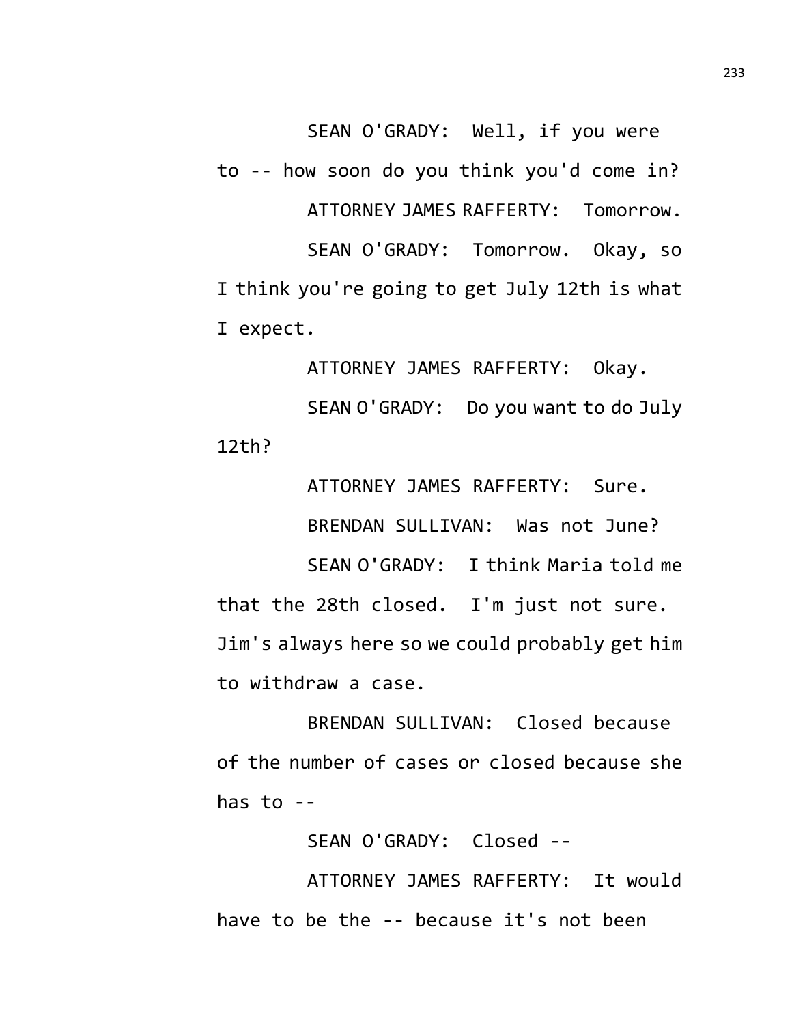SEAN O'GRADY: Well, if you were to -- how soon do you think you'd come in? ATTORNEY JAMES RAFFERTY: Tomorrow. SEAN O'GRADY: Tomorrow. Okay, so I think you're going to get July 12th is what I expect.

ATTORNEY JAMES RAFFERTY: Okay. SEAN O'GRADY: Do you want to do July 12th?

ATTORNEY JAMES RAFFERTY: Sure. BRENDAN SULLIVAN: Was not June? SEAN O'GRADY: I think Maria told me that the 28th closed. I'm just not sure. Jim's always here so we could probably get him to withdraw a case.

BRENDAN SULLIVAN: Closed because of the number of cases or closed because she has to --

SEAN O'GRADY: Closed --

ATTORNEY JAMES RAFFERTY: It would have to be the -- because it's not been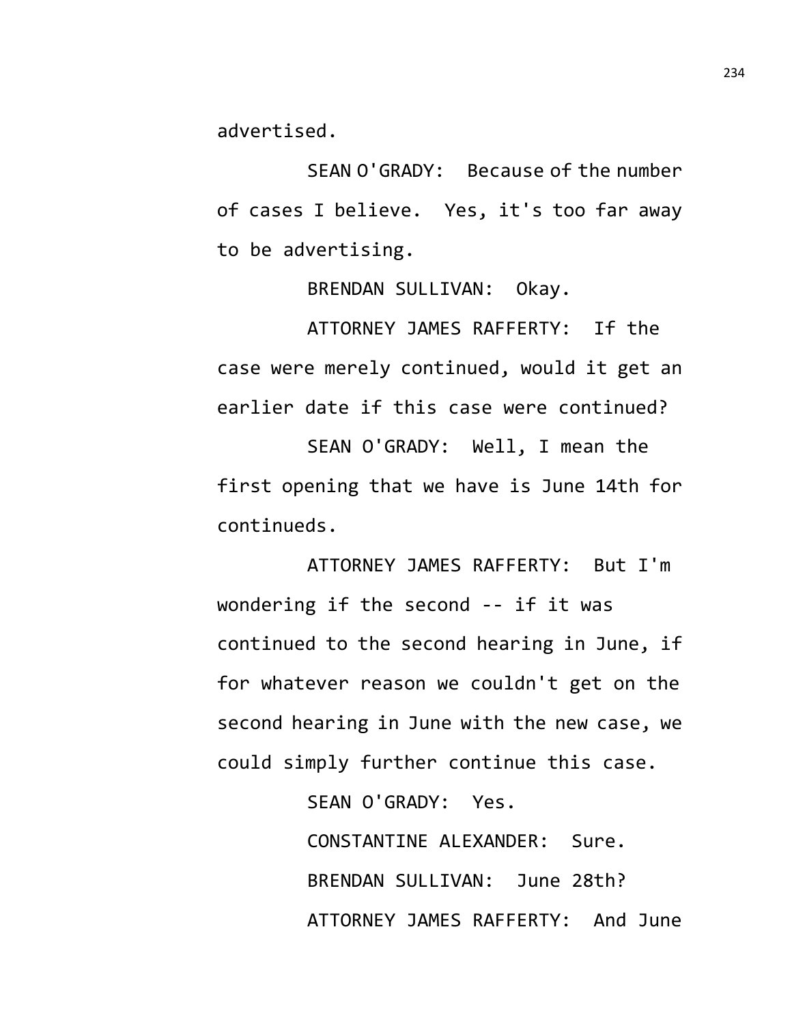advertised.

SEAN O'GRADY: Because of the number of cases I believe. Yes, it's too far away to be advertising.

BRENDAN SULLIVAN: Okay.

ATTORNEY JAMES RAFFERTY: If the case were merely continued, would it get an earlier date if this case were continued?

SEAN O'GRADY: Well, I mean the first opening that we have is June 14th for continueds.

ATTORNEY JAMES RAFFERTY: But I'm wondering if the second -- if it was continued to the second hearing in June, if for whatever reason we couldn't get on the second hearing in June with the new case, we could simply further continue this case.

> SEAN O'GRADY: Yes. CONSTANTINE ALEXANDER: Sure. BRENDAN SULLIVAN: June 28th? ATTORNEY JAMES RAFFERTY: And June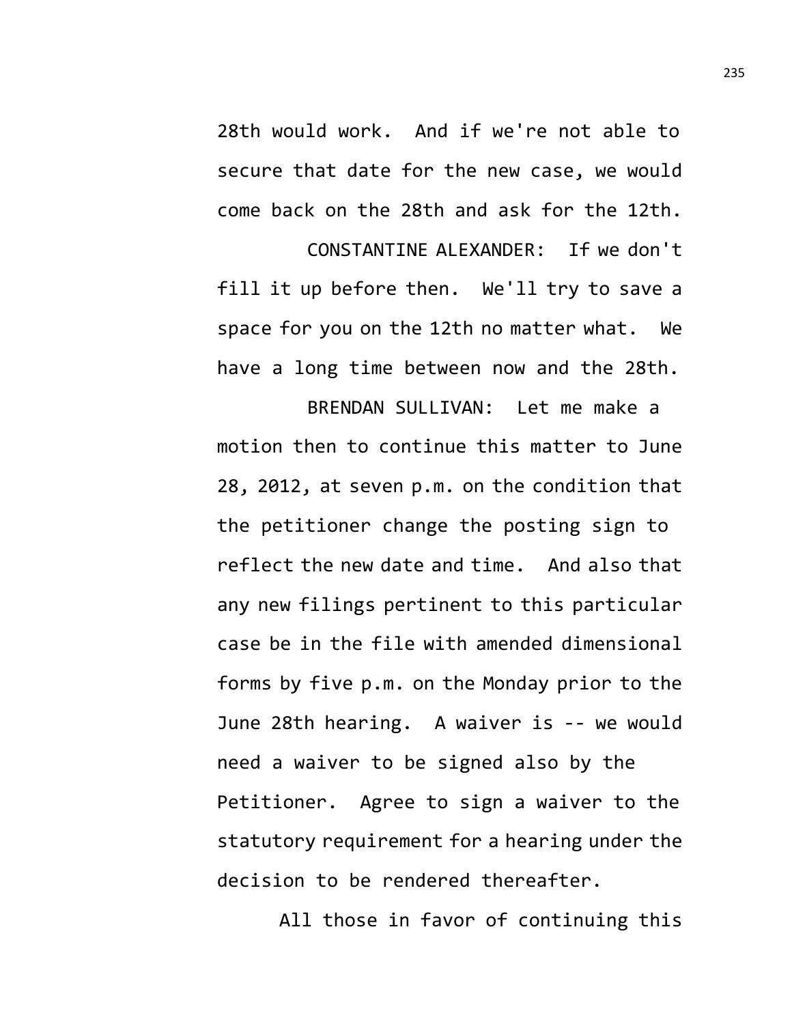28th would work. And if we're not able to secure that date for the new case, we would come back on the 28th and ask for the 12th.

CONSTANTINE ALEXANDER: If we don't fill it up before then. We'll try to save a space for you on the 12th no matter what. We have a long time between now and the 28th.

BRENDAN SULLIVAN: Let me make a motion then to continue this matter to June 28, 2012, at seven p.m. on the condition that the petitioner change the posting sign to reflect the new date and time. And also that any new filings pertinent to this particular case be in the file with amended dimensional forms by five p.m. on the Monday prior to the June 28th hearing. A waiver is -- we would need a waiver to be signed also by the Petitioner. Agree to sign a waiver to the statutory requirement for a hearing under the decision to be rendered thereafter.

All those in favor of continuing this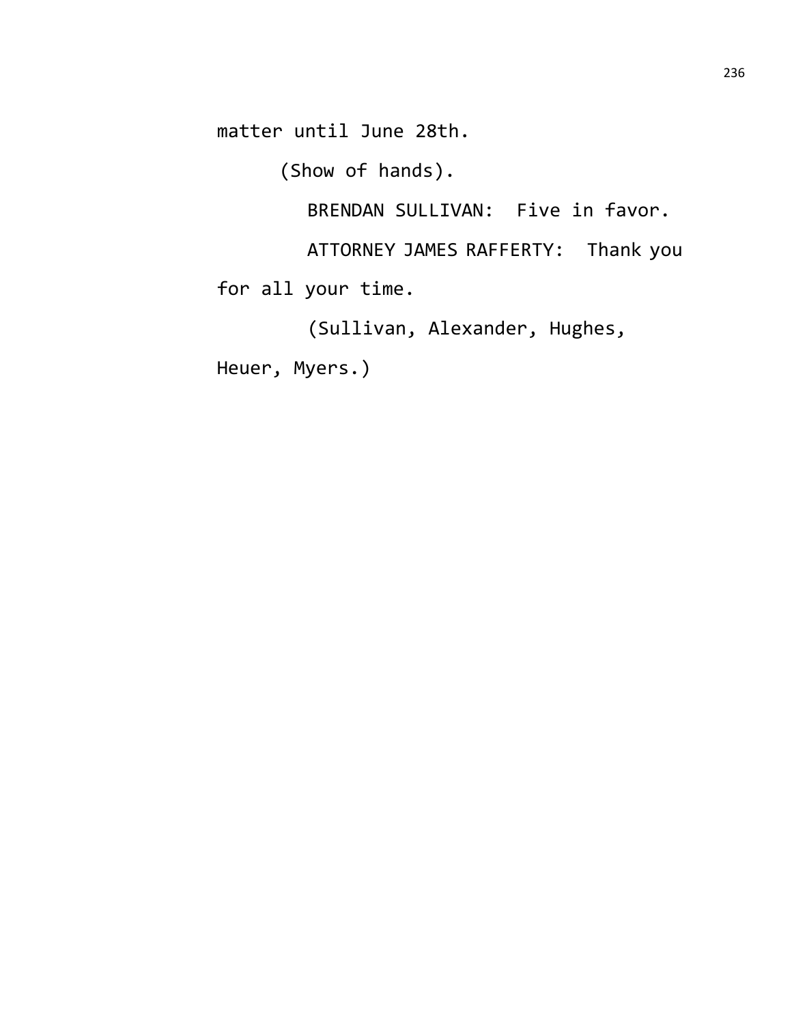matter until June 28th.

(Show of hands).

BRENDAN SULLIVAN: Five in favor.

ATTORNEY JAMES RAFFERTY: Thank you

for all your time.

(Sullivan, Alexander, Hughes,

Heuer, Myers.)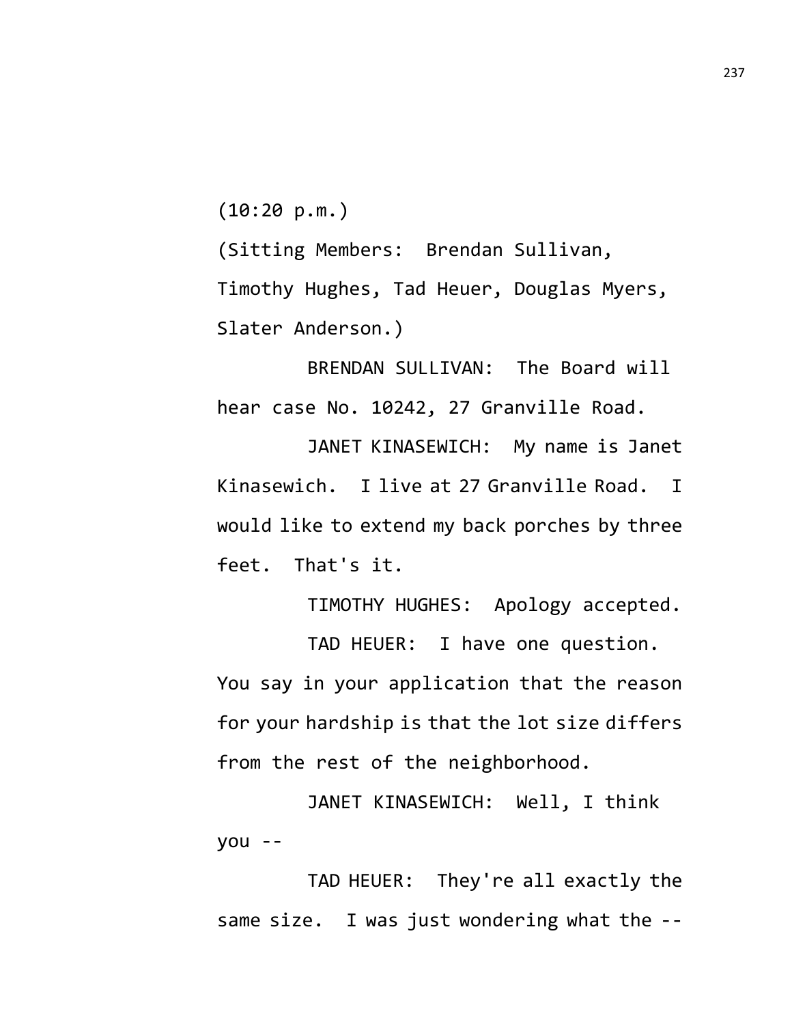(10:20 p.m.)

(Sitting Members: Brendan Sullivan, Timothy Hughes, Tad Heuer, Douglas Myers, Slater Anderson.)

BRENDAN SULLIVAN: The Board will hear case No. 10242, 27 Granville Road.

JANET KINASEWICH: My name is Janet Kinasewich. I live at 27 Granville Road. I would like to extend my back porches by three feet. That's it.

TIMOTHY HUGHES: Apology accepted.

TAD HEUER: I have one question. You say in your application that the reason for your hardship is that the lot size differs from the rest of the neighborhood.

JANET KINASEWICH: Well, I think you --

TAD HEUER: They're all exactly the same size. I was just wondering what the --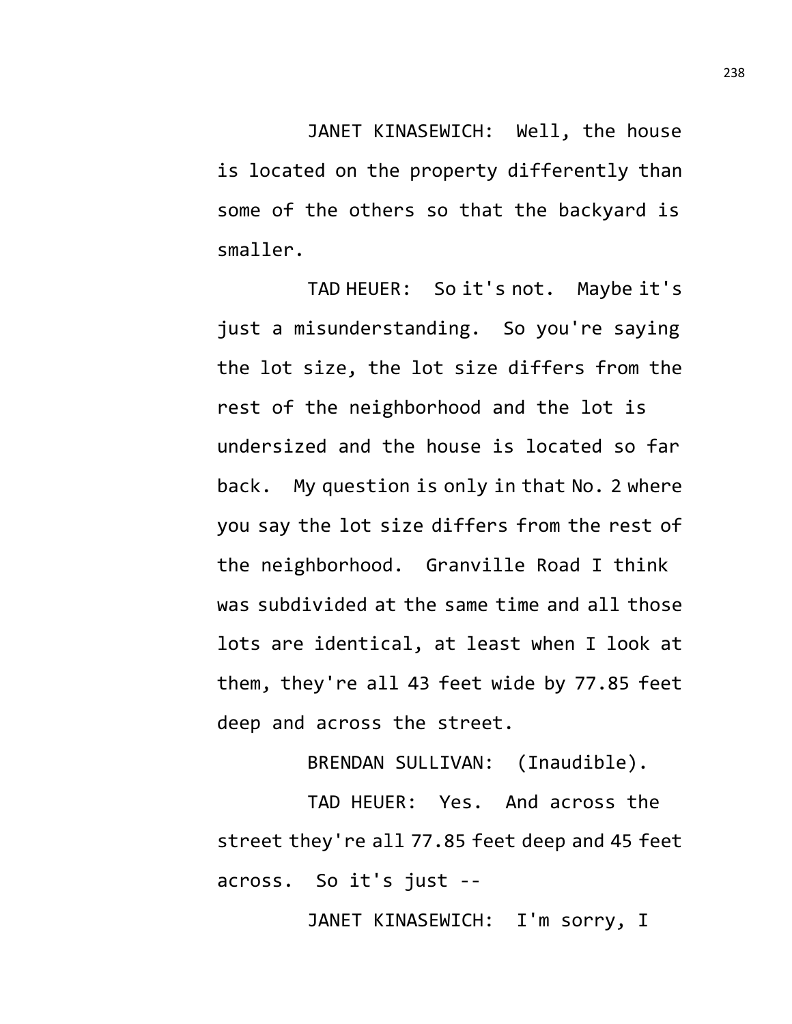JANET KINASEWICH: Well, the house is located on the property differently than some of the others so that the backyard is smaller.

TAD HEUER: So it's not. Maybe it's just a misunderstanding. So you're saying the lot size, the lot size differs from the rest of the neighborhood and the lot is undersized and the house is located so far back. My question is only in that No. 2 where you say the lot size differs from the rest of the neighborhood. Granville Road I think was subdivided at the same time and all those lots are identical, at least when I look at them, they're all 43 feet wide by 77.85 feet deep and across the street.

BRENDAN SULLIVAN: (Inaudible).

TAD HEUER: Yes. And across the street they're all 77.85 feet deep and 45 feet across. So it's just --

JANET KINASEWICH: I'm sorry, I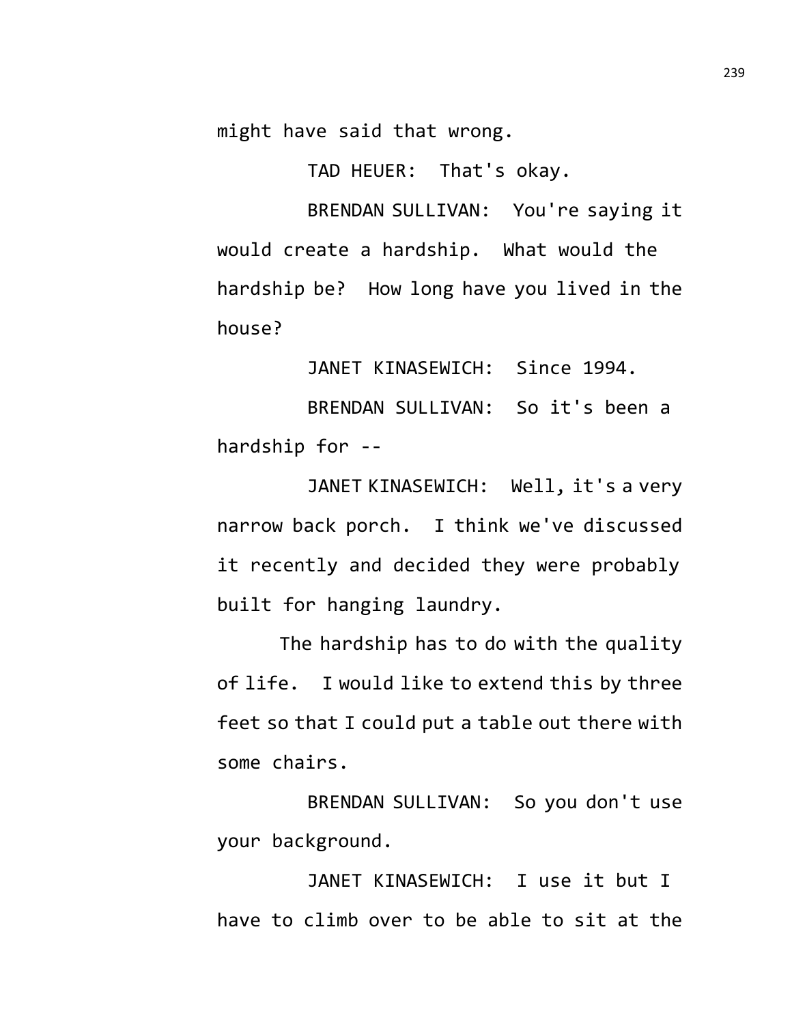might have said that wrong.

TAD HEUER: That's okay.

BRENDAN SULLIVAN: You're saying it would create a hardship. What would the hardship be? How long have you lived in the house?

JANET KINASEWICH: Since 1994.

BRENDAN SULLIVAN: So it's been a hardship for --

JANET KINASEWICH: Well, it's a very narrow back porch. I think we've discussed it recently and decided they were probably built for hanging laundry.

The hardship has to do with the quality of life. I would like to extend this by three feet so that I could put a table out there with some chairs.

BRENDAN SULLIVAN: So you don't use your background.

JANET KINASEWICH: I use it but I have to climb over to be able to sit at the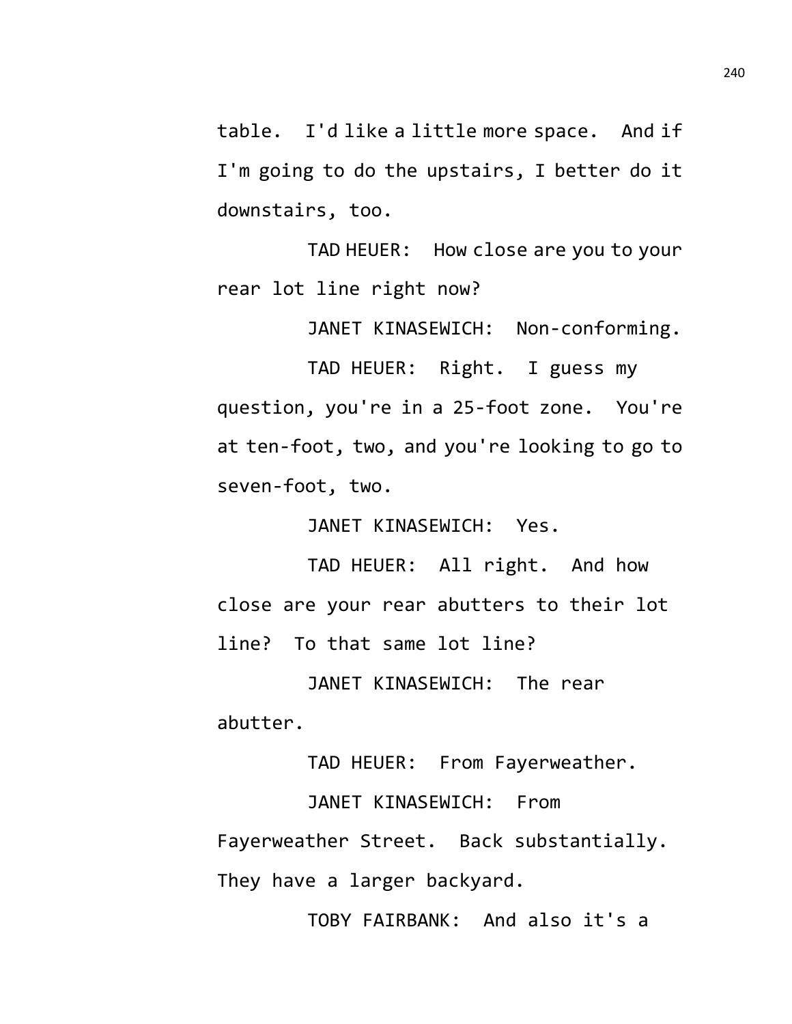table. I'd like a little more space. And if I'm going to do the upstairs, I better do it downstairs, too.

TAD HEUER: How close are you to your rear lot line right now?

JANET KINASEWICH: Non-conforming.

TAD HEUER: Right. I guess my question, you're in a 25-foot zone. You're at ten-foot, two, and you're looking to go to seven-foot, two.

JANET KINASEWICH: Yes.

TAD HEUER: All right. And how close are your rear abutters to their lot line? To that same lot line?

JANET KINASEWICH: The rear abutter.

TAD HEUER: From Fayerweather.

JANET KINASEWICH: From Fayerweather Street. Back substantially. They have a larger backyard.

TOBY FAIRBANK: And also it's a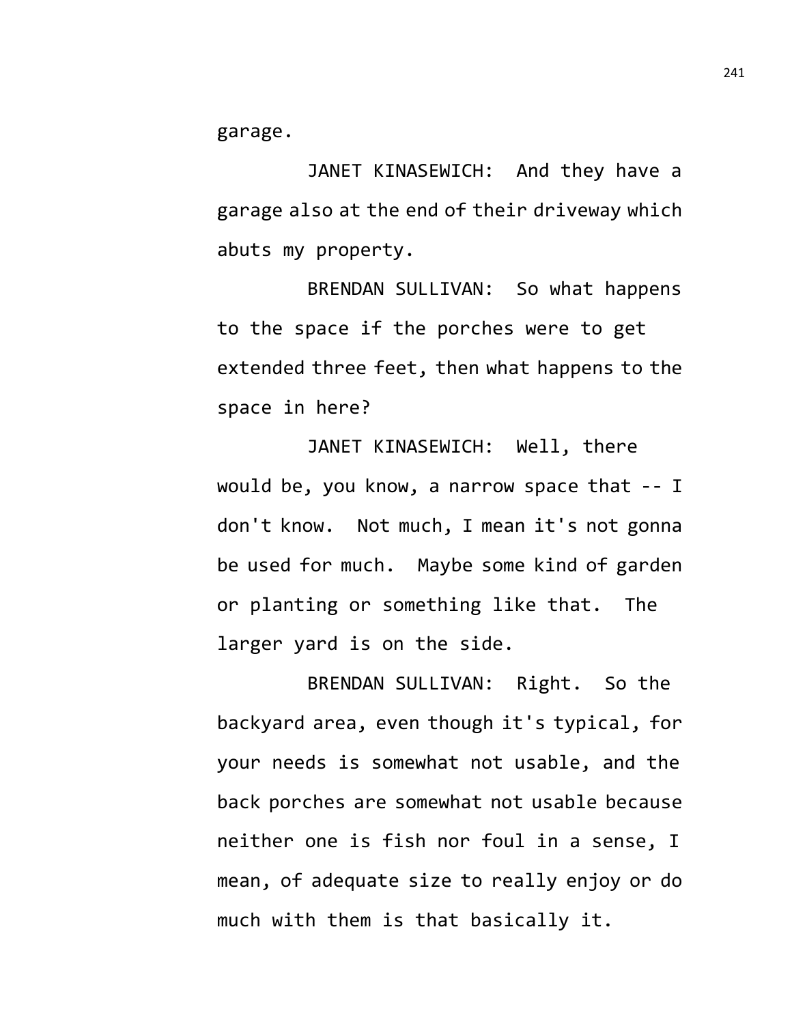garage.

JANET KINASEWICH: And they have a garage also at the end of their driveway which abuts my property.

BRENDAN SULLIVAN: So what happens to the space if the porches were to get extended three feet, then what happens to the space in here?

JANET KINASEWICH: Well, there would be, you know, a narrow space that -- I don't know. Not much, I mean it's not gonna be used for much. Maybe some kind of garden or planting or something like that. The larger yard is on the side.

BRENDAN SULLIVAN: Right. So the backyard area, even though it's typical, for your needs is somewhat not usable, and the back porches are somewhat not usable because neither one is fish nor foul in a sense, I mean, of adequate size to really enjoy or do much with them is that basically it.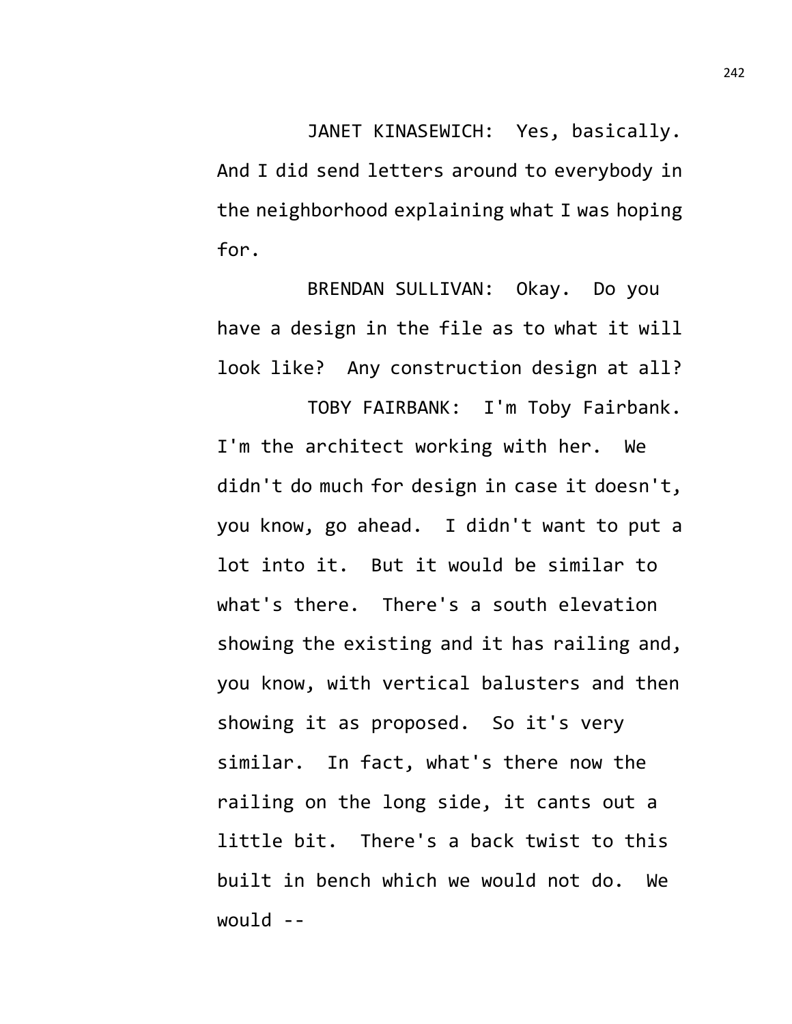JANET KINASEWICH: Yes, basically. And I did send letters around to everybody in the neighborhood explaining what I was hoping for.

BRENDAN SULLIVAN: Okay. Do you have a design in the file as to what it will look like? Any construction design at all?

TOBY FAIRBANK: I'm Toby Fairbank. I'm the architect working with her. We didn't do much for design in case it doesn't, you know, go ahead. I didn't want to put a lot into it. But it would be similar to what's there. There's a south elevation showing the existing and it has railing and, you know, with vertical balusters and then showing it as proposed. So it's very similar. In fact, what's there now the railing on the long side, it cants out a little bit. There's a back twist to this built in bench which we would not do. We would  $-$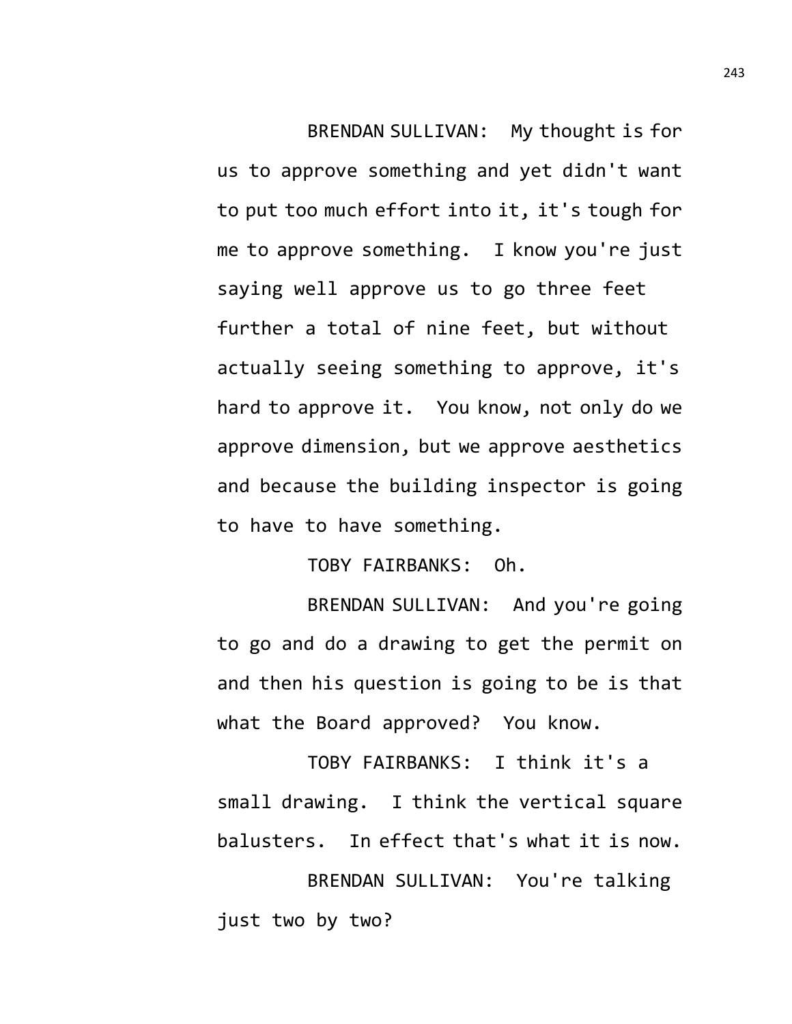BRENDAN SULLIVAN: My thought is for us to approve something and yet didn't want to put too much effort into it, it's tough for me to approve something. I know you're just saying well approve us to go three feet further a total of nine feet, but without actually seeing something to approve, it's hard to approve it. You know, not only do we approve dimension, but we approve aesthetics and because the building inspector is going to have to have something.

TOBY FAIRBANKS: Oh.

BRENDAN SULLIVAN: And you're going to go and do a drawing to get the permit on and then his question is going to be is that what the Board approved? You know.

TOBY FAIRBANKS: I think it's a small drawing. I think the vertical square balusters. In effect that's what it is now.

BRENDAN SULLIVAN: You're talking just two by two?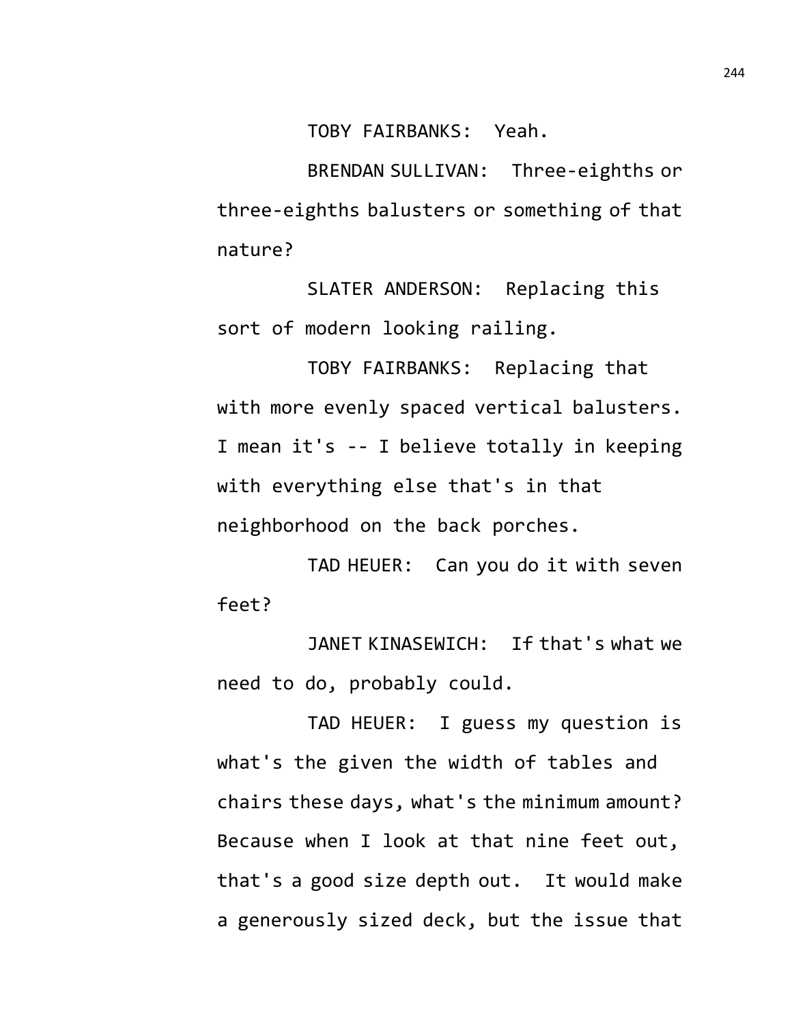TOBY FAIRBANKS: Yeah.

BRENDAN SULLIVAN: Three-eighths or three-eighths balusters or something of that nature?

SLATER ANDERSON: Replacing this sort of modern looking railing.

TOBY FAIRBANKS: Replacing that with more evenly spaced vertical balusters. I mean it's -- I believe totally in keeping with everything else that's in that neighborhood on the back porches.

TAD HEUER: Can you do it with seven feet?

JANET KINASEWICH: If that's what we need to do, probably could.

TAD HEUER: I guess my question is what's the given the width of tables and chairs these days, what's the minimum amount? Because when I look at that nine feet out, that's a good size depth out. It would make a generously sized deck, but the issue that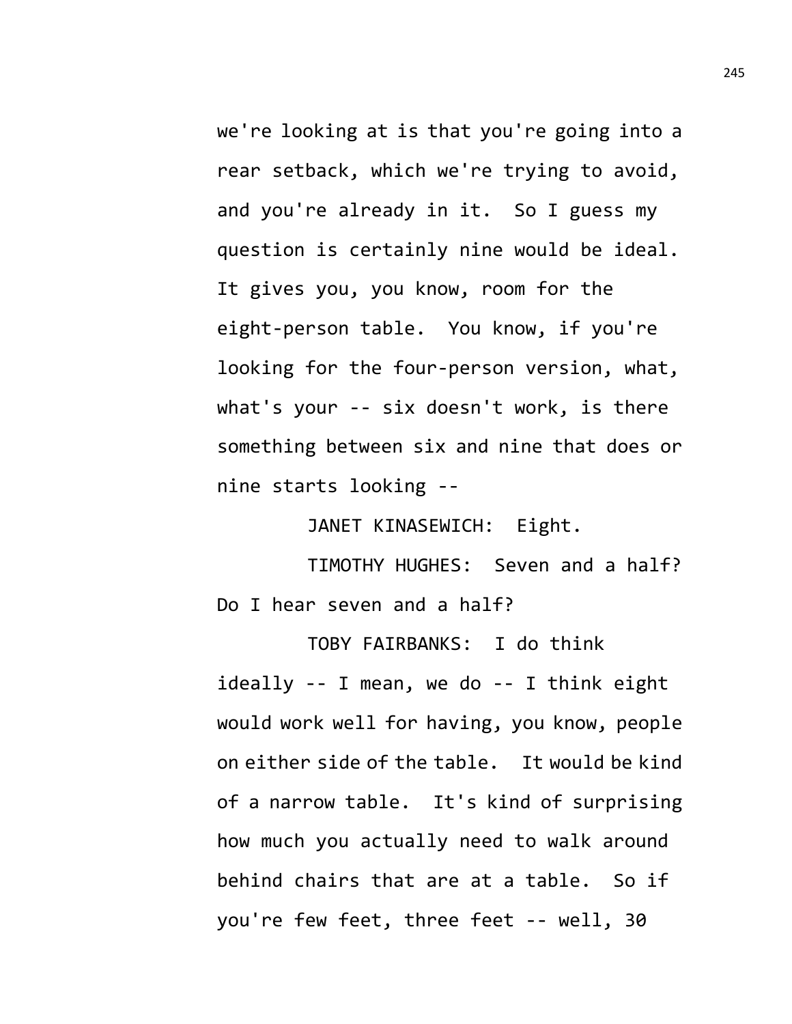we're looking at is that you're going into a rear setback, which we're trying to avoid, and you're already in it. So I guess my question is certainly nine would be ideal. It gives you, you know, room for the eight-person table. You know, if you're looking for the four-person version, what, what's your -- six doesn't work, is there something between six and nine that does or nine starts looking --

JANET KINASEWICH: Eight.

TIMOTHY HUGHES: Seven and a half? Do I hear seven and a half?

TOBY FAIRBANKS: I do think ideally -- I mean, we do -- I think eight would work well for having, you know, people on either side of the table. It would be kind of a narrow table. It's kind of surprising how much you actually need to walk around behind chairs that are at a table. So if you're few feet, three feet -- well, 30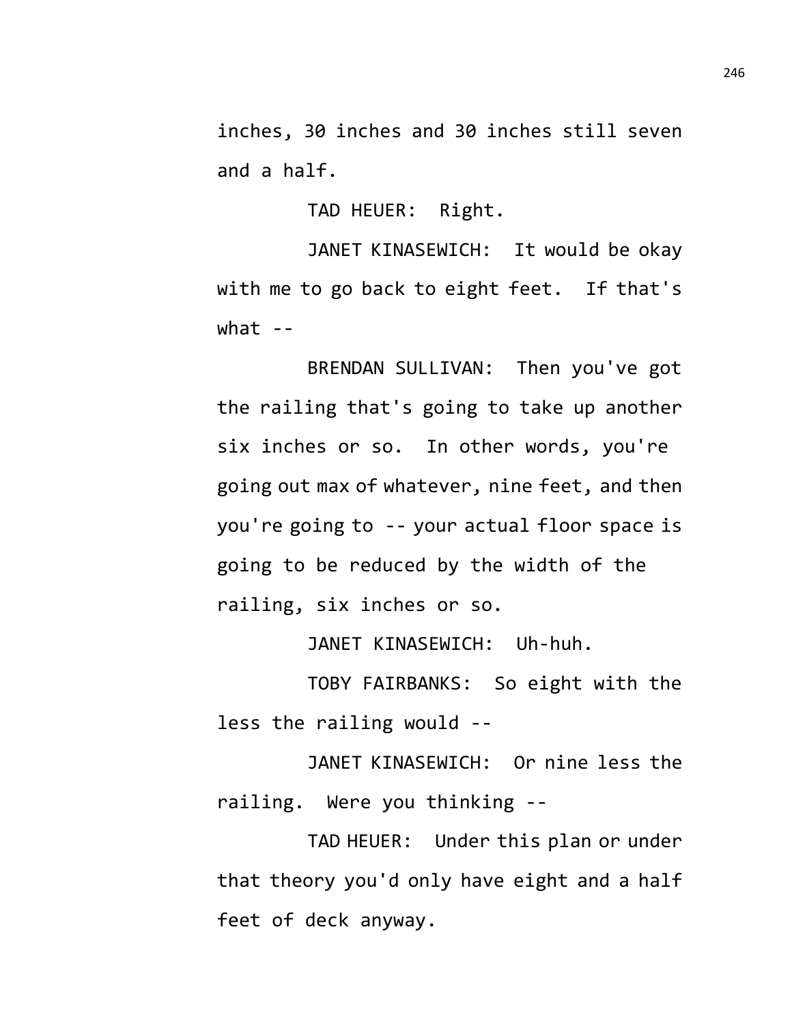inches, 30 inches and 30 inches still seven and a half.

TAD HEUER: Right.

JANET KINASEWICH: It would be okay with me to go back to eight feet. If that's  $what - -$ 

BRENDAN SULLIVAN: Then you've got the railing that's going to take up another six inches or so. In other words, you're going out max of whatever, nine feet, and then you're going to -- your actual floor space is going to be reduced by the width of the railing, six inches or so.

JANET KINASEWICH: Uh-huh.

TOBY FAIRBANKS: So eight with the less the railing would --

JANET KINASEWICH: Or nine less the railing. Were you thinking --

TAD HEUER: Under this plan or under that theory you'd only have eight and a half feet of deck anyway.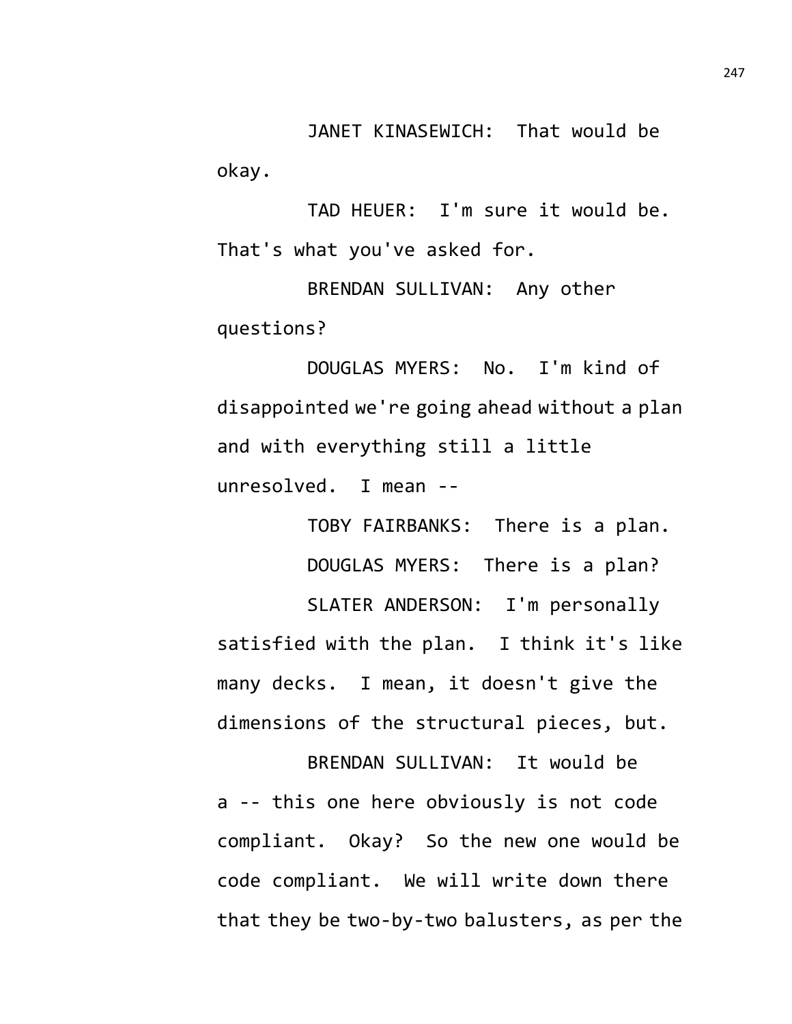JANET KINASEWICH: That would be okay.

TAD HEUER: I'm sure it would be. That's what you've asked for.

BRENDAN SULLIVAN: Any other questions?

DOUGLAS MYERS: No. I'm kind of disappointed we're going ahead without a plan and with everything still a little unresolved. I mean --

TOBY FAIRBANKS: There is a plan. DOUGLAS MYERS: There is a plan? SLATER ANDERSON: I'm personally satisfied with the plan. I think it's like many decks. I mean, it doesn't give the dimensions of the structural pieces, but.

BRENDAN SULLIVAN: It would be a -- this one here obviously is not code compliant. Okay? So the new one would be code compliant. We will write down there that they be two-by-two balusters, as per the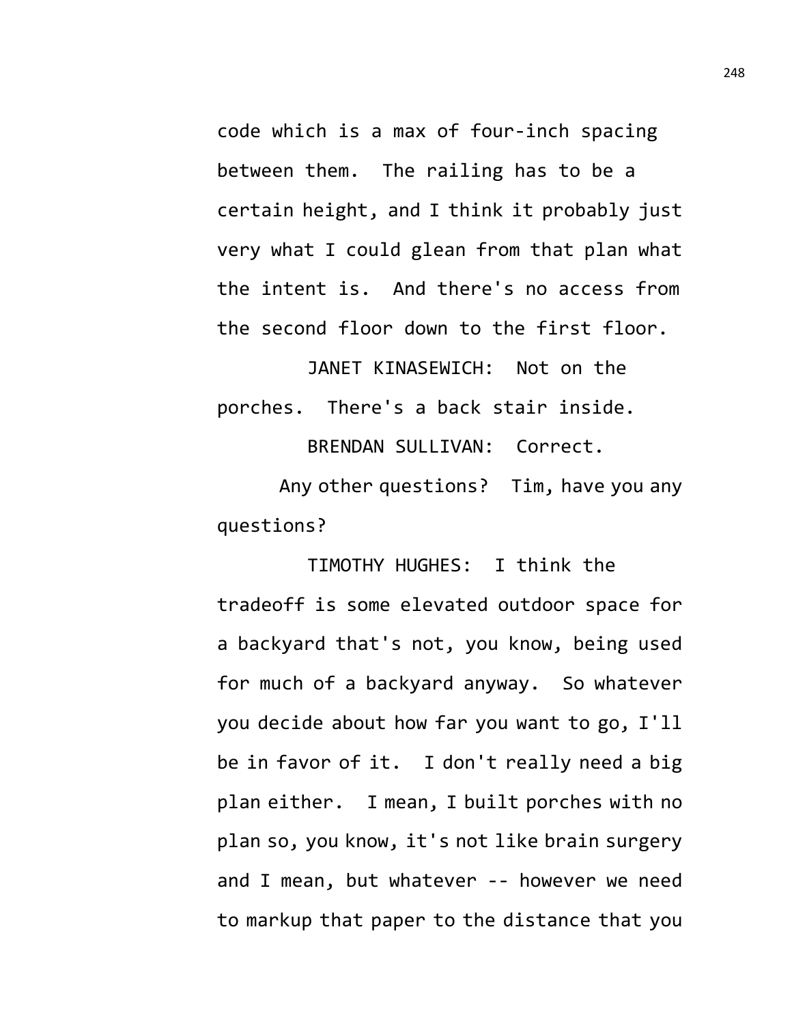code which is a max of four-inch spacing between them. The railing has to be a certain height, and I think it probably just very what I could glean from that plan what the intent is. And there's no access from the second floor down to the first floor.

JANET KINASEWICH: Not on the porches. There's a back stair inside.

BRENDAN SULLIVAN: Correct.

Any other questions? Tim, have you any questions?

TIMOTHY HUGHES: I think the tradeoff is some elevated outdoor space for a backyard that's not, you know, being used for much of a backyard anyway. So whatever you decide about how far you want to go, I'll be in favor of it. I don't really need a big plan either. I mean, I built porches with no plan so, you know, it's not like brain surgery and I mean, but whatever -- however we need to markup that paper to the distance that you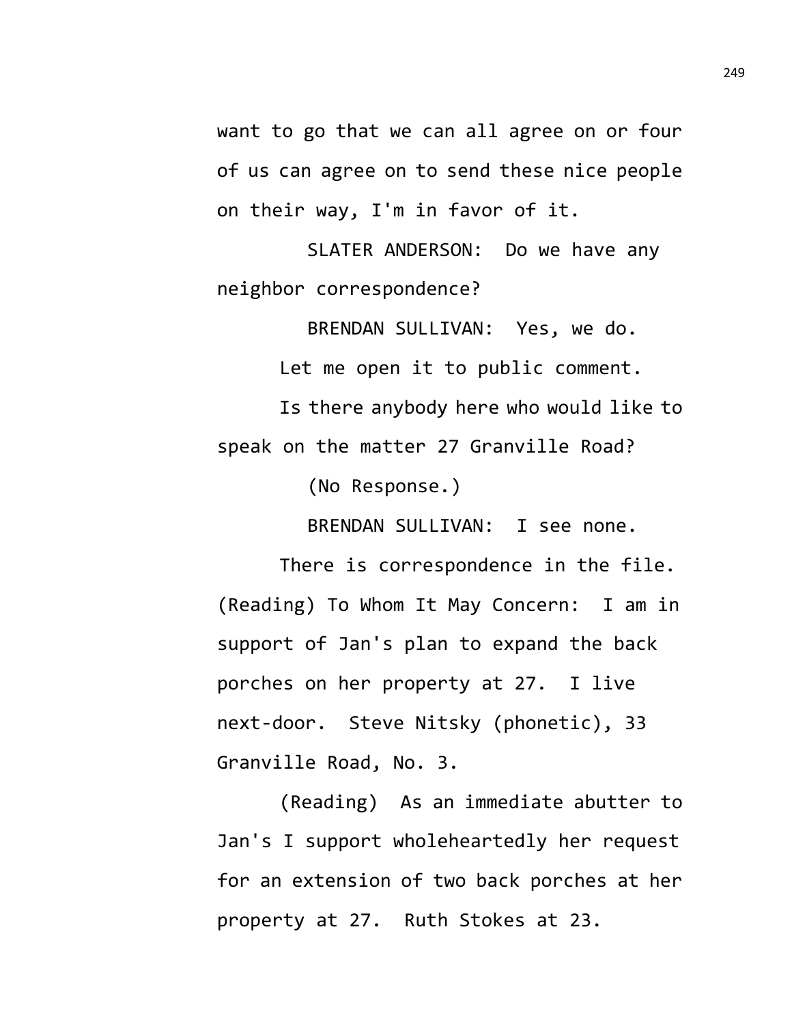want to go that we can all agree on or four of us can agree on to send these nice people on their way, I'm in favor of it.

SLATER ANDERSON: Do we have any neighbor correspondence?

BRENDAN SULLIVAN: Yes, we do.

Let me open it to public comment.

Is there anybody here who would like to speak on the matter 27 Granville Road?

(No Response.)

BRENDAN SULLIVAN: I see none.

There is correspondence in the file. (Reading) To Whom It May Concern: I am in support of Jan's plan to expand the back porches on her property at 27. I live next-door. Steve Nitsky (phonetic), 33 Granville Road, No. 3.

(Reading) As an immediate abutter to Jan's I support wholeheartedly her request for an extension of two back porches at her property at 27. Ruth Stokes at 23.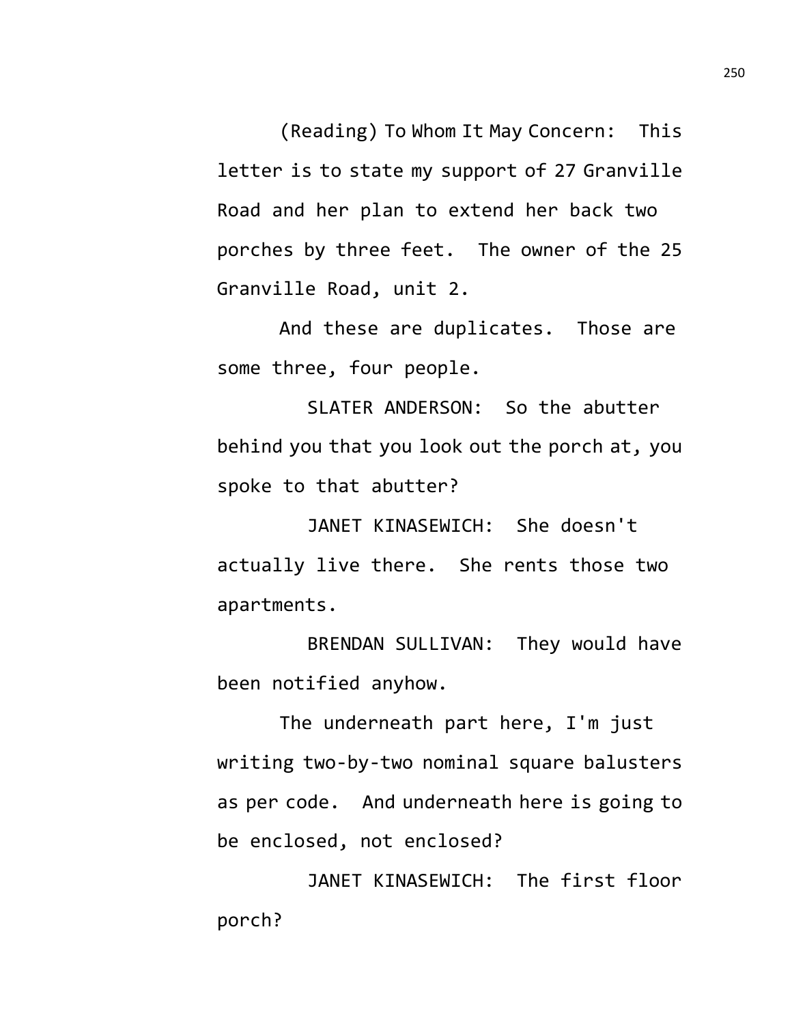(Reading) To Whom It May Concern: This letter is to state my support of 27 Granville Road and her plan to extend her back two porches by three feet. The owner of the 25 Granville Road, unit 2.

And these are duplicates. Those are some three, four people.

SLATER ANDERSON: So the abutter behind you that you look out the porch at, you spoke to that abutter?

JANET KINASEWICH: She doesn't actually live there. She rents those two apartments.

BRENDAN SULLIVAN: They would have been notified anyhow.

The underneath part here, I'm just writing two-by-two nominal square balusters as per code. And underneath here is going to be enclosed, not enclosed?

JANET KINASEWICH: The first floor porch?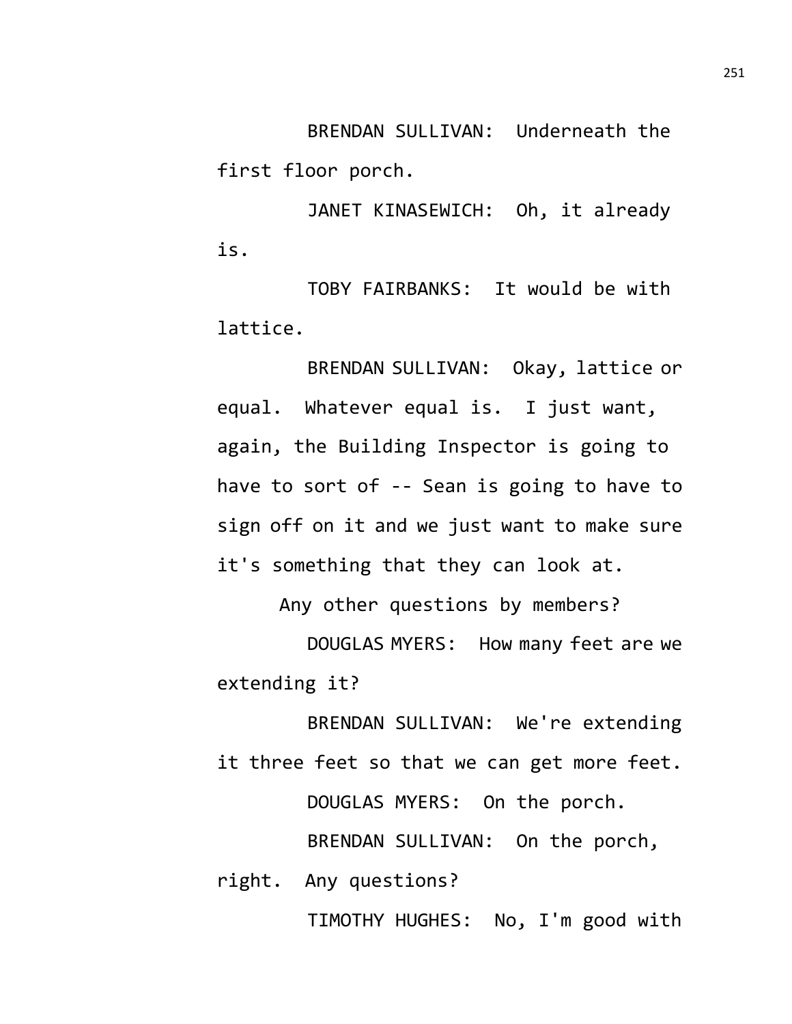BRENDAN SULLIVAN: Underneath the first floor porch.

JANET KINASEWICH: Oh, it already is.

TOBY FAIRBANKS: It would be with lattice.

BRENDAN SULLIVAN: Okay, lattice or equal. Whatever equal is. I just want, again, the Building Inspector is going to have to sort of -- Sean is going to have to sign off on it and we just want to make sure it's something that they can look at.

Any other questions by members?

DOUGLAS MYERS: How many feet are we extending it?

BRENDAN SULLIVAN: We're extending it three feet so that we can get more feet. DOUGLAS MYERS: On the porch. BRENDAN SULLIVAN: On the porch, right. Any questions?

TIMOTHY HUGHES: No, I'm good with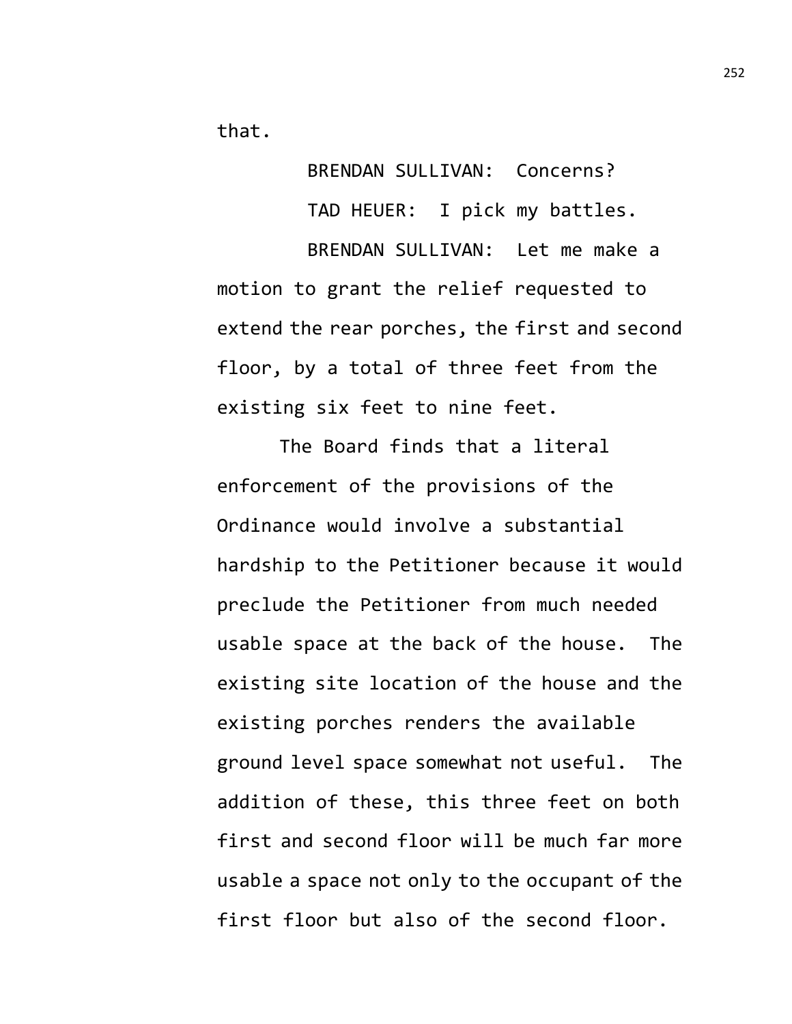that.

BRENDAN SULLIVAN: Concerns? TAD HEUER: I pick my battles. BRENDAN SULLIVAN: Let me make a motion to grant the relief requested to extend the rear porches, the first and second floor, by a total of three feet from the existing six feet to nine feet.

The Board finds that a literal enforcement of the provisions of the Ordinance would involve a substantial hardship to the Petitioner because it would preclude the Petitioner from much needed usable space at the back of the house. The existing site location of the house and the existing porches renders the available ground level space somewhat not useful. The addition of these, this three feet on both first and second floor will be much far more usable a space not only to the occupant of the first floor but also of the second floor.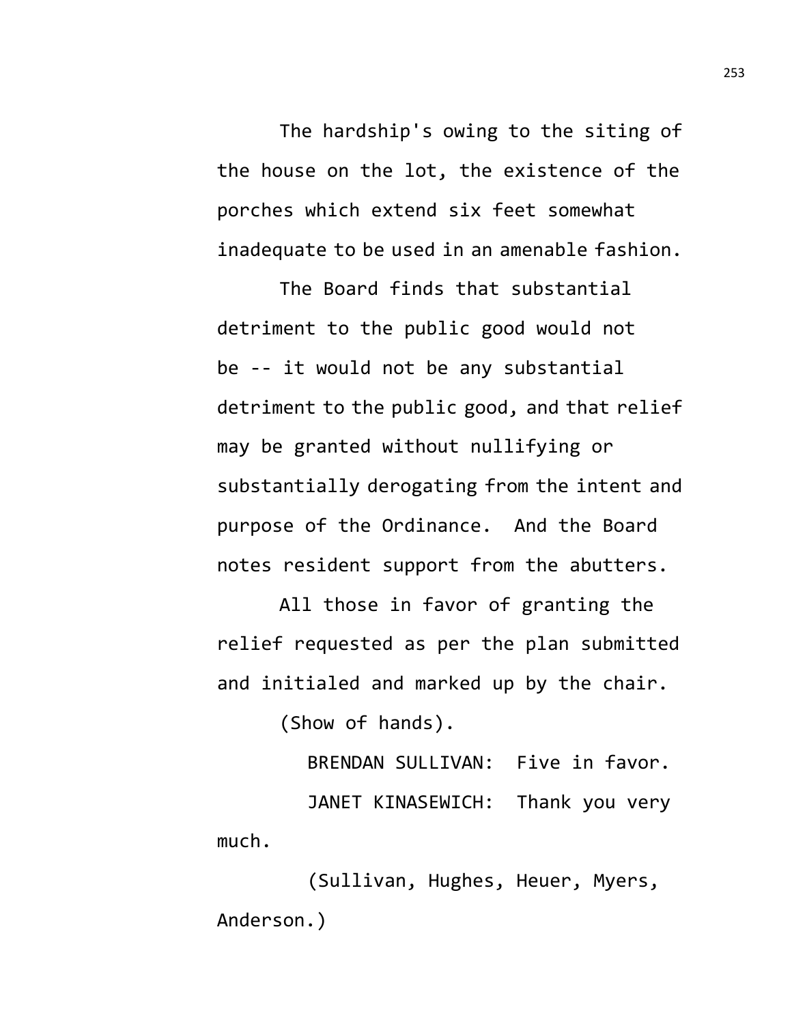The hardship's owing to the siting of the house on the lot, the existence of the porches which extend six feet somewhat inadequate to be used in an amenable fashion.

The Board finds that substantial detriment to the public good would not be -- it would not be any substantial detriment to the public good, and that relief may be granted without nullifying or substantially derogating from the intent and purpose of the Ordinance. And the Board notes resident support from the abutters.

All those in favor of granting the relief requested as per the plan submitted and initialed and marked up by the chair.

(Show of hands).

BRENDAN SULLIVAN: Five in favor. JANET KINASEWICH: Thank you very much.

(Sullivan, Hughes, Heuer, Myers, Anderson.)

253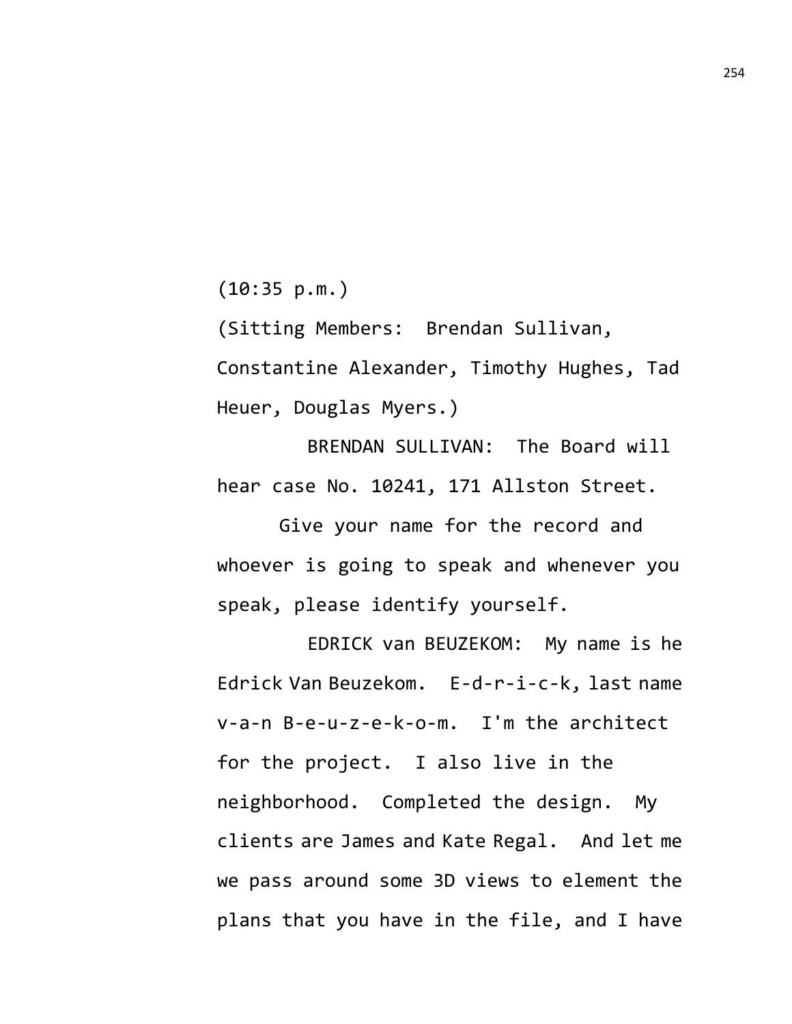(10:35 p.m.)

(Sitting Members: Brendan Sullivan, Constantine Alexander, Timothy Hughes, Tad Heuer, Douglas Myers.)

BRENDAN SULLIVAN: The Board will hear case No. 10241, 171 Allston Street.

Give your name for the record and whoever is going to speak and whenever you speak, please identify yourself.

EDRICK van BEUZEKOM: My name is he Edrick Van Beuzekom. E-d-r-i-c-k, last name v-a-n B-e-u-z-e-k-o-m. I'm the architect for the project. I also live in the neighborhood. Completed the design. My clients are James and Kate Regal. And let me we pass around some 3D views to element the plans that you have in the file, and I have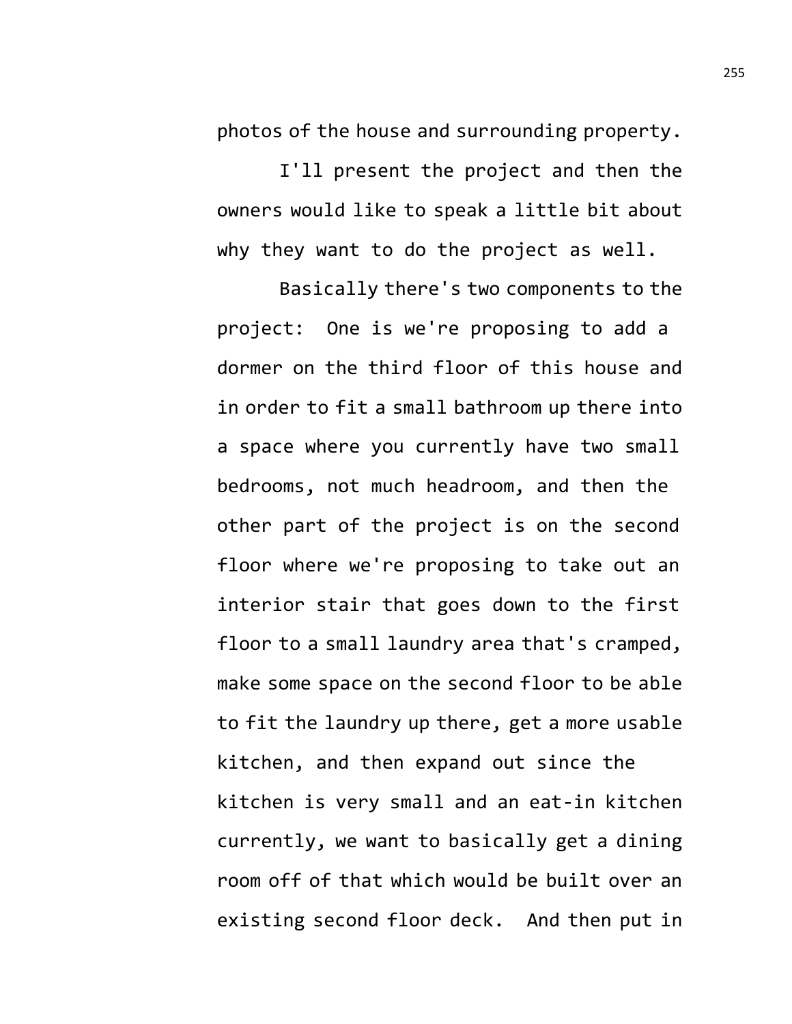photos of the house and surrounding property.

I'll present the project and then the owners would like to speak a little bit about why they want to do the project as well.

Basically there's two components to the project: One is we're proposing to add a dormer on the third floor of this house and in order to fit a small bathroom up there into a space where you currently have two small bedrooms, not much headroom, and then the other part of the project is on the second floor where we're proposing to take out an interior stair that goes down to the first floor to a small laundry area that's cramped, make some space on the second floor to be able to fit the laundry up there, get a more usable

kitchen, and then expand out since the kitchen is very small and an eat-in kitchen currently, we want to basically get a dining room off of that which would be built over an existing second floor deck. And then put in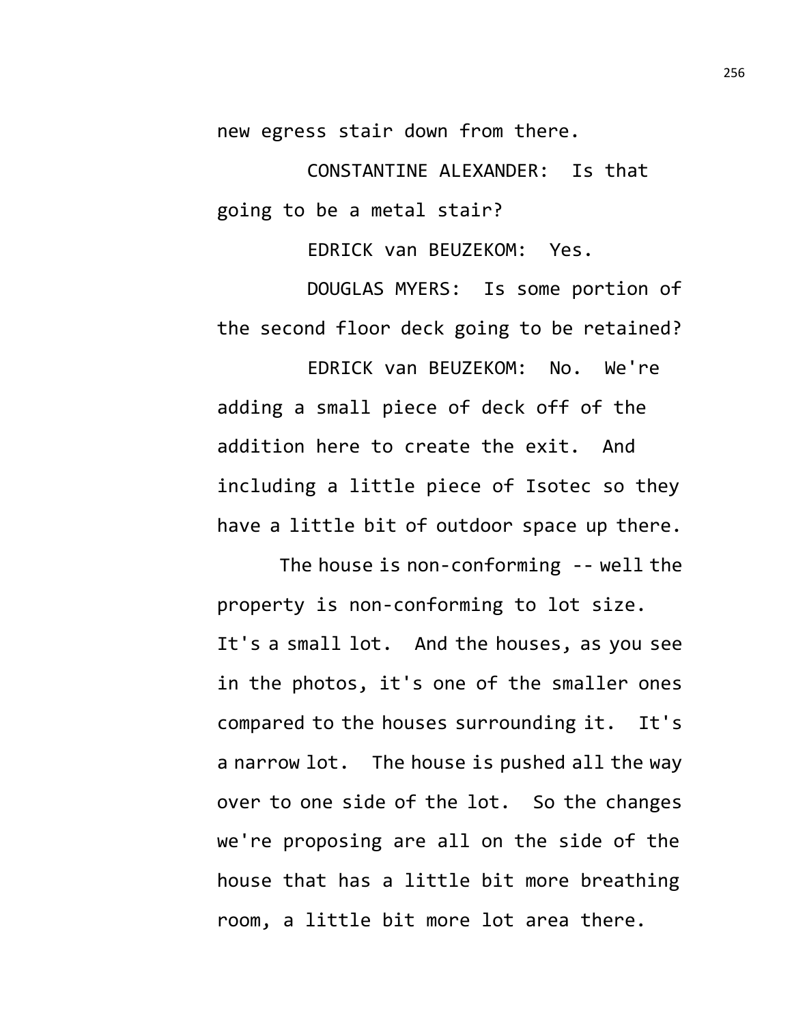new egress stair down from there.

CONSTANTINE ALEXANDER: Is that going to be a metal stair?

EDRICK van BEUZEKOM: Yes.

DOUGLAS MYERS: Is some portion of the second floor deck going to be retained?

EDRICK van BEUZEKOM: No. We're adding a small piece of deck off of the addition here to create the exit. And including a little piece of Isotec so they have a little bit of outdoor space up there.

The house is non-conforming -- well the property is non-conforming to lot size. It's a small lot. And the houses, as you see in the photos, it's one of the smaller ones compared to the houses surrounding it. It's a narrow lot. The house is pushed all the way over to one side of the lot. So the changes we're proposing are all on the side of the house that has a little bit more breathing room, a little bit more lot area there.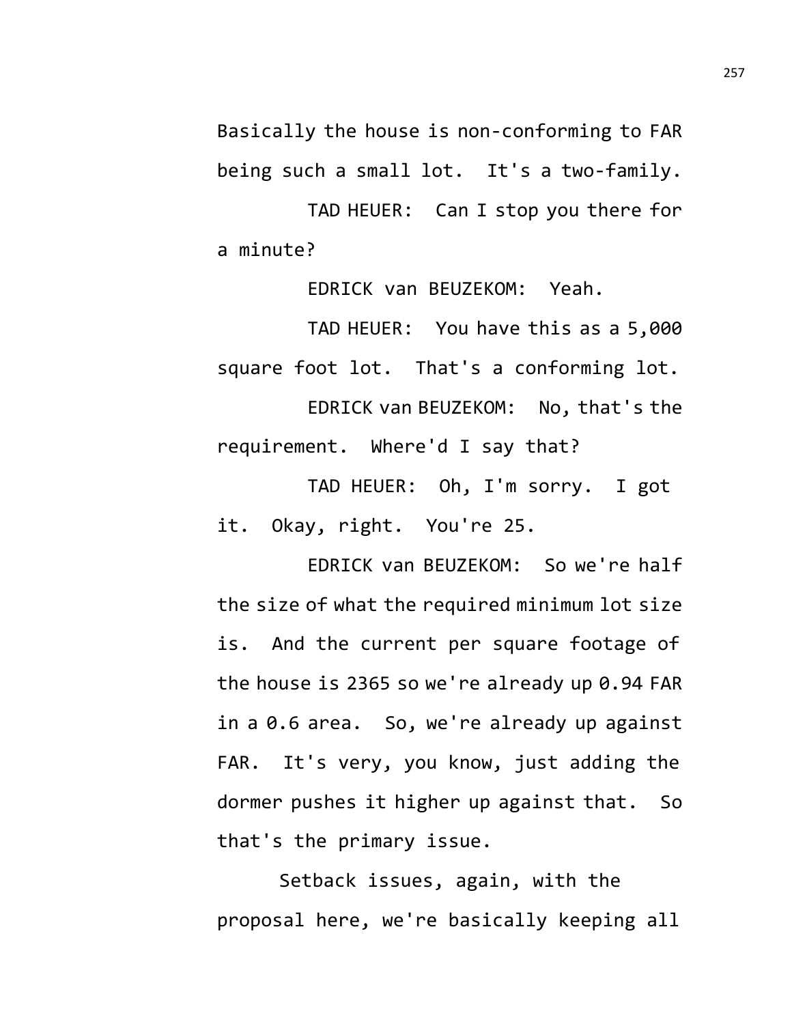Basically the house is non-conforming to FAR being such a small lot. It's a two-family.

TAD HEUER: Can I stop you there for a minute?

EDRICK van BEUZEKOM: Yeah.

TAD HEUER: You have this as a 5,000 square foot lot. That's a conforming lot.

EDRICK van BEUZEKOM: No, that's the requirement. Where'd I say that?

TAD HEUER: Oh, I'm sorry. I got it. Okay, right. You're 25.

EDRICK van BEUZEKOM: So we're half the size of what the required minimum lot size is. And the current per square footage of the house is 2365 so we're already up 0.94 FAR in a 0.6 area. So, we're already up against FAR. It's very, you know, just adding the dormer pushes it higher up against that. So that's the primary issue.

Setback issues, again, with the proposal here, we're basically keeping all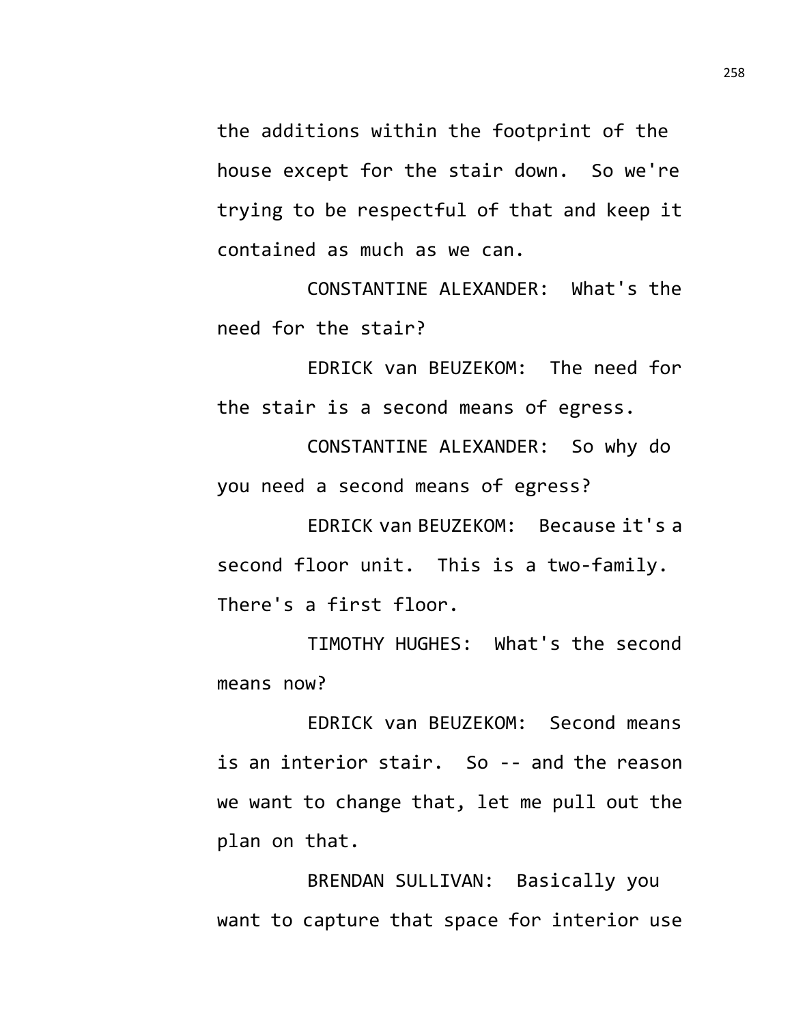the additions within the footprint of the house except for the stair down. So we're trying to be respectful of that and keep it contained as much as we can.

CONSTANTINE ALEXANDER: What's the need for the stair?

EDRICK van BEUZEKOM: The need for the stair is a second means of egress.

CONSTANTINE ALEXANDER: So why do you need a second means of egress?

EDRICK van BEUZEKOM: Because it's a second floor unit. This is a two-family. There's a first floor.

TIMOTHY HUGHES: What's the second means now?

EDRICK van BEUZEKOM: Second means is an interior stair. So -- and the reason we want to change that, let me pull out the plan on that.

BRENDAN SULLIVAN: Basically you want to capture that space for interior use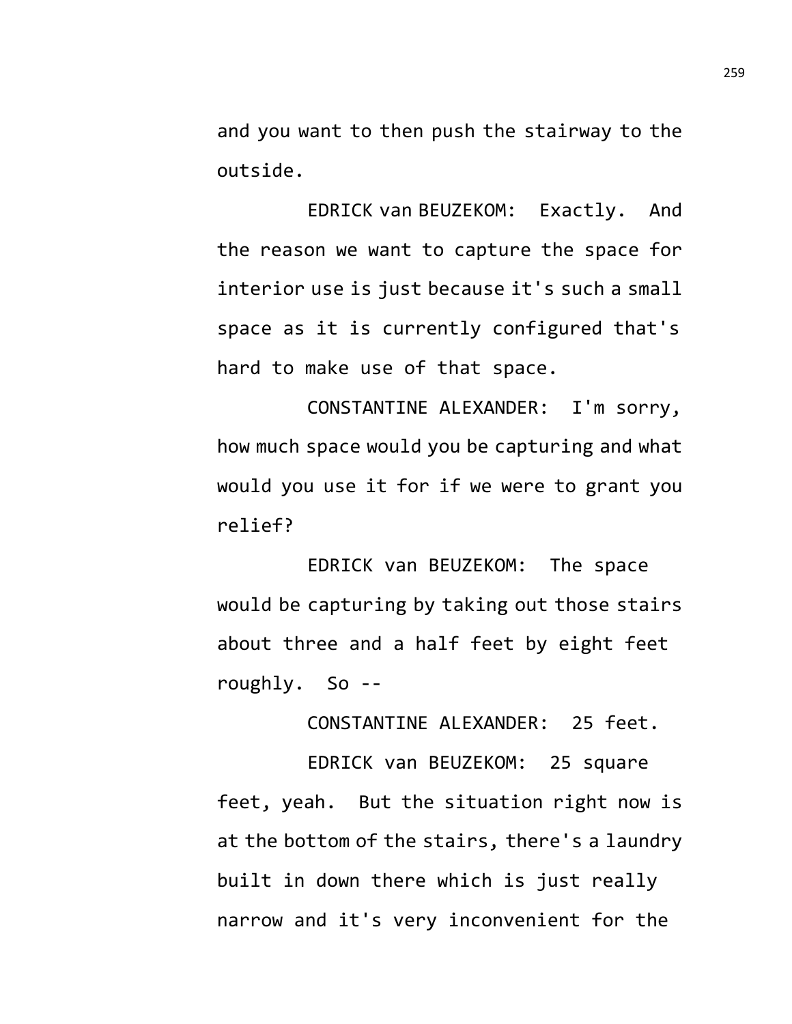and you want to then push the stairway to the outside.

EDRICK van BEUZEKOM: Exactly. And the reason we want to capture the space for interior use is just because it's such a small space as it is currently configured that's hard to make use of that space.

CONSTANTINE ALEXANDER: I'm sorry, how much space would you be capturing and what would you use it for if we were to grant you relief?

EDRICK van BEUZEKOM: The space would be capturing by taking out those stairs about three and a half feet by eight feet roughly. So --

CONSTANTINE ALEXANDER: 25 feet.

EDRICK van BEUZEKOM: 25 square feet, yeah. But the situation right now is at the bottom of the stairs, there's a laundry built in down there which is just really narrow and it's very inconvenient for the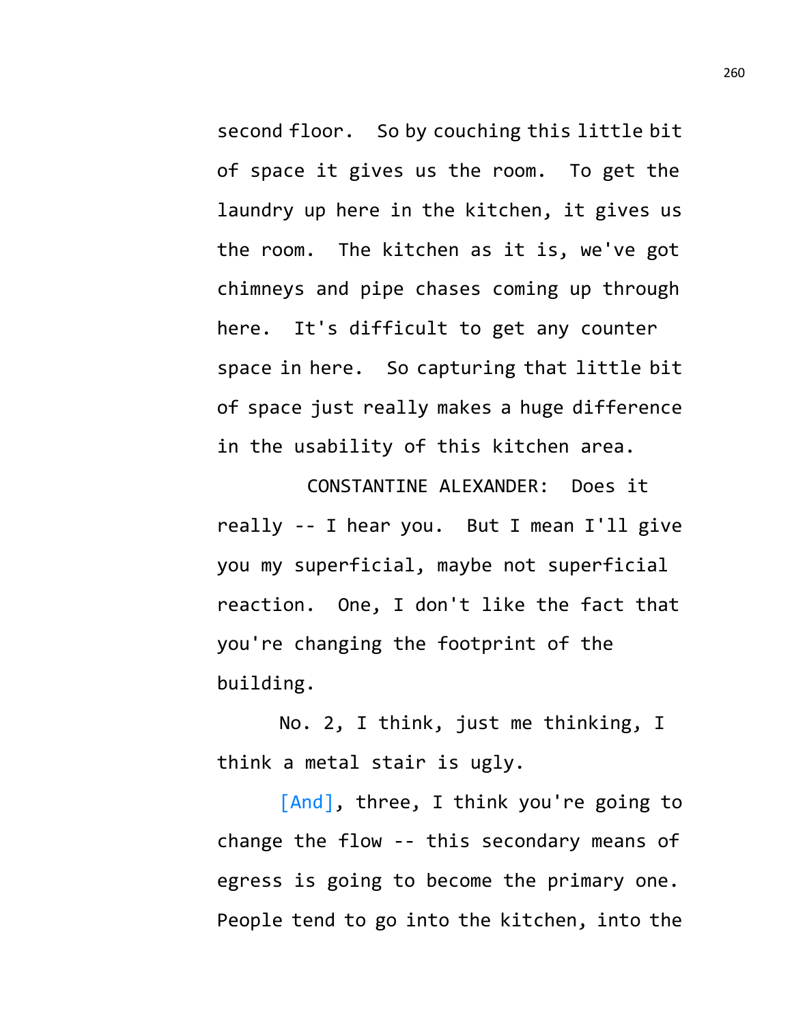second floor. So by couching this little bit of space it gives us the room. To get the laundry up here in the kitchen, it gives us the room. The kitchen as it is, we've got chimneys and pipe chases coming up through here. It's difficult to get any counter space in here. So capturing that little bit of space just really makes a huge difference in the usability of this kitchen area.

CONSTANTINE ALEXANDER: Does it really -- I hear you. But I mean I'll give you my superficial, maybe not superficial reaction. One, I don't like the fact that you're changing the footprint of the building.

No. 2, I think, just me thinking, I think a metal stair is ugly.

[And], three, I think you're going to change the flow -- this secondary means of egress is going to become the primary one. People tend to go into the kitchen, into the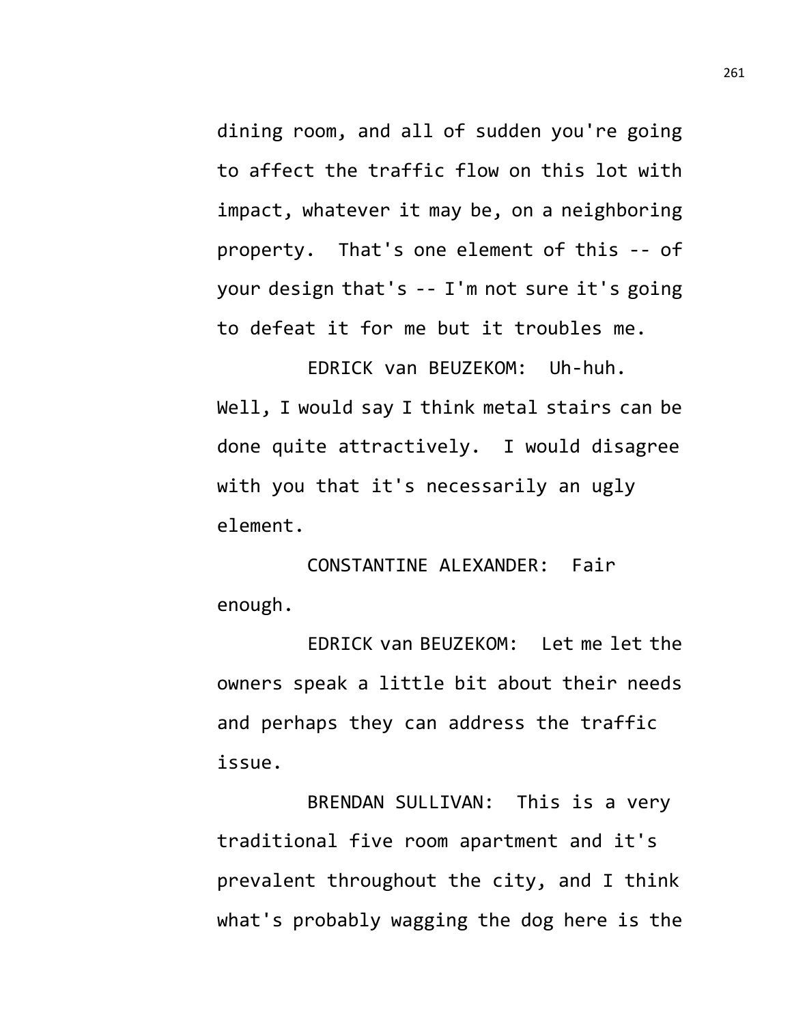dining room, and all of sudden you're going to affect the traffic flow on this lot with impact, whatever it may be, on a neighboring property. That's one element of this -- of your design that's -- I'm not sure it's going to defeat it for me but it troubles me.

EDRICK van BEUZEKOM: Uh-huh. Well, I would say I think metal stairs can be done quite attractively. I would disagree with you that it's necessarily an ugly element.

CONSTANTINE ALEXANDER: Fair enough.

EDRICK van BEUZEKOM: Let me let the owners speak a little bit about their needs and perhaps they can address the traffic issue.

BRENDAN SULLIVAN: This is a very traditional five room apartment and it's prevalent throughout the city, and I think what's probably wagging the dog here is the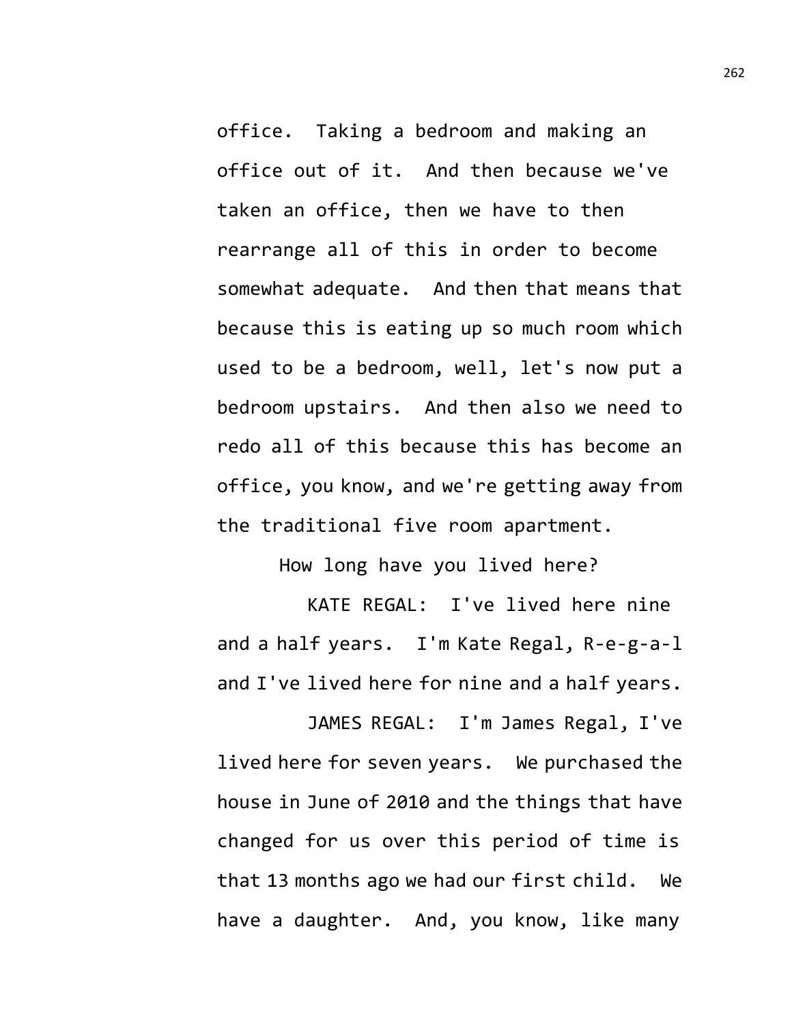office. Taking a bedroom and making an office out of it. And then because we've taken an office, then we have to then rearrange all of this in order to become somewhat adequate. And then that means that because this is eating up so much room which used to be a bedroom, well, let's now put a bedroom upstairs. And then also we need to redo all of this because this has become an office, you know, and we're getting away from the traditional five room apartment.

How long have you lived here?

KATE REGAL: I've lived here nine and a half years. I'm Kate Regal, R-e-g-a-l and I've lived here for nine and a half years.

JAMES REGAL: I'm James Regal, I've lived here for seven years. We purchased the house in June of 2010 and the things that have changed for us over this period of time is that 13 months ago we had our first child. We have a daughter. And, you know, like many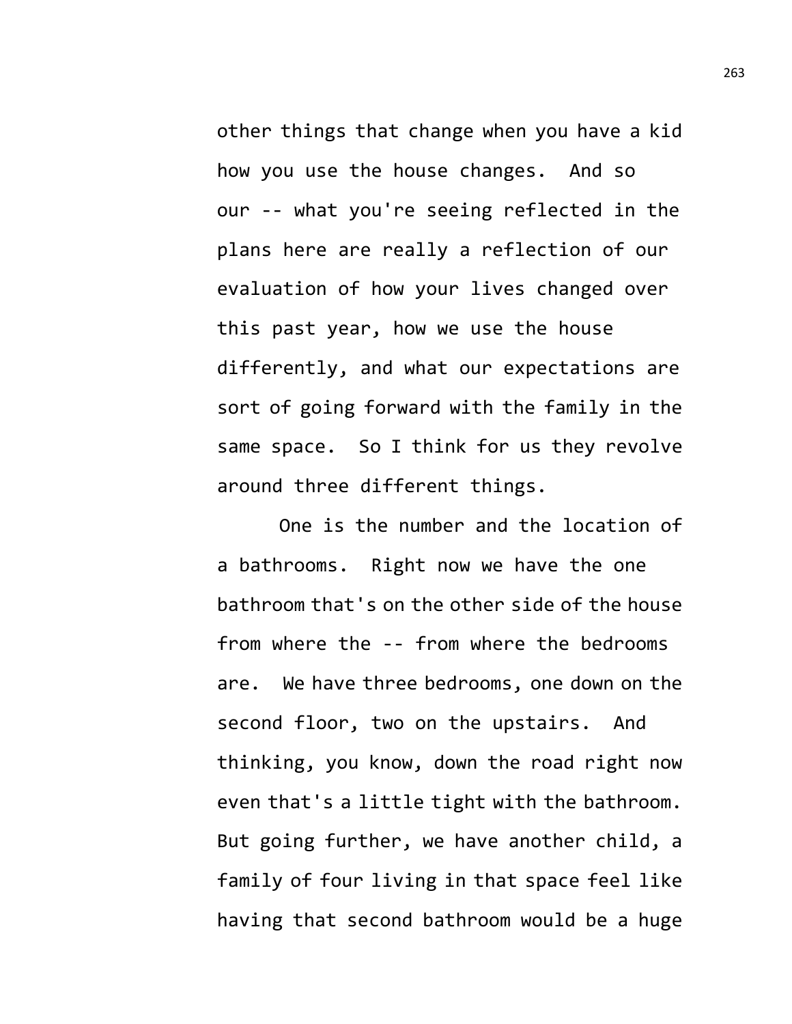other things that change when you have a kid how you use the house changes. And so our -- what you're seeing reflected in the plans here are really a reflection of our evaluation of how your lives changed over this past year, how we use the house differently, and what our expectations are sort of going forward with the family in the same space. So I think for us they revolve around three different things.

One is the number and the location of a bathrooms. Right now we have the one bathroom that's on the other side of the house from where the -- from where the bedrooms are. We have three bedrooms, one down on the second floor, two on the upstairs. And thinking, you know, down the road right now even that's a little tight with the bathroom. But going further, we have another child, a family of four living in that space feel like having that second bathroom would be a huge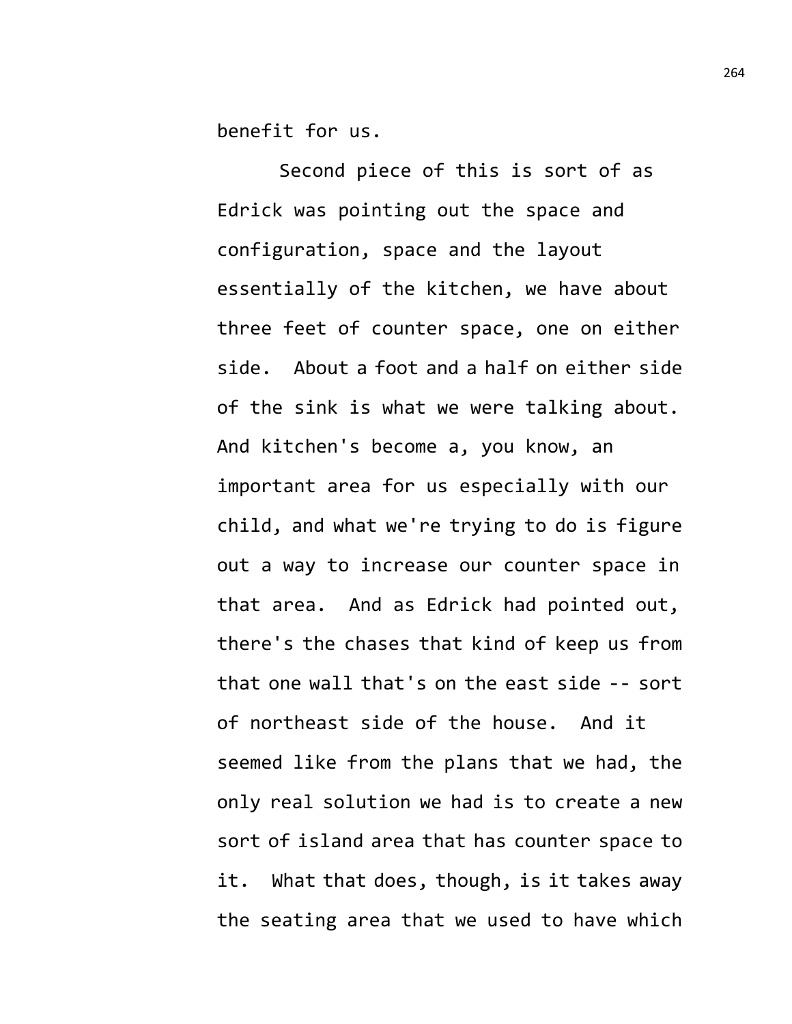benefit for us.

Second piece of this is sort of as Edrick was pointing out the space and configuration, space and the layout essentially of the kitchen, we have about three feet of counter space, one on either side. About a foot and a half on either side of the sink is what we were talking about. And kitchen's become a, you know, an important area for us especially with our child, and what we're trying to do is figure out a way to increase our counter space in that area. And as Edrick had pointed out, there's the chases that kind of keep us from that one wall that's on the east side -- sort of northeast side of the house. And it seemed like from the plans that we had, the only real solution we had is to create a new sort of island area that has counter space to it. What that does, though, is it takes away the seating area that we used to have which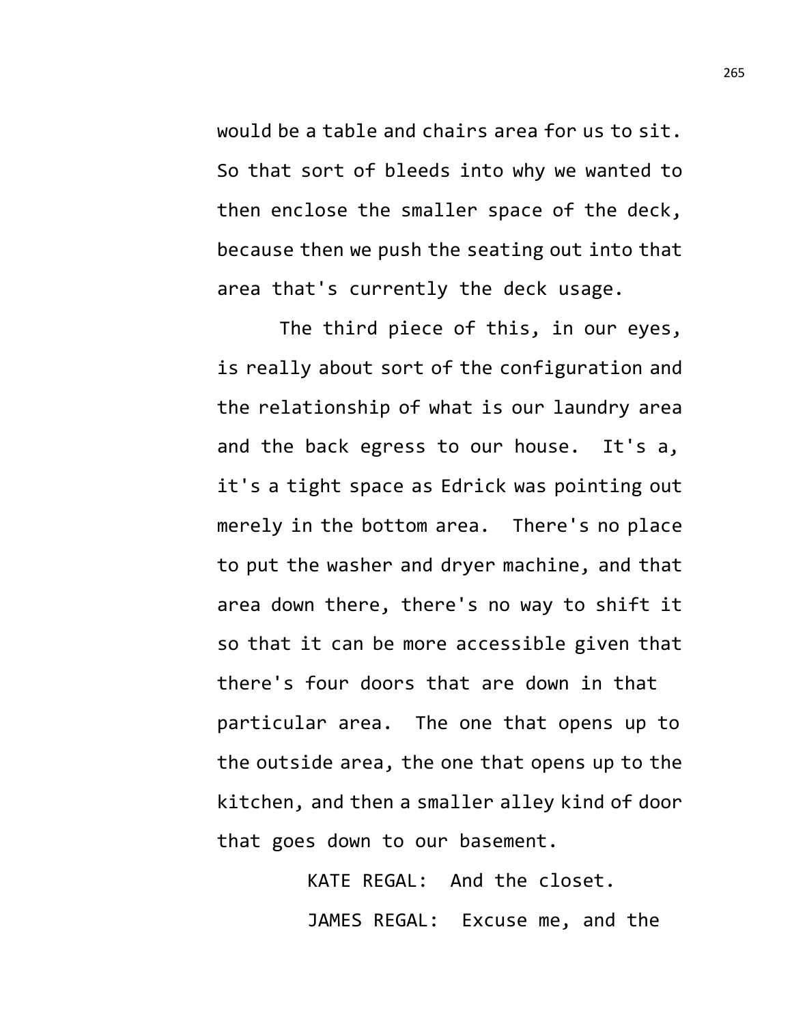would be a table and chairs area for us to sit. So that sort of bleeds into why we wanted to then enclose the smaller space of the deck, because then we push the seating out into that area that's currently the deck usage.

The third piece of this, in our eyes, is really about sort of the configuration and the relationship of what is our laundry area and the back egress to our house. It's a, it's a tight space as Edrick was pointing out merely in the bottom area. There's no place to put the washer and dryer machine, and that area down there, there's no way to shift it so that it can be more accessible given that there's four doors that are down in that particular area. The one that opens up to the outside area, the one that opens up to the kitchen, and then a smaller alley kind of door that goes down to our basement.

> KATE REGAL: And the closet. JAMES REGAL: Excuse me, and the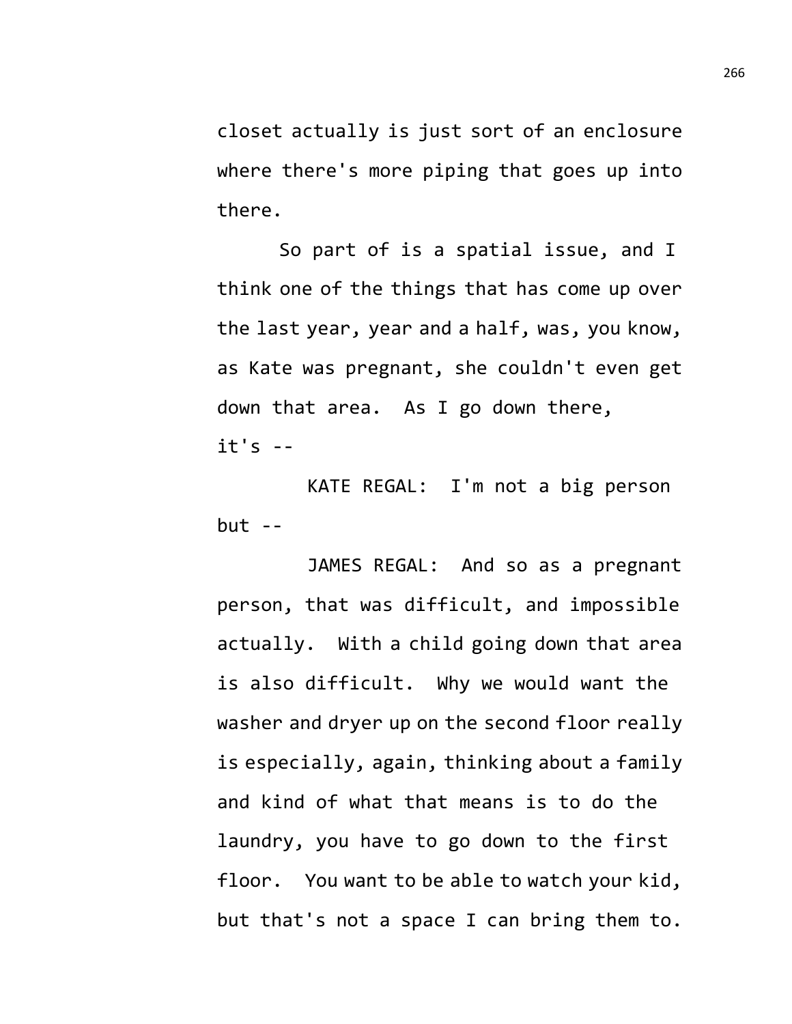closet actually is just sort of an enclosure where there's more piping that goes up into there.

So part of is a spatial issue, and I think one of the things that has come up over the last year, year and a half, was, you know, as Kate was pregnant, she couldn't even get down that area. As I go down there,  $it's - -$ 

KATE REGAL: I'm not a big person but --

JAMES REGAL: And so as a pregnant person, that was difficult, and impossible actually. With a child going down that area is also difficult. Why we would want the washer and dryer up on the second floor really is especially, again, thinking about a family and kind of what that means is to do the laundry, you have to go down to the first floor. You want to be able to watch your kid, but that's not a space I can bring them to.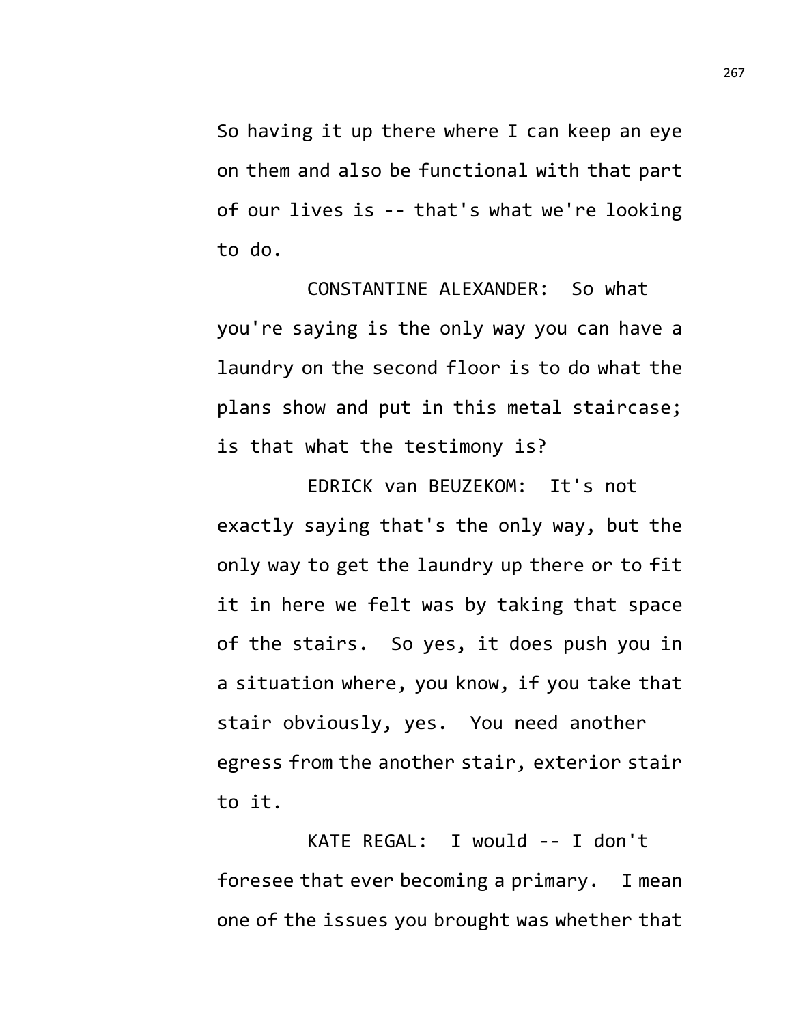So having it up there where I can keep an eye on them and also be functional with that part of our lives is -- that's what we're looking to do.

CONSTANTINE ALEXANDER: So what you're saying is the only way you can have a laundry on the second floor is to do what the plans show and put in this metal staircase; is that what the testimony is?

EDRICK van BEUZEKOM: It's not exactly saying that's the only way, but the only way to get the laundry up there or to fit it in here we felt was by taking that space of the stairs. So yes, it does push you in a situation where, you know, if you take that stair obviously, yes. You need another egress from the another stair, exterior stair to it.

KATE REGAL: I would -- I don't foresee that ever becoming a primary. I mean one of the issues you brought was whether that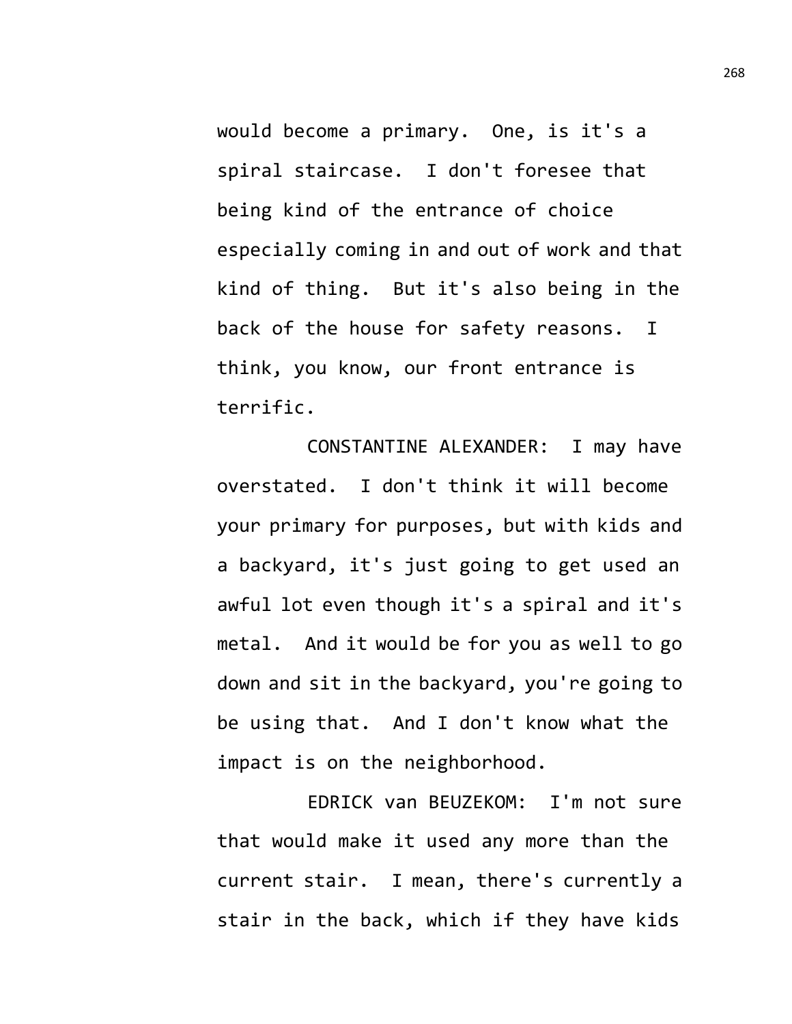would become a primary. One, is it's a spiral staircase. I don't foresee that being kind of the entrance of choice especially coming in and out of work and that kind of thing. But it's also being in the back of the house for safety reasons. I think, you know, our front entrance is terrific.

CONSTANTINE ALEXANDER: I may have overstated. I don't think it will become your primary for purposes, but with kids and a backyard, it's just going to get used an awful lot even though it's a spiral and it's metal. And it would be for you as well to go down and sit in the backyard, you're going to be using that. And I don't know what the impact is on the neighborhood.

EDRICK van BEUZEKOM: I'm not sure that would make it used any more than the current stair. I mean, there's currently a stair in the back, which if they have kids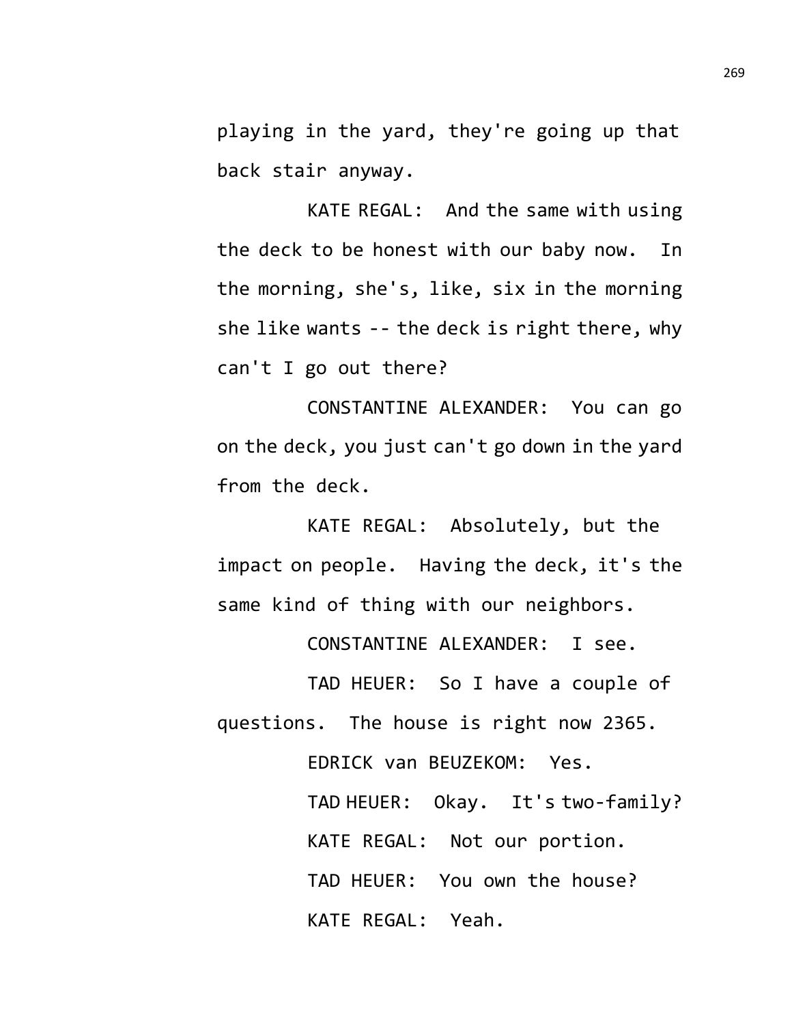playing in the yard, they're going up that back stair anyway.

KATE REGAL: And the same with using the deck to be honest with our baby now. In the morning, she's, like, six in the morning she like wants -- the deck is right there, why can't I go out there?

CONSTANTINE ALEXANDER: You can go on the deck, you just can't go down in the yard from the deck.

KATE REGAL: Absolutely, but the impact on people. Having the deck, it's the same kind of thing with our neighbors.

CONSTANTINE ALEXANDER: I see.

TAD HEUER: So I have a couple of questions. The house is right now 2365.

> EDRICK van BEUZEKOM: Yes. TAD HEUER: Okay. It's two-family? KATE REGAL: Not our portion. TAD HEUER: You own the house? KATE REGAL: Yeah.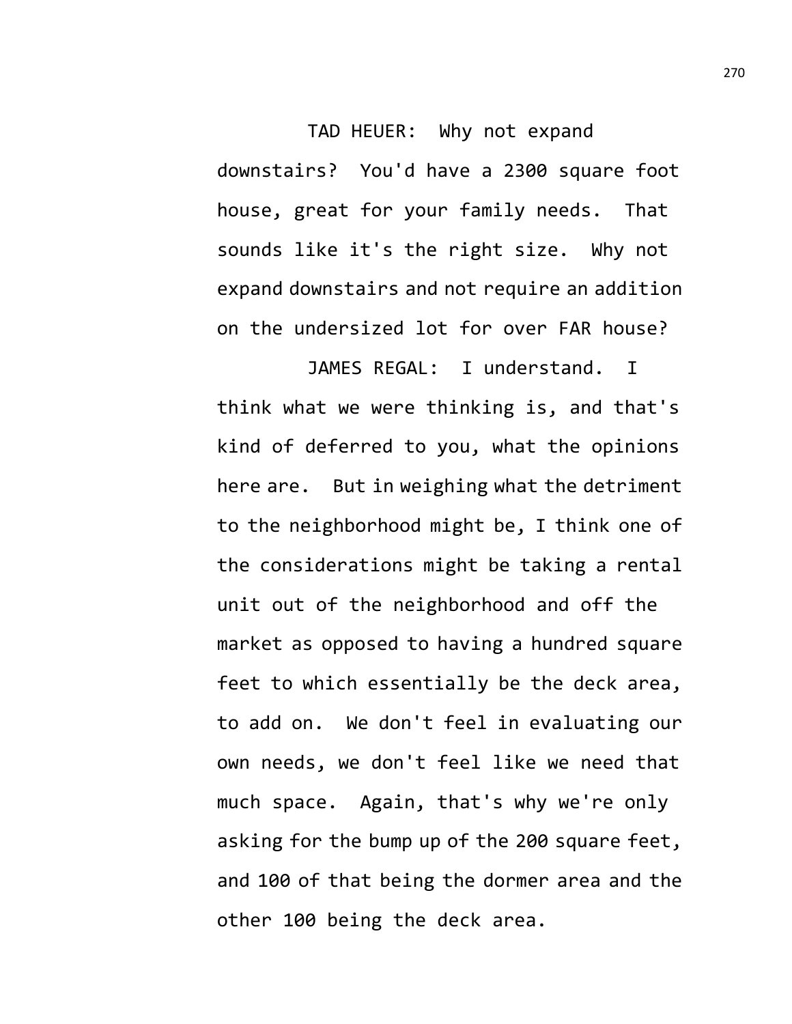TAD HEUER: Why not expand downstairs? You'd have a 2300 square foot house, great for your family needs. That sounds like it's the right size. Why not expand downstairs and not require an addition on the undersized lot for over FAR house?

JAMES REGAL: I understand. I think what we were thinking is, and that's kind of deferred to you, what the opinions here are. But in weighing what the detriment to the neighborhood might be, I think one of the considerations might be taking a rental unit out of the neighborhood and off the market as opposed to having a hundred square feet to which essentially be the deck area, to add on. We don't feel in evaluating our own needs, we don't feel like we need that much space. Again, that's why we're only asking for the bump up of the 200 square feet, and 100 of that being the dormer area and the other 100 being the deck area.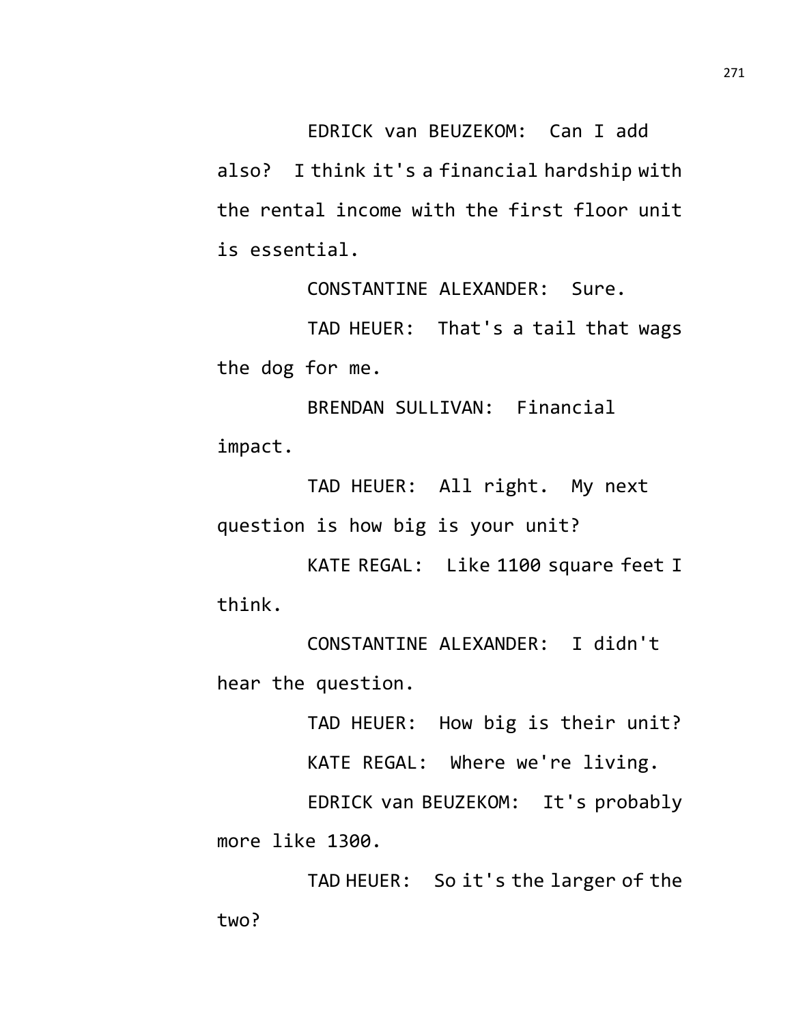EDRICK van BEUZEKOM: Can I add

also? I think it's a financial hardship with the rental income with the first floor unit is essential.

CONSTANTINE ALEXANDER: Sure.

TAD HEUER: That's a tail that wags the dog for me.

BRENDAN SULLIVAN: Financial impact.

TAD HEUER: All right. My next question is how big is your unit?

KATE REGAL: Like 1100 square feet I think.

CONSTANTINE ALEXANDER: I didn't hear the question.

TAD HEUER: How big is their unit?

KATE REGAL: Where we're living.

EDRICK van BEUZEKOM: It's probably more like 1300.

TAD HEUER: So it's the larger of the two?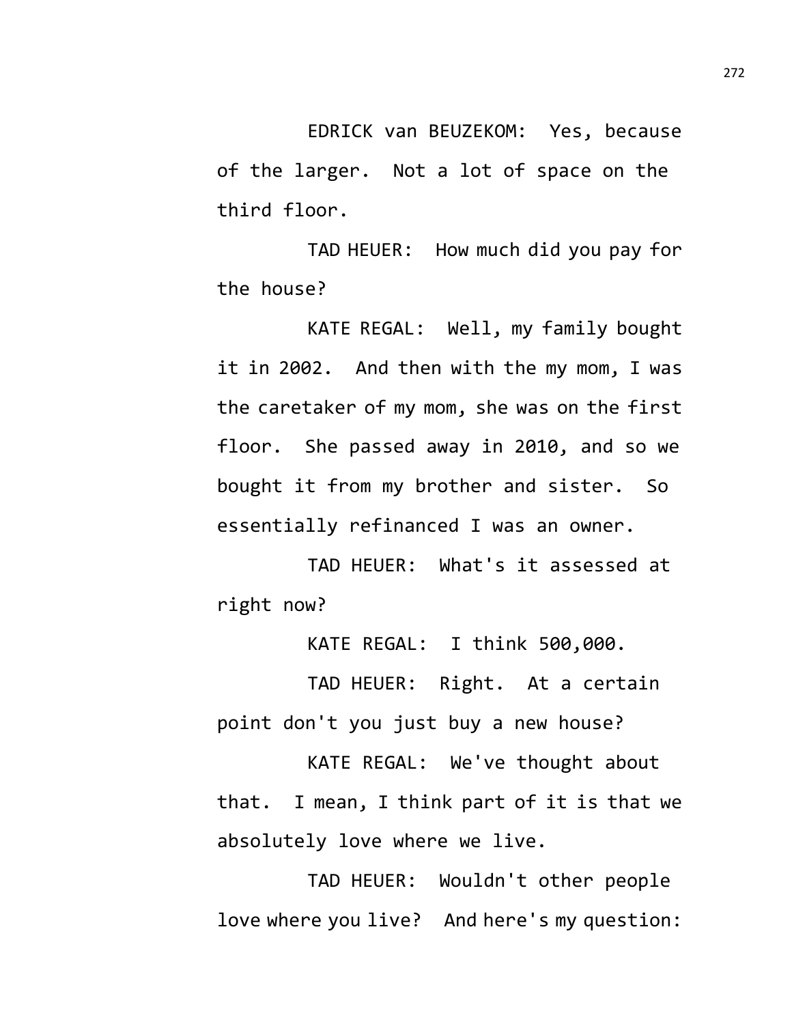EDRICK van BEUZEKOM: Yes, because of the larger. Not a lot of space on the third floor.

TAD HEUER: How much did you pay for the house?

KATE REGAL: Well, my family bought it in 2002. And then with the my mom, I was the caretaker of my mom, she was on the first floor. She passed away in 2010, and so we bought it from my brother and sister. So essentially refinanced I was an owner.

TAD HEUER: What's it assessed at right now?

KATE REGAL: I think 500,000.

TAD HEUER: Right. At a certain point don't you just buy a new house?

KATE REGAL: We've thought about that. I mean, I think part of it is that we absolutely love where we live.

TAD HEUER: Wouldn't other people love where you live? And here's my question: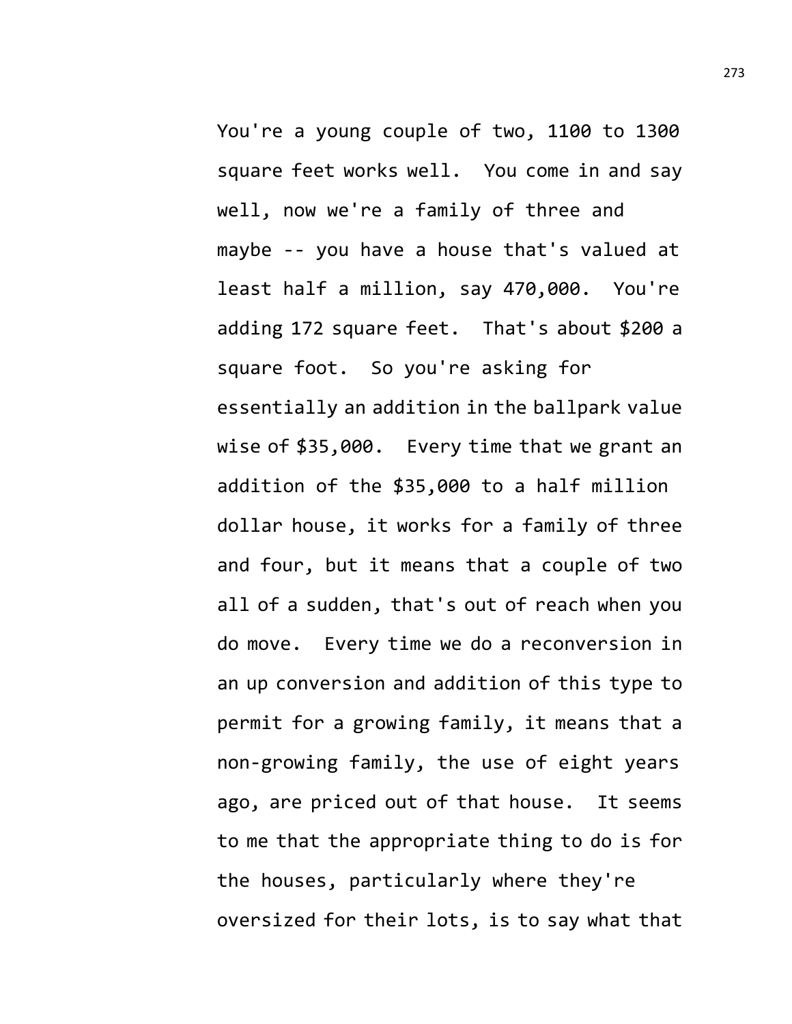You're a young couple of two, 1100 to 1300 square feet works well. You come in and say well, now we're a family of three and maybe -- you have a house that's valued at least half a million, say 470,000. You're adding 172 square feet. That's about \$200 a square foot. So you're asking for essentially an addition in the ballpark value wise of \$35,000. Every time that we grant an addition of the \$35,000 to a half million dollar house, it works for a family of three and four, but it means that a couple of two all of a sudden, that's out of reach when you do move. Every time we do a reconversion in an up conversion and addition of this type to permit for a growing family, it means that a non-growing family, the use of eight years ago, are priced out of that house. It seems to me that the appropriate thing to do is for the houses, particularly where they're oversized for their lots, is to say what that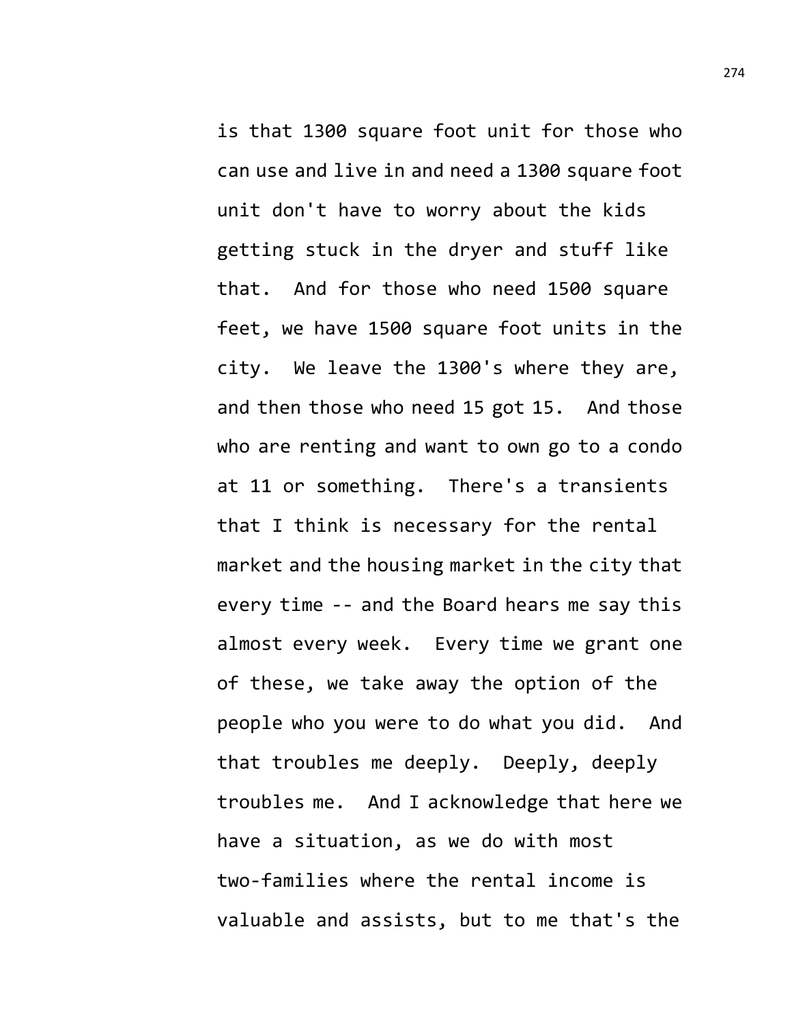is that 1300 square foot unit for those who can use and live in and need a 1300 square foot unit don't have to worry about the kids getting stuck in the dryer and stuff like that. And for those who need 1500 square feet, we have 1500 square foot units in the city. We leave the 1300's where they are, and then those who need 15 got 15. And those who are renting and want to own go to a condo at 11 or something. There's a transients that I think is necessary for the rental market and the housing market in the city that every time -- and the Board hears me say this almost every week. Every time we grant one of these, we take away the option of the people who you were to do what you did. And that troubles me deeply. Deeply, deeply troubles me. And I acknowledge that here we have a situation, as we do with most two-families where the rental income is valuable and assists, but to me that's the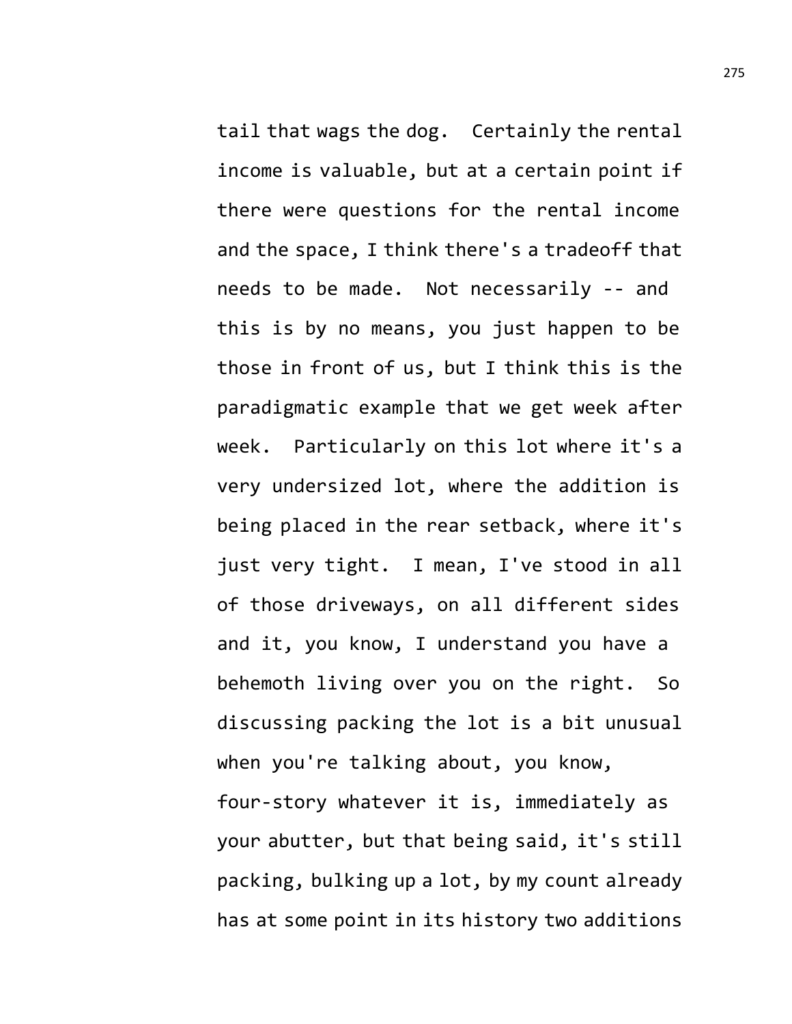tail that wags the dog. Certainly the rental income is valuable, but at a certain point if there were questions for the rental income and the space, I think there's a tradeoff that needs to be made. Not necessarily -- and this is by no means, you just happen to be those in front of us, but I think this is the paradigmatic example that we get week after week. Particularly on this lot where it's a very undersized lot, where the addition is being placed in the rear setback, where it's just very tight. I mean, I've stood in all of those driveways, on all different sides and it, you know, I understand you have a behemoth living over you on the right. So discussing packing the lot is a bit unusual when you're talking about, you know, four-story whatever it is, immediately as your abutter, but that being said, it's still packing, bulking up a lot, by my count already has at some point in its history two additions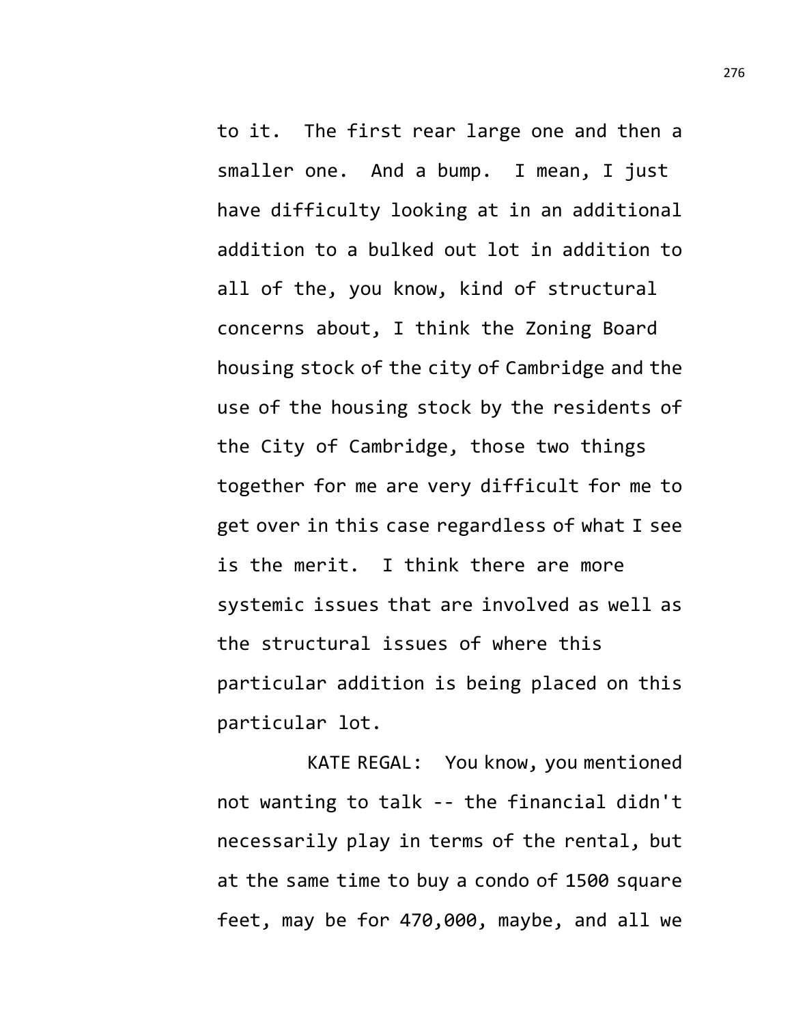to it. The first rear large one and then a smaller one. And a bump. I mean, I just have difficulty looking at in an additional addition to a bulked out lot in addition to all of the, you know, kind of structural concerns about, I think the Zoning Board housing stock of the city of Cambridge and the use of the housing stock by the residents of the City of Cambridge, those two things together for me are very difficult for me to get over in this case regardless of what I see is the merit. I think there are more systemic issues that are involved as well as the structural issues of where this particular addition is being placed on this particular lot.

KATE REGAL: You know, you mentioned not wanting to talk -- the financial didn't necessarily play in terms of the rental, but at the same time to buy a condo of 1500 square feet, may be for 470,000, maybe, and all we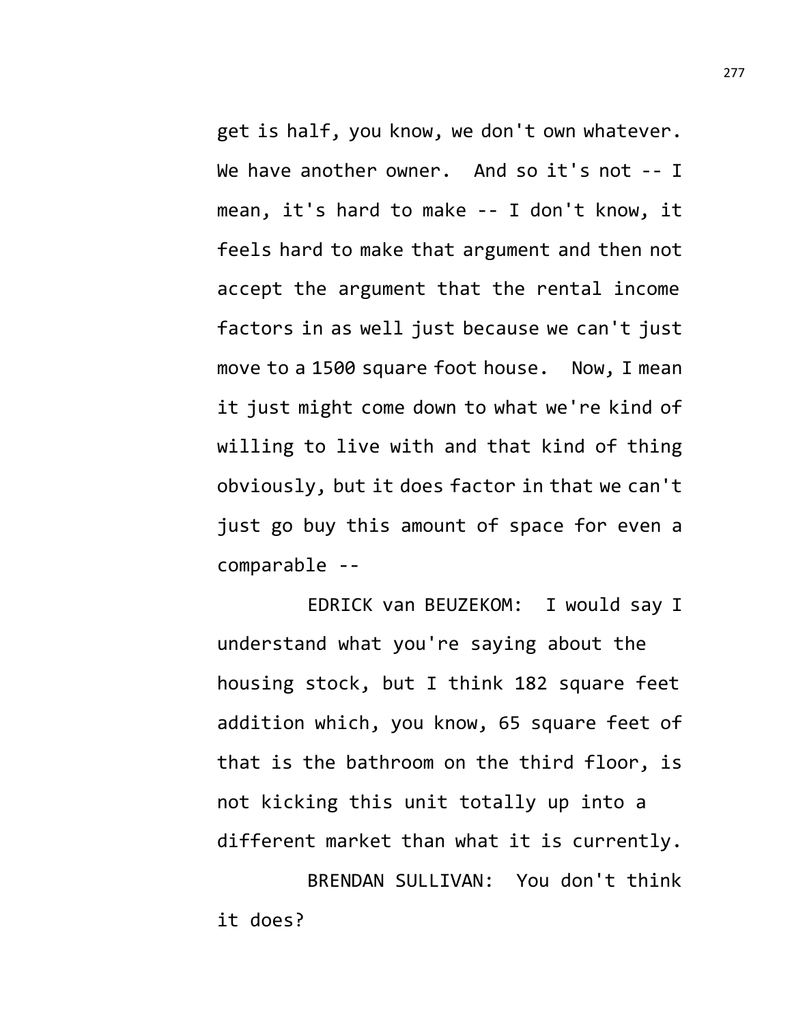get is half, you know, we don't own whatever. We have another owner. And so it's not -- I mean, it's hard to make -- I don't know, it feels hard to make that argument and then not accept the argument that the rental income factors in as well just because we can't just move to a 1500 square foot house. Now, I mean it just might come down to what we're kind of willing to live with and that kind of thing obviously, but it does factor in that we can't just go buy this amount of space for even a comparable --

EDRICK van BEUZEKOM: I would say I understand what you're saying about the housing stock, but I think 182 square feet addition which, you know, 65 square feet of that is the bathroom on the third floor, is not kicking this unit totally up into a different market than what it is currently. BRENDAN SULLIVAN: You don't think

it does?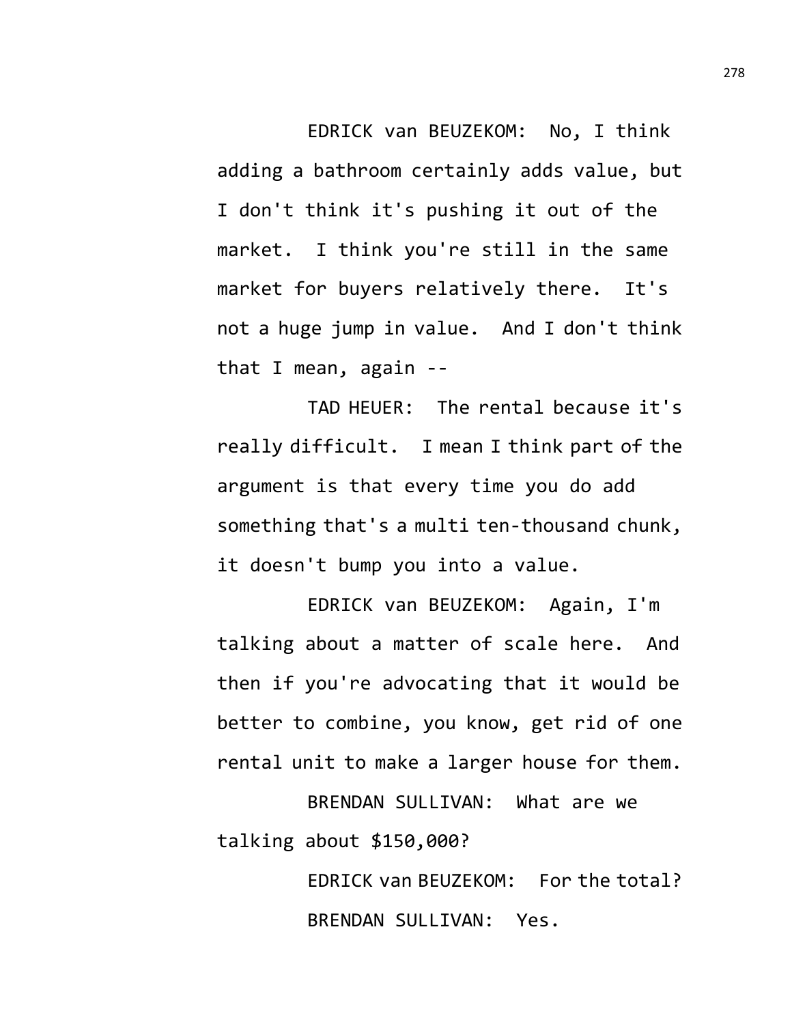EDRICK van BEUZEKOM: No, I think adding a bathroom certainly adds value, but I don't think it's pushing it out of the market. I think you're still in the same market for buyers relatively there. It's not a huge jump in value. And I don't think that I mean, again --

TAD HEUER: The rental because it's really difficult. I mean I think part of the argument is that every time you do add something that's a multi ten-thousand chunk, it doesn't bump you into a value.

EDRICK van BEUZEKOM: Again, I'm talking about a matter of scale here. And then if you're advocating that it would be better to combine, you know, get rid of one rental unit to make a larger house for them.

BRENDAN SULLIVAN: What are we talking about \$150,000?

> EDRICK van BEUZEKOM: For the total? BRENDAN SULLIVAN: Yes.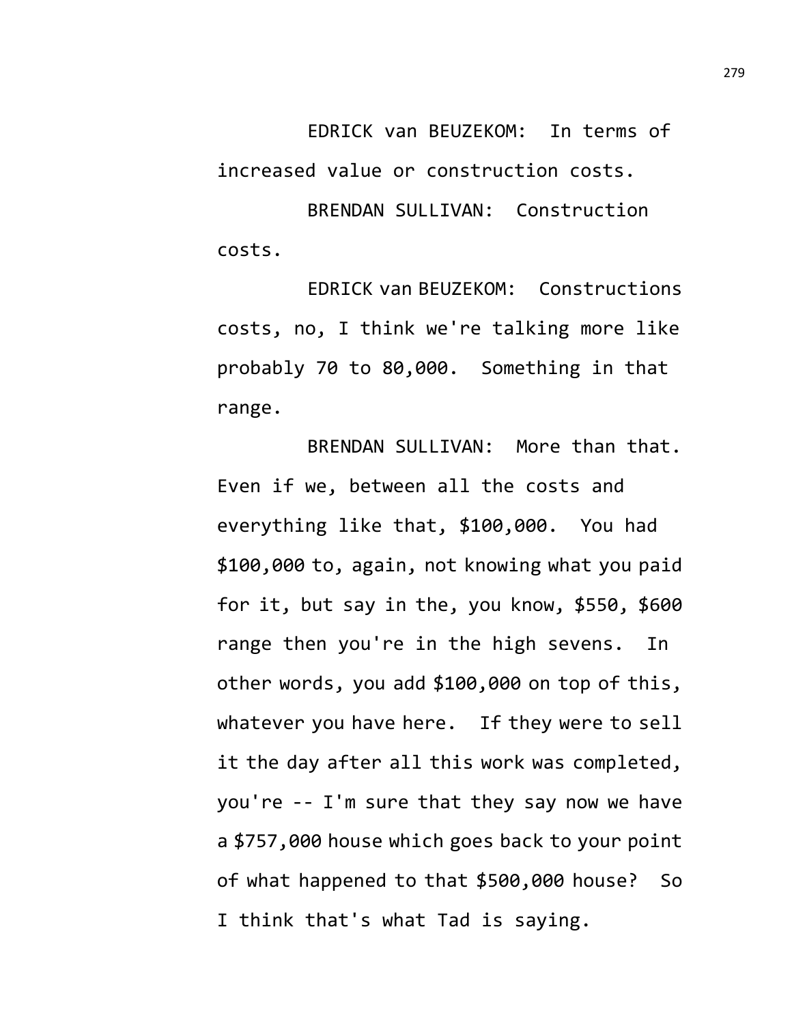EDRICK van BEUZEKOM: In terms of increased value or construction costs.

BRENDAN SULLIVAN: Construction costs.

EDRICK van BEUZEKOM: Constructions costs, no, I think we're talking more like probably 70 to 80,000. Something in that range.

BRENDAN SULLIVAN: More than that. Even if we, between all the costs and everything like that, \$100,000. You had \$100,000 to, again, not knowing what you paid for it, but say in the, you know, \$550, \$600 range then you're in the high sevens. In other words, you add \$100,000 on top of this, whatever you have here. If they were to sell it the day after all this work was completed, you're -- I'm sure that they say now we have a \$757,000 house which goes back to your point of what happened to that \$500,000 house? So I think that's what Tad is saying.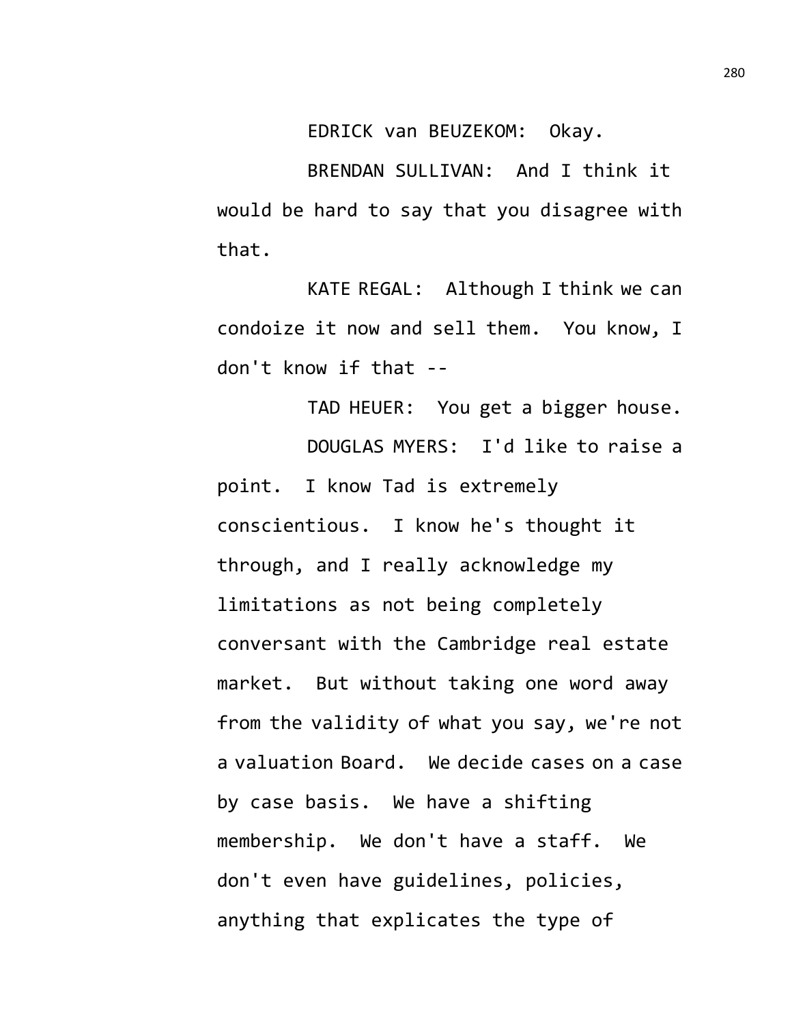EDRICK van BEUZEKOM: Okay.

BRENDAN SULLIVAN: And I think it would be hard to say that you disagree with that.

KATE REGAL: Although I think we can condoize it now and sell them. You know, I don't know if that --

TAD HEUER: You get a bigger house. DOUGLAS MYERS: I'd like to raise a point. I know Tad is extremely conscientious. I know he's thought it through, and I really acknowledge my limitations as not being completely conversant with the Cambridge real estate market. But without taking one word away from the validity of what you say, we're not a valuation Board. We decide cases on a case by case basis. We have a shifting membership. We don't have a staff. We don't even have guidelines, policies, anything that explicates the type of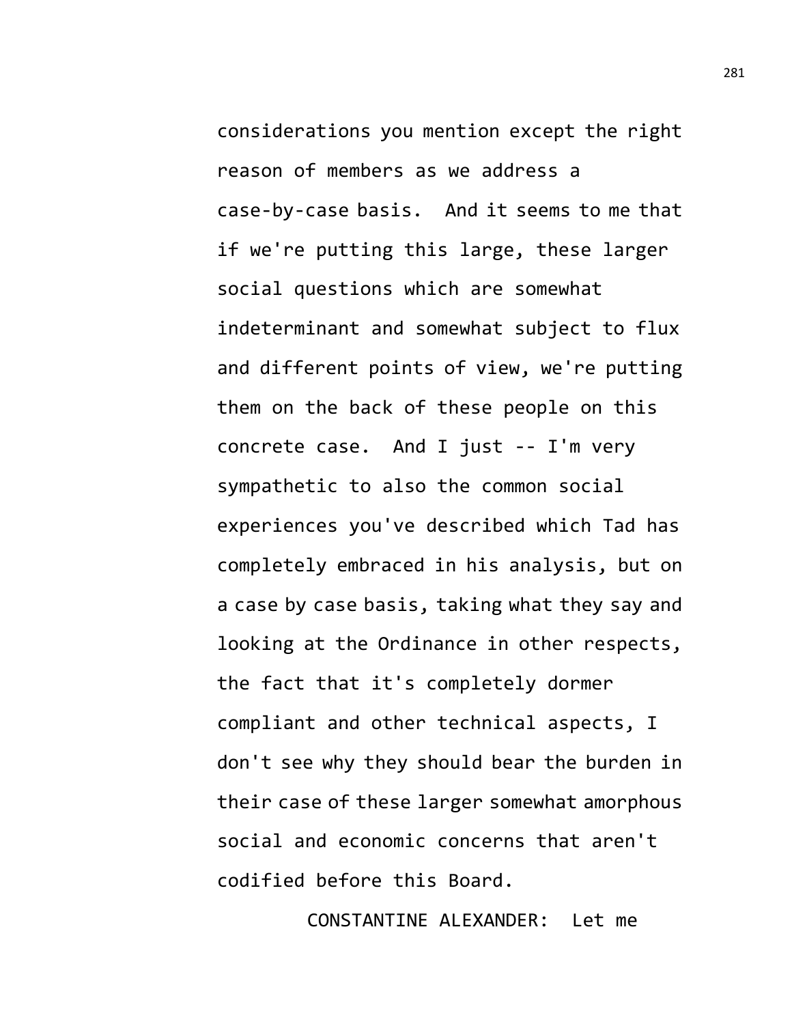considerations you mention except the right reason of members as we address a case-by-case basis. And it seems to me that if we're putting this large, these larger social questions which are somewhat indeterminant and somewhat subject to flux and different points of view, we're putting them on the back of these people on this concrete case. And I just -- I'm very sympathetic to also the common social experiences you've described which Tad has completely embraced in his analysis, but on a case by case basis, taking what they say and looking at the Ordinance in other respects, the fact that it's completely dormer compliant and other technical aspects, I don't see why they should bear the burden in their case of these larger somewhat amorphous social and economic concerns that aren't codified before this Board.

CONSTANTINE ALEXANDER: Let me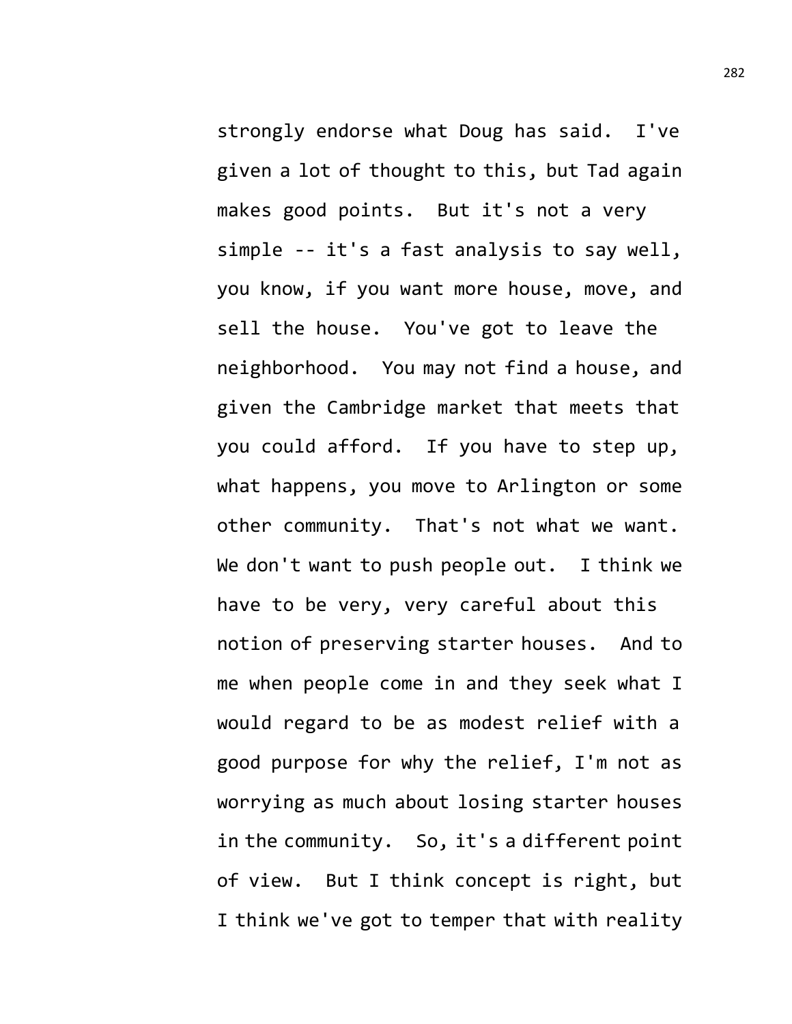strongly endorse what Doug has said. I've given a lot of thought to this, but Tad again makes good points. But it's not a very simple -- it's a fast analysis to say well, you know, if you want more house, move, and sell the house. You've got to leave the neighborhood. You may not find a house, and given the Cambridge market that meets that you could afford. If you have to step up, what happens, you move to Arlington or some other community. That's not what we want. We don't want to push people out. I think we have to be very, very careful about this notion of preserving starter houses. And to me when people come in and they seek what I would regard to be as modest relief with a good purpose for why the relief, I'm not as worrying as much about losing starter houses in the community. So, it's a different point of view. But I think concept is right, but I think we've got to temper that with reality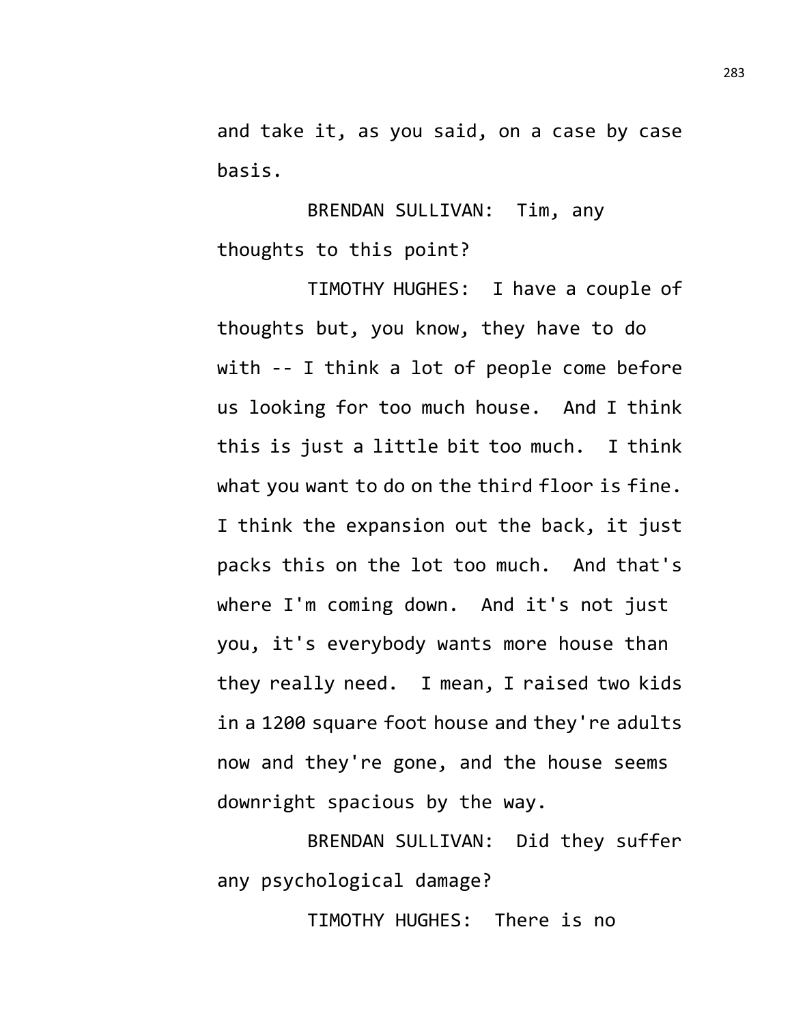and take it, as you said, on a case by case basis.

BRENDAN SULLIVAN: Tim, any thoughts to this point?

TIMOTHY HUGHES: I have a couple of thoughts but, you know, they have to do with -- I think a lot of people come before us looking for too much house. And I think this is just a little bit too much. I think what you want to do on the third floor is fine. I think the expansion out the back, it just packs this on the lot too much. And that's where I'm coming down. And it's not just you, it's everybody wants more house than they really need. I mean, I raised two kids in a 1200 square foot house and they're adults now and they're gone, and the house seems downright spacious by the way.

BRENDAN SULLIVAN: Did they suffer any psychological damage?

TIMOTHY HUGHES: There is no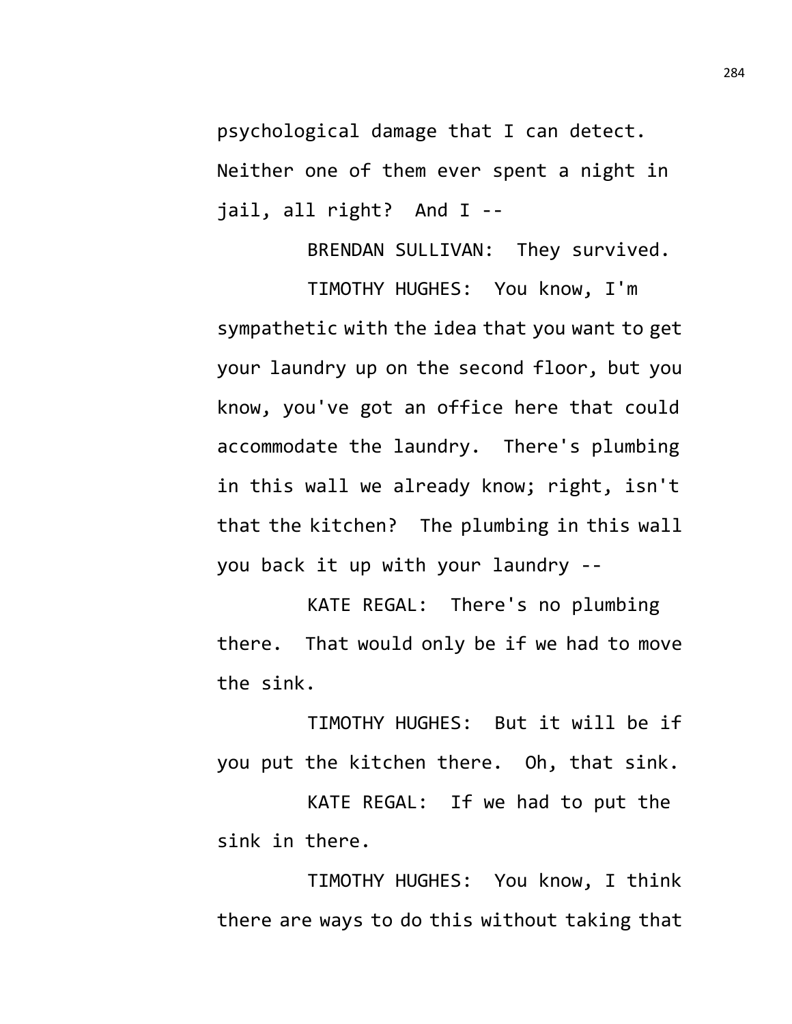psychological damage that I can detect. Neither one of them ever spent a night in jail, all right? And I --

BRENDAN SULLIVAN: They survived.

TIMOTHY HUGHES: You know, I'm sympathetic with the idea that you want to get your laundry up on the second floor, but you know, you've got an office here that could accommodate the laundry. There's plumbing in this wall we already know; right, isn't that the kitchen? The plumbing in this wall you back it up with your laundry --

KATE REGAL: There's no plumbing there. That would only be if we had to move the sink.

TIMOTHY HUGHES: But it will be if you put the kitchen there. Oh, that sink.

KATE REGAL: If we had to put the sink in there.

TIMOTHY HUGHES: You know, I think there are ways to do this without taking that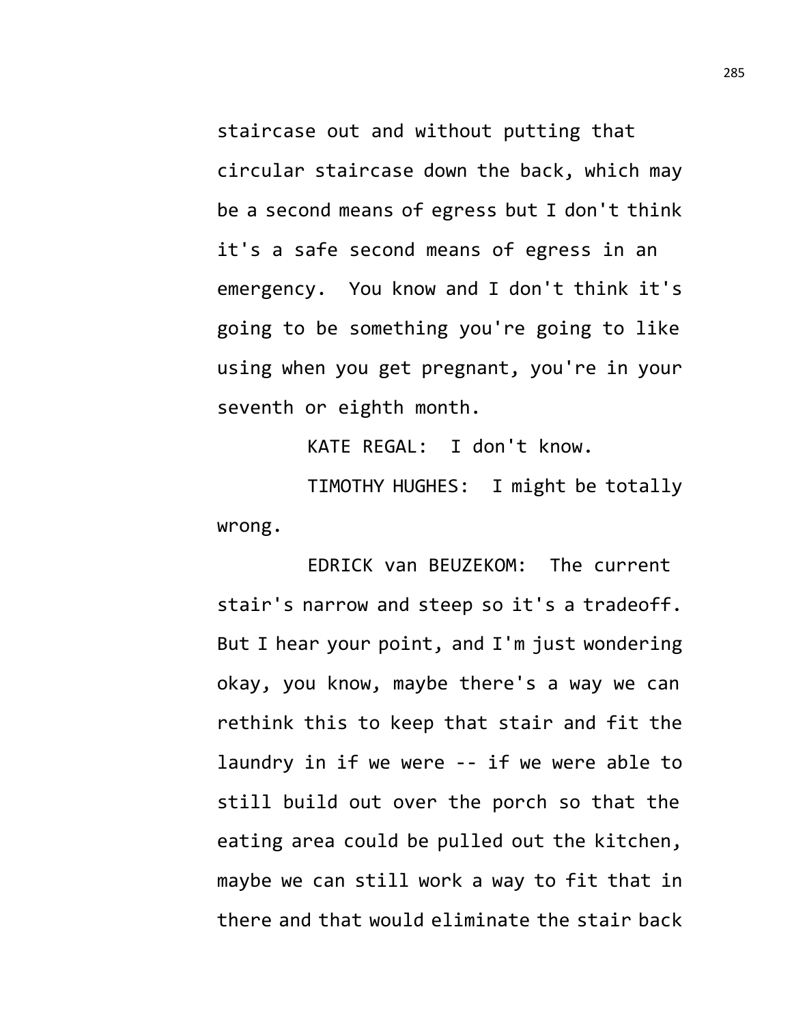staircase out and without putting that circular staircase down the back, which may be a second means of egress but I don't think it's a safe second means of egress in an emergency. You know and I don't think it's going to be something you're going to like using when you get pregnant, you're in your seventh or eighth month.

KATE REGAL: I don't know.

TIMOTHY HUGHES: I might be totally wrong.

EDRICK van BEUZEKOM: The current stair's narrow and steep so it's a tradeoff. But I hear your point, and I'm just wondering okay, you know, maybe there's a way we can rethink this to keep that stair and fit the laundry in if we were -- if we were able to still build out over the porch so that the eating area could be pulled out the kitchen, maybe we can still work a way to fit that in there and that would eliminate the stair back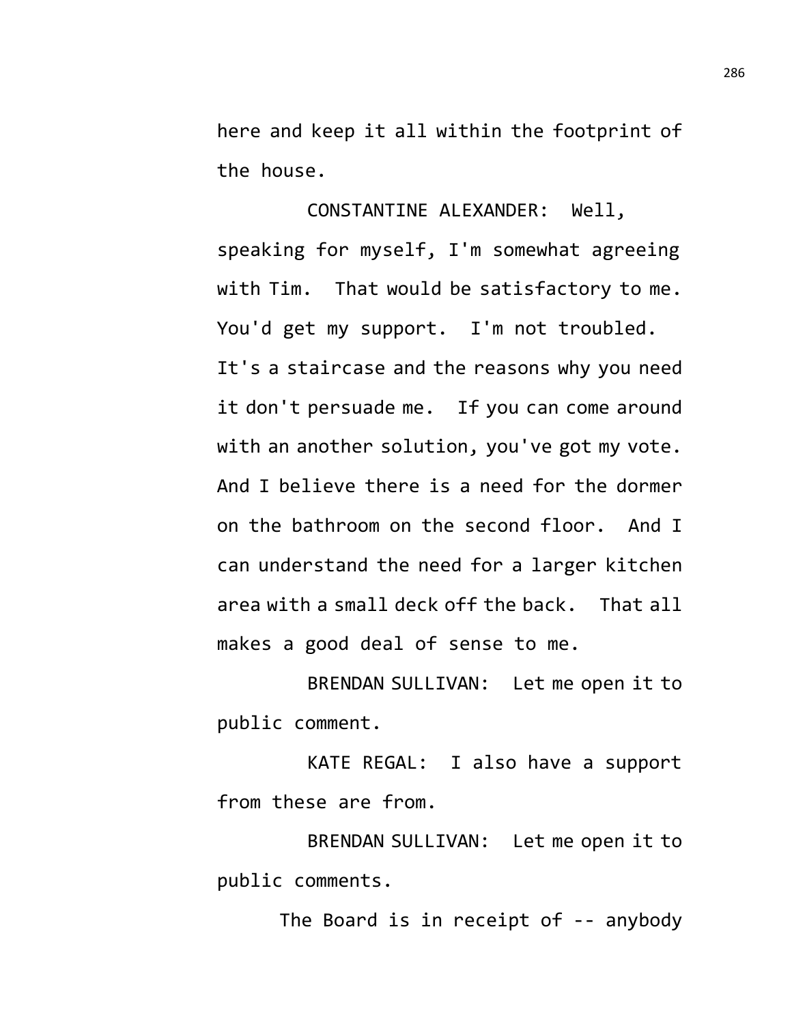here and keep it all within the footprint of the house.

CONSTANTINE ALEXANDER: Well, speaking for myself, I'm somewhat agreeing with Tim. That would be satisfactory to me. You'd get my support. I'm not troubled. It's a staircase and the reasons why you need it don't persuade me. If you can come around with an another solution, you've got my vote. And I believe there is a need for the dormer on the bathroom on the second floor. And I can understand the need for a larger kitchen area with a small deck off the back. That all makes a good deal of sense to me.

BRENDAN SULLIVAN: Let me open it to public comment.

KATE REGAL: I also have a support from these are from.

BRENDAN SULLIVAN: Let me open it to public comments.

The Board is in receipt of -- anybody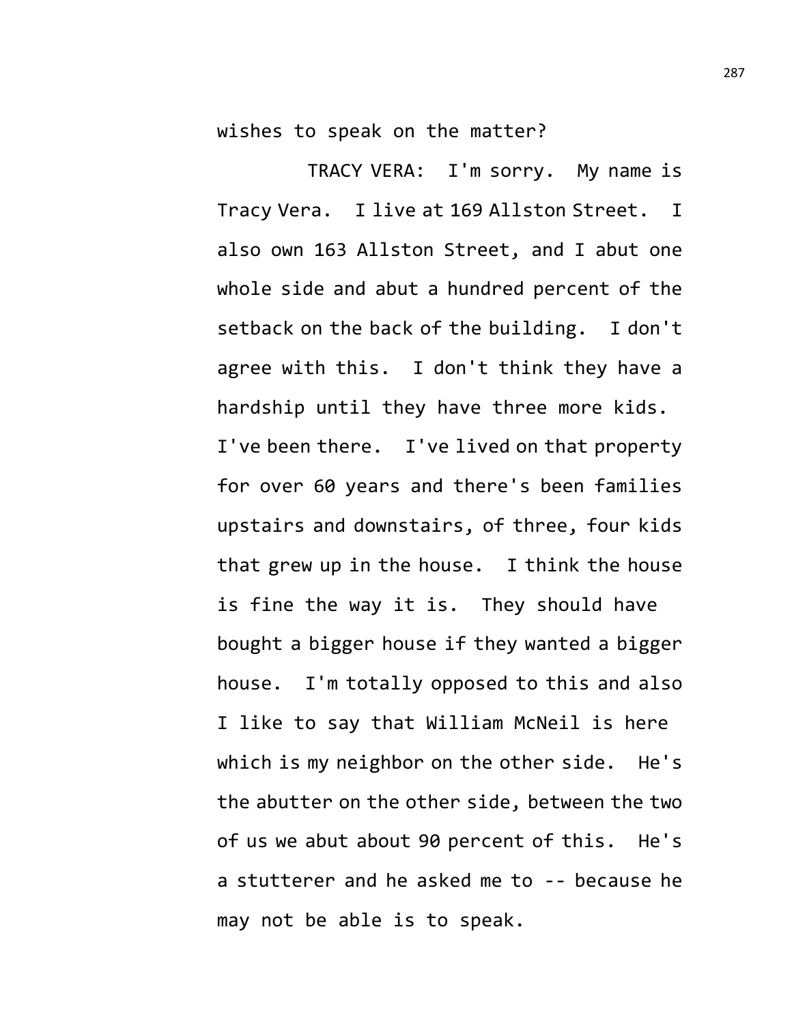wishes to speak on the matter?

TRACY VERA: I'm sorry. My name is Tracy Vera. I live at 169 Allston Street. I also own 163 Allston Street, and I abut one whole side and abut a hundred percent of the setback on the back of the building. I don't agree with this. I don't think they have a hardship until they have three more kids. I've been there. I've lived on that property for over 60 years and there's been families upstairs and downstairs, of three, four kids that grew up in the house. I think the house is fine the way it is. They should have bought a bigger house if they wanted a bigger house. I'm totally opposed to this and also I like to say that William McNeil is here which is my neighbor on the other side. He's the abutter on the other side, between the two of us we abut about 90 percent of this. He's a stutterer and he asked me to -- because he may not be able is to speak.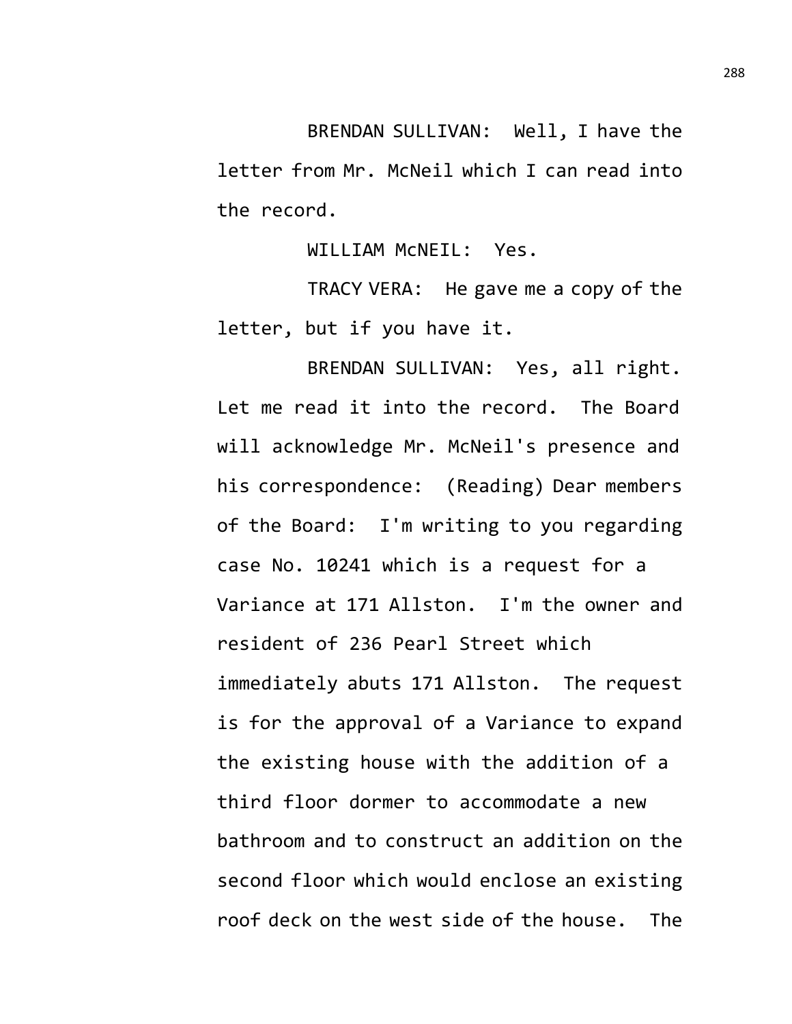BRENDAN SULLIVAN: Well, I have the letter from Mr. McNeil which I can read into the record.

WILLIAM McNEIL: Yes.

TRACY VERA: He gave me a copy of the letter, but if you have it.

BRENDAN SULLIVAN: Yes, all right. Let me read it into the record. The Board will acknowledge Mr. McNeil's presence and his correspondence: (Reading) Dear members of the Board: I'm writing to you regarding case No. 10241 which is a request for a Variance at 171 Allston. I'm the owner and resident of 236 Pearl Street which immediately abuts 171 Allston. The request is for the approval of a Variance to expand the existing house with the addition of a third floor dormer to accommodate a new bathroom and to construct an addition on the second floor which would enclose an existing roof deck on the west side of the house. The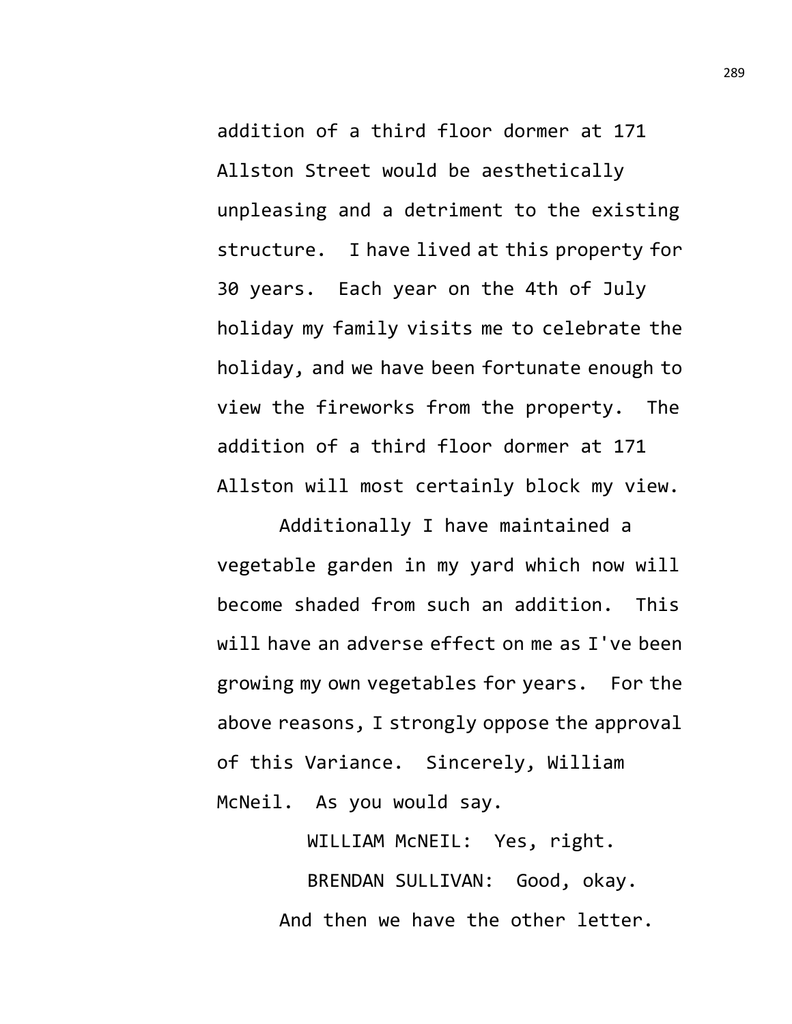addition of a third floor dormer at 171 Allston Street would be aesthetically unpleasing and a detriment to the existing structure. I have lived at this property for 30 years. Each year on the 4th of July holiday my family visits me to celebrate the holiday, and we have been fortunate enough to view the fireworks from the property. The addition of a third floor dormer at 171 Allston will most certainly block my view.

Additionally I have maintained a vegetable garden in my yard which now will become shaded from such an addition. This will have an adverse effect on me as I've been growing my own vegetables for years. For the above reasons, I strongly oppose the approval of this Variance. Sincerely, William McNeil. As you would say.

> WILLIAM McNEIL: Yes, right. BRENDAN SULLIVAN: Good, okay. And then we have the other letter.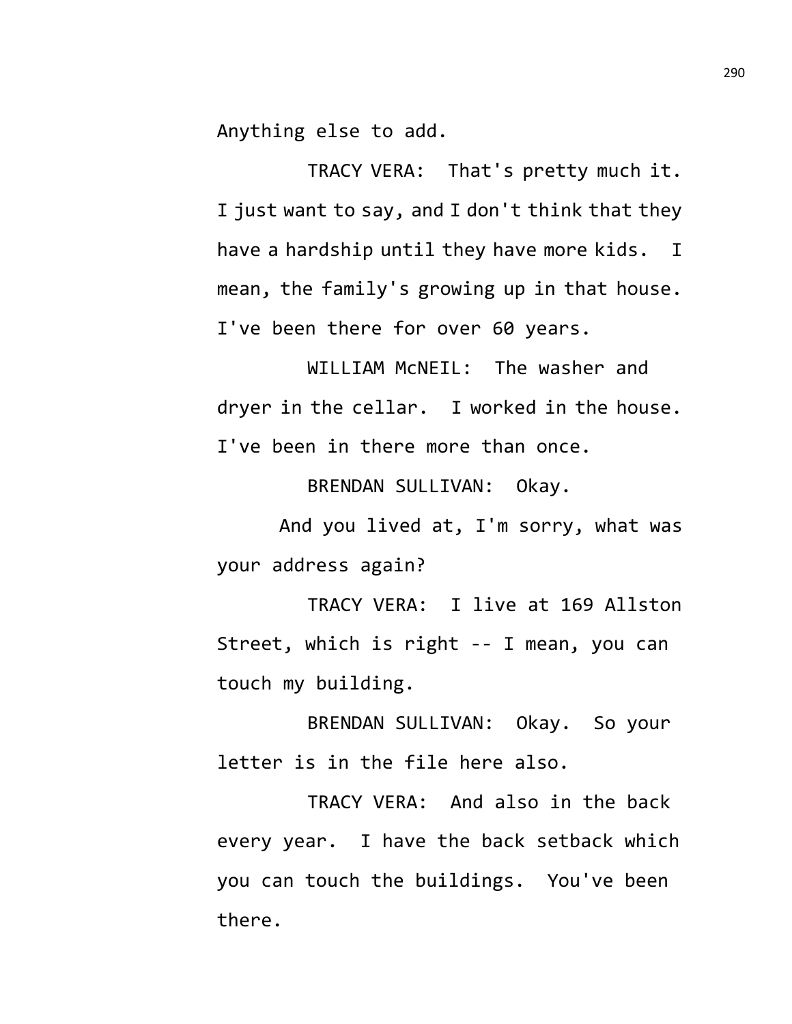Anything else to add.

TRACY VERA: That's pretty much it. I just want to say, and I don't think that they have a hardship until they have more kids. I mean, the family's growing up in that house. I've been there for over 60 years.

WILLIAM McNEIL: The washer and dryer in the cellar. I worked in the house. I've been in there more than once.

BRENDAN SULLIVAN: Okay.

And you lived at, I'm sorry, what was your address again?

TRACY VERA: I live at 169 Allston Street, which is right -- I mean, you can touch my building.

BRENDAN SULLIVAN: Okay. So your letter is in the file here also.

TRACY VERA: And also in the back every year. I have the back setback which you can touch the buildings. You've been there.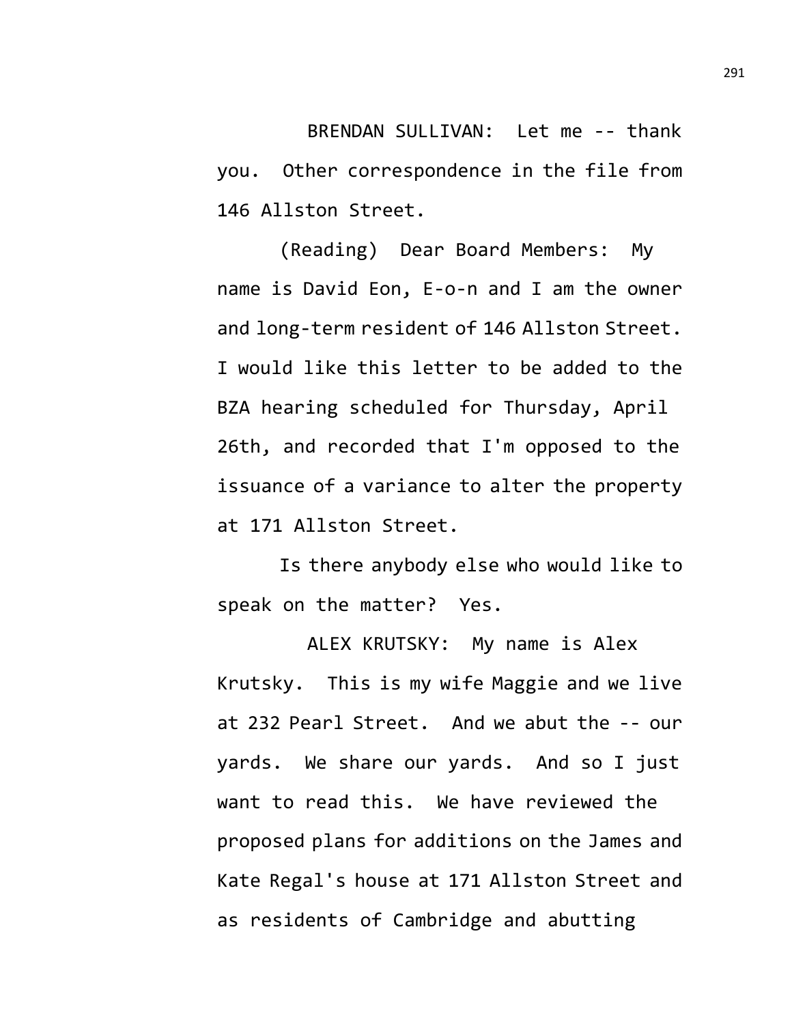BRENDAN SULLIVAN: Let me -- thank you. Other correspondence in the file from 146 Allston Street.

(Reading) Dear Board Members: My name is David Eon, E-o-n and I am the owner and long-term resident of 146 Allston Street. I would like this letter to be added to the BZA hearing scheduled for Thursday, April 26th, and recorded that I'm opposed to the issuance of a variance to alter the property at 171 Allston Street.

Is there anybody else who would like to speak on the matter? Yes.

ALEX KRUTSKY: My name is Alex Krutsky. This is my wife Maggie and we live at 232 Pearl Street. And we abut the -- our yards. We share our yards. And so I just want to read this. We have reviewed the proposed plans for additions on the James and Kate Regal's house at 171 Allston Street and as residents of Cambridge and abutting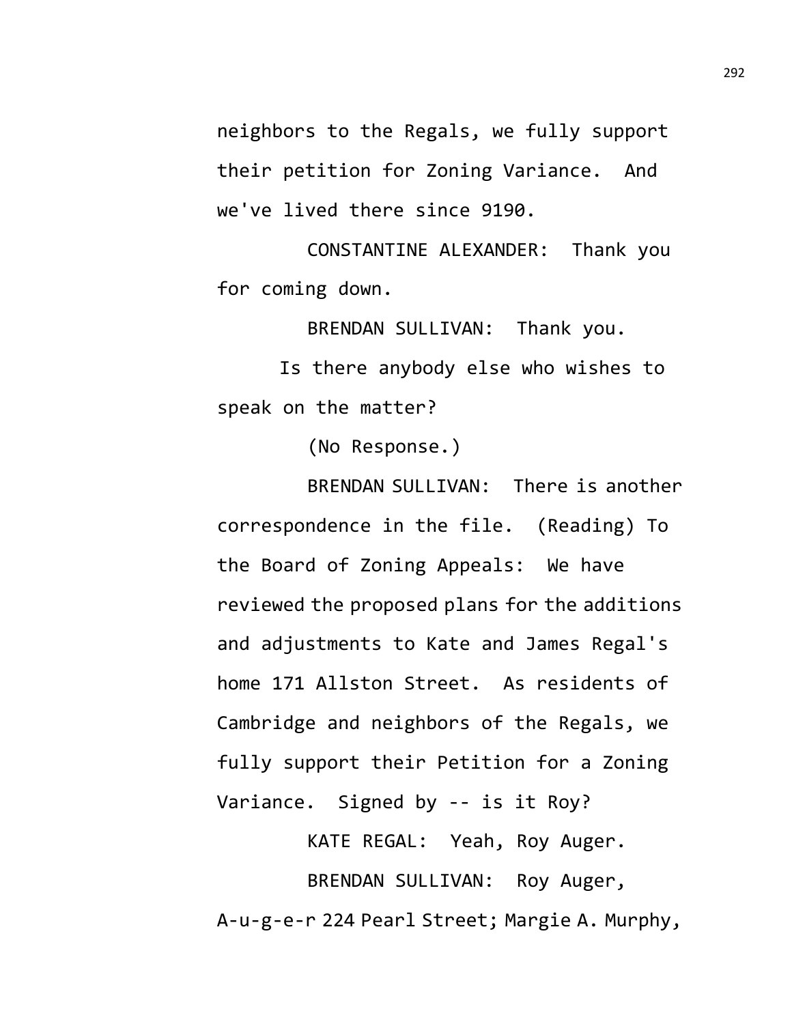neighbors to the Regals, we fully support their petition for Zoning Variance. And we've lived there since 9190.

CONSTANTINE ALEXANDER: Thank you for coming down.

BRENDAN SULLIVAN: Thank you.

Is there anybody else who wishes to speak on the matter?

(No Response.)

BRENDAN SULLIVAN: There is another correspondence in the file. (Reading) To the Board of Zoning Appeals: We have reviewed the proposed plans for the additions and adjustments to Kate and James Regal's home 171 Allston Street. As residents of Cambridge and neighbors of the Regals, we fully support their Petition for a Zoning Variance. Signed by -- is it Roy?

KATE REGAL: Yeah, Roy Auger. BRENDAN SULLIVAN: Roy Auger, A-u-g-e-r 224 Pearl Street; Margie A. Murphy,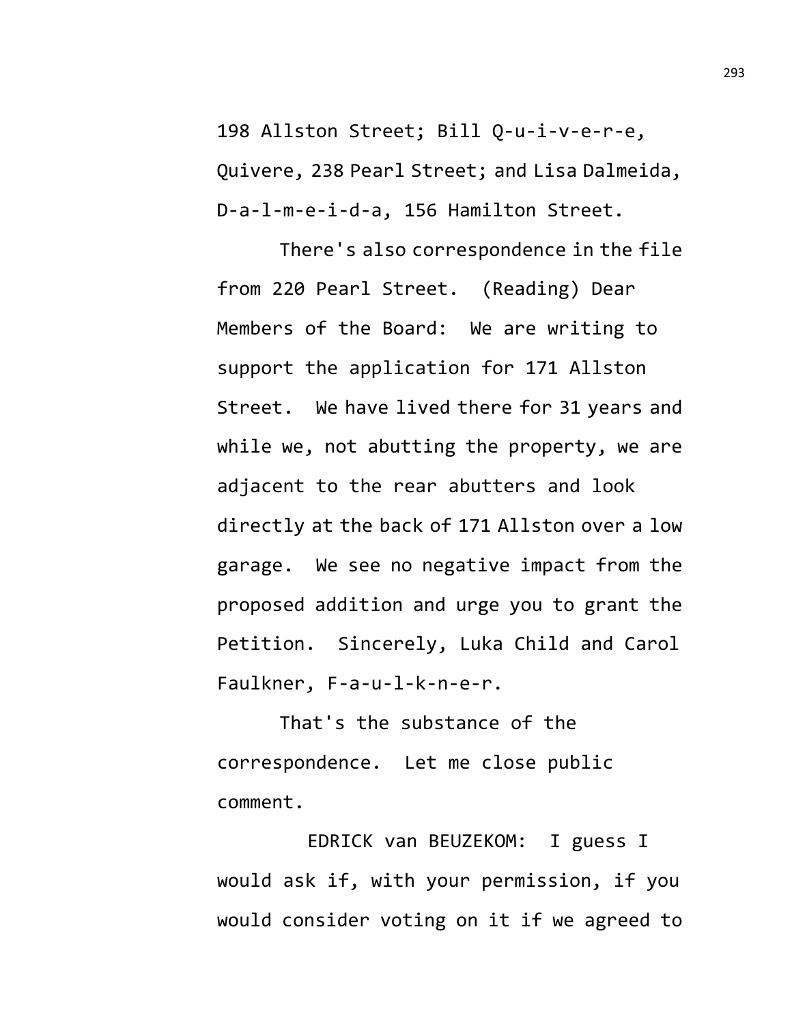198 Allston Street; Bill Q-u-i-v-e-r-e, Quivere, 238 Pearl Street; and Lisa Dalmeida, D-a-l-m-e-i-d-a, 156 Hamilton Street.

There's also correspondence in the file from 220 Pearl Street. (Reading) Dear Members of the Board: We are writing to support the application for 171 Allston Street. We have lived there for 31 years and while we, not abutting the property, we are adjacent to the rear abutters and look directly at the back of 171 Allston over a low garage. We see no negative impact from the proposed addition and urge you to grant the Petition. Sincerely, Luka Child and Carol Faulkner, F-a-u-l-k-n-e-r.

That's the substance of the correspondence. Let me close public comment.

EDRICK van BEUZEKOM: I guess I would ask if, with your permission, if you would consider voting on it if we agreed to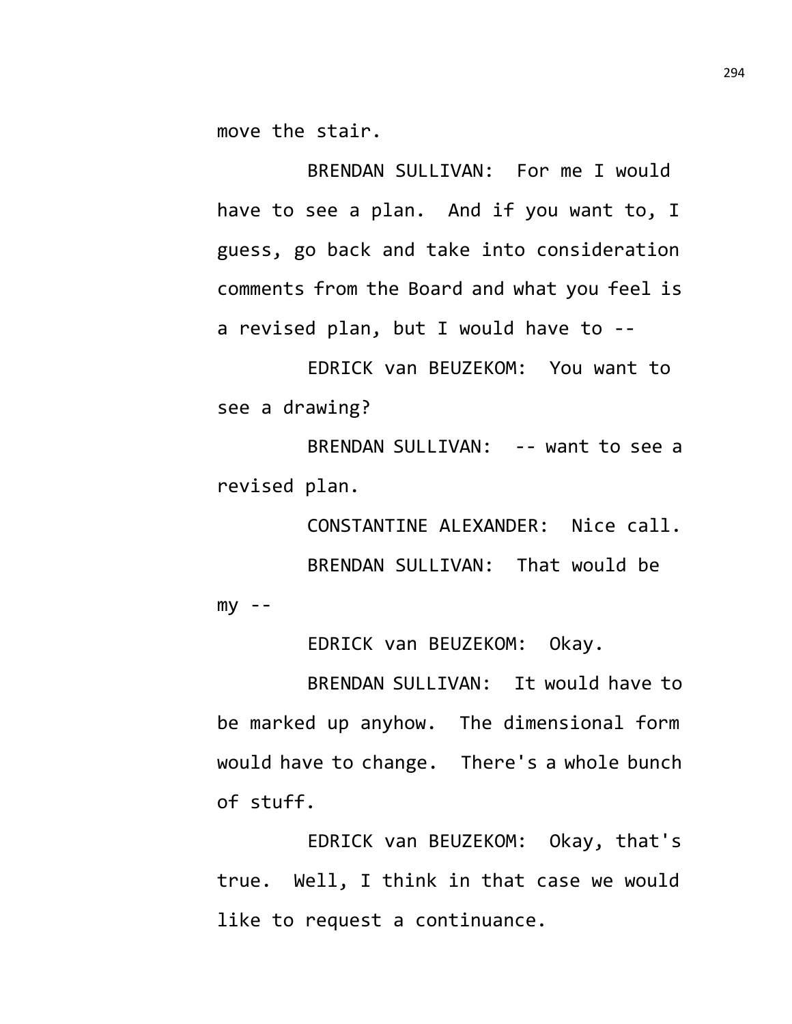move the stair.

BRENDAN SULLIVAN: For me I would have to see a plan. And if you want to, I guess, go back and take into consideration comments from the Board and what you feel is a revised plan, but I would have to --

EDRICK van BEUZEKOM: You want to see a drawing?

BRENDAN SULLIVAN: -- want to see a revised plan.

CONSTANTINE ALEXANDER: Nice call. BRENDAN SULLIVAN: That would be  $my - -$ 

EDRICK van BEUZEKOM: Okay.

BRENDAN SULLIVAN: It would have to be marked up anyhow. The dimensional form would have to change. There's a whole bunch of stuff.

EDRICK van BEUZEKOM: Okay, that's true. Well, I think in that case we would like to request a continuance.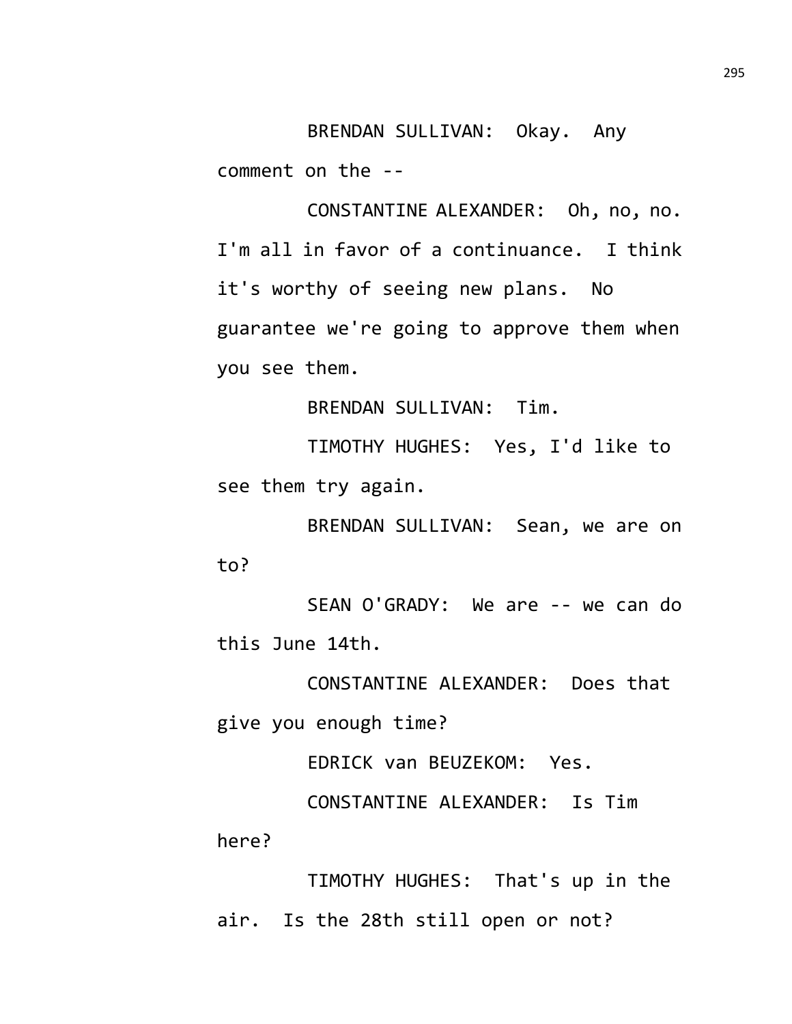BRENDAN SULLIVAN: Okay. Any comment on the --

CONSTANTINE ALEXANDER: Oh, no, no. I'm all in favor of a continuance. I think it's worthy of seeing new plans. No guarantee we're going to approve them when you see them.

BRENDAN SULLIVAN: Tim.

TIMOTHY HUGHES: Yes, I'd like to see them try again.

BRENDAN SULLIVAN: Sean, we are on to?

SEAN O'GRADY: We are -- we can do this June 14th.

CONSTANTINE ALEXANDER: Does that give you enough time?

EDRICK van BEUZEKOM: Yes.

CONSTANTINE ALEXANDER: Is Tim here?

TIMOTHY HUGHES: That's up in the air. Is the 28th still open or not?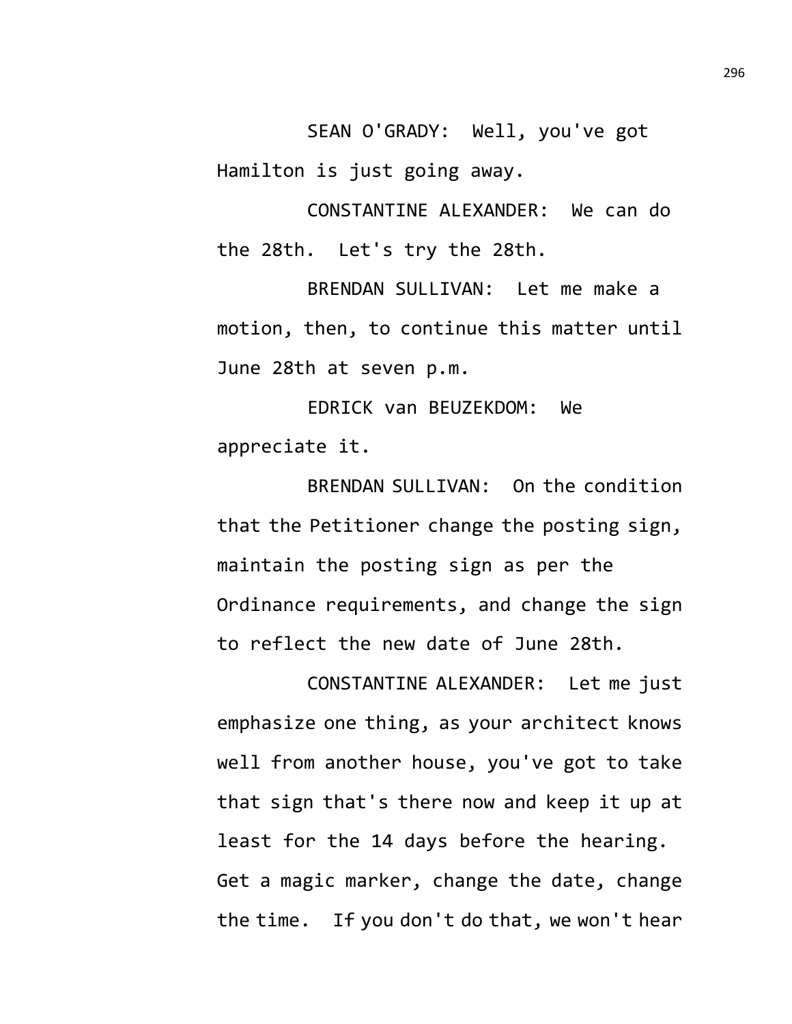SEAN O'GRADY: Well, you've got Hamilton is just going away.

CONSTANTINE ALEXANDER: We can do the 28th. Let's try the 28th.

BRENDAN SULLIVAN: Let me make a motion, then, to continue this matter until June 28th at seven p.m.

EDRICK van BEUZEKDOM: We appreciate it.

BRENDAN SULLIVAN: On the condition that the Petitioner change the posting sign, maintain the posting sign as per the Ordinance requirements, and change the sign to reflect the new date of June 28th.

CONSTANTINE ALEXANDER: Let me just emphasize one thing, as your architect knows well from another house, you've got to take that sign that's there now and keep it up at least for the 14 days before the hearing. Get a magic marker, change the date, change the time. If you don't do that, we won't hear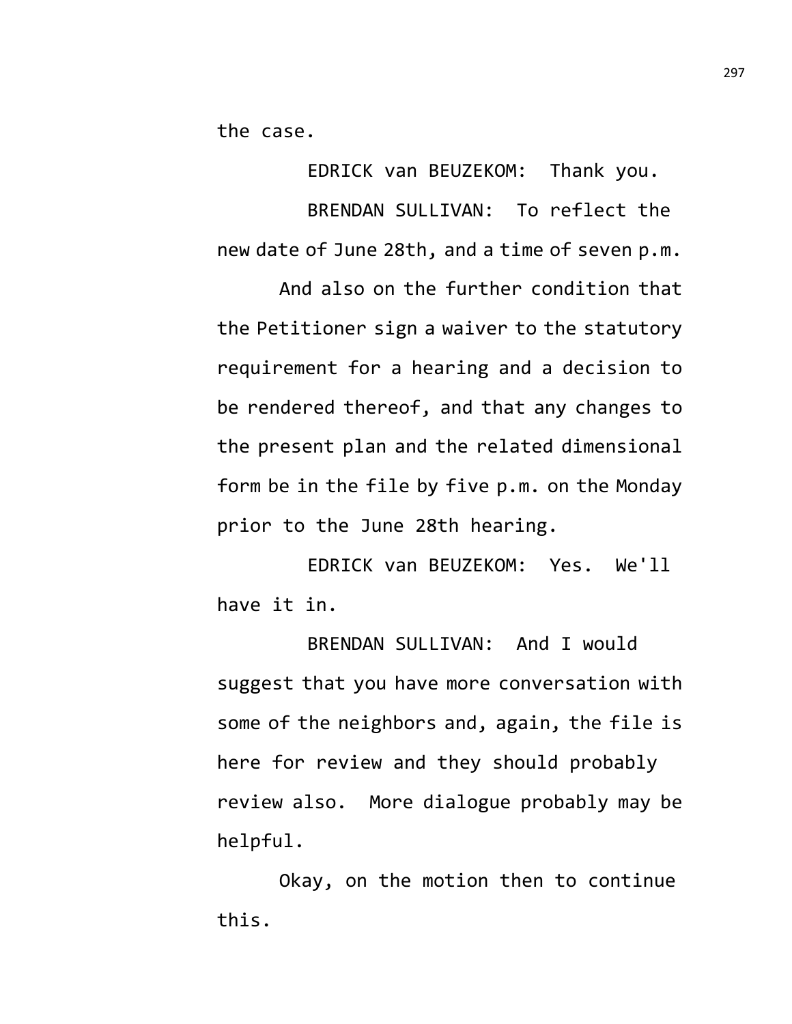the case.

EDRICK van BEUZEKOM: Thank you. BRENDAN SULLIVAN: To reflect the new date of June 28th, and a time of seven p.m.

And also on the further condition that the Petitioner sign a waiver to the statutory requirement for a hearing and a decision to be rendered thereof, and that any changes to the present plan and the related dimensional form be in the file by five p.m. on the Monday prior to the June 28th hearing.

EDRICK van BEUZEKOM: Yes. We'll have it in.

BRENDAN SULLIVAN: And I would suggest that you have more conversation with some of the neighbors and, again, the file is here for review and they should probably review also. More dialogue probably may be helpful.

Okay, on the motion then to continue this.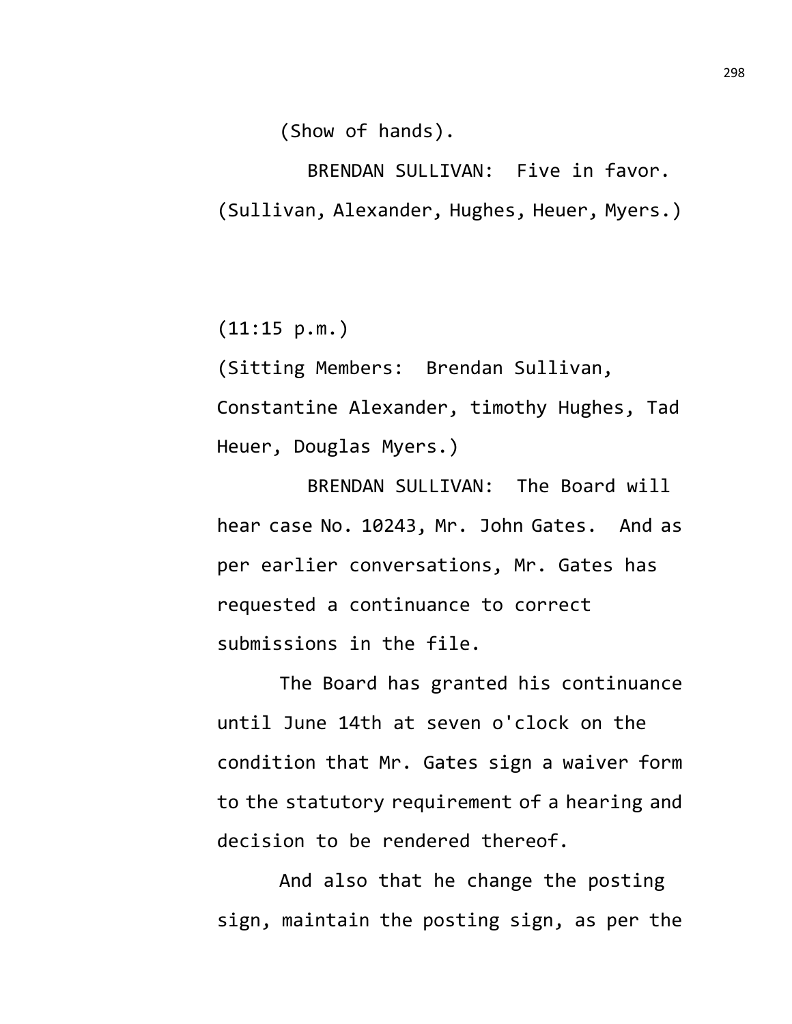(Show of hands).

BRENDAN SULLIVAN: Five in favor. (Sullivan, Alexander, Hughes, Heuer, Myers.)

 $(11:15 p.m.)$ 

(Sitting Members: Brendan Sullivan, Constantine Alexander, timothy Hughes, Tad Heuer, Douglas Myers.)

BRENDAN SULLIVAN: The Board will hear case No. 10243, Mr. John Gates. And as per earlier conversations, Mr. Gates has requested a continuance to correct submissions in the file.

The Board has granted his continuance until June 14th at seven o'clock on the condition that Mr. Gates sign a waiver form to the statutory requirement of a hearing and decision to be rendered thereof.

And also that he change the posting sign, maintain the posting sign, as per the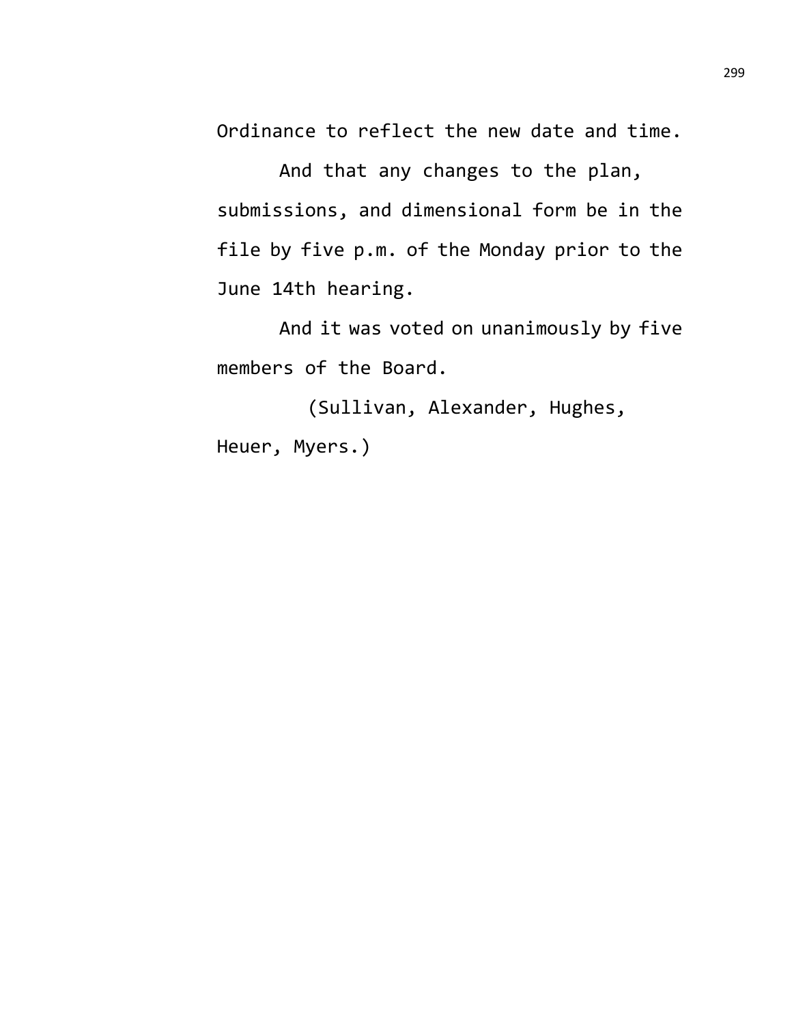Ordinance to reflect the new date and time.

And that any changes to the plan, submissions, and dimensional form be in the file by five p.m. of the Monday prior to the June 14th hearing.

And it was voted on unanimously by five members of the Board.

(Sullivan, Alexander, Hughes, Heuer, Myers.)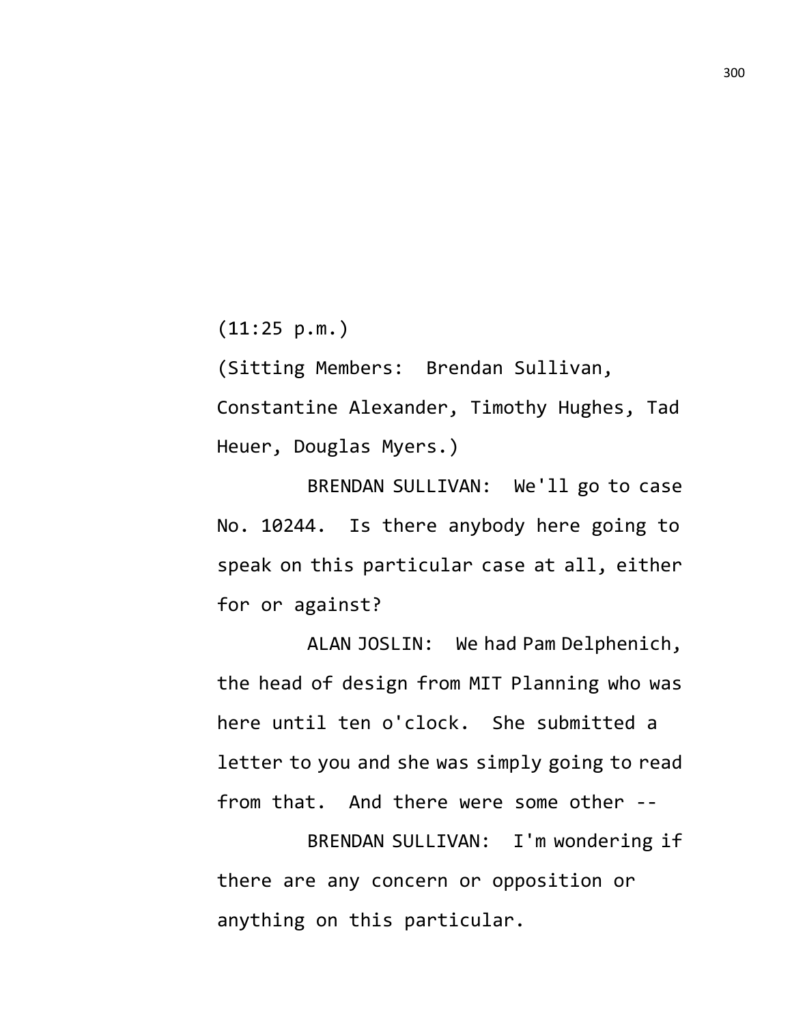(11:25 p.m.)

(Sitting Members: Brendan Sullivan, Constantine Alexander, Timothy Hughes, Tad Heuer, Douglas Myers.)

BRENDAN SULLIVAN: We'll go to case No. 10244. Is there anybody here going to speak on this particular case at all, either for or against?

ALAN JOSLIN: We had Pam Delphenich, the head of design from MIT Planning who was here until ten o'clock. She submitted a letter to you and she was simply going to read from that. And there were some other --

BRENDAN SULLIVAN: I'm wondering if there are any concern or opposition or anything on this particular.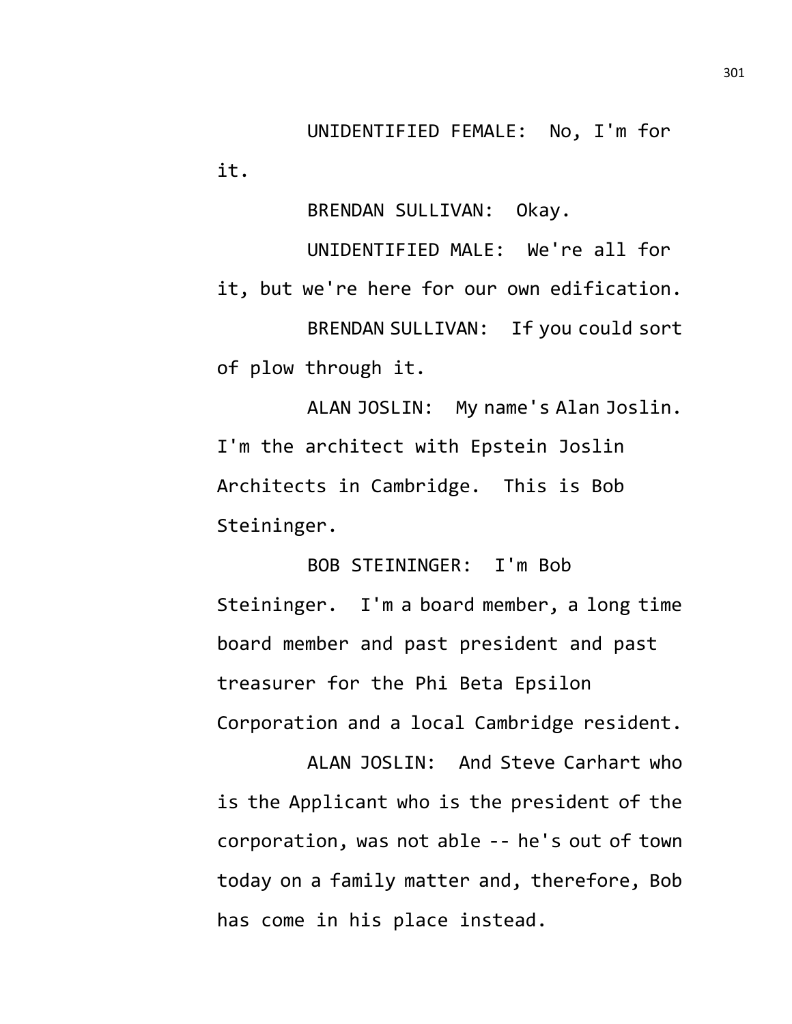UNIDENTIFIED FEMALE: No, I'm for it.

BRENDAN SULLIVAN: Okay.

UNIDENTIFIED MALE: We're all for it, but we're here for our own edification. BRENDAN SULLIVAN: If you could sort of plow through it.

ALAN JOSLIN: My name's Alan Joslin. I'm the architect with Epstein Joslin Architects in Cambridge. This is Bob Steininger.

BOB STEININGER: I'm Bob Steininger. I'm a board member, a long time board member and past president and past treasurer for the Phi Beta Epsilon Corporation and a local Cambridge resident.

ALAN JOSLIN: And Steve Carhart who is the Applicant who is the president of the corporation, was not able -- he's out of town today on a family matter and, therefore, Bob has come in his place instead.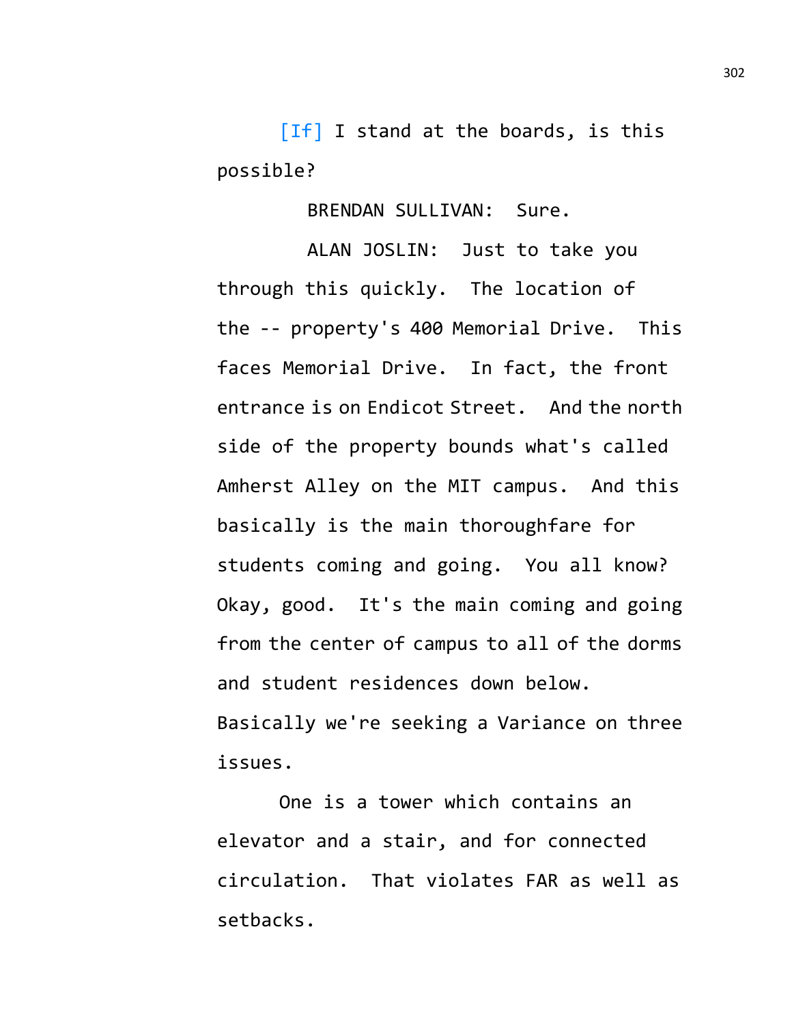[If] I stand at the boards, is this possible?

BRENDAN SULLIVAN: Sure.

ALAN JOSLIN: Just to take you through this quickly. The location of the -- property's 400 Memorial Drive. This faces Memorial Drive. In fact, the front entrance is on Endicot Street. And the north side of the property bounds what's called Amherst Alley on the MIT campus. And this basically is the main thoroughfare for students coming and going. You all know? Okay, good. It's the main coming and going from the center of campus to all of the dorms and student residences down below. Basically we're seeking a Variance on three issues.

One is a tower which contains an elevator and a stair, and for connected circulation. That violates FAR as well as setbacks.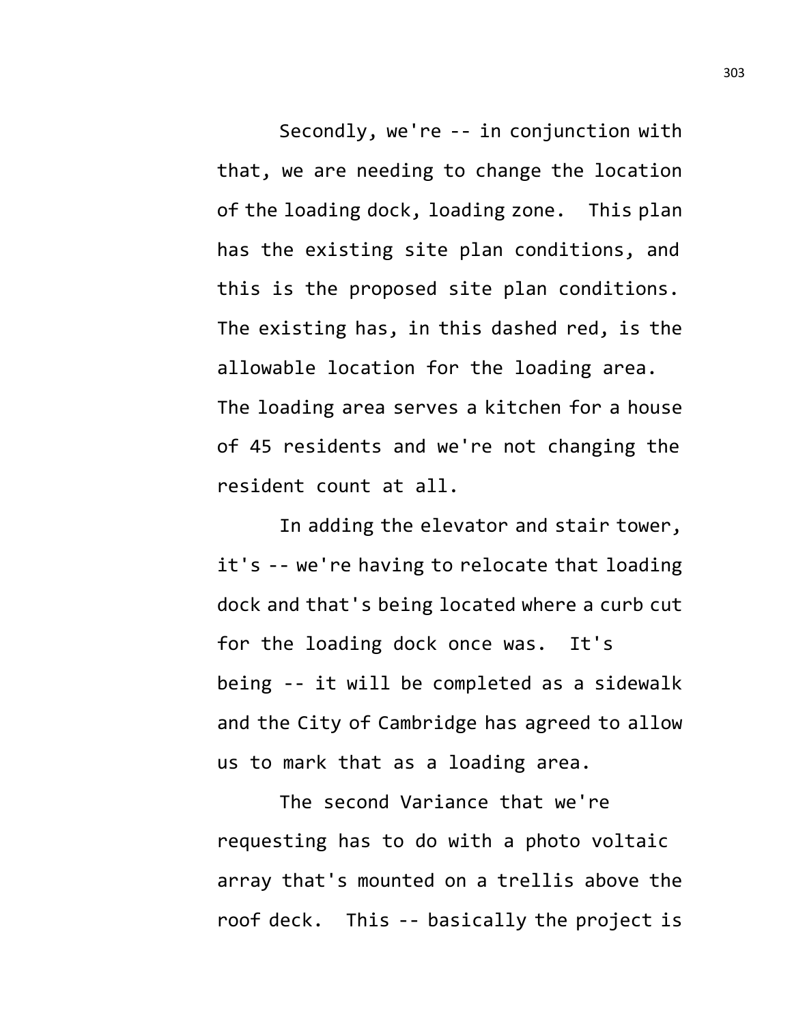Secondly, we're -- in conjunction with that, we are needing to change the location of the loading dock, loading zone. This plan has the existing site plan conditions, and this is the proposed site plan conditions. The existing has, in this dashed red, is the allowable location for the loading area. The loading area serves a kitchen for a house of 45 residents and we're not changing the resident count at all.

In adding the elevator and stair tower, it's -- we're having to relocate that loading dock and that's being located where a curb cut for the loading dock once was. It's being -- it will be completed as a sidewalk and the City of Cambridge has agreed to allow us to mark that as a loading area.

The second Variance that we're requesting has to do with a photo voltaic array that's mounted on a trellis above the roof deck. This -- basically the project is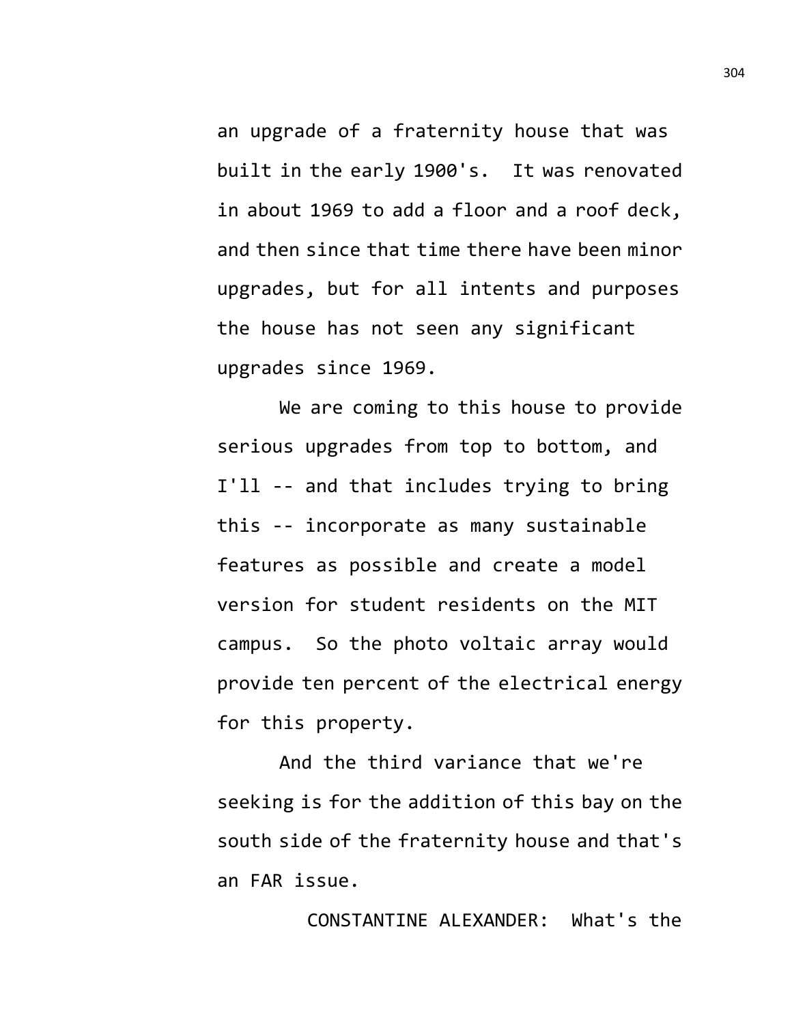an upgrade of a fraternity house that was built in the early 1900's. It was renovated in about 1969 to add a floor and a roof deck, and then since that time there have been minor upgrades, but for all intents and purposes the house has not seen any significant upgrades since 1969.

We are coming to this house to provide serious upgrades from top to bottom, and I'll -- and that includes trying to bring this -- incorporate as many sustainable features as possible and create a model version for student residents on the MIT campus. So the photo voltaic array would provide ten percent of the electrical energy for this property.

And the third variance that we're seeking is for the addition of this bay on the south side of the fraternity house and that's an FAR issue.

CONSTANTINE ALEXANDER: What's the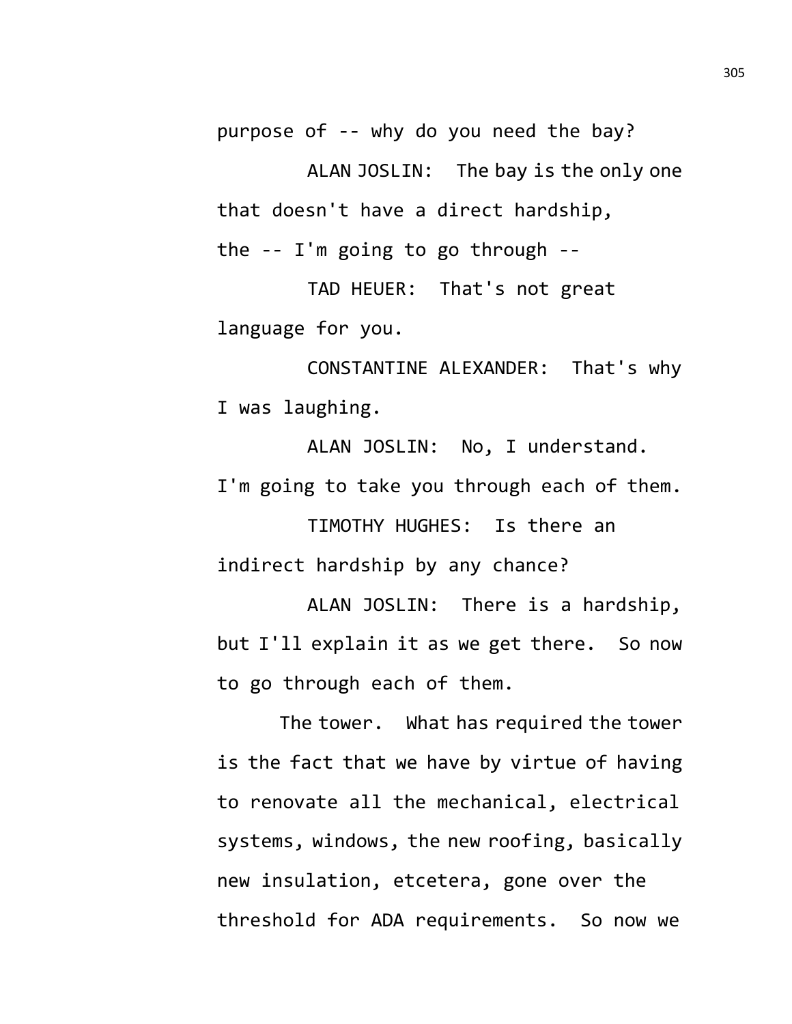purpose of -- why do you need the bay?

ALAN JOSLIN: The bay is the only one that doesn't have a direct hardship,

the -- I'm going to go through --

TAD HEUER: That's not great language for you.

CONSTANTINE ALEXANDER: That's why I was laughing.

ALAN JOSLIN: No, I understand. I'm going to take you through each of them.

TIMOTHY HUGHES: Is there an indirect hardship by any chance?

ALAN JOSLIN: There is a hardship, but I'll explain it as we get there. So now to go through each of them.

The tower. What has required the tower is the fact that we have by virtue of having to renovate all the mechanical, electrical systems, windows, the new roofing, basically new insulation, etcetera, gone over the threshold for ADA requirements. So now we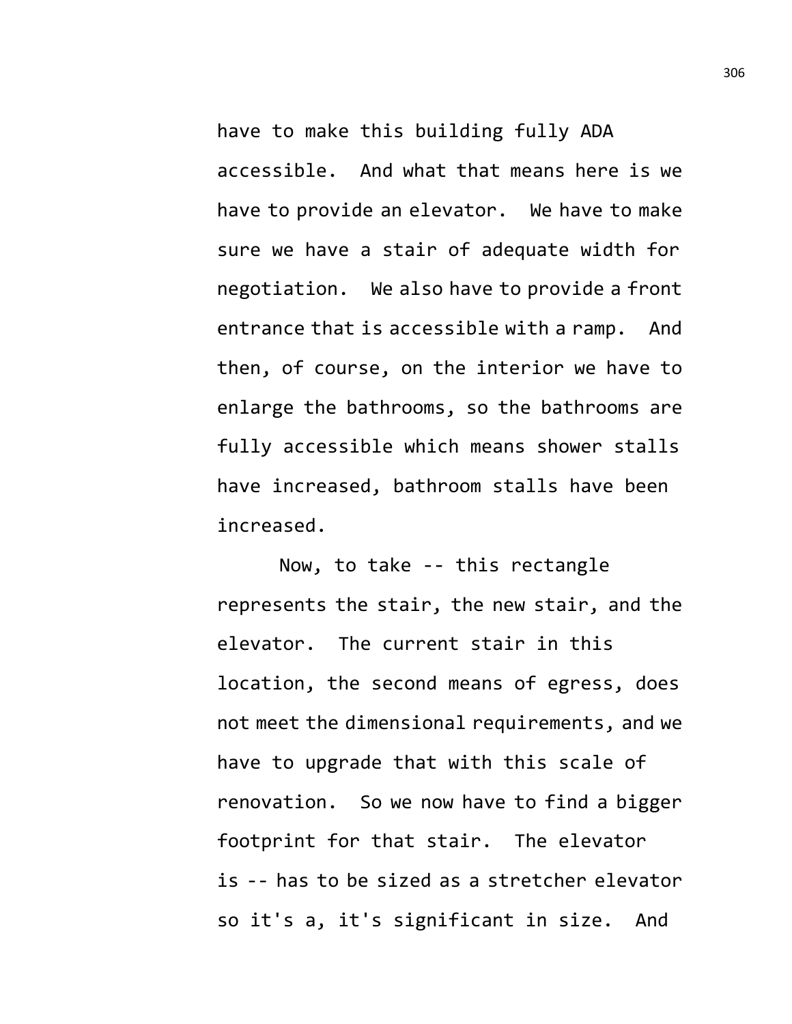have to make this building fully ADA accessible. And what that means here is we have to provide an elevator. We have to make sure we have a stair of adequate width for negotiation. We also have to provide a front entrance that is accessible with a ramp. And then, of course, on the interior we have to enlarge the bathrooms, so the bathrooms are fully accessible which means shower stalls have increased, bathroom stalls have been increased.

Now, to take -- this rectangle represents the stair, the new stair, and the elevator. The current stair in this location, the second means of egress, does not meet the dimensional requirements, and we have to upgrade that with this scale of renovation. So we now have to find a bigger footprint for that stair. The elevator is -- has to be sized as a stretcher elevator so it's a, it's significant in size. And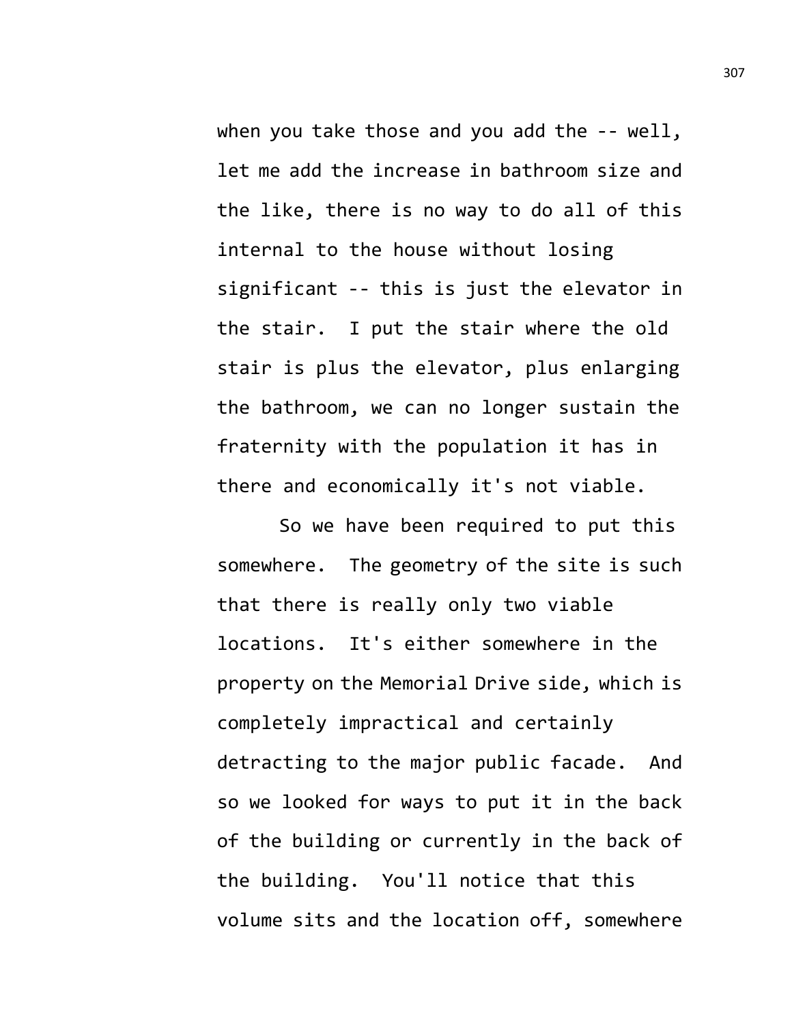when you take those and you add the -- well, let me add the increase in bathroom size and the like, there is no way to do all of this internal to the house without losing significant -- this is just the elevator in the stair. I put the stair where the old stair is plus the elevator, plus enlarging the bathroom, we can no longer sustain the fraternity with the population it has in there and economically it's not viable.

So we have been required to put this somewhere. The geometry of the site is such that there is really only two viable locations. It's either somewhere in the property on the Memorial Drive side, which is completely impractical and certainly detracting to the major public facade. And so we looked for ways to put it in the back of the building or currently in the back of the building. You'll notice that this volume sits and the location off, somewhere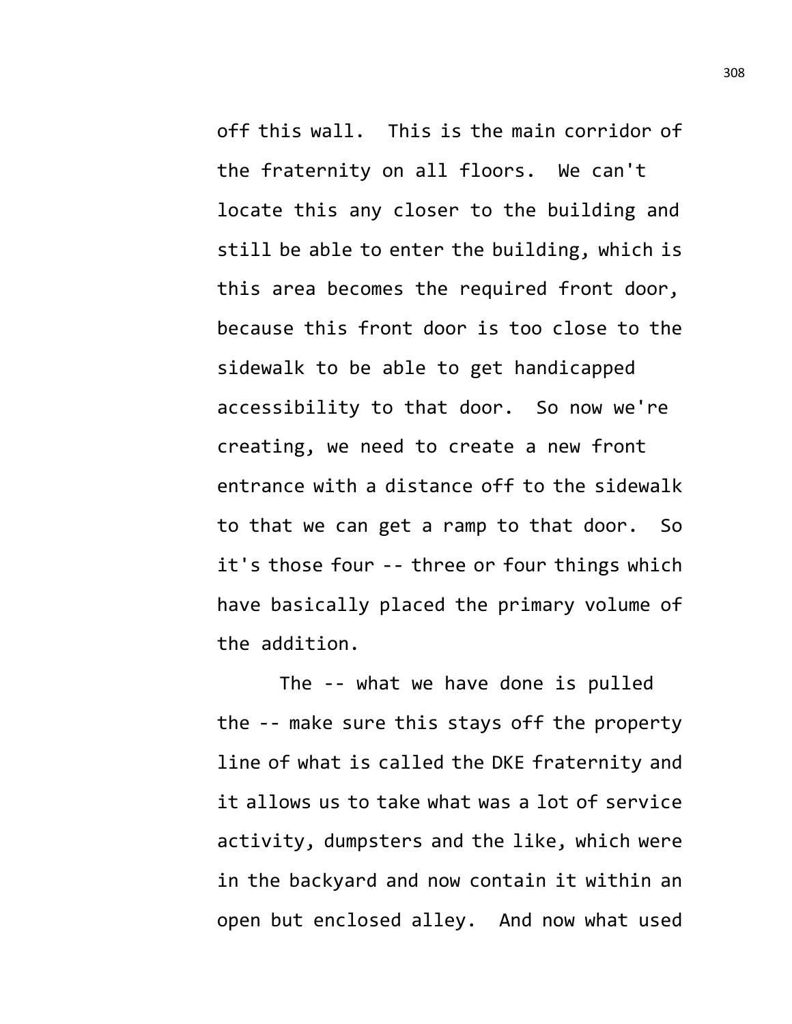off this wall. This is the main corridor of the fraternity on all floors. We can't locate this any closer to the building and still be able to enter the building, which is this area becomes the required front door, because this front door is too close to the sidewalk to be able to get handicapped accessibility to that door. So now we're creating, we need to create a new front entrance with a distance off to the sidewalk to that we can get a ramp to that door. So it's those four -- three or four things which have basically placed the primary volume of the addition.

The -- what we have done is pulled the -- make sure this stays off the property line of what is called the DKE fraternity and it allows us to take what was a lot of service activity, dumpsters and the like, which were in the backyard and now contain it within an open but enclosed alley. And now what used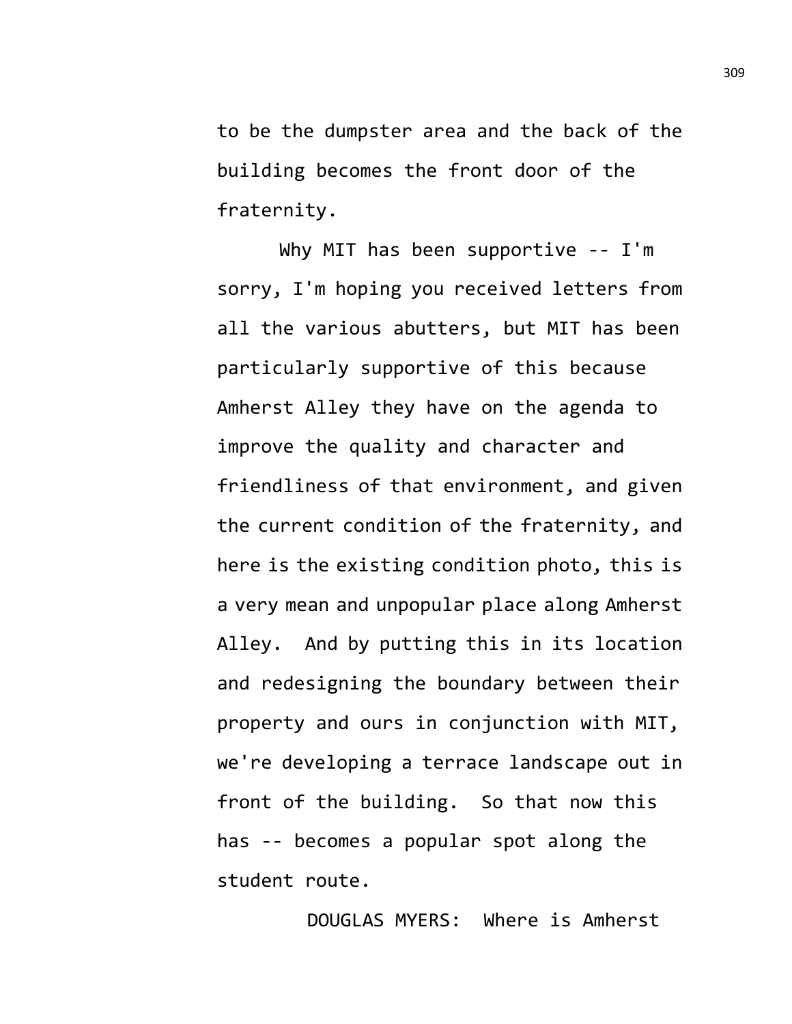to be the dumpster area and the back of the building becomes the front door of the fraternity.

Why MIT has been supportive -- I'm sorry, I'm hoping you received letters from all the various abutters, but MIT has been particularly supportive of this because Amherst Alley they have on the agenda to improve the quality and character and friendliness of that environment, and given the current condition of the fraternity, and here is the existing condition photo, this is a very mean and unpopular place along Amherst Alley. And by putting this in its location and redesigning the boundary between their property and ours in conjunction with MIT, we're developing a terrace landscape out in front of the building. So that now this has -- becomes a popular spot along the student route.

DOUGLAS MYERS: Where is Amherst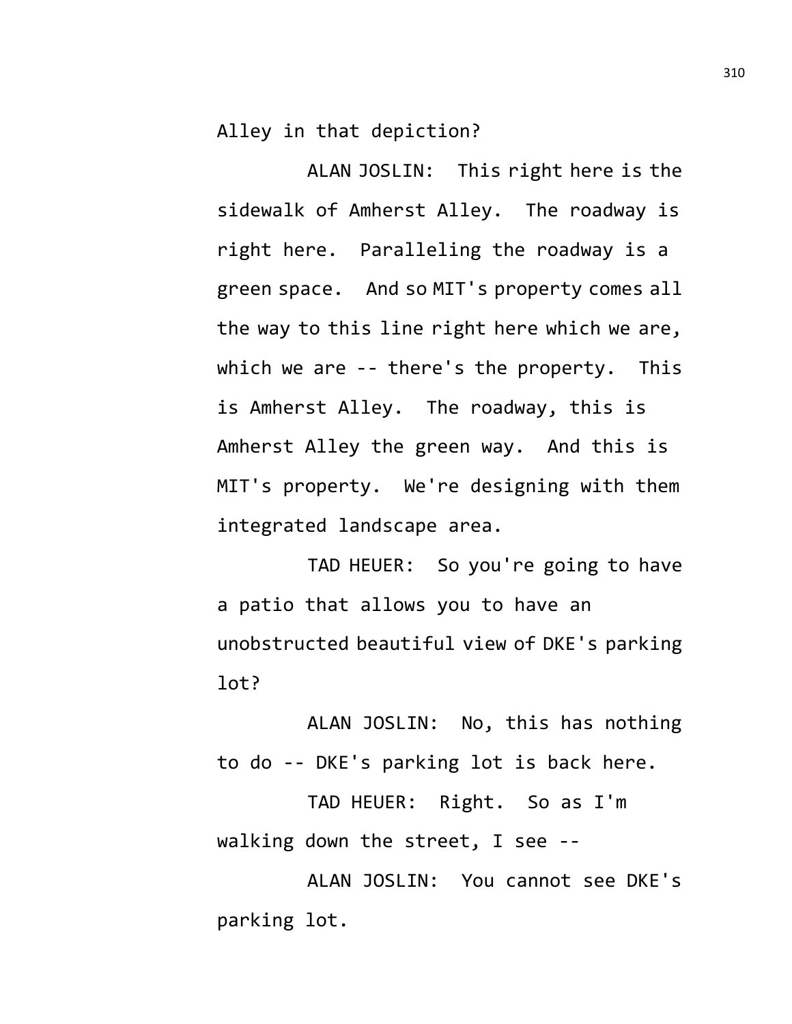Alley in that depiction?

ALAN JOSLIN: This right here is the sidewalk of Amherst Alley. The roadway is right here. Paralleling the roadway is a green space. And so MIT's property comes all the way to this line right here which we are, which we are -- there's the property. This is Amherst Alley. The roadway, this is Amherst Alley the green way. And this is MIT's property. We're designing with them integrated landscape area.

TAD HEUER: So you're going to have a patio that allows you to have an unobstructed beautiful view of DKE's parking lot?

ALAN JOSLIN: No, this has nothing to do -- DKE's parking lot is back here.

TAD HEUER: Right. So as I'm walking down the street, I see --

ALAN JOSLIN: You cannot see DKE's parking lot.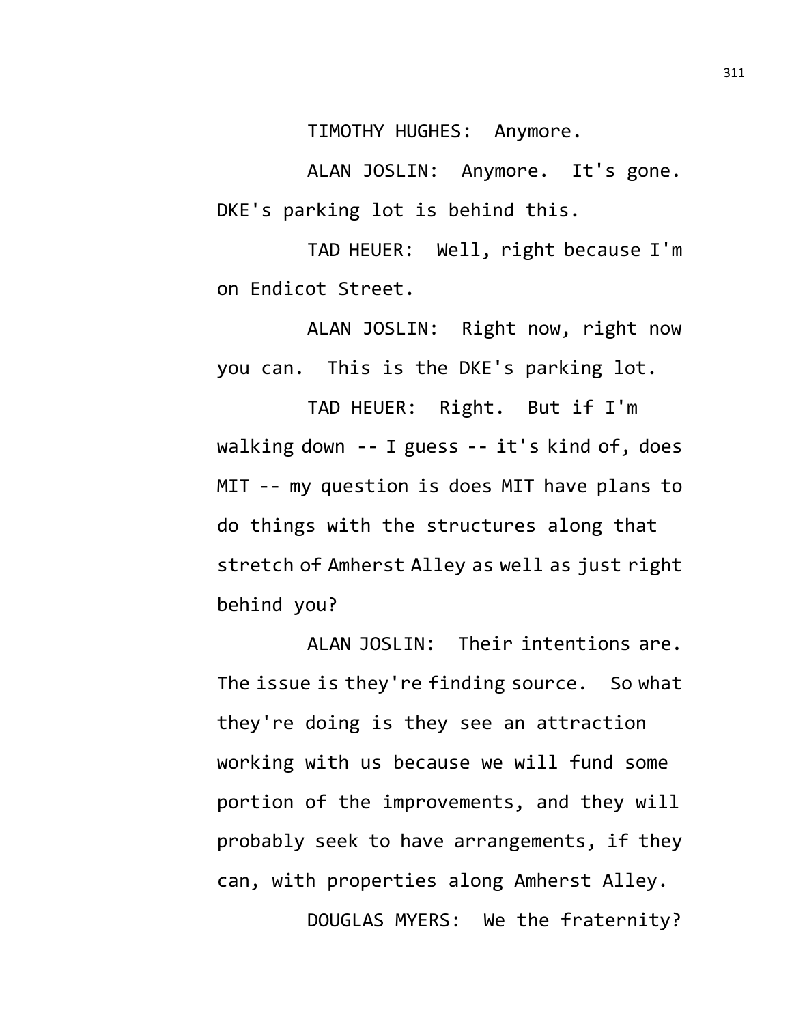TIMOTHY HUGHES: Anymore.

ALAN JOSLIN: Anymore. It's gone. DKE's parking lot is behind this.

TAD HEUER: Well, right because I'm on Endicot Street.

ALAN JOSLIN: Right now, right now you can. This is the DKE's parking lot.

TAD HEUER: Right. But if I'm walking down -- I guess -- it's kind of, does MIT -- my question is does MIT have plans to do things with the structures along that stretch of Amherst Alley as well as just right behind you?

ALAN JOSLIN: Their intentions are. The issue is they're finding source. So what they're doing is they see an attraction working with us because we will fund some portion of the improvements, and they will probably seek to have arrangements, if they can, with properties along Amherst Alley. DOUGLAS MYERS: We the fraternity?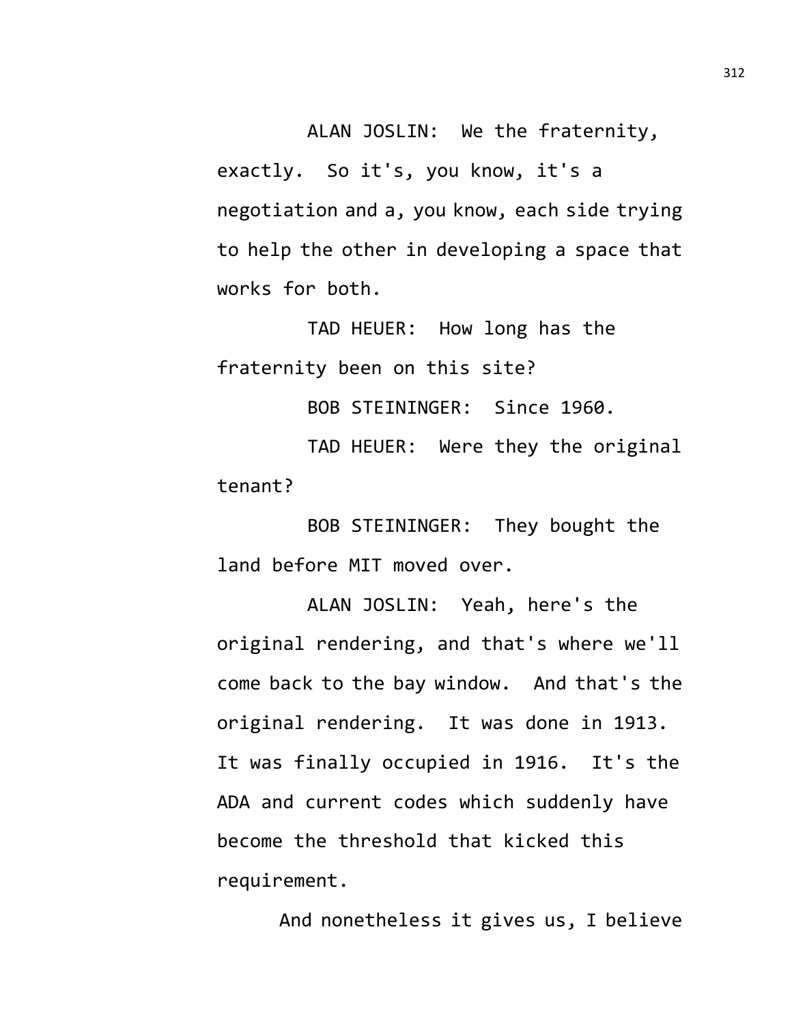ALAN JOSLIN: We the fraternity, exactly. So it's, you know, it's a negotiation and a, you know, each side trying to help the other in developing a space that works for both.

TAD HEUER: How long has the fraternity been on this site?

BOB STEININGER: Since 1960.

TAD HEUER: Were they the original tenant?

BOB STEININGER: They bought the land before MIT moved over.

ALAN JOSLIN: Yeah, here's the original rendering, and that's where we'll come back to the bay window. And that's the original rendering. It was done in 1913. It was finally occupied in 1916. It's the ADA and current codes which suddenly have become the threshold that kicked this requirement.

And nonetheless it gives us, I believe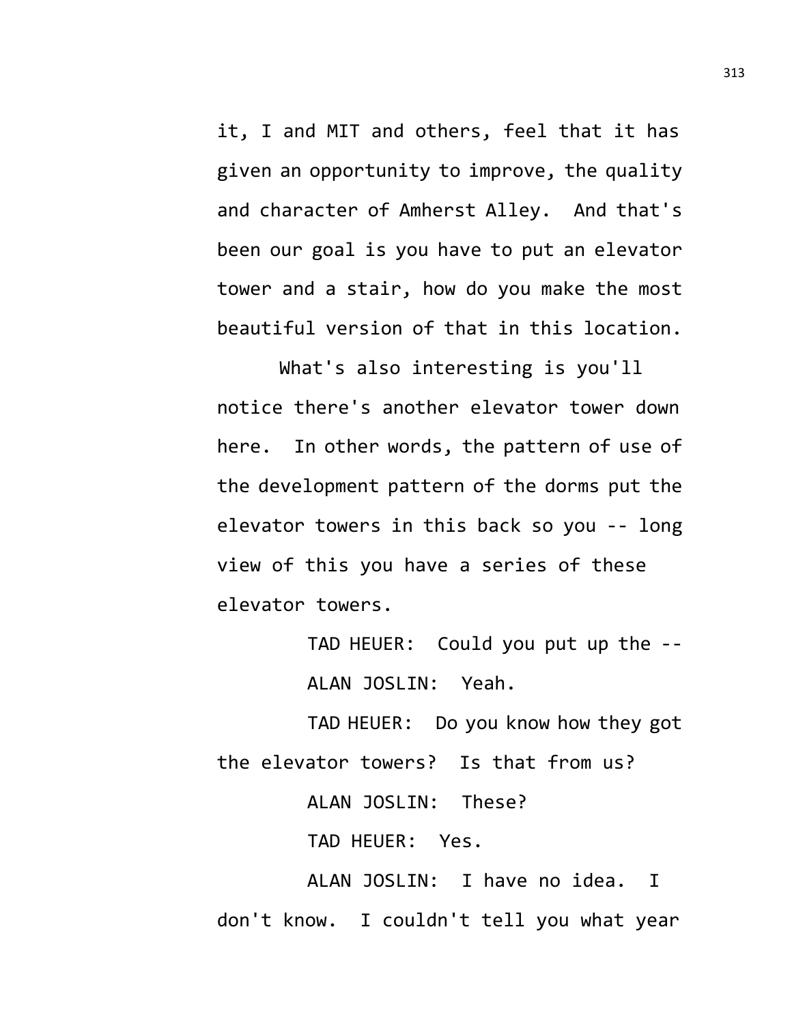it, I and MIT and others, feel that it has given an opportunity to improve, the quality and character of Amherst Alley. And that's been our goal is you have to put an elevator tower and a stair, how do you make the most beautiful version of that in this location.

What's also interesting is you'll notice there's another elevator tower down here. In other words, the pattern of use of the development pattern of the dorms put the elevator towers in this back so you -- long view of this you have a series of these elevator towers.

> TAD HEUER: Could you put up the -- ALAN JOSLIN: Yeah.

TAD HEUER: Do you know how they got the elevator towers? Is that from us?

ALAN JOSLIN: These?

TAD HEUER: Yes.

ALAN JOSLIN: I have no idea. I don't know. I couldn't tell you what year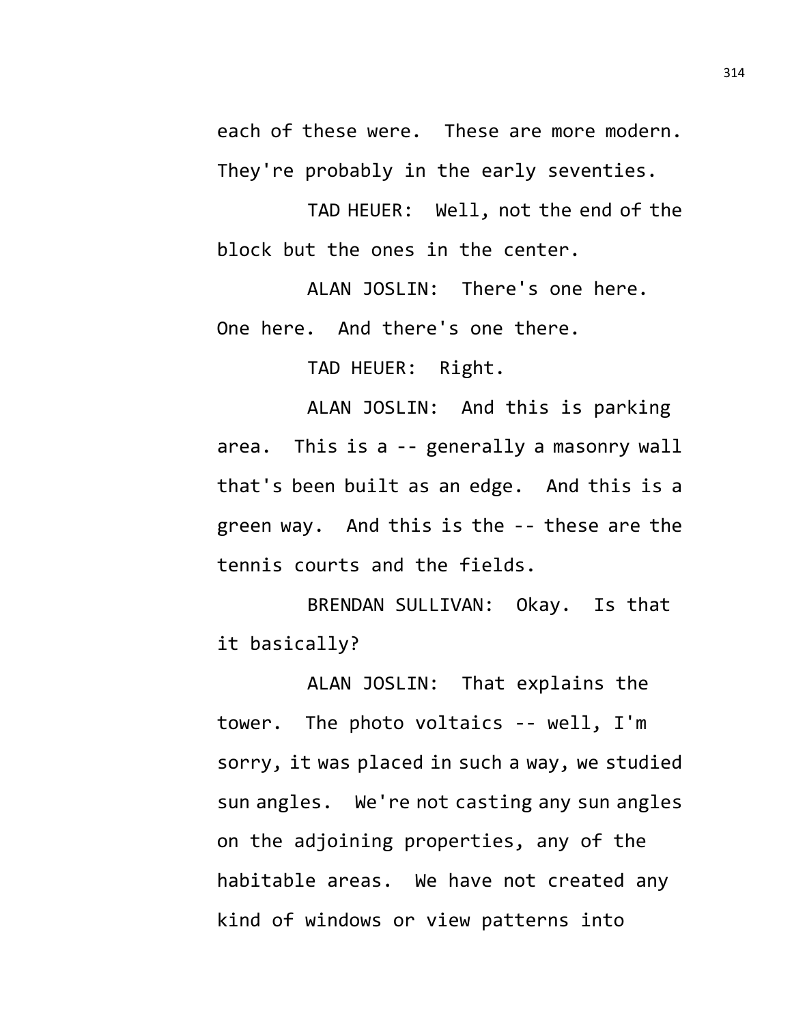each of these were. These are more modern. They're probably in the early seventies.

TAD HEUER: Well, not the end of the block but the ones in the center.

ALAN JOSLIN: There's one here. One here. And there's one there.

TAD HEUER: Right.

ALAN JOSLIN: And this is parking area. This is a -- generally a masonry wall that's been built as an edge. And this is a green way. And this is the -- these are the tennis courts and the fields.

BRENDAN SULLIVAN: Okay. Is that it basically?

ALAN JOSLIN: That explains the tower. The photo voltaics -- well, I'm sorry, it was placed in such a way, we studied sun angles. We're not casting any sun angles on the adjoining properties, any of the habitable areas. We have not created any kind of windows or view patterns into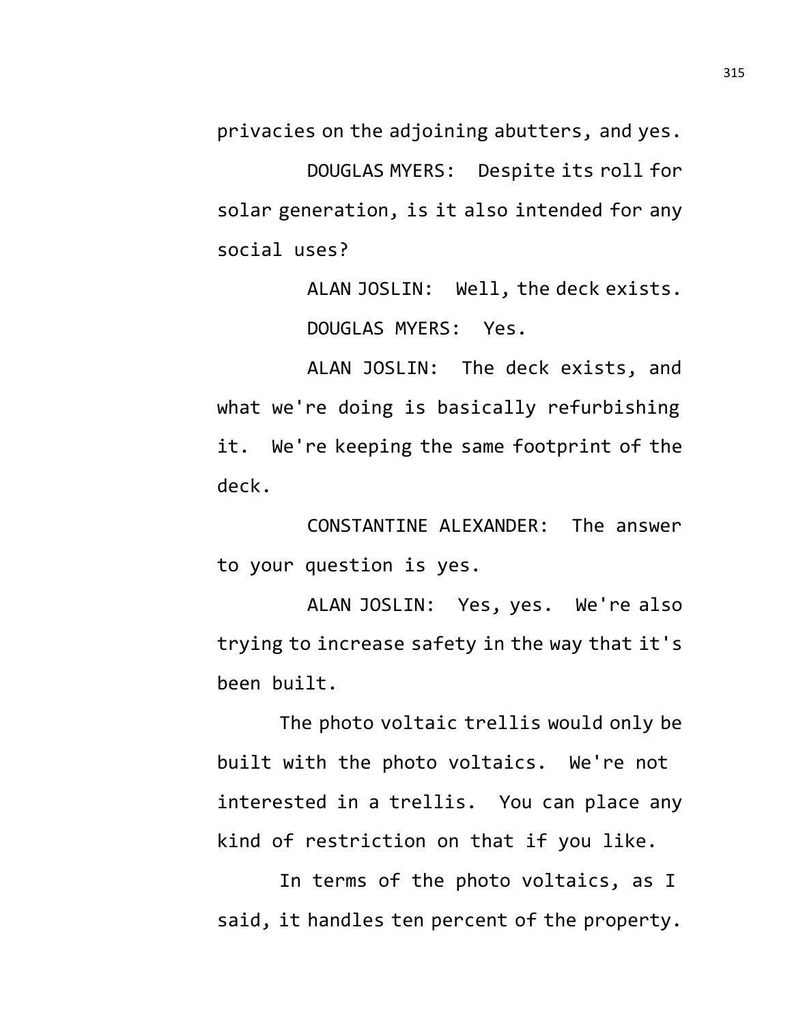privacies on the adjoining abutters, and yes.

DOUGLAS MYERS: Despite its roll for solar generation, is it also intended for any social uses?

> ALAN JOSLIN: Well, the deck exists. DOUGLAS MYERS: Yes.

ALAN JOSLIN: The deck exists, and what we're doing is basically refurbishing it. We're keeping the same footprint of the deck.

CONSTANTINE ALEXANDER: The answer to your question is yes.

ALAN JOSLIN: Yes, yes. We're also trying to increase safety in the way that it's been built.

The photo voltaic trellis would only be built with the photo voltaics. We're not interested in a trellis. You can place any kind of restriction on that if you like.

In terms of the photo voltaics, as I said, it handles ten percent of the property.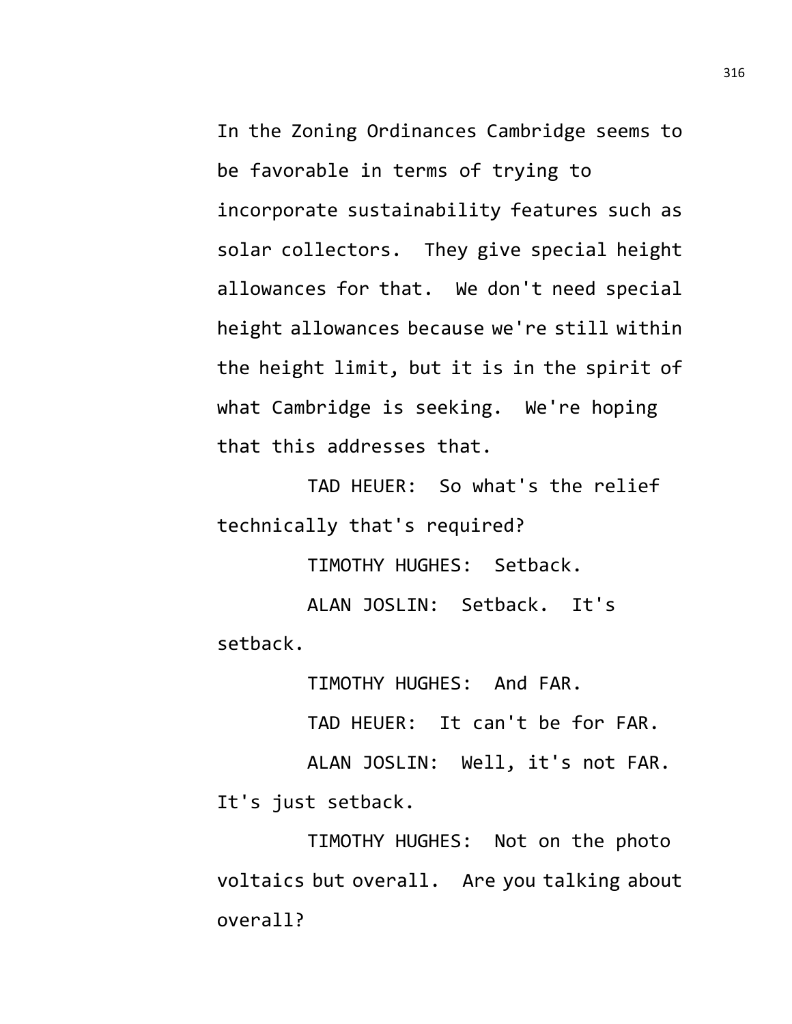In the Zoning Ordinances Cambridge seems to be favorable in terms of trying to incorporate sustainability features such as solar collectors. They give special height allowances for that. We don't need special height allowances because we're still within the height limit, but it is in the spirit of what Cambridge is seeking. We're hoping that this addresses that.

TAD HEUER: So what's the relief technically that's required?

TIMOTHY HUGHES: Setback.

ALAN JOSLIN: Setback. It's setback.

TIMOTHY HUGHES: And FAR.

TAD HEUER: It can't be for FAR.

ALAN JOSLIN: Well, it's not FAR. It's just setback.

TIMOTHY HUGHES: Not on the photo voltaics but overall. Are you talking about overall?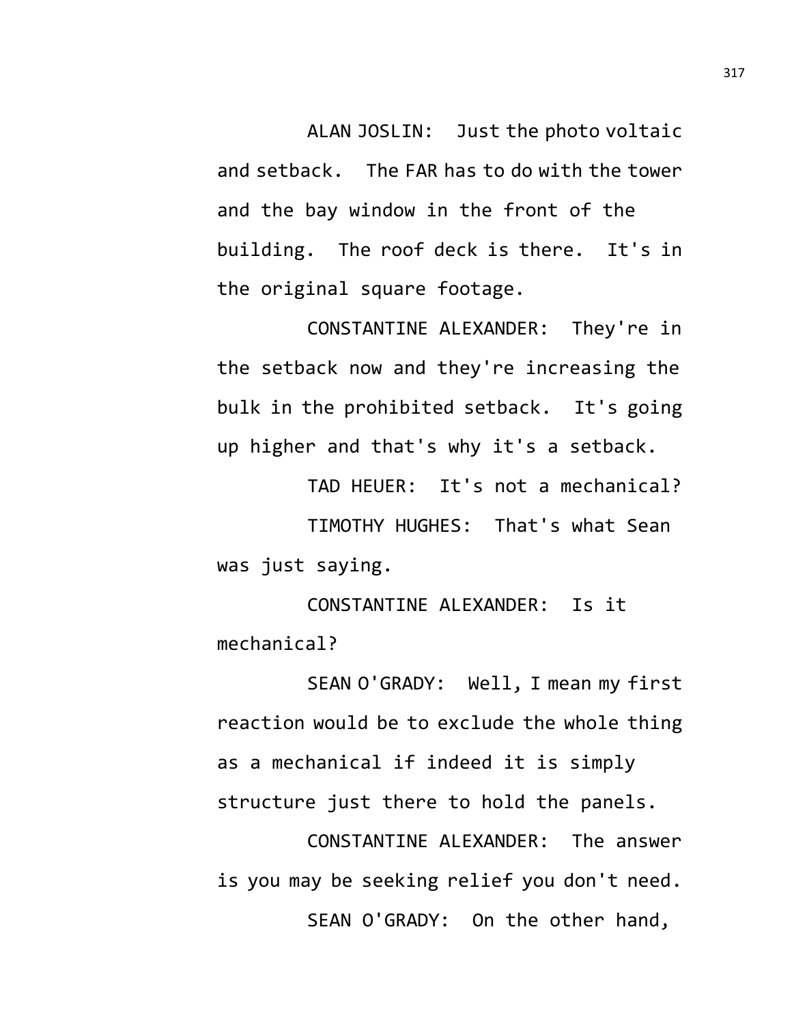ALAN JOSLIN: Just the photo voltaic and setback. The FAR has to do with the tower and the bay window in the front of the building. The roof deck is there. It's in the original square footage.

CONSTANTINE ALEXANDER: They're in the setback now and they're increasing the bulk in the prohibited setback. It's going up higher and that's why it's a setback.

TAD HEUER: It's not a mechanical?

TIMOTHY HUGHES: That's what Sean was just saying.

CONSTANTINE ALEXANDER: Is it mechanical?

SEAN O'GRADY: Well, I mean my first reaction would be to exclude the whole thing as a mechanical if indeed it is simply structure just there to hold the panels.

CONSTANTINE ALEXANDER: The answer is you may be seeking relief you don't need. SEAN O'GRADY: On the other hand,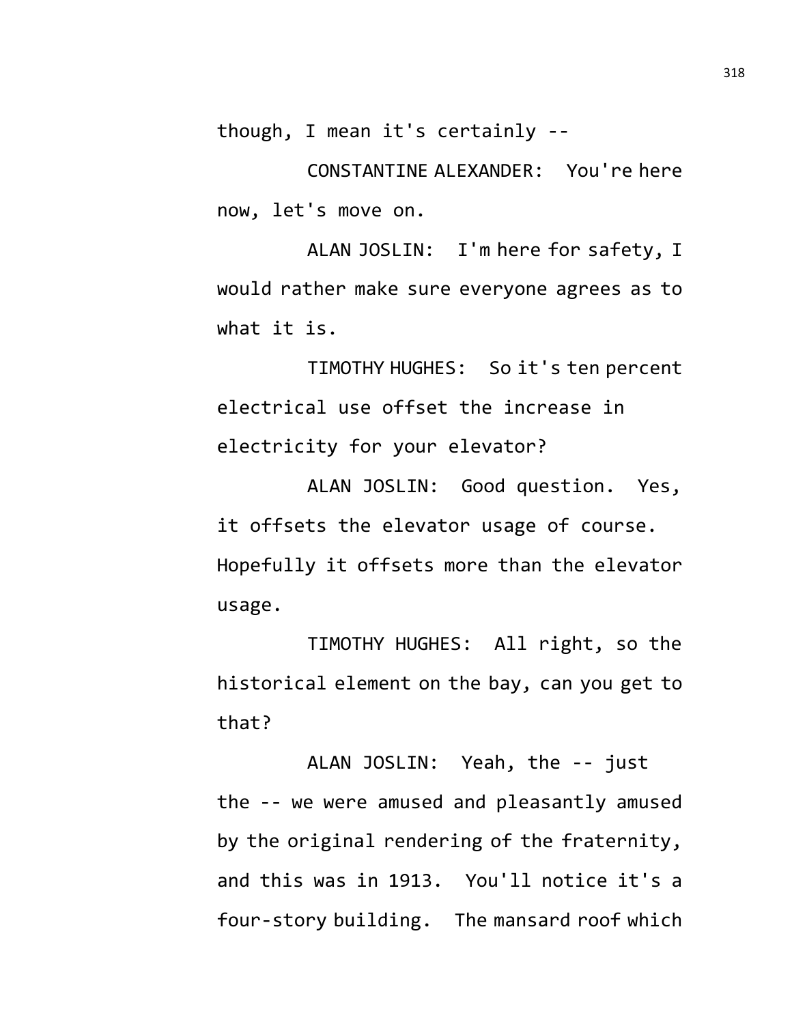though, I mean it's certainly --

CONSTANTINE ALEXANDER: You're here now, let's move on.

ALAN JOSLIN: I'm here for safety, I would rather make sure everyone agrees as to what it is.

TIMOTHY HUGHES: So it's ten percent electrical use offset the increase in electricity for your elevator?

ALAN JOSLIN: Good question. Yes, it offsets the elevator usage of course. Hopefully it offsets more than the elevator usage.

TIMOTHY HUGHES: All right, so the historical element on the bay, can you get to that?

ALAN JOSLIN: Yeah, the -- just the -- we were amused and pleasantly amused by the original rendering of the fraternity, and this was in 1913. You'll notice it's a four-story building. The mansard roof which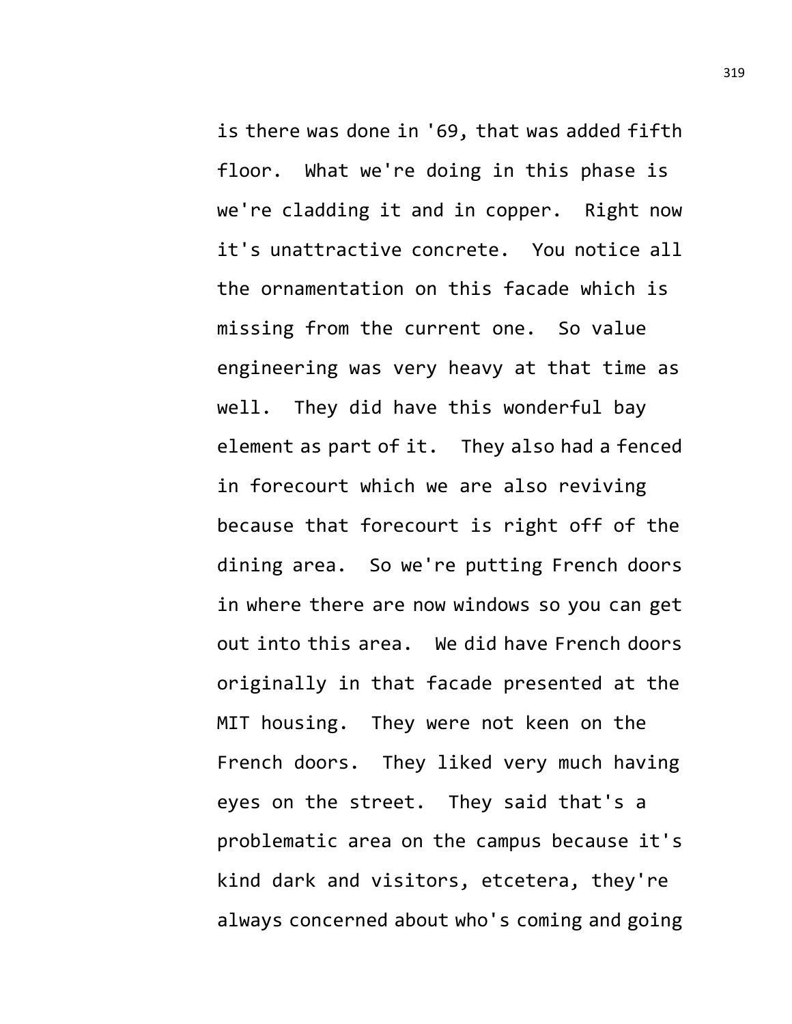is there was done in '69, that was added fifth floor. What we're doing in this phase is we're cladding it and in copper. Right now it's unattractive concrete. You notice all the ornamentation on this facade which is missing from the current one. So value engineering was very heavy at that time as well. They did have this wonderful bay element as part of it. They also had a fenced in forecourt which we are also reviving because that forecourt is right off of the dining area. So we're putting French doors in where there are now windows so you can get out into this area. We did have French doors originally in that facade presented at the MIT housing. They were not keen on the French doors. They liked very much having eyes on the street. They said that's a problematic area on the campus because it's kind dark and visitors, etcetera, they're always concerned about who's coming and going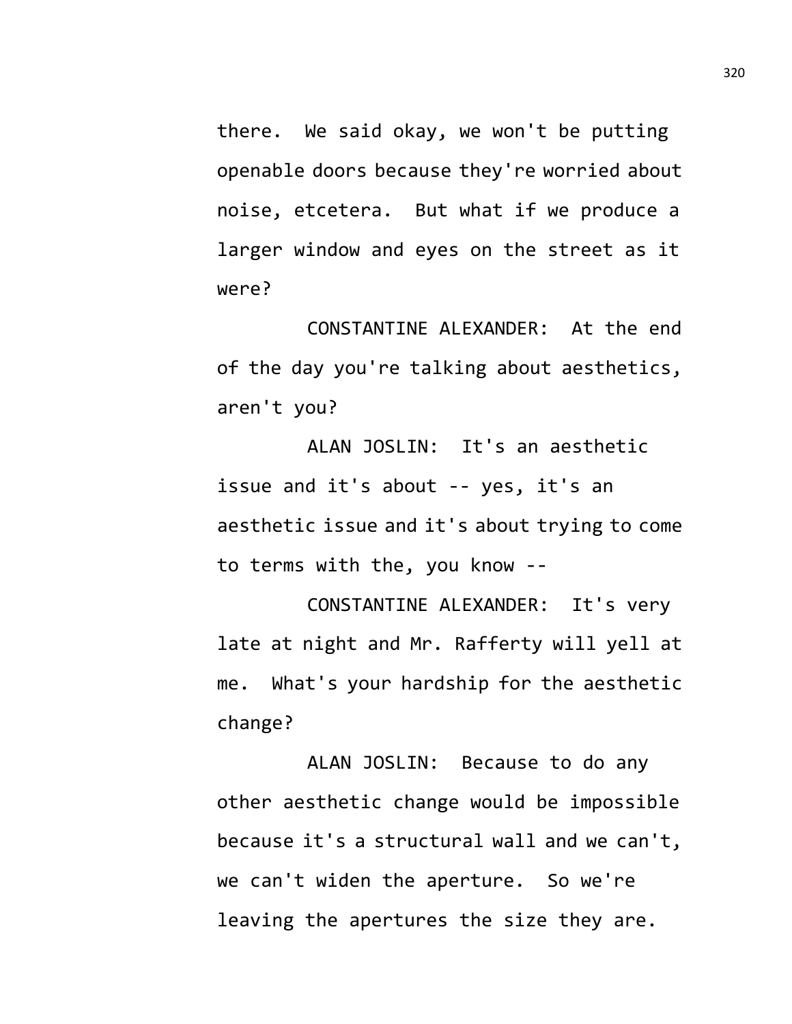there. We said okay, we won't be putting openable doors because they're worried about noise, etcetera. But what if we produce a larger window and eyes on the street as it were?

CONSTANTINE ALEXANDER: At the end of the day you're talking about aesthetics, aren't you?

ALAN JOSLIN: It's an aesthetic issue and it's about -- yes, it's an aesthetic issue and it's about trying to come to terms with the, you know --

CONSTANTINE ALEXANDER: It's very late at night and Mr. Rafferty will yell at me. What's your hardship for the aesthetic change?

ALAN JOSLIN: Because to do any other aesthetic change would be impossible because it's a structural wall and we can't, we can't widen the aperture. So we're leaving the apertures the size they are.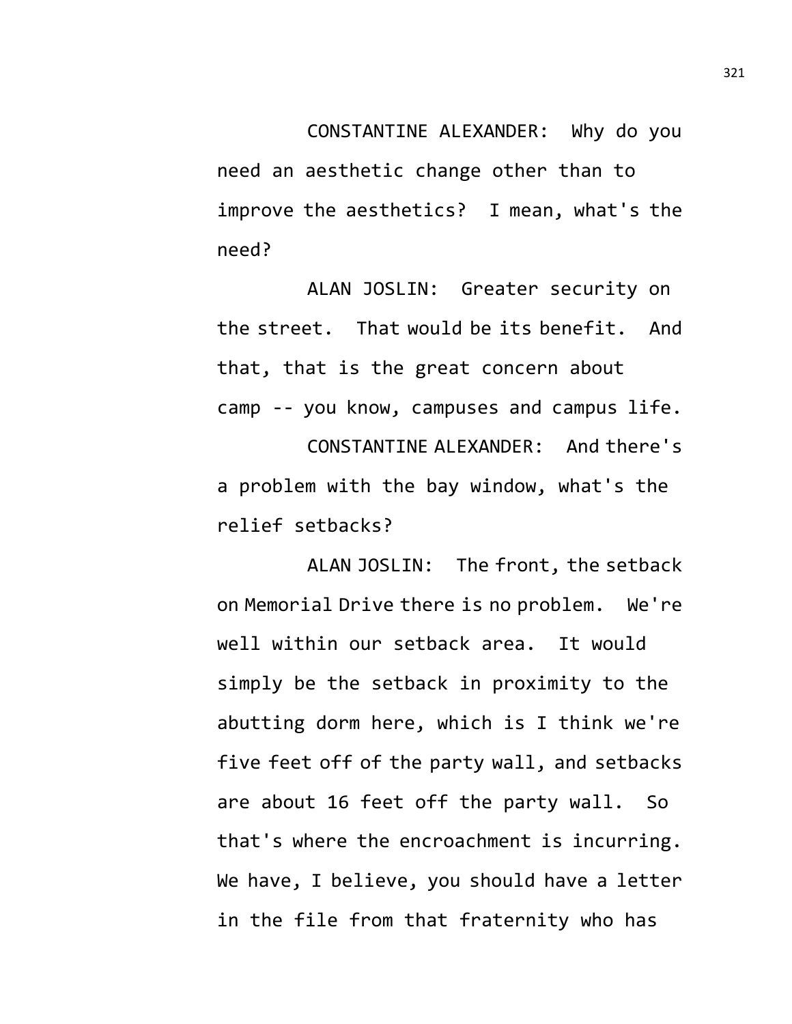CONSTANTINE ALEXANDER: Why do you need an aesthetic change other than to improve the aesthetics? I mean, what's the need?

ALAN JOSLIN: Greater security on the street. That would be its benefit. And that, that is the great concern about camp -- you know, campuses and campus life. CONSTANTINE ALEXANDER: And there's a problem with the bay window, what's the relief setbacks?

ALAN JOSLIN: The front, the setback on Memorial Drive there is no problem. We're well within our setback area. It would simply be the setback in proximity to the abutting dorm here, which is I think we're five feet off of the party wall, and setbacks are about 16 feet off the party wall. So that's where the encroachment is incurring. We have, I believe, you should have a letter in the file from that fraternity who has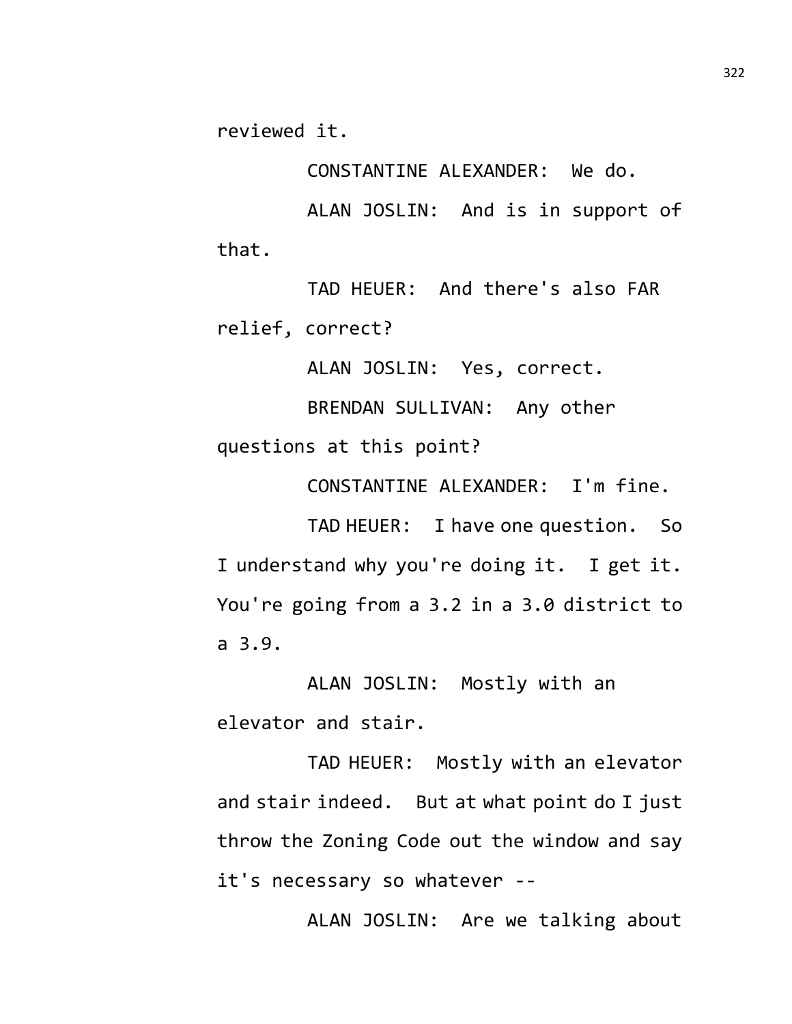reviewed it.

CONSTANTINE ALEXANDER: We do.

ALAN JOSLIN: And is in support of that.

TAD HEUER: And there's also FAR relief, correct?

ALAN JOSLIN: Yes, correct.

BRENDAN SULLIVAN: Any other questions at this point?

CONSTANTINE ALEXANDER: I'm fine.

TAD HEUER: I have one question. So I understand why you're doing it. I get it. You're going from a 3.2 in a 3.0 district to a 3.9.

ALAN JOSLIN: Mostly with an elevator and stair.

TAD HEUER: Mostly with an elevator and stair indeed. But at what point do I just throw the Zoning Code out the window and say it's necessary so whatever --

ALAN JOSLIN: Are we talking about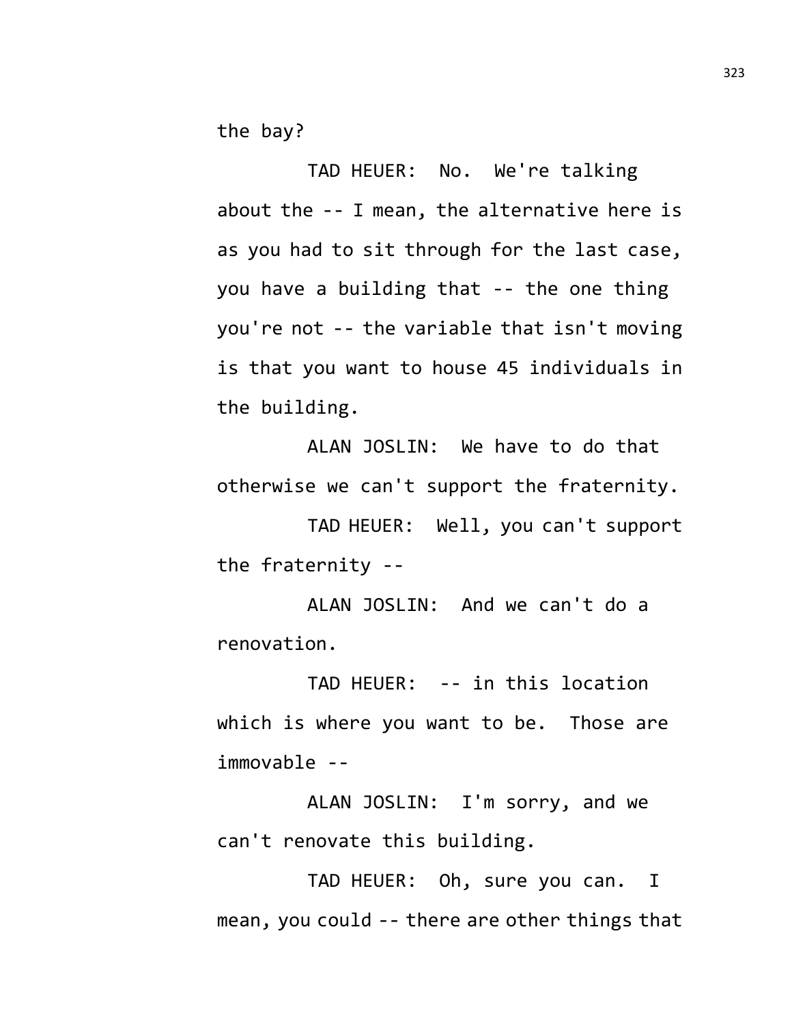the bay?

TAD HEUER: No. We're talking about the -- I mean, the alternative here is as you had to sit through for the last case, you have a building that -- the one thing you're not -- the variable that isn't moving is that you want to house 45 individuals in the building.

ALAN JOSLIN: We have to do that otherwise we can't support the fraternity.

TAD HEUER: Well, you can't support the fraternity --

ALAN JOSLIN: And we can't do a renovation.

TAD HEUER: -- in this location which is where you want to be. Those are immovable --

ALAN JOSLIN: I'm sorry, and we can't renovate this building.

TAD HEUER: Oh, sure you can. I mean, you could -- there are other things that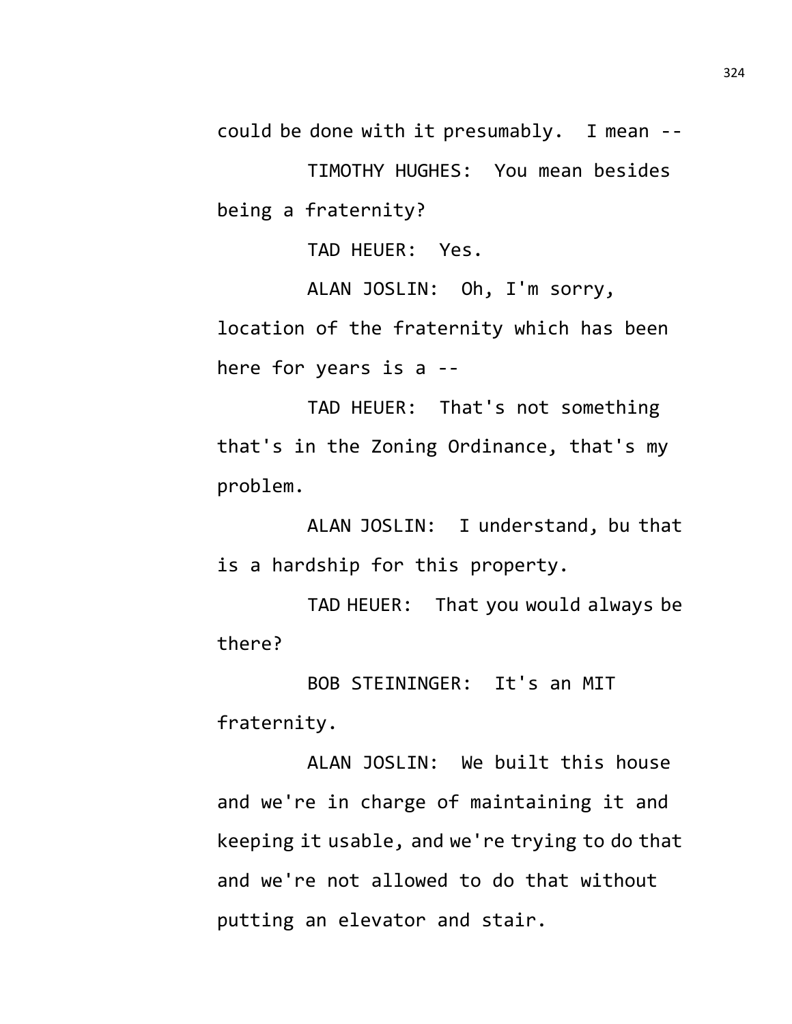could be done with it presumably. I mean --

TIMOTHY HUGHES: You mean besides being a fraternity?

TAD HEUER: Yes.

ALAN JOSLIN: Oh, I'm sorry, location of the fraternity which has been here for years is a --

TAD HEUER: That's not something that's in the Zoning Ordinance, that's my problem.

ALAN JOSLIN: I understand, bu that is a hardship for this property.

TAD HEUER: That you would always be there?

BOB STEININGER: It's an MIT fraternity.

ALAN JOSLIN: We built this house and we're in charge of maintaining it and keeping it usable, and we're trying to do that and we're not allowed to do that without putting an elevator and stair.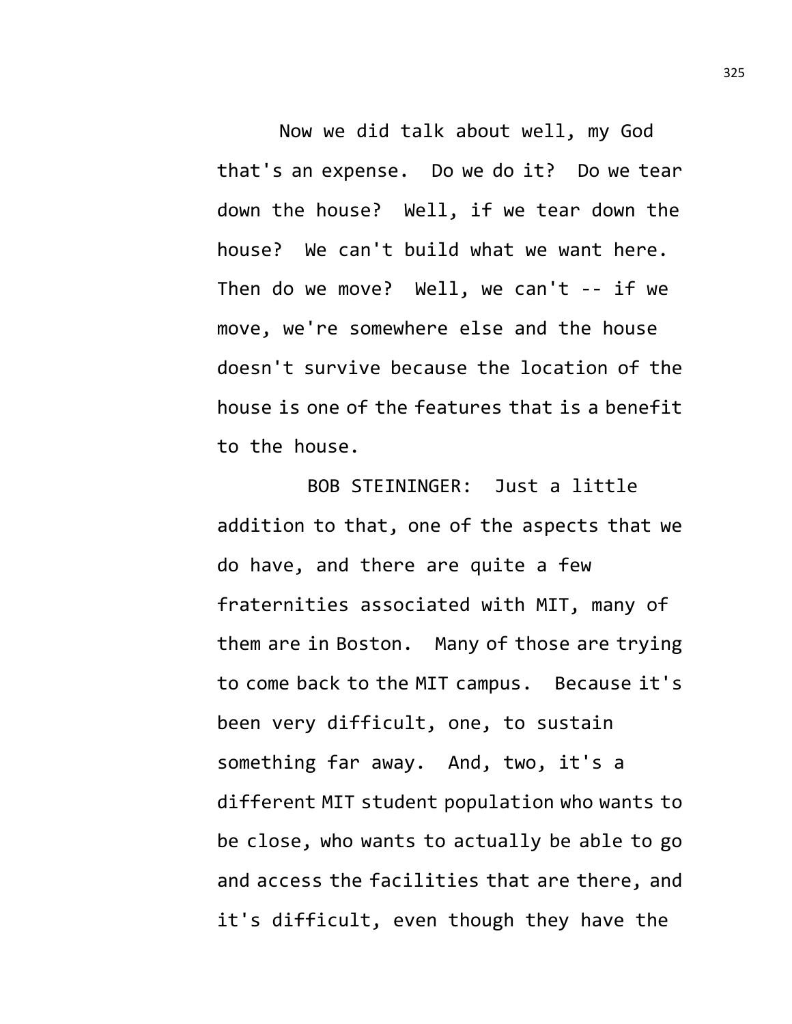Now we did talk about well, my God that's an expense. Do we do it? Do we tear down the house? Well, if we tear down the house? We can't build what we want here. Then do we move? Well, we can't -- if we move, we're somewhere else and the house doesn't survive because the location of the house is one of the features that is a benefit to the house.

BOB STEININGER: Just a little addition to that, one of the aspects that we do have, and there are quite a few fraternities associated with MIT, many of them are in Boston. Many of those are trying to come back to the MIT campus. Because it's been very difficult, one, to sustain something far away. And, two, it's a different MIT student population who wants to be close, who wants to actually be able to go and access the facilities that are there, and it's difficult, even though they have the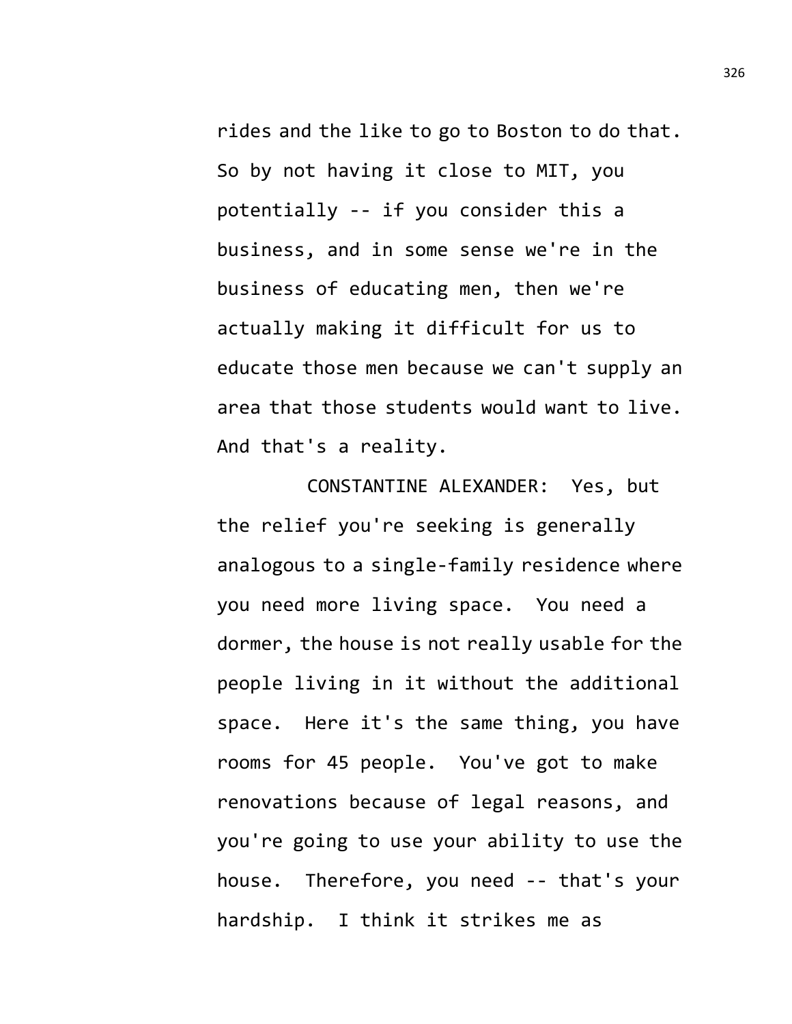rides and the like to go to Boston to do that. So by not having it close to MIT, you potentially -- if you consider this a business, and in some sense we're in the business of educating men, then we're actually making it difficult for us to educate those men because we can't supply an area that those students would want to live. And that's a reality.

CONSTANTINE ALEXANDER: Yes, but the relief you're seeking is generally analogous to a single-family residence where you need more living space. You need a dormer, the house is not really usable for the people living in it without the additional space. Here it's the same thing, you have rooms for 45 people. You've got to make renovations because of legal reasons, and you're going to use your ability to use the house. Therefore, you need -- that's your hardship. I think it strikes me as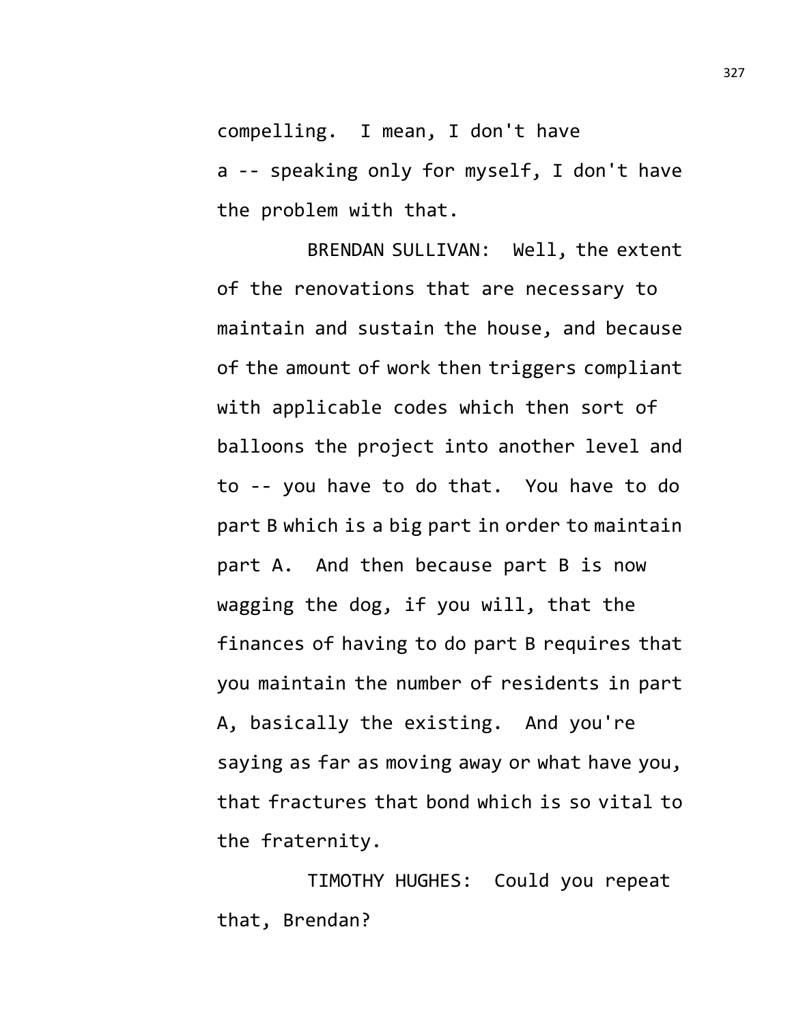compelling. I mean, I don't have

a -- speaking only for myself, I don't have the problem with that.

BRENDAN SULLIVAN: Well, the extent of the renovations that are necessary to maintain and sustain the house, and because of the amount of work then triggers compliant with applicable codes which then sort of balloons the project into another level and to -- you have to do that. You have to do part B which is a big part in order to maintain part A. And then because part B is now wagging the dog, if you will, that the finances of having to do part B requires that you maintain the number of residents in part A, basically the existing. And you're saying as far as moving away or what have you, that fractures that bond which is so vital to the fraternity.

TIMOTHY HUGHES: Could you repeat that, Brendan?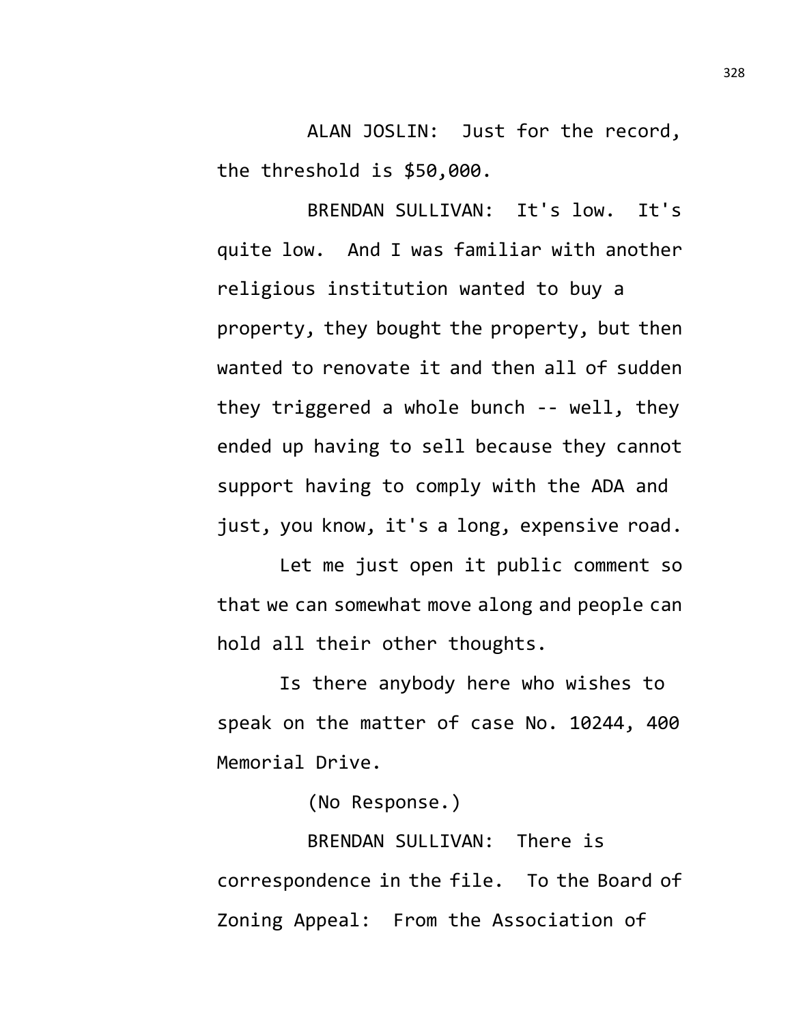ALAN JOSLIN: Just for the record, the threshold is \$50,000.

BRENDAN SULLIVAN: It's low. It's quite low. And I was familiar with another religious institution wanted to buy a property, they bought the property, but then wanted to renovate it and then all of sudden they triggered a whole bunch -- well, they ended up having to sell because they cannot support having to comply with the ADA and just, you know, it's a long, expensive road.

Let me just open it public comment so that we can somewhat move along and people can hold all their other thoughts.

Is there anybody here who wishes to speak on the matter of case No. 10244, 400 Memorial Drive.

(No Response.)

BRENDAN SULLIVAN: There is correspondence in the file. To the Board of Zoning Appeal: From the Association of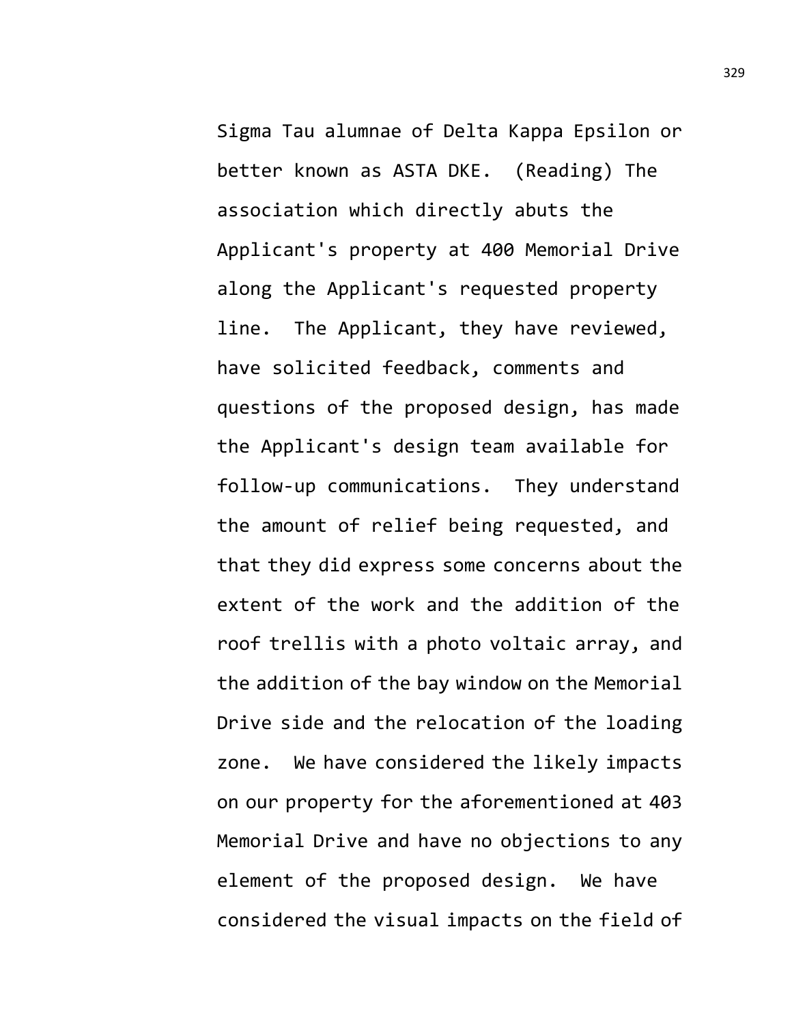Sigma Tau alumnae of Delta Kappa Epsilon or better known as ASTA DKE. (Reading) The association which directly abuts the Applicant's property at 400 Memorial Drive along the Applicant's requested property line. The Applicant, they have reviewed, have solicited feedback, comments and questions of the proposed design, has made the Applicant's design team available for follow-up communications. They understand the amount of relief being requested, and that they did express some concerns about the extent of the work and the addition of the roof trellis with a photo voltaic array, and the addition of the bay window on the Memorial Drive side and the relocation of the loading zone. We have considered the likely impacts on our property for the aforementioned at 403 Memorial Drive and have no objections to any element of the proposed design. We have considered the visual impacts on the field of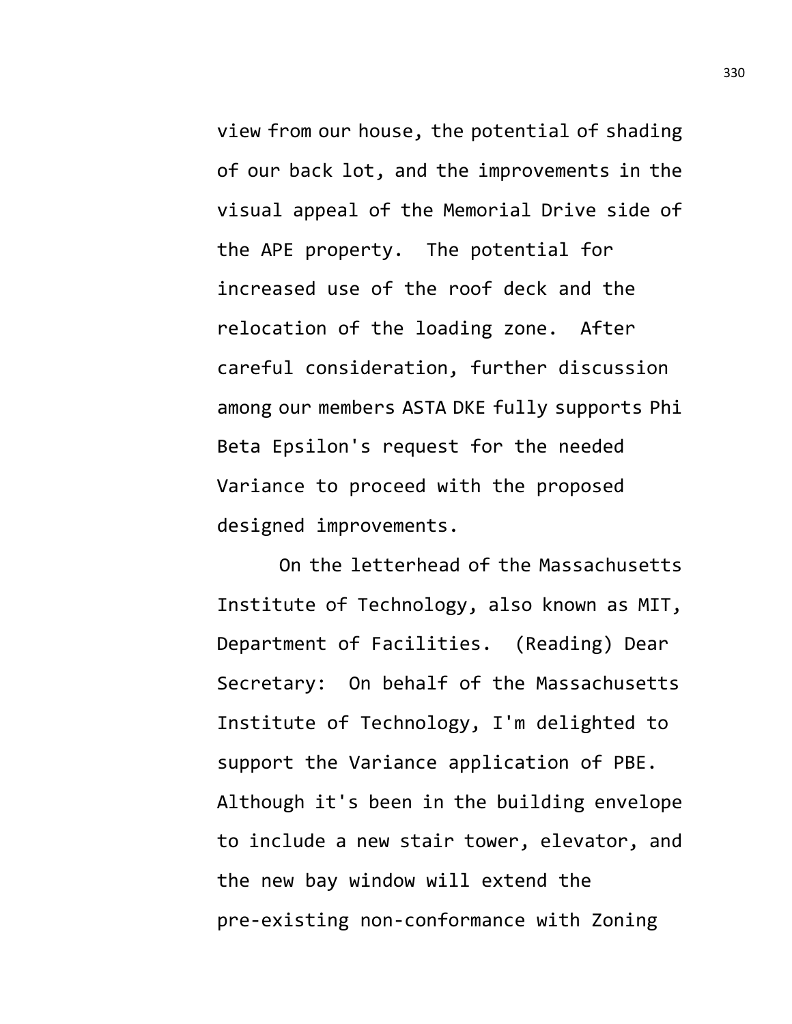view from our house, the potential of shading of our back lot, and the improvements in the visual appeal of the Memorial Drive side of the APE property. The potential for increased use of the roof deck and the relocation of the loading zone. After careful consideration, further discussion among our members ASTA DKE fully supports Phi Beta Epsilon's request for the needed Variance to proceed with the proposed designed improvements.

On the letterhead of the Massachusetts Institute of Technology, also known as MIT, Department of Facilities. (Reading) Dear Secretary: On behalf of the Massachusetts Institute of Technology, I'm delighted to support the Variance application of PBE. Although it's been in the building envelope to include a new stair tower, elevator, and the new bay window will extend the pre-existing non-conformance with Zoning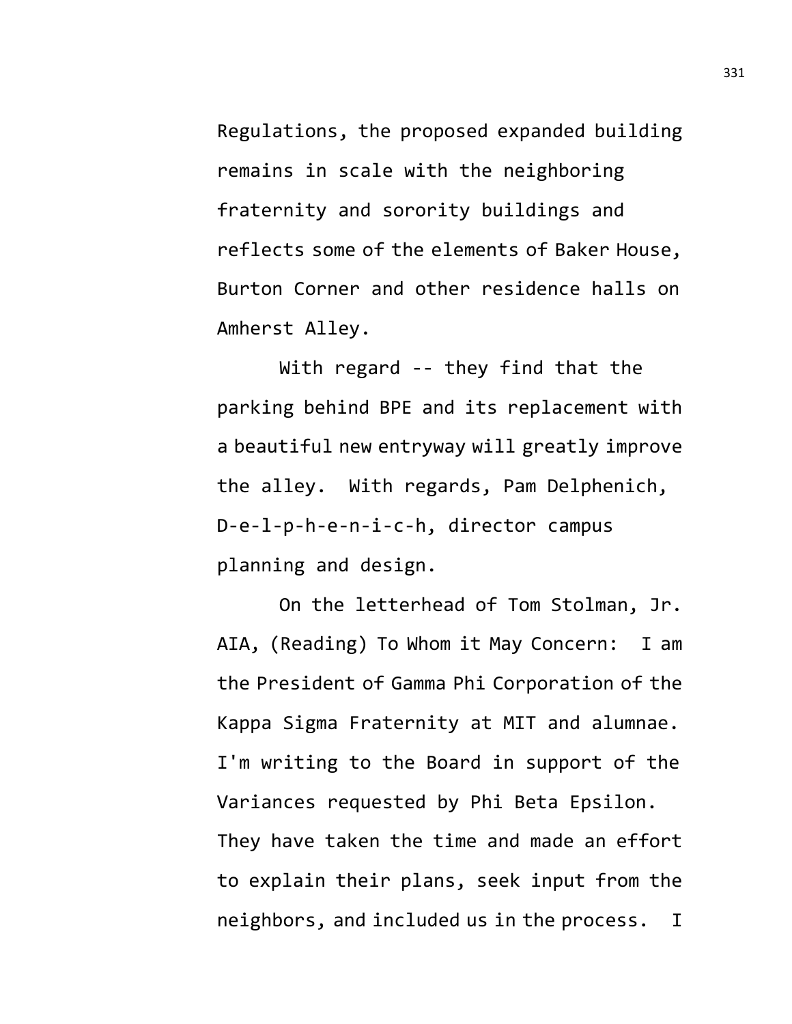Regulations, the proposed expanded building remains in scale with the neighboring fraternity and sorority buildings and reflects some of the elements of Baker House, Burton Corner and other residence halls on Amherst Alley.

With regard -- they find that the parking behind BPE and its replacement with a beautiful new entryway will greatly improve the alley. With regards, Pam Delphenich, D-e-l-p-h-e-n-i-c-h, director campus planning and design.

On the letterhead of Tom Stolman, Jr. AIA, (Reading) To Whom it May Concern: I am the President of Gamma Phi Corporation of the Kappa Sigma Fraternity at MIT and alumnae. I'm writing to the Board in support of the Variances requested by Phi Beta Epsilon. They have taken the time and made an effort to explain their plans, seek input from the neighbors, and included us in the process. I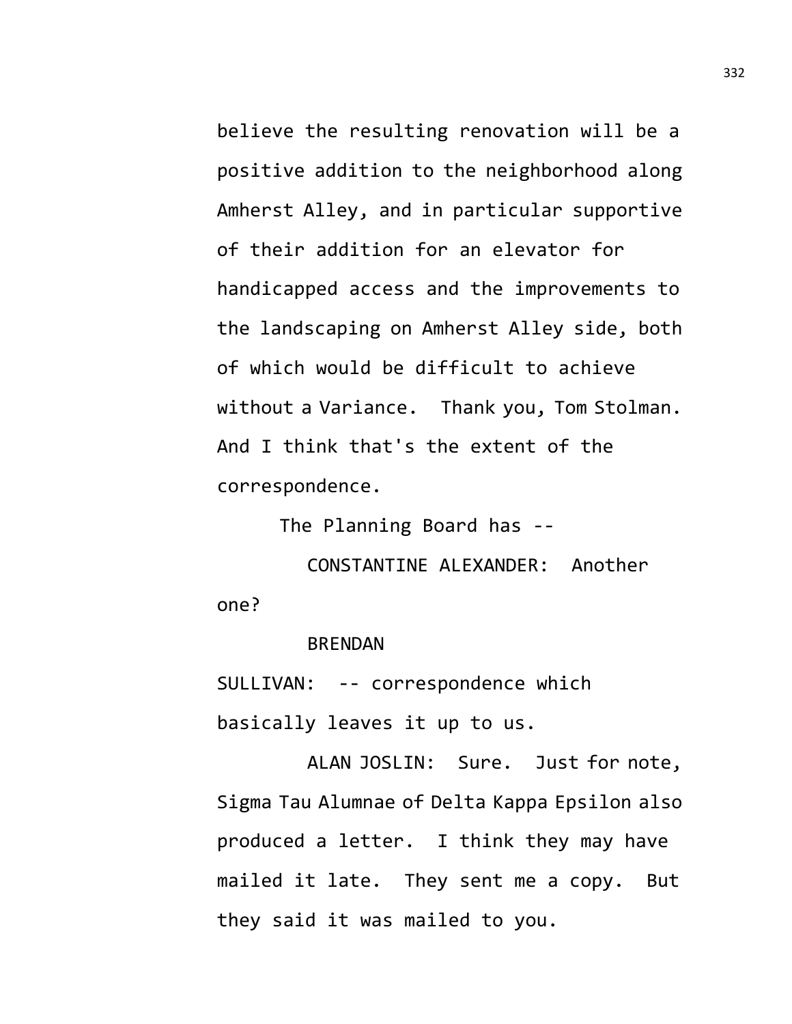believe the resulting renovation will be a positive addition to the neighborhood along Amherst Alley, and in particular supportive of their addition for an elevator for handicapped access and the improvements to the landscaping on Amherst Alley side, both of which would be difficult to achieve without a Variance. Thank you, Tom Stolman. And I think that's the extent of the correspondence.

The Planning Board has --

CONSTANTINE ALEXANDER: Another one?

## BRENDAN

SULLIVAN: -- correspondence which

basically leaves it up to us.

ALAN JOSLIN: Sure. Just for note, Sigma Tau Alumnae of Delta Kappa Epsilon also produced a letter. I think they may have mailed it late. They sent me a copy. But they said it was mailed to you.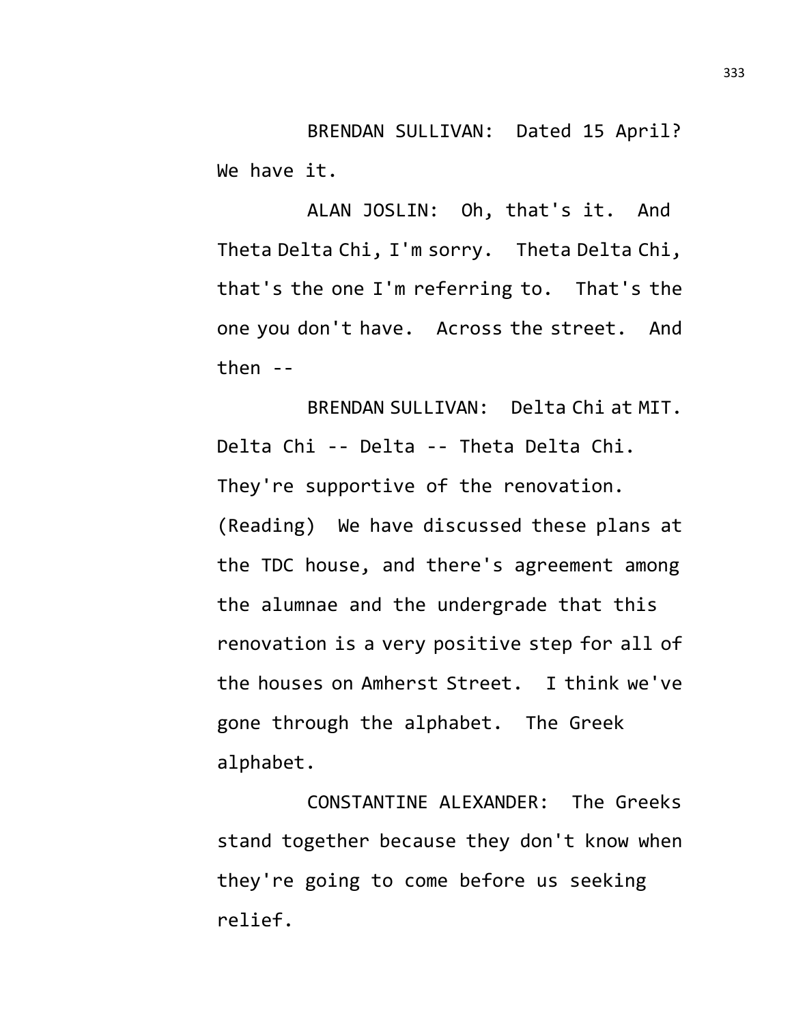BRENDAN SULLIVAN: Dated 15 April? We have it.

ALAN JOSLIN: Oh, that's it. And Theta Delta Chi, I'm sorry. Theta Delta Chi, that's the one I'm referring to. That's the one you don't have. Across the street. And then --

BRENDAN SULLIVAN: Delta Chi at MIT. Delta Chi -- Delta -- Theta Delta Chi. They're supportive of the renovation. (Reading) We have discussed these plans at the TDC house, and there's agreement among the alumnae and the undergrade that this renovation is a very positive step for all of the houses on Amherst Street. I think we've gone through the alphabet. The Greek alphabet.

CONSTANTINE ALEXANDER: The Greeks stand together because they don't know when they're going to come before us seeking relief.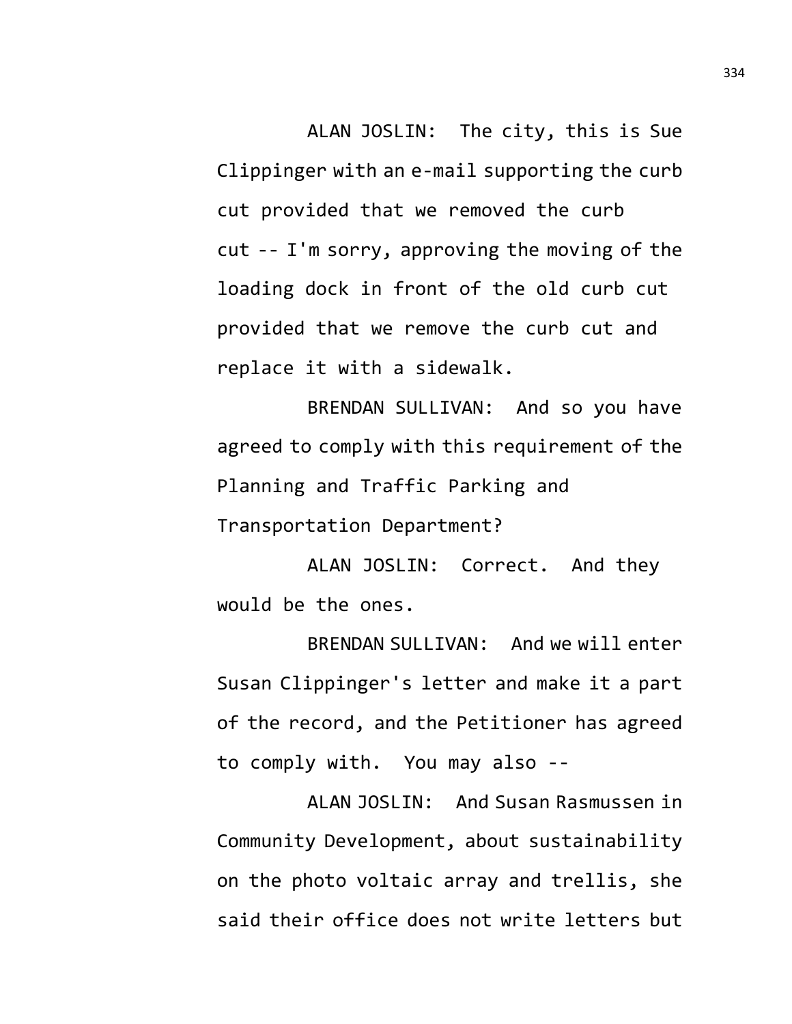ALAN JOSLIN: The city, this is Sue Clippinger with an e-mail supporting the curb cut provided that we removed the curb cut -- I'm sorry, approving the moving of the loading dock in front of the old curb cut provided that we remove the curb cut and replace it with a sidewalk.

BRENDAN SULLIVAN: And so you have agreed to comply with this requirement of the Planning and Traffic Parking and Transportation Department?

ALAN JOSLIN: Correct. And they would be the ones.

BRENDAN SULLIVAN: And we will enter Susan Clippinger's letter and make it a part of the record, and the Petitioner has agreed to comply with. You may also --

ALAN JOSLIN: And Susan Rasmussen in Community Development, about sustainability on the photo voltaic array and trellis, she said their office does not write letters but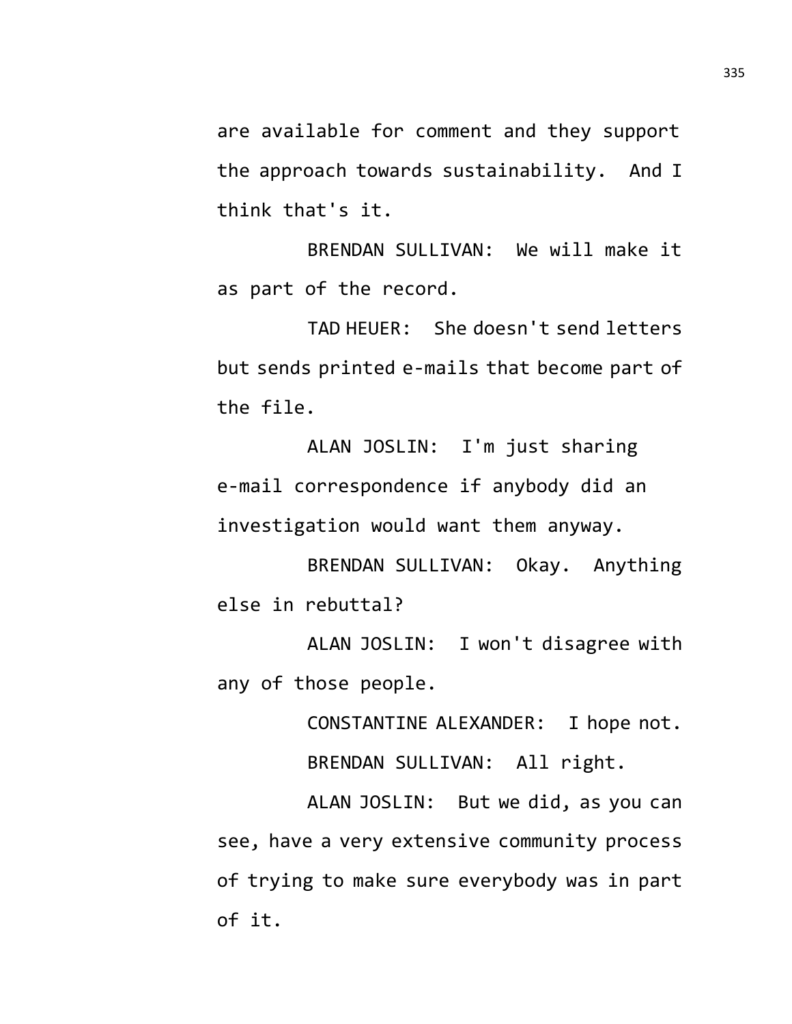are available for comment and they support the approach towards sustainability. And I think that's it.

BRENDAN SULLIVAN: We will make it as part of the record.

TAD HEUER: She doesn't send letters but sends printed e-mails that become part of the file.

ALAN JOSLIN: I'm just sharing e-mail correspondence if anybody did an investigation would want them anyway.

BRENDAN SULLIVAN: Okay. Anything else in rebuttal?

ALAN JOSLIN: I won't disagree with any of those people.

> CONSTANTINE ALEXANDER: I hope not. BRENDAN SULLIVAN: All right.

ALAN JOSLIN: But we did, as you can see, have a very extensive community process of trying to make sure everybody was in part of it.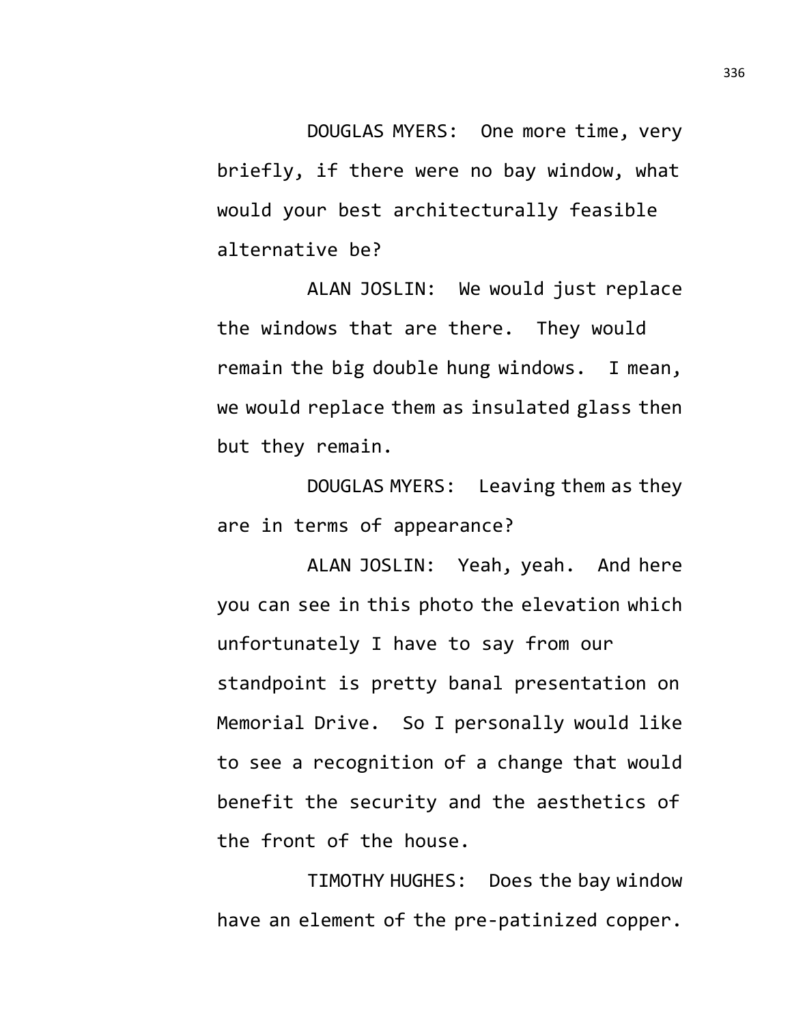DOUGLAS MYERS: One more time, very briefly, if there were no bay window, what would your best architecturally feasible alternative be?

ALAN JOSLIN: We would just replace the windows that are there. They would remain the big double hung windows. I mean, we would replace them as insulated glass then but they remain.

DOUGLAS MYERS: Leaving them as they are in terms of appearance?

ALAN JOSLIN: Yeah, yeah. And here you can see in this photo the elevation which unfortunately I have to say from our standpoint is pretty banal presentation on Memorial Drive. So I personally would like to see a recognition of a change that would benefit the security and the aesthetics of the front of the house.

TIMOTHY HUGHES: Does the bay window have an element of the pre-patinized copper.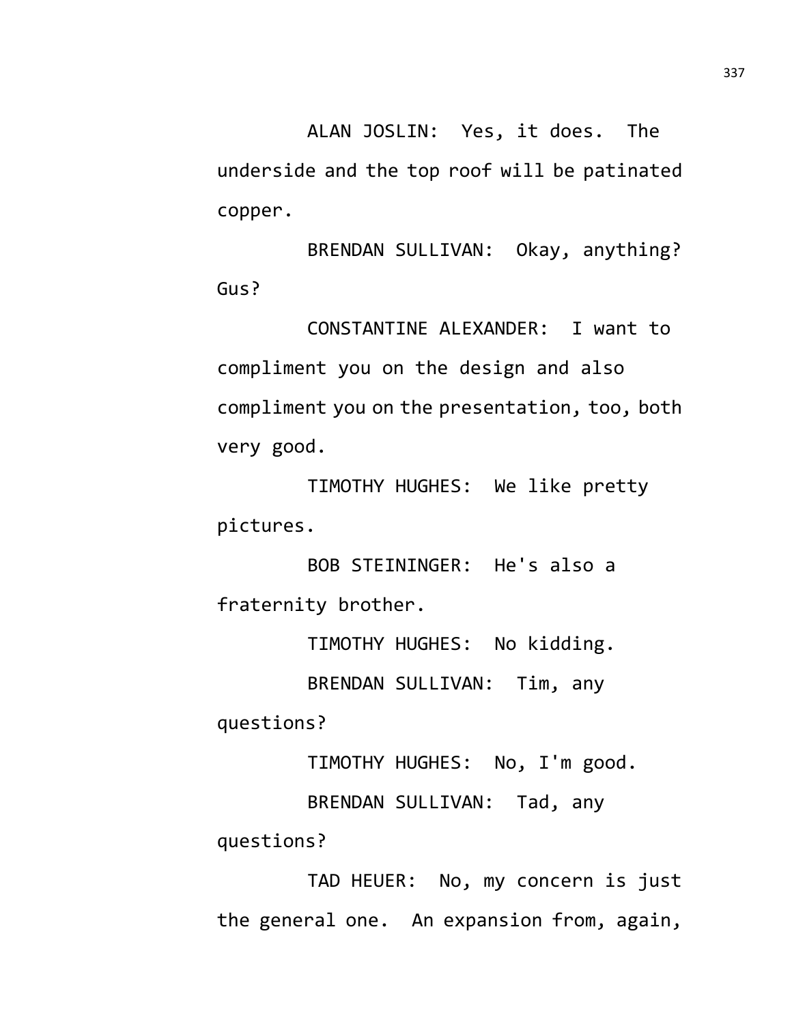ALAN JOSLIN: Yes, it does. The underside and the top roof will be patinated copper.

BRENDAN SULLIVAN: Okay, anything? Gus?

CONSTANTINE ALEXANDER: I want to compliment you on the design and also compliment you on the presentation, too, both very good.

TIMOTHY HUGHES: We like pretty pictures.

BOB STEININGER: He's also a fraternity brother.

TIMOTHY HUGHES: No kidding.

BRENDAN SULLIVAN: Tim, any

questions?

TIMOTHY HUGHES: No, I'm good.

BRENDAN SULLIVAN: Tad, any

questions?

TAD HEUER: No, my concern is just the general one. An expansion from, again,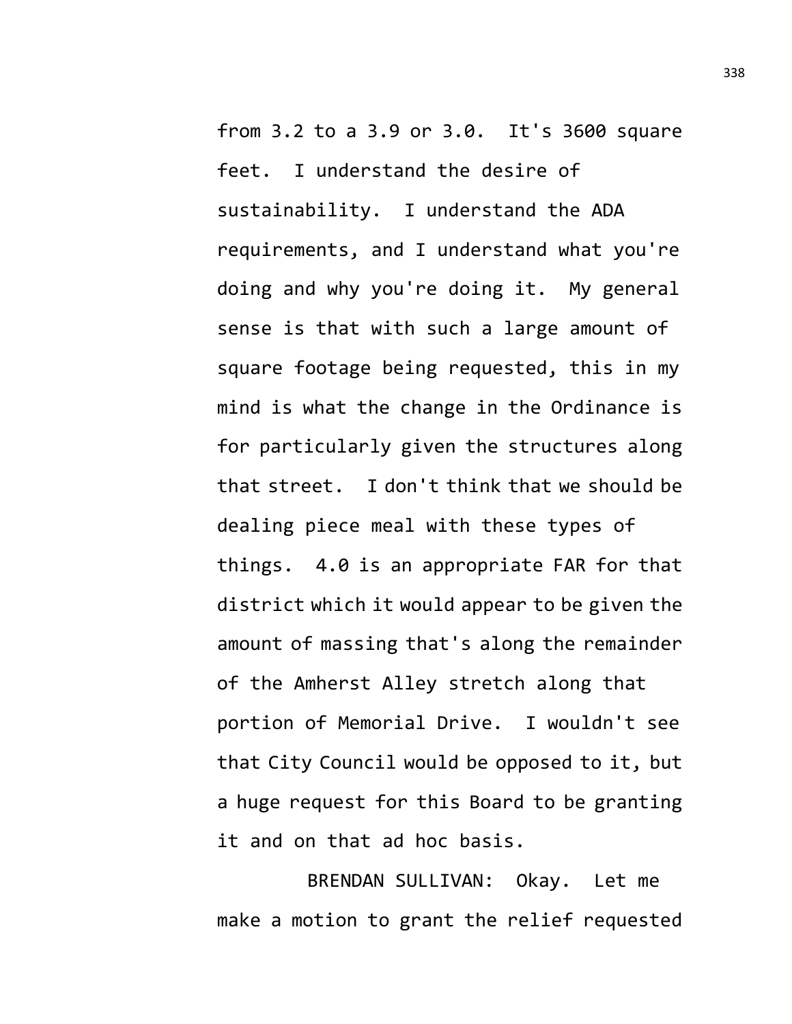from 3.2 to a 3.9 or 3.0. It's 3600 square feet. I understand the desire of sustainability. I understand the ADA requirements, and I understand what you're doing and why you're doing it. My general sense is that with such a large amount of square footage being requested, this in my mind is what the change in the Ordinance is for particularly given the structures along that street. I don't think that we should be dealing piece meal with these types of things. 4.0 is an appropriate FAR for that district which it would appear to be given the amount of massing that's along the remainder of the Amherst Alley stretch along that portion of Memorial Drive. I wouldn't see that City Council would be opposed to it, but a huge request for this Board to be granting it and on that ad hoc basis.

BRENDAN SULLIVAN: Okay. Let me make a motion to grant the relief requested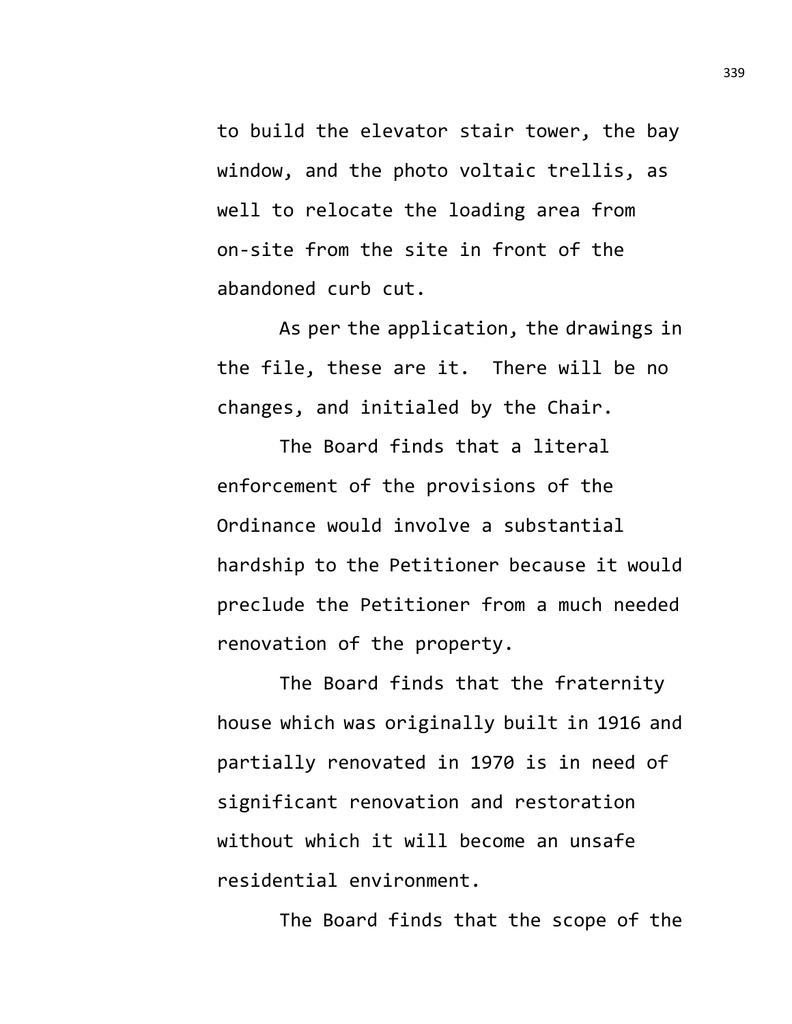to build the elevator stair tower, the bay window, and the photo voltaic trellis, as well to relocate the loading area from on-site from the site in front of the abandoned curb cut.

As per the application, the drawings in the file, these are it. There will be no changes, and initialed by the Chair.

The Board finds that a literal enforcement of the provisions of the Ordinance would involve a substantial hardship to the Petitioner because it would preclude the Petitioner from a much needed renovation of the property.

The Board finds that the fraternity house which was originally built in 1916 and partially renovated in 1970 is in need of significant renovation and restoration without which it will become an unsafe residential environment.

The Board finds that the scope of the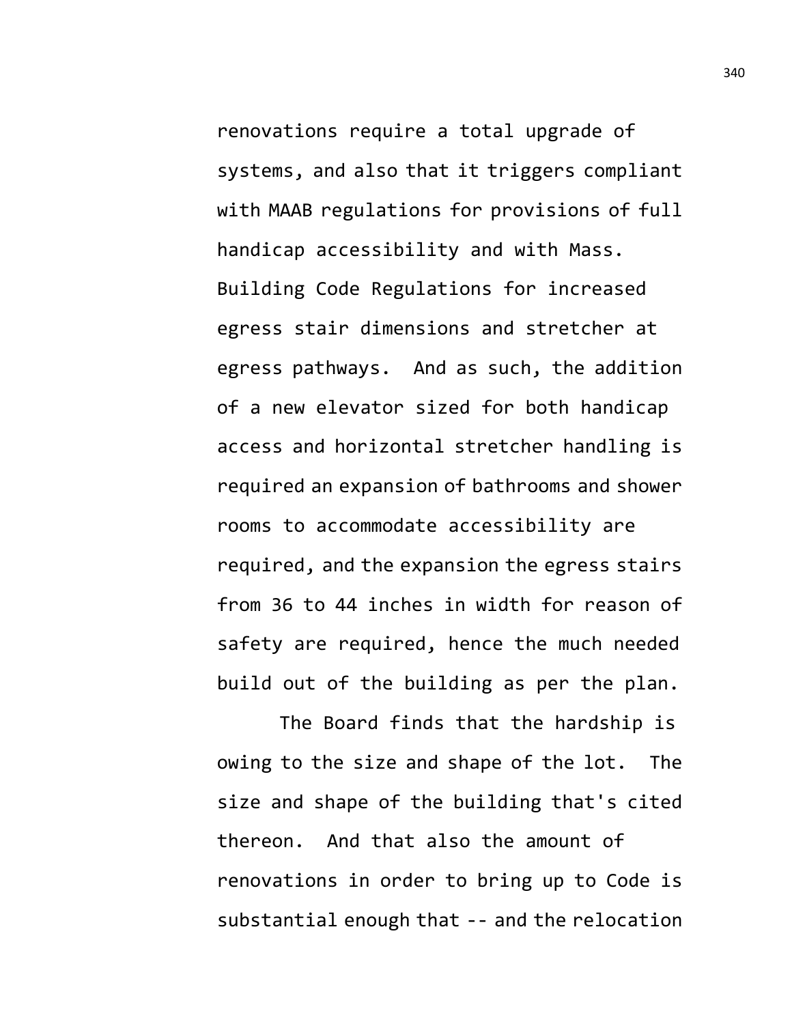renovations require a total upgrade of systems, and also that it triggers compliant with MAAB regulations for provisions of full handicap accessibility and with Mass. Building Code Regulations for increased egress stair dimensions and stretcher at egress pathways. And as such, the addition of a new elevator sized for both handicap access and horizontal stretcher handling is required an expansion of bathrooms and shower rooms to accommodate accessibility are required, and the expansion the egress stairs from 36 to 44 inches in width for reason of safety are required, hence the much needed build out of the building as per the plan.

The Board finds that the hardship is owing to the size and shape of the lot. The size and shape of the building that's cited thereon. And that also the amount of renovations in order to bring up to Code is substantial enough that -- and the relocation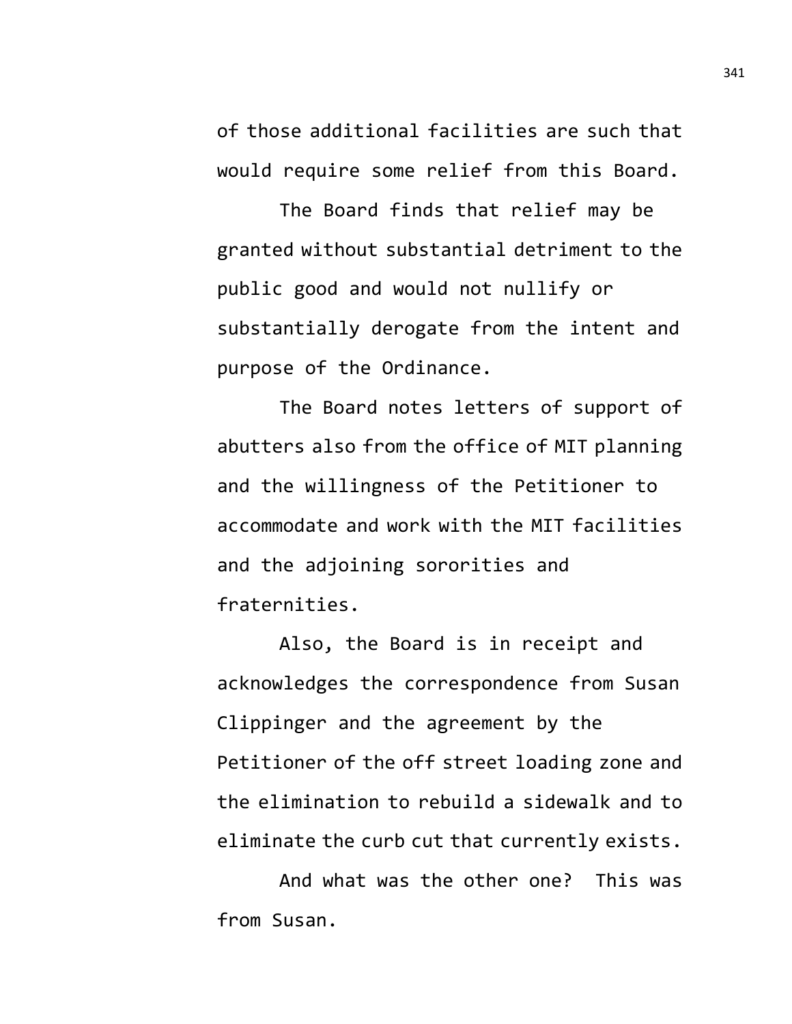of those additional facilities are such that would require some relief from this Board.

The Board finds that relief may be granted without substantial detriment to the public good and would not nullify or substantially derogate from the intent and purpose of the Ordinance.

The Board notes letters of support of abutters also from the office of MIT planning and the willingness of the Petitioner to accommodate and work with the MIT facilities and the adjoining sororities and fraternities.

Also, the Board is in receipt and acknowledges the correspondence from Susan Clippinger and the agreement by the Petitioner of the off street loading zone and the elimination to rebuild a sidewalk and to eliminate the curb cut that currently exists.

And what was the other one? This was from Susan.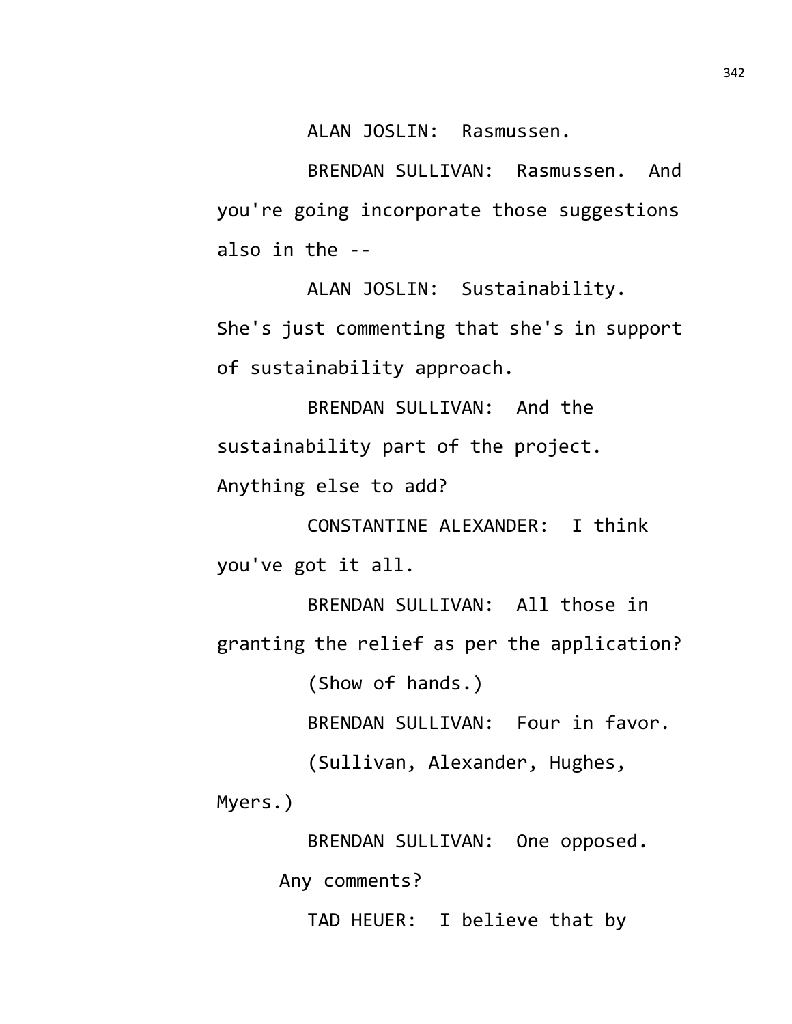ALAN JOSLIN: Rasmussen.

BRENDAN SULLIVAN: Rasmussen. And you're going incorporate those suggestions also in the --

ALAN JOSLIN: Sustainability. She's just commenting that she's in support of sustainability approach.

BRENDAN SULLIVAN: And the sustainability part of the project.

Anything else to add?

CONSTANTINE ALEXANDER: I think you've got it all.

BRENDAN SULLIVAN: All those in granting the relief as per the application? (Show of hands.) BRENDAN SULLIVAN: Four in favor.

(Sullivan, Alexander, Hughes,

Myers.)

BRENDAN SULLIVAN: One opposed.

Any comments?

TAD HEUER: I believe that by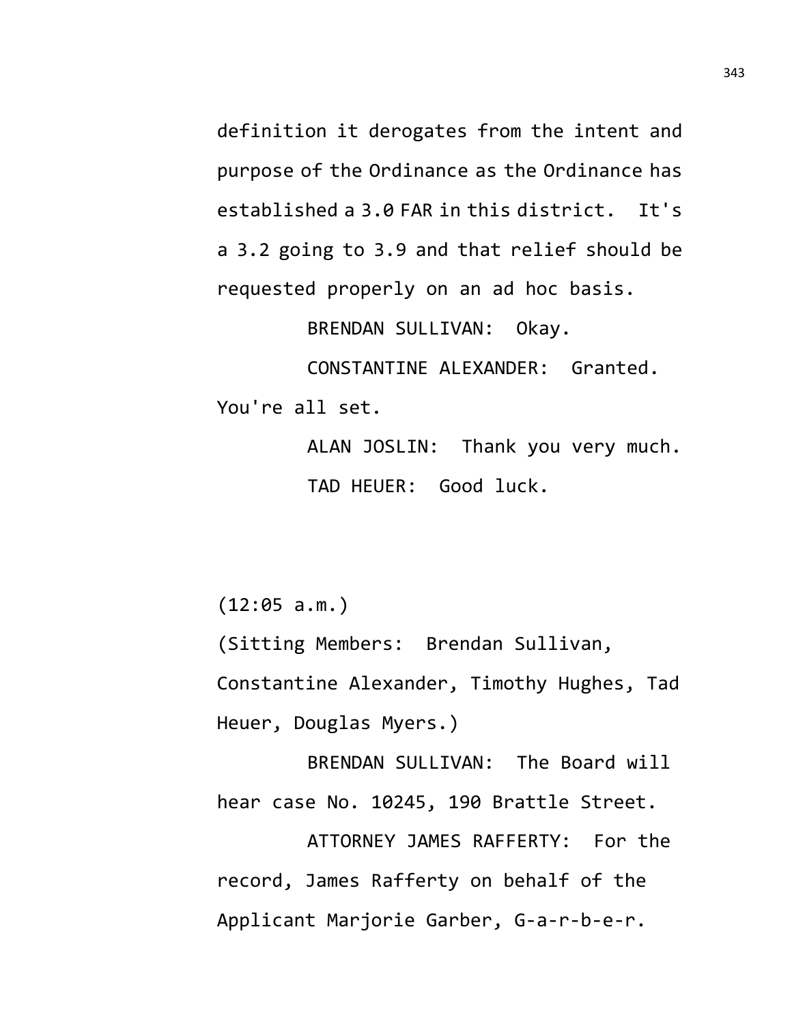definition it derogates from the intent and purpose of the Ordinance as the Ordinance has established a 3.0 FAR in this district. It's a 3.2 going to 3.9 and that relief should be requested properly on an ad hoc basis.

BRENDAN SULLIVAN: Okay.

CONSTANTINE ALEXANDER: Granted. You're all set.

> ALAN JOSLIN: Thank you very much. TAD HEUER: Good luck.

(12:05 a.m.)

(Sitting Members: Brendan Sullivan, Constantine Alexander, Timothy Hughes, Tad Heuer, Douglas Myers.)

BRENDAN SULLIVAN: The Board will hear case No. 10245, 190 Brattle Street.

ATTORNEY JAMES RAFFERTY: For the record, James Rafferty on behalf of the Applicant Marjorie Garber, G-a-r-b-e-r.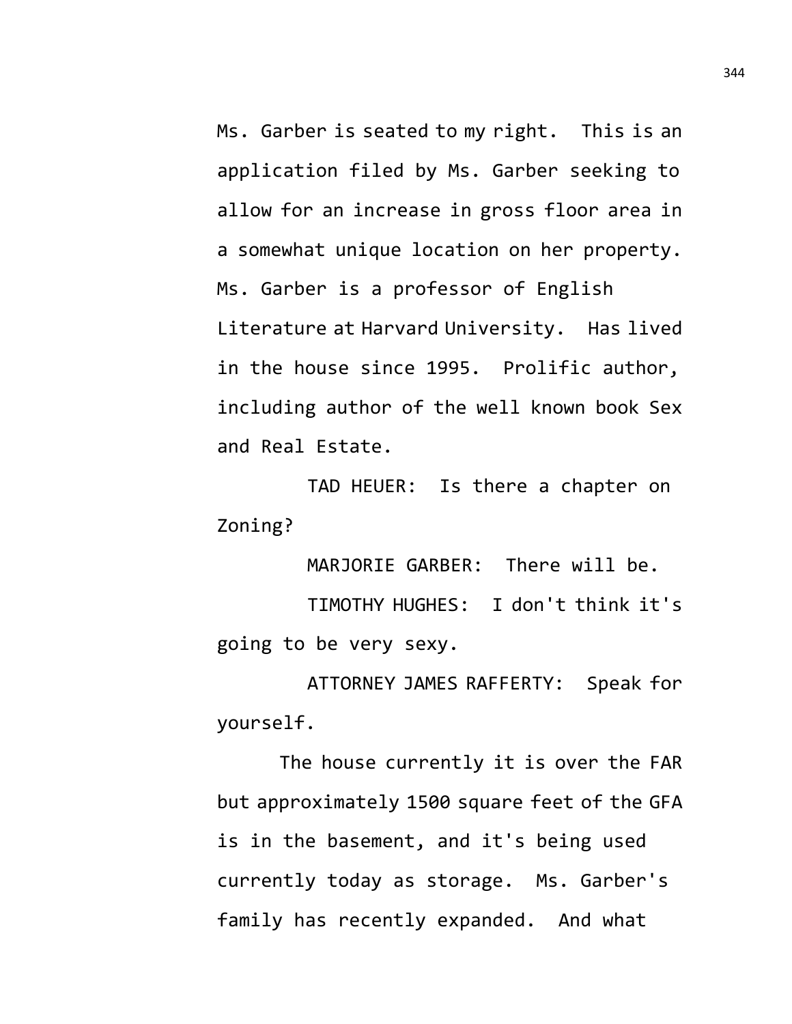Ms. Garber is seated to my right. This is an application filed by Ms. Garber seeking to allow for an increase in gross floor area in a somewhat unique location on her property. Ms. Garber is a professor of English Literature at Harvard University. Has lived in the house since 1995. Prolific author, including author of the well known book Sex and Real Estate.

TAD HEUER: Is there a chapter on Zoning?

MARJORIE GARBER: There will be.

TIMOTHY HUGHES: I don't think it's going to be very sexy.

ATTORNEY JAMES RAFFERTY: Speak for yourself.

The house currently it is over the FAR but approximately 1500 square feet of the GFA is in the basement, and it's being used currently today as storage. Ms. Garber's family has recently expanded. And what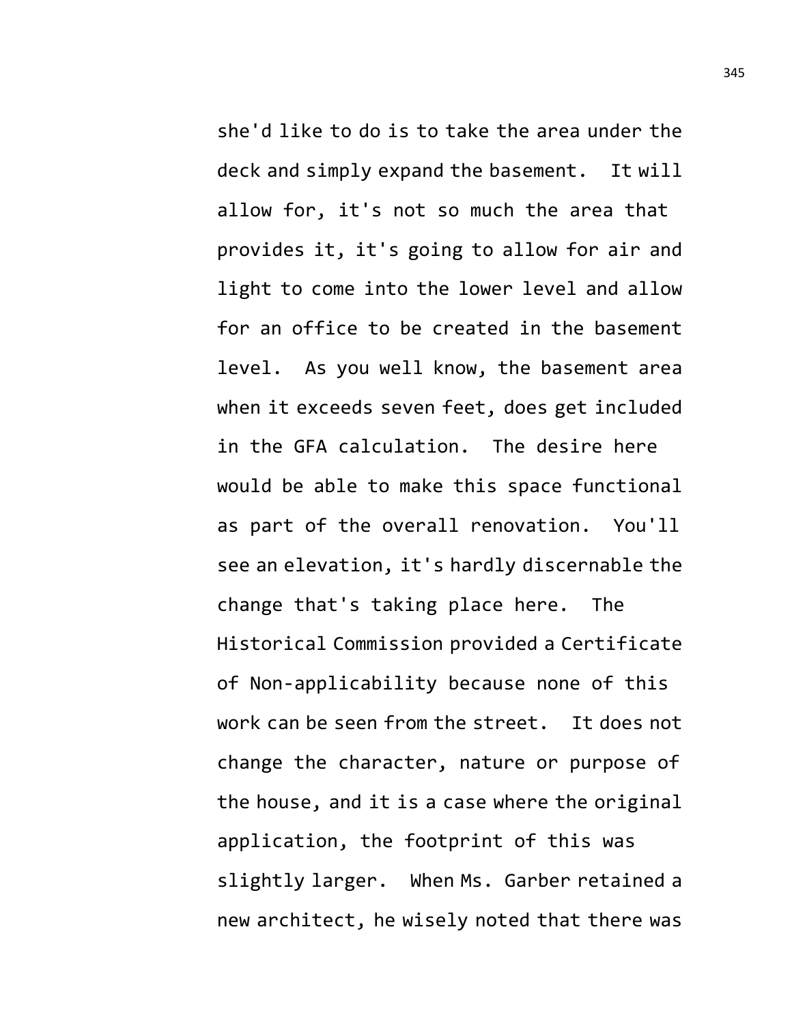she'd like to do is to take the area under the deck and simply expand the basement. It will allow for, it's not so much the area that provides it, it's going to allow for air and light to come into the lower level and allow for an office to be created in the basement level. As you well know, the basement area when it exceeds seven feet, does get included in the GFA calculation. The desire here would be able to make this space functional as part of the overall renovation. You'll see an elevation, it's hardly discernable the change that's taking place here. The Historical Commission provided a Certificate of Non-applicability because none of this work can be seen from the street. It does not change the character, nature or purpose of the house, and it is a case where the original application, the footprint of this was slightly larger. When Ms. Garber retained a new architect, he wisely noted that there was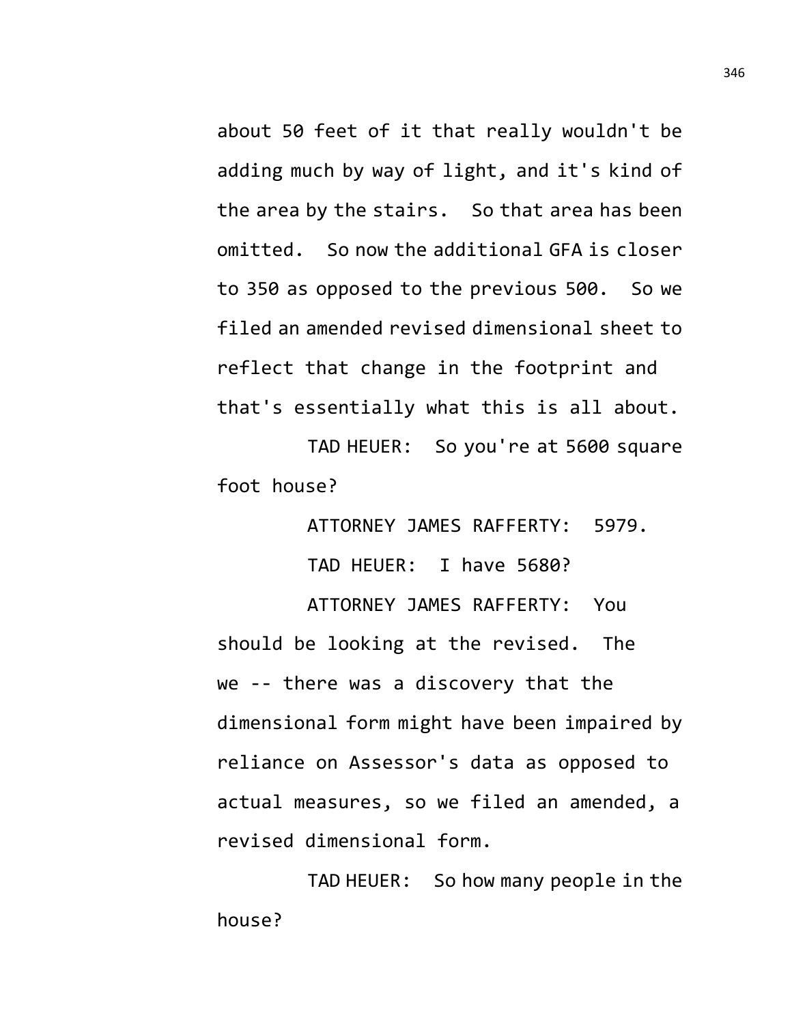about 50 feet of it that really wouldn't be adding much by way of light, and it's kind of the area by the stairs. So that area has been omitted. So now the additional GFA is closer to 350 as opposed to the previous 500. So we filed an amended revised dimensional sheet to reflect that change in the footprint and that's essentially what this is all about.

TAD HEUER: So you're at 5600 square foot house?

> ATTORNEY JAMES RAFFERTY: 5979. TAD HEUER: I have 5680?

ATTORNEY JAMES RAFFERTY: You should be looking at the revised. The we -- there was a discovery that the dimensional form might have been impaired by reliance on Assessor's data as opposed to actual measures, so we filed an amended, a revised dimensional form.

TAD HEUER: So how many people in the house?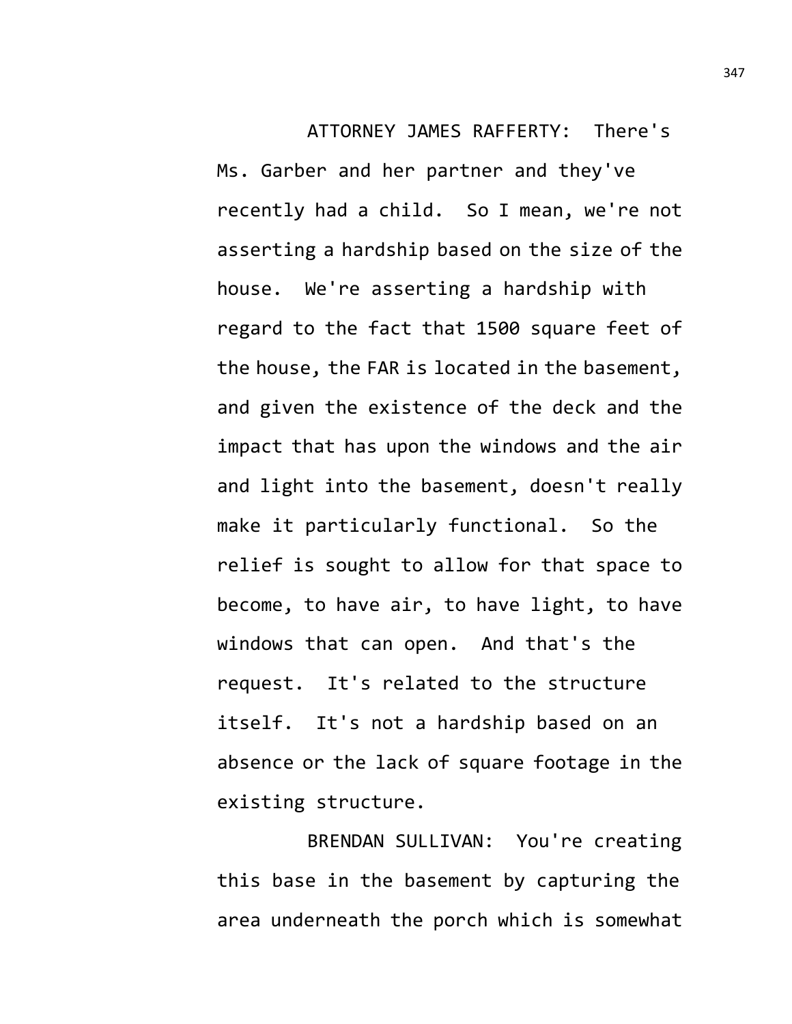ATTORNEY JAMES RAFFERTY: There's Ms. Garber and her partner and they've recently had a child. So I mean, we're not asserting a hardship based on the size of the house. We're asserting a hardship with regard to the fact that 1500 square feet of the house, the FAR is located in the basement, and given the existence of the deck and the impact that has upon the windows and the air and light into the basement, doesn't really make it particularly functional. So the relief is sought to allow for that space to become, to have air, to have light, to have

windows that can open. And that's the request. It's related to the structure itself. It's not a hardship based on an absence or the lack of square footage in the existing structure.

BRENDAN SULLIVAN: You're creating this base in the basement by capturing the area underneath the porch which is somewhat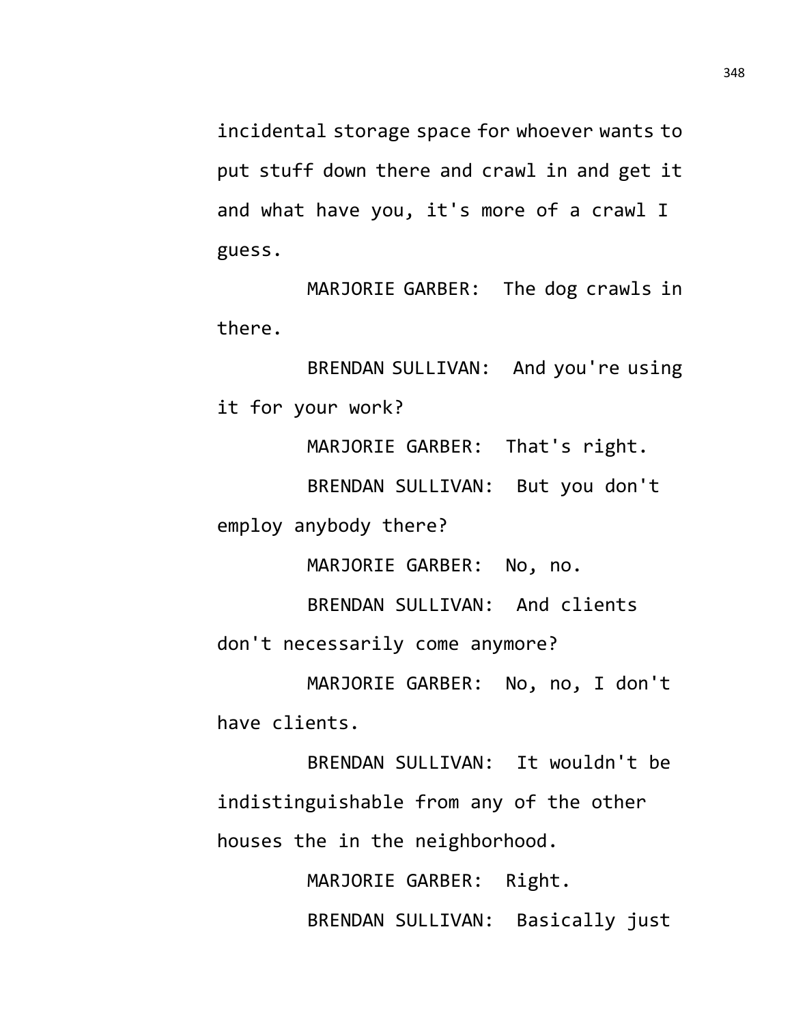incidental storage space for whoever wants to put stuff down there and crawl in and get it and what have you, it's more of a crawl I guess.

MARJORIE GARBER: The dog crawls in there.

BRENDAN SULLIVAN: And you're using it for your work?

MARJORIE GARBER: That's right.

BRENDAN SULLIVAN: But you don't

employ anybody there?

MARJORIE GARBER: No, no.

BRENDAN SULLIVAN: And clients

don't necessarily come anymore?

MARJORIE GARBER: No, no, I don't have clients.

BRENDAN SULLIVAN: It wouldn't be indistinguishable from any of the other houses the in the neighborhood.

> MARJORIE GARBER: Right. BRENDAN SULLIVAN: Basically just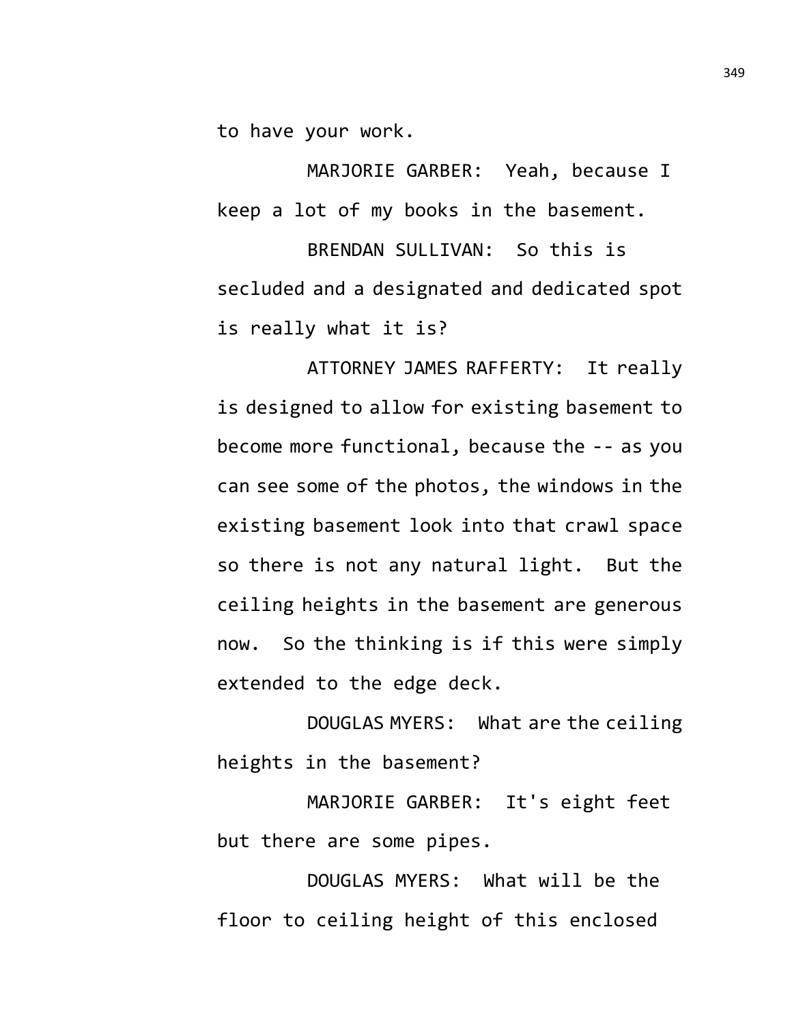to have your work.

MARJORIE GARBER: Yeah, because I keep a lot of my books in the basement.

BRENDAN SULLIVAN: So this is secluded and a designated and dedicated spot is really what it is?

ATTORNEY JAMES RAFFERTY: It really is designed to allow for existing basement to become more functional, because the -- as you can see some of the photos, the windows in the existing basement look into that crawl space so there is not any natural light. But the ceiling heights in the basement are generous now. So the thinking is if this were simply extended to the edge deck.

DOUGLAS MYERS: What are the ceiling heights in the basement?

MARJORIE GARBER: It's eight feet but there are some pipes.

DOUGLAS MYERS: What will be the floor to ceiling height of this enclosed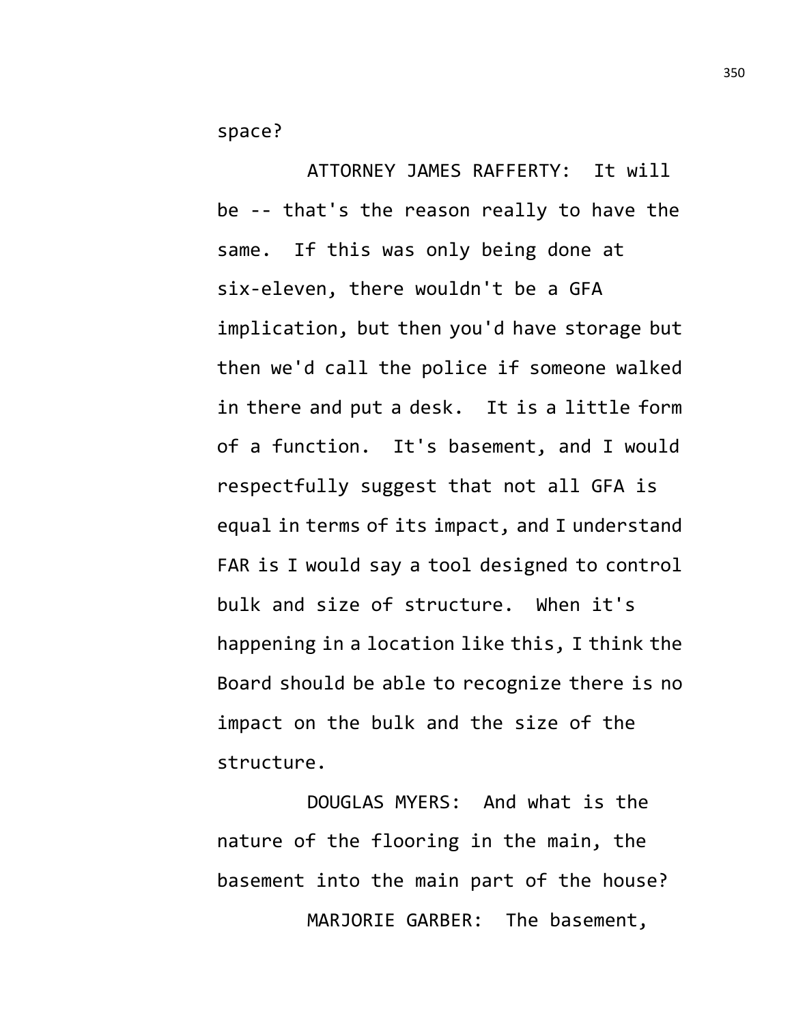space?

ATTORNEY JAMES RAFFERTY: It will be -- that's the reason really to have the same. If this was only being done at six-eleven, there wouldn't be a GFA implication, but then you'd have storage but then we'd call the police if someone walked in there and put a desk. It is a little form of a function. It's basement, and I would respectfully suggest that not all GFA is equal in terms of its impact, and I understand FAR is I would say a tool designed to control bulk and size of structure. When it's happening in a location like this, I think the Board should be able to recognize there is no impact on the bulk and the size of the structure.

DOUGLAS MYERS: And what is the nature of the flooring in the main, the basement into the main part of the house? MARJORIE GARBER: The basement,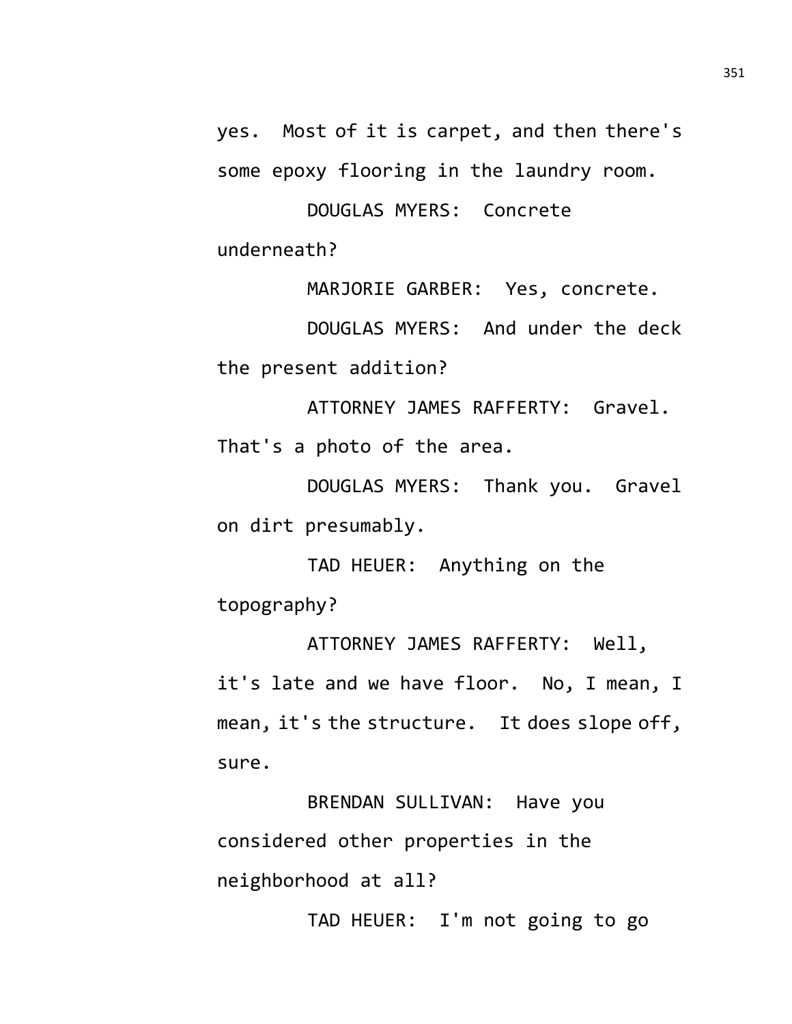yes. Most of it is carpet, and then there's some epoxy flooring in the laundry room.

DOUGLAS MYERS: Concrete underneath?

MARJORIE GARBER: Yes, concrete.

DOUGLAS MYERS: And under the deck the present addition?

ATTORNEY JAMES RAFFERTY: Gravel. That's a photo of the area.

DOUGLAS MYERS: Thank you. Gravel on dirt presumably.

TAD HEUER: Anything on the topography?

ATTORNEY JAMES RAFFERTY: Well, it's late and we have floor. No, I mean, I mean, it's the structure. It does slope off, sure.

BRENDAN SULLIVAN: Have you considered other properties in the neighborhood at all?

TAD HEUER: I'm not going to go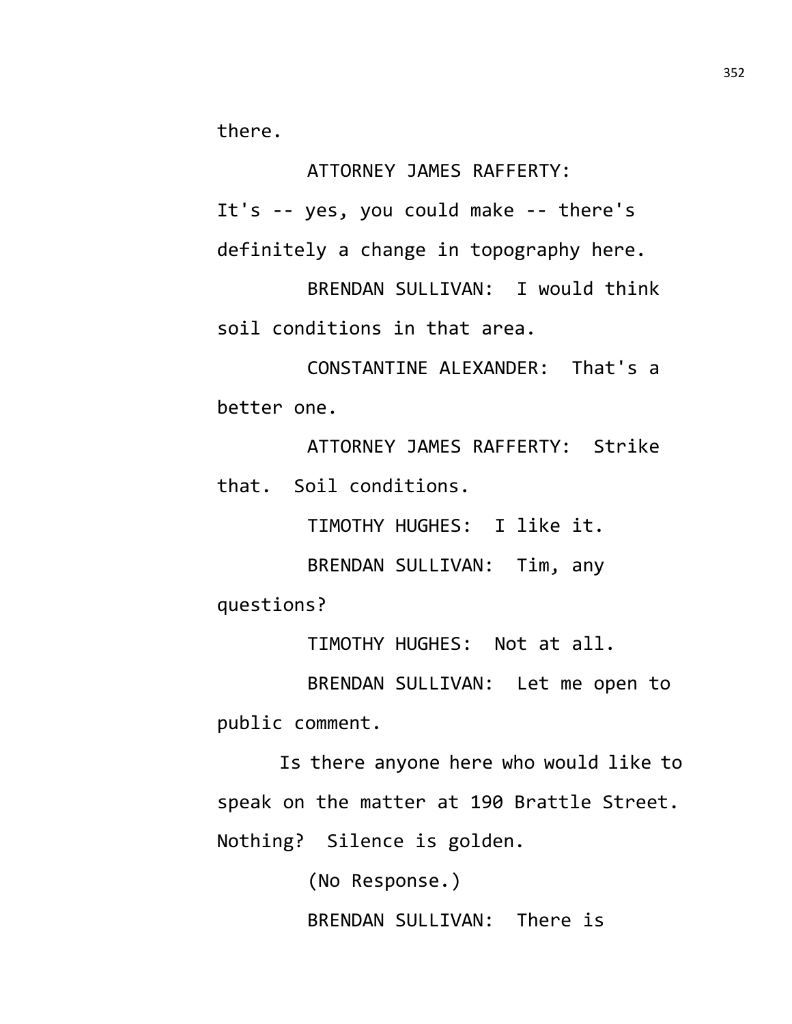there.

ATTORNEY JAMES RAFFERTY:

It's -- yes, you could make -- there's definitely a change in topography here.

BRENDAN SULLIVAN: I would think soil conditions in that area.

CONSTANTINE ALEXANDER: That's a better one.

ATTORNEY JAMES RAFFERTY: Strike that. Soil conditions.

TIMOTHY HUGHES: I like it.

BRENDAN SULLIVAN: Tim, any

questions?

TIMOTHY HUGHES: Not at all.

BRENDAN SULLIVAN: Let me open to public comment.

Is there anyone here who would like to speak on the matter at 190 Brattle Street. Nothing? Silence is golden.

> (No Response.) BRENDAN SULLIVAN: There is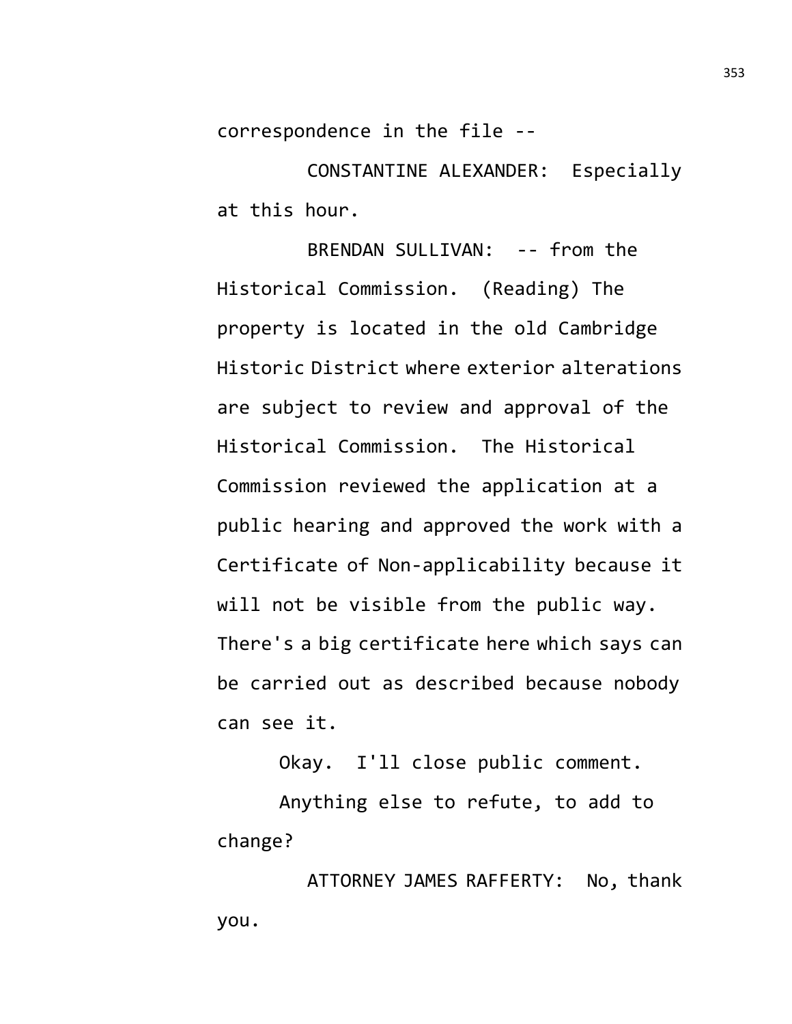correspondence in the file --

CONSTANTINE ALEXANDER: Especially at this hour.

BRENDAN SULLIVAN: -- from the Historical Commission. (Reading) The property is located in the old Cambridge Historic District where exterior alterations are subject to review and approval of the Historical Commission. The Historical Commission reviewed the application at a public hearing and approved the work with a Certificate of Non-applicability because it will not be visible from the public way. There's a big certificate here which says can be carried out as described because nobody can see it.

Okay. I'll close public comment.

Anything else to refute, to add to change?

ATTORNEY JAMES RAFFERTY: No, thank you.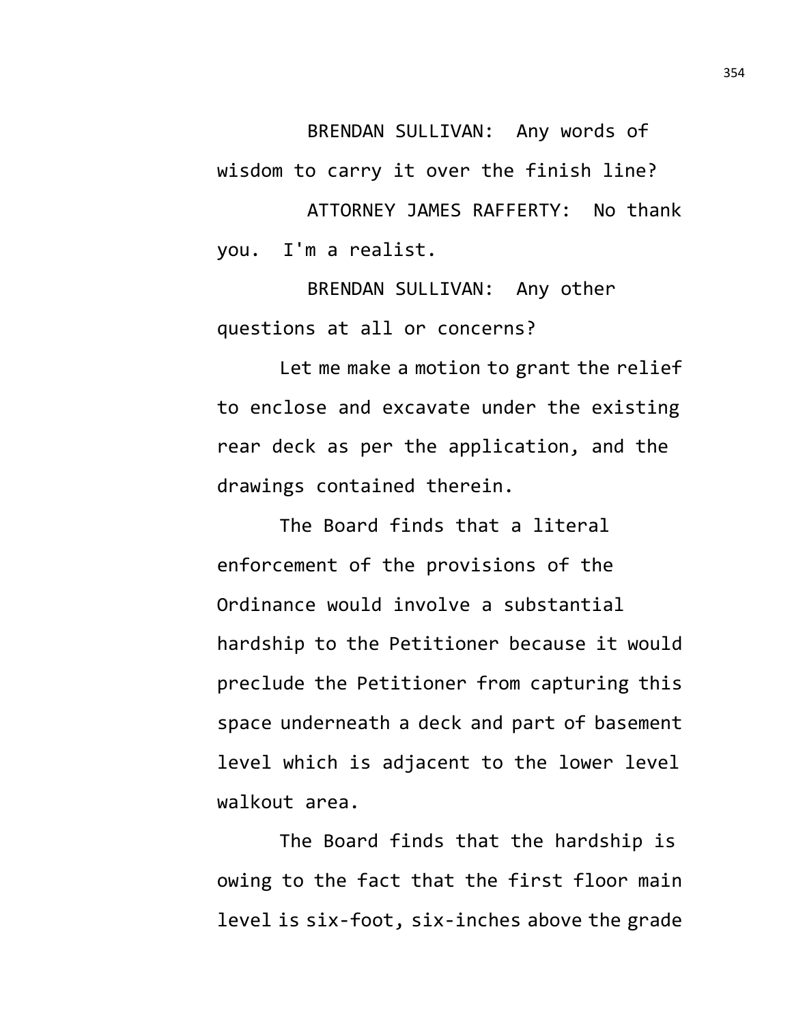BRENDAN SULLIVAN: Any words of wisdom to carry it over the finish line?

ATTORNEY JAMES RAFFERTY: No thank you. I'm a realist.

BRENDAN SULLIVAN: Any other questions at all or concerns?

Let me make a motion to grant the relief to enclose and excavate under the existing rear deck as per the application, and the drawings contained therein.

The Board finds that a literal enforcement of the provisions of the Ordinance would involve a substantial hardship to the Petitioner because it would preclude the Petitioner from capturing this space underneath a deck and part of basement level which is adjacent to the lower level walkout area.

The Board finds that the hardship is owing to the fact that the first floor main level is six-foot, six-inches above the grade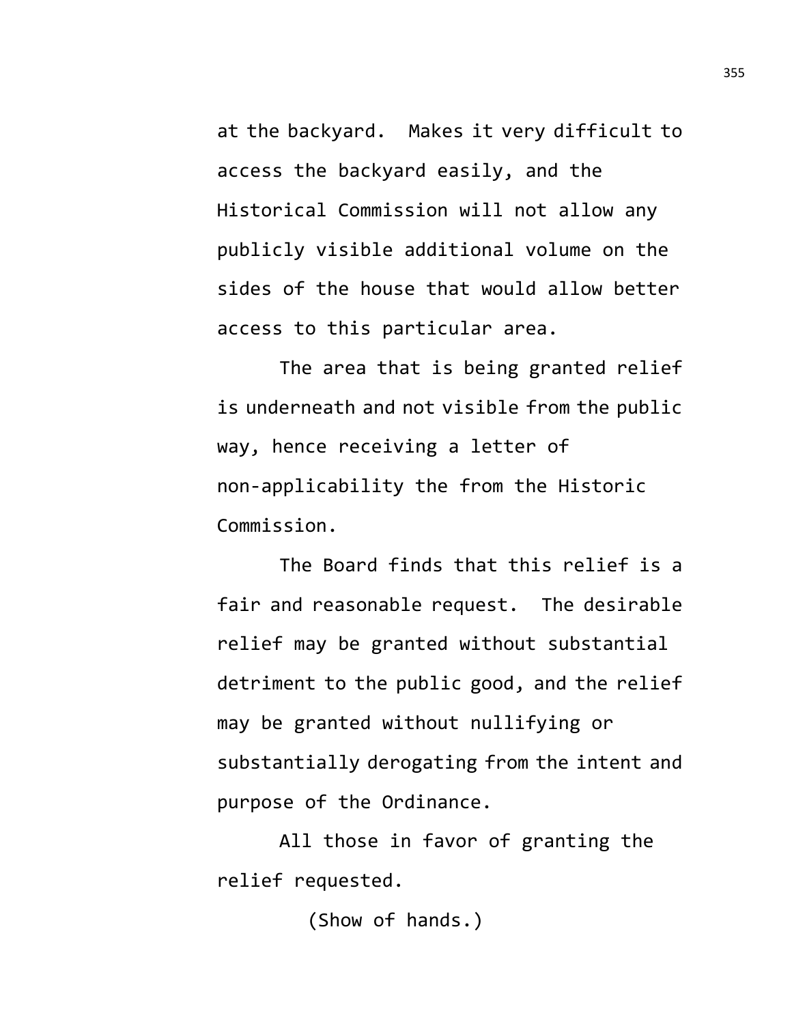at the backyard. Makes it very difficult to access the backyard easily, and the Historical Commission will not allow any publicly visible additional volume on the sides of the house that would allow better access to this particular area.

The area that is being granted relief is underneath and not visible from the public way, hence receiving a letter of non-applicability the from the Historic Commission.

The Board finds that this relief is a fair and reasonable request. The desirable relief may be granted without substantial detriment to the public good, and the relief may be granted without nullifying or substantially derogating from the intent and purpose of the Ordinance.

All those in favor of granting the relief requested.

(Show of hands.)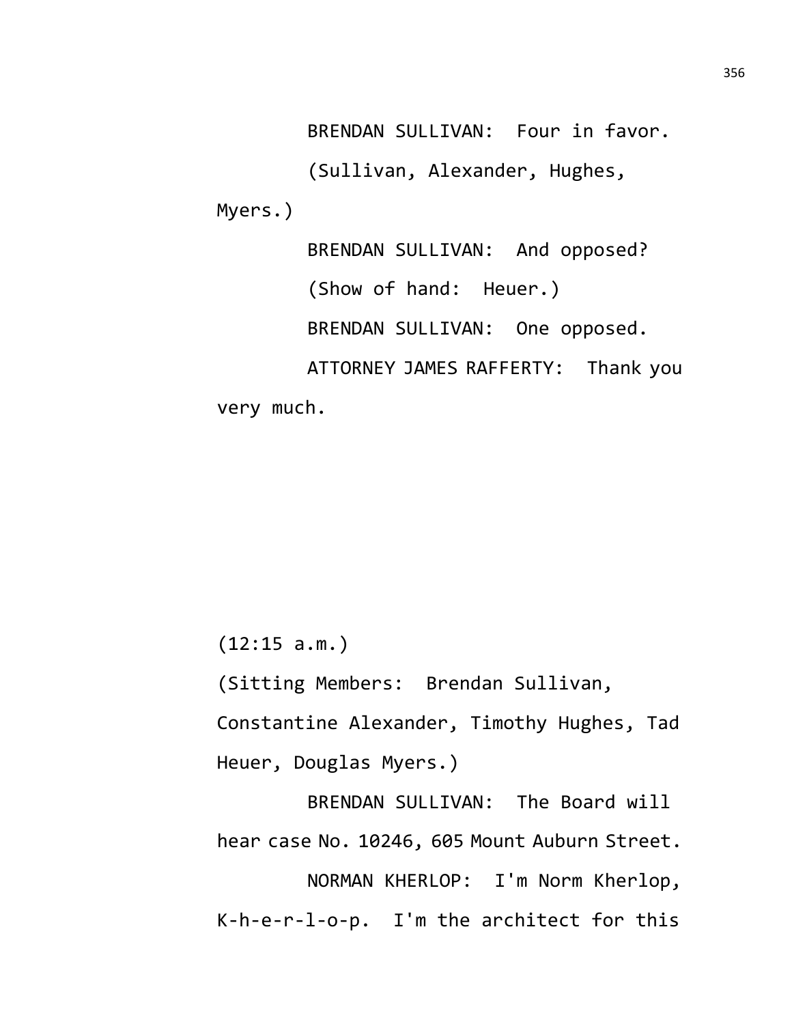BRENDAN SULLIVAN: Four in favor. (Sullivan, Alexander, Hughes, Myers.) BRENDAN SULLIVAN: And opposed? (Show of hand: Heuer.) BRENDAN SULLIVAN: One opposed. ATTORNEY JAMES RAFFERTY: Thank you

very much.

(12:15 a.m.)

(Sitting Members: Brendan Sullivan,

Constantine Alexander, Timothy Hughes, Tad Heuer, Douglas Myers.)

BRENDAN SULLIVAN: The Board will hear case No. 10246, 605 Mount Auburn Street. NORMAN KHERLOP: I'm Norm Kherlop,

K-h-e-r-l-o-p. I'm the architect for this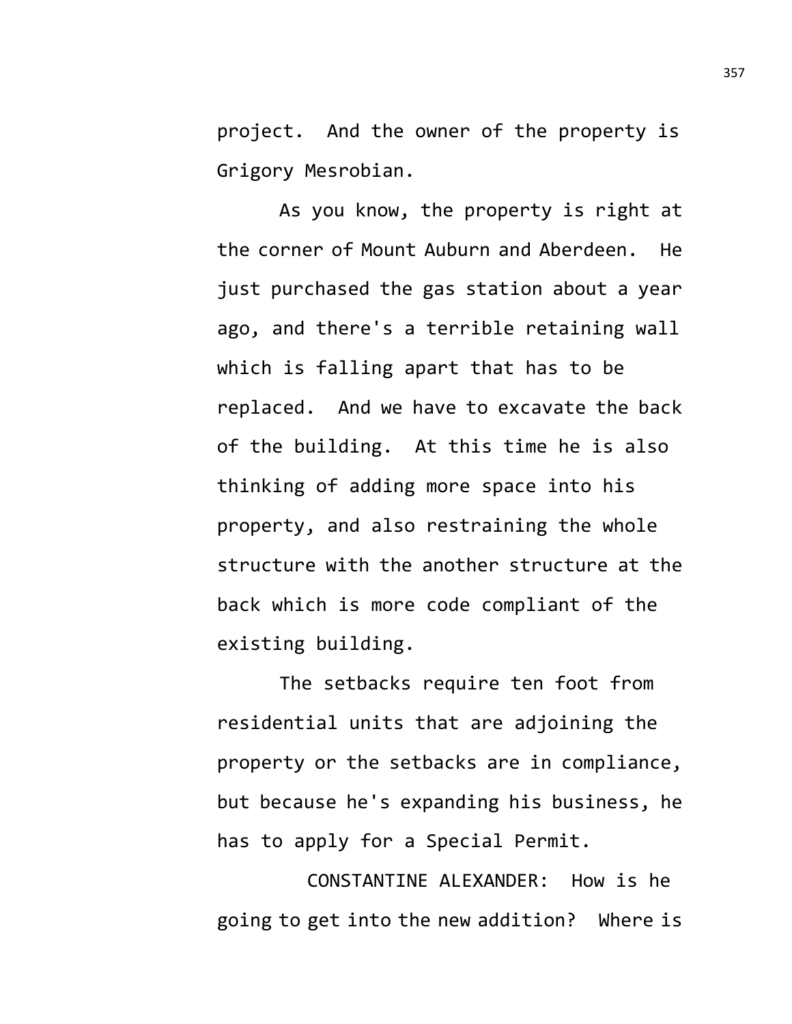project. And the owner of the property is Grigory Mesrobian.

As you know, the property is right at the corner of Mount Auburn and Aberdeen. He just purchased the gas station about a year ago, and there's a terrible retaining wall which is falling apart that has to be replaced. And we have to excavate the back of the building. At this time he is also thinking of adding more space into his property, and also restraining the whole structure with the another structure at the back which is more code compliant of the existing building.

The setbacks require ten foot from residential units that are adjoining the property or the setbacks are in compliance, but because he's expanding his business, he has to apply for a Special Permit.

CONSTANTINE ALEXANDER: How is he going to get into the new addition? Where is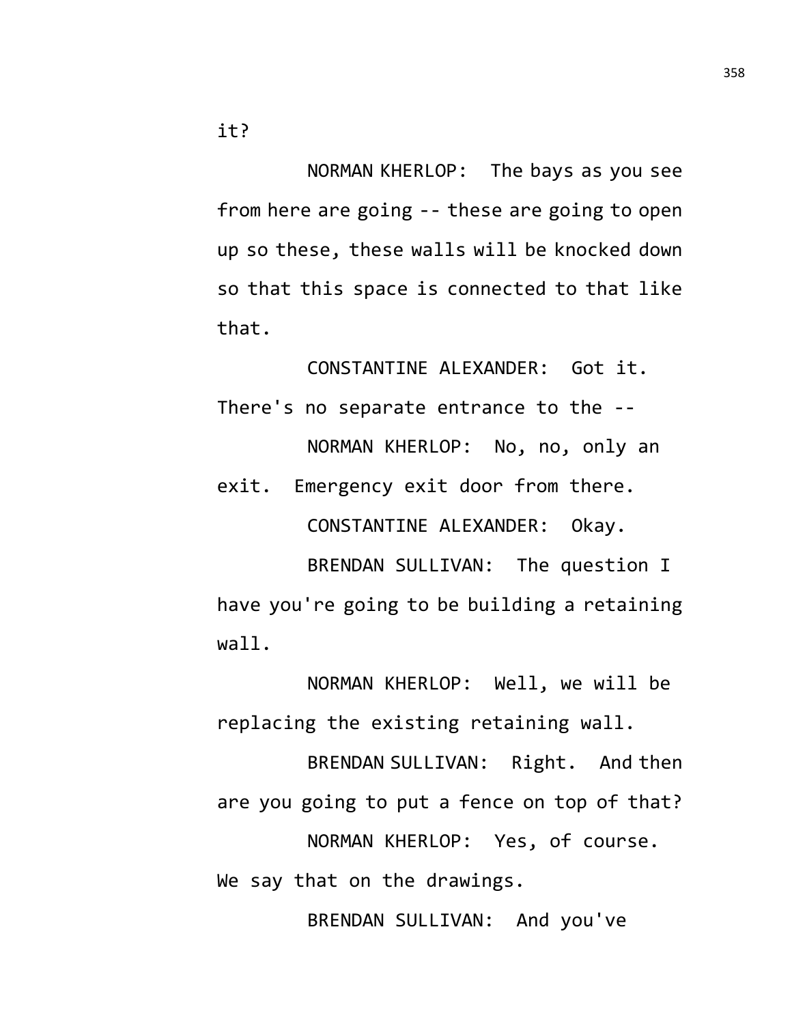NORMAN KHERLOP: The bays as you see from here are going -- these are going to open up so these, these walls will be knocked down so that this space is connected to that like that.

CONSTANTINE ALEXANDER: Got it. There's no separate entrance to the -- NORMAN KHERLOP: No, no, only an

exit. Emergency exit door from there. CONSTANTINE ALEXANDER: Okay. BRENDAN SULLIVAN: The question I

have you're going to be building a retaining wall.

NORMAN KHERLOP: Well, we will be replacing the existing retaining wall.

BRENDAN SULLIVAN: Right. And then are you going to put a fence on top of that? NORMAN KHERLOP: Yes, of course. We say that on the drawings.

BRENDAN SULLIVAN: And you've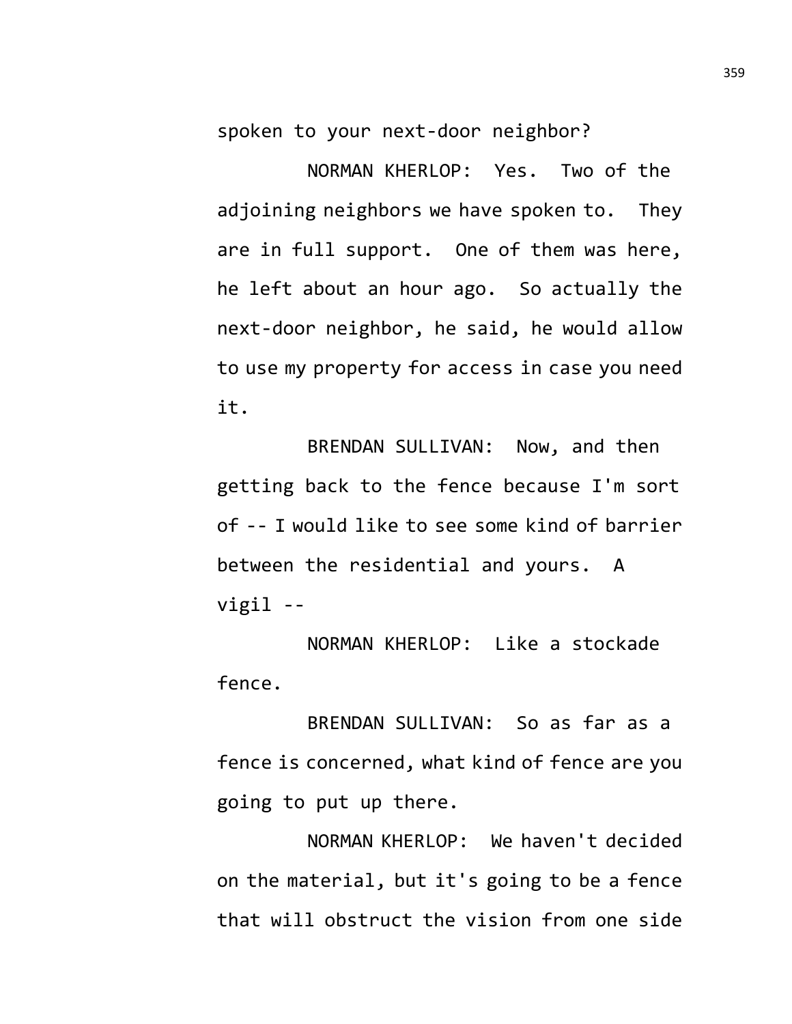spoken to your next-door neighbor?

NORMAN KHERLOP: Yes. Two of the adjoining neighbors we have spoken to. They are in full support. One of them was here, he left about an hour ago. So actually the next-door neighbor, he said, he would allow to use my property for access in case you need it.

BRENDAN SULLIVAN: Now, and then getting back to the fence because I'm sort of -- I would like to see some kind of barrier between the residential and yours. A vigil --

NORMAN KHERLOP: Like a stockade fence.

BRENDAN SULLIVAN: So as far as a fence is concerned, what kind of fence are you going to put up there.

NORMAN KHERLOP: We haven't decided on the material, but it's going to be a fence that will obstruct the vision from one side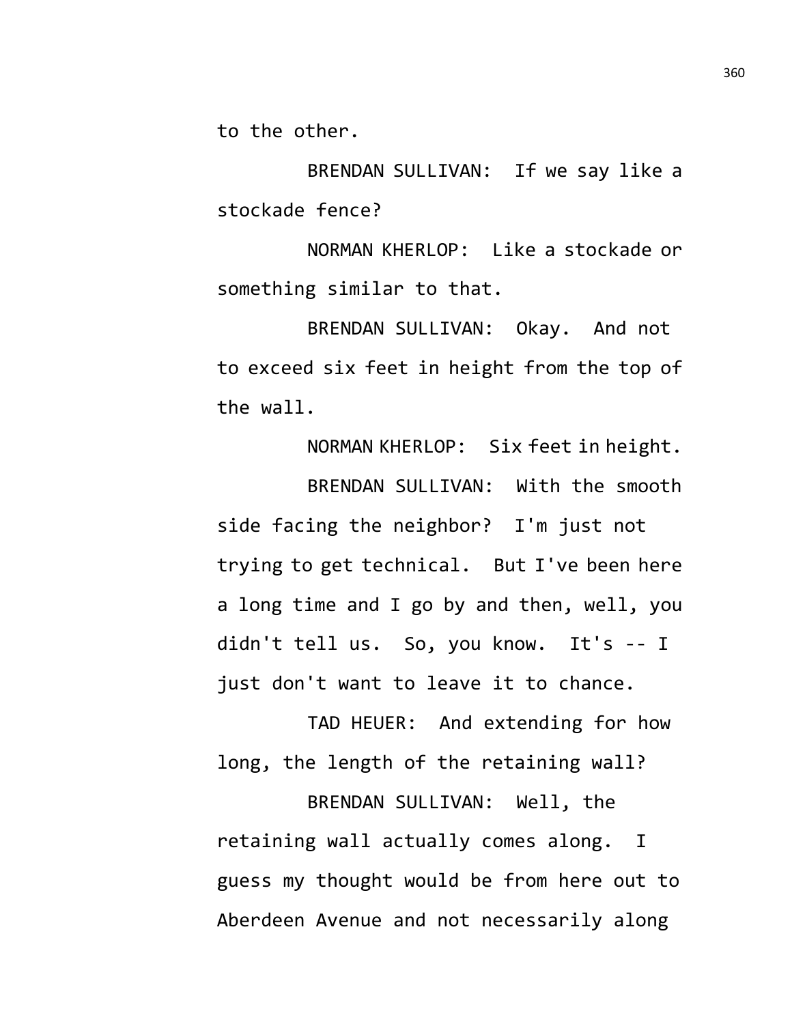to the other.

BRENDAN SULLIVAN: If we say like a stockade fence?

NORMAN KHERLOP: Like a stockade or something similar to that.

BRENDAN SULLIVAN: Okay. And not to exceed six feet in height from the top of the wall.

NORMAN KHERLOP: Six feet in height. BRENDAN SULLIVAN: With the smooth side facing the neighbor? I'm just not trying to get technical. But I've been here a long time and I go by and then, well, you didn't tell us. So, you know. It's -- I just don't want to leave it to chance.

TAD HEUER: And extending for how long, the length of the retaining wall?

BRENDAN SULLIVAN: Well, the retaining wall actually comes along. I guess my thought would be from here out to Aberdeen Avenue and not necessarily along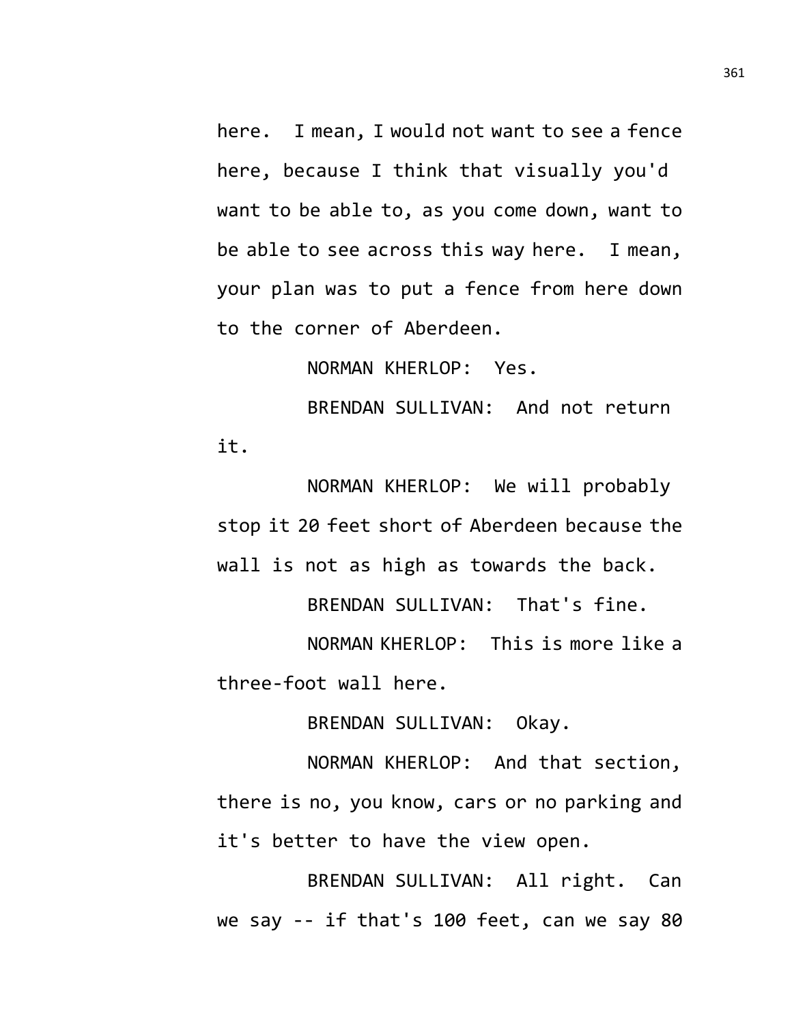here. I mean, I would not want to see a fence here, because I think that visually you'd want to be able to, as you come down, want to be able to see across this way here. I mean, your plan was to put a fence from here down to the corner of Aberdeen.

NORMAN KHERLOP: Yes.

BRENDAN SULLIVAN: And not return it.

NORMAN KHERLOP: We will probably stop it 20 feet short of Aberdeen because the wall is not as high as towards the back.

BRENDAN SULLIVAN: That's fine.

NORMAN KHERLOP: This is more like a three-foot wall here.

BRENDAN SULLIVAN: Okay.

NORMAN KHERLOP: And that section, there is no, you know, cars or no parking and it's better to have the view open.

BRENDAN SULLIVAN: All right. Can we say -- if that's 100 feet, can we say 80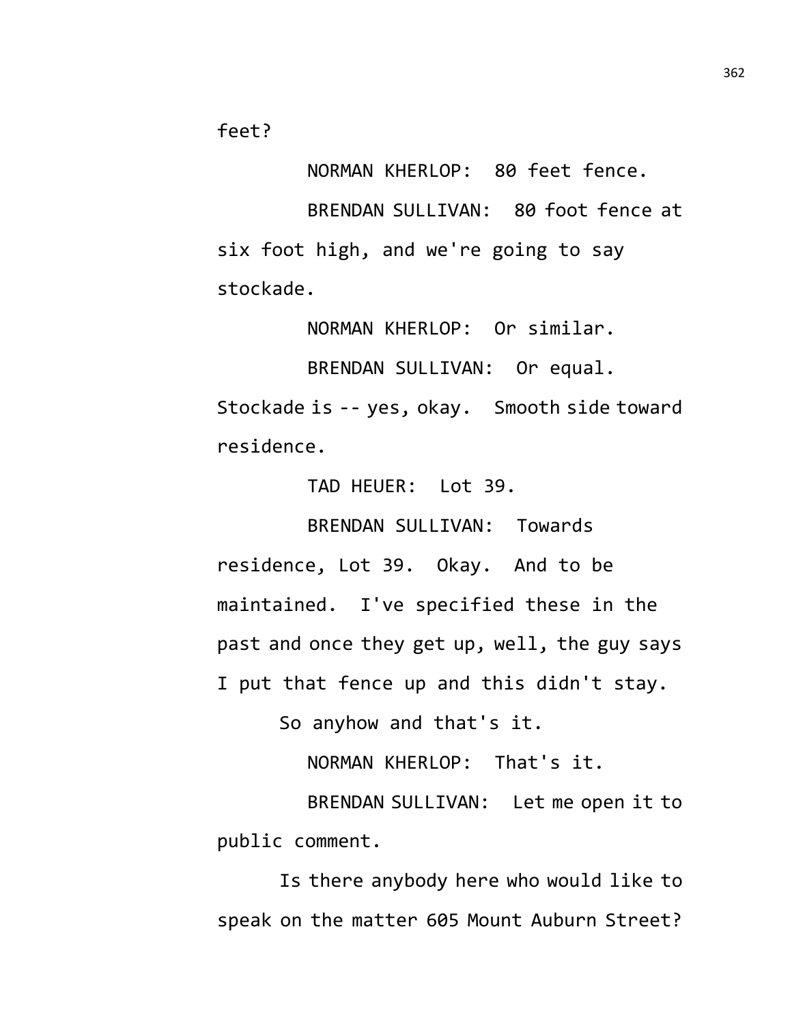feet?

NORMAN KHERLOP: 80 feet fence.

BRENDAN SULLIVAN: 80 foot fence at six foot high, and we're going to say stockade.

NORMAN KHERLOP: Or similar.

BRENDAN SULLIVAN: Or equal. Stockade is -- yes, okay. Smooth side toward residence.

TAD HEUER: Lot 39.

BRENDAN SULLIVAN: Towards residence, Lot 39. Okay. And to be maintained. I've specified these in the past and once they get up, well, the guy says I put that fence up and this didn't stay.

So anyhow and that's it.

NORMAN KHERLOP: That's it.

BRENDAN SULLIVAN: Let me open it to public comment.

Is there anybody here who would like to speak on the matter 605 Mount Auburn Street?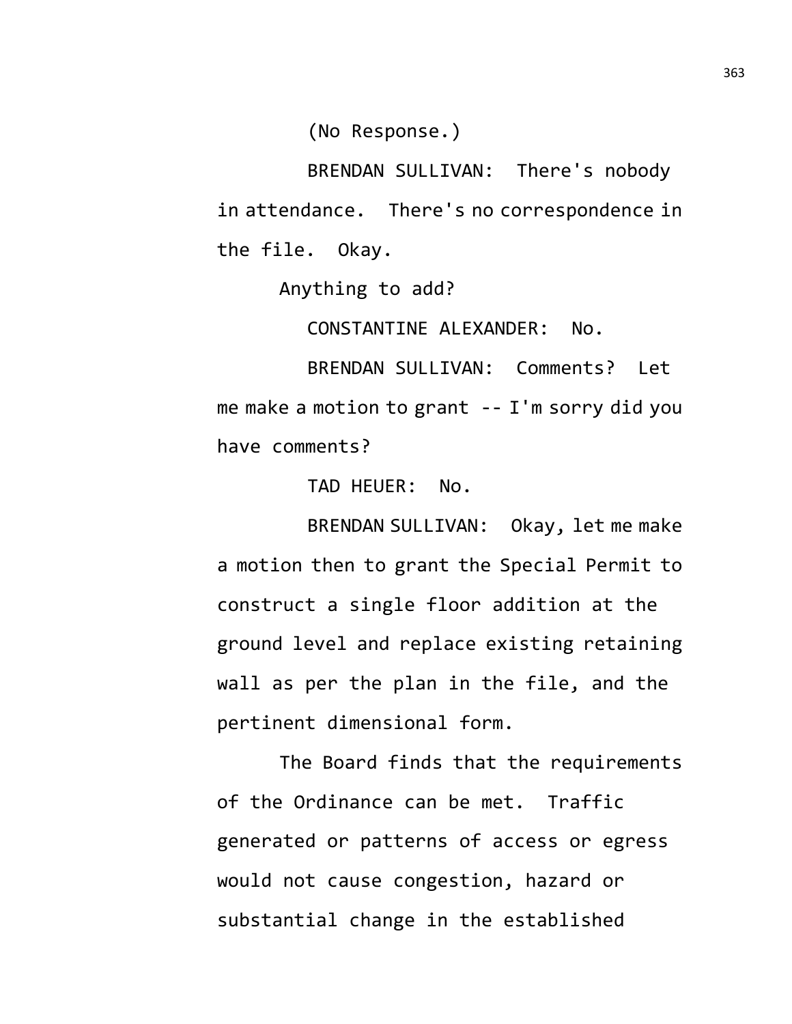(No Response.)

BRENDAN SULLIVAN: There's nobody in attendance. There's no correspondence in the file. Okay.

Anything to add?

CONSTANTINE ALEXANDER: No.

BRENDAN SULLIVAN: Comments? Let me make a motion to grant -- I'm sorry did you have comments?

TAD HEUER: No.

BRENDAN SULLIVAN: Okay, let me make a motion then to grant the Special Permit to construct a single floor addition at the ground level and replace existing retaining wall as per the plan in the file, and the pertinent dimensional form.

The Board finds that the requirements of the Ordinance can be met. Traffic generated or patterns of access or egress would not cause congestion, hazard or substantial change in the established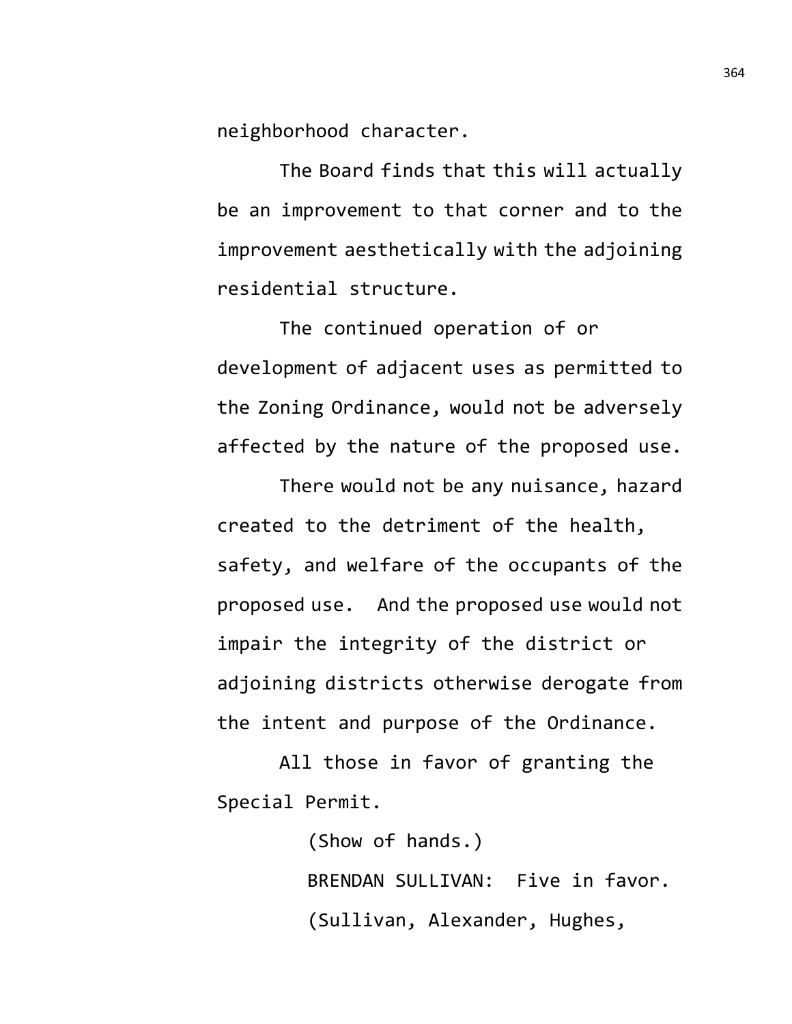neighborhood character.

The Board finds that this will actually be an improvement to that corner and to the improvement aesthetically with the adjoining residential structure.

The continued operation of or development of adjacent uses as permitted to the Zoning Ordinance, would not be adversely affected by the nature of the proposed use.

There would not be any nuisance, hazard created to the detriment of the health, safety, and welfare of the occupants of the proposed use. And the proposed use would not impair the integrity of the district or adjoining districts otherwise derogate from the intent and purpose of the Ordinance.

All those in favor of granting the Special Permit.

> (Show of hands.) BRENDAN SULLIVAN: Five in favor. (Sullivan, Alexander, Hughes,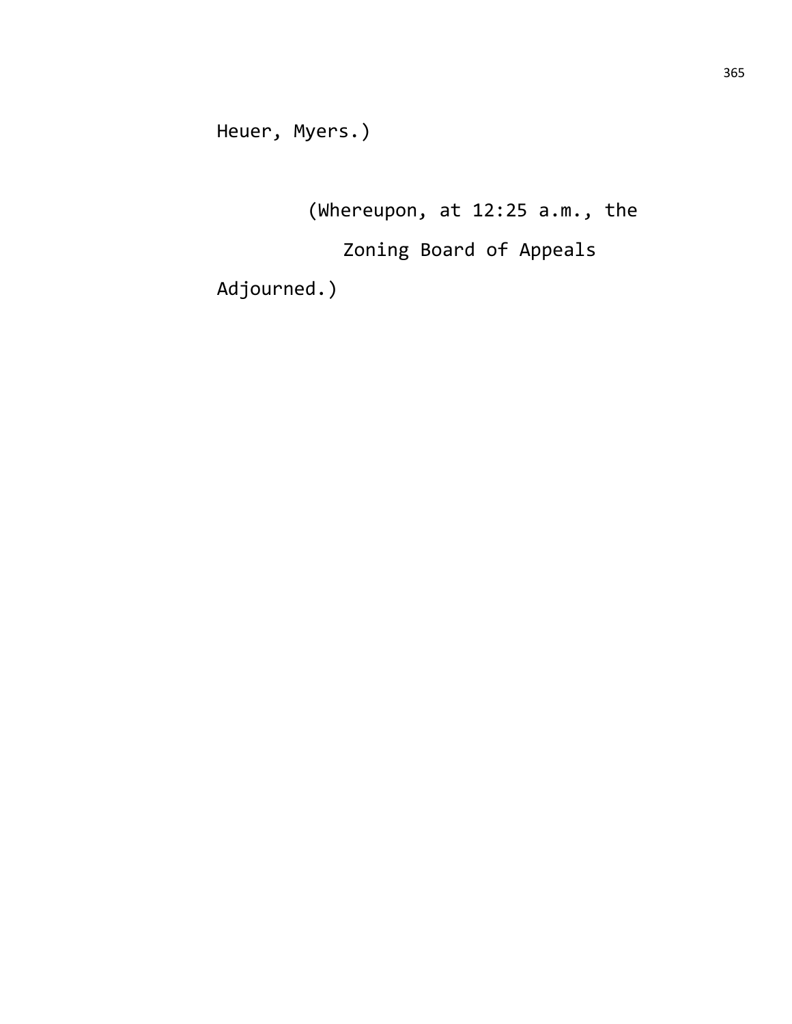Heuer, Myers.)

(Whereupon, at 12:25 a.m., the

Zoning Board of Appeals

Adjourned.)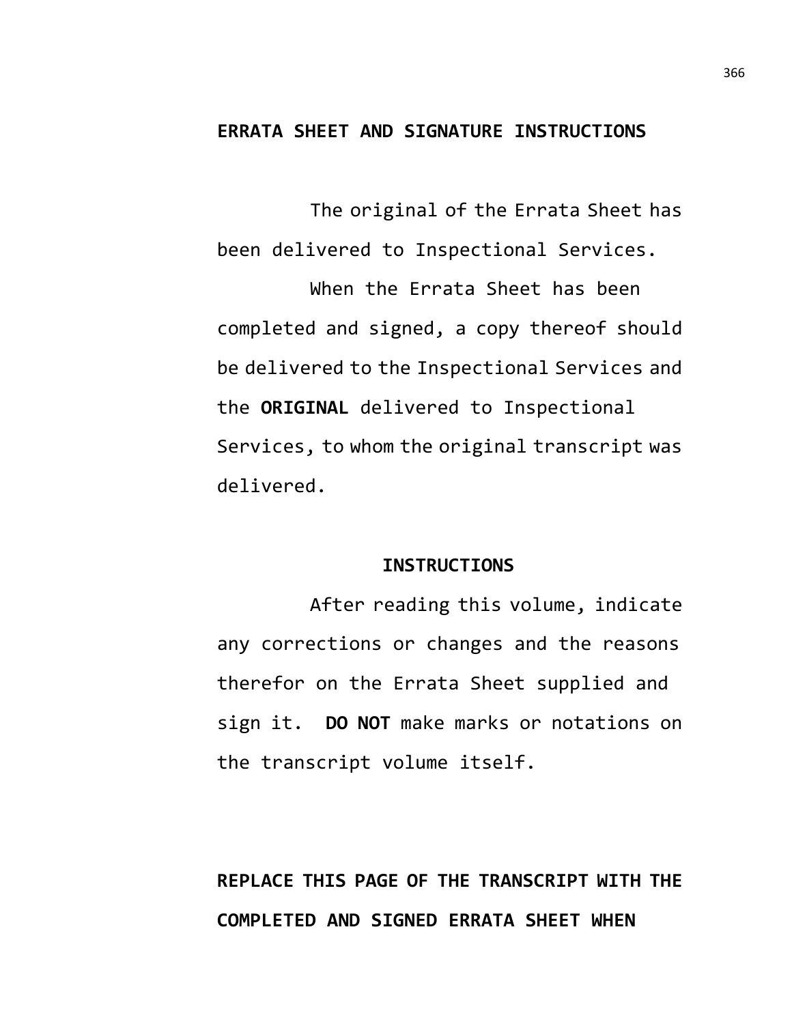### **ERRATA SHEET AND SIGNATURE INSTRUCTIONS**

The original of the Errata Sheet has been delivered to Inspectional Services.

When the Errata Sheet has been completed and signed, a copy thereof should be delivered to the Inspectional Services and the **ORIGINAL** delivered to Inspectional Services, to whom the original transcript was delivered.

#### **INSTRUCTIONS**

After reading this volume, indicate any corrections or changes and the reasons therefor on the Errata Sheet supplied and sign it. **DO NOT** make marks or notations on the transcript volume itself.

# **REPLACE THIS PAGE OF THE TRANSCRIPT WITH THE COMPLETED AND SIGNED ERRATA SHEET WHEN**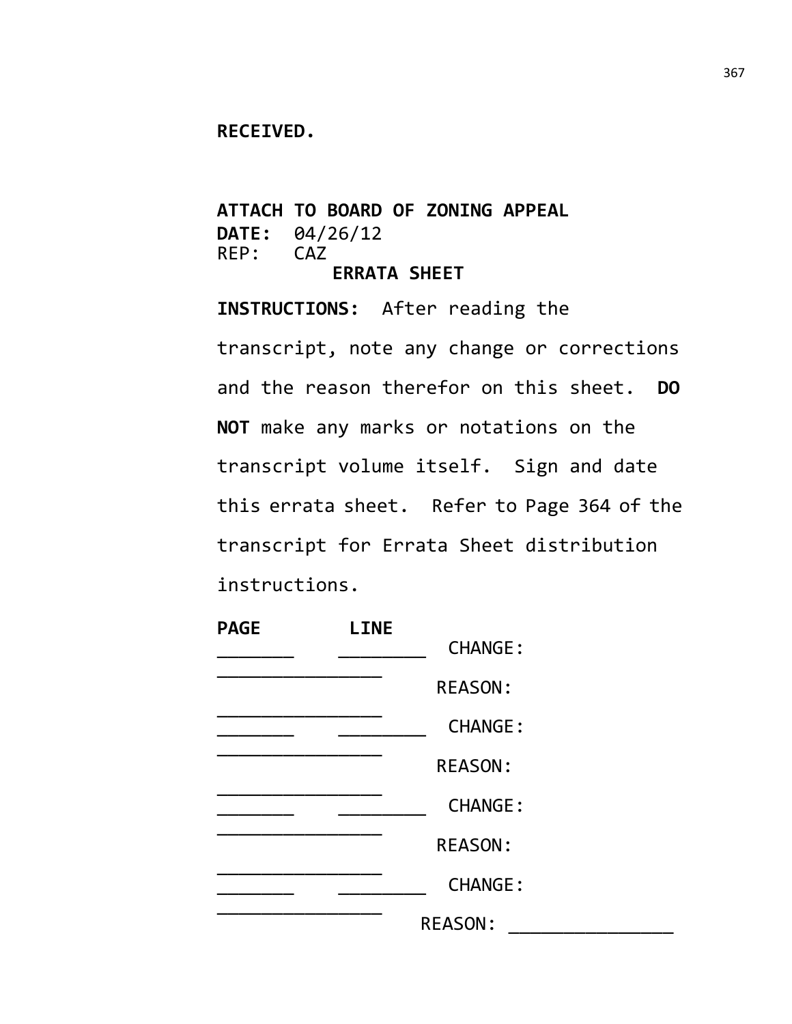#### **RECEIVED.**

**ATTACH TO BOARD OF ZONING APPEAL DATE:** 04/26/12<br>REP: CAZ  $REP:$ **ERRATA SHEET**

**INSTRUCTIONS:** After reading the transcript, note any change or corrections and the reason therefor on this sheet. **DO NOT** make any marks or notations on the transcript volume itself. Sign and date this errata sheet. Refer to Page 364 of the transcript for Errata Sheet distribution instructions.

| <b>PAGE</b> | <b>LINE</b> |                |  |
|-------------|-------------|----------------|--|
|             |             | <b>CHANGE:</b> |  |
|             |             | <b>REASON:</b> |  |
|             |             | <b>CHANGE:</b> |  |
|             |             | <b>REASON:</b> |  |
|             |             | <b>CHANGE:</b> |  |
|             |             | <b>REASON:</b> |  |
|             |             | <b>CHANGE:</b> |  |
|             |             | <b>REASON:</b> |  |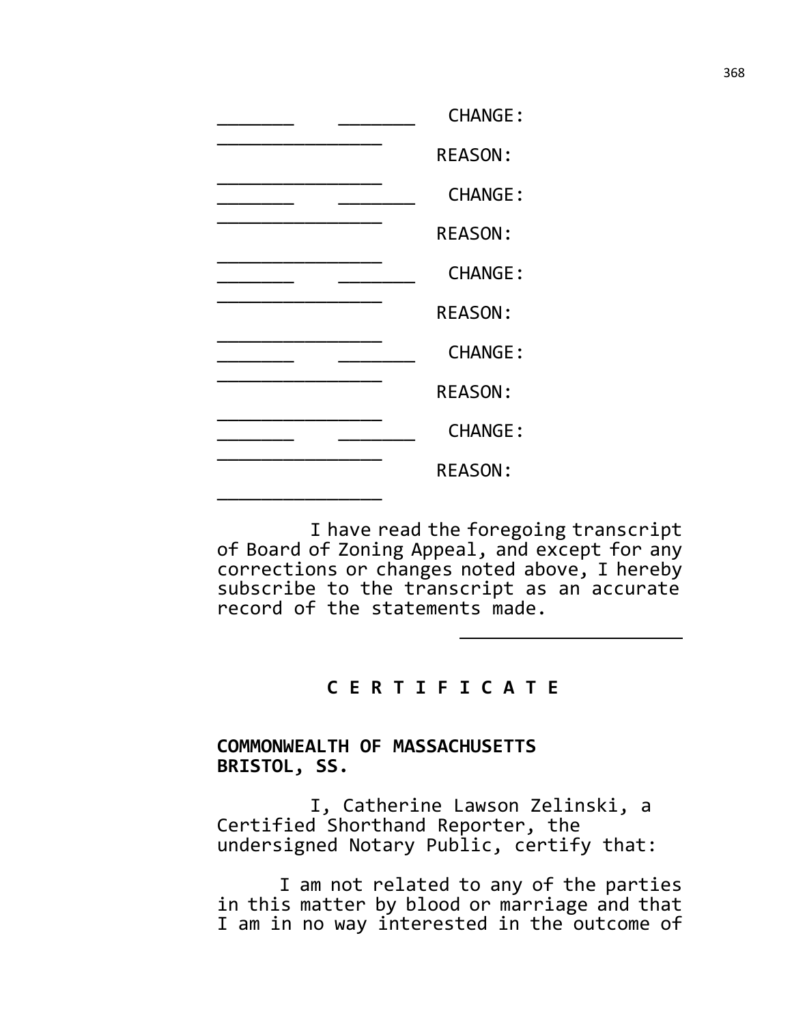|  | <b>CHANGE:</b> |
|--|----------------|
|  | <b>REASON:</b> |
|  | <b>CHANGE:</b> |
|  | <b>REASON:</b> |
|  | <b>CHANGE:</b> |
|  | <b>REASON:</b> |
|  | <b>CHANGE:</b> |
|  | <b>REASON:</b> |
|  | <b>CHANGE:</b> |
|  | <b>REASON:</b> |
|  |                |

I have read the foregoing transcript of Board of Zoning Appeal, and except for any corrections or changes noted above, I hereby subscribe to the transcript as an accurate record of the statements made.

# **C E R T I F I C A T E**

## **COMMONWEALTH OF MASSACHUSETTS BRISTOL, SS.**

I, Catherine Lawson Zelinski, a Certified Shorthand Reporter, the undersigned Notary Public, certify that:

I am not related to any of the parties in this matter by blood or marriage and that I am in no way interested in the outcome of